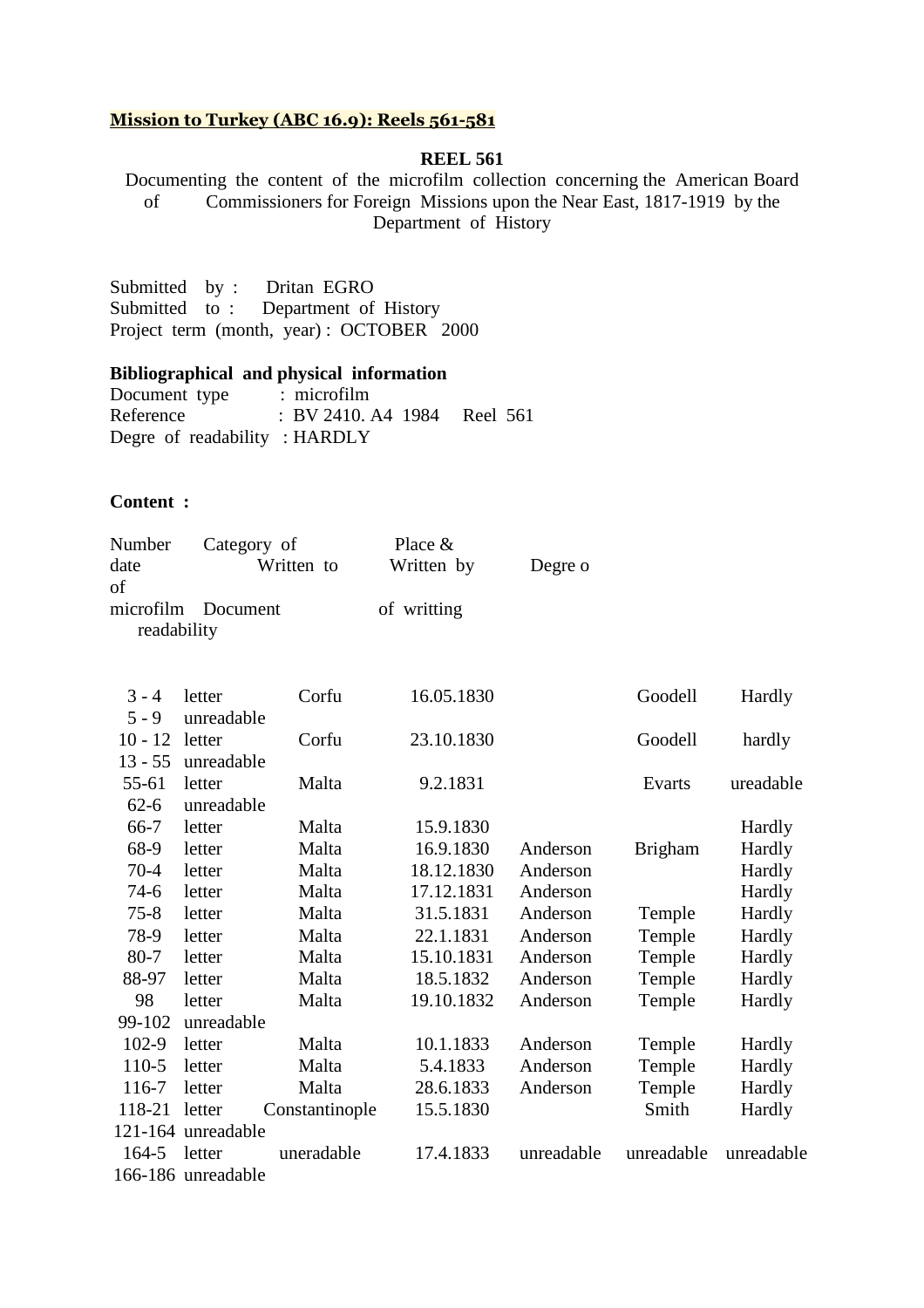### **Mission to Turkey (ABC 16.9): Reels 561-581**

#### **REEL 561**

Documenting the content of the microfilm collection concerning the American Board of Commissioners for Foreign Missions upon the Near East, 1817-1919 by the Department of History

Submitted by : Dritan EGRO Submitted to : Department of History Project term (month, year) : OCTOBER 2000

## **Bibliographical and physical information**

Document type : microfilm Reference : BV 2410. A4 1984 Reel 561 Degre of readability : HARDLY

## **Content :**

| Number      | Category of        | Place $\&$  |         |
|-------------|--------------------|-------------|---------|
| date        | Written to         | Written by  | Degre o |
| of          |                    |             |         |
|             | microfilm Document | of writting |         |
| readability |                    |             |         |

| $3 - 4$   | letter             | Corfu          | 16.05.1830 |            | Goodell        | Hardly     |
|-----------|--------------------|----------------|------------|------------|----------------|------------|
| $5 - 9$   | unreadable         |                |            |            |                |            |
| $10 - 12$ | letter             | Corfu          | 23.10.1830 |            | Goodell        | hardly     |
| $13 - 55$ | unreadable         |                |            |            |                |            |
| 55-61     | letter             | Malta          | 9.2.1831   |            | Evarts         | ureadable  |
| $62 - 6$  | unreadable         |                |            |            |                |            |
| 66-7      | letter             | Malta          | 15.9.1830  |            |                | Hardly     |
| 68-9      | letter             | Malta          | 16.9.1830  | Anderson   | <b>Brigham</b> | Hardly     |
| $70-4$    | letter             | Malta          | 18.12.1830 | Anderson   |                | Hardly     |
| $74-6$    | letter             | Malta          | 17.12.1831 | Anderson   |                | Hardly     |
| $75 - 8$  | letter             | Malta          | 31.5.1831  | Anderson   | Temple         | Hardly     |
| 78-9      | letter             | Malta          | 22.1.1831  | Anderson   | Temple         | Hardly     |
| $80 - 7$  | letter             | Malta          | 15.10.1831 | Anderson   | Temple         | Hardly     |
| 88-97     | letter             | Malta          | 18.5.1832  | Anderson   | Temple         | Hardly     |
| 98        | letter             | Malta          | 19.10.1832 | Anderson   | Temple         | Hardly     |
| 99-102    | unreadable         |                |            |            |                |            |
| $102-9$   | letter             | Malta          | 10.1.1833  | Anderson   | Temple         | Hardly     |
| 110-5     | letter             | Malta          | 5.4.1833   | Anderson   | Temple         | Hardly     |
| 116-7     | letter             | Malta          | 28.6.1833  | Anderson   | Temple         | Hardly     |
| 118-21    | letter             | Constantinople | 15.5.1830  |            | Smith          | Hardly     |
|           | 121-164 unreadable |                |            |            |                |            |
| $164 - 5$ | letter             | uneradable     | 17.4.1833  | unreadable | unreadable     | unreadable |
|           | 166-186 unreadable |                |            |            |                |            |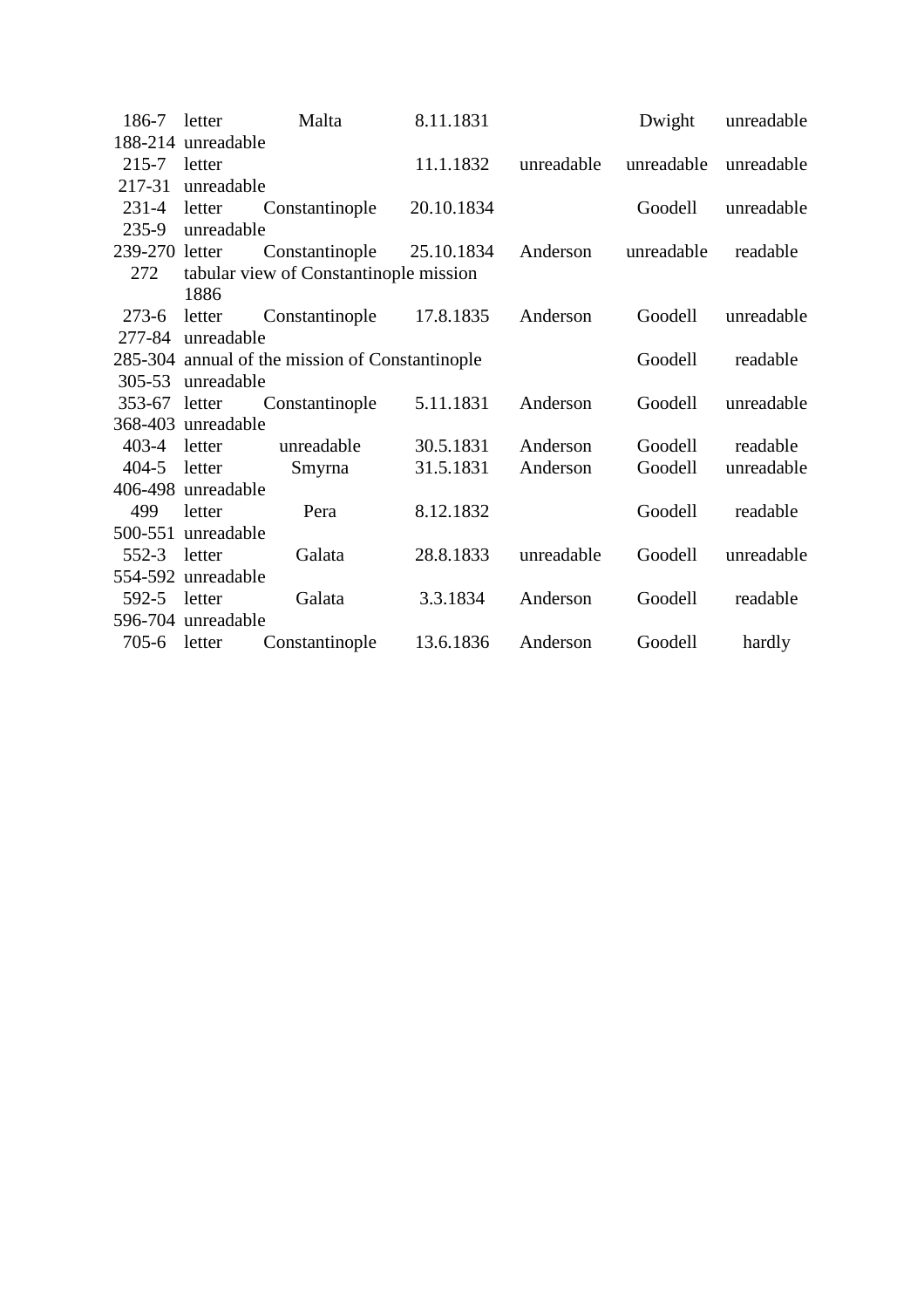| 186-7          | letter             | Malta                                           | 8.11.1831  |            | Dwight     | unreadable |
|----------------|--------------------|-------------------------------------------------|------------|------------|------------|------------|
|                | 188-214 unreadable |                                                 |            |            |            |            |
| $215-7$ letter |                    |                                                 | 11.1.1832  | unreadable | unreadable | unreadable |
| 217-31         | unreadable         |                                                 |            |            |            |            |
| $231-4$ letter |                    | Constantinople                                  | 20.10.1834 |            | Goodell    | unreadable |
| $235-9$        | unreadable         |                                                 |            |            |            |            |
| 239-270 letter |                    | Constantinople                                  | 25.10.1834 | Anderson   | unreadable | readable   |
| 272            |                    | tabular view of Constantinople mission          |            |            |            |            |
|                | 1886               |                                                 |            |            |            |            |
| $273-6$        | letter             | Constantinople                                  | 17.8.1835  | Anderson   | Goodell    | unreadable |
| 277-84         | unreadable         |                                                 |            |            |            |            |
|                |                    | 285-304 annual of the mission of Constantinople |            | Goodell    | readable   |            |
| $305 - 53$     | unreadable         |                                                 |            |            |            |            |
| 353-67 letter  |                    | Constantinople                                  | 5.11.1831  | Anderson   | Goodell    | unreadable |
|                | 368-403 unreadable |                                                 |            |            |            |            |
| 403-4          | letter             | unreadable                                      | 30.5.1831  | Anderson   | Goodell    | readable   |
| $404 - 5$      | letter             | Smyrna                                          | 31.5.1831  | Anderson   | Goodell    | unreadable |
|                | 406-498 unreadable |                                                 |            |            |            |            |
| 499            | letter             | Pera                                            | 8.12.1832  |            | Goodell    | readable   |
|                | 500-551 unreadable |                                                 |            |            |            |            |
| 552-3          | letter             | Galata                                          | 28.8.1833  | unreadable | Goodell    | unreadable |
|                | 554-592 unreadable |                                                 |            |            |            |            |
| $592 - 5$      | letter             | Galata                                          | 3.3.1834   | Anderson   | Goodell    | readable   |
|                | 596-704 unreadable |                                                 |            |            |            |            |
| 705-6 letter   |                    | Constantinople                                  | 13.6.1836  | Anderson   | Goodell    | hardly     |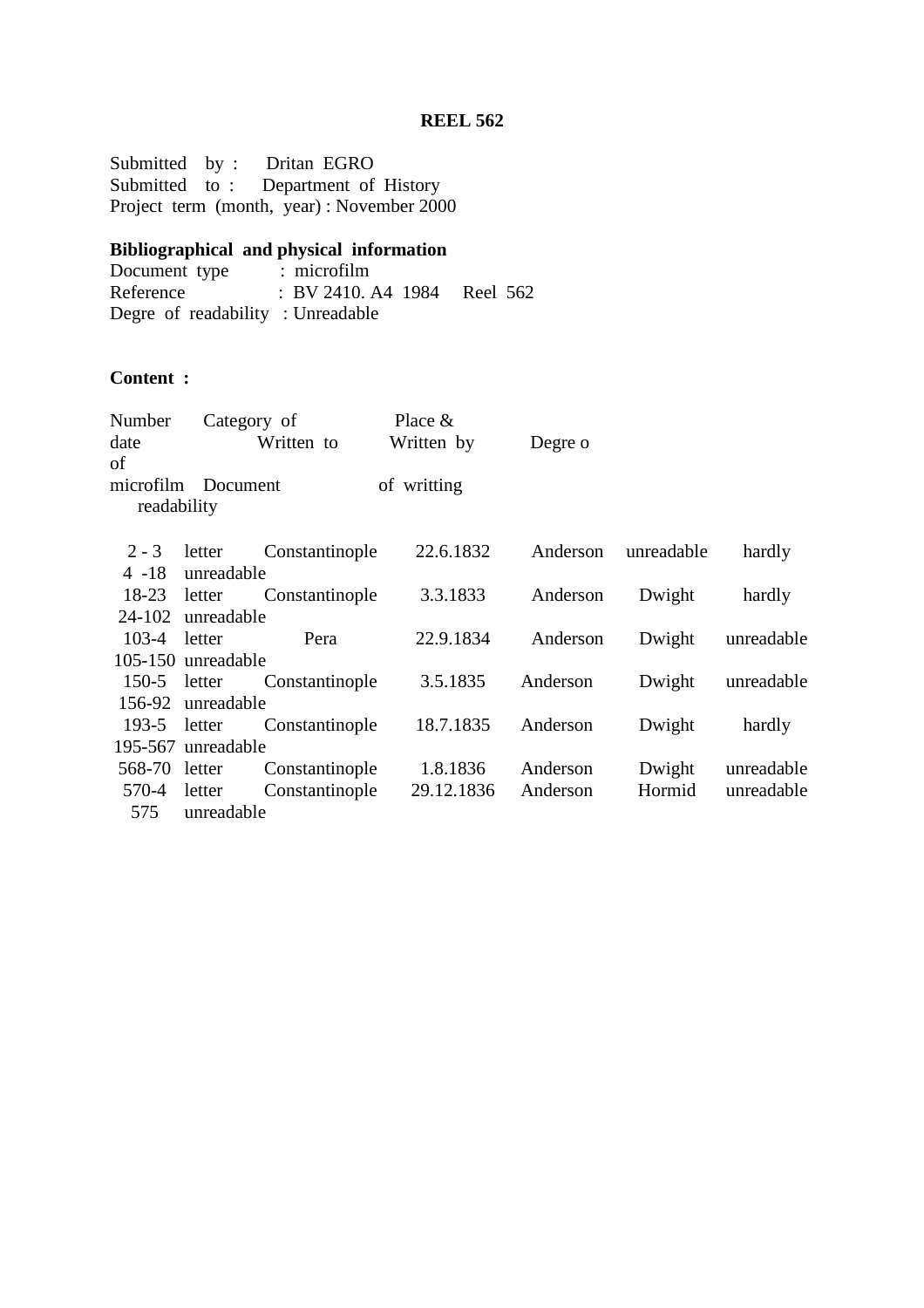Submitted by : Dritan EGRO Submitted to : Department of History Project term (month, year) : November 2000

#### **Bibliographical and physical information**

Document type : microfilm Reference : BV 2410. A4 1984 Reel 562 Degre of readability : Unreadable

# **Content :**

| Number             |            | Category of    | Place $&$   |          |            |            |
|--------------------|------------|----------------|-------------|----------|------------|------------|
| date               |            | Written to     | Written by  | Degre o  |            |            |
| of                 |            |                |             |          |            |            |
| microfilm Document |            |                | of writting |          |            |            |
| readability        |            |                |             |          |            |            |
| $2 - 3$            | letter     | Constantinople | 22.6.1832   | Anderson | unreadable | hardly     |
| $4 - 18$           | unreadable |                |             |          |            |            |
| 18-23 letter       |            | Constantinople | 3.3.1833    | Anderson | Dwight     | hardly     |
| 24-102             | unreadable |                |             |          |            |            |
| $103 - 4$          | letter     | Pera           | 22.9.1834   | Anderson | Dwight     | unreadable |
| 105-150 unreadable |            |                |             |          |            |            |
| $150-5$ letter     |            | Constantinople | 3.5.1835    | Anderson | Dwight     | unreadable |
| 156-92             | unreadable |                |             |          |            |            |
| $193-5$ letter     |            | Constantinople | 18.7.1835   | Anderson | Dwight     | hardly     |
| 195-567 unreadable |            |                |             |          |            |            |
| 568-70 letter      |            | Constantinople | 1.8.1836    | Anderson | Dwight     | unreadable |
| 570-4              | letter     | Constantinople | 29.12.1836  | Anderson | Hormid     | unreadable |
| 575                | unreadable |                |             |          |            |            |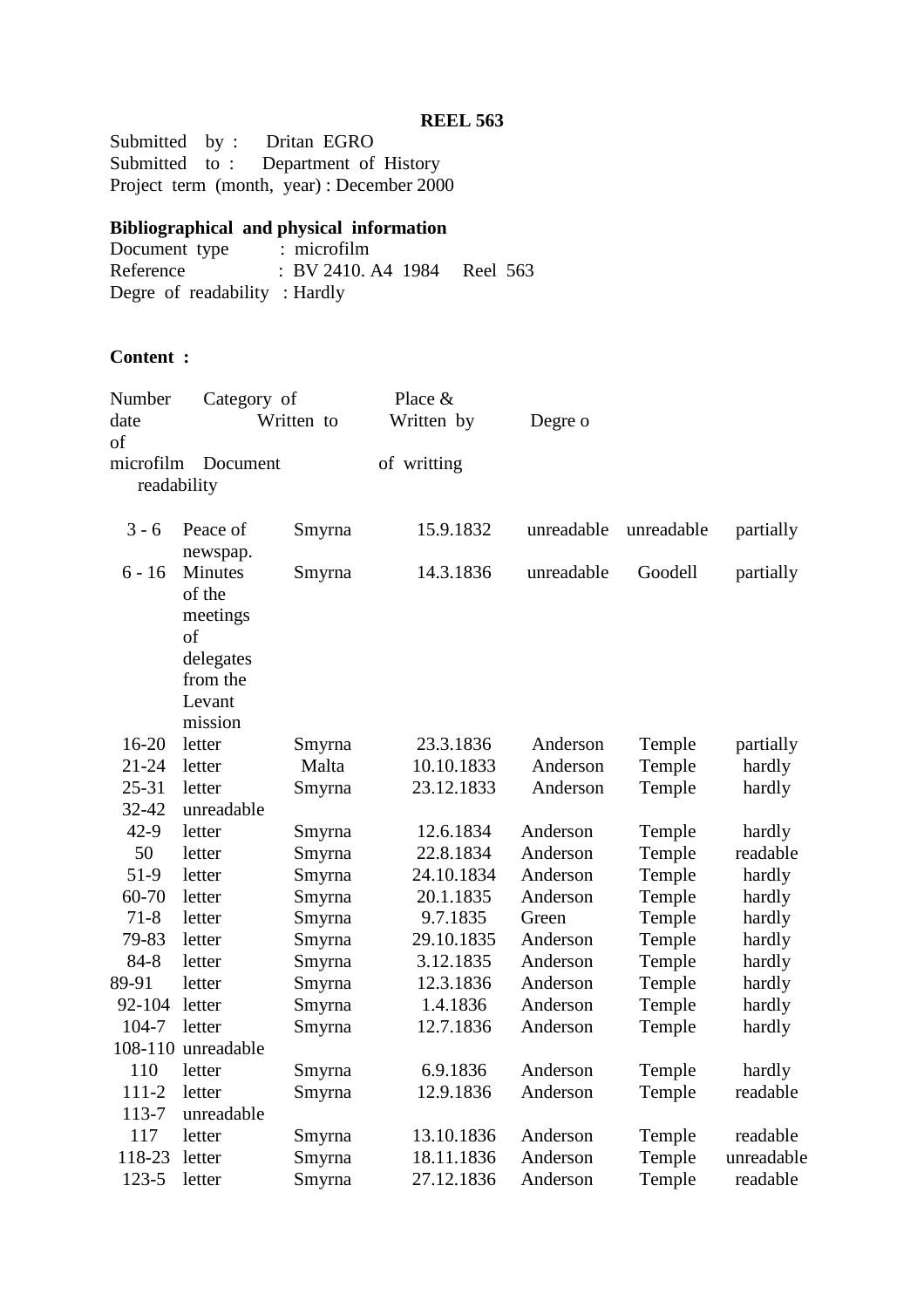Submitted by : Dritan EGRO Submitted to : Department of History Project term (month, year) : December 2000

# **Bibliographical and physical information**<br>Document type : microfilm

Document type<br>Reference : BV 2410. A4 1984 Reel 563 Degre of readability : Hardly

# **Content :**

| Number      | Category of        |            | Place &     |            |            |            |
|-------------|--------------------|------------|-------------|------------|------------|------------|
| date        |                    | Written to | Written by  | Degre o    |            |            |
| of          |                    |            |             |            |            |            |
| microfilm   | Document           |            | of writting |            |            |            |
| readability |                    |            |             |            |            |            |
| $3 - 6$     | Peace of           | Smyrna     | 15.9.1832   | unreadable | unreadable | partially  |
|             | newspap.           |            |             |            |            |            |
| $6 - 16$    | Minutes            | Smyrna     | 14.3.1836   | unreadable | Goodell    | partially  |
|             | of the             |            |             |            |            |            |
|             | meetings           |            |             |            |            |            |
|             | of                 |            |             |            |            |            |
|             | delegates          |            |             |            |            |            |
|             | from the           |            |             |            |            |            |
|             | Levant             |            |             |            |            |            |
|             | mission            |            |             |            |            |            |
| $16 - 20$   | letter             | Smyrna     | 23.3.1836   | Anderson   | Temple     | partially  |
| $21 - 24$   | letter             | Malta      | 10.10.1833  | Anderson   | Temple     | hardly     |
| $25 - 31$   | letter             | Smyrna     | 23.12.1833  | Anderson   | Temple     | hardly     |
| 32-42       | unreadable         |            |             |            |            |            |
| $42-9$      | letter             | Smyrna     | 12.6.1834   | Anderson   | Temple     | hardly     |
| 50          | letter             | Smyrna     | 22.8.1834   | Anderson   | Temple     | readable   |
| $51-9$      | letter             | Smyrna     | 24.10.1834  | Anderson   | Temple     | hardly     |
| 60-70       | letter             | Smyrna     | 20.1.1835   | Anderson   | Temple     | hardly     |
| $71-8$      | letter             | Smyrna     | 9.7.1835    | Green      | Temple     | hardly     |
| 79-83       | letter             | Smyrna     | 29.10.1835  | Anderson   | Temple     | hardly     |
| $84 - 8$    | letter             | Smyrna     | 3.12.1835   | Anderson   | Temple     | hardly     |
| 89-91       | letter             | Smyrna     | 12.3.1836   | Anderson   | Temple     | hardly     |
| 92-104      | letter             | Smyrna     | 1.4.1836    | Anderson   | Temple     | hardly     |
| 104-7       | letter             | Smyrna     | 12.7.1836   | Anderson   | Temple     | hardly     |
|             | 108-110 unreadable |            |             |            |            |            |
| 110         | letter             | Smyrna     | 6.9.1836    | Anderson   | Temple     | hardly     |
| $111 - 2$   | letter             | Smyrna     | 12.9.1836   | Anderson   | Temple     | readable   |
| 113-7       | unreadable         |            |             |            |            |            |
| 117         | letter             | Smyrna     | 13.10.1836  | Anderson   | Temple     | readable   |
| 118-23      | letter             | Smyrna     | 18.11.1836  | Anderson   | Temple     | unreadable |
| 123-5       | letter             | Smyrna     | 27.12.1836  | Anderson   | Temple     | readable   |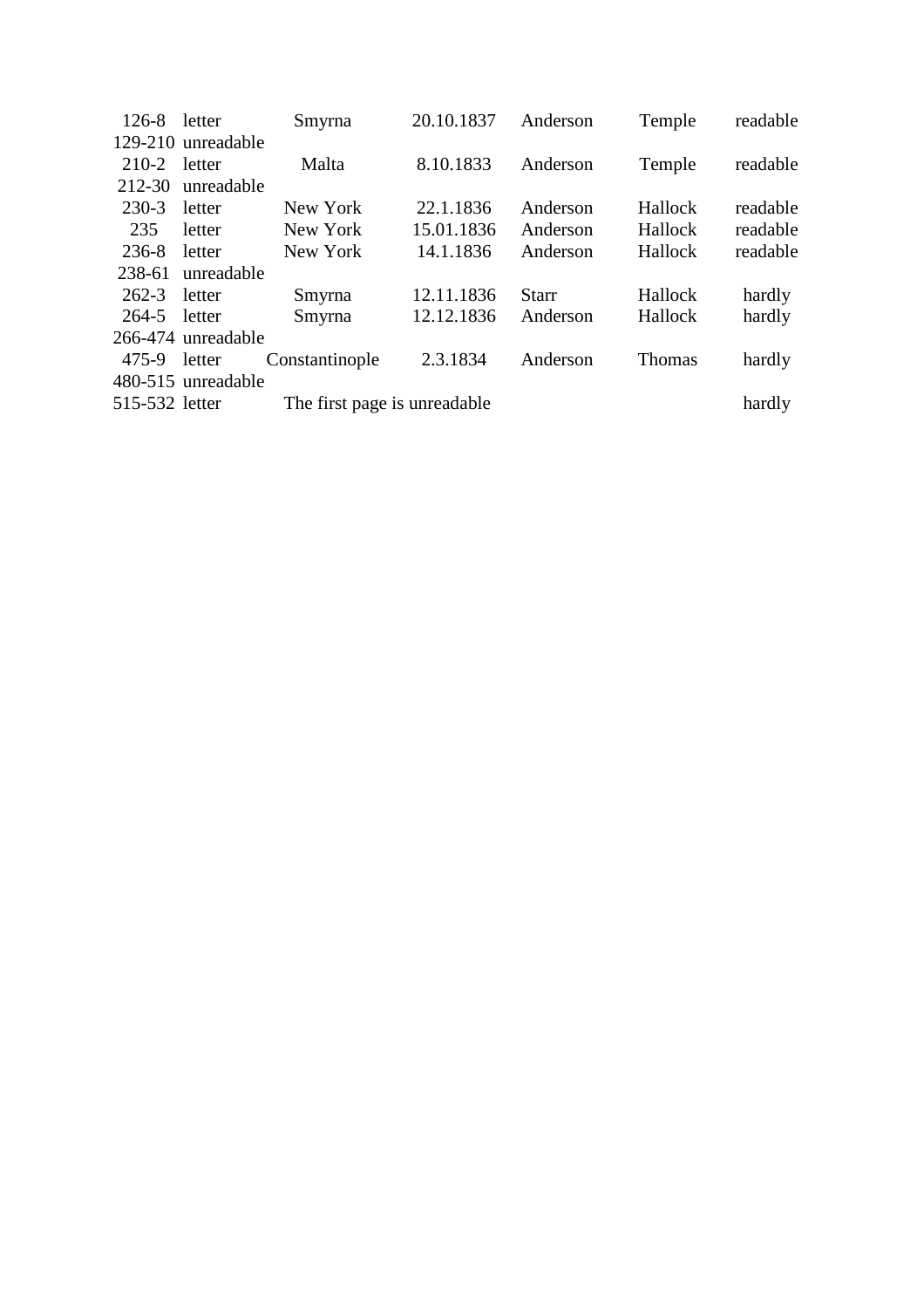| $126-8$ letter |                    | Smyrna                       | 20.10.1837 | Anderson     | Temple  | readable |
|----------------|--------------------|------------------------------|------------|--------------|---------|----------|
|                | 129-210 unreadable |                              |            |              |         |          |
| 210-2          | letter             | Malta                        | 8.10.1833  | Anderson     | Temple  | readable |
| 212-30         | unreadable         |                              |            |              |         |          |
| 230-3          | letter             | New York                     | 22.1.1836  | Anderson     | Hallock | readable |
| 235            | letter             | New York                     | 15.01.1836 | Anderson     | Hallock | readable |
| 236-8          | letter             | New York                     | 14.1.1836  | Anderson     | Hallock | readable |
| 238-61         | unreadable         |                              |            |              |         |          |
| $262 - 3$      | letter             | Smyrna                       | 12.11.1836 | <b>Starr</b> | Hallock | hardly   |
| 264-5          | letter             | Smyrna                       | 12.12.1836 | Anderson     | Hallock | hardly   |
|                | 266-474 unreadable |                              |            |              |         |          |
| 475-9          | letter             | Constantinople               | 2.3.1834   | Anderson     | Thomas  | hardly   |
|                | 480-515 unreadable |                              |            |              |         |          |
| 515-532 letter |                    | The first page is unreadable |            |              |         | hardly   |
|                |                    |                              |            |              |         |          |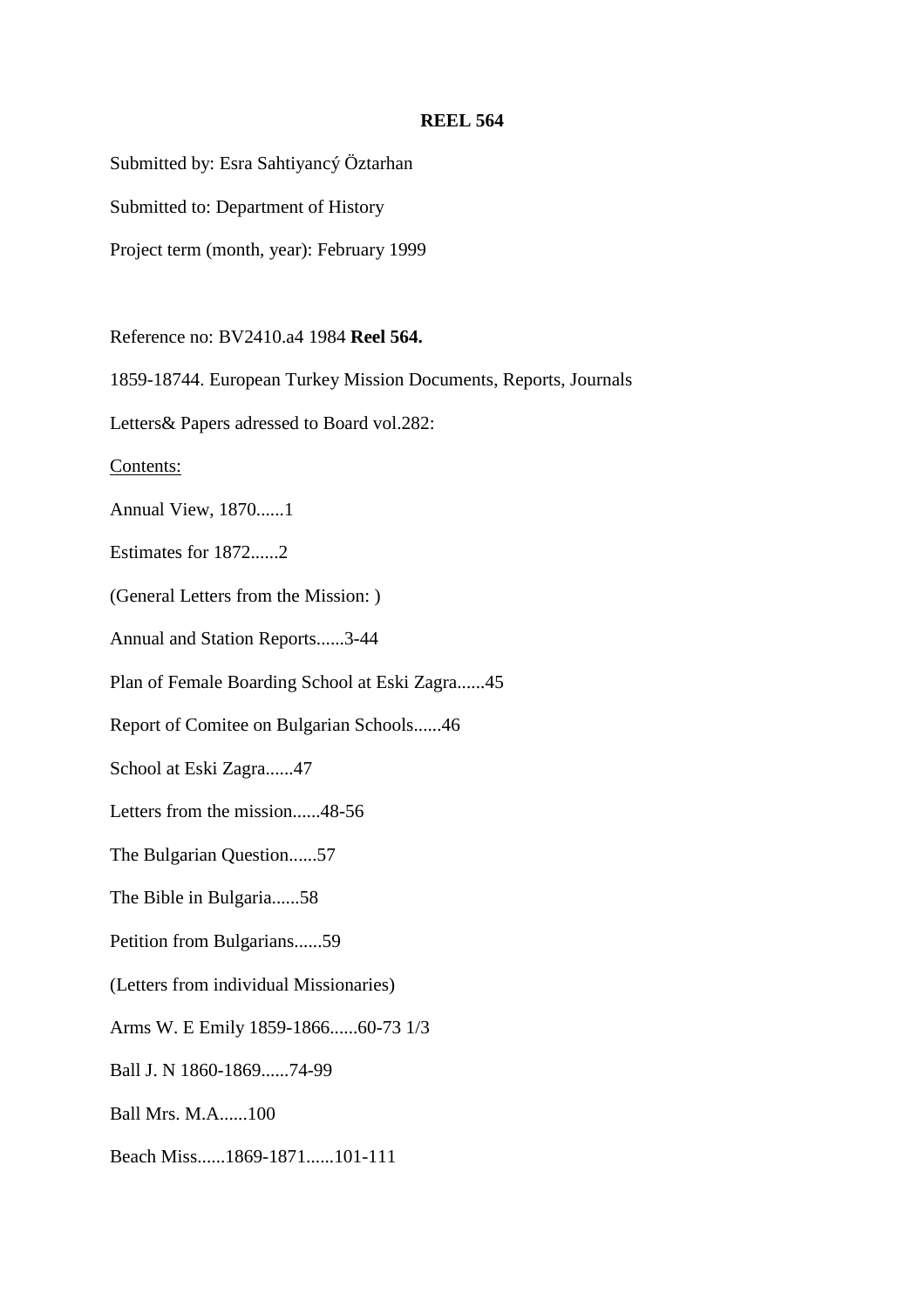Submitted by: Esra Sahtiyancý Öztarhan

Submitted to: Department of History

Project term (month, year): February 1999

Reference no: BV2410.a4 1984 **Reel 564.**

1859-18744. European Turkey Mission Documents, Reports, Journals

Letters& Papers adressed to Board vol.282:

Contents:

Annual View, 1870......1

Estimates for 1872......2

(General Letters from the Mission: )

Annual and Station Reports......3-44

Plan of Female Boarding School at Eski Zagra......45

Report of Comitee on Bulgarian Schools......46

School at Eski Zagra......47

Letters from the mission......48-56

The Bulgarian Question......57

The Bible in Bulgaria......58

Petition from Bulgarians......59

(Letters from individual Missionaries)

Arms W. E Emily 1859-1866......60-73 1/3

Ball J. N 1860-1869......74-99

Ball Mrs. M.A......100

Beach Miss......1869-1871......101-111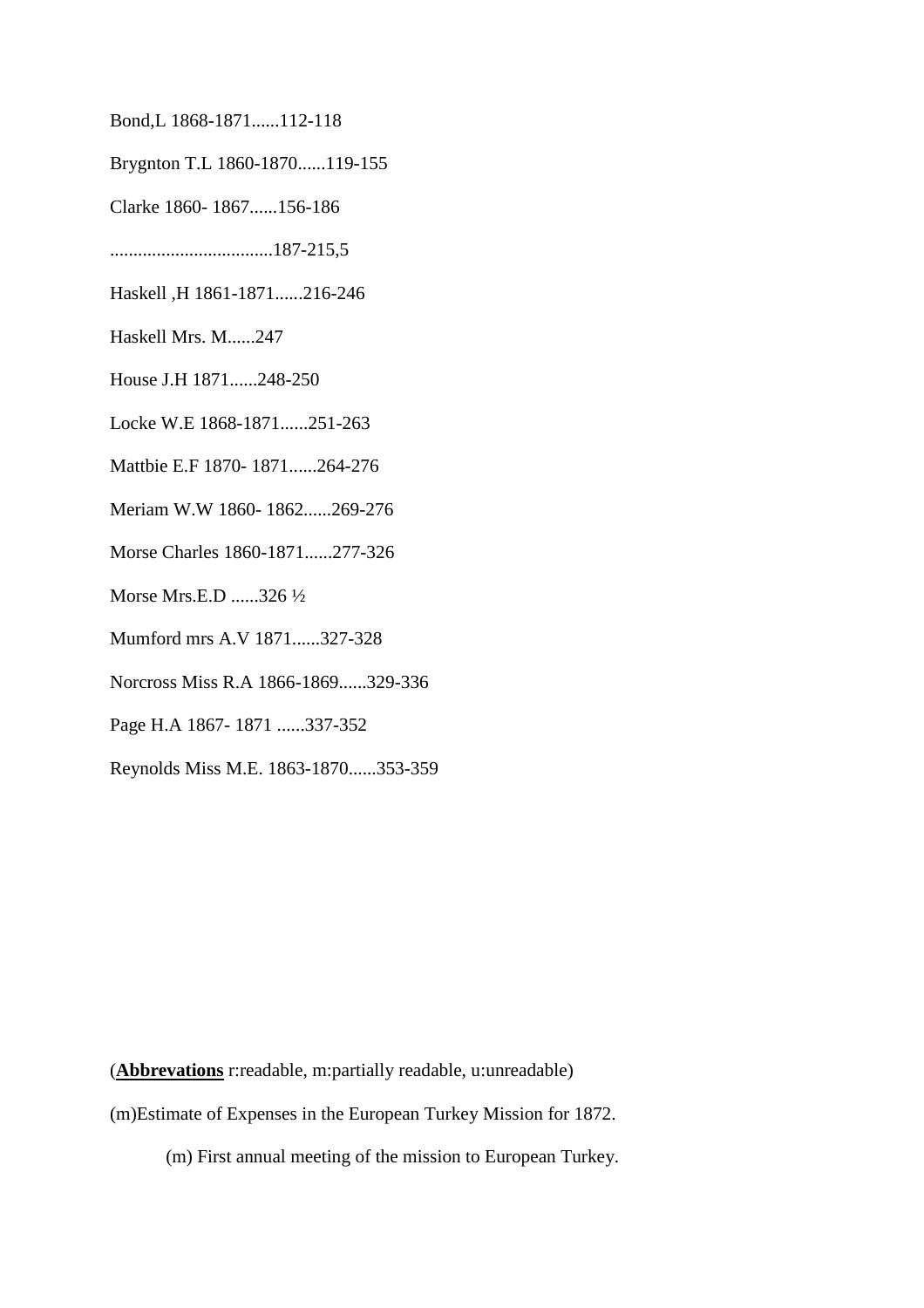- Bond,L 1868-1871......112-118
- Brygnton T.L 1860-1870......119-155
- Clarke 1860- 1867......156-186
- ...................................187-215,5
- Haskell ,H 1861-1871......216-246
- Haskell Mrs. M......247
- House J.H 1871......248-250
- Locke W.E 1868-1871......251-263
- Mattbie E.F 1870- 1871......264-276
- Meriam W.W 1860- 1862......269-276
- Morse Charles 1860-1871......277-326
- Morse Mrs.E.D ......326 ½
- Mumford mrs A.V 1871......327-328
- Norcross Miss R.A 1866-1869......329-336
- Page H.A 1867- 1871 ......337-352
- Reynolds Miss M.E. 1863-1870......353-359

(**Abbrevations** r:readable, m:partially readable, u:unreadable) (m)Estimate of Expenses in the European Turkey Mission for 1872.

(m) First annual meeting of the mission to European Turkey.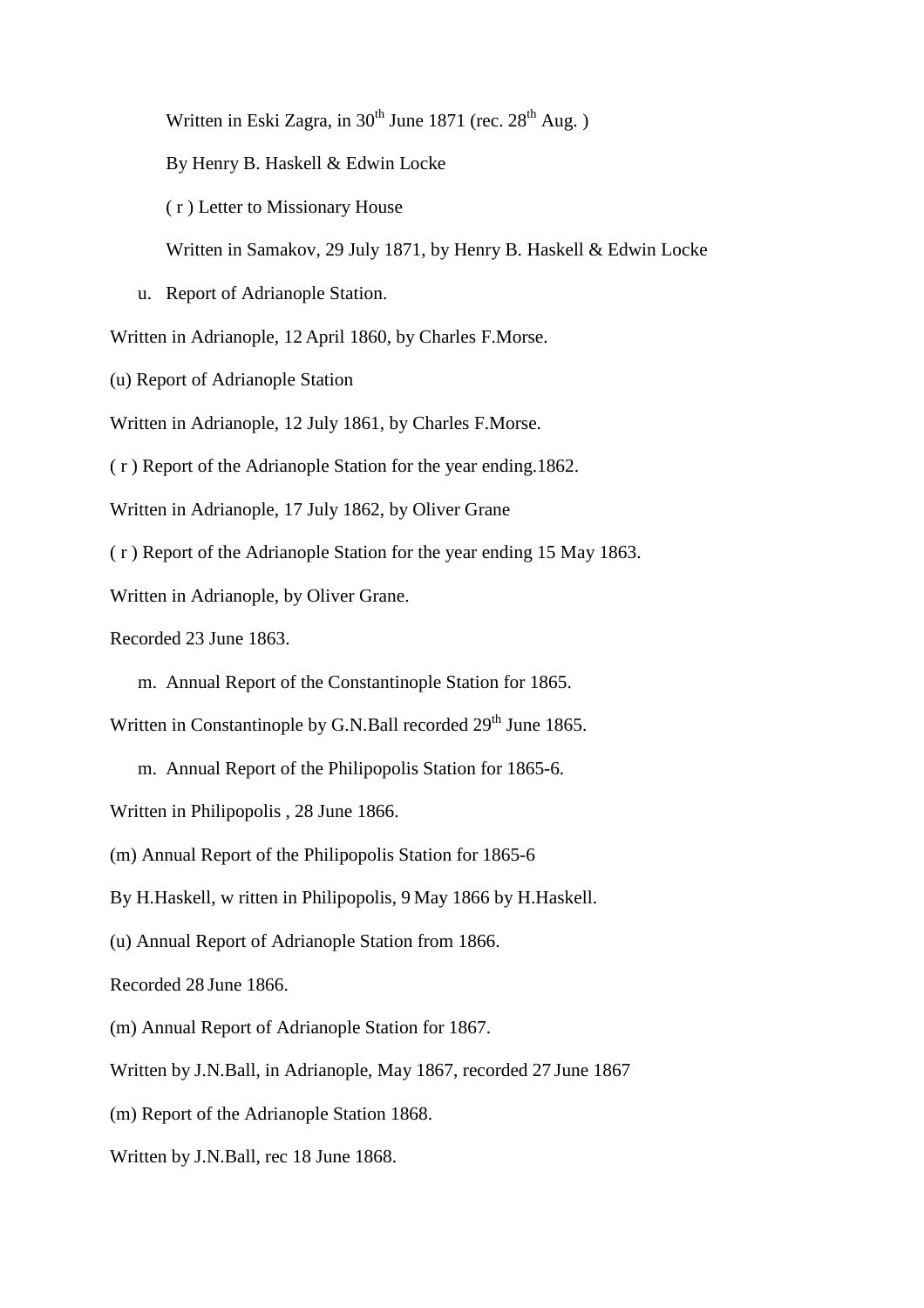Written in Eski Zagra, in 30<sup>th</sup> June 1871 (rec. 28<sup>th</sup> Aug.)

By Henry B. Haskell & Edwin Locke

( r ) Letter to Missionary House

Written in Samakov, 29 July 1871, by Henry B. Haskell & Edwin Locke

u. Report of Adrianople Station.

Written in Adrianople, 12 April 1860, by Charles F.Morse.

(u) Report of Adrianople Station

Written in Adrianople, 12 July 1861, by Charles F.Morse.

( r ) Report of the Adrianople Station for the year ending.1862.

Written in Adrianople, 17 July 1862, by Oliver Grane

( r ) Report of the Adrianople Station for the year ending 15 May 1863.

Written in Adrianople, by Oliver Grane.

Recorded 23 June 1863.

m. Annual Report of the Constantinople Station for 1865.

Written in Constantinople by G.N.Ball recorded  $29<sup>th</sup>$  June 1865.

m. Annual Report of the Philipopolis Station for 1865-6.

Written in Philipopolis , 28 June 1866.

(m) Annual Report of the Philipopolis Station for 1865-6

By H.Haskell, w ritten in Philipopolis, 9 May 1866 by H.Haskell.

(u) Annual Report of Adrianople Station from 1866.

Recorded 28 June 1866.

(m) Annual Report of Adrianople Station for 1867.

Written by J.N.Ball, in Adrianople, May 1867, recorded 27 June 1867

(m) Report of the Adrianople Station 1868.

Written by J.N.Ball, rec 18 June 1868.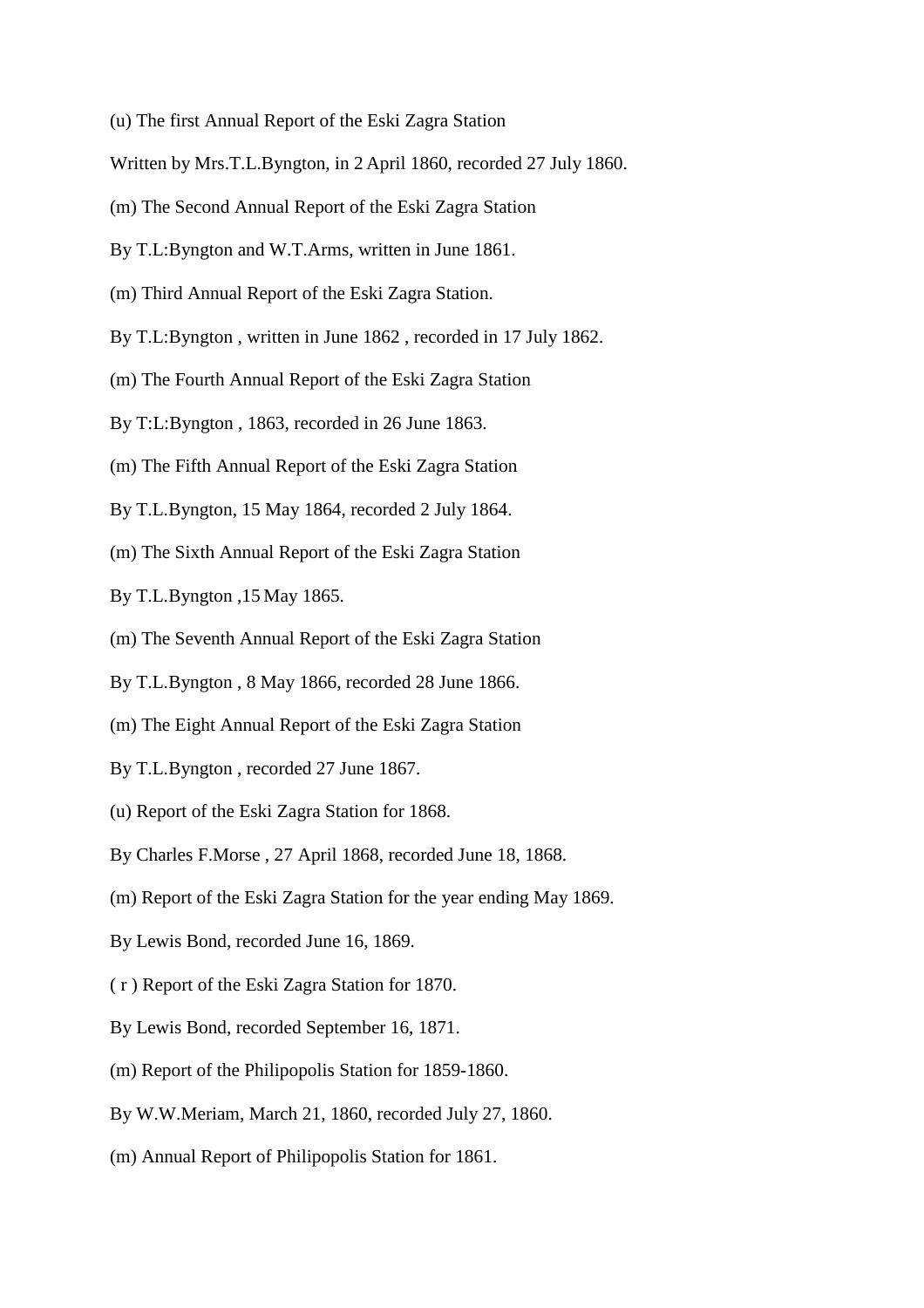- (u) The first Annual Report of the Eski Zagra Station
- Written by Mrs.T.L.Byngton, in 2 April 1860, recorded 27 July 1860.
- (m) The Second Annual Report of the Eski Zagra Station
- By T.L:Byngton and W.T.Arms, written in June 1861.
- (m) Third Annual Report of the Eski Zagra Station.
- By T.L:Byngton , written in June 1862 , recorded in 17 July 1862.
- (m) The Fourth Annual Report of the Eski Zagra Station
- By T:L:Byngton , 1863, recorded in 26 June 1863.
- (m) The Fifth Annual Report of the Eski Zagra Station
- By T.L.Byngton, 15 May 1864, recorded 2 July 1864.
- (m) The Sixth Annual Report of the Eski Zagra Station
- By T.L.Byngton ,15 May 1865.
- (m) The Seventh Annual Report of the Eski Zagra Station
- By T.L.Byngton , 8 May 1866, recorded 28 June 1866.
- (m) The Eight Annual Report of the Eski Zagra Station
- By T.L.Byngton , recorded 27 June 1867.
- (u) Report of the Eski Zagra Station for 1868.
- By Charles F.Morse , 27 April 1868, recorded June 18, 1868.
- (m) Report of the Eski Zagra Station for the year ending May 1869.
- By Lewis Bond, recorded June 16, 1869.
- ( r ) Report of the Eski Zagra Station for 1870.
- By Lewis Bond, recorded September 16, 1871.
- (m) Report of the Philipopolis Station for 1859-1860.
- By W.W.Meriam, March 21, 1860, recorded July 27, 1860.
- (m) Annual Report of Philipopolis Station for 1861.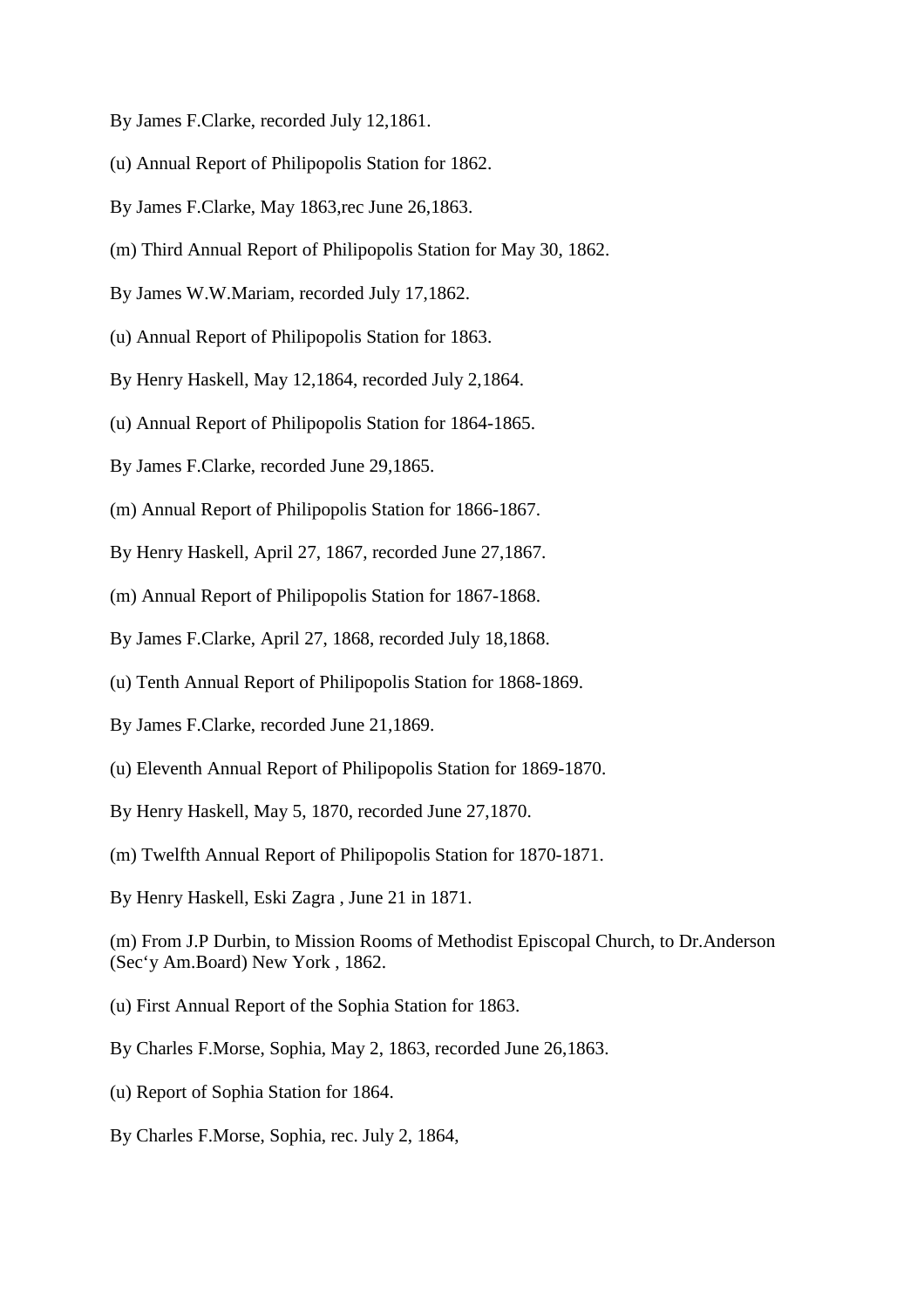- By James F.Clarke, recorded July 12,1861.
- (u) Annual Report of Philipopolis Station for 1862.
- By James F.Clarke, May 1863,rec June 26,1863.
- (m) Third Annual Report of Philipopolis Station for May 30, 1862.
- By James W.W.Mariam, recorded July 17,1862.
- (u) Annual Report of Philipopolis Station for 1863.
- By Henry Haskell, May 12,1864, recorded July 2,1864.
- (u) Annual Report of Philipopolis Station for 1864-1865.
- By James F.Clarke, recorded June 29,1865.
- (m) Annual Report of Philipopolis Station for 1866-1867.
- By Henry Haskell, April 27, 1867, recorded June 27,1867.
- (m) Annual Report of Philipopolis Station for 1867-1868.
- By James F.Clarke, April 27, 1868, recorded July 18,1868.
- (u) Tenth Annual Report of Philipopolis Station for 1868-1869.
- By James F.Clarke, recorded June 21,1869.
- (u) Eleventh Annual Report of Philipopolis Station for 1869-1870.
- By Henry Haskell, May 5, 1870, recorded June 27,1870.
- (m) Twelfth Annual Report of Philipopolis Station for 1870-1871.
- By Henry Haskell, Eski Zagra , June 21 in 1871.
- (m) From J.P Durbin, to Mission Rooms of Methodist Episcopal Church, to Dr.Anderson (Sec'y Am.Board) New York , 1862.
- (u) First Annual Report of the Sophia Station for 1863.
- By Charles F.Morse, Sophia, May 2, 1863, recorded June 26,1863.
- (u) Report of Sophia Station for 1864.
- By Charles F.Morse, Sophia, rec. July 2, 1864,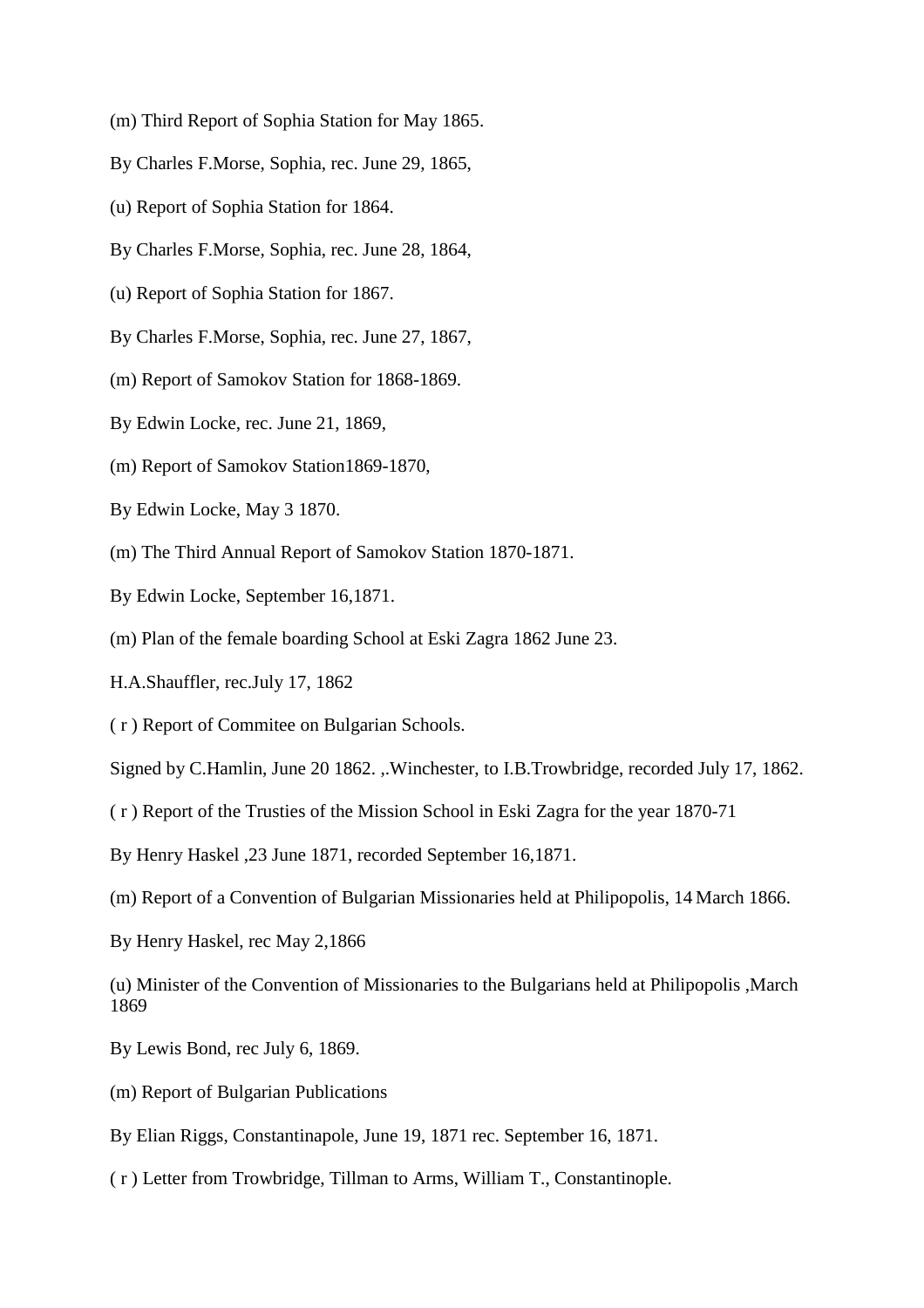- (m) Third Report of Sophia Station for May 1865.
- By Charles F.Morse, Sophia, rec. June 29, 1865,
- (u) Report of Sophia Station for 1864.
- By Charles F.Morse, Sophia, rec. June 28, 1864,
- (u) Report of Sophia Station for 1867.
- By Charles F.Morse, Sophia, rec. June 27, 1867,
- (m) Report of Samokov Station for 1868-1869.
- By Edwin Locke, rec. June 21, 1869,
- (m) Report of Samokov Station1869-1870,
- By Edwin Locke, May 3 1870.
- (m) The Third Annual Report of Samokov Station 1870-1871.
- By Edwin Locke, September 16,1871.
- (m) Plan of the female boarding School at Eski Zagra 1862 June 23.
- H.A.Shauffler, rec.July 17, 1862
- ( r ) Report of Commitee on Bulgarian Schools.
- Signed by C.Hamlin, June 20 1862. ,.Winchester, to I.B.Trowbridge, recorded July 17, 1862.
- ( r ) Report of the Trusties of the Mission School in Eski Zagra for the year 1870-71
- By Henry Haskel ,23 June 1871, recorded September 16,1871.
- (m) Report of a Convention of Bulgarian Missionaries held at Philipopolis, 14 March 1866.
- By Henry Haskel, rec May 2,1866
- (u) Minister of the Convention of Missionaries to the Bulgarians held at Philipopolis ,March 1869
- By Lewis Bond, rec July 6, 1869.
- (m) Report of Bulgarian Publications
- By Elian Riggs, Constantinapole, June 19, 1871 rec. September 16, 1871.
- ( r ) Letter from Trowbridge, Tillman to Arms, William T., Constantinople.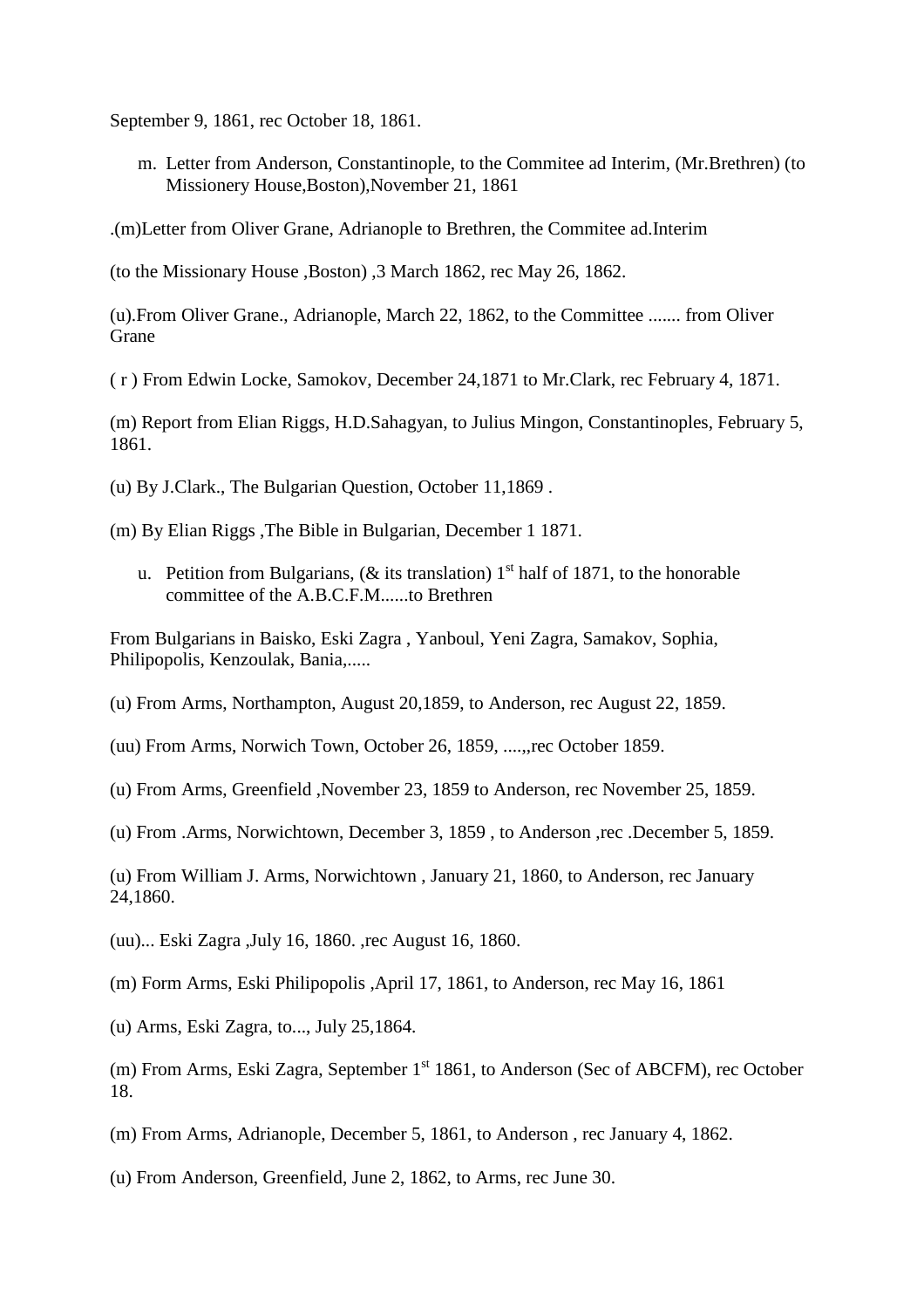September 9, 1861, rec October 18, 1861.

m. Letter from Anderson, Constantinople, to the Commitee ad Interim, (Mr.Brethren) (to Missionery House,Boston),November 21, 1861

.(m)Letter from Oliver Grane, Adrianople to Brethren, the Commitee ad.Interim

(to the Missionary House ,Boston) ,3 March 1862, rec May 26, 1862.

(u).From Oliver Grane., Adrianople, March 22, 1862, to the Committee ....... from Oliver Grane

( r ) From Edwin Locke, Samokov, December 24,1871 to Mr.Clark, rec February 4, 1871.

(m) Report from Elian Riggs, H.D.Sahagyan, to Julius Mingon, Constantinoples, February 5, 1861.

(u) By J.Clark., The Bulgarian Question, October 11,1869 .

- (m) By Elian Riggs ,The Bible in Bulgarian, December 1 1871.
	- u. Petition from Bulgarians, ( $\&$  its translation) 1<sup>st</sup> half of 1871, to the honorable committee of the A.B.C.F.M......to Brethren

From Bulgarians in Baisko, Eski Zagra , Yanboul, Yeni Zagra, Samakov, Sophia, Philipopolis, Kenzoulak, Bania,.....

- (u) From Arms, Northampton, August 20,1859, to Anderson, rec August 22, 1859.
- (uu) From Arms, Norwich Town, October 26, 1859, ....,,rec October 1859.
- (u) From Arms, Greenfield ,November 23, 1859 to Anderson, rec November 25, 1859.
- (u) From .Arms, Norwichtown, December 3, 1859 , to Anderson ,rec .December 5, 1859.

(u) From William J. Arms, Norwichtown , January 21, 1860, to Anderson, rec January 24,1860.

(uu)... Eski Zagra ,July 16, 1860. ,rec August 16, 1860.

(m) Form Arms, Eski Philipopolis ,April 17, 1861, to Anderson, rec May 16, 1861

(u) Arms, Eski Zagra, to..., July 25,1864.

(m) From Arms, Eski Zagra, September  $1<sup>st</sup> 1861$ , to Anderson (Sec of ABCFM), rec October 18.

(m) From Arms, Adrianople, December 5, 1861, to Anderson , rec January 4, 1862.

(u) From Anderson, Greenfield, June 2, 1862, to Arms, rec June 30.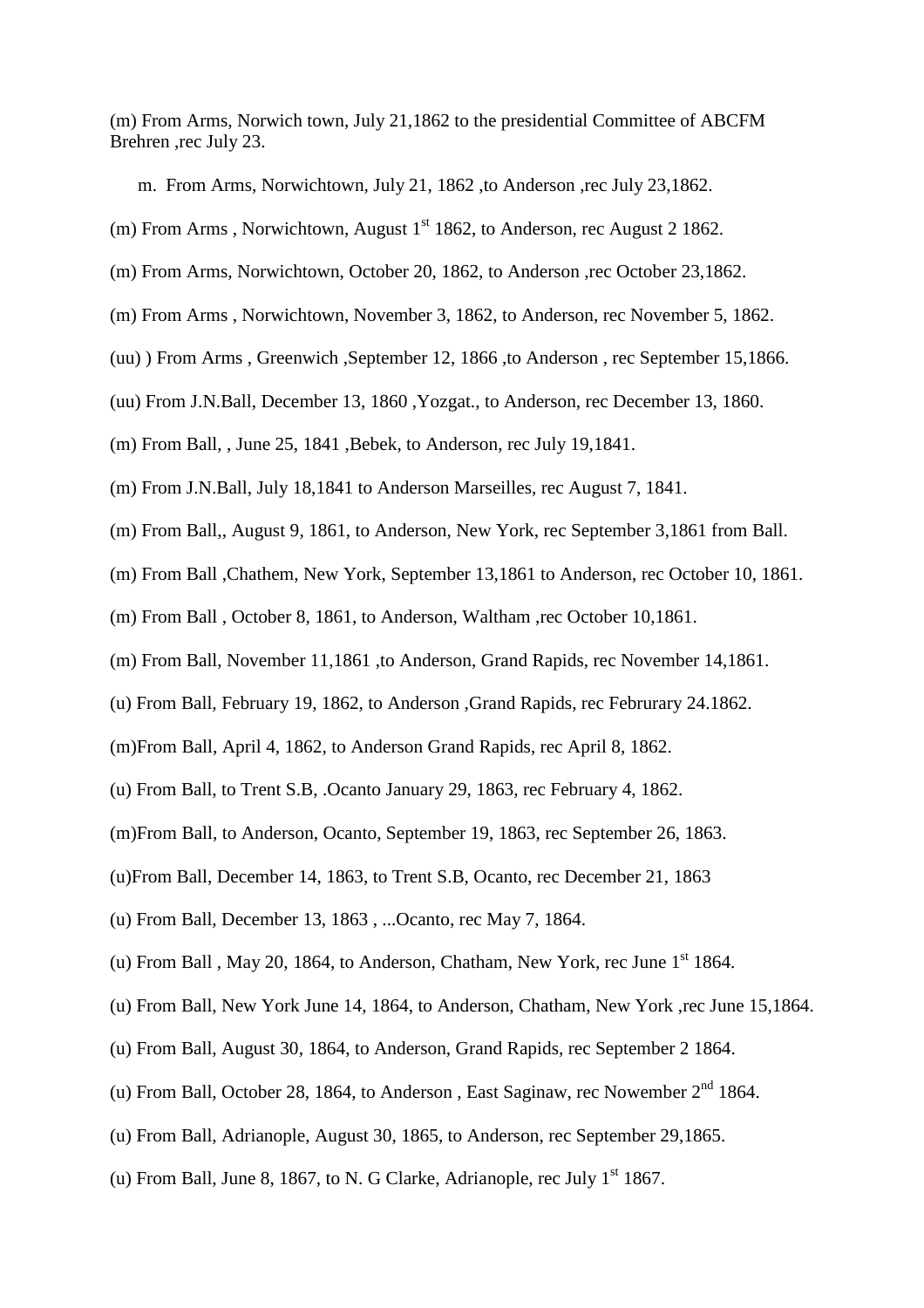(m) From Arms, Norwich town, July 21,1862 to the presidential Committee of ABCFM Brehren ,rec July 23.

m. From Arms, Norwichtown, July 21, 1862, to Anderson ,rec July 23,1862.

(m) From Arms, Norwichtown, August  $1<sup>st</sup> 1862$ , to Anderson, rec August 2 1862.

(m) From Arms, Norwichtown, October 20, 1862, to Anderson ,rec October 23,1862.

- (m) From Arms , Norwichtown, November 3, 1862, to Anderson, rec November 5, 1862.
- (uu) ) From Arms , Greenwich ,September 12, 1866 ,to Anderson , rec September 15,1866.
- (uu) From J.N.Ball, December 13, 1860 ,Yozgat., to Anderson, rec December 13, 1860.
- (m) From Ball, , June 25, 1841 ,Bebek, to Anderson, rec July 19,1841.
- (m) From J.N.Ball, July 18,1841 to Anderson Marseilles, rec August 7, 1841.
- (m) From Ball,, August 9, 1861, to Anderson, New York, rec September 3,1861 from Ball.
- (m) From Ball ,Chathem, New York, September 13,1861 to Anderson, rec October 10, 1861.
- (m) From Ball , October 8, 1861, to Anderson, Waltham ,rec October 10,1861.
- (m) From Ball, November 11,1861 ,to Anderson, Grand Rapids, rec November 14,1861.
- (u) From Ball, February 19, 1862, to Anderson ,Grand Rapids, rec Februrary 24.1862.
- (m)From Ball, April 4, 1862, to Anderson Grand Rapids, rec April 8, 1862.
- (u) From Ball, to Trent S.B, .Ocanto January 29, 1863, rec February 4, 1862.
- (m)From Ball, to Anderson, Ocanto, September 19, 1863, rec September 26, 1863.
- (u)From Ball, December 14, 1863, to Trent S.B, Ocanto, rec December 21, 1863
- (u) From Ball, December 13, 1863 , ...Ocanto, rec May 7, 1864.
- (u) From Ball, May 20, 1864, to Anderson, Chatham, New York, rec June  $1<sup>st</sup>$  1864.
- (u) From Ball, New York June 14, 1864, to Anderson, Chatham, New York ,rec June 15,1864.
- (u) From Ball, August 30, 1864, to Anderson, Grand Rapids, rec September 2 1864.
- (u) From Ball, October 28, 1864, to Anderson, East Saginaw, rec Nowember  $2<sup>nd</sup>$  1864.
- (u) From Ball, Adrianople, August 30, 1865, to Anderson, rec September 29,1865.
- (u) From Ball, June 8, 1867, to N. G Clarke, Adrianople, rec July  $1<sup>st</sup> 1867$ .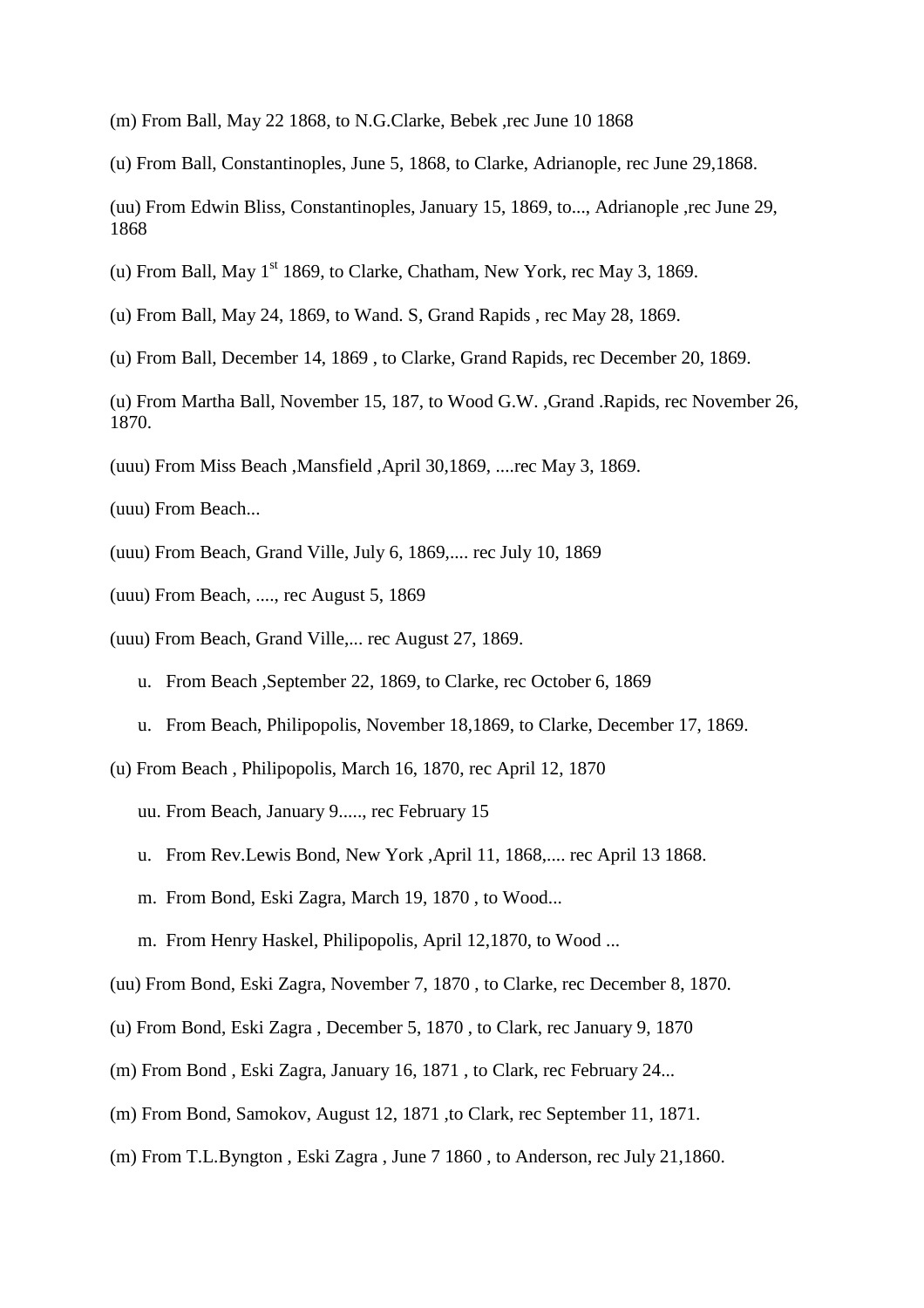- (m) From Ball, May 22 1868, to N.G.Clarke, Bebek ,rec June 10 1868
- (u) From Ball, Constantinoples, June 5, 1868, to Clarke, Adrianople, rec June 29,1868.
- (uu) From Edwin Bliss, Constantinoples, January 15, 1869, to..., Adrianople ,rec June 29, 1868
- (u) From Ball, May  $1<sup>st</sup> 1869$ , to Clarke, Chatham, New York, rec May 3, 1869.
- (u) From Ball, May 24, 1869, to Wand. S, Grand Rapids , rec May 28, 1869.
- (u) From Ball, December 14, 1869 , to Clarke, Grand Rapids, rec December 20, 1869.
- (u) From Martha Ball, November 15, 187, to Wood G.W. ,Grand .Rapids, rec November 26, 1870.
- (uuu) From Miss Beach ,Mansfield ,April 30,1869, ....rec May 3, 1869.
- (uuu) From Beach...
- (uuu) From Beach, Grand Ville, July 6, 1869,.... rec July 10, 1869
- (uuu) From Beach, ...., rec August 5, 1869
- (uuu) From Beach, Grand Ville,... rec August 27, 1869.
	- u. From Beach ,September 22, 1869, to Clarke, rec October 6, 1869
	- u. From Beach, Philipopolis, November 18,1869, to Clarke, December 17, 1869.
- (u) From Beach , Philipopolis, March 16, 1870, rec April 12, 1870

uu. From Beach, January 9....., rec February 15

- u. From Rev.Lewis Bond, New York ,April 11, 1868,.... rec April 13 1868.
- m. From Bond, Eski Zagra, March 19, 1870 , to Wood...
- m. From Henry Haskel, Philipopolis, April 12,1870, to Wood ...
- (uu) From Bond, Eski Zagra, November 7, 1870 , to Clarke, rec December 8, 1870.
- (u) From Bond, Eski Zagra , December 5, 1870 , to Clark, rec January 9, 1870
- (m) From Bond , Eski Zagra, January 16, 1871 , to Clark, rec February 24...
- (m) From Bond, Samokov, August 12, 1871 ,to Clark, rec September 11, 1871.
- (m) From T.L.Byngton , Eski Zagra , June 7 1860 , to Anderson, rec July 21,1860.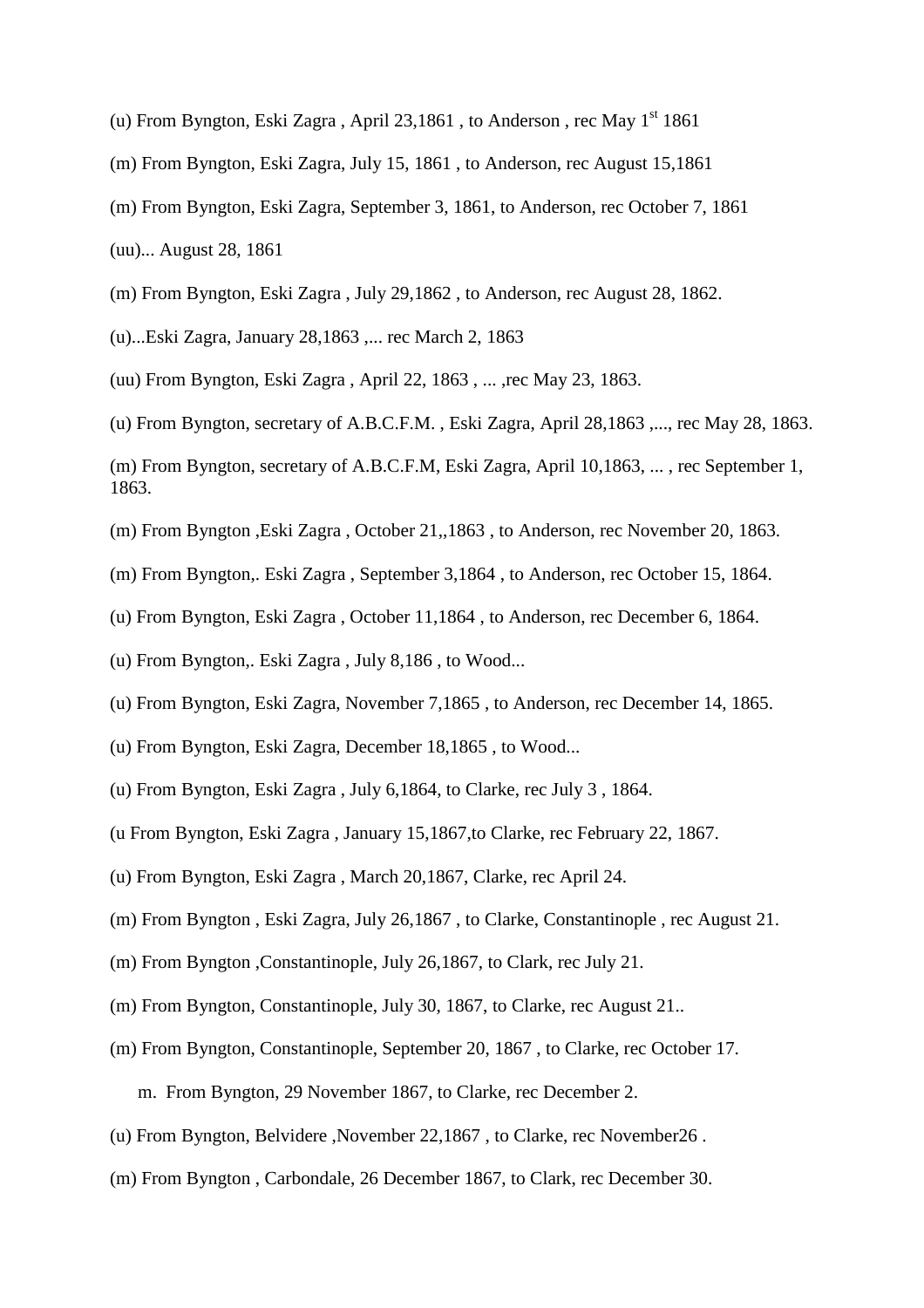- (u) From Byngton, Eski Zagra, April 23,1861, to Anderson, rec May  $1<sup>st</sup> 1861$
- (m) From Byngton, Eski Zagra, July 15, 1861 , to Anderson, rec August 15,1861
- (m) From Byngton, Eski Zagra, September 3, 1861, to Anderson, rec October 7, 1861

(uu)... August 28, 1861

- (m) From Byngton, Eski Zagra , July 29,1862 , to Anderson, rec August 28, 1862.
- (u)...Eski Zagra, January 28,1863 ,... rec March 2, 1863

(uu) From Byngton, Eski Zagra , April 22, 1863 , ... ,rec May 23, 1863.

- (u) From Byngton, secretary of A.B.C.F.M. , Eski Zagra, April 28,1863 ,..., rec May 28, 1863.
- (m) From Byngton, secretary of A.B.C.F.M, Eski Zagra, April 10,1863, ... , rec September 1, 1863.
- (m) From Byngton ,Eski Zagra , October 21,,1863 , to Anderson, rec November 20, 1863.
- (m) From Byngton,. Eski Zagra , September 3,1864 , to Anderson, rec October 15, 1864.
- (u) From Byngton, Eski Zagra , October 11,1864 , to Anderson, rec December 6, 1864.
- (u) From Byngton,. Eski Zagra , July 8,186 , to Wood...
- (u) From Byngton, Eski Zagra, November 7,1865 , to Anderson, rec December 14, 1865.
- (u) From Byngton, Eski Zagra, December 18,1865 , to Wood...
- (u) From Byngton, Eski Zagra , July 6,1864, to Clarke, rec July 3 , 1864.
- (u From Byngton, Eski Zagra , January 15,1867,to Clarke, rec February 22, 1867.
- (u) From Byngton, Eski Zagra , March 20,1867, Clarke, rec April 24.
- (m) From Byngton , Eski Zagra, July 26,1867 , to Clarke, Constantinople , rec August 21.
- (m) From Byngton ,Constantinople, July 26,1867, to Clark, rec July 21.
- (m) From Byngton, Constantinople, July 30, 1867, to Clarke, rec August 21..
- (m) From Byngton, Constantinople, September 20, 1867 , to Clarke, rec October 17. m. From Byngton, 29 November 1867, to Clarke, rec December 2.
- (u) From Byngton, Belvidere ,November 22,1867 , to Clarke, rec November26 .
- (m) From Byngton , Carbondale, 26 December 1867, to Clark, rec December 30.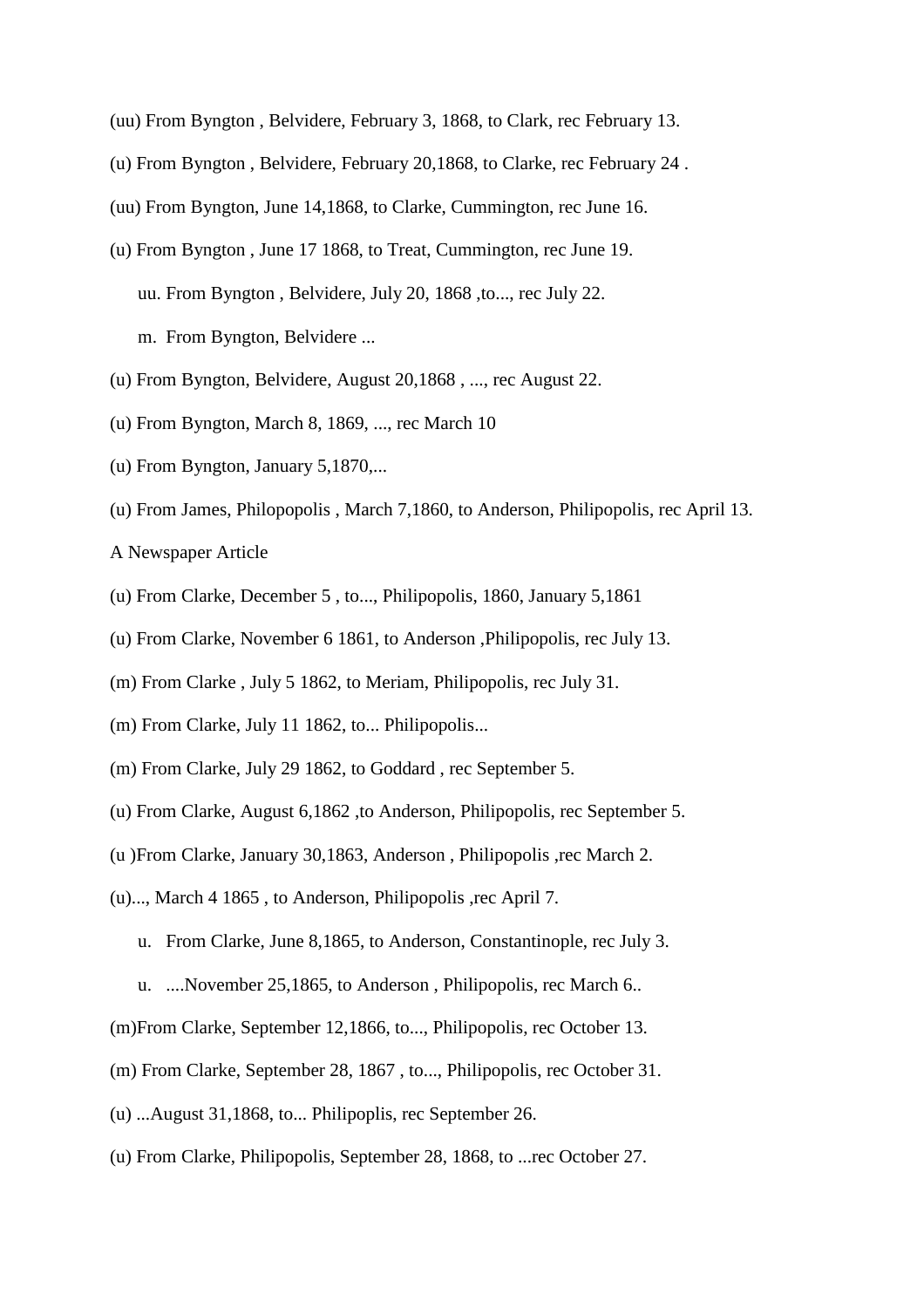- (uu) From Byngton , Belvidere, February 3, 1868, to Clark, rec February 13.
- (u) From Byngton , Belvidere, February 20,1868, to Clarke, rec February 24 .
- (uu) From Byngton, June 14,1868, to Clarke, Cummington, rec June 16.
- (u) From Byngton , June 17 1868, to Treat, Cummington, rec June 19. uu. From Byngton , Belvidere, July 20, 1868 ,to..., rec July 22. m. From Byngton, Belvidere ...
- (u) From Byngton, Belvidere, August 20,1868 , ..., rec August 22.
- (u) From Byngton, March 8, 1869, ..., rec March 10
- (u) From Byngton, January 5,1870,...
- (u) From James, Philopopolis , March 7,1860, to Anderson, Philipopolis, rec April 13.

A Newspaper Article

- (u) From Clarke, December 5 , to..., Philipopolis, 1860, January 5,1861
- (u) From Clarke, November 6 1861, to Anderson ,Philipopolis, rec July 13.
- (m) From Clarke , July 5 1862, to Meriam, Philipopolis, rec July 31.
- (m) From Clarke, July 11 1862, to... Philipopolis...
- (m) From Clarke, July 29 1862, to Goddard , rec September 5.
- (u) From Clarke, August 6,1862 ,to Anderson, Philipopolis, rec September 5.
- (u )From Clarke, January 30,1863, Anderson , Philipopolis ,rec March 2.
- (u)..., March 4 1865 , to Anderson, Philipopolis ,rec April 7.
	- u. From Clarke, June 8,1865, to Anderson, Constantinople, rec July 3.
	- u. ....November 25,1865, to Anderson , Philipopolis, rec March 6..
- (m)From Clarke, September 12,1866, to..., Philipopolis, rec October 13.
- (m) From Clarke, September 28, 1867 , to..., Philipopolis, rec October 31.
- (u) ...August 31,1868, to... Philipoplis, rec September 26.
- (u) From Clarke, Philipopolis, September 28, 1868, to ...rec October 27.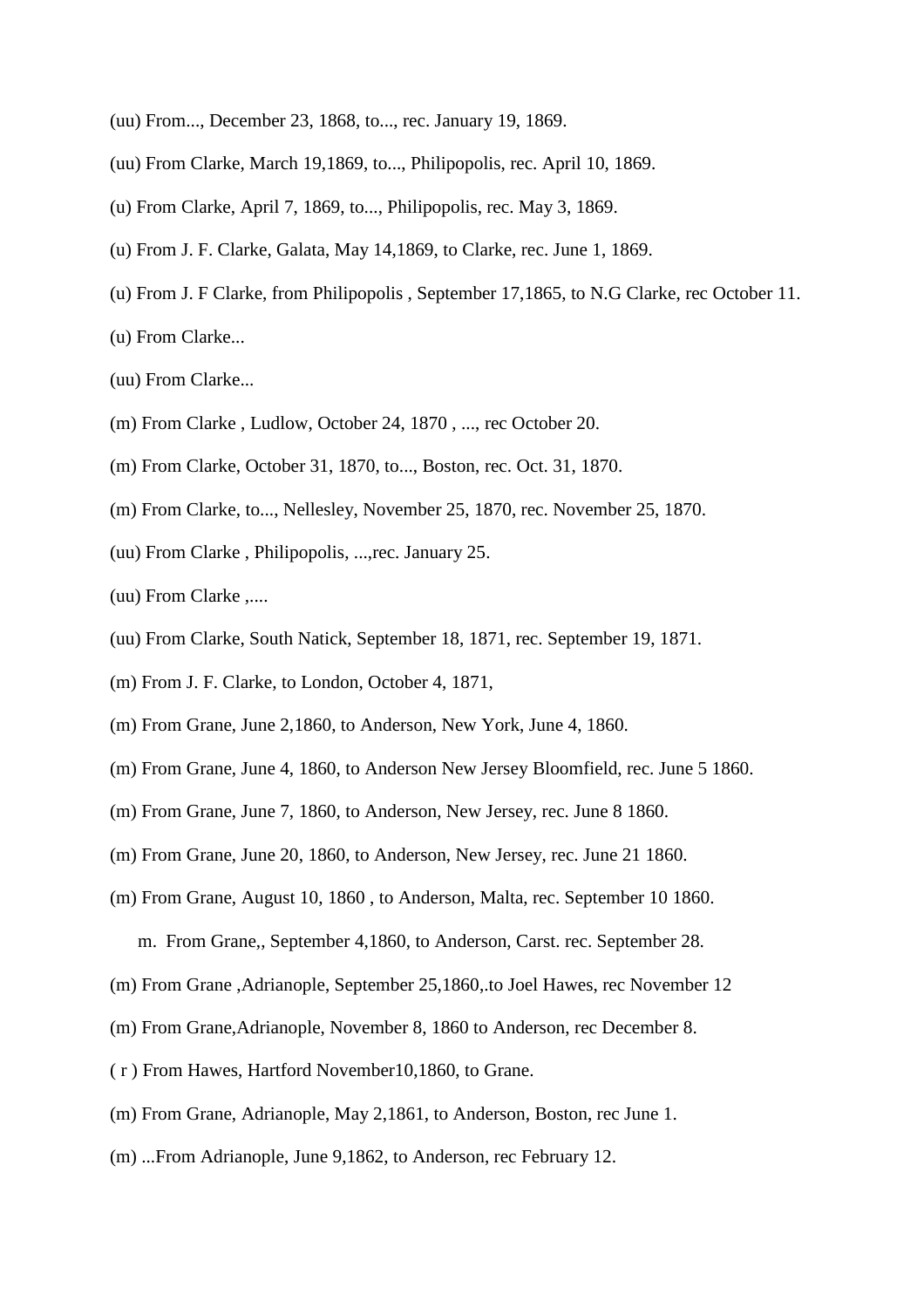- (uu) From..., December 23, 1868, to..., rec. January 19, 1869.
- (uu) From Clarke, March 19,1869, to..., Philipopolis, rec. April 10, 1869.
- (u) From Clarke, April 7, 1869, to..., Philipopolis, rec. May 3, 1869.
- (u) From J. F. Clarke, Galata, May 14,1869, to Clarke, rec. June 1, 1869.
- (u) From J. F Clarke, from Philipopolis , September 17,1865, to N.G Clarke, rec October 11.
- (u) From Clarke...

(uu) From Clarke...

- (m) From Clarke , Ludlow, October 24, 1870 , ..., rec October 20.
- (m) From Clarke, October 31, 1870, to..., Boston, rec. Oct. 31, 1870.
- (m) From Clarke, to..., Nellesley, November 25, 1870, rec. November 25, 1870.
- (uu) From Clarke , Philipopolis, ...,rec. January 25.
- (uu) From Clarke ,....
- (uu) From Clarke, South Natick, September 18, 1871, rec. September 19, 1871.
- (m) From J. F. Clarke, to London, October 4, 1871,
- (m) From Grane, June 2,1860, to Anderson, New York, June 4, 1860.
- (m) From Grane, June 4, 1860, to Anderson New Jersey Bloomfield, rec. June 5 1860.
- (m) From Grane, June 7, 1860, to Anderson, New Jersey, rec. June 8 1860.
- (m) From Grane, June 20, 1860, to Anderson, New Jersey, rec. June 21 1860.
- (m) From Grane, August 10, 1860 , to Anderson, Malta, rec. September 10 1860. m. From Grane,, September 4,1860, to Anderson, Carst. rec. September 28.
- (m) From Grane ,Adrianople, September 25,1860,.to Joel Hawes, rec November 12
- (m) From Grane,Adrianople, November 8, 1860 to Anderson, rec December 8.
- ( r ) From Hawes, Hartford November10,1860, to Grane.
- (m) From Grane, Adrianople, May 2,1861, to Anderson, Boston, rec June 1.
- (m) ...From Adrianople, June 9,1862, to Anderson, rec February 12.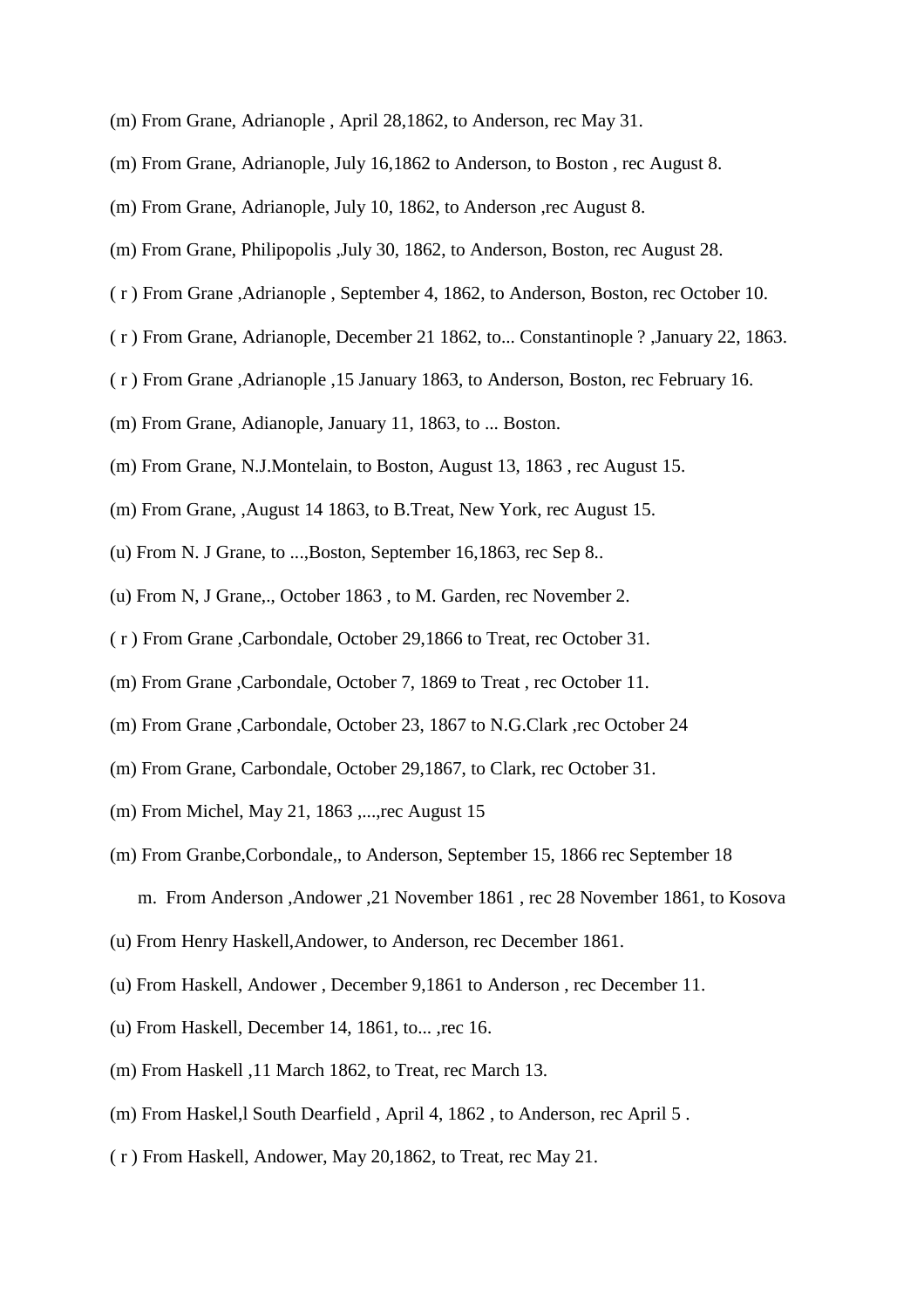- (m) From Grane, Adrianople , April 28,1862, to Anderson, rec May 31.
- (m) From Grane, Adrianople, July 16,1862 to Anderson, to Boston , rec August 8.
- (m) From Grane, Adrianople, July 10, 1862, to Anderson ,rec August 8.
- (m) From Grane, Philipopolis ,July 30, 1862, to Anderson, Boston, rec August 28.
- ( r ) From Grane ,Adrianople , September 4, 1862, to Anderson, Boston, rec October 10.
- ( r ) From Grane, Adrianople, December 21 1862, to... Constantinople ? ,January 22, 1863.
- ( r ) From Grane ,Adrianople ,15 January 1863, to Anderson, Boston, rec February 16.
- (m) From Grane, Adianople, January 11, 1863, to ... Boston.
- (m) From Grane, N.J.Montelain, to Boston, August 13, 1863 , rec August 15.
- (m) From Grane, ,August 14 1863, to B.Treat, New York, rec August 15.
- (u) From N. J Grane, to ...,Boston, September 16,1863, rec Sep 8..
- (u) From N, J Grane,., October 1863 , to M. Garden, rec November 2.
- ( r ) From Grane ,Carbondale, October 29,1866 to Treat, rec October 31.
- (m) From Grane ,Carbondale, October 7, 1869 to Treat , rec October 11.
- (m) From Grane ,Carbondale, October 23, 1867 to N.G.Clark ,rec October 24
- (m) From Grane, Carbondale, October 29,1867, to Clark, rec October 31.
- (m) From Michel, May 21, 1863 ,...,rec August 15
- (m) From Granbe,Corbondale,, to Anderson, September 15, 1866 rec September 18 m. From Anderson ,Andower ,21 November 1861 , rec 28 November 1861, to Kosova
- (u) From Henry Haskell,Andower, to Anderson, rec December 1861.
- (u) From Haskell, Andower , December 9,1861 to Anderson , rec December 11.
- (u) From Haskell, December 14, 1861, to... ,rec 16.
- (m) From Haskell ,11 March 1862, to Treat, rec March 13.
- (m) From Haskel,l South Dearfield , April 4, 1862 , to Anderson, rec April 5 .
- ( r ) From Haskell, Andower, May 20,1862, to Treat, rec May 21.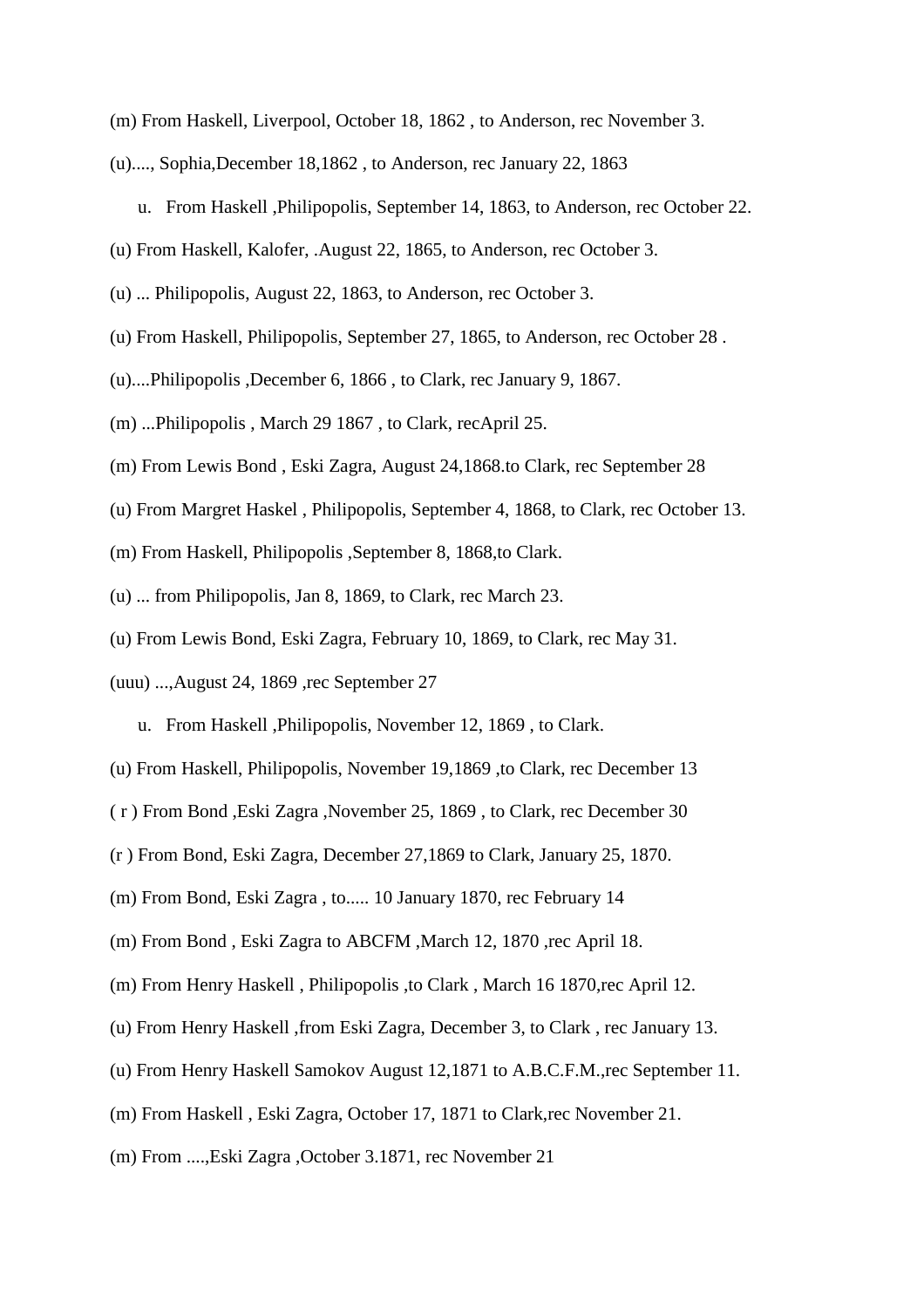- (m) From Haskell, Liverpool, October 18, 1862 , to Anderson, rec November 3.
- (u)...., Sophia,December 18,1862 , to Anderson, rec January 22, 1863
	- u. From Haskell ,Philipopolis, September 14, 1863, to Anderson, rec October 22.
- (u) From Haskell, Kalofer, .August 22, 1865, to Anderson, rec October 3.
- (u) ... Philipopolis, August 22, 1863, to Anderson, rec October 3.
- (u) From Haskell, Philipopolis, September 27, 1865, to Anderson, rec October 28 .
- (u)....Philipopolis ,December 6, 1866 , to Clark, rec January 9, 1867.
- (m) ...Philipopolis , March 29 1867 , to Clark, recApril 25.
- (m) From Lewis Bond , Eski Zagra, August 24,1868.to Clark, rec September 28
- (u) From Margret Haskel , Philipopolis, September 4, 1868, to Clark, rec October 13.
- (m) From Haskell, Philipopolis ,September 8, 1868,to Clark.
- (u) ... from Philipopolis, Jan 8, 1869, to Clark, rec March 23.
- (u) From Lewis Bond, Eski Zagra, February 10, 1869, to Clark, rec May 31.
- (uuu) ...,August 24, 1869 ,rec September 27
	- u. From Haskell ,Philipopolis, November 12, 1869 , to Clark.
- (u) From Haskell, Philipopolis, November 19,1869 ,to Clark, rec December 13
- ( r ) From Bond ,Eski Zagra ,November 25, 1869 , to Clark, rec December 30
- (r ) From Bond, Eski Zagra, December 27,1869 to Clark, January 25, 1870.
- (m) From Bond, Eski Zagra , to..... 10 January 1870, rec February 14
- (m) From Bond , Eski Zagra to ABCFM ,March 12, 1870 ,rec April 18.
- (m) From Henry Haskell , Philipopolis ,to Clark , March 16 1870,rec April 12.
- (u) From Henry Haskell ,from Eski Zagra, December 3, to Clark , rec January 13.
- (u) From Henry Haskell Samokov August 12,1871 to A.B.C.F.M.,rec September 11.
- (m) From Haskell , Eski Zagra, October 17, 1871 to Clark,rec November 21.
- (m) From ....,Eski Zagra ,October 3.1871, rec November 21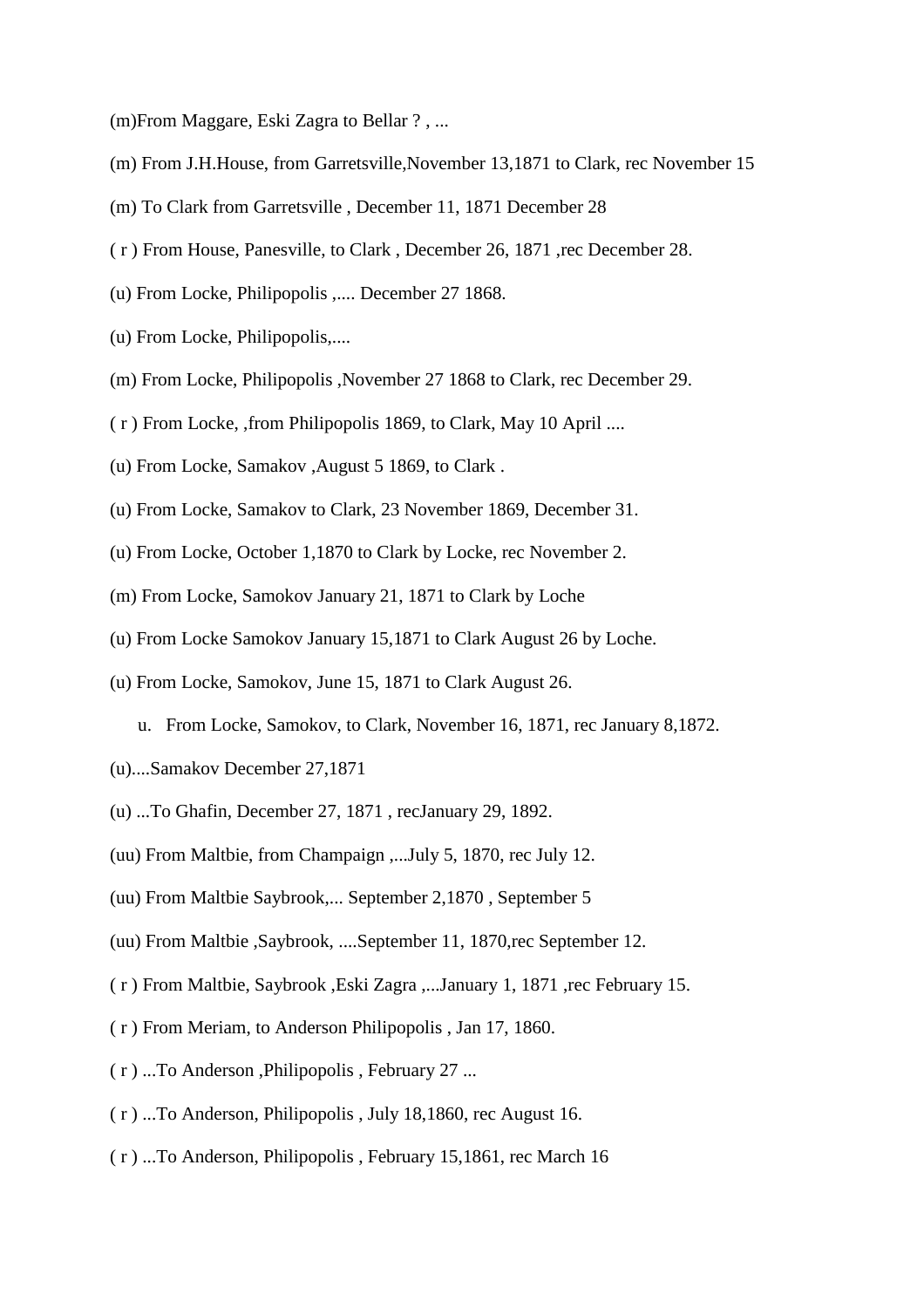(m)From Maggare, Eski Zagra to Bellar ? , ...

- (m) From J.H.House, from Garretsville,November 13,1871 to Clark, rec November 15
- (m) To Clark from Garretsville , December 11, 1871 December 28
- ( r ) From House, Panesville, to Clark , December 26, 1871 ,rec December 28.
- (u) From Locke, Philipopolis ,.... December 27 1868.
- (u) From Locke, Philipopolis,....
- (m) From Locke, Philipopolis ,November 27 1868 to Clark, rec December 29.
- ( r ) From Locke, ,from Philipopolis 1869, to Clark, May 10 April ....
- (u) From Locke, Samakov ,August 5 1869, to Clark .
- (u) From Locke, Samakov to Clark, 23 November 1869, December 31.
- (u) From Locke, October 1,1870 to Clark by Locke, rec November 2.
- (m) From Locke, Samokov January 21, 1871 to Clark by Loche
- (u) From Locke Samokov January 15,1871 to Clark August 26 by Loche.
- (u) From Locke, Samokov, June 15, 1871 to Clark August 26.
	- u. From Locke, Samokov, to Clark, November 16, 1871, rec January 8,1872.
- (u)....Samakov December 27,1871
- (u) ...To Ghafin, December 27, 1871 , recJanuary 29, 1892.
- (uu) From Maltbie, from Champaign ,...July 5, 1870, rec July 12.
- (uu) From Maltbie Saybrook,... September 2,1870 , September 5
- (uu) From Maltbie ,Saybrook, ....September 11, 1870,rec September 12.
- ( r ) From Maltbie, Saybrook ,Eski Zagra ,...January 1, 1871 ,rec February 15.
- ( r ) From Meriam, to Anderson Philipopolis , Jan 17, 1860.
- ( r ) ...To Anderson ,Philipopolis , February 27 ...
- ( r ) ...To Anderson, Philipopolis , July 18,1860, rec August 16.
- ( r ) ...To Anderson, Philipopolis , February 15,1861, rec March 16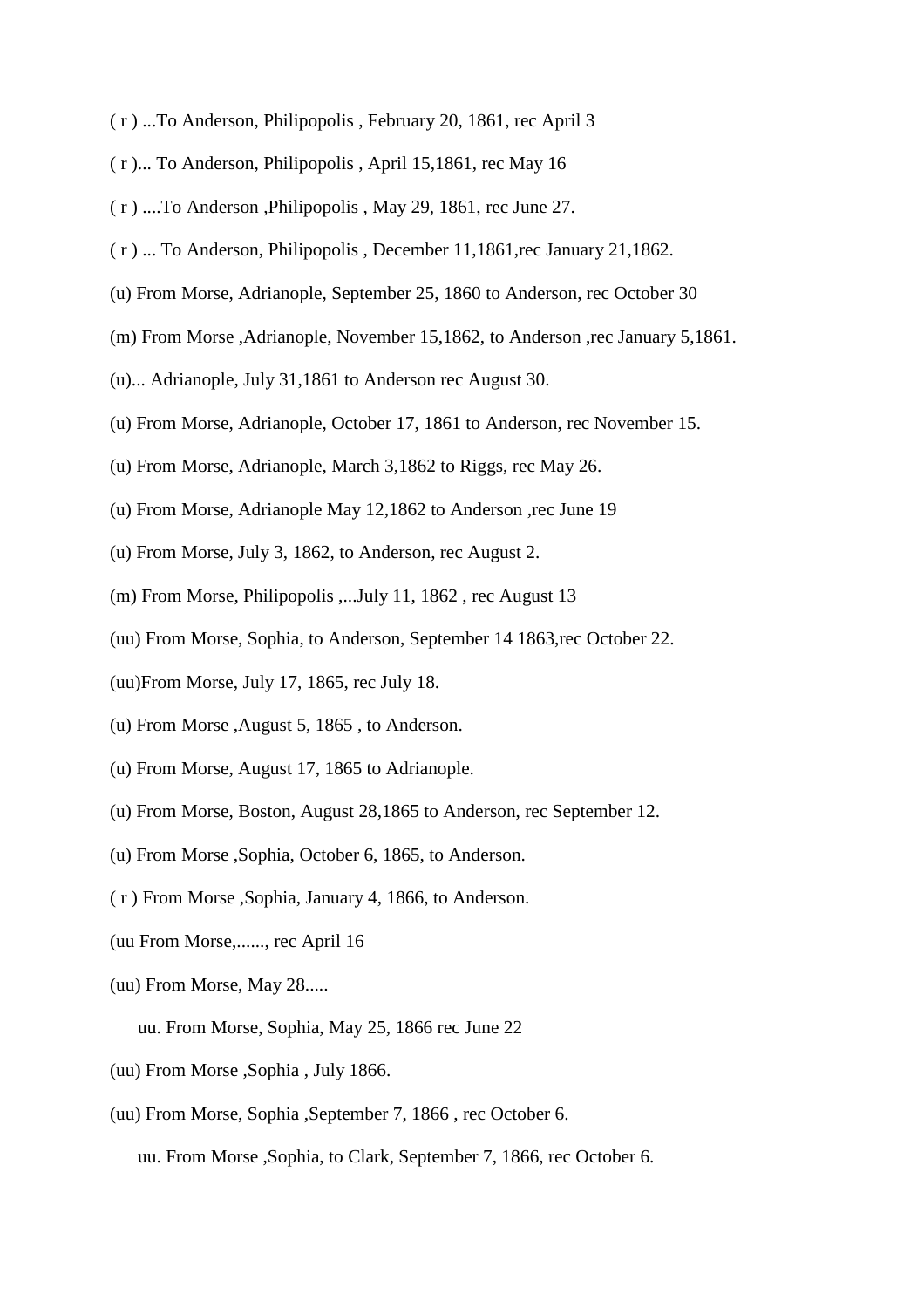- ( r ) ...To Anderson, Philipopolis , February 20, 1861, rec April 3
- ( r )... To Anderson, Philipopolis , April 15,1861, rec May 16
- ( r ) ....To Anderson ,Philipopolis , May 29, 1861, rec June 27.
- ( r ) ... To Anderson, Philipopolis , December 11,1861,rec January 21,1862.
- (u) From Morse, Adrianople, September 25, 1860 to Anderson, rec October 30
- (m) From Morse ,Adrianople, November 15,1862, to Anderson ,rec January 5,1861.
- (u)... Adrianople, July 31,1861 to Anderson rec August 30.
- (u) From Morse, Adrianople, October 17, 1861 to Anderson, rec November 15.
- (u) From Morse, Adrianople, March 3,1862 to Riggs, rec May 26.
- (u) From Morse, Adrianople May 12,1862 to Anderson ,rec June 19
- (u) From Morse, July 3, 1862, to Anderson, rec August 2.
- (m) From Morse, Philipopolis ,... July 11, 1862, rec August 13
- (uu) From Morse, Sophia, to Anderson, September 14 1863,rec October 22.
- (uu)From Morse, July 17, 1865, rec July 18.
- (u) From Morse ,August 5, 1865 , to Anderson.
- (u) From Morse, August 17, 1865 to Adrianople.
- (u) From Morse, Boston, August 28,1865 to Anderson, rec September 12.
- (u) From Morse ,Sophia, October 6, 1865, to Anderson.
- ( r ) From Morse ,Sophia, January 4, 1866, to Anderson.
- (uu From Morse,......, rec April 16
- (uu) From Morse, May 28.....
	- uu. From Morse, Sophia, May 25, 1866 rec June 22
- (uu) From Morse ,Sophia , July 1866.
- (uu) From Morse, Sophia ,September 7, 1866 , rec October 6.

uu. From Morse ,Sophia, to Clark, September 7, 1866, rec October 6.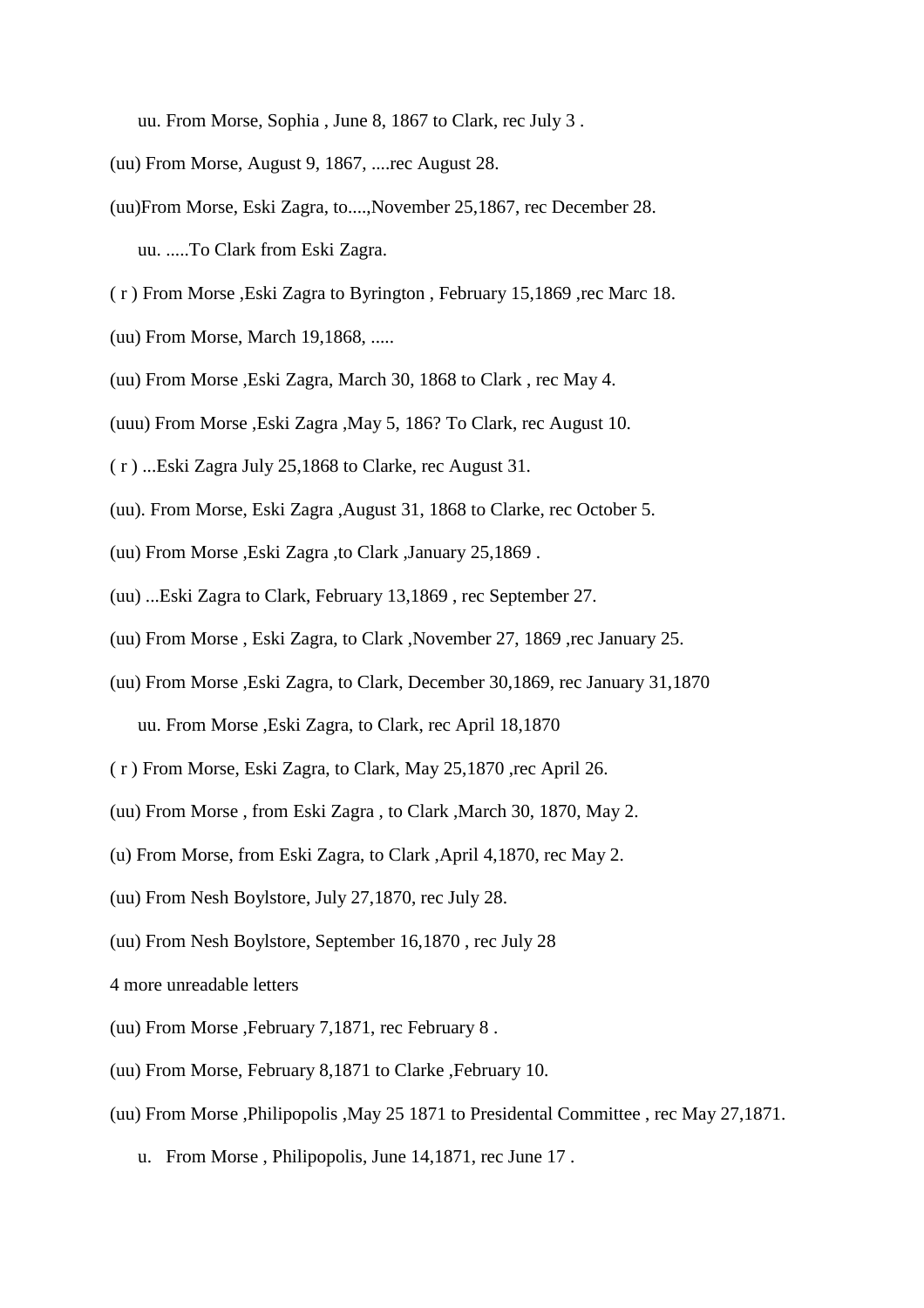uu. From Morse, Sophia , June 8, 1867 to Clark, rec July 3 .

- (uu) From Morse, August 9, 1867, ....rec August 28.
- (uu)From Morse, Eski Zagra, to....,November 25,1867, rec December 28.

uu. .....To Clark from Eski Zagra.

- ( r ) From Morse ,Eski Zagra to Byrington , February 15,1869 ,rec Marc 18.
- (uu) From Morse, March 19,1868, .....
- (uu) From Morse ,Eski Zagra, March 30, 1868 to Clark , rec May 4.

(uuu) From Morse ,Eski Zagra ,May 5, 186? To Clark, rec August 10.

- ( r ) ...Eski Zagra July 25,1868 to Clarke, rec August 31.
- (uu). From Morse, Eski Zagra ,August 31, 1868 to Clarke, rec October 5.
- (uu) From Morse ,Eski Zagra ,to Clark ,January 25,1869 .
- (uu) ...Eski Zagra to Clark, February 13,1869 , rec September 27.
- (uu) From Morse , Eski Zagra, to Clark ,November 27, 1869 ,rec January 25.
- (uu) From Morse ,Eski Zagra, to Clark, December 30,1869, rec January 31,1870

uu. From Morse ,Eski Zagra, to Clark, rec April 18,1870

- ( r ) From Morse, Eski Zagra, to Clark, May 25,1870 ,rec April 26.
- (uu) From Morse , from Eski Zagra , to Clark ,March 30, 1870, May 2.
- (u) From Morse, from Eski Zagra, to Clark ,April 4,1870, rec May 2.
- (uu) From Nesh Boylstore, July 27,1870, rec July 28.
- (uu) From Nesh Boylstore, September 16,1870 , rec July 28
- 4 more unreadable letters
- (uu) From Morse ,February 7,1871, rec February 8 .
- (uu) From Morse, February 8,1871 to Clarke ,February 10.
- (uu) From Morse ,Philipopolis ,May 25 1871 to Presidental Committee , rec May 27,1871.
	- u. From Morse , Philipopolis, June 14,1871, rec June 17 .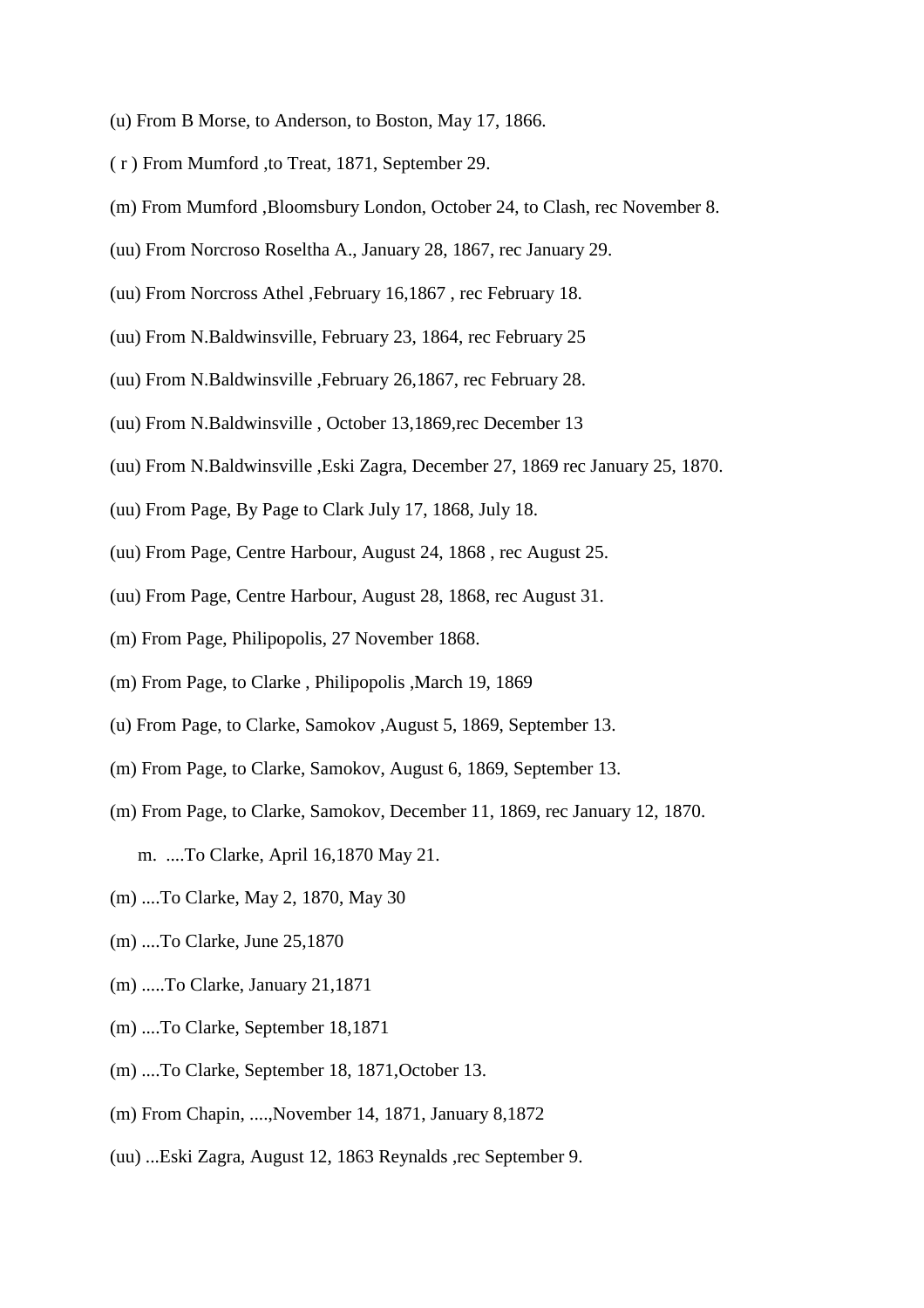- (u) From B Morse, to Anderson, to Boston, May 17, 1866.
- ( r ) From Mumford ,to Treat, 1871, September 29.
- (m) From Mumford ,Bloomsbury London, October 24, to Clash, rec November 8.
- (uu) From Norcroso Roseltha A., January 28, 1867, rec January 29.
- (uu) From Norcross Athel ,February 16,1867 , rec February 18.
- (uu) From N.Baldwinsville, February 23, 1864, rec February 25
- (uu) From N.Baldwinsville ,February 26,1867, rec February 28.
- (uu) From N.Baldwinsville , October 13,1869,rec December 13
- (uu) From N.Baldwinsville ,Eski Zagra, December 27, 1869 rec January 25, 1870.
- (uu) From Page, By Page to Clark July 17, 1868, July 18.
- (uu) From Page, Centre Harbour, August 24, 1868 , rec August 25.
- (uu) From Page, Centre Harbour, August 28, 1868, rec August 31.
- (m) From Page, Philipopolis, 27 November 1868.
- (m) From Page, to Clarke , Philipopolis ,March 19, 1869
- (u) From Page, to Clarke, Samokov ,August 5, 1869, September 13.
- (m) From Page, to Clarke, Samokov, August 6, 1869, September 13.
- (m) From Page, to Clarke, Samokov, December 11, 1869, rec January 12, 1870.
	- m. ....To Clarke, April 16,1870 May 21.
- (m) ....To Clarke, May 2, 1870, May 30
- (m) ....To Clarke, June 25,1870
- (m) .....To Clarke, January 21,1871
- (m) ....To Clarke, September 18,1871
- (m) ....To Clarke, September 18, 1871,October 13.
- (m) From Chapin, ....,November 14, 1871, January 8,1872
- (uu) ...Eski Zagra, August 12, 1863 Reynalds ,rec September 9.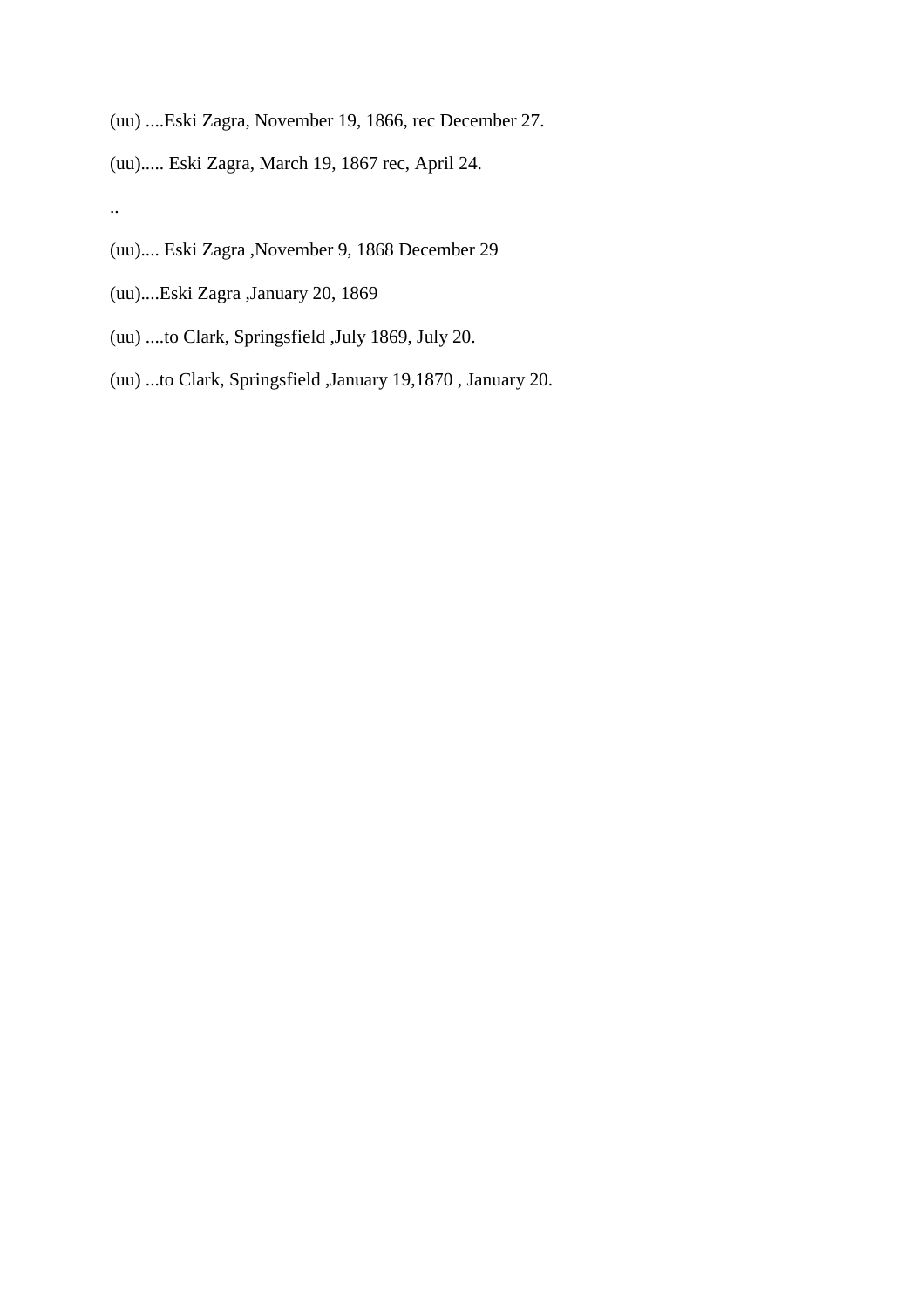(uu) ....Eski Zagra, November 19, 1866, rec December 27.

(uu)..... Eski Zagra, March 19, 1867 rec, April 24.

#### ..

(uu).... Eski Zagra ,November 9, 1868 December 29

- (uu)....Eski Zagra ,January 20, 1869
- (uu) ....to Clark, Springsfield ,July 1869, July 20.
- (uu) ...to Clark, Springsfield ,January 19,1870 , January 20.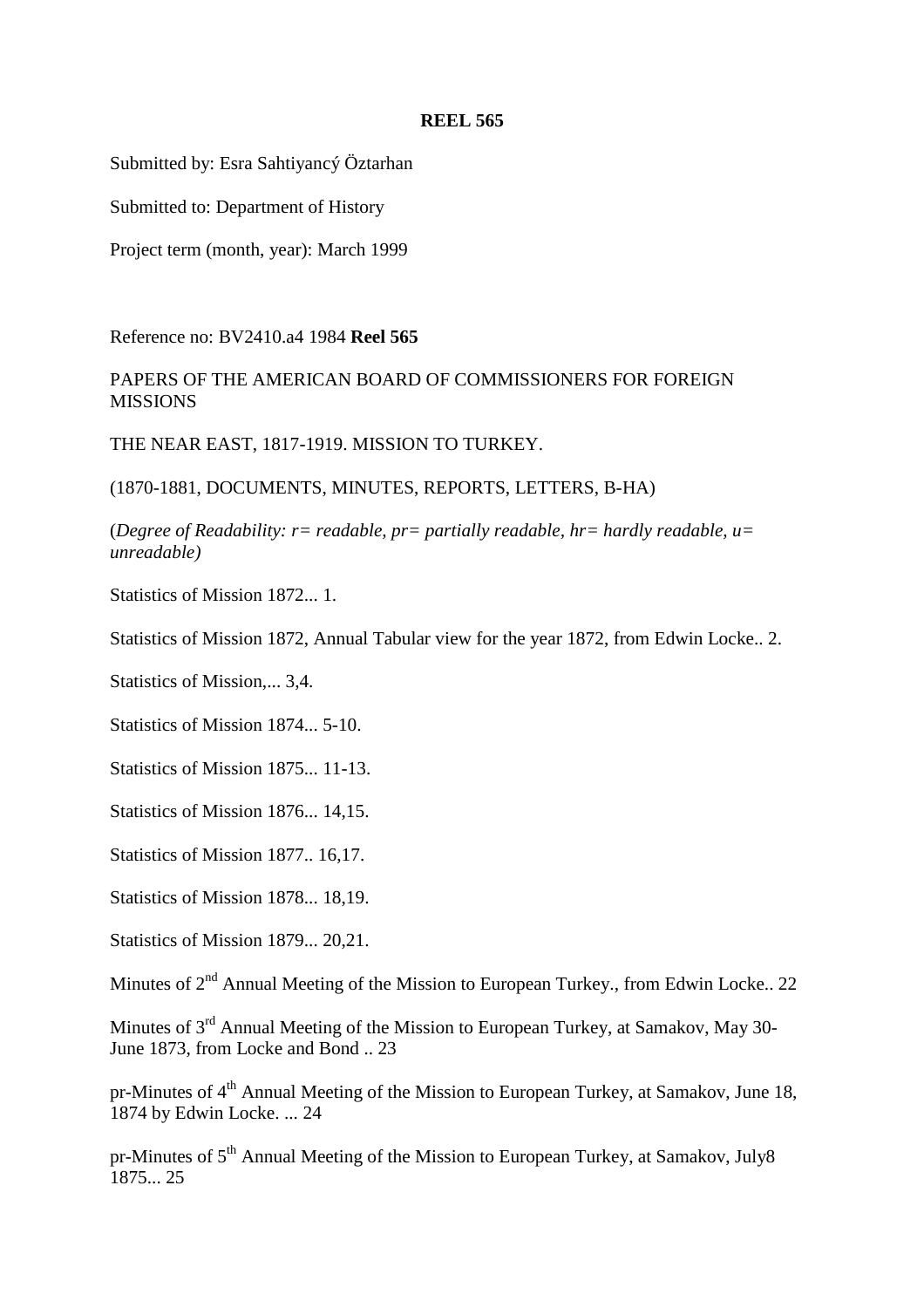Submitted by: Esra Sahtiyancý Öztarhan

Submitted to: Department of History

Project term (month, year): March 1999

Reference no: BV2410.a4 1984 **Reel 565**

PAPERS OF THE AMERICAN BOARD OF COMMISSIONERS FOR FOREIGN **MISSIONS** 

THE NEAR EAST, 1817-1919. MISSION TO TURKEY.

(1870-1881, DOCUMENTS, MINUTES, REPORTS, LETTERS, B-HA)

(*Degree of Readability: r= readable, pr= partially readable, hr= hardly readable, u= unreadable)*

Statistics of Mission 1872... 1.

Statistics of Mission 1872, Annual Tabular view for the year 1872, from Edwin Locke.. 2.

Statistics of Mission,... 3,4.

Statistics of Mission 1874... 5-10.

Statistics of Mission 1875... 11-13.

Statistics of Mission 1876... 14,15.

Statistics of Mission 1877.. 16,17.

Statistics of Mission 1878... 18,19.

Statistics of Mission 1879... 20,21.

Minutes of 2<sup>nd</sup> Annual Meeting of the Mission to European Turkey., from Edwin Locke.. 22

Minutes of 3<sup>rd</sup> Annual Meeting of the Mission to European Turkey, at Samakov, May 30-June 1873, from Locke and Bond .. 23

pr-Minutes of 4<sup>th</sup> Annual Meeting of the Mission to European Turkey, at Samakov, June 18, 1874 by Edwin Locke. ... 24

pr-Minutes of 5<sup>th</sup> Annual Meeting of the Mission to European Turkey, at Samakov, July8 1875... 25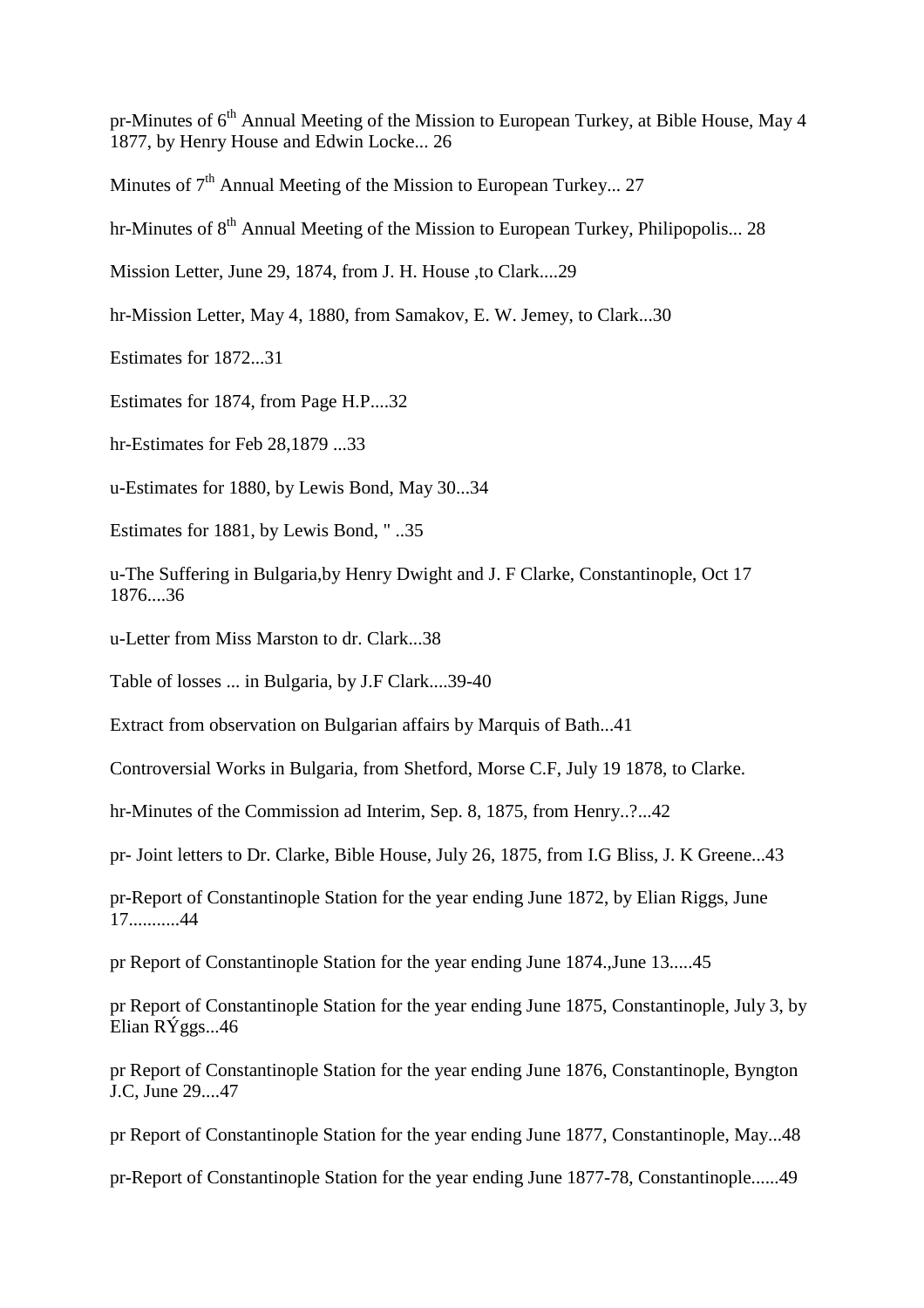pr-Minutes of 6<sup>th</sup> Annual Meeting of the Mission to European Turkey, at Bible House, May 4 1877, by Henry House and Edwin Locke... 26

Minutes of  $7<sup>th</sup>$  Annual Meeting of the Mission to European Turkey... 27

hr-Minutes of  $8<sup>th</sup>$  Annual Meeting of the Mission to European Turkey, Philipopolis... 28

Mission Letter, June 29, 1874, from J. H. House ,to Clark....29

hr-Mission Letter, May 4, 1880, from Samakov, E. W. Jemey, to Clark...30

Estimates for 1872...31

Estimates for 1874, from Page H.P....32

hr-Estimates for Feb 28,1879 ...33

u-Estimates for 1880, by Lewis Bond, May 30...34

Estimates for 1881, by Lewis Bond, " ..35

u-The Suffering in Bulgaria,by Henry Dwight and J. F Clarke, Constantinople, Oct 17 1876....36

u-Letter from Miss Marston to dr. Clark...38

Table of losses ... in Bulgaria, by J.F Clark....39-40

Extract from observation on Bulgarian affairs by Marquis of Bath...41

Controversial Works in Bulgaria, from Shetford, Morse C.F, July 19 1878, to Clarke.

hr-Minutes of the Commission ad Interim, Sep. 8, 1875, from Henry...?...42

pr- Joint letters to Dr. Clarke, Bible House, July 26, 1875, from I.G Bliss, J. K Greene...43

pr-Report of Constantinople Station for the year ending June 1872, by Elian Riggs, June 17...........44

pr Report of Constantinople Station for the year ending June 1874.,June 13.....45

pr Report of Constantinople Station for the year ending June 1875, Constantinople, July 3, by Elian RÝggs...46

pr Report of Constantinople Station for the year ending June 1876, Constantinople, Byngton J.C, June 29....47

pr Report of Constantinople Station for the year ending June 1877, Constantinople, May...48

pr-Report of Constantinople Station for the year ending June 1877-78, Constantinople......49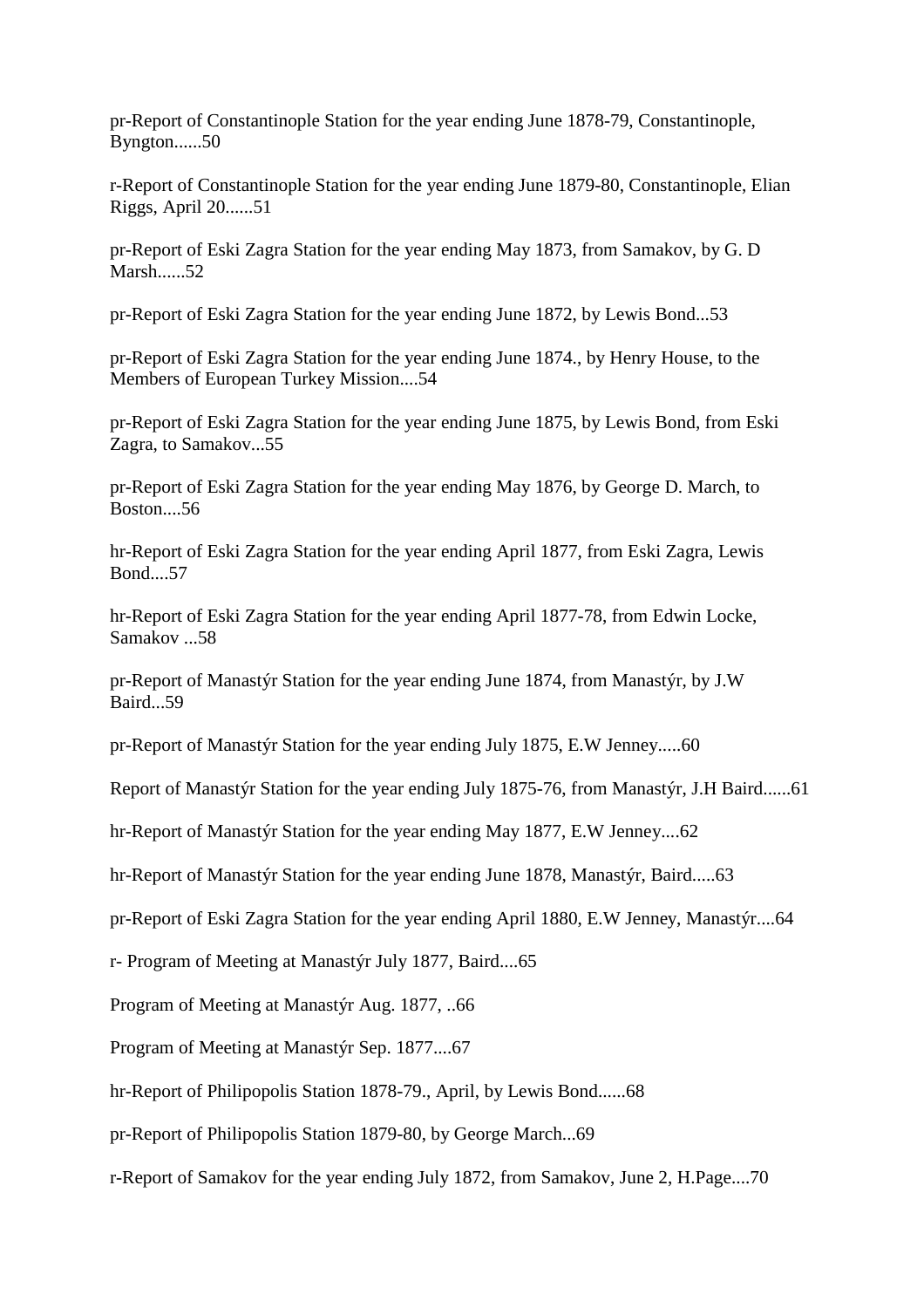pr-Report of Constantinople Station for the year ending June 1878-79, Constantinople, Byngton......50

r-Report of Constantinople Station for the year ending June 1879-80, Constantinople, Elian Riggs, April 20......51

pr-Report of Eski Zagra Station for the year ending May 1873, from Samakov, by G. D Marsh........52.

pr-Report of Eski Zagra Station for the year ending June 1872, by Lewis Bond...53

pr-Report of Eski Zagra Station for the year ending June 1874., by Henry House, to the Members of European Turkey Mission....54

pr-Report of Eski Zagra Station for the year ending June 1875, by Lewis Bond, from Eski Zagra, to Samakov...55

pr-Report of Eski Zagra Station for the year ending May 1876, by George D. March, to Boston....56

hr-Report of Eski Zagra Station for the year ending April 1877, from Eski Zagra, Lewis Bond....57

hr-Report of Eski Zagra Station for the year ending April 1877-78, from Edwin Locke, Samakov ...58

pr-Report of Manastýr Station for the year ending June 1874, from Manastýr, by J.W Baird...59

pr-Report of Manastýr Station for the year ending July 1875, E.W Jenney.....60

Report of Manastýr Station for the year ending July 1875-76, from Manastýr, J.H Baird......61

hr-Report of Manastýr Station for the year ending May 1877, E.W Jenney....62

hr-Report of Manastýr Station for the year ending June 1878, Manastýr, Baird.....63

pr-Report of Eski Zagra Station for the year ending April 1880, E.W Jenney, Manastýr....64

r- Program of Meeting at Manastýr July 1877, Baird....65

Program of Meeting at Manastýr Aug. 1877, ..66

Program of Meeting at Manastýr Sep. 1877....67

hr-Report of Philipopolis Station 1878-79., April, by Lewis Bond......68

pr-Report of Philipopolis Station 1879-80, by George March...69

r-Report of Samakov for the year ending July 1872, from Samakov, June 2, H.Page....70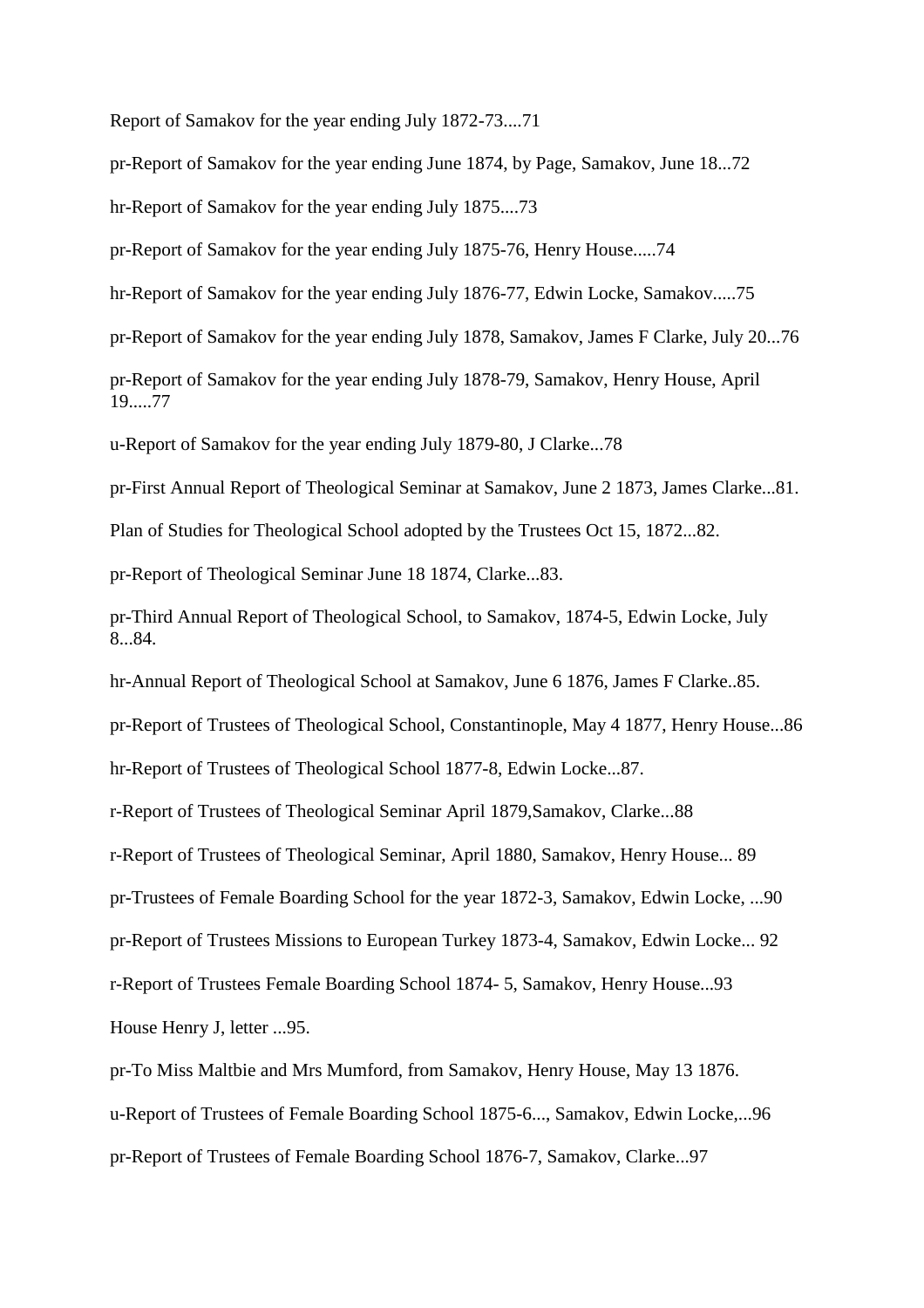Report of Samakov for the year ending July 1872-73....71

pr-Report of Samakov for the year ending June 1874, by Page, Samakov, June 18...72

hr-Report of Samakov for the year ending July 1875....73

pr-Report of Samakov for the year ending July 1875-76, Henry House.....74

hr-Report of Samakov for the year ending July 1876-77, Edwin Locke, Samakov.....75

pr-Report of Samakov for the year ending July 1878, Samakov, James F Clarke, July 20...76

pr-Report of Samakov for the year ending July 1878-79, Samakov, Henry House, April 19.....77

u-Report of Samakov for the year ending July 1879-80, J Clarke...78

pr-First Annual Report of Theological Seminar at Samakov, June 2 1873, James Clarke...81.

Plan of Studies for Theological School adopted by the Trustees Oct 15, 1872...82.

pr-Report of Theological Seminar June 18 1874, Clarke...83.

pr-Third Annual Report of Theological School, to Samakov, 1874-5, Edwin Locke, July 8...84.

hr-Annual Report of Theological School at Samakov, June 6 1876, James F Clarke..85.

pr-Report of Trustees of Theological School, Constantinople, May 4 1877, Henry House...86

hr-Report of Trustees of Theological School 1877-8, Edwin Locke...87.

r-Report of Trustees of Theological Seminar April 1879,Samakov, Clarke...88

r-Report of Trustees of Theological Seminar, April 1880, Samakov, Henry House... 89

pr-Trustees of Female Boarding School for the year 1872-3, Samakov, Edwin Locke, ...90

pr-Report of Trustees Missions to European Turkey 1873-4, Samakov, Edwin Locke... 92

r-Report of Trustees Female Boarding School 1874- 5, Samakov, Henry House...93

House Henry J, letter ...95.

pr-To Miss Maltbie and Mrs Mumford, from Samakov, Henry House, May 13 1876.

u-Report of Trustees of Female Boarding School 1875-6..., Samakov, Edwin Locke,...96

pr-Report of Trustees of Female Boarding School 1876-7, Samakov, Clarke...97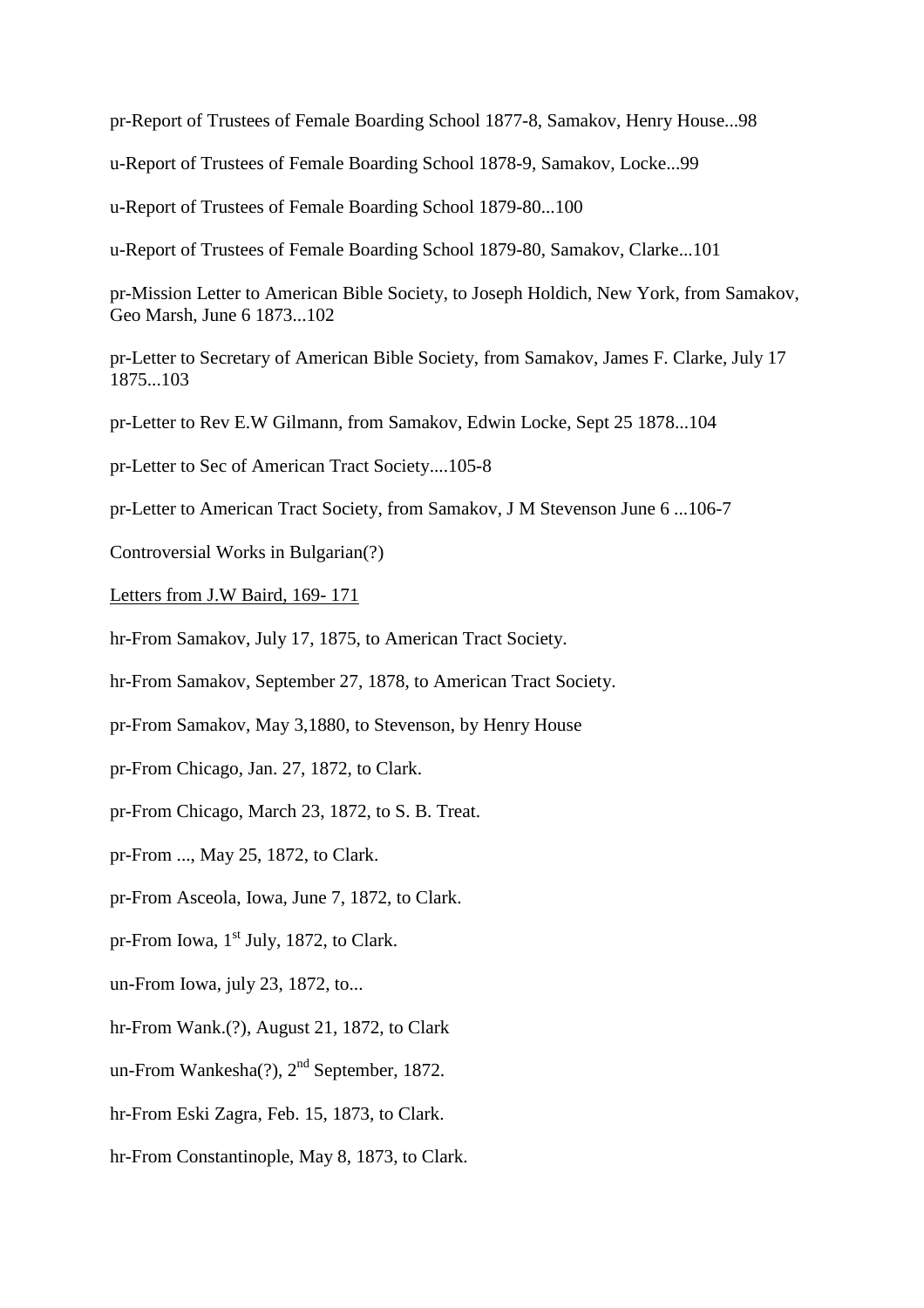pr-Report of Trustees of Female Boarding School 1877-8, Samakov, Henry House...98

u-Report of Trustees of Female Boarding School 1878-9, Samakov, Locke...99

u-Report of Trustees of Female Boarding School 1879-80...100

u-Report of Trustees of Female Boarding School 1879-80, Samakov, Clarke...101

pr-Mission Letter to American Bible Society, to Joseph Holdich, New York, from Samakov, Geo Marsh, June 6 1873...102

pr-Letter to Secretary of American Bible Society, from Samakov, James F. Clarke, July 17 1875...103

pr-Letter to Rev E.W Gilmann, from Samakov, Edwin Locke, Sept 25 1878...104

pr-Letter to Sec of American Tract Society....105-8

pr-Letter to American Tract Society, from Samakov, J M Stevenson June 6 ...106-7

Controversial Works in Bulgarian(?)

Letters from J.W Baird, 169- 171

hr-From Samakov, July 17, 1875, to American Tract Society.

hr-From Samakov, September 27, 1878, to American Tract Society.

pr-From Samakov, May 3,1880, to Stevenson, by Henry House

pr-From Chicago, Jan. 27, 1872, to Clark.

pr-From Chicago, March 23, 1872, to S. B. Treat.

pr-From ..., May 25, 1872, to Clark.

pr-From Asceola, Iowa, June 7, 1872, to Clark.

pr-From Iowa,  $1<sup>st</sup>$  July, 1872, to Clark.

un-From Iowa, july 23, 1872, to...

hr-From Wank.(?), August 21, 1872, to Clark

un-From Wankesha(?), 2<sup>nd</sup> September, 1872.

hr-From Eski Zagra, Feb. 15, 1873, to Clark.

hr-From Constantinople, May 8, 1873, to Clark.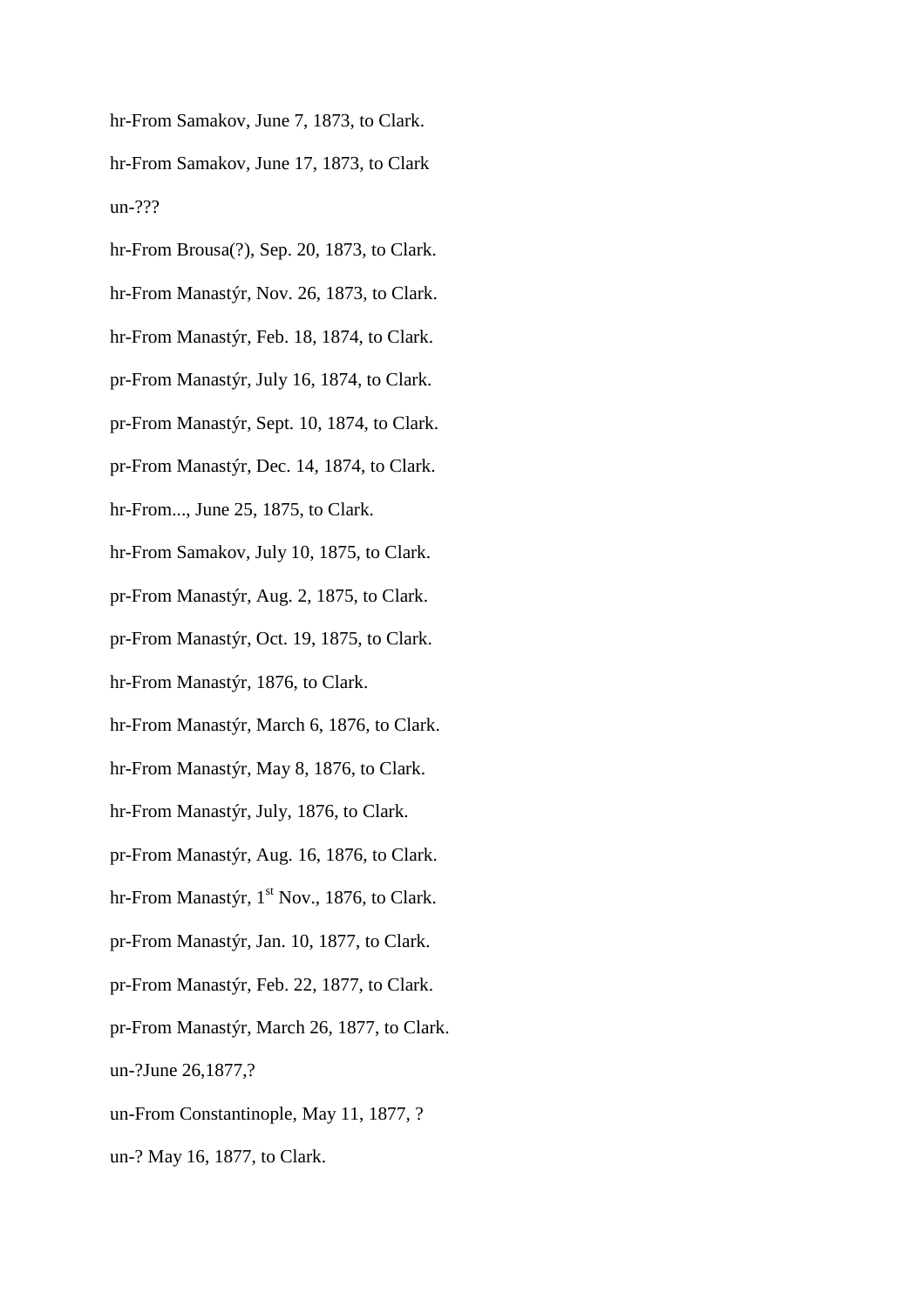hr-From Samakov, June 7, 1873, to Clark. hr-From Samakov, June 17, 1873, to Clark un-???

- hr-From Brousa(?), Sep. 20, 1873, to Clark.
- hr-From Manastýr, Nov. 26, 1873, to Clark.
- hr-From Manastýr, Feb. 18, 1874, to Clark.
- pr-From Manastýr, July 16, 1874, to Clark.
- pr-From Manastýr, Sept. 10, 1874, to Clark.
- pr-From Manastýr, Dec. 14, 1874, to Clark.
- hr-From..., June 25, 1875, to Clark.
- hr-From Samakov, July 10, 1875, to Clark.
- pr-From Manastýr, Aug. 2, 1875, to Clark.
- pr-From Manastýr, Oct. 19, 1875, to Clark.
- hr-From Manastýr, 1876, to Clark.
- hr-From Manastýr, March 6, 1876, to Clark.
- hr-From Manastýr, May 8, 1876, to Clark.
- hr-From Manastýr, July, 1876, to Clark.
- pr-From Manastýr, Aug. 16, 1876, to Clark.
- hr-From Manastýr,  $1<sup>st</sup> Nov.$ , 1876, to Clark.
- pr-From Manastýr, Jan. 10, 1877, to Clark.
- pr-From Manastýr, Feb. 22, 1877, to Clark.
- pr-From Manastýr, March 26, 1877, to Clark.
- un-?June 26,1877,?
- un-From Constantinople, May 11, 1877, ?
- un-? May 16, 1877, to Clark.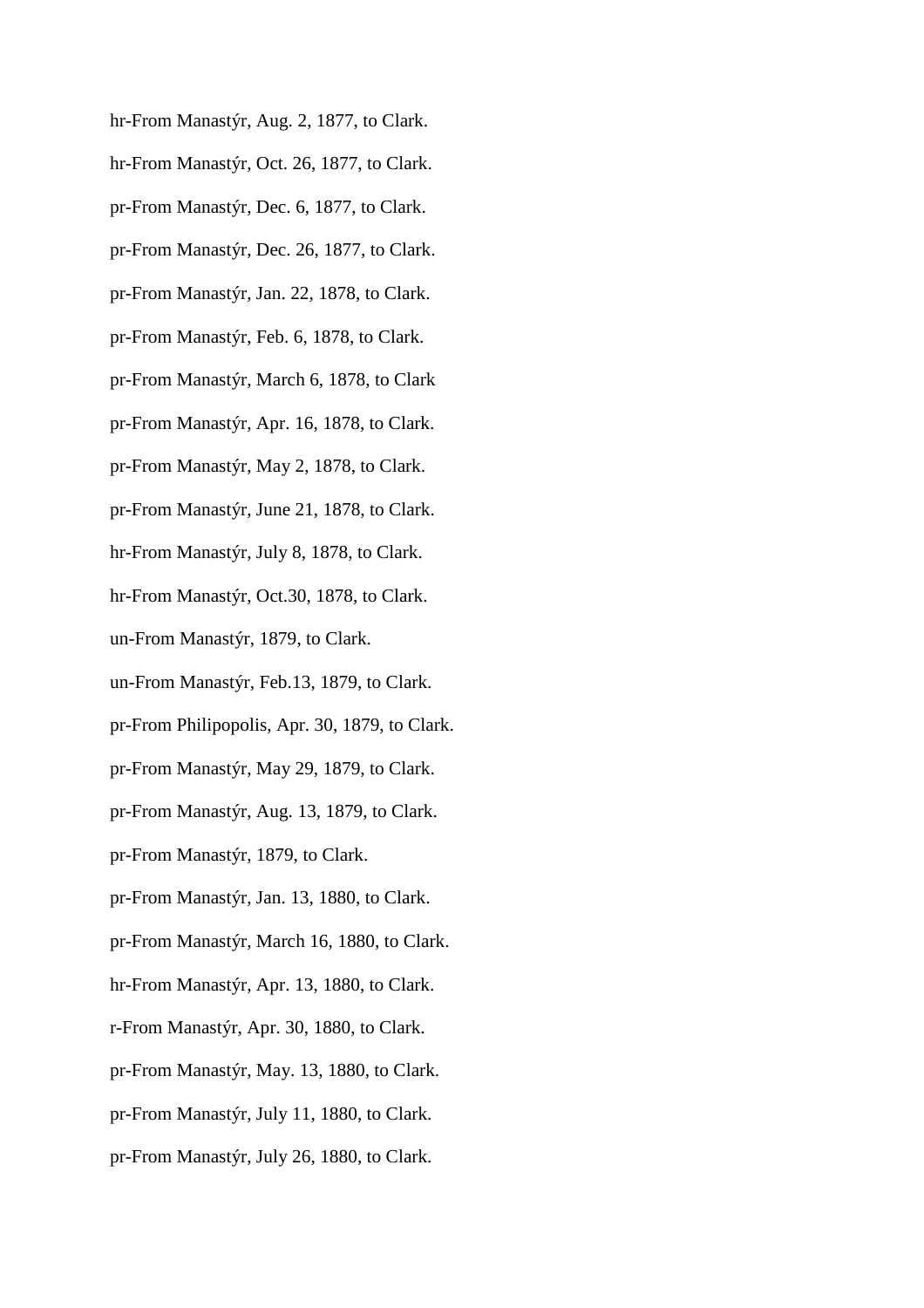hr-From Manastýr, Aug. 2, 1877, to Clark. hr-From Manastýr, Oct. 26, 1877, to Clark. pr-From Manastýr, Dec. 6, 1877, to Clark. pr-From Manastýr, Dec. 26, 1877, to Clark. pr-From Manastýr, Jan. 22, 1878, to Clark. pr-From Manastýr, Feb. 6, 1878, to Clark. pr-From Manastýr, March 6, 1878, to Clark pr-From Manastýr, Apr. 16, 1878, to Clark. pr-From Manastýr, May 2, 1878, to Clark. pr-From Manastýr, June 21, 1878, to Clark. hr-From Manastýr, July 8, 1878, to Clark. hr-From Manastýr, Oct.30, 1878, to Clark. un-From Manastýr, 1879, to Clark. un-From Manastýr, Feb.13, 1879, to Clark. pr-From Philipopolis, Apr. 30, 1879, to Clark. pr-From Manastýr, May 29, 1879, to Clark. pr-From Manastýr, Aug. 13, 1879, to Clark. pr-From Manastýr, 1879, to Clark. pr-From Manastýr, Jan. 13, 1880, to Clark. pr-From Manastýr, March 16, 1880, to Clark. hr-From Manastýr, Apr. 13, 1880, to Clark. r-From Manastýr, Apr. 30, 1880, to Clark. pr-From Manastýr, May. 13, 1880, to Clark. pr-From Manastýr, July 11, 1880, to Clark. pr-From Manastýr, July 26, 1880, to Clark.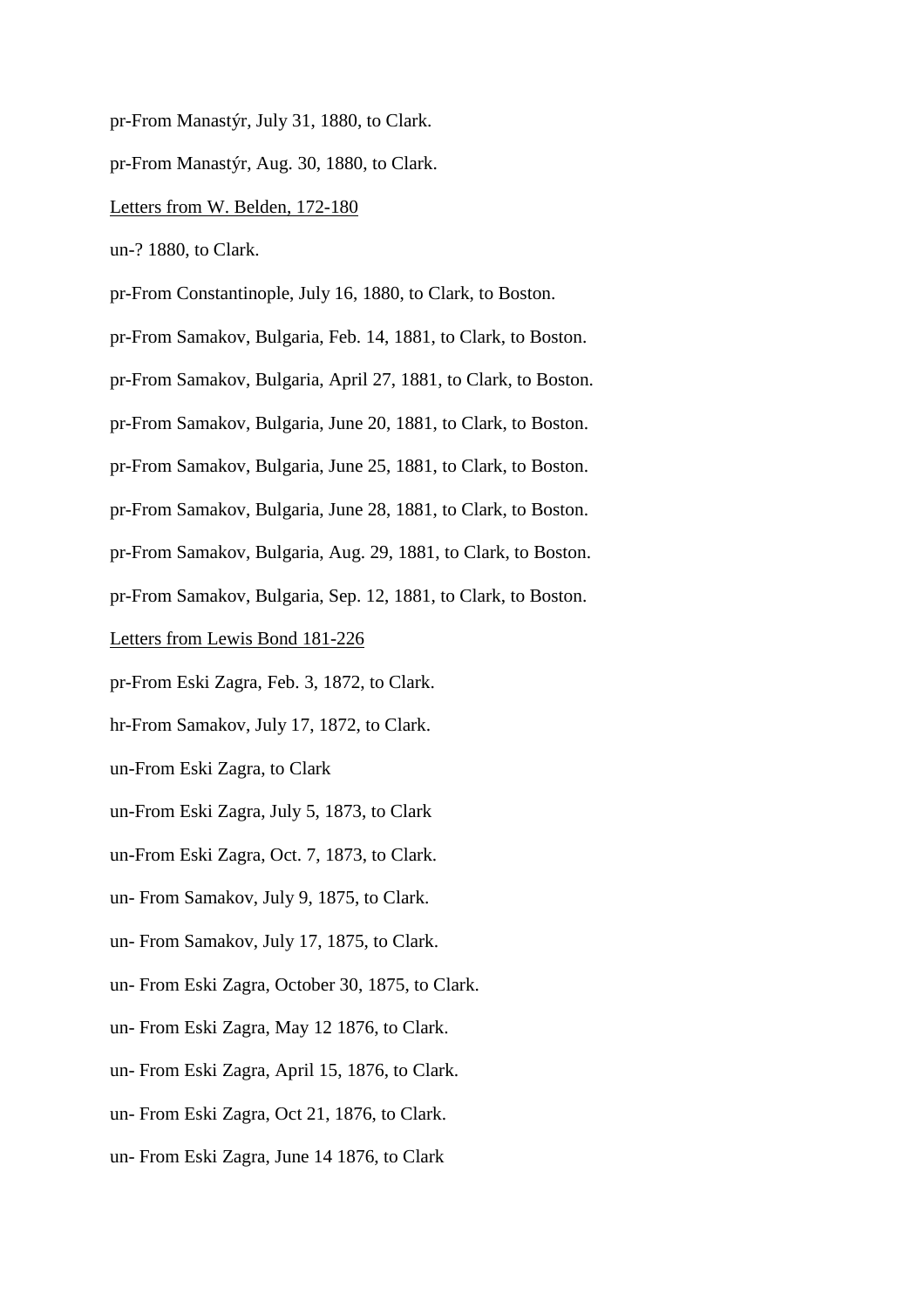pr-From Manastýr, July 31, 1880, to Clark.

pr-From Manastýr, Aug. 30, 1880, to Clark.

#### Letters from W. Belden, 172-180

un-? 1880, to Clark.

pr-From Constantinople, July 16, 1880, to Clark, to Boston.

pr-From Samakov, Bulgaria, Feb. 14, 1881, to Clark, to Boston.

pr-From Samakov, Bulgaria, April 27, 1881, to Clark, to Boston.

pr-From Samakov, Bulgaria, June 20, 1881, to Clark, to Boston.

pr-From Samakov, Bulgaria, June 25, 1881, to Clark, to Boston.

pr-From Samakov, Bulgaria, June 28, 1881, to Clark, to Boston.

pr-From Samakov, Bulgaria, Aug. 29, 1881, to Clark, to Boston.

pr-From Samakov, Bulgaria, Sep. 12, 1881, to Clark, to Boston.

Letters from Lewis Bond 181-226

pr-From Eski Zagra, Feb. 3, 1872, to Clark.

hr-From Samakov, July 17, 1872, to Clark.

un-From Eski Zagra, to Clark

un-From Eski Zagra, July 5, 1873, to Clark

un-From Eski Zagra, Oct. 7, 1873, to Clark.

un- From Samakov, July 9, 1875, to Clark.

un- From Samakov, July 17, 1875, to Clark.

un- From Eski Zagra, October 30, 1875, to Clark.

un- From Eski Zagra, May 12 1876, to Clark.

un- From Eski Zagra, April 15, 1876, to Clark.

un- From Eski Zagra, Oct 21, 1876, to Clark.

un- From Eski Zagra, June 14 1876, to Clark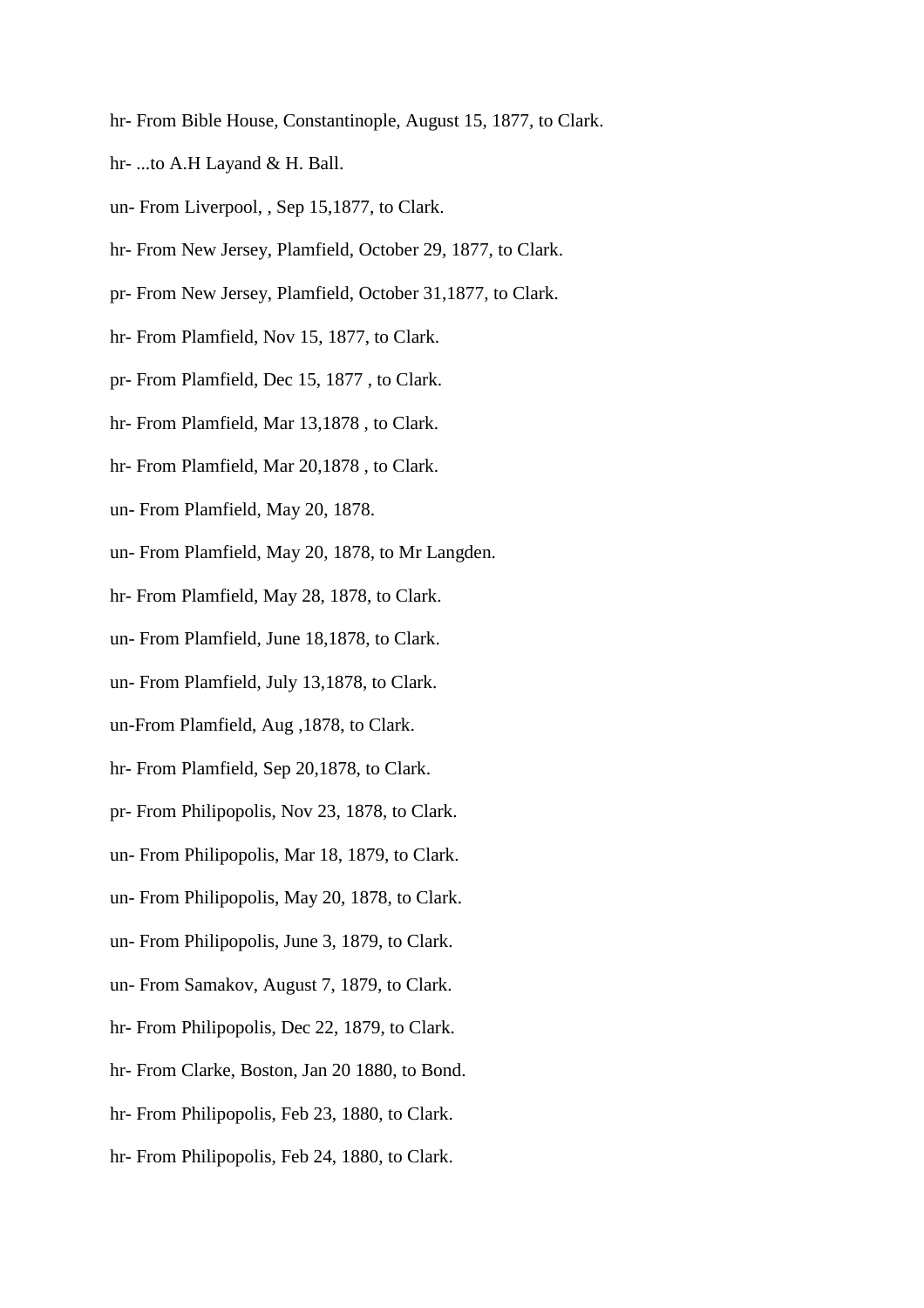- hr- From Bible House, Constantinople, August 15, 1877, to Clark.
- hr- ...to A.H Layand & H. Ball.
- un- From Liverpool, , Sep 15,1877, to Clark.
- hr- From New Jersey, Plamfield, October 29, 1877, to Clark.
- pr- From New Jersey, Plamfield, October 31,1877, to Clark.
- hr- From Plamfield, Nov 15, 1877, to Clark.
- pr- From Plamfield, Dec 15, 1877 , to Clark.
- hr- From Plamfield, Mar 13,1878 , to Clark.
- hr- From Plamfield, Mar 20,1878 , to Clark.
- un- From Plamfield, May 20, 1878.
- un- From Plamfield, May 20, 1878, to Mr Langden.
- hr- From Plamfield, May 28, 1878, to Clark.
- un- From Plamfield, June 18,1878, to Clark.
- un- From Plamfield, July 13,1878, to Clark.
- un-From Plamfield, Aug ,1878, to Clark.
- hr- From Plamfield, Sep 20,1878, to Clark.
- pr- From Philipopolis, Nov 23, 1878, to Clark.
- un- From Philipopolis, Mar 18, 1879, to Clark.
- un- From Philipopolis, May 20, 1878, to Clark.
- un- From Philipopolis, June 3, 1879, to Clark.
- un- From Samakov, August 7, 1879, to Clark.
- hr- From Philipopolis, Dec 22, 1879, to Clark.
- hr- From Clarke, Boston, Jan 20 1880, to Bond.
- hr- From Philipopolis, Feb 23, 1880, to Clark.
- hr- From Philipopolis, Feb 24, 1880, to Clark.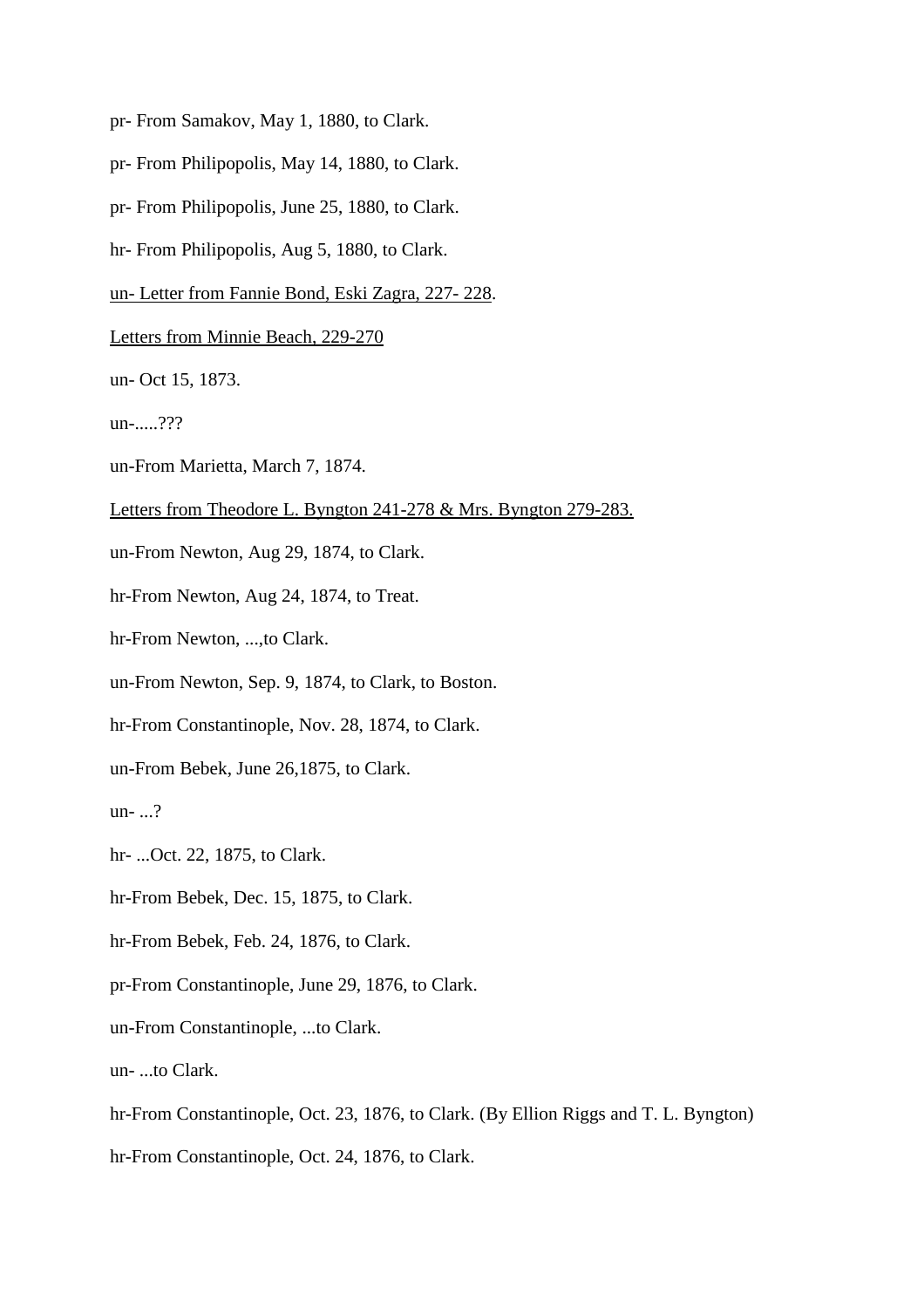- pr- From Samakov, May 1, 1880, to Clark.
- pr- From Philipopolis, May 14, 1880, to Clark.
- pr- From Philipopolis, June 25, 1880, to Clark.
- hr- From Philipopolis, Aug 5, 1880, to Clark.
- un- Letter from Fannie Bond, Eski Zagra, 227- 228.
- Letters from Minnie Beach, 229-270
- un- Oct 15, 1873.
- un-.....???
- un-From Marietta, March 7, 1874.
- Letters from Theodore L. Byngton 241-278 & Mrs. Byngton 279-283.
- un-From Newton, Aug 29, 1874, to Clark.
- hr-From Newton, Aug 24, 1874, to Treat.
- hr-From Newton, ...,to Clark.
- un-From Newton, Sep. 9, 1874, to Clark, to Boston.
- hr-From Constantinople, Nov. 28, 1874, to Clark.
- un-From Bebek, June 26,1875, to Clark.
- un-  $\ldots$ ?
- hr- ...Oct. 22, 1875, to Clark.
- hr-From Bebek, Dec. 15, 1875, to Clark.
- hr-From Bebek, Feb. 24, 1876, to Clark.
- pr-From Constantinople, June 29, 1876, to Clark.
- un-From Constantinople, ...to Clark.
- un- ...to Clark.
- hr-From Constantinople, Oct. 23, 1876, to Clark. (By Ellion Riggs and T. L. Byngton)
- hr-From Constantinople, Oct. 24, 1876, to Clark.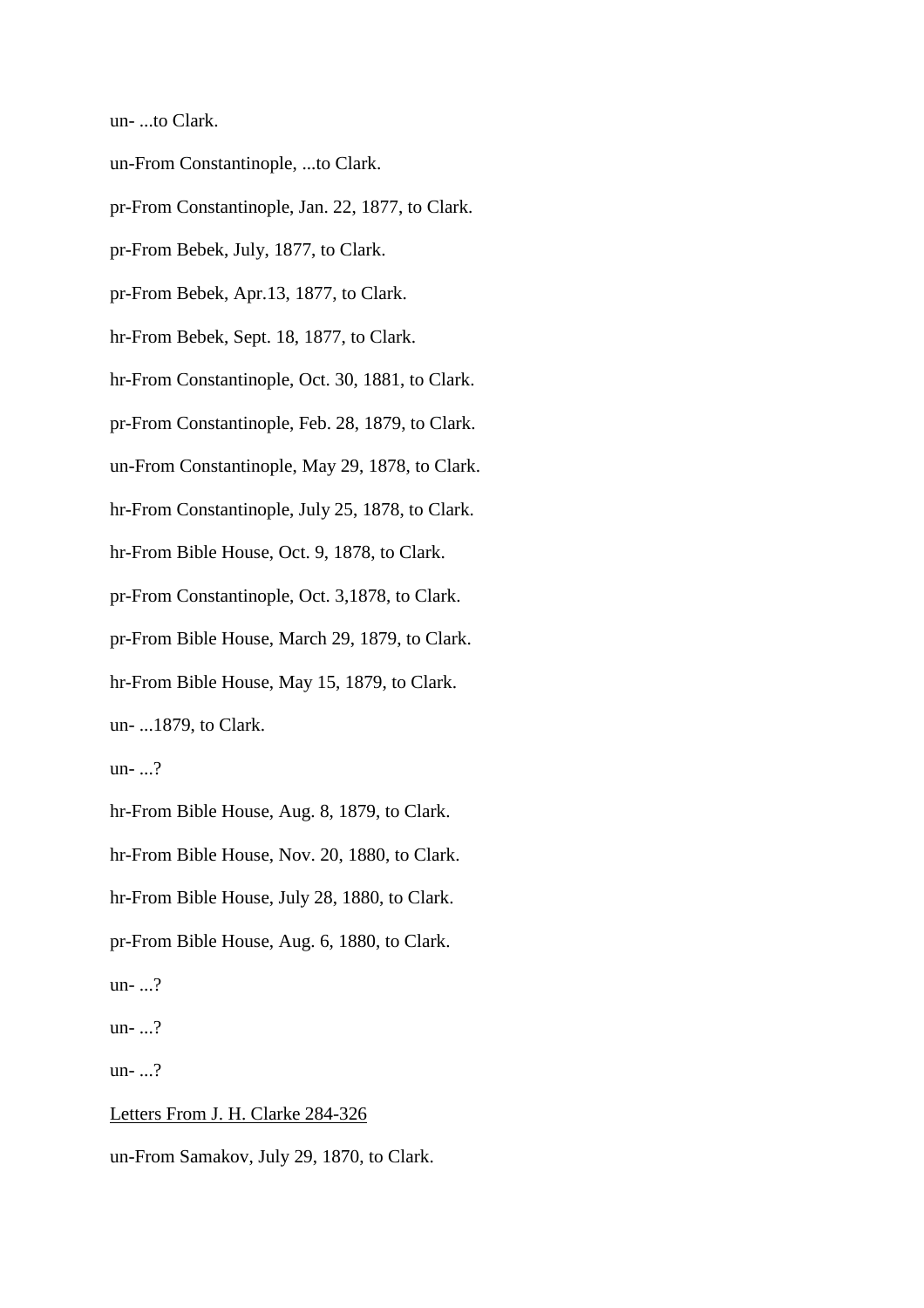un- ...to Clark.

un-From Constantinople, ...to Clark.

pr-From Constantinople, Jan. 22, 1877, to Clark.

pr-From Bebek, July, 1877, to Clark.

pr-From Bebek, Apr.13, 1877, to Clark.

hr-From Bebek, Sept. 18, 1877, to Clark.

hr-From Constantinople, Oct. 30, 1881, to Clark.

pr-From Constantinople, Feb. 28, 1879, to Clark.

un-From Constantinople, May 29, 1878, to Clark.

hr-From Constantinople, July 25, 1878, to Clark.

hr-From Bible House, Oct. 9, 1878, to Clark.

pr-From Constantinople, Oct. 3,1878, to Clark.

pr-From Bible House, March 29, 1879, to Clark.

hr-From Bible House, May 15, 1879, to Clark.

un- ...1879, to Clark.

un- ...?

hr-From Bible House, Aug. 8, 1879, to Clark.

hr-From Bible House, Nov. 20, 1880, to Clark.

hr-From Bible House, July 28, 1880, to Clark.

pr-From Bible House, Aug. 6, 1880, to Clark.

un- ...?

un- ...?

un- ...?

Letters From J. H. Clarke 284-326 un-From Samakov, July 29, 1870, to Clark.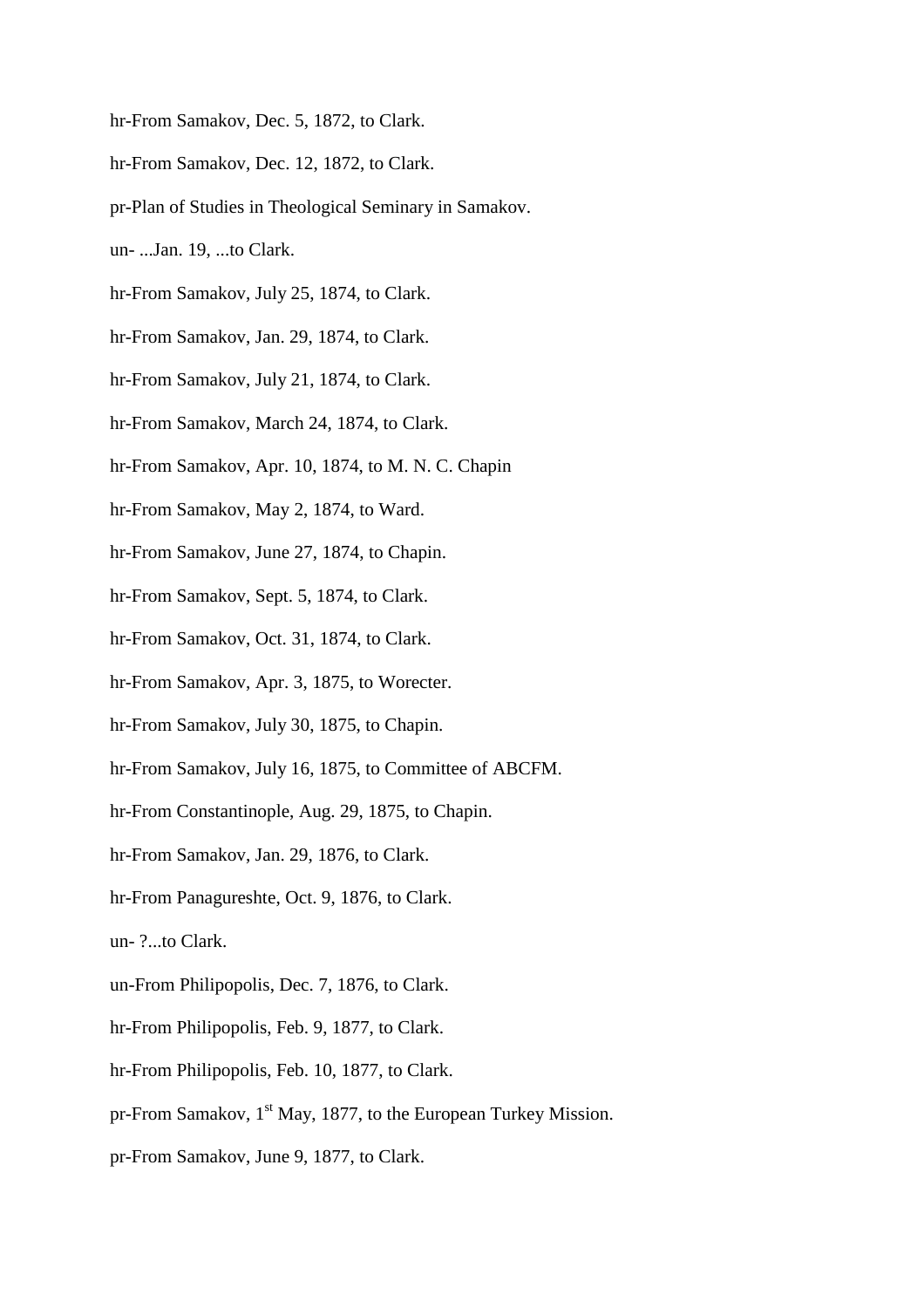- hr-From Samakov, Dec. 5, 1872, to Clark.
- hr-From Samakov, Dec. 12, 1872, to Clark.
- pr-Plan of Studies in Theological Seminary in Samakov.
- un- ...Jan. 19, ...to Clark.
- hr-From Samakov, July 25, 1874, to Clark.
- hr-From Samakov, Jan. 29, 1874, to Clark.
- hr-From Samakov, July 21, 1874, to Clark.
- hr-From Samakov, March 24, 1874, to Clark.
- hr-From Samakov, Apr. 10, 1874, to M. N. C. Chapin
- hr-From Samakov, May 2, 1874, to Ward.
- hr-From Samakov, June 27, 1874, to Chapin.
- hr-From Samakov, Sept. 5, 1874, to Clark.
- hr-From Samakov, Oct. 31, 1874, to Clark.
- hr-From Samakov, Apr. 3, 1875, to Worecter.
- hr-From Samakov, July 30, 1875, to Chapin.
- hr-From Samakov, July 16, 1875, to Committee of ABCFM.
- hr-From Constantinople, Aug. 29, 1875, to Chapin.
- hr-From Samakov, Jan. 29, 1876, to Clark.
- hr-From Panagureshte, Oct. 9, 1876, to Clark.
- un- ?...to Clark.
- un-From Philipopolis, Dec. 7, 1876, to Clark.
- hr-From Philipopolis, Feb. 9, 1877, to Clark.
- hr-From Philipopolis, Feb. 10, 1877, to Clark.
- pr-From Samakov, 1<sup>st</sup> May, 1877, to the European Turkey Mission.
- pr-From Samakov, June 9, 1877, to Clark.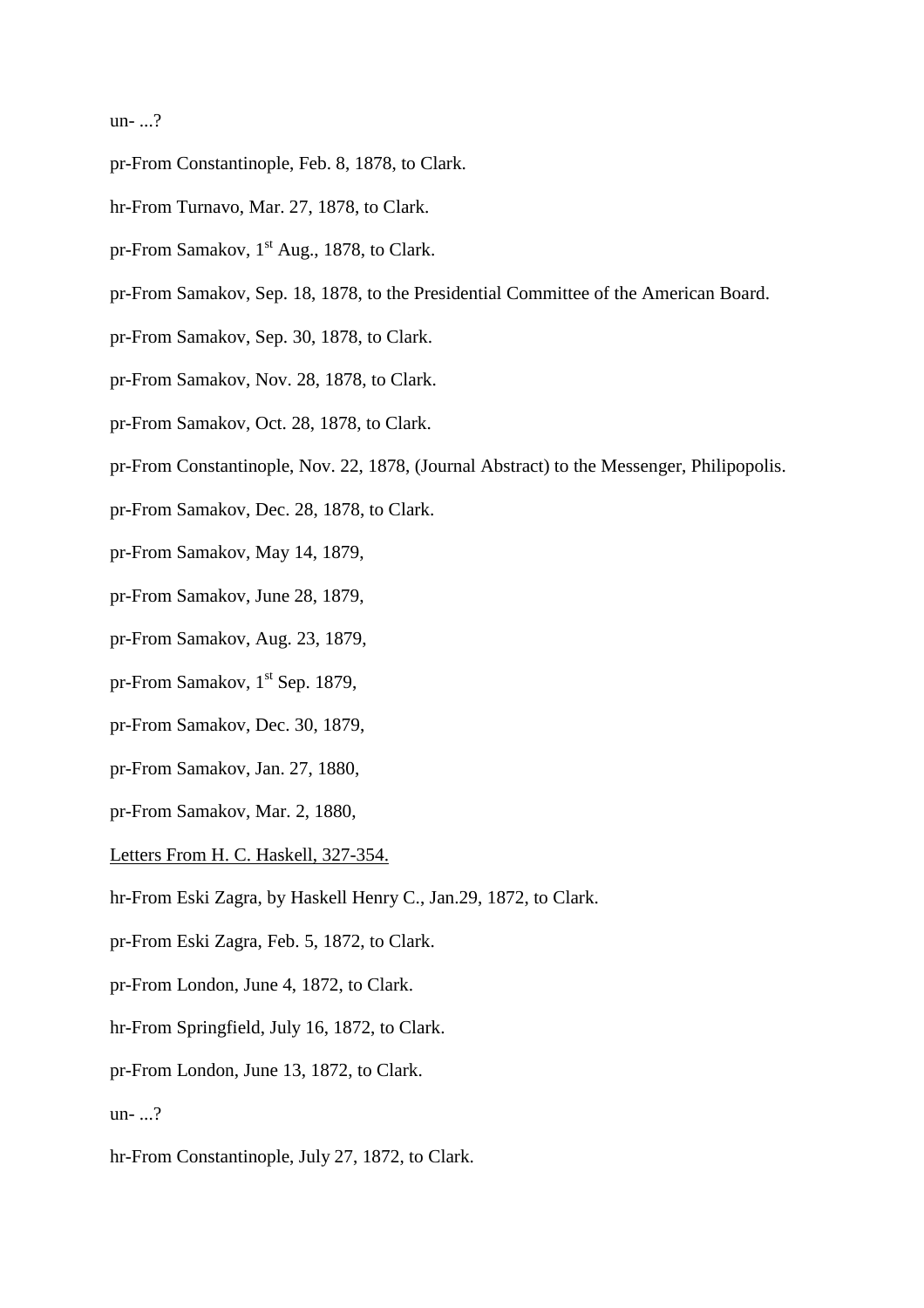un- ...?

- pr-From Constantinople, Feb. 8, 1878, to Clark.
- hr-From Turnavo, Mar. 27, 1878, to Clark.
- pr-From Samakov,  $1<sup>st</sup>$  Aug., 1878, to Clark.
- pr-From Samakov, Sep. 18, 1878, to the Presidential Committee of the American Board.
- pr-From Samakov, Sep. 30, 1878, to Clark.
- pr-From Samakov, Nov. 28, 1878, to Clark.
- pr-From Samakov, Oct. 28, 1878, to Clark.
- pr-From Constantinople, Nov. 22, 1878, (Journal Abstract) to the Messenger, Philipopolis.
- pr-From Samakov, Dec. 28, 1878, to Clark.
- pr-From Samakov, May 14, 1879,
- pr-From Samakov, June 28, 1879,
- pr-From Samakov, Aug. 23, 1879,
- pr-From Samakov,  $1<sup>st</sup>$  Sep. 1879,
- pr-From Samakov, Dec. 30, 1879,
- pr-From Samakov, Jan. 27, 1880,
- pr-From Samakov, Mar. 2, 1880,
- Letters From H. C. Haskell, 327-354.
- hr-From Eski Zagra, by Haskell Henry C., Jan.29, 1872, to Clark.
- pr-From Eski Zagra, Feb. 5, 1872, to Clark.
- pr-From London, June 4, 1872, to Clark.
- hr-From Springfield, July 16, 1872, to Clark.
- pr-From London, June 13, 1872, to Clark.
- un- ...?
- hr-From Constantinople, July 27, 1872, to Clark.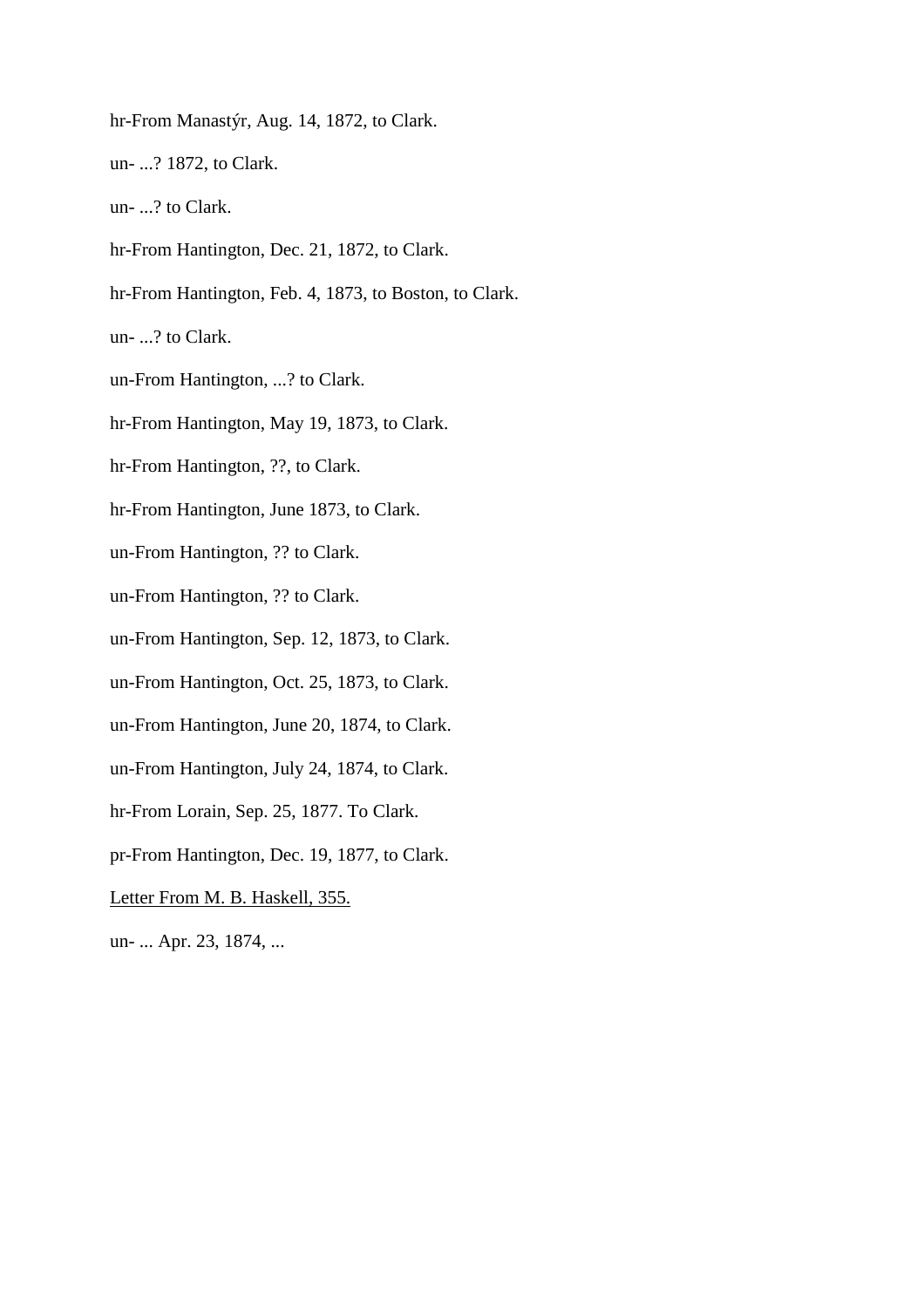hr-From Manastýr, Aug. 14, 1872, to Clark. un- ...? 1872, to Clark. un- ...? to Clark. hr-From Hantington, Dec. 21, 1872, to Clark. hr-From Hantington, Feb. 4, 1873, to Boston, to Clark. un- ...? to Clark. un-From Hantington, ...? to Clark. hr-From Hantington, May 19, 1873, to Clark. hr-From Hantington, ??, to Clark. hr-From Hantington, June 1873, to Clark. un-From Hantington, ?? to Clark. un-From Hantington, ?? to Clark. un-From Hantington, Sep. 12, 1873, to Clark. un-From Hantington, Oct. 25, 1873, to Clark. un-From Hantington, June 20, 1874, to Clark. un-From Hantington, July 24, 1874, to Clark. hr-From Lorain, Sep. 25, 1877. To Clark. pr-From Hantington, Dec. 19, 1877, to Clark. Letter From M. B. Haskell, 355. un- ... Apr. 23, 1874, ...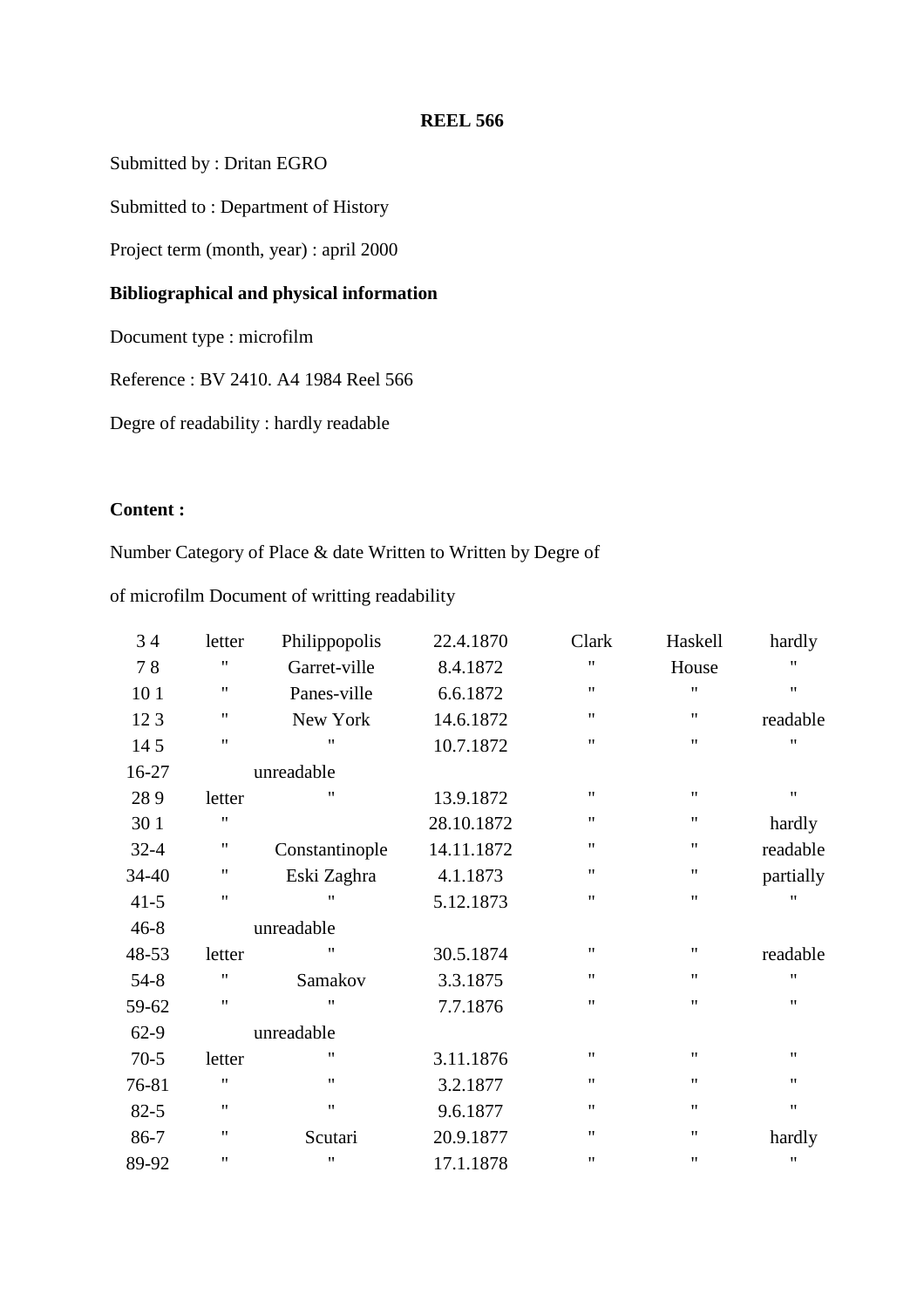Submitted by : Dritan EGRO

Submitted to : Department of History

Project term (month, year) : april 2000

# **Bibliographical and physical information**

Document type : microfilm

Reference : BV 2410. A4 1984 Reel 566

Degre of readability : hardly readable

# **Content :**

Number Category of Place & date Written to Written by Degre of

of microfilm Document of writting readability

| 34       | letter             | Philippopolis      | 22.4.1870  | Clark              | Haskell            | hardly    |
|----------|--------------------|--------------------|------------|--------------------|--------------------|-----------|
| 78       | $\pmb{\mathsf{H}}$ | Garret-ville       | 8.4.1872   | $\pmb{\mathsf{H}}$ | House              | "         |
| 10 1     | $^{\prime\prime}$  | Panes-ville        | 6.6.1872   | $^{\prime\prime}$  | $^{\dagger}$       | Ħ         |
| 123      | 11                 | New York           | 14.6.1872  | $\pmb{\mathsf{H}}$ | 11                 | readable  |
| 145      | $^{\dagger}$       | $^{\prime\prime}$  | 10.7.1872  | $^{\prime\prime}$  | $\pmb{\mathsf{H}}$ | 11        |
| 16-27    |                    | unreadable         |            |                    |                    |           |
| 289      | letter             | 11                 | 13.9.1872  | $\pmb{\mathsf{H}}$ | $\pmb{\mathsf{H}}$ | 11        |
| 30 1     | 11                 |                    | 28.10.1872 | $^{\prime\prime}$  | 11                 | hardly    |
| $32 - 4$ | 11                 | Constantinople     | 14.11.1872 | $\pmb{\mathsf{H}}$ | 11                 | readable  |
| 34-40    | 11                 | Eski Zaghra        | 4.1.1873   | $^{\prime\prime}$  | 11                 | partially |
| $41-5$   | 11                 | "                  | 5.12.1873  | $\pmb{\mathsf{H}}$ | 11                 | "         |
| $46 - 8$ |                    | unreadable         |            |                    |                    |           |
| 48-53    | letter             | 11                 | 30.5.1874  | 11                 | $\pmb{\mathsf{H}}$ | readable  |
| $54 - 8$ | 11                 | Samakov            | 3.3.1875   | $\pmb{\mathsf{H}}$ | $\pmb{\mathsf{H}}$ | 11        |
| 59-62    | 11                 | $^{\prime\prime}$  | 7.7.1876   | $^{\prime\prime}$  | 11                 | 11        |
| $62-9$   |                    | unreadable         |            |                    |                    |           |
| $70-5$   | letter             | $^{\prime\prime}$  | 3.11.1876  | $^{\prime\prime}$  | $\pmb{\mathsf{H}}$ | 11        |
| 76-81    | 11                 | $^{\bullet}$       | 3.2.1877   | $^{\prime\prime}$  | 11                 | 11        |
| $82 - 5$ | $\pmb{\mathsf{H}}$ | $\pmb{\mathsf{H}}$ | 9.6.1877   | $^{\prime\prime}$  | $\pmb{\mathsf{H}}$ | 11        |
| 86-7     | 11                 | Scutari            | 20.9.1877  | $^{\prime\prime}$  | $^{\dagger}$       | hardly    |
| 89-92    | $^{\dagger}$       | $^{\prime\prime}$  | 17.1.1878  | $\pmb{\mathsf{H}}$ | $\pmb{\mathsf{H}}$ | 11        |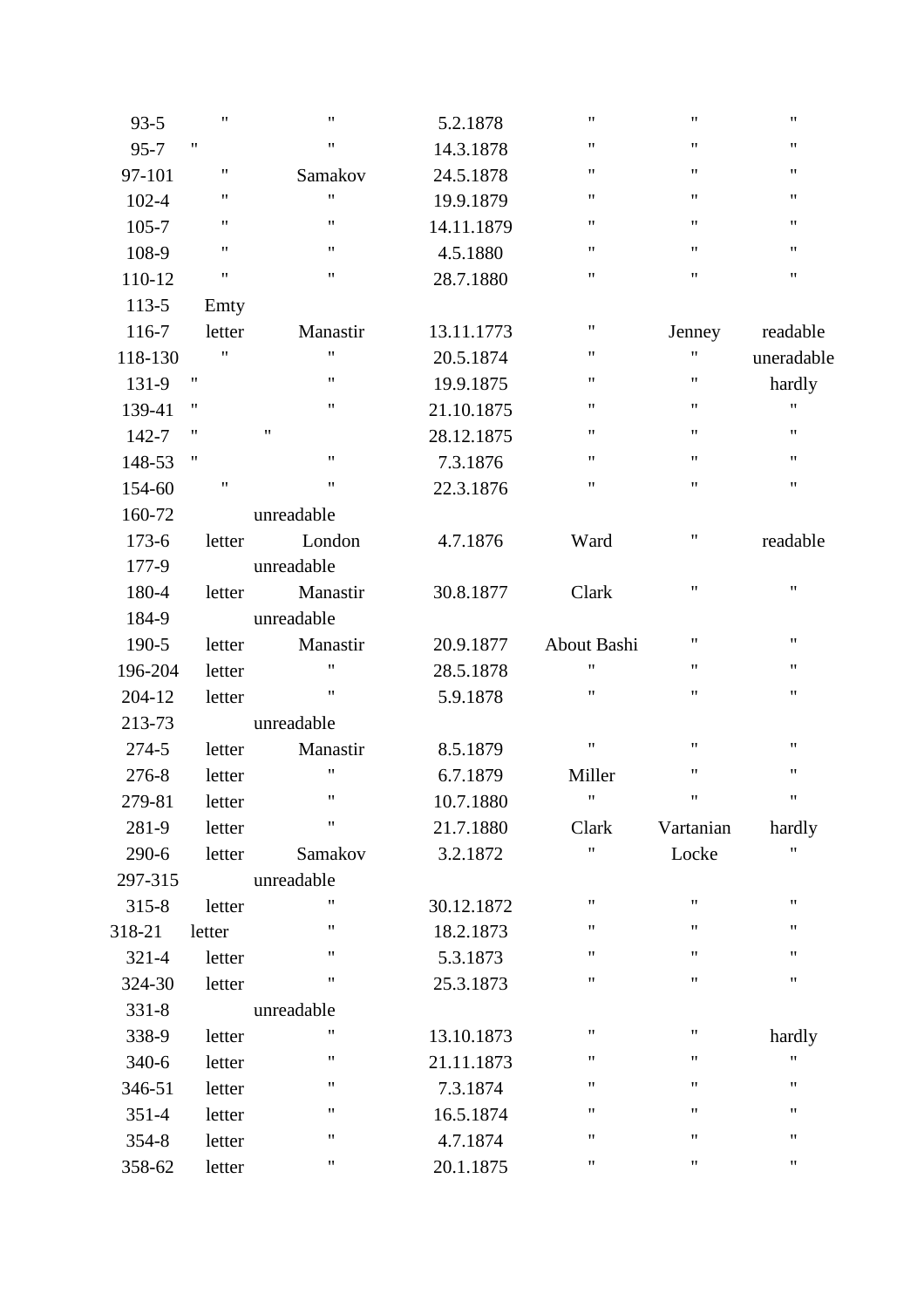| $93 - 5$  | $\pmb{\mathsf{H}}$ | $\pmb{\mathsf{H}}$ | 5.2.1878   | 11                 | $\pmb{\mathsf{H}}$ | $\pmb{\mathsf{H}}$ |
|-----------|--------------------|--------------------|------------|--------------------|--------------------|--------------------|
| $95 - 7$  | $\pmb{\mathsf{H}}$ | $\pmb{\mathsf{H}}$ | 14.3.1878  | 11                 | $\pmb{\mathsf{H}}$ | $\pmb{\mathsf{H}}$ |
| 97-101    | $\pmb{\mathsf{H}}$ | Samakov            | 24.5.1878  | 11                 | $\pmb{\mathsf{H}}$ | 11                 |
| $102 - 4$ | $\pmb{\mathsf{H}}$ | $\pmb{\mathsf{H}}$ | 19.9.1879  | 11                 | 11                 | $\pmb{\mathsf{H}}$ |
| $105 - 7$ | $\pmb{\mathsf{H}}$ | $\pmb{\mathsf{H}}$ | 14.11.1879 | 11                 | 11                 | $\pmb{\mathsf{H}}$ |
| 108-9     | $\pmb{\mathsf{H}}$ | $\pmb{\mathsf{H}}$ | 4.5.1880   | $\pmb{\mathsf{H}}$ | $\pmb{\mathsf{H}}$ | $\pmb{\mathsf{H}}$ |
| 110-12    | $\pmb{\mathsf{H}}$ | $\pmb{\mathsf{H}}$ | 28.7.1880  | 11                 | 11                 | $\pmb{\mathsf{H}}$ |
| $113 - 5$ | Emty               |                    |            |                    |                    |                    |
| 116-7     | letter             | Manastir           | 13.11.1773 | $\pmb{\mathsf{H}}$ | Jenney             | readable           |
| 118-130   | $\pmb{\mathsf{H}}$ | $\pmb{\mathsf{H}}$ | 20.5.1874  | 11                 | $\pmb{\mathsf{H}}$ | uneradable         |
| 131-9     | $\pmb{\mathsf{H}}$ | $\pmb{\mathsf{H}}$ | 19.9.1875  | 11                 | $\pmb{\mathsf{H}}$ | hardly             |
| 139-41    | 11                 | $\pmb{\mathsf{H}}$ | 21.10.1875 | 11                 | 11                 | 11                 |
| 142-7     | $\pmb{\mathsf{H}}$ | $\pmb{\mathsf{H}}$ | 28.12.1875 | 11                 | $\pmb{\mathsf{H}}$ | $\pmb{\mathsf{H}}$ |
| 148-53    | 11                 | $\pmb{\mathsf{H}}$ | 7.3.1876   | 11                 | $\pmb{\mathsf{H}}$ | $\pmb{\mathsf{H}}$ |
| 154-60    | $\pmb{\mathsf{H}}$ | $\pmb{\mathsf{H}}$ | 22.3.1876  | 11                 | $\pmb{\mathsf{H}}$ | $\pmb{\mathsf{H}}$ |
| 160-72    |                    | unreadable         |            |                    |                    |                    |
| $173-6$   | letter             | London             | 4.7.1876   | Ward               | 11                 | readable           |
| 177-9     |                    | unreadable         |            |                    |                    |                    |
| 180-4     | letter             | Manastir           | 30.8.1877  | Clark              | $\pmb{\mathsf{H}}$ | $\pmb{\mathsf{H}}$ |
| 184-9     |                    | unreadable         |            |                    |                    |                    |
| 190-5     | letter             | Manastir           | 20.9.1877  | About Bashi        | $\pmb{\mathsf{H}}$ | $\pmb{\mathsf{H}}$ |
| 196-204   | letter             | $\pmb{\mathsf{H}}$ | 28.5.1878  | Ħ                  | 11                 | $\pmb{\mathsf{H}}$ |
| 204-12    | letter             | $\pmb{\mathsf{H}}$ | 5.9.1878   | 11                 | $\pmb{\mathsf{H}}$ | $\pmb{\mathsf{H}}$ |
| 213-73    |                    | unreadable         |            |                    |                    |                    |
| 274-5     | letter             | Manastir           | 8.5.1879   | $\pmb{\mathsf{H}}$ | $\pmb{\mathsf{H}}$ | $\pmb{\mathsf{H}}$ |
| 276-8     | letter             | $\pmb{\mathsf{H}}$ | 6.7.1879   | Miller             | $\pmb{\mathsf{H}}$ | $\pmb{\mathsf{H}}$ |
| 279-81    | letter             | 11                 | 10.7.1880  | Ħ                  | $\pmb{\mathsf{H}}$ | $\pmb{\mathsf{H}}$ |
| 281-9     | letter             | $\pmb{\mathsf{H}}$ | 21.7.1880  | Clark              | Vartanian          | hardly             |
| 290-6     | letter             | Samakov            | 3.2.1872   | Ħ                  | Locke              | Ħ                  |
| 297-315   |                    | unreadable         |            |                    |                    |                    |
| $315 - 8$ | letter             | 11                 | 30.12.1872 | 11                 | 11                 | $\pmb{\mathsf{H}}$ |
| 318-21    | letter             | 11                 | 18.2.1873  | 11                 | 11                 | 11                 |
| $321 - 4$ | letter             | 11                 | 5.3.1873   | 11                 | $\pmb{\mathsf{H}}$ | $\pmb{\mathsf{H}}$ |
| 324-30    | letter             | $\pmb{\mathsf{H}}$ | 25.3.1873  | Ħ                  | $\pmb{\mathsf{H}}$ | $\pmb{\mathsf{H}}$ |
| $331 - 8$ |                    | unreadable         |            |                    |                    |                    |
| 338-9     | letter             | 11                 | 13.10.1873 | Ħ                  | "                  | hardly             |
| $340-6$   | letter             | 11                 | 21.11.1873 | 11                 | 11                 | 11                 |
| 346-51    | letter             | 11                 | 7.3.1874   | 11                 | "                  | $\pmb{\mathsf{H}}$ |
| $351 - 4$ | letter             | $\pmb{\mathsf{H}}$ | 16.5.1874  | Ħ                  | $\pmb{\mathsf{H}}$ | $\pmb{\mathsf{H}}$ |
| $354 - 8$ | letter             | 11                 | 4.7.1874   | 11                 | $\pmb{\mathsf{H}}$ | 11                 |
| 358-62    | letter             | 11                 | 20.1.1875  | 11                 | "                  | $\pmb{\mathsf{H}}$ |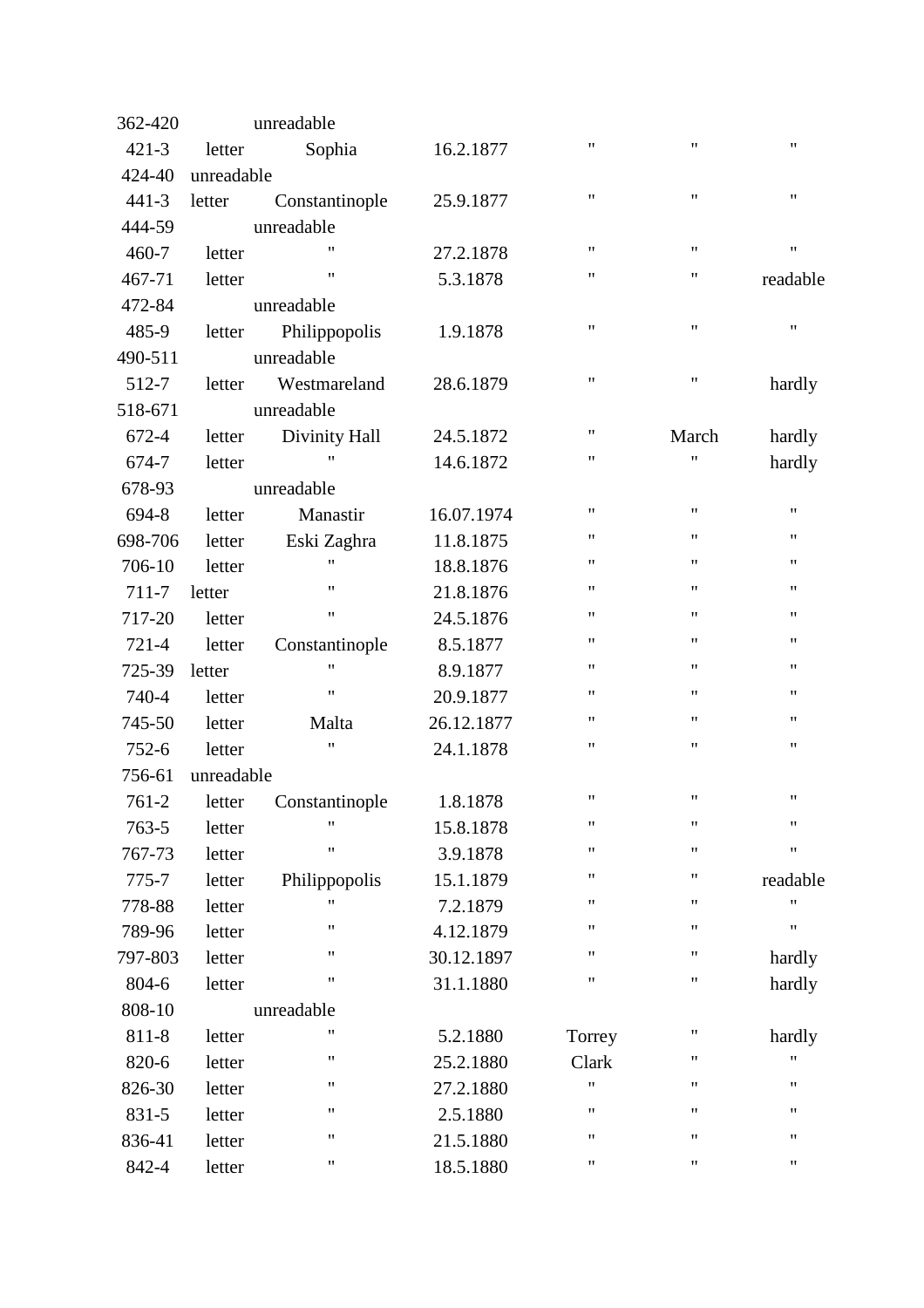| 362-420   |            | unreadable         |            |                    |                    |                    |
|-----------|------------|--------------------|------------|--------------------|--------------------|--------------------|
| $421 - 3$ | letter     | Sophia             | 16.2.1877  | 11                 | $\pmb{\mathsf{H}}$ | $\pmb{\mathsf{H}}$ |
| 424-40    | unreadable |                    |            |                    |                    |                    |
| $441 - 3$ | letter     | Constantinople     | 25.9.1877  | $\pmb{\mathsf{H}}$ | $\pmb{\mathsf{H}}$ | $\pmb{\mathsf{H}}$ |
| 444-59    |            | unreadable         |            |                    |                    |                    |
| 460-7     | letter     | $^{\dagger}$       | 27.2.1878  | $\pmb{\mathsf{H}}$ | $\pmb{\mathsf{H}}$ | $\pmb{\mathsf{H}}$ |
| 467-71    | letter     | $\pmb{\mathsf{H}}$ | 5.3.1878   | 11                 | $\pmb{\mathsf{H}}$ | readable           |
| 472-84    |            | unreadable         |            |                    |                    |                    |
| 485-9     | letter     | Philippopolis      | 1.9.1878   | $\pmb{\mathsf{H}}$ | $\pmb{\mathsf{H}}$ | $\pmb{\mathsf{H}}$ |
| 490-511   |            | unreadable         |            |                    |                    |                    |
| 512-7     | letter     | Westmareland       | 28.6.1879  | $\pmb{\mathsf{H}}$ | $\pmb{\mathsf{H}}$ | hardly             |
| 518-671   |            | unreadable         |            |                    |                    |                    |
| 672-4     | letter     | Divinity Hall      | 24.5.1872  | 11                 | March              | hardly             |
| 674-7     | letter     | 11                 | 14.6.1872  | 11                 | $\pmb{\mathsf{H}}$ | hardly             |
| 678-93    |            | unreadable         |            |                    |                    |                    |
| 694-8     | letter     | Manastir           | 16.07.1974 | $\pmb{\mathsf{H}}$ | $\pmb{\mathsf{H}}$ | $\pmb{\mathsf{H}}$ |
| 698-706   | letter     | Eski Zaghra        | 11.8.1875  | 11                 | $\pmb{\mathsf{H}}$ | 11                 |
| 706-10    | letter     | $\pmb{\mathsf{H}}$ | 18.8.1876  | $\pmb{\mathsf{H}}$ | $\pmb{\mathsf{H}}$ | $\pmb{\mathsf{H}}$ |
| 711-7     | letter     | $\pmb{\mathsf{H}}$ | 21.8.1876  | 11                 | $\pmb{\mathsf{H}}$ | $\pmb{\mathsf{H}}$ |
| 717-20    | letter     | $\pmb{\mathsf{H}}$ | 24.5.1876  | $\pmb{\mathsf{H}}$ | $\pmb{\mathsf{H}}$ | $\pmb{\mathsf{H}}$ |
| 721-4     | letter     | Constantinople     | 8.5.1877   | $\pmb{\mathsf{H}}$ | $\pmb{\mathsf{H}}$ | $\pmb{\mathsf{H}}$ |
| 725-39    | letter     | $\pmb{\mathsf{H}}$ | 8.9.1877   | 11                 | $\pmb{\mathsf{H}}$ | 11                 |
| 740-4     | letter     | $\pmb{\mathsf{H}}$ | 20.9.1877  | $\pmb{\mathsf{H}}$ | $\pmb{\mathsf{H}}$ | $\pmb{\mathsf{H}}$ |
| 745-50    | letter     | Malta              | 26.12.1877 | $\pmb{\mathsf{H}}$ | $\pmb{\mathsf{H}}$ | $\pmb{\mathsf{H}}$ |
| $752 - 6$ | letter     | Ħ                  | 24.1.1878  | $\pmb{\mathsf{H}}$ | $\pmb{\mathsf{H}}$ | $\pmb{\mathsf{H}}$ |
| 756-61    | unreadable |                    |            |                    |                    |                    |
| 761-2     | letter     | Constantinople     | 1.8.1878   | 11                 | $\pmb{\mathsf{H}}$ | 11                 |
| $763 - 5$ | letter     | $^{\prime\prime}$  | 15.8.1878  | $\pmb{\mathsf{H}}$ | $\pmb{\mathsf{H}}$ | $\pmb{\mathsf{H}}$ |
| 767-73    | letter     | $^{\prime}$        | 3.9.1878   | $\pmb{\mathsf{H}}$ | $\pmb{\mathsf{H}}$ | $\pmb{\mathsf{H}}$ |
| 775-7     | letter     | Philippopolis      | 15.1.1879  | $\pmb{\mathsf{H}}$ | $\pmb{\mathsf{H}}$ | readable           |
| 778-88    | letter     | 11                 | 7.2.1879   | $\pmb{\mathsf{H}}$ | $\mathbf{H}$       | $^{\dagger}$       |
| 789-96    | letter     | $\pmb{\mathsf{H}}$ | 4.12.1879  | 11                 | $\pmb{\mathsf{H}}$ | $\pmb{\mathsf{H}}$ |
| 797-803   | letter     | $\pmb{\mathsf{H}}$ | 30.12.1897 | $\pmb{\mathsf{H}}$ | $\pmb{\mathsf{H}}$ | hardly             |
| 804-6     | letter     | "                  | 31.1.1880  | $\pmb{\mathsf{H}}$ | $\pmb{\mathsf{H}}$ | hardly             |
| 808-10    |            | unreadable         |            |                    |                    |                    |
| 811-8     | letter     | 11                 | 5.2.1880   | Torrey             | 11                 | hardly             |
| 820-6     | letter     | Ħ                  | 25.2.1880  | Clark              | 11                 | 11                 |
| 826-30    | letter     | 11                 | 27.2.1880  | 11                 | 11                 | 11                 |
| 831-5     | letter     | 11                 | 2.5.1880   | $\pmb{\mathsf{H}}$ | $\pmb{\mathsf{H}}$ | $\pmb{\mathsf{H}}$ |
| 836-41    | letter     | $\pmb{\mathsf{H}}$ | 21.5.1880  | $\pmb{\mathsf{H}}$ | $\pmb{\mathsf{H}}$ | 11                 |
| 842-4     | letter     | 11                 | 18.5.1880  | $\pmb{\mathsf{H}}$ | 11                 | 11                 |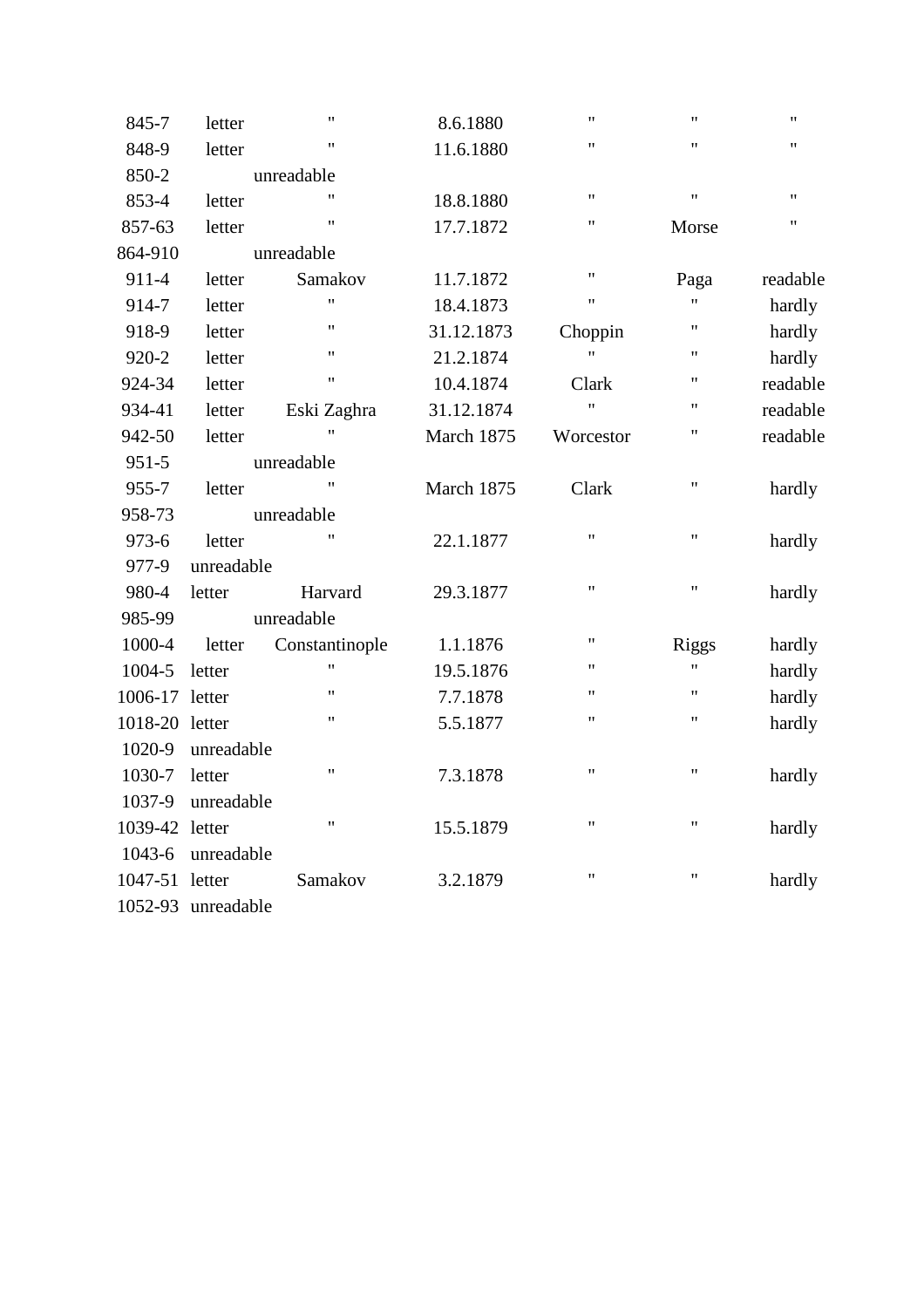| 845-7          | letter     | $\pmb{\mathsf{H}}$ | 8.6.1880   | $\pmb{\mathsf{H}}$ | $\pmb{\mathsf{H}}$ | $\pmb{\mathsf{H}}$ |
|----------------|------------|--------------------|------------|--------------------|--------------------|--------------------|
| 848-9          | letter     | $^{\dagger}$       | 11.6.1880  | $\pmb{\mathsf{H}}$ | $\mathbf{H}$       | 11                 |
| 850-2          |            | unreadable         |            |                    |                    |                    |
| 853-4          | letter     | $^{\dagger}$       | 18.8.1880  | $^{\prime\prime}$  | $\pmb{\mathsf{H}}$ | $^{\dagger}$       |
| 857-63         | letter     | $^{\prime}$        | 17.7.1872  | $^{\dagger}$       | Morse              | Ħ                  |
| 864-910        |            | unreadable         |            |                    |                    |                    |
| 911-4          | letter     | Samakov            | 11.7.1872  | $\pmb{\mathsf{H}}$ | Paga               | readable           |
| 914-7          | letter     | Ħ                  | 18.4.1873  | $\pmb{\mathsf{H}}$ | Ħ                  | hardly             |
| 918-9          | letter     | $^{\dagger}$       | 31.12.1873 | Choppin            | $\pmb{\mathsf{H}}$ | hardly             |
| 920-2          | letter     | $^{\dagger}$       | 21.2.1874  | $\bar{\mathbf{H}}$ | $\pmb{\mathsf{H}}$ | hardly             |
| 924-34         | letter     | $\pmb{\mathsf{H}}$ | 10.4.1874  | Clark              | $\pmb{\mathsf{H}}$ | readable           |
| 934-41         | letter     | Eski Zaghra        | 31.12.1874 | Ħ                  | 11                 | readable           |
| 942-50         | letter     | 11                 | March 1875 | Worcestor          | $\mathbf{H}$       | readable           |
| 951-5          |            | unreadable         |            |                    |                    |                    |
| 955-7          | letter     | $^{\dagger}$       | March 1875 | Clark              | $\pmb{\mathsf{H}}$ | hardly             |
| 958-73         |            | unreadable         |            |                    |                    |                    |
| 973-6          | letter     |                    | 22.1.1877  | $\pmb{\mathsf{H}}$ | $\mathbf{H}$       | hardly             |
| 977-9          | unreadable |                    |            |                    |                    |                    |
| 980-4          | letter     | Harvard            | 29.3.1877  | $\pmb{\mathsf{H}}$ | $\pmb{\mathsf{H}}$ | hardly             |
| 985-99         |            | unreadable         |            |                    |                    |                    |
| 1000-4         | letter     | Constantinople     | 1.1.1876   | $^{\prime\prime}$  | <b>Riggs</b>       | hardly             |
| 1004-5         | letter     | $\bar{\mathbf{H}}$ | 19.5.1876  | $^{\prime\prime}$  | Ħ                  | hardly             |
| 1006-17        | letter     | $^{\prime\prime}$  | 7.7.1878   | $\pmb{\mathsf{H}}$ | $\mathbf{H}$       | hardly             |
| 1018-20 letter |            | 11                 | 5.5.1877   | $\pmb{\mathsf{H}}$ | $\mathbf{H}$       | hardly             |
| 1020-9         | unreadable |                    |            |                    |                    |                    |
| 1030-7         | letter     | $^{\prime\prime}$  | 7.3.1878   | $\pmb{\mathsf{H}}$ | $\pmb{\mathsf{H}}$ | hardly             |
| 1037-9         | unreadable |                    |            |                    |                    |                    |
| 1039-42        | letter     | $^{\prime}$        | 15.5.1879  | $^{\prime\prime}$  | $\mathbf{H}$       | hardly             |
| 1043-6         | unreadable |                    |            |                    |                    |                    |
| 1047-51        | letter     | Samakov            | 3.2.1879   | $\pmb{\mathsf{H}}$ | $\pmb{\mathsf{H}}$ | hardly             |
| 1052-93        | unreadable |                    |            |                    |                    |                    |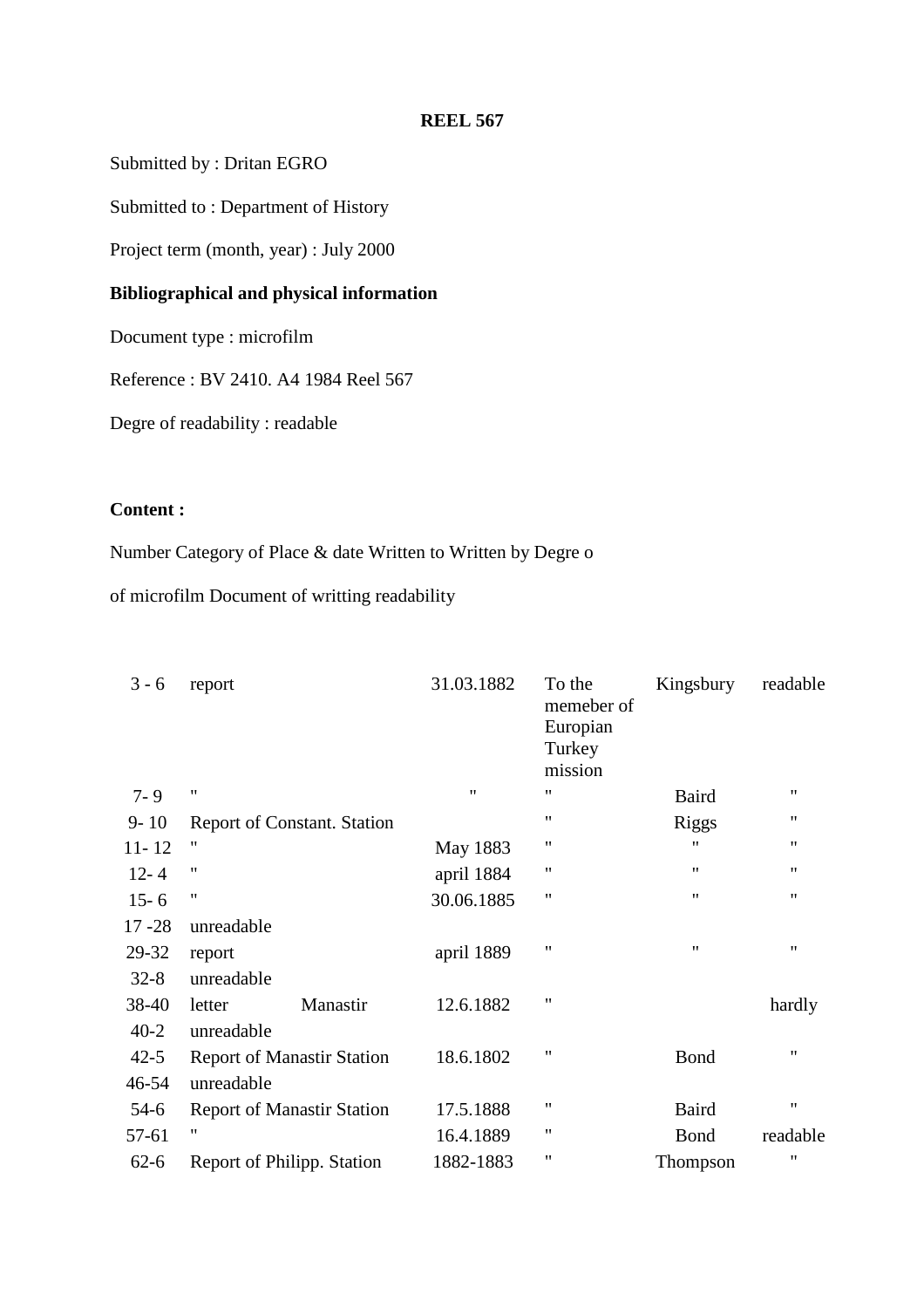Submitted by : Dritan EGRO

Submitted to : Department of History

Project term (month, year) : July 2000

# **Bibliographical and physical information**

Document type : microfilm

Reference : BV 2410. A4 1984 Reel 567

Degre of readability : readable

# **Content :**

Number Category of Place & date Written to Written by Degre o

of microfilm Document of writting readability

| $3 - 6$   | report                                  | 31.03.1882        | To the<br>memeber of<br>Europian<br>Turkey<br>mission | Kingsbury          | readable           |
|-----------|-----------------------------------------|-------------------|-------------------------------------------------------|--------------------|--------------------|
| $7 - 9$   | $^{\prime\prime}$                       | $^{\prime\prime}$ | "                                                     | <b>Baird</b>       | $^{\prime\prime}$  |
| $9 - 10$  |                                         |                   | 11                                                    | <b>Riggs</b>       | $^{\prime\prime}$  |
|           | <b>Report of Constant. Station</b><br>" |                   | "                                                     | "                  | "                  |
| $11 - 12$ |                                         | May 1883          |                                                       |                    |                    |
| $12 - 4$  | $^{\prime\prime}$                       | april 1884        | "                                                     | $\pmb{\mathsf{H}}$ | "                  |
| $15 - 6$  | $^{\prime \prime}$                      | 30.06.1885        | 11                                                    | $^{\prime\prime}$  | $^{\prime\prime}$  |
| $17 - 28$ | unreadable                              |                   |                                                       |                    |                    |
| 29-32     | report                                  | april 1889        | $^{\prime\prime}$                                     | $\pmb{\mathsf{H}}$ | $\pmb{\mathsf{H}}$ |
| $32 - 8$  | unreadable                              |                   |                                                       |                    |                    |
| 38-40     | Manastir<br>letter                      | 12.6.1882         | $\pmb{\mathsf{H}}$                                    |                    | hardly             |
| $40 - 2$  | unreadable                              |                   |                                                       |                    |                    |
| $42 - 5$  | <b>Report of Manastir Station</b>       | 18.6.1802         | "                                                     | <b>Bond</b>        | 11                 |
| 46-54     | unreadable                              |                   |                                                       |                    |                    |
| $54-6$    | <b>Report of Manastir Station</b>       | 17.5.1888         | 11                                                    | <b>Baird</b>       | $^{\prime\prime}$  |
| 57-61     | "                                       | 16.4.1889         | 11                                                    | <b>Bond</b>        | readable           |
| $62 - 6$  | Report of Philipp. Station              | 1882-1883         | 11                                                    | Thompson           | "                  |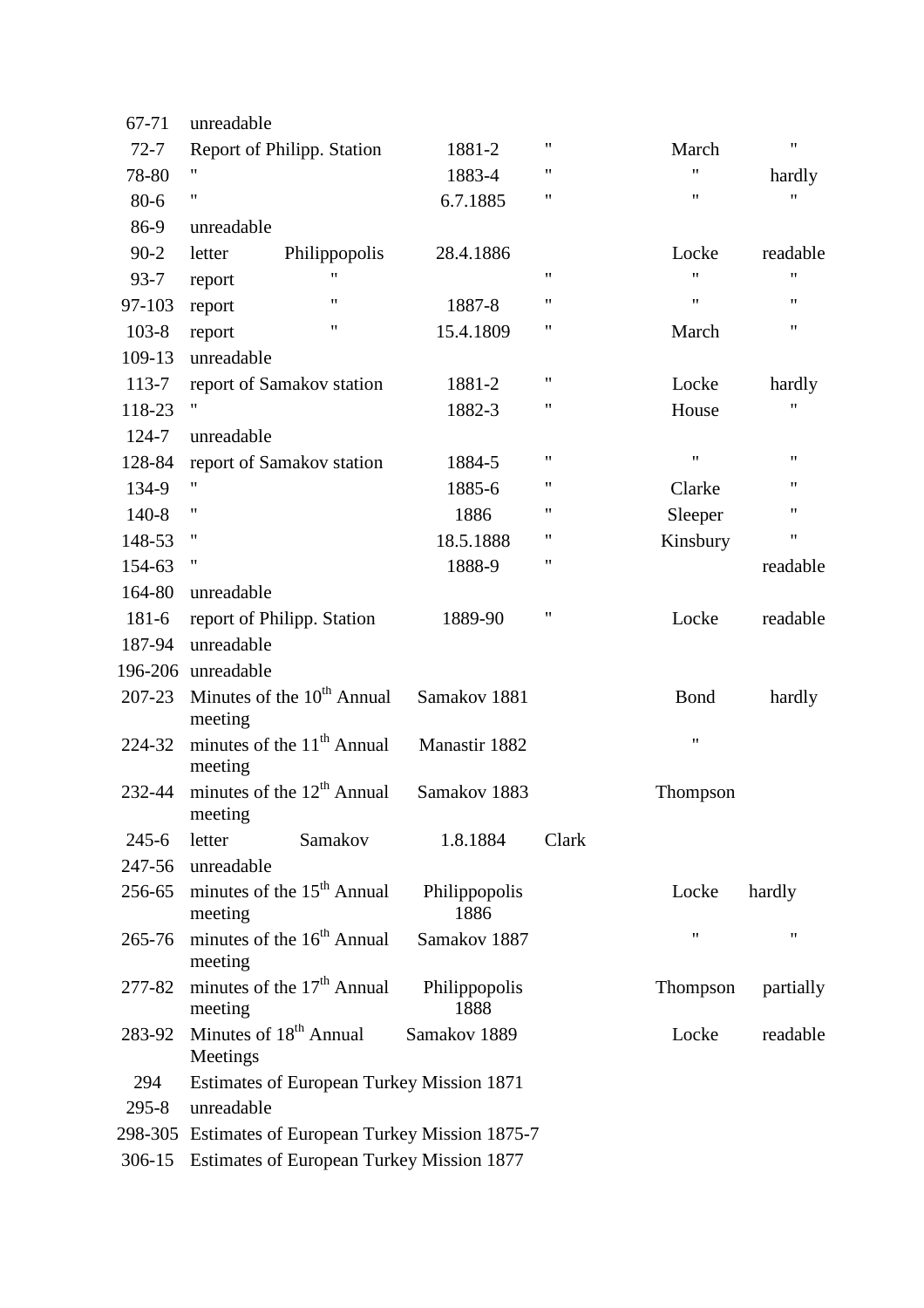| 67-71     | unreadable                                          |                       |                    |                    |                    |
|-----------|-----------------------------------------------------|-----------------------|--------------------|--------------------|--------------------|
| $72 - 7$  | Report of Philipp. Station                          | 1881-2                | 11                 | March              | $\pmb{\mathsf{H}}$ |
| 78-80     | 11                                                  | 1883-4                | 11                 | $\pmb{\mathsf{H}}$ | hardly             |
| 80-6      | 11                                                  | 6.7.1885              | $\mathbf{H}$       | 11                 | "                  |
| 86-9      | unreadable                                          |                       |                    |                    |                    |
| $90-2$    | Philippopolis<br>letter                             | 28.4.1886             |                    | Locke              | readable           |
| $93 - 7$  | report                                              |                       | $\mathbf{H}$       | $^{\prime\prime}$  | $\pmb{\mathsf{H}}$ |
| 97-103    | 11<br>report                                        | 1887-8                | $\pmb{\mathsf{H}}$ | $\pmb{\mathsf{H}}$ | $\pmb{\mathsf{H}}$ |
| $103 - 8$ | 11<br>report                                        | 15.4.1809             | 11                 | March              | 11                 |
| 109-13    | unreadable                                          |                       |                    |                    |                    |
| 113-7     | report of Samakov station                           | 1881-2                | $\mathbf{H}$       | Locke              | hardly             |
| 118-23    | Ħ                                                   | 1882-3                | 11                 | House              | "                  |
| 124-7     | unreadable                                          |                       |                    |                    |                    |
| 128-84    | report of Samakov station                           | 1884-5                | 11                 | $\pmb{\mathsf{H}}$ | $\pmb{\mathsf{H}}$ |
| 134-9     | 11                                                  | 1885-6                | "                  | Clarke             | 11                 |
| $140-8$   | 11                                                  | 1886                  | 11                 | Sleeper            | $\pmb{\mathsf{H}}$ |
| 148-53    | 11                                                  | 18.5.1888             | 11                 | Kinsbury           | $\pmb{\mathsf{H}}$ |
| 154-63    | 11                                                  | 1888-9                | 11                 |                    | readable           |
| 164-80    | unreadable                                          |                       |                    |                    |                    |
| 181-6     | report of Philipp. Station                          | 1889-90               | 11                 | Locke              | readable           |
| 187-94    | unreadable                                          |                       |                    |                    |                    |
|           | 196-206 unreadable                                  |                       |                    |                    |                    |
| 207-23    | Minutes of the 10 <sup>th</sup> Annual<br>meeting   | Samakov 1881          |                    | <b>Bond</b>        | hardly             |
| 224-32    | minutes of the $11th$ Annual<br>meeting             | Manastir 1882         |                    | $\pmb{\mathsf{H}}$ |                    |
| 232-44    | minutes of the $12th$ Annual<br>meeting             | Samakov 1883          |                    | Thompson           |                    |
| $245 - 6$ | Samakov<br>letter                                   | 1.8.1884              | Clark              |                    |                    |
| 247-56    | unreadable                                          |                       |                    |                    |                    |
| 256-65    | minutes of the 15 <sup>th</sup> Annual<br>meeting   | Philippopolis<br>1886 |                    | Locke              | hardly             |
| 265-76    | minutes of the 16 <sup>th</sup> Annual<br>meeting   | Samakov 1887          |                    | $\pmb{\mathsf{H}}$ | $\pmb{\mathsf{H}}$ |
| 277-82    | minutes of the 17 <sup>th</sup> Annual<br>meeting   | Philippopolis<br>1888 |                    | Thompson           | partially          |
| 283-92    | Minutes of 18 <sup>th</sup> Annual<br>Meetings      | Samakov 1889          |                    | Locke              | readable           |
| 294       | Estimates of European Turkey Mission 1871           |                       |                    |                    |                    |
| $295 - 8$ | unreadable                                          |                       |                    |                    |                    |
|           | 298-305 Estimates of European Turkey Mission 1875-7 |                       |                    |                    |                    |
|           | 306-15 Estimates of European Turkey Mission 1877    |                       |                    |                    |                    |
|           |                                                     |                       |                    |                    |                    |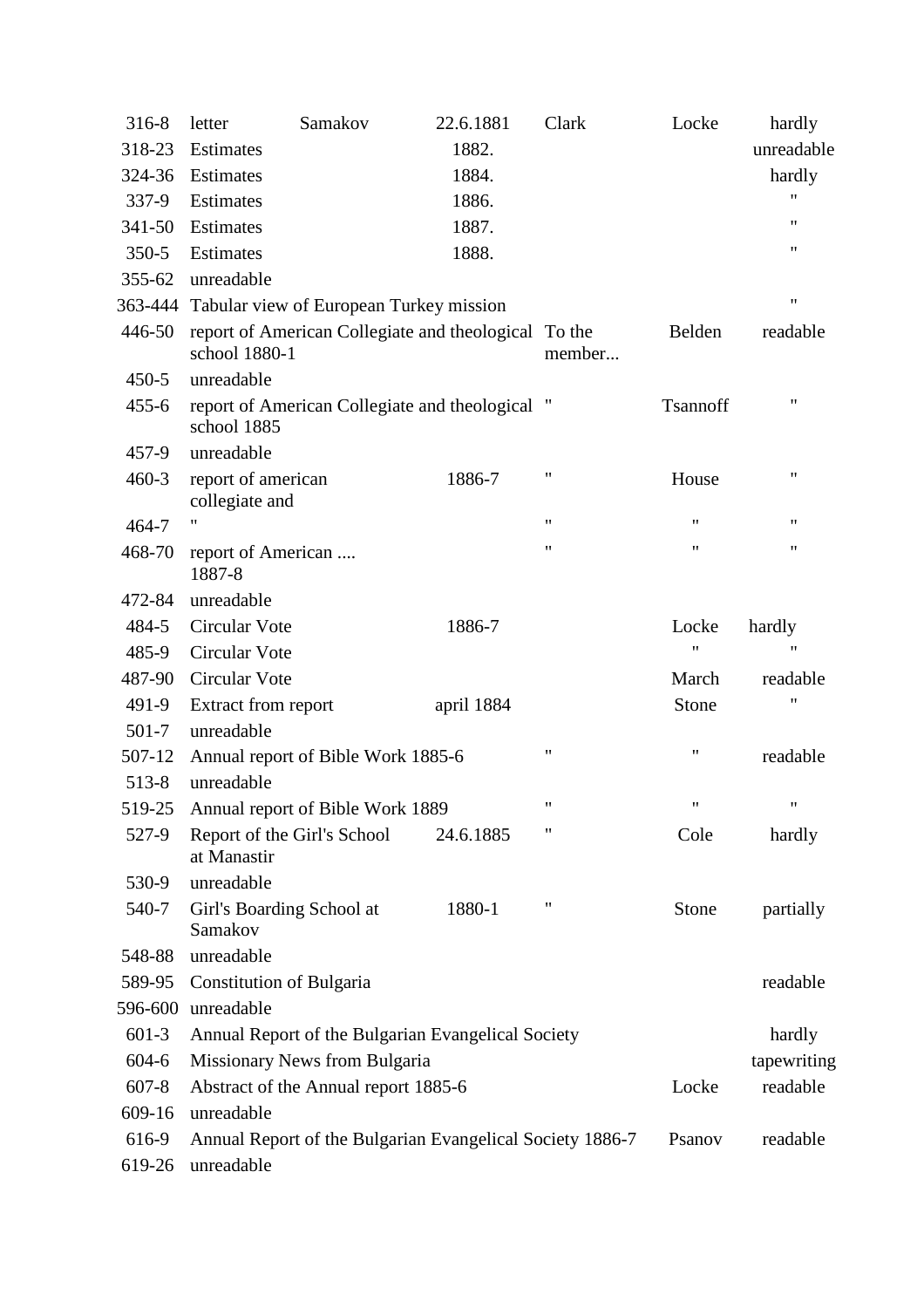| 316-8     | letter                                                         | Samakov                                         | 22.6.1881                                                 | Clark              | Locke              | hardly             |
|-----------|----------------------------------------------------------------|-------------------------------------------------|-----------------------------------------------------------|--------------------|--------------------|--------------------|
| 318-23    | Estimates                                                      |                                                 | 1882.                                                     |                    |                    | unreadable         |
| 324-36    | Estimates                                                      |                                                 | 1884.                                                     |                    |                    | hardly             |
| 337-9     | Estimates                                                      |                                                 | 1886.                                                     |                    |                    | "                  |
| 341-50    | Estimates                                                      |                                                 | 1887.                                                     |                    |                    | 11                 |
| $350 - 5$ | Estimates                                                      |                                                 | 1888.                                                     |                    |                    | 11                 |
| 355-62    | unreadable                                                     |                                                 |                                                           |                    |                    |                    |
|           |                                                                | 363-444 Tabular view of European Turkey mission |                                                           |                    |                    | $\pmb{\mathsf{H}}$ |
| 446-50    | school 1880-1                                                  |                                                 | report of American Collegiate and theological To the      | member             | Belden             | readable           |
| $450 - 5$ | unreadable                                                     |                                                 |                                                           |                    |                    |                    |
| $455 - 6$ | report of American Collegiate and theological "<br>school 1885 |                                                 |                                                           |                    | Tsannoff           | $\pmb{\mathsf{H}}$ |
| 457-9     | unreadable                                                     |                                                 |                                                           |                    |                    |                    |
| $460 - 3$ | report of american<br>collegiate and                           |                                                 | 1886-7                                                    | $\pmb{\mathsf{H}}$ | House              | 11                 |
| 464-7     | 11                                                             |                                                 |                                                           | $^{\prime\prime}$  | $\pmb{\mathsf{H}}$ | $\pmb{\mathsf{H}}$ |
| 468-70    | report of American<br>1887-8                                   |                                                 |                                                           | 11                 | 11                 | 11                 |
| 472-84    | unreadable                                                     |                                                 |                                                           |                    |                    |                    |
| 484-5     | Circular Vote                                                  |                                                 | 1886-7                                                    |                    | Locke              | hardly             |
| 485-9     | Circular Vote                                                  |                                                 |                                                           |                    | $\pmb{\mathsf{H}}$ | $\pmb{\mathsf{H}}$ |
| 487-90    | <b>Circular Vote</b>                                           |                                                 |                                                           |                    | March              | readable           |
| 491-9     | Extract from report                                            |                                                 | april 1884                                                |                    | Stone              | "                  |
| $501 - 7$ | unreadable                                                     |                                                 |                                                           |                    |                    |                    |
| 507-12    |                                                                | Annual report of Bible Work 1885-6              |                                                           | 11                 | $\pmb{\mathsf{H}}$ | readable           |
| $513 - 8$ | unreadable                                                     |                                                 |                                                           |                    |                    |                    |
|           |                                                                | 519-25 Annual report of Bible Work 1889         |                                                           | 11                 | 11                 |                    |
| 527-9     | Report of the Girl's School<br>at Manastir                     |                                                 | 24.6.1885                                                 | 11                 | Cole               | hardly             |
| 530-9     | unreadable                                                     |                                                 |                                                           |                    |                    |                    |
| 540-7     | Girl's Boarding School at<br>Samakov                           |                                                 | 1880-1                                                    | 11                 | Stone              | partially          |
| 548-88    | unreadable                                                     |                                                 |                                                           |                    |                    |                    |
| 589-95    | <b>Constitution of Bulgaria</b>                                |                                                 |                                                           |                    |                    | readable           |
| 596-600   | unreadable                                                     |                                                 |                                                           |                    |                    |                    |
| $601-3$   |                                                                |                                                 | Annual Report of the Bulgarian Evangelical Society        |                    |                    | hardly             |
| 604-6     |                                                                | Missionary News from Bulgaria                   |                                                           |                    |                    | tapewriting        |
| $607 - 8$ |                                                                | Abstract of the Annual report 1885-6            |                                                           |                    | Locke              | readable           |
| 609-16    | unreadable                                                     |                                                 |                                                           |                    |                    |                    |
| 616-9     |                                                                |                                                 | Annual Report of the Bulgarian Evangelical Society 1886-7 |                    | Psanov             | readable           |
| 619-26    | unreadable                                                     |                                                 |                                                           |                    |                    |                    |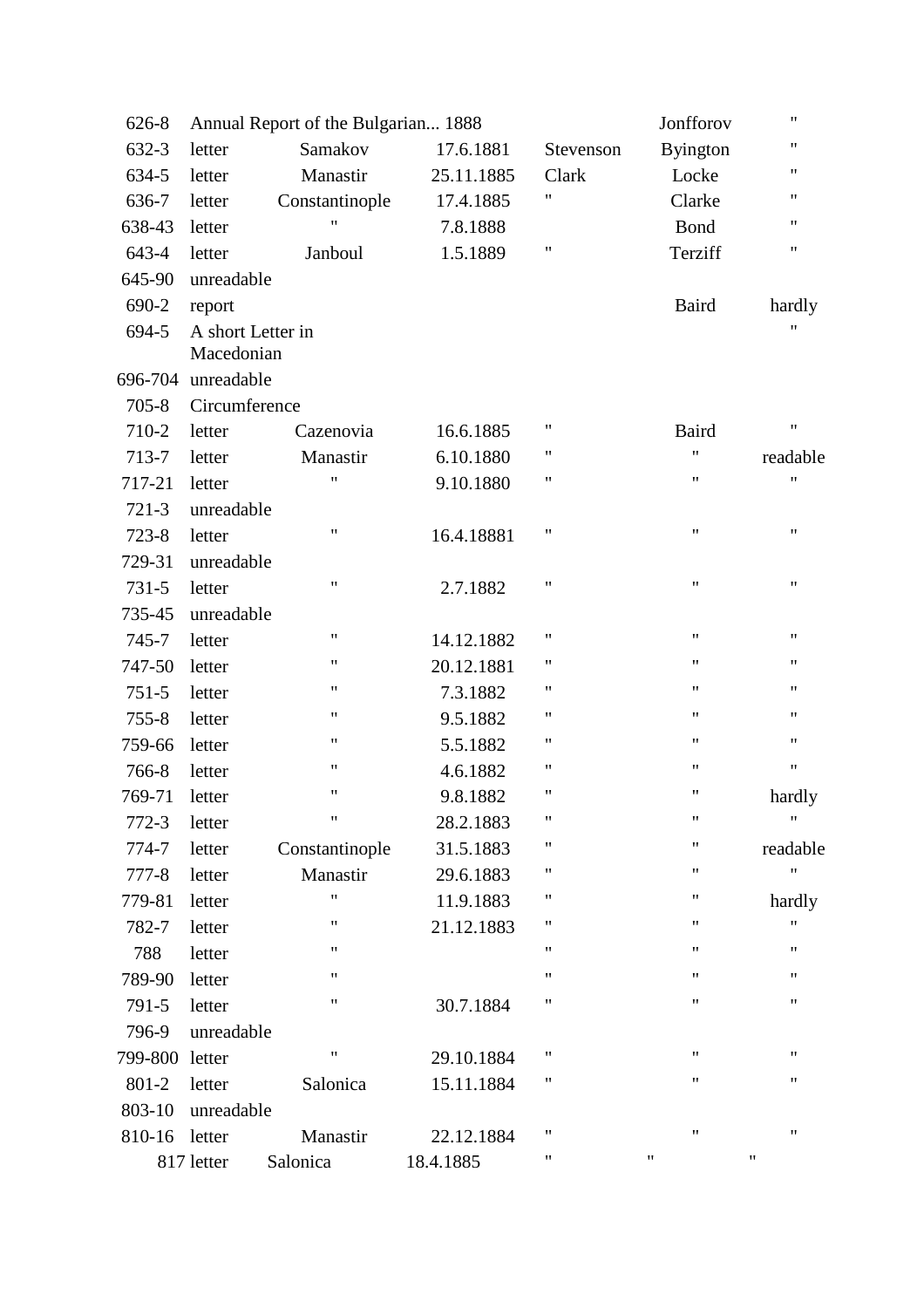| 626-8     |                                 | Annual Report of the Bulgarian 1888 |            |                    | Jonfforov          | $\pmb{\mathsf{H}}$ |
|-----------|---------------------------------|-------------------------------------|------------|--------------------|--------------------|--------------------|
| 632-3     | letter                          | Samakov                             | 17.6.1881  | Stevenson          | <b>Byington</b>    | $\pmb{\mathsf{H}}$ |
| 634-5     | letter                          | Manastir                            | 25.11.1885 | Clark              | Locke              | $\pmb{\mathsf{H}}$ |
| 636-7     | letter                          | Constantinople                      | 17.4.1885  | 11                 | Clarke             | 11                 |
| 638-43    | letter                          | $\pmb{\mathsf{H}}$                  | 7.8.1888   |                    | Bond               | $\pmb{\mathsf{H}}$ |
| 643-4     | letter                          | Janboul                             | 1.5.1889   | $\pmb{\mathsf{H}}$ | Terziff            | 11                 |
| 645-90    | unreadable                      |                                     |            |                    |                    |                    |
| 690-2     | report                          |                                     |            |                    | <b>Baird</b>       | hardly             |
| 694-5     | A short Letter in<br>Macedonian |                                     |            |                    |                    | "                  |
| 696-704   | unreadable                      |                                     |            |                    |                    |                    |
| $705 - 8$ | Circumference                   |                                     |            |                    |                    |                    |
| 710-2     | letter                          | Cazenovia                           | 16.6.1885  | "                  | <b>Baird</b>       | $\pmb{\mathsf{H}}$ |
| 713-7     | letter                          | Manastir                            | 6.10.1880  | $\pmb{\mathsf{H}}$ | 11                 | readable           |
| 717-21    | letter                          | $^{\prime\prime}$                   | 9.10.1880  | $\pmb{\mathsf{H}}$ | Ħ                  | $\pmb{\mathsf{H}}$ |
| $721-3$   | unreadable                      |                                     |            |                    |                    |                    |
| $723 - 8$ | letter                          | $\pmb{\mathsf{H}}$                  | 16.4.18881 | "                  | $\pmb{\mathsf{H}}$ | 11                 |
| 729-31    | unreadable                      |                                     |            |                    |                    |                    |
| 731-5     | letter                          | $\pmb{\mathsf{H}}$                  | 2.7.1882   | $\pmb{\mathsf{H}}$ | $\pmb{\mathsf{H}}$ | $\pmb{\mathsf{H}}$ |
| 735-45    | unreadable                      |                                     |            |                    |                    |                    |
| 745-7     | letter                          | $\pmb{\mathsf{H}}$                  | 14.12.1882 | $\pmb{\mathsf{H}}$ | "                  | $\pmb{\mathsf{H}}$ |
| 747-50    | letter                          | $\pmb{\mathsf{H}}$                  | 20.12.1881 | 11                 | $\pmb{\mathsf{H}}$ | 11                 |
| $751 - 5$ | letter                          | 11                                  | 7.3.1882   | 11                 | $\pmb{\mathsf{H}}$ | 11                 |
| $755 - 8$ | letter                          | $\pmb{\mathsf{H}}$                  | 9.5.1882   | $\pmb{\mathsf{H}}$ | 11                 | $\pmb{\mathsf{H}}$ |
| 759-66    | letter                          | $\pmb{\mathsf{H}}$                  | 5.5.1882   | $\pmb{\mathsf{H}}$ | $\pmb{\mathsf{H}}$ | $\pmb{\mathsf{H}}$ |
| 766-8     | letter                          | $\pmb{\mathsf{H}}$                  | 4.6.1882   | 11                 | 11                 | $\pmb{\mathsf{H}}$ |
| 769-71    | letter                          | $\pmb{\mathsf{H}}$                  | 9.8.1882   | $\pmb{\mathsf{H}}$ | 11                 | hardly             |
| 772-3     | letter                          | $\pmb{\mathsf{H}}$                  | 28.2.1883  | 11                 | 11                 | $\pmb{\mathsf{H}}$ |
| 774-7     | letter                          | Constantinople                      | 31.5.1883  | 11                 | "                  | readable           |
| $777 - 8$ | letter                          | Manastir                            | 29.6.1883  | Ħ                  | "                  | $^{\prime\prime}$  |
| 779-81    | letter                          | 11                                  | 11.9.1883  | 11                 | "                  | hardly             |
| 782-7     | letter                          | 11                                  | 21.12.1883 | 11                 | "                  | 11                 |
| 788       | letter                          | 11                                  |            | 11                 | "                  | 11                 |
| 789-90    | letter                          | 11                                  |            | $\pmb{\mathsf{H}}$ | "                  | 11                 |
| 791-5     | letter                          | 11                                  | 30.7.1884  | 11                 | "                  | 11                 |
| 796-9     | unreadable                      |                                     |            |                    |                    |                    |
| 799-800   | letter                          | 11                                  | 29.10.1884 | 11                 | 11                 | 11                 |
| 801-2     | letter                          | Salonica                            | 15.11.1884 | 11                 | 11                 | 11                 |
| 803-10    | unreadable                      |                                     |            |                    |                    |                    |
| 810-16    | letter                          | Manastir                            | 22.12.1884 | 11                 | "                  | $\pmb{\mathsf{H}}$ |
|           | 817 letter                      | Salonica                            | 18.4.1885  | 11                 | 11                 | 11                 |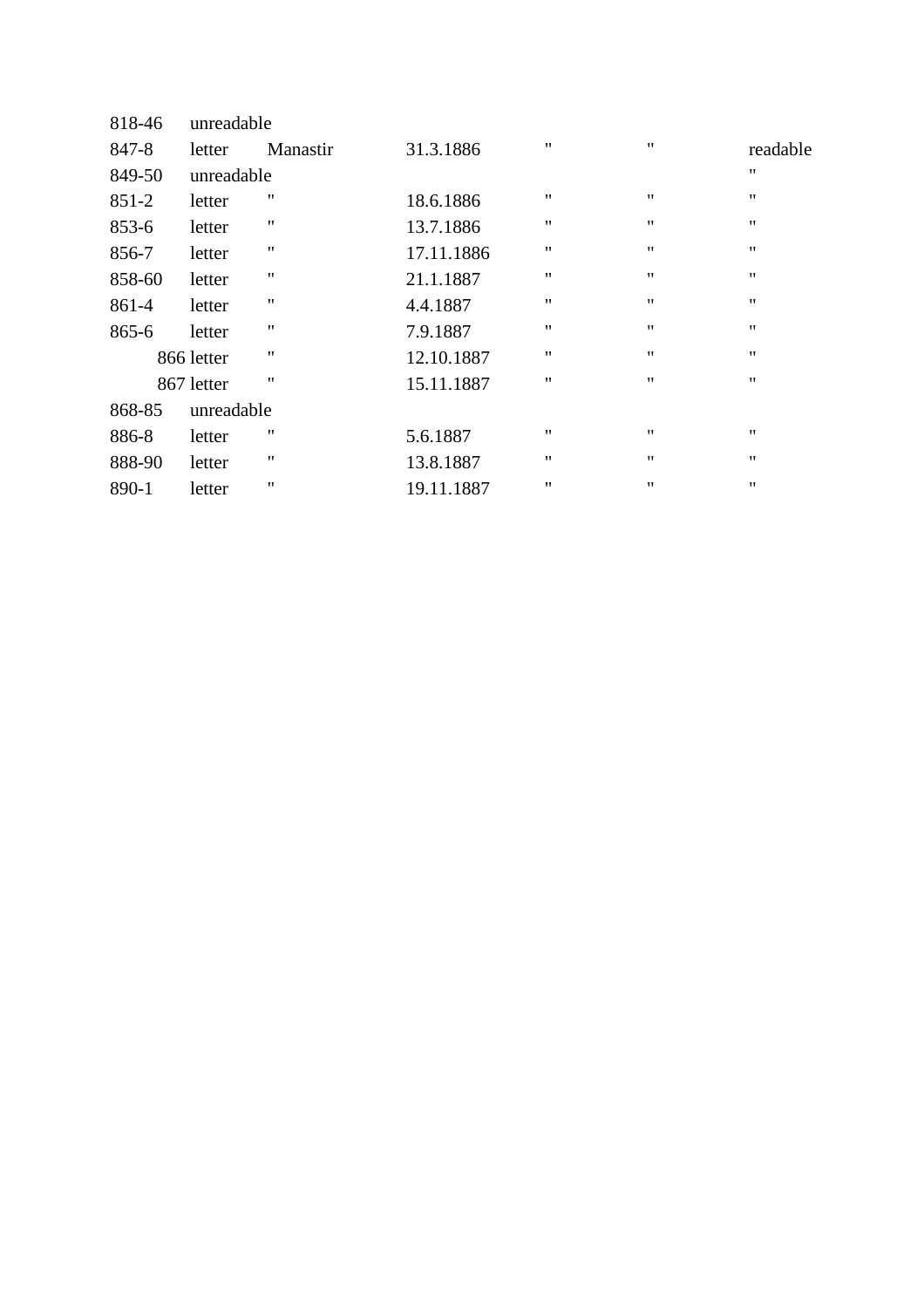| 818-46    | unreadable |          |            |                    |                    |                    |
|-----------|------------|----------|------------|--------------------|--------------------|--------------------|
| 847-8     | letter     | Manastir | 31.3.1886  | $\pmb{\mathsf{H}}$ | $^{\prime\prime}$  | readable           |
| 849-50    | unreadable |          |            |                    |                    | $\pmb{\mathsf{H}}$ |
| $851 - 2$ | letter     | 11       | 18.6.1886  | $\pmb{\mathsf{H}}$ | $^{\prime\prime}$  | $^{\prime\prime}$  |
| 853-6     | letter     | 11       | 13.7.1886  | $\pmb{\mathsf{H}}$ | $^{\prime\prime}$  | $^{\prime\prime}$  |
| 856-7     | letter     | ,,       | 17.11.1886 | $\pmb{\mathsf{H}}$ | $^{\prime\prime}$  | $^{\prime\prime}$  |
| 858-60    | letter     | 11       | 21.1.1887  | $\pmb{\mathsf{H}}$ | $^{\prime\prime}$  | $^{\prime\prime}$  |
| 861-4     | letter     | ,,       | 4.4.1887   | $\pmb{\mathsf{H}}$ | $^{\prime\prime}$  | $^{\prime\prime}$  |
| 865-6     | letter     | 11       | 7.9.1887   | $^{\prime\prime}$  | $^{\prime\prime}$  | $^{\prime\prime}$  |
|           | 866 letter | 11       | 12.10.1887 | $^{\prime\prime}$  | $^{\prime\prime}$  | $^{\prime\prime}$  |
|           | 867 letter | 11       | 15.11.1887 | $^{\prime\prime}$  | $^{\prime\prime}$  | $^{\prime\prime}$  |
| 868-85    | unreadable |          |            |                    |                    |                    |
| 886-8     | letter     | 11       | 5.6.1887   | $^{\prime\prime}$  | $^{\prime\prime}$  | $^{\prime\prime}$  |
| 888-90    | letter     | 11       | 13.8.1887  | $\pmb{\mathsf{H}}$ | 11                 | $^{\prime\prime}$  |
| 890-1     | letter     | ,,       | 19.11.1887 | $\pmb{\mathsf{H}}$ | $\pmb{\mathsf{H}}$ | $\pmb{\mathsf{H}}$ |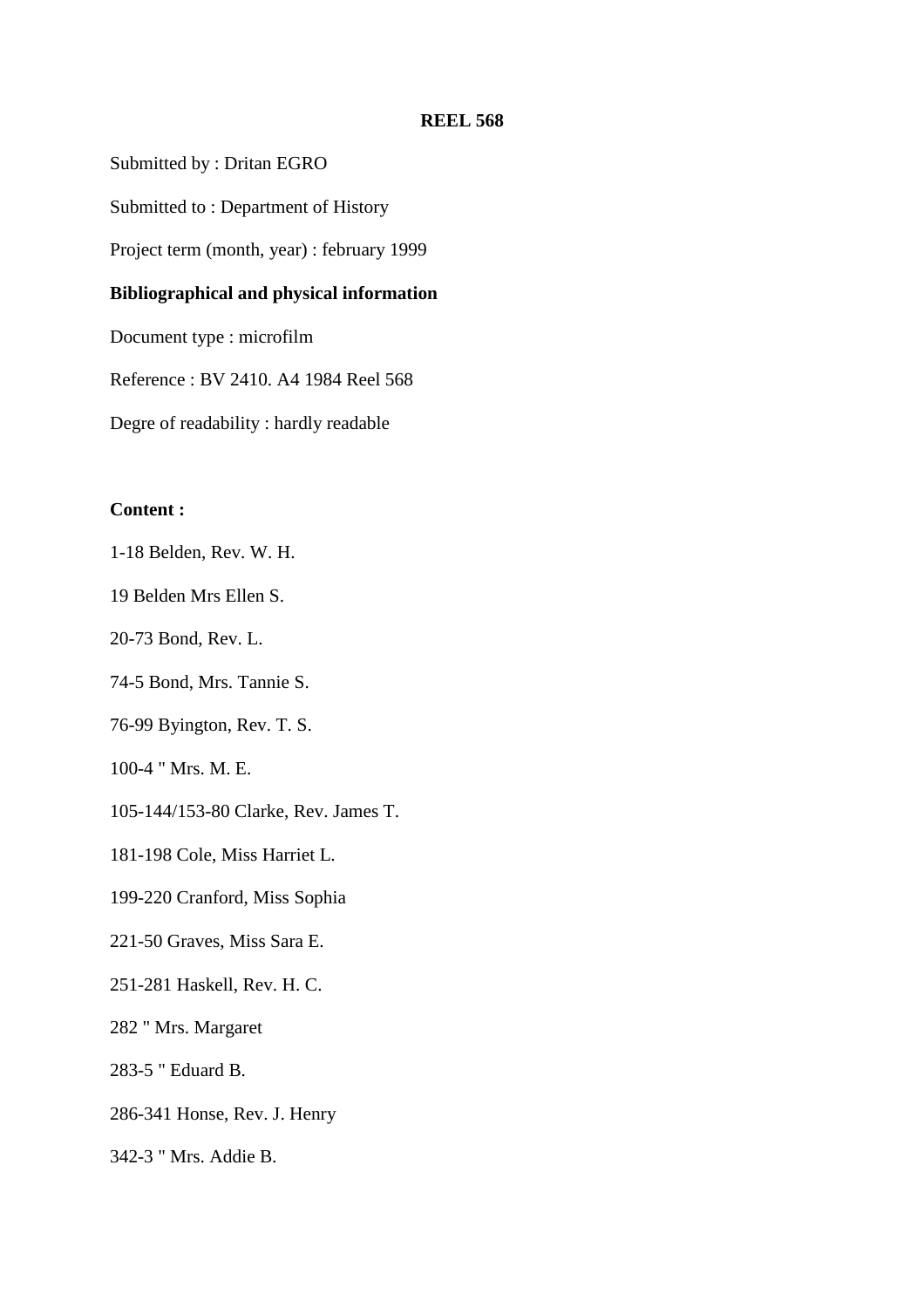Submitted by : Dritan EGRO

Submitted to : Department of History

Project term (month, year) : february 1999

## **Bibliographical and physical information**

Document type : microfilm

Reference : BV 2410. A4 1984 Reel 568

Degre of readability : hardly readable

## **Content :**

1-18 Belden, Rev. W. H.

19 Belden Mrs Ellen S.

20-73 Bond, Rev. L.

74-5 Bond, Mrs. Tannie S.

76-99 Byington, Rev. T. S.

100-4 " Mrs. M. E.

105-144/153-80 Clarke, Rev. James T.

181-198 Cole, Miss Harriet L.

199-220 Cranford, Miss Sophia

- 221-50 Graves, Miss Sara E.
- 251-281 Haskell, Rev. H. C.

282 " Mrs. Margaret

283-5 " Eduard B.

286-341 Honse, Rev. J. Henry

342-3 " Mrs. Addie B.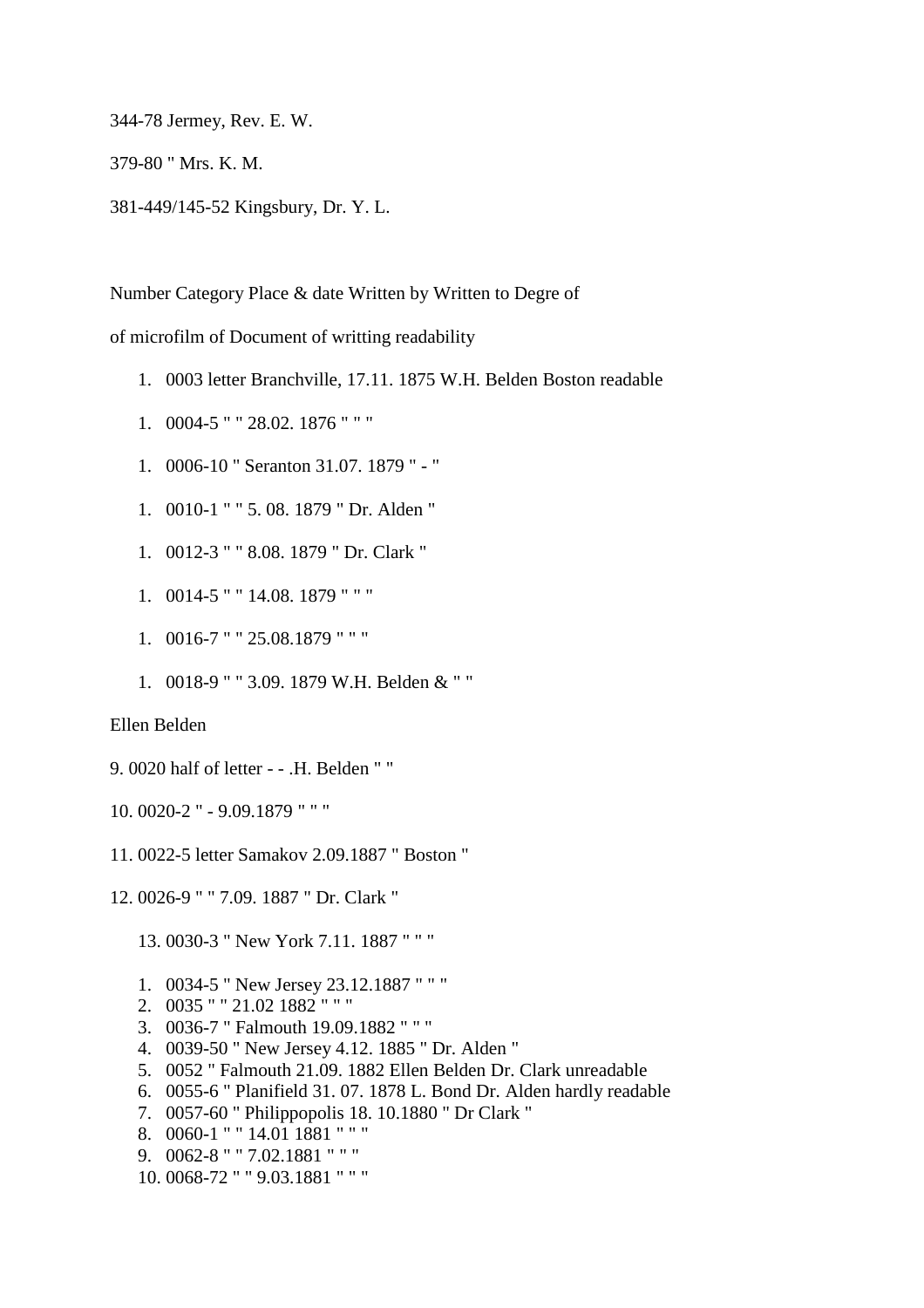344-78 Jermey, Rev. E. W.

379-80 " Mrs. K. M.

381-449/145-52 Kingsbury, Dr. Y. L.

Number Category Place & date Written by Written to Degre of

of microfilm of Document of writting readability

- 1. 0003 letter Branchville, 17.11. 1875 W.H. Belden Boston readable
- 1. 0004-5 " " 28.02. 1876 " " "
- 1. 0006-10 " Seranton 31.07. 1879 " "
- 1. 0010-1 " " 5. 08. 1879 " Dr. Alden "
- 1. 0012-3 " " 8.08. 1879 " Dr. Clark "
- 1. 0014-5 " " 14.08. 1879 " " "
- 1. 0016-7 " " 25.08.1879 " " "
- 1. 0018-9 " " 3.09. 1879 W.H. Belden & " "

Ellen Belden

- 9. 0020 half of letter - .H. Belden " "
- 10. 0020-2 " 9.09.1879 " " "
- 11. 0022-5 letter Samakov 2.09.1887 " Boston "
- 12. 0026-9 " " 7.09. 1887 " Dr. Clark "

13. 0030-3 " New York 7.11. 1887 " " "

- 1. 0034-5 " New Jersey 23.12.1887 " " "
- 2. 0035 " " 21.02 1882 " " "
- 3. 0036-7 " Falmouth 19.09.1882 " " "
- 4. 0039-50 " New Jersey 4.12. 1885 " Dr. Alden "
- 5. 0052 " Falmouth 21.09. 1882 Ellen Belden Dr. Clark unreadable
- 6. 0055-6 " Planifield 31. 07. 1878 L. Bond Dr. Alden hardly readable
- 7. 0057-60 " Philippopolis 18. 10.1880 " Dr Clark "
- 8. 0060-1 " " 14.01 1881 " " "
- 9. 0062-8 " " 7.02.1881 " " "
- 10. 0068-72 " " 9.03.1881 " " "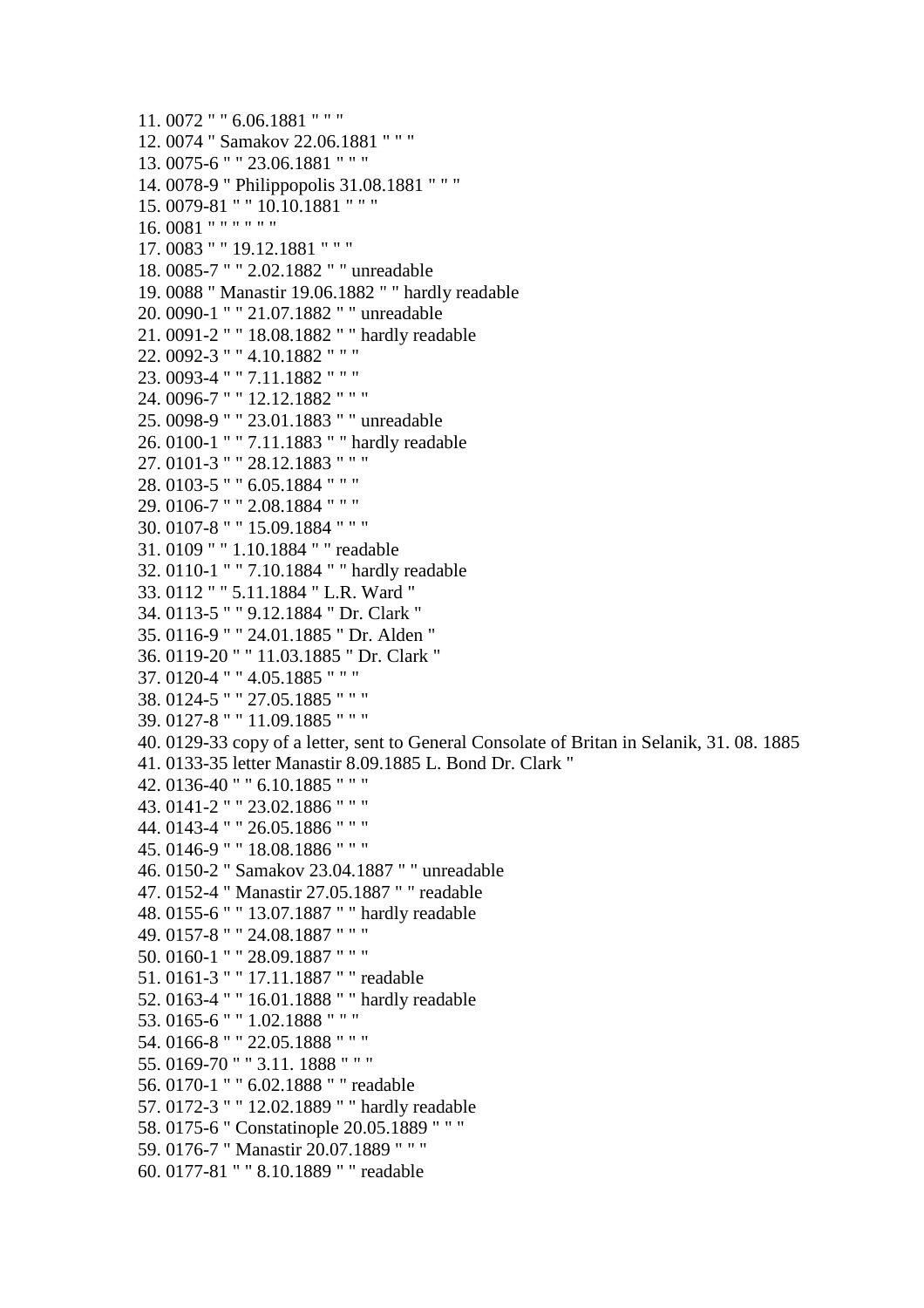11. 0072 " " 6.06.1881 " " " 12. 0074 " Samakov 22.06.1881 " " " 13. 0075-6 " " 23.06.1881 " " " 14. 0078-9 " Philippopolis 31.08.1881 " " " 15. 0079-81 " " 10.10.1881 " " " 16. 0081 " " " " " " 17. 0083 " " 19.12.1881 " " " 18. 0085-7 " " 2.02.1882 " " unreadable 19. 0088 " Manastir 19.06.1882 " " hardly readable 20. 0090-1 " " 21.07.1882 " " unreadable 21. 0091-2 " " 18.08.1882 " " hardly readable 22. 0092-3 " " 4.10.1882 " " " 23. 0093-4 " " 7.11.1882 " " " 24. 0096-7 " " 12.12.1882 " " " 25. 0098-9 " " 23.01.1883 " " unreadable 26. 0100-1 " " 7.11.1883 " " hardly readable 27. 0101-3 " " 28.12.1883 " " " 28. 0103-5 " " 6.05.1884 " " " 29. 0106-7 " " 2.08.1884 " " " 30. 0107-8 " " 15.09.1884 " " " 31. 0109 " " 1.10.1884 " " readable 32. 0110-1 " " 7.10.1884 " " hardly readable 33. 0112 " " 5.11.1884 " L.R. Ward " 34. 0113-5 " " 9.12.1884 " Dr. Clark " 35. 0116-9 " " 24.01.1885 " Dr. Alden " 36. 0119-20 " " 11.03.1885 " Dr. Clark " 37. 0120-4 " " 4.05.1885 " " " 38. 0124-5 " " 27.05.1885 " " " 39. 0127-8 " " 11.09.1885 " " " 40. 0129-33 copy of a letter, sent to General Consolate of Britan in Selanik, 31. 08. 1885 41. 0133-35 letter Manastir 8.09.1885 L. Bond Dr. Clark " 42. 0136-40 " " 6.10.1885 " " " 43. 0141-2 " " 23.02.1886 " " " 44. 0143-4 " " 26.05.1886 " " " 45. 0146-9 " " 18.08.1886 " " " 46. 0150-2 " Samakov 23.04.1887 " " unreadable 47. 0152-4 " Manastir 27.05.1887 " " readable 48. 0155-6 " " 13.07.1887 " " hardly readable 49. 0157-8 " " 24.08.1887 " " " 50. 0160-1 " " 28.09.1887 " " " 51. 0161-3 " " 17.11.1887 " " readable 52. 0163-4 " " 16.01.1888 " " hardly readable 53. 0165-6 " " 1.02.1888 " " " 54. 0166-8 " " 22.05.1888 " " " 55. 0169-70 " " 3.11. 1888 " " " 56. 0170-1 " " 6.02.1888 " " readable 57. 0172-3 " " 12.02.1889 " " hardly readable 58. 0175-6 " Constatinople 20.05.1889 " " " 59. 0176-7 " Manastir 20.07.1889 " " " 60. 0177-81 " " 8.10.1889 " " readable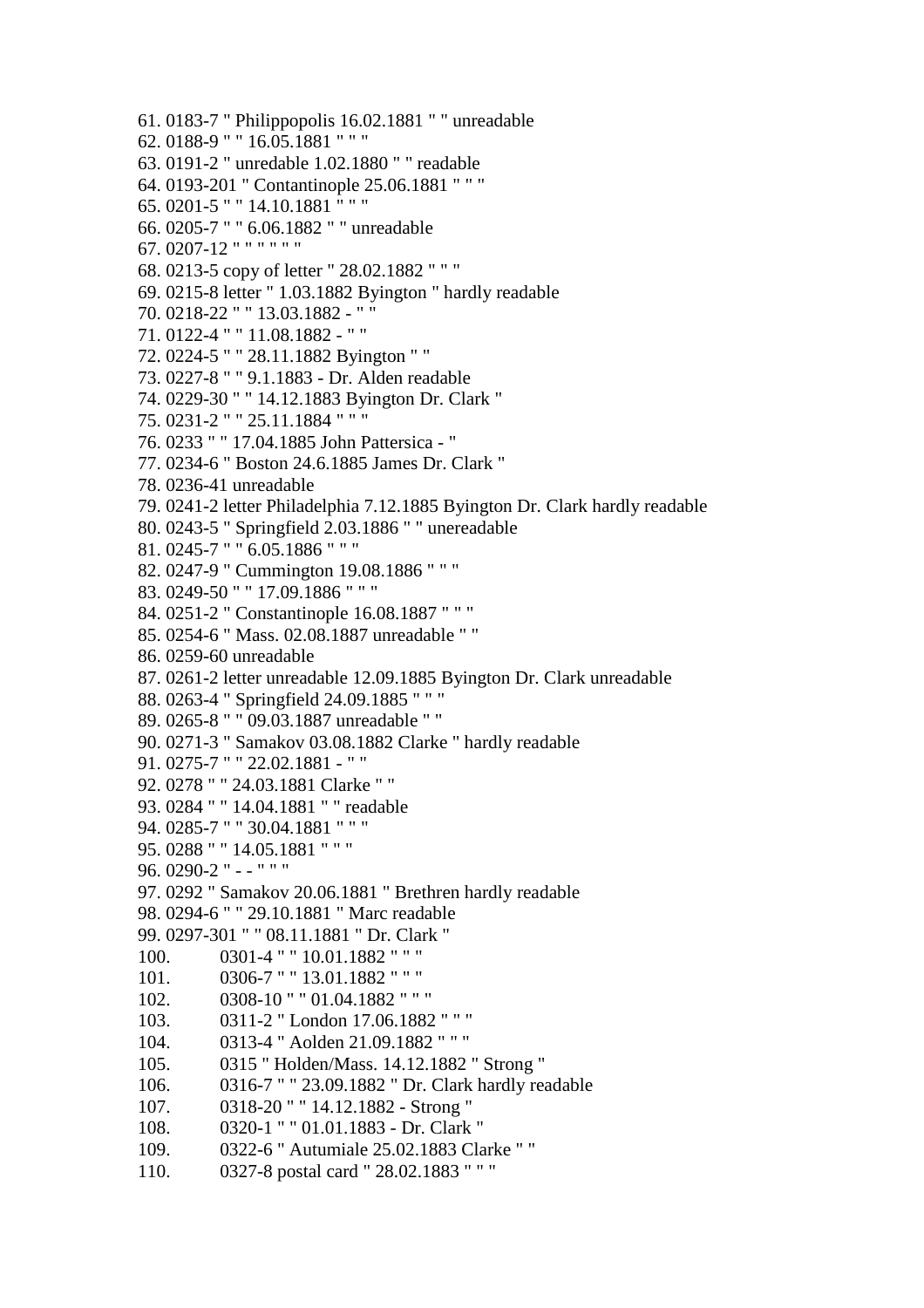61. 0183-7 " Philippopolis 16.02.1881 " " unreadable 62. 0188-9 " " 16.05.1881 " " " 63. 0191-2 " unredable 1.02.1880 " " readable 64. 0193-201 " Contantinople 25.06.1881 " " " 65. 0201-5 " " 14.10.1881 " " " 66. 0205-7 " " 6.06.1882 " " unreadable 67. 0207-12 " " " " " " 68. 0213-5 copy of letter " 28.02.1882 " " " 69. 0215-8 letter " 1.03.1882 Byington " hardly readable 70. 0218-22 " " 13.03.1882 - " " 71. 0122-4 " " 11.08.1882 - " " 72. 0224-5 " " 28.11.1882 Byington " " 73. 0227-8 " " 9.1.1883 - Dr. Alden readable 74. 0229-30 " " 14.12.1883 Byington Dr. Clark " 75. 0231-2 " " 25.11.1884 " " " 76. 0233 " " 17.04.1885 John Pattersica - " 77. 0234-6 " Boston 24.6.1885 James Dr. Clark " 78. 0236-41 unreadable 79. 0241-2 letter Philadelphia 7.12.1885 Byington Dr. Clark hardly readable 80. 0243-5 " Springfield 2.03.1886 " " unereadable 81. 0245-7 " " 6.05.1886 " " " 82. 0247-9 " Cummington 19.08.1886 " " " 83. 0249-50 " " 17.09.1886 " " " 84. 0251-2 " Constantinople 16.08.1887 " " " 85. 0254-6 " Mass. 02.08.1887 unreadable " " 86. 0259-60 unreadable 87. 0261-2 letter unreadable 12.09.1885 Byington Dr. Clark unreadable 88. 0263-4 " Springfield 24.09.1885 " " " 89. 0265-8 " " 09.03.1887 unreadable " " 90. 0271-3 " Samakov 03.08.1882 Clarke " hardly readable 91. 0275-7 " " 22.02.1881 - " " 92. 0278 " " 24.03.1881 Clarke " " 93. 0284 " " 14.04.1881 " " readable 94. 0285-7 " " 30.04.1881 " " " 95. 0288 " " 14.05.1881 " " " 96. 0290-2 " - - " " " 97. 0292 " Samakov 20.06.1881 " Brethren hardly readable 98. 0294-6 " " 29.10.1881 " Marc readable 99. 0297-301 " " 08.11.1881 " Dr. Clark " 100. 0301-4 " " 10.01.1882 " " " 101. 0306-7 " " 13.01.1882 " " " 102. 0308-10 " " 01.04.1882 " " " 103. 0311-2 " London 17.06.1882 " " " 104. 0313-4 " Aolden 21.09.1882 " " " 105. 0315 " Holden/Mass. 14.12.1882 " Strong " 106. 0316-7 " " 23.09.1882 " Dr. Clark hardly readable 107. 0318-20 " " 14.12.1882 - Strong " 108. 0320-1 " " 01.01.1883 - Dr. Clark " 109. 0322-6 " Autumiale 25.02.1883 Clarke " " 110. 0327-8 postal card " 28.02.1883 " " "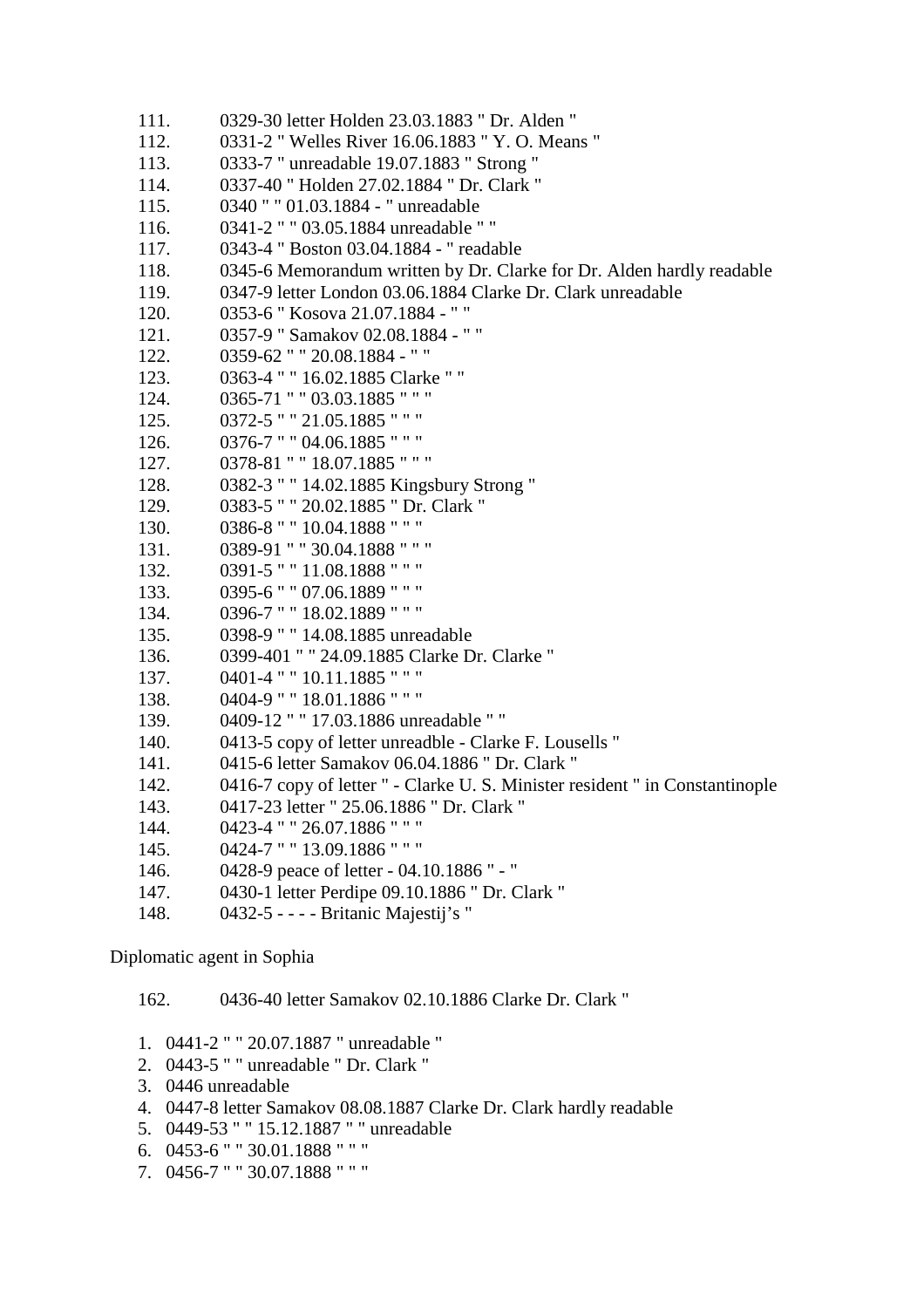```
111. 0329-30 letter Holden 23.03.1883 " Dr. Alden " 
112. 0331-2 " Welles River 16.06.1883 " Y. O. Means " 
113. 0333-7 " unreadable 19.07.1883 " Strong " 
114. 0337-40 " Holden 27.02.1884 " Dr. Clark " 
115. 0340 " " 01.03.1884 - " unreadable 
116. 0341-2 " " 03.05.1884 unreadable " " 
117. 0343-4 " Boston 03.04.1884 - " readable 
118. 0345-6 Memorandum written by Dr. Clarke for Dr. Alden hardly readable 
119. 0347-9 letter London 03.06.1884 Clarke Dr. Clark unreadable 
120. 0353-6 " Kosova 21.07.1884 - " " 
121. 0357-9 " Samakov 02.08.1884 - " " 
122. 0359-62 " " 20.08.1884 - " " 
123. 0363-4 " " 16.02.1885 Clarke " " 
124. 0365-71 " " 03.03.1885 " " " 
125. 0372-5 " " 21.05.1885 " " " 
126. 0376-7 " " 04.06.1885 " " " 
127. 0378-81 " " 18.07.1885 " " " 
128. 0382-3 " " 14.02.1885 Kingsbury Strong " 
129. 0383-5 " " 20.02.1885 " Dr. Clark " 
130. 0386-8 " " 10.04.1888 " " " 
131. 0389-91 " " 30.04.1888 " " " 
132. 0391-5 " " 11.08.1888 " " " 
133. 0395-6 " " 07.06.1889 " " " 
134. 0396-7 " " 18.02.1889 " " " 
135. 0398-9 " " 14.08.1885 unreadable 
136. 0399-401 " " 24.09.1885 Clarke Dr. Clarke " 
137. 0401-4 " " 10.11.1885 " " " 
138. 0404-9 " " 18.01.1886 " " " 
139. 0409-12 " " 17.03.1886 unreadable " " 
140. 0413-5 copy of letter unreadble - Clarke F. Lousells " 
141. 0415-6 letter Samakov 06.04.1886 " Dr. Clark " 
142. 0416-7 copy of letter " - Clarke U. S. Minister resident " in Constantinople 
143. 0417-23 letter " 25.06.1886 " Dr. Clark " 
144. 0423-4 " " 26.07.1886 " " " 
145. 0424-7 " " 13.09.1886 " " " 
146. 0428-9 peace of letter - 04.10.1886 " - " 
147. 0430-1 letter Perdipe 09.10.1886 " Dr. Clark " 
148. 0432-5 - - - - Britanic Majestij's "
```
Diplomatic agent in Sophia

162. 0436-40 letter Samakov 02.10.1886 Clarke Dr. Clark "

- 1. 0441-2 " " 20.07.1887 " unreadable "
- 2. 0443-5 " " unreadable " Dr. Clark "
- 3. 0446 unreadable
- 4. 0447-8 letter Samakov 08.08.1887 Clarke Dr. Clark hardly readable
- 5. 0449-53 " " 15.12.1887 " " unreadable
- 6. 0453-6 " " 30.01.1888 " " "
- 7. 0456-7 " " 30.07.1888 " " "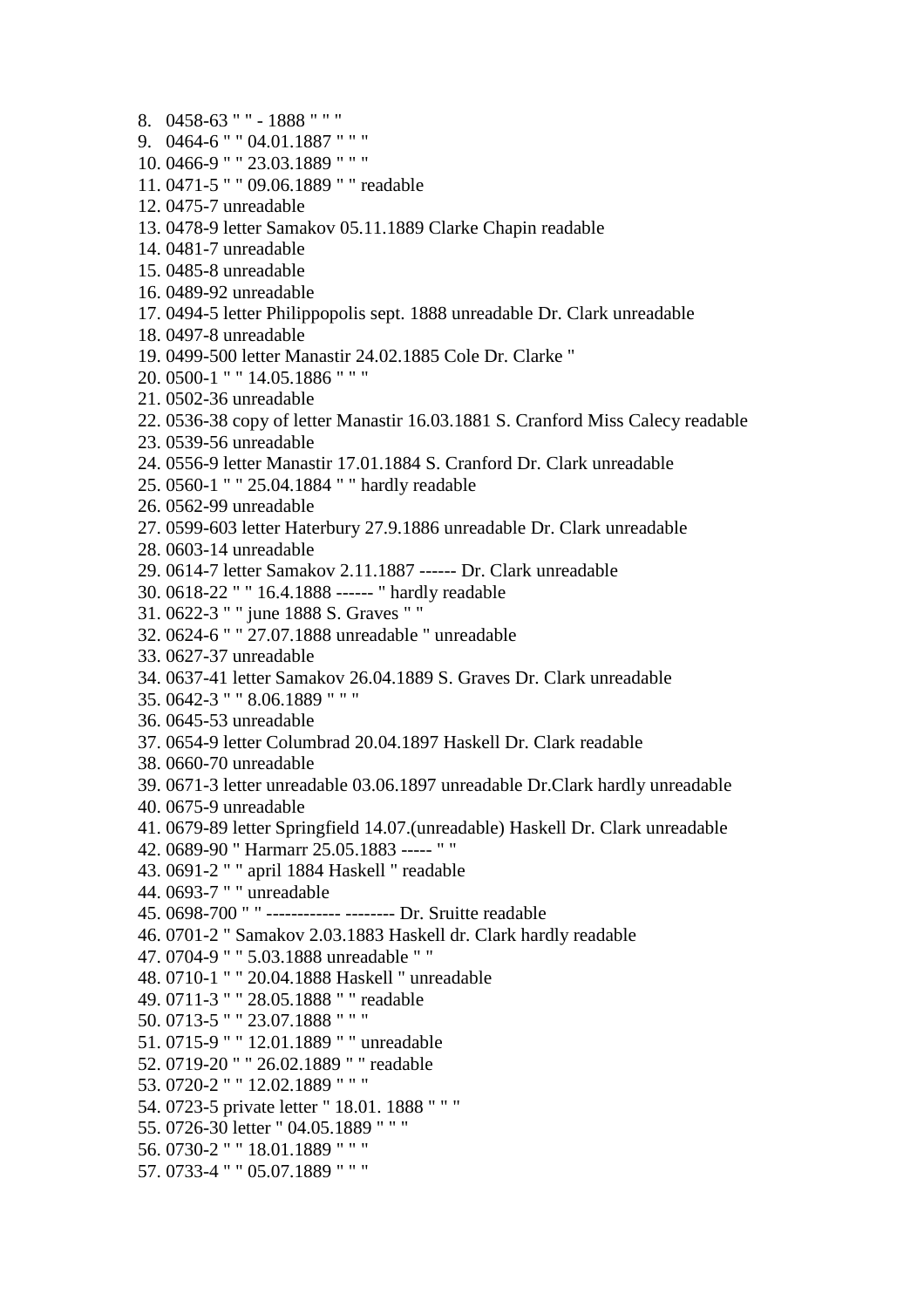8. 0458-63 " " - 1888 " " " 9. 0464-6 " " 04.01.1887 " " " 10. 0466-9 " " 23.03.1889 " " " 11. 0471-5 " " 09.06.1889 " " readable 12. 0475-7 unreadable 13. 0478-9 letter Samakov 05.11.1889 Clarke Chapin readable 14. 0481-7 unreadable 15. 0485-8 unreadable 16. 0489-92 unreadable 17. 0494-5 letter Philippopolis sept. 1888 unreadable Dr. Clark unreadable 18. 0497-8 unreadable 19. 0499-500 letter Manastir 24.02.1885 Cole Dr. Clarke " 20. 0500-1 " " 14.05.1886 " " " 21. 0502-36 unreadable 22. 0536-38 copy of letter Manastir 16.03.1881 S. Cranford Miss Calecy readable 23. 0539-56 unreadable 24. 0556-9 letter Manastir 17.01.1884 S. Cranford Dr. Clark unreadable 25. 0560-1 " " 25.04.1884 " " hardly readable 26. 0562-99 unreadable 27. 0599-603 letter Haterbury 27.9.1886 unreadable Dr. Clark unreadable 28. 0603-14 unreadable 29. 0614-7 letter Samakov 2.11.1887 ------ Dr. Clark unreadable 30. 0618-22 " " 16.4.1888 ------ " hardly readable 31. 0622-3 " " june 1888 S. Graves " " 32. 0624-6 " " 27.07.1888 unreadable " unreadable 33. 0627-37 unreadable 34. 0637-41 letter Samakov 26.04.1889 S. Graves Dr. Clark unreadable 35. 0642-3 " " 8.06.1889 " " " 36. 0645-53 unreadable 37. 0654-9 letter Columbrad 20.04.1897 Haskell Dr. Clark readable 38. 0660-70 unreadable 39. 0671-3 letter unreadable 03.06.1897 unreadable Dr.Clark hardly unreadable 40. 0675-9 unreadable 41. 0679-89 letter Springfield 14.07.(unreadable) Haskell Dr. Clark unreadable 42. 0689-90 " Harmarr 25.05.1883 ----- " " 43. 0691-2 " " april 1884 Haskell " readable 44. 0693-7 " " unreadable 45. 0698-700 " " ------------ -------- Dr. Sruitte readable 46. 0701-2 " Samakov 2.03.1883 Haskell dr. Clark hardly readable 47. 0704-9 " " 5.03.1888 unreadable " " 48. 0710-1 " " 20.04.1888 Haskell " unreadable 49. 0711-3 " " 28.05.1888 " " readable 50. 0713-5 " " 23.07.1888 " " " 51. 0715-9 " " 12.01.1889 " " unreadable 52. 0719-20 " " 26.02.1889 " " readable 53. 0720-2 " " 12.02.1889 " " " 54. 0723-5 private letter " 18.01. 1888 " " " 55. 0726-30 letter " 04.05.1889 " " " 56. 0730-2 " " 18.01.1889 " " " 57. 0733-4 " " 05.07.1889 " " "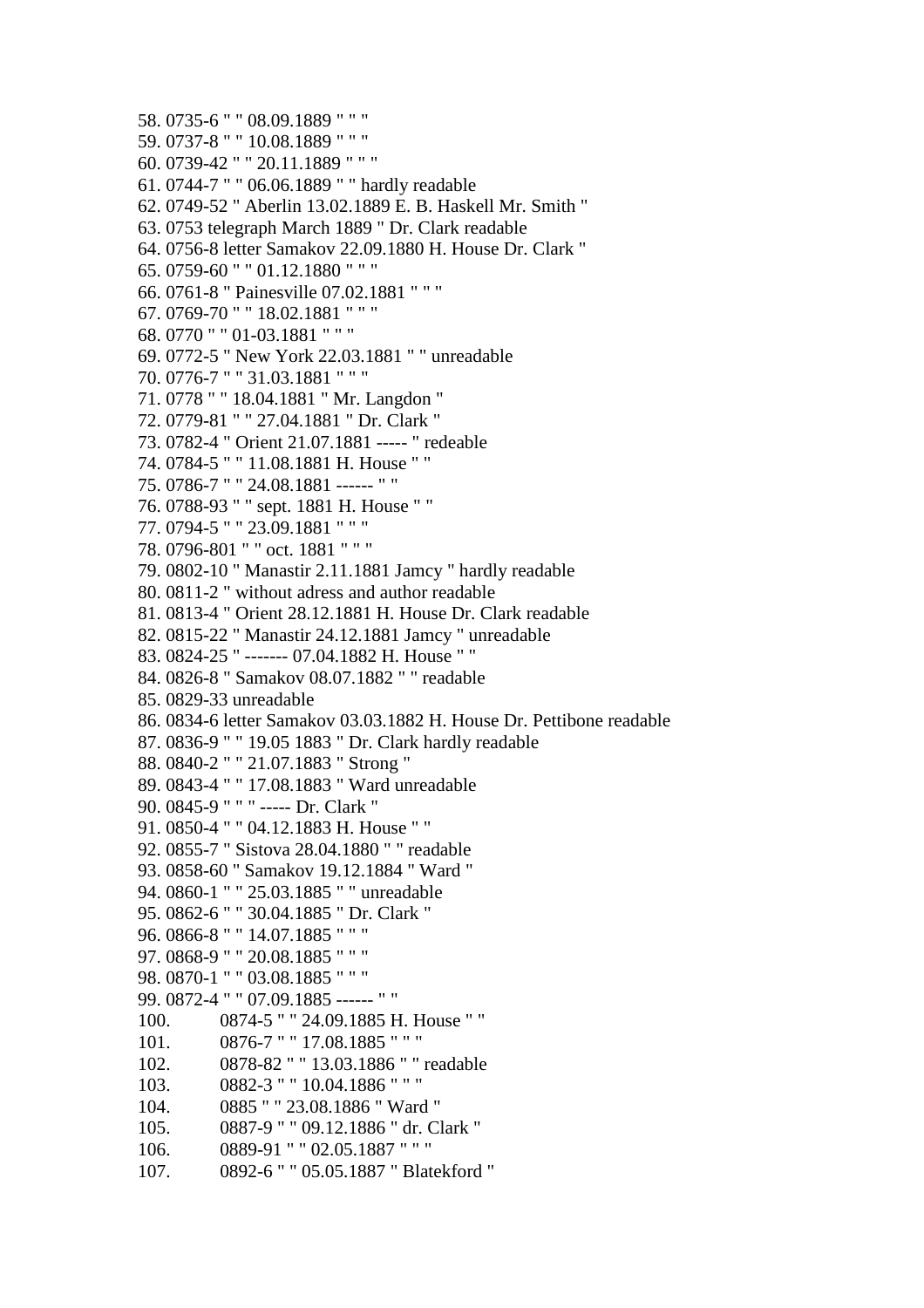```
58. 0735-6 " " 08.09.1889 " " " 
59. 0737-8 " " 10.08.1889 " " " 
60. 0739-42 " " 20.11.1889 " " " 
61. 0744-7 " " 06.06.1889 " " hardly readable 
62. 0749-52 " Aberlin 13.02.1889 E. B. Haskell Mr. Smith " 
63. 0753 telegraph March 1889 " Dr. Clark readable 
64. 0756-8 letter Samakov 22.09.1880 H. House Dr. Clark " 
65. 0759-60 " " 01.12.1880 " " " 
66. 0761-8 " Painesville 07.02.1881 " " " 
67. 0769-70 " " 18.02.1881 " " " 
68. 0770 " " 01-03.1881 " " " 
69. 0772-5 " New York 22.03.1881 " " unreadable 
70. 0776-7 " " 31.03.1881 " " " 
71. 0778 " " 18.04.1881 " Mr. Langdon " 
72. 0779-81 " " 27.04.1881 " Dr. Clark " 
73. 0782-4 " Orient 21.07.1881 ----- " redeable 
74. 0784-5 " " 11.08.1881 H. House " " 
75. 0786-7 " " 24.08.1881 ------ " " 
76. 0788-93 " " sept. 1881 H. House " " 
77. 0794-5 " " 23.09.1881 " " " 
78. 0796-801 " " oct. 1881 " " " 
79. 0802-10 " Manastir 2.11.1881 Jamcy " hardly readable 
80. 0811-2 " without adress and author readable 
81. 0813-4 " Orient 28.12.1881 H. House Dr. Clark readable 
82. 0815-22 " Manastir 24.12.1881 Jamcy " unreadable 
83. 0824-25 " ------- 07.04.1882 H. House " " 
84. 0826-8 " Samakov 08.07.1882 " " readable 
85. 0829-33 unreadable 
86. 0834-6 letter Samakov 03.03.1882 H. House Dr. Pettibone readable 
87. 0836-9 " " 19.05 1883 " Dr. Clark hardly readable 
88. 0840-2 " " 21.07.1883 " Strong " 
89. 0843-4 " " 17.08.1883 " Ward unreadable 
90. 0845-9 " " " ----- Dr. Clark " 
91. 0850-4 " " 04.12.1883 H. House " " 
92. 0855-7 " Sistova 28.04.1880 " " readable 
93. 0858-60 " Samakov 19.12.1884 " Ward " 
94. 0860-1 " " 25.03.1885 " " unreadable 
95. 0862-6 " " 30.04.1885 " Dr. Clark " 
96. 0866-8 " " 14.07.1885 " " " 
97. 0868-9 " " 20.08.1885 " " " 
98. 0870-1 " " 03.08.1885 " " " 
99. 0872-4 " " 07.09.1885 ------ " " 
100. 0874-5 " " 24.09.1885 H. House " " 
101. 0876-7 " " 17.08.1885 " " " 
102. 0878-82 " " 13.03.1886 " " readable 
103. 0882-3 " " 10.04.1886 " " " 
104. 0885 " " 23.08.1886 " Ward " 
105. 0887-9 " " 09.12.1886 " dr. Clark " 
106. 0889-91 " " 02.05.1887 " " " 
107. 0892-6 " " 05.05.1887 " Blatekford "
```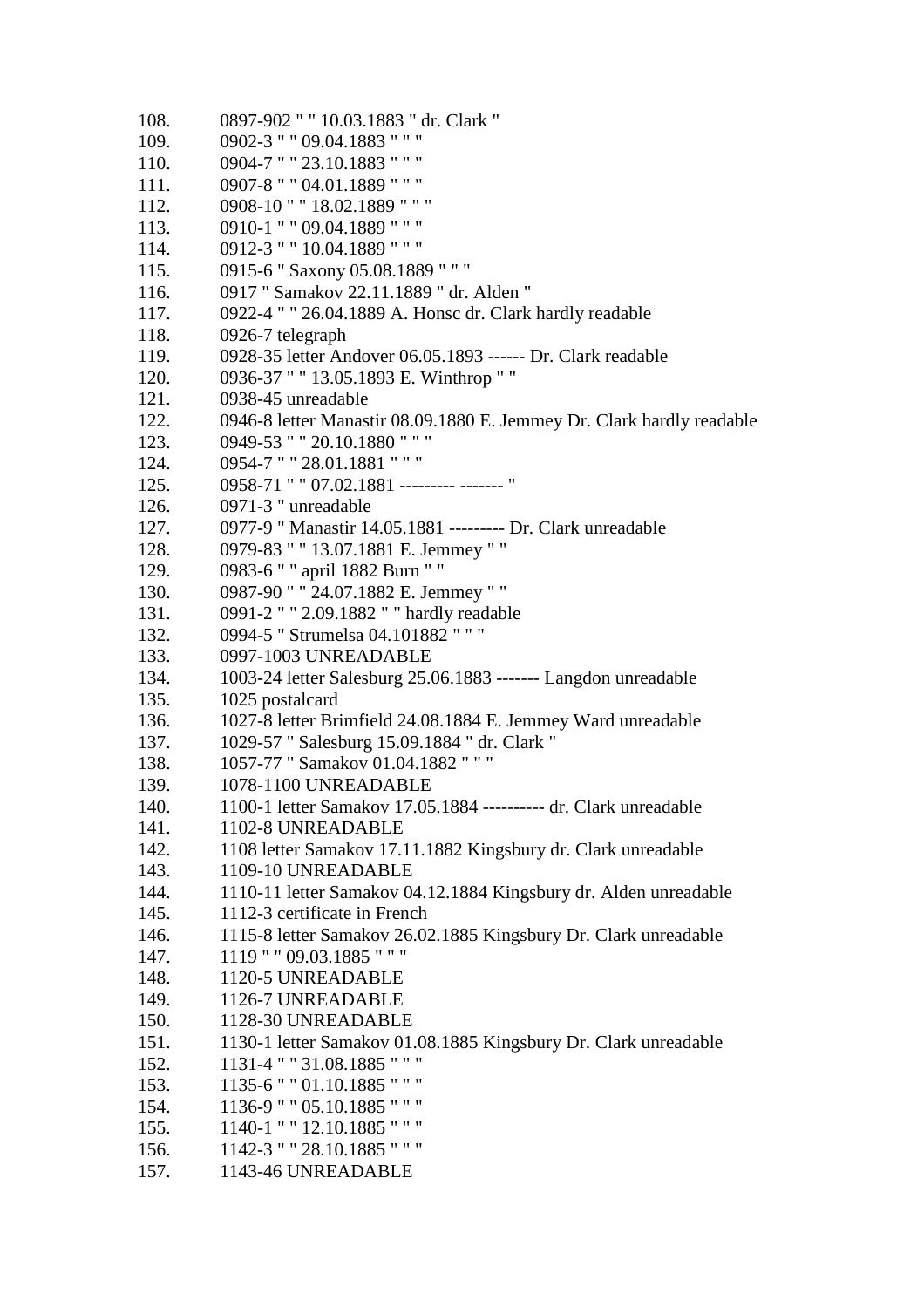108. 0897-902 " " 10.03.1883 " dr. Clark " 109. 0902-3 " " 09.04.1883 " " " 110. 0904-7 " " 23.10.1883 " " " 111. 0907-8 " " 04.01.1889 " " " 112. 0908-10 " " 18.02.1889 " " " 113. 0910-1 " " 09.04.1889 " " " 114. 0912-3 " " 10.04.1889 " " " 115. 0915-6 " Saxony 05.08.1889 " " " 116. 0917 " Samakov 22.11.1889 " dr. Alden " 117. 0922-4 " " 26.04.1889 A. Honsc dr. Clark hardly readable 118. 0926-7 telegraph 119. 0928-35 letter Andover 06.05.1893 ------ Dr. Clark readable 120. 0936-37 " " 13.05.1893 E. Winthrop " " 121. 0938-45 unreadable 122. 0946-8 letter Manastir 08.09.1880 E. Jemmey Dr. Clark hardly readable 123. 0949-53 " " 20.10.1880 " " " 124. 0954-7 " " 28.01.1881 " " " 125. 0958-71 " " 07.02.1881 --------- ------- " 126. 0971-3 " unreadable 127. 0977-9 " Manastir 14.05.1881 --------- Dr. Clark unreadable 128. 0979-83 " " 13.07.1881 E. Jemmey " " 129. 0983-6 " " april 1882 Burn " " 130. 0987-90 " " 24.07.1882 E. Jemmey " " 131. 0991-2 " " 2.09.1882 " " hardly readable 132. 0994-5 " Strumelsa 04.101882 " " " 133. 0997-1003 UNREADABLE 134. 1003-24 letter Salesburg 25.06.1883 ------- Langdon unreadable 135. 1025 postalcard 136. 1027-8 letter Brimfield 24.08.1884 E. Jemmey Ward unreadable 137. 1029-57 " Salesburg 15.09.1884 " dr. Clark " 138. 1057-77 " Samakov 01.04.1882 " " " 139. 1078-1100 UNREADABLE 140. 1100-1 letter Samakov 17.05.1884 ---------- dr. Clark unreadable 141. 1102-8 UNREADABLE 142. 1108 letter Samakov 17.11.1882 Kingsbury dr. Clark unreadable 143. 1109-10 UNREADABLE 144. 1110-11 letter Samakov 04.12.1884 Kingsbury dr. Alden unreadable 145. 1112-3 certificate in French 146. 1115-8 letter Samakov 26.02.1885 Kingsbury Dr. Clark unreadable 147. 1119 " " 09.03.1885 " " " 148. 1120-5 UNREADABLE 149. 1126-7 UNREADABLE 150. 1128-30 UNREADABLE 151. 1130-1 letter Samakov 01.08.1885 Kingsbury Dr. Clark unreadable 152. 1131-4 " " 31.08.1885 " " " 153. 1135-6 " " 01.10.1885 " " " 154. 1136-9 " " 05.10.1885 " " " 155. 1140-1 " " 12.10.1885 " " " 156. 1142-3 " " 28.10.1885 " " " 157. 1143-46 UNREADABLE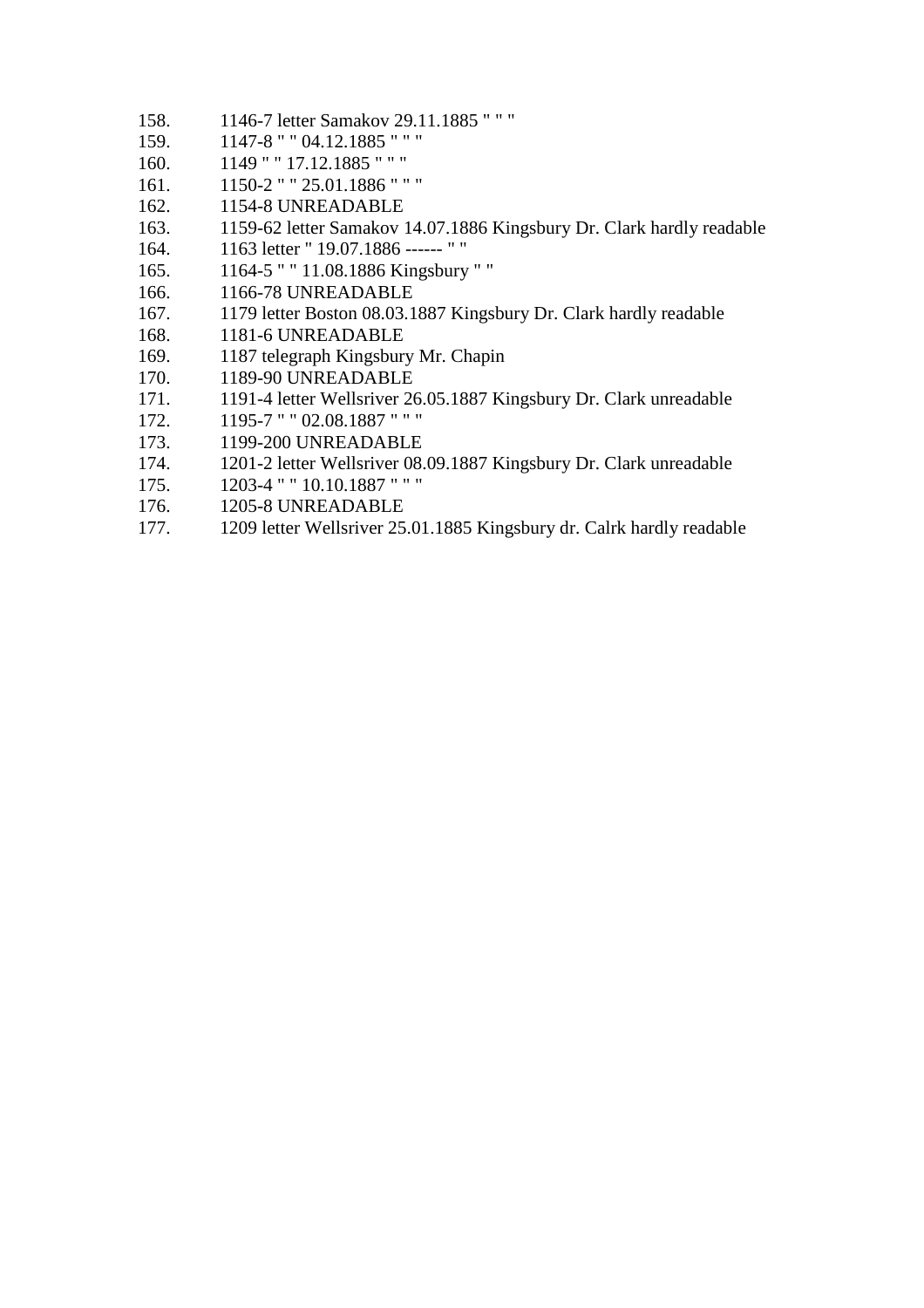- 158. 1146-7 letter Samakov 29.11.1885 " " "
- 159. 1147-8 " " 04.12.1885 " " "
- 160. 1149 " " 17.12.1885 " " "
- 161. 1150-2 " " 25.01.1886 " " "
- 162. 1154-8 UNREADABLE
- 163. 1159-62 letter Samakov 14.07.1886 Kingsbury Dr. Clark hardly readable
- 164. 1163 letter " 19.07.1886 ------ " "
- 165. 1164-5 " " 11.08.1886 Kingsbury " "
- 166. 1166-78 UNREADABLE
- 167. 1179 letter Boston 08.03.1887 Kingsbury Dr. Clark hardly readable
- 168. 1181-6 UNREADABLE
- 169. 1187 telegraph Kingsbury Mr. Chapin
- 170. 1189-90 UNREADABLE
- 171. 1191-4 letter Wellsriver 26.05.1887 Kingsbury Dr. Clark unreadable
- 172. 1195-7 " " 02.08.1887 " " "
- 173. 1199-200 UNREADABLE
- 174. 1201-2 letter Wellsriver 08.09.1887 Kingsbury Dr. Clark unreadable
- 175. 1203-4 " " 10.10.1887 " " "
- 176. 1205-8 UNREADABLE
- 177. 1209 letter Wellsriver 25.01.1885 Kingsbury dr. Calrk hardly readable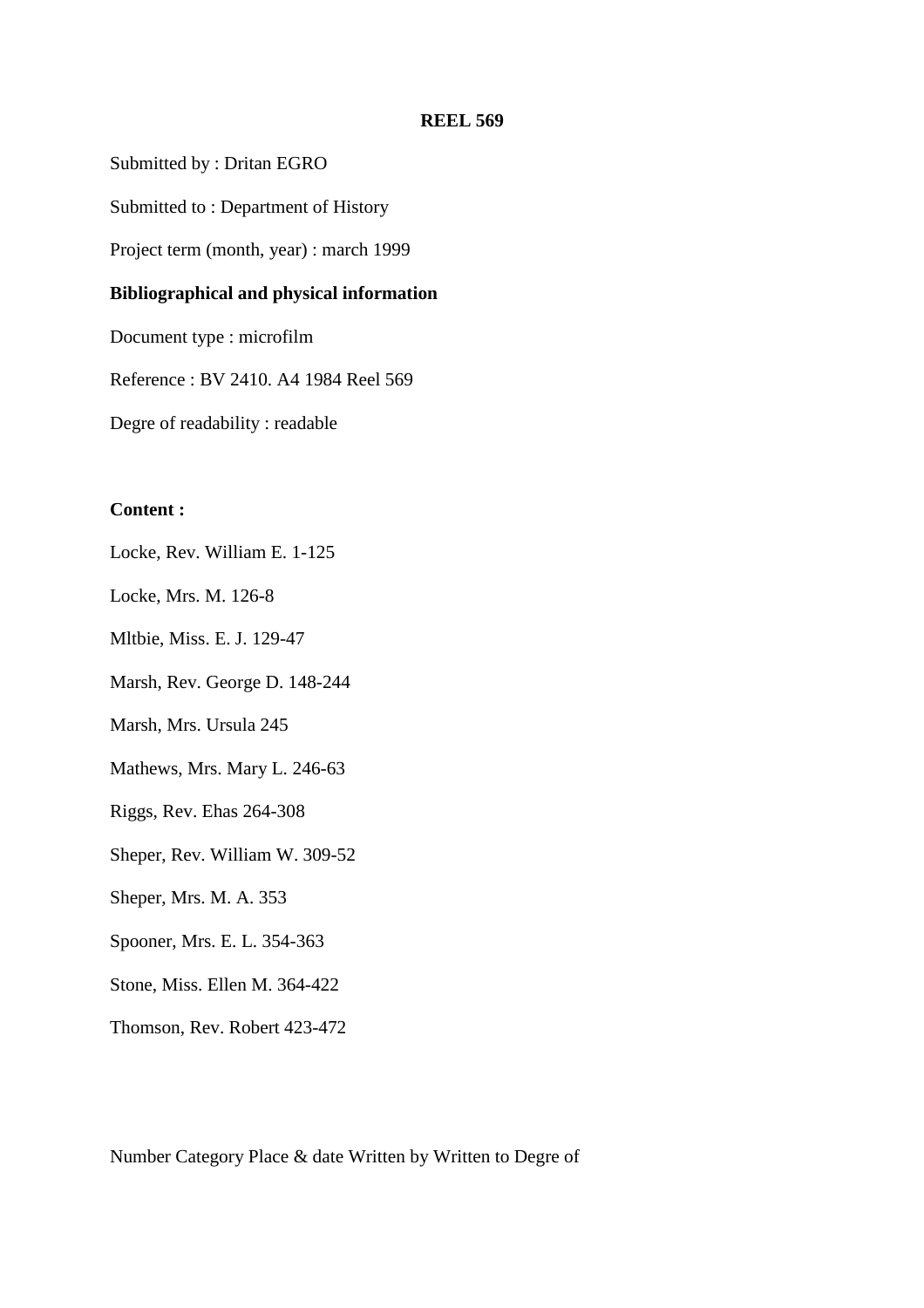Submitted by : Dritan EGRO

Submitted to : Department of History

Project term (month, year) : march 1999

### **Bibliographical and physical information**

Document type : microfilm

Reference : BV 2410. A4 1984 Reel 569

Degre of readability : readable

## **Content :**

Locke, Rev. William E. 1-125

Locke, Mrs. M. 126-8

Mltbie, Miss. E. J. 129-47

Marsh, Rev. George D. 148-244

Marsh, Mrs. Ursula 245

Mathews, Mrs. Mary L. 246-63

Riggs, Rev. Ehas 264-308

Sheper, Rev. William W. 309-52

Sheper, Mrs. M. A. 353

Spooner, Mrs. E. L. 354-363

Stone, Miss. Ellen M. 364-422

Thomson, Rev. Robert 423-472

Number Category Place & date Written by Written to Degre of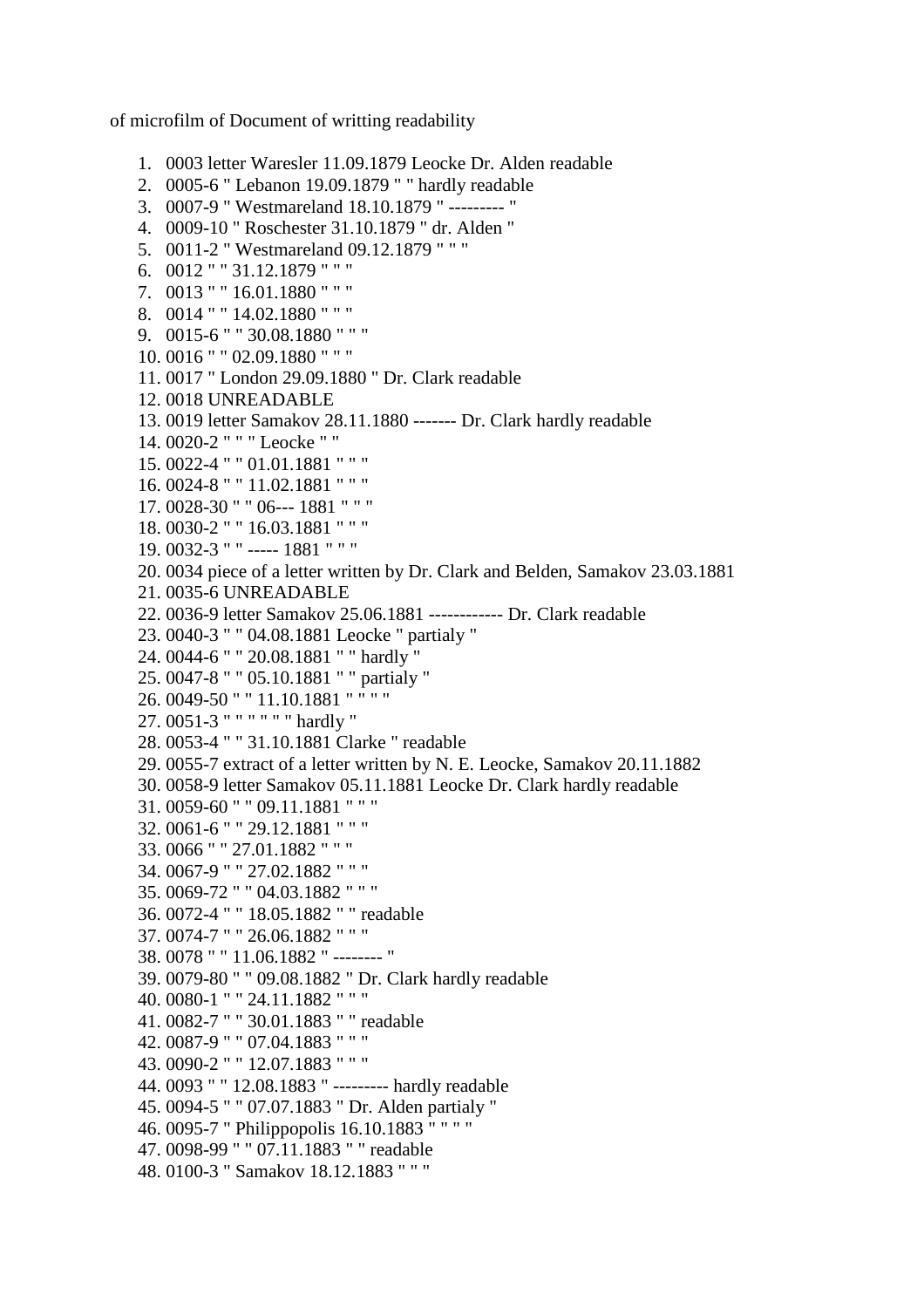of microfilm of Document of writting readability

- 1. 0003 letter Waresler 11.09.1879 Leocke Dr. Alden readable
- 2. 0005-6 " Lebanon 19.09.1879 " " hardly readable
- 3. 0007-9 " Westmareland 18.10.1879 " --------- "
- 4. 0009-10 " Roschester 31.10.1879 " dr. Alden "
- 5. 0011-2 " Westmareland 09.12.1879 " " "
- 6. 0012 " " 31.12.1879 " " "
- 7. 0013 " " 16.01.1880 " " "
- 8. 0014 " " 14.02.1880 " " "
- 9. 0015-6 " " 30.08.1880 " " "
- 10. 0016 " " 02.09.1880 " " "
- 11. 0017 " London 29.09.1880 " Dr. Clark readable
- 12. 0018 UNREADABLE
- 13. 0019 letter Samakov 28.11.1880 ------- Dr. Clark hardly readable
- 14. 0020-2 " " " Leocke " "
- 15. 0022-4 " " 01.01.1881 " " "
- 16. 0024-8 " " 11.02.1881 " " "
- 17. 0028-30 " " 06--- 1881 " " "
- 18. 0030-2 " " 16.03.1881 " " "
- 19. 0032-3 " " ----- 1881 " " "
- 20. 0034 piece of a letter written by Dr. Clark and Belden, Samakov 23.03.1881
- 21. 0035-6 UNREADABLE
- 22. 0036-9 letter Samakov 25.06.1881 ------------ Dr. Clark readable
- 23. 0040-3 " " 04.08.1881 Leocke " partialy "
- 24. 0044-6 " " 20.08.1881 " " hardly "
- 25. 0047-8 " " 05.10.1881 " " partialy "
- 26. 0049-50 " " 11.10.1881 " " " "
- 27. 0051-3 " " " " " " hardly "
- 28. 0053-4 " " 31.10.1881 Clarke " readable
- 29. 0055-7 extract of a letter written by N. E. Leocke, Samakov 20.11.1882
- 30. 0058-9 letter Samakov 05.11.1881 Leocke Dr. Clark hardly readable
- 31. 0059-60 " " 09.11.1881 " " "
- 32. 0061-6 " " 29.12.1881 " " "
- 33. 0066 " " 27.01.1882 " " "
- 34. 0067-9 " " 27.02.1882 " " "
- 35. 0069-72 " " 04.03.1882 " " "
- 36. 0072-4 " " 18.05.1882 " " readable
- 37. 0074-7 " " 26.06.1882 " " "
- 38. 0078 " " 11.06.1882 " -------- "
- 39. 0079-80 " " 09.08.1882 " Dr. Clark hardly readable
- 40. 0080-1 " " 24.11.1882 " " "
- 41. 0082-7 " " 30.01.1883 " " readable
- 42. 0087-9 " " 07.04.1883 " " "
- 43. 0090-2 " " 12.07.1883 " " "
- 44. 0093 " " 12.08.1883 " --------- hardly readable
- 45. 0094-5 " " 07.07.1883 " Dr. Alden partialy "
- 46. 0095-7 " Philippopolis 16.10.1883 " " " "
- 47. 0098-99 " " 07.11.1883 " " readable
- 48. 0100-3 " Samakov 18.12.1883 " " "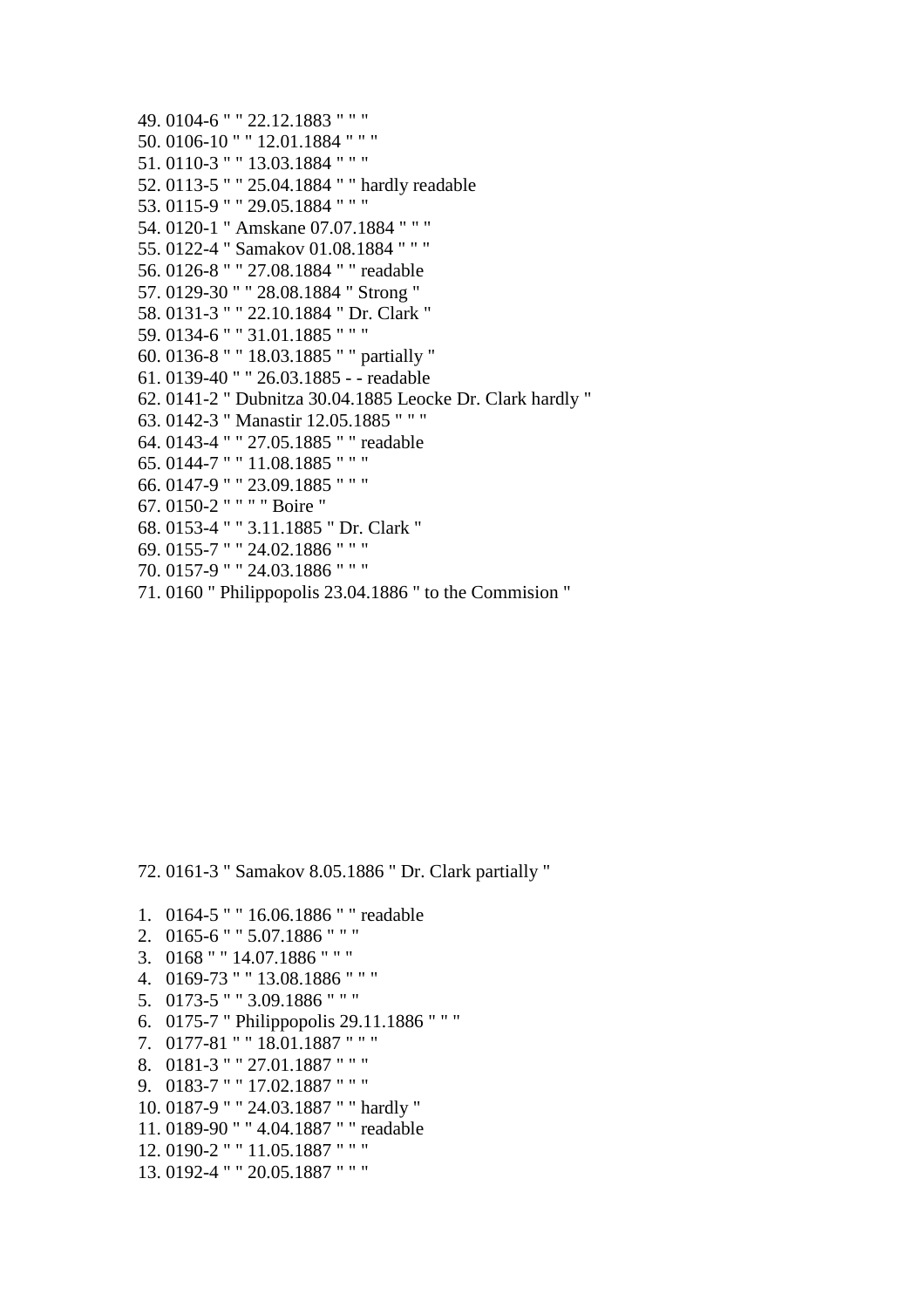49. 0104-6 " " 22.12.1883 " " " 50. 0106-10 " " 12.01.1884 " " " 51. 0110-3 " " 13.03.1884 " " " 52. 0113-5 " " 25.04.1884 " " hardly readable 53. 0115-9 " " 29.05.1884 " " " 54. 0120-1 " Amskane 07.07.1884 " " " 55. 0122-4 " Samakov 01.08.1884 " " " 56. 0126-8 " " 27.08.1884 " " readable 57. 0129-30 " " 28.08.1884 " Strong " 58. 0131-3 " " 22.10.1884 " Dr. Clark " 59. 0134-6 " " 31.01.1885 " " " 60. 0136-8 " " 18.03.1885 " " partially " 61. 0139-40 " " 26.03.1885 - - readable 62. 0141-2 " Dubnitza 30.04.1885 Leocke Dr. Clark hardly " 63. 0142-3 " Manastir 12.05.1885 " " " 64. 0143-4 " " 27.05.1885 " " readable 65. 0144-7 " " 11.08.1885 " " " 66. 0147-9 " " 23.09.1885 " " " 67. 0150-2 " " " " Boire " 68. 0153-4 " " 3.11.1885 " Dr. Clark " 69. 0155-7 " " 24.02.1886 " " " 70. 0157-9 " " 24.03.1886 " " "

71. 0160 " Philippopolis 23.04.1886 " to the Commision "

72. 0161-3 " Samakov 8.05.1886 " Dr. Clark partially "

- 1. 0164-5 " " 16.06.1886 " " readable
- 2. 0165-6 " " 5.07.1886 " " "
- 3. 0168 " " 14.07.1886 " " "
- 4. 0169-73 " " 13.08.1886 " " "
- 5. 0173-5 " " 3.09.1886 " " "
- 6. 0175-7 " Philippopolis 29.11.1886 " " "
- 7. 0177-81 " " 18.01.1887 " " "
- 8. 0181-3 " " 27.01.1887 " " "
- 9. 0183-7 " " 17.02.1887 " " "
- 10. 0187-9 " " 24.03.1887 " " hardly "
- 11. 0189-90 " " 4.04.1887 " " readable
- 12. 0190-2 " " 11.05.1887 " " "
- 13. 0192-4 " " 20.05.1887 " " "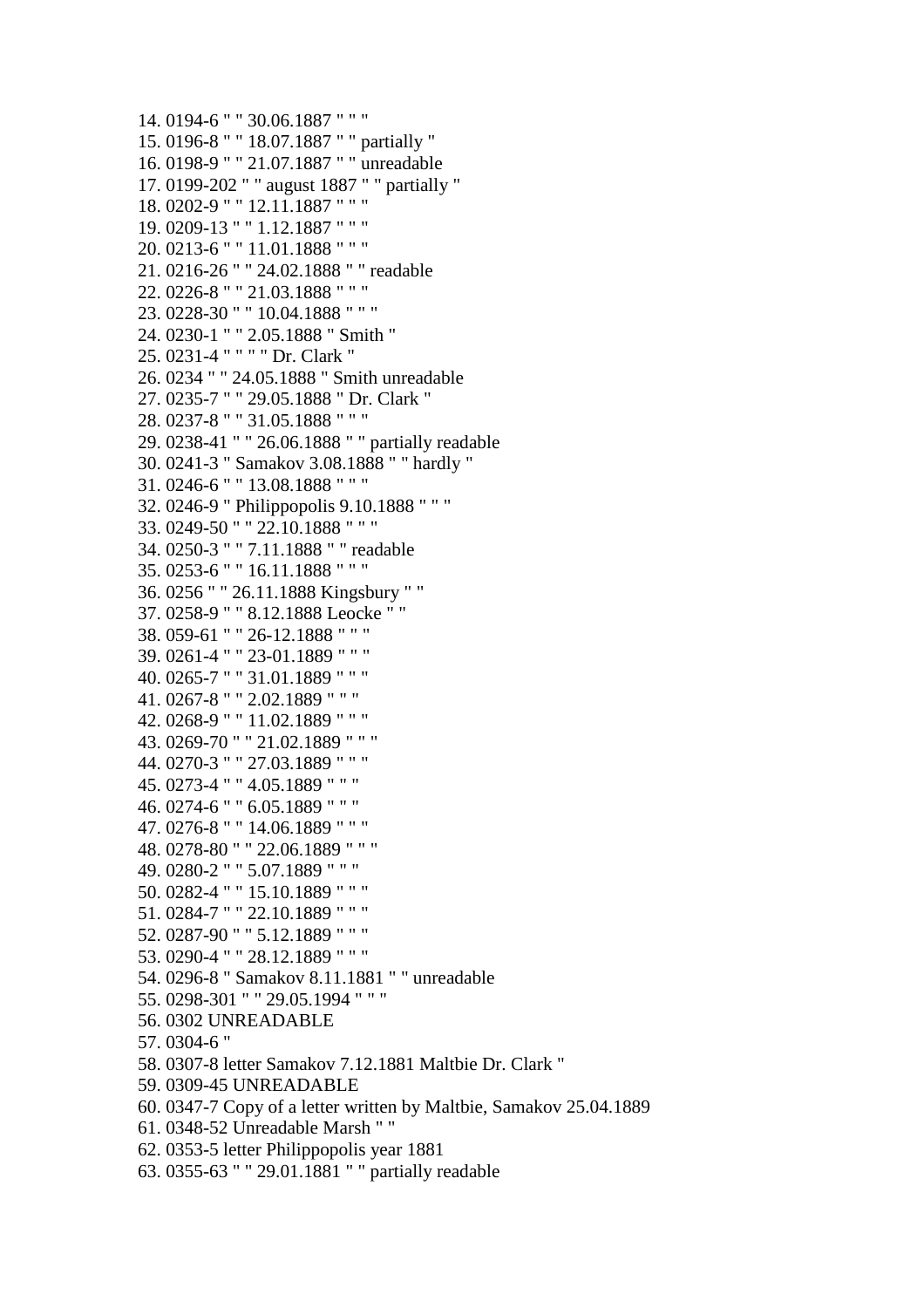14. 0194-6 " " 30.06.1887 " " " 15. 0196-8 " " 18.07.1887 " " partially " 16. 0198-9 " " 21.07.1887 " " unreadable 17. 0199-202 " " august 1887 " " partially " 18. 0202-9 " " 12.11.1887 " " " 19. 0209-13 " " 1.12.1887 " " " 20. 0213-6 " " 11.01.1888 " " " 21. 0216-26 " " 24.02.1888 " " readable 22. 0226-8 " " 21.03.1888 " " " 23. 0228-30 " " 10.04.1888 " " " 24. 0230-1 " " 2.05.1888 " Smith " 25. 0231-4 " " " " Dr. Clark " 26. 0234 " " 24.05.1888 " Smith unreadable 27. 0235-7 " " 29.05.1888 " Dr. Clark " 28. 0237-8 " " 31.05.1888 " " " 29. 0238-41 " " 26.06.1888 " " partially readable 30. 0241-3 " Samakov 3.08.1888 " " hardly " 31. 0246-6 " " 13.08.1888 " " " 32. 0246-9 " Philippopolis 9.10.1888 " " " 33. 0249-50 " " 22.10.1888 " " " 34. 0250-3 " " 7.11.1888 " " readable 35. 0253-6 " " 16.11.1888 " " " 36. 0256 " " 26.11.1888 Kingsbury " " 37. 0258-9 " " 8.12.1888 Leocke " " 38. 059-61 " " 26-12.1888 " " " 39. 0261-4 " " 23-01.1889 " " " 40. 0265-7 " " 31.01.1889 " " " 41. 0267-8 " " 2.02.1889 " " " 42. 0268-9 " " 11.02.1889 " " " 43. 0269-70 " " 21.02.1889 " " " 44. 0270-3 " " 27.03.1889 " " " 45. 0273-4 " " 4.05.1889 " " " 46. 0274-6 " " 6.05.1889 " " " 47. 0276-8 " " 14.06.1889 " " " 48. 0278-80 " " 22.06.1889 " " " 49. 0280-2 " " 5.07.1889 " " " 50. 0282-4 " " 15.10.1889 " " " 51. 0284-7 " " 22.10.1889 " " " 52. 0287-90 " " 5.12.1889 " " " 53. 0290-4 " " 28.12.1889 " " " 54. 0296-8 " Samakov 8.11.1881 " " unreadable 55. 0298-301 " " 29.05.1994 " " " 56. 0302 UNREADABLE 57. 0304-6 " 58. 0307-8 letter Samakov 7.12.1881 Maltbie Dr. Clark " 59. 0309-45 UNREADABLE 60. 0347-7 Copy of a letter written by Maltbie, Samakov 25.04.1889 61. 0348-52 Unreadable Marsh " " 62. 0353-5 letter Philippopolis year 1881 63. 0355-63 " " 29.01.1881 " " partially readable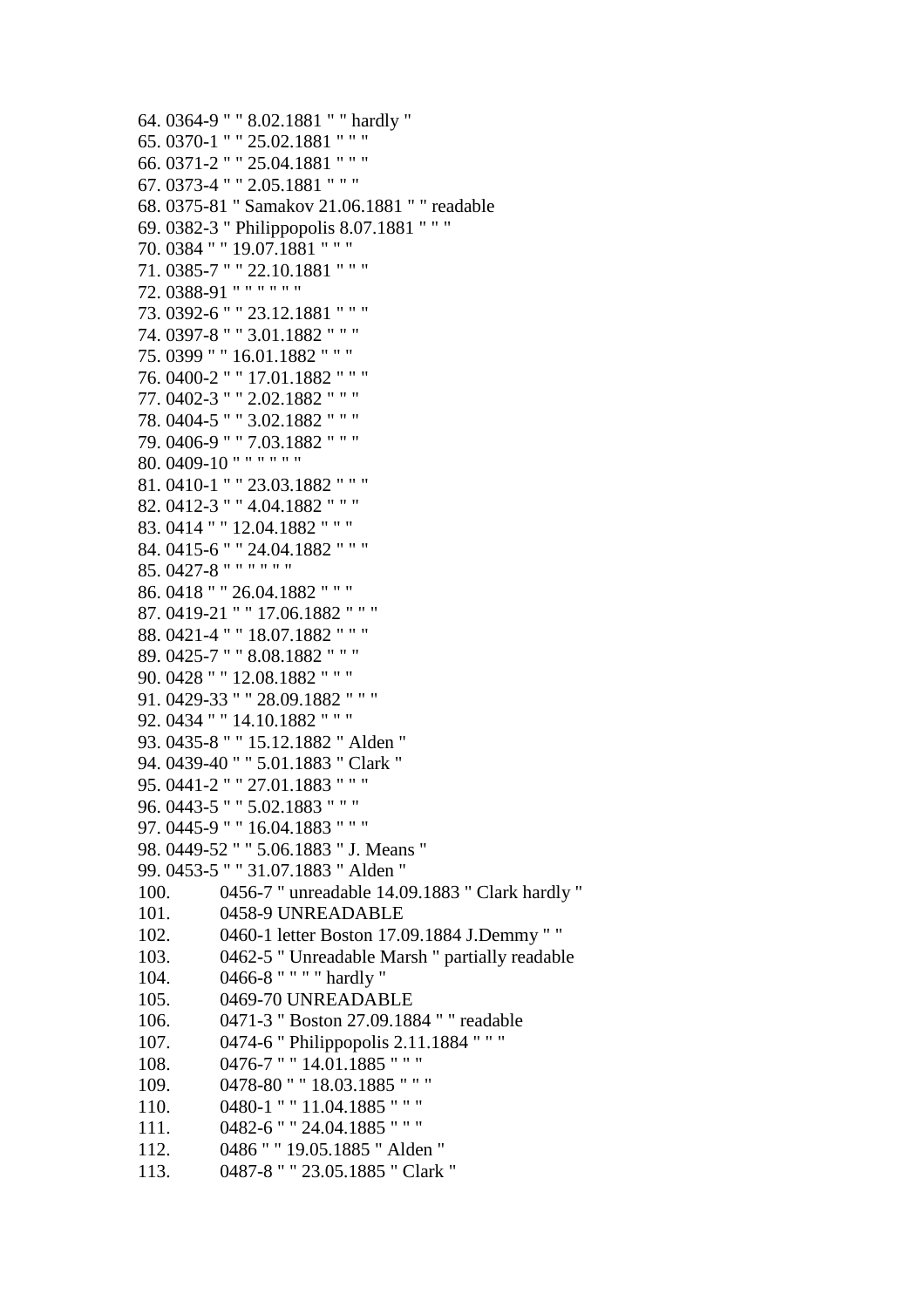```
64. 0364-9 " " 8.02.1881 " " hardly " 
65. 0370-1 " " 25.02.1881 " " " 
66. 0371-2 " " 25.04.1881 " " " 
67. 0373-4 " " 2.05.1881 " " " 
68. 0375-81 " Samakov 21.06.1881 " " readable 
69. 0382-3 " Philippopolis 8.07.1881 " " " 
70. 0384 " " 19.07.1881 " " " 
71. 0385-7 " " 22.10.1881 " " " 
72. 0388-91 " " " " " " 
73. 0392-6 " " 23.12.1881 " " " 
74. 0397-8 " " 3.01.1882 " " " 
75. 0399 " " 16.01.1882 " " " 
76. 0400-2 " " 17.01.1882 " " " 
77. 0402-3 " " 2.02.1882 " " " 
78. 0404-5 " " 3.02.1882 " " " 
79. 0406-9 " " 7.03.1882 " " " 
80. 0409-10 " " " " " " 
81. 0410-1 " " 23.03.1882 " " " 
82. 0412-3 " " 4.04.1882 " " " 
83. 0414 " " 12.04.1882 " " " 
84. 0415-6 " " 24.04.1882 " " " 
85. 0427-8 " " " " " " 
86. 0418 " " 26.04.1882 " " " 
87. 0419-21 " " 17.06.1882 " " " 
88. 0421-4 " " 18.07.1882 " " " 
89. 0425-7 " " 8.08.1882 " " " 
90. 0428 " " 12.08.1882 " " " 
91. 0429-33 " " 28.09.1882 " " " 
92. 0434 " " 14.10.1882 " " " 
93. 0435-8 " " 15.12.1882 " Alden " 
94. 0439-40 " " 5.01.1883 " Clark " 
95. 0441-2 " " 27.01.1883 " " " 
96. 0443-5 " " 5.02.1883 " " " 
97. 0445-9 " " 16.04.1883 " " " 
98. 0449-52 " " 5.06.1883 " J. Means " 
99. 0453-5 " " 31.07.1883 " Alden " 
100. 0456-7 " unreadable 14.09.1883 " Clark hardly " 
101. 0458-9 UNREADABLE 
102. 0460-1 letter Boston 17.09.1884 J.Demmy " " 
103. 0462-5 " Unreadable Marsh " partially readable 
104. 0466-8 " " " " hardly " 
105. 0469-70 UNREADABLE 
106. 0471-3 " Boston 27.09.1884 " " readable 
107. 0474-6 " Philippopolis 2.11.1884 " " " 
108. 0476-7 " " 14.01.1885 " " " 
109. 0478-80 " " 18.03.1885 " " " 
110. 0480-1 " " 11.04.1885 " " " 
111. 0482-6 " " 24.04.1885 " " " 
112. 0486 " " 19.05.1885 " Alden " 
113. 0487-8 " " 23.05.1885 " Clark "
```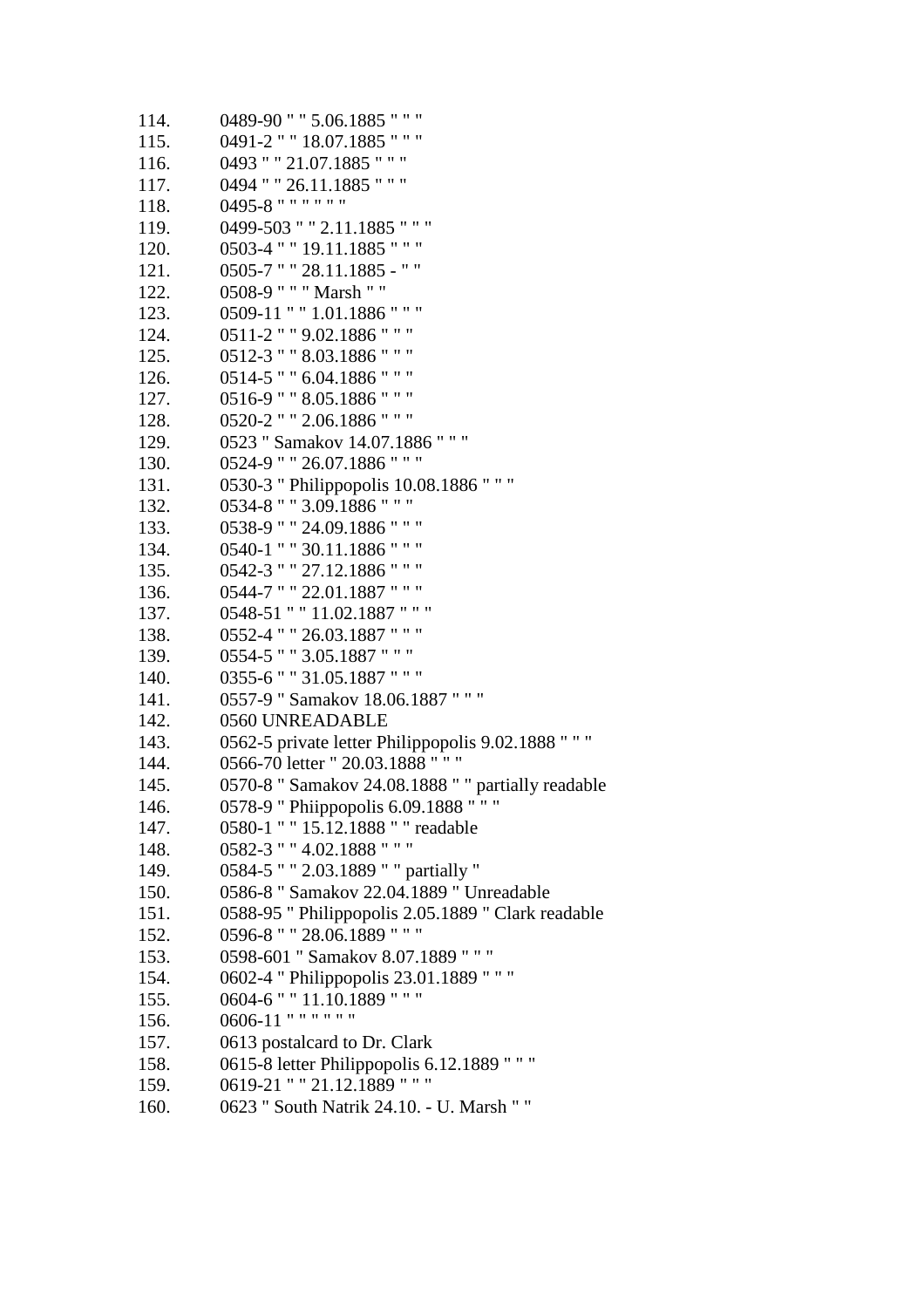114. 0489-90 " " 5.06.1885 " " " 115. 0491-2 " " 18.07.1885 " " " 116. 0493 " " 21.07.1885 " " " 117. 0494 " " 26.11.1885 " " " 118. 0495-8 " " " " " " 119. 0499-503 " " 2.11.1885 " " " 120. 0503-4 " " 19.11.1885 " " " 121. 0505-7 " " 28.11.1885 - " " 122. 0508-9 " " " Marsh " " 123. 0509-11 " " 1.01.1886 " " " 124. 0511-2 " " 9.02.1886 " " " 125. 0512-3 " " 8.03.1886 " " " 126. 0514-5 " " 6.04.1886 " " " 127. 0516-9 " " 8.05.1886 " " " 128. 0520-2 " " 2.06.1886 " " " 129. 0523 " Samakov 14.07.1886 " " " 130. 0524-9 " " 26.07.1886 " " " 131. 0530-3 " Philippopolis 10.08.1886 " " " 132. 0534-8 " " 3.09.1886 " " " 133. 0538-9 " " 24.09.1886 " " " 134. 0540-1 " " 30.11.1886 " " " 135. 0542-3 " " 27.12.1886 " " " 136. 0544-7 " " 22.01.1887 " " " 137. 0548-51 " " 11.02.1887 " " " 138. 0552-4 " " 26.03.1887 " " " 139. 0554-5 " " 3.05.1887 " " " 140. 0355-6 " " 31.05.1887 " " " 141. 0557-9 " Samakov 18.06.1887 " " " 142. 0560 UNREADABLE 143. 0562-5 private letter Philippopolis 9.02.1888 " " " 144. 0566-70 letter " 20.03.1888 " " " 145. 0570-8 " Samakov 24.08.1888 " " partially readable 146. 0578-9 " Phiippopolis 6.09.1888 " " " 147. 0580-1 " " 15.12.1888 " " readable 148. 0582-3 " " 4.02.1888 " " " 149. 0584-5 " " 2.03.1889 " " partially " 150. 0586-8 " Samakov 22.04.1889 " Unreadable 151. 0588-95 " Philippopolis 2.05.1889 " Clark readable 152. 0596-8 " " 28.06.1889 " " " 153. 0598-601 " Samakov 8.07.1889 " " " 154. 0602-4 " Philippopolis 23.01.1889 " " " 155. 0604-6 " " 11.10.1889 " " " 156. 0606-11 " " " " " " 157. 0613 postalcard to Dr. Clark 158. 0615-8 letter Philippopolis 6.12.1889 " " " 159. 0619-21 " " 21.12.1889 " " " 160. 0623 " South Natrik 24.10. - U. Marsh " "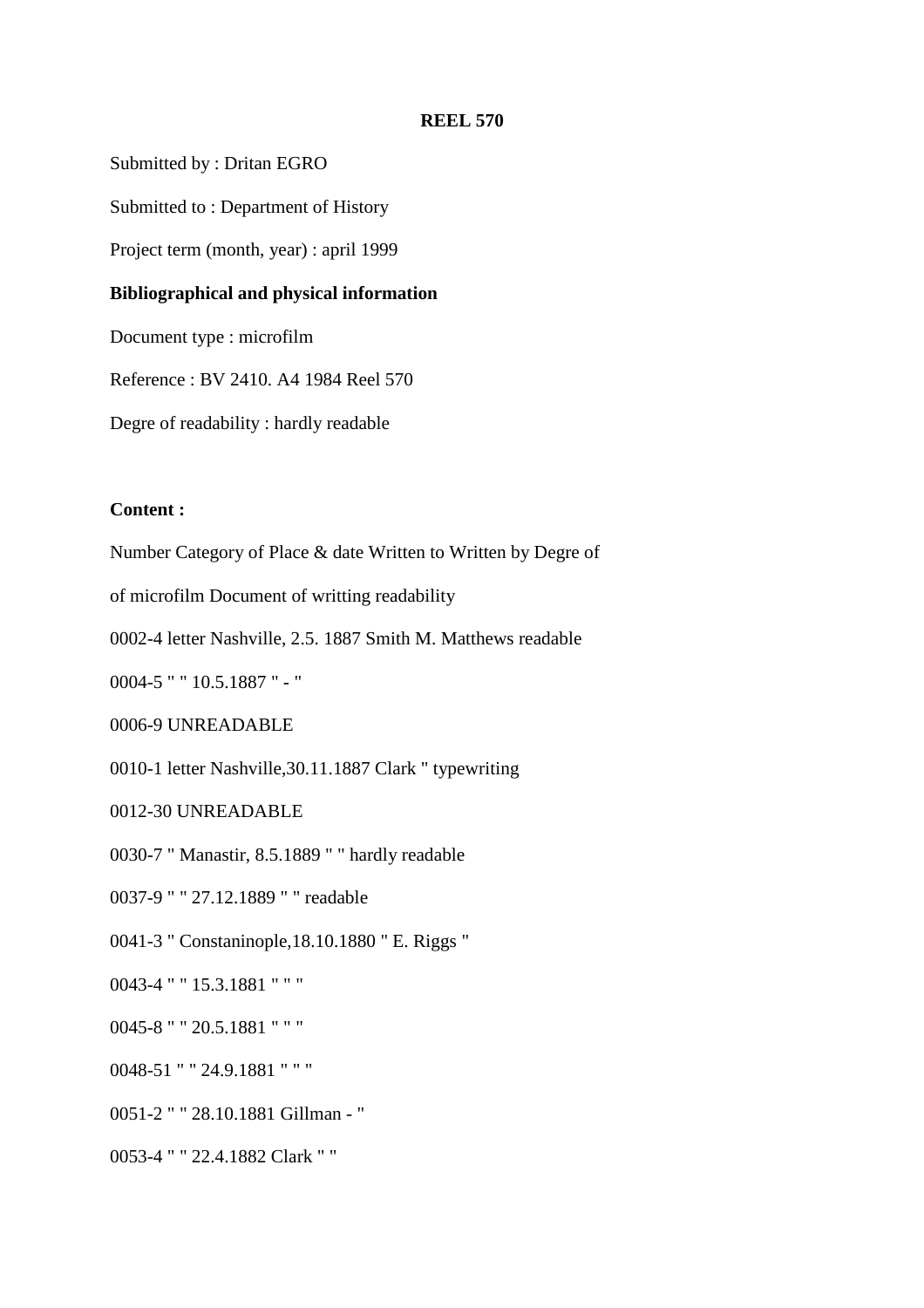Submitted by : Dritan EGRO

Submitted to : Department of History

Project term (month, year) : april 1999

### **Bibliographical and physical information**

Document type : microfilm

Reference : BV 2410. A4 1984 Reel 570

Degre of readability : hardly readable

## **Content :**

Number Category of Place & date Written to Written by Degre of

of microfilm Document of writting readability

0002-4 letter Nashville, 2.5. 1887 Smith M. Matthews readable

0004-5 " " 10.5.1887 " - "

0006-9 UNREADABLE

0010-1 letter Nashville,30.11.1887 Clark " typewriting

0012-30 UNREADABLE

0030-7 " Manastir, 8.5.1889 " " hardly readable

0037-9 " " 27.12.1889 " " readable

0041-3 " Constaninople,18.10.1880 " E. Riggs "

0043-4 " " 15.3.1881 " " "

0045-8 " " 20.5.1881 " " "

0048-51 " " 24.9.1881 " " "

0051-2 " " 28.10.1881 Gillman - "

0053-4 " " 22.4.1882 Clark " "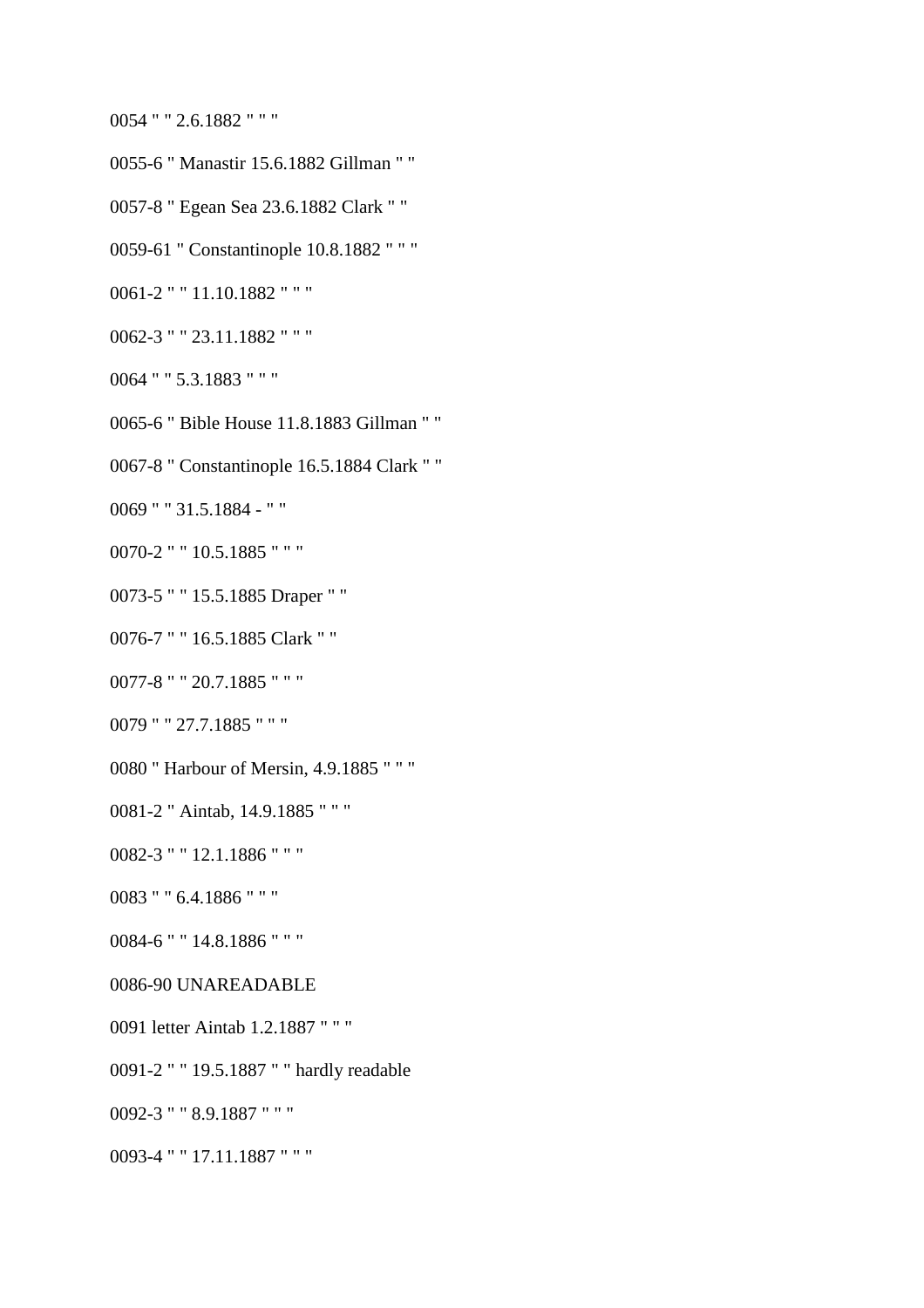0054 " " 2.6.1882 " " "

- 0055-6 " Manastir 15.6.1882 Gillman " "
- 0057-8 " Egean Sea 23.6.1882 Clark " "
- 0059-61 " Constantinople 10.8.1882 " " "
- 0061-2 " " 11.10.1882 " " "
- 0062-3 " " 23.11.1882 " " "
- 0064 " " 5.3.1883 " " "
- 0065-6 " Bible House 11.8.1883 Gillman " "
- 0067-8 " Constantinople 16.5.1884 Clark " "

0069 " " 31.5.1884 - " "

- 0070-2 " " 10.5.1885 " " "
- 0073-5 " " 15.5.1885 Draper " "
- 0076-7 " " 16.5.1885 Clark " "
- 0077-8 " " 20.7.1885 " " "
- 0079 " " 27.7.1885 " " "
- 0080 " Harbour of Mersin, 4.9.1885 " " "
- 0081-2 " Aintab, 14.9.1885 " " "
- 0082-3 " " 12.1.1886 " " "
- 0083 " " 6.4.1886 " " "
- 0084-6 " " 14.8.1886 " " "
- 0086-90 UNAREADABLE
- 0091 letter Aintab 1.2.1887 " " "
- 0091-2 " " 19.5.1887 " " hardly readable
- 0092-3 " " 8.9.1887 " " "
- 0093-4 " " 17.11.1887 " " "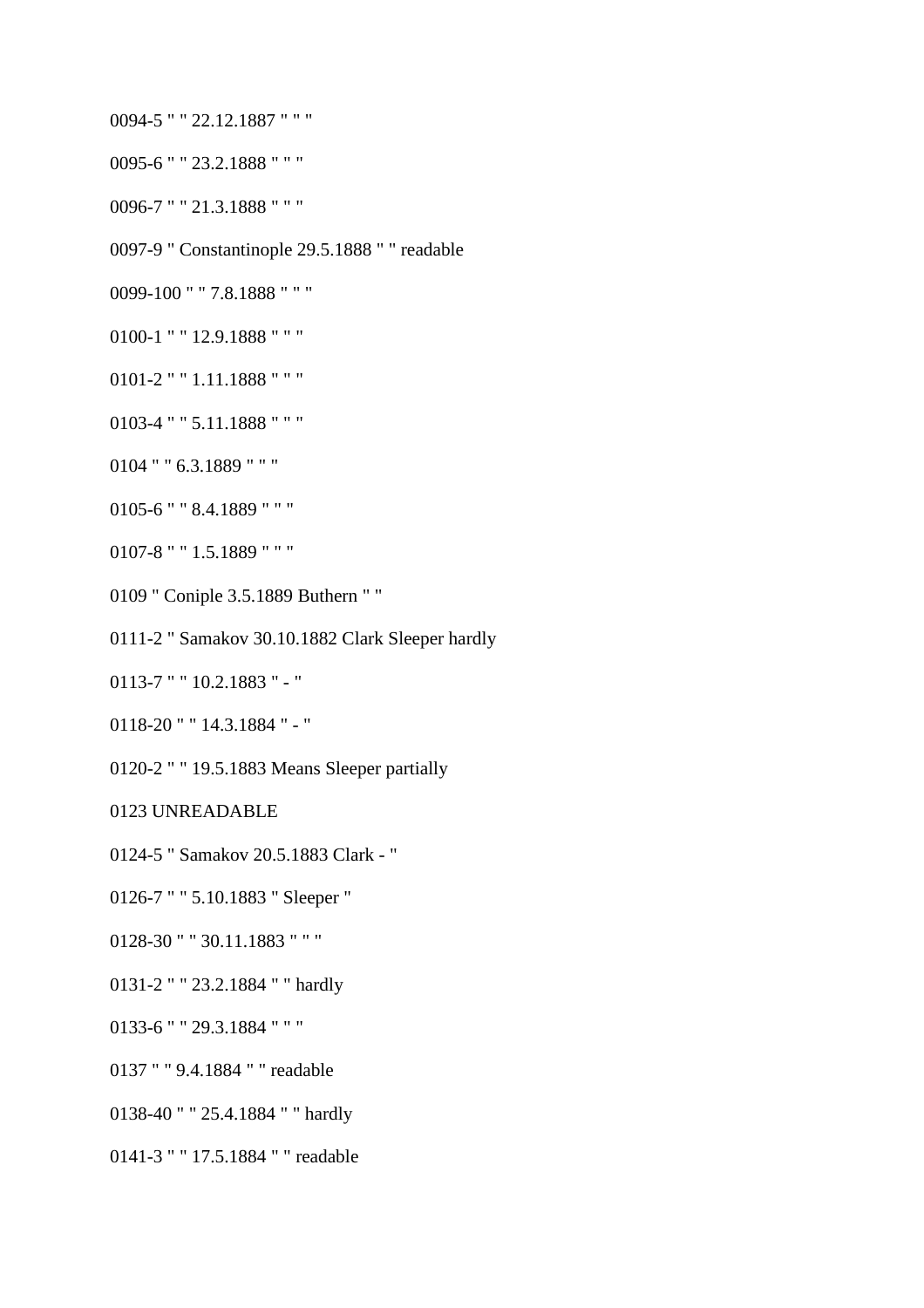- 0094-5 " " 22.12.1887 " " "
- 0095-6 " " 23.2.1888 " " "
- 0096-7 " " 21.3.1888 " " "
- 0097-9 " Constantinople 29.5.1888 " " readable
- 0099-100 " " 7.8.1888 " " "
- 0100-1 " " 12.9.1888 " " "
- 0101-2 " " 1.11.1888 " " "
- 0103-4 " " 5.11.1888 " " "
- 0104 " " 6.3.1889 " " "
- 0105-6 " " 8.4.1889 " " "
- 0107-8 " " 1.5.1889 " " "
- 0109 " Coniple 3.5.1889 Buthern " "
- 0111-2 " Samakov 30.10.1882 Clark Sleeper hardly
- 0113-7 " " 10.2.1883 " "
- 0118-20 " " 14.3.1884 " "
- 0120-2 " " 19.5.1883 Means Sleeper partially
- 0123 UNREADABLE
- 0124-5 " Samakov 20.5.1883 Clark "
- 0126-7 " " 5.10.1883 " Sleeper "
- 0128-30 " " 30.11.1883 " " "
- 0131-2 " " 23.2.1884 " " hardly
- 0133-6 " " 29.3.1884 " " "
- 0137 " " 9.4.1884 " " readable
- 0138-40 " " 25.4.1884 " " hardly
- 0141-3 " " 17.5.1884 " " readable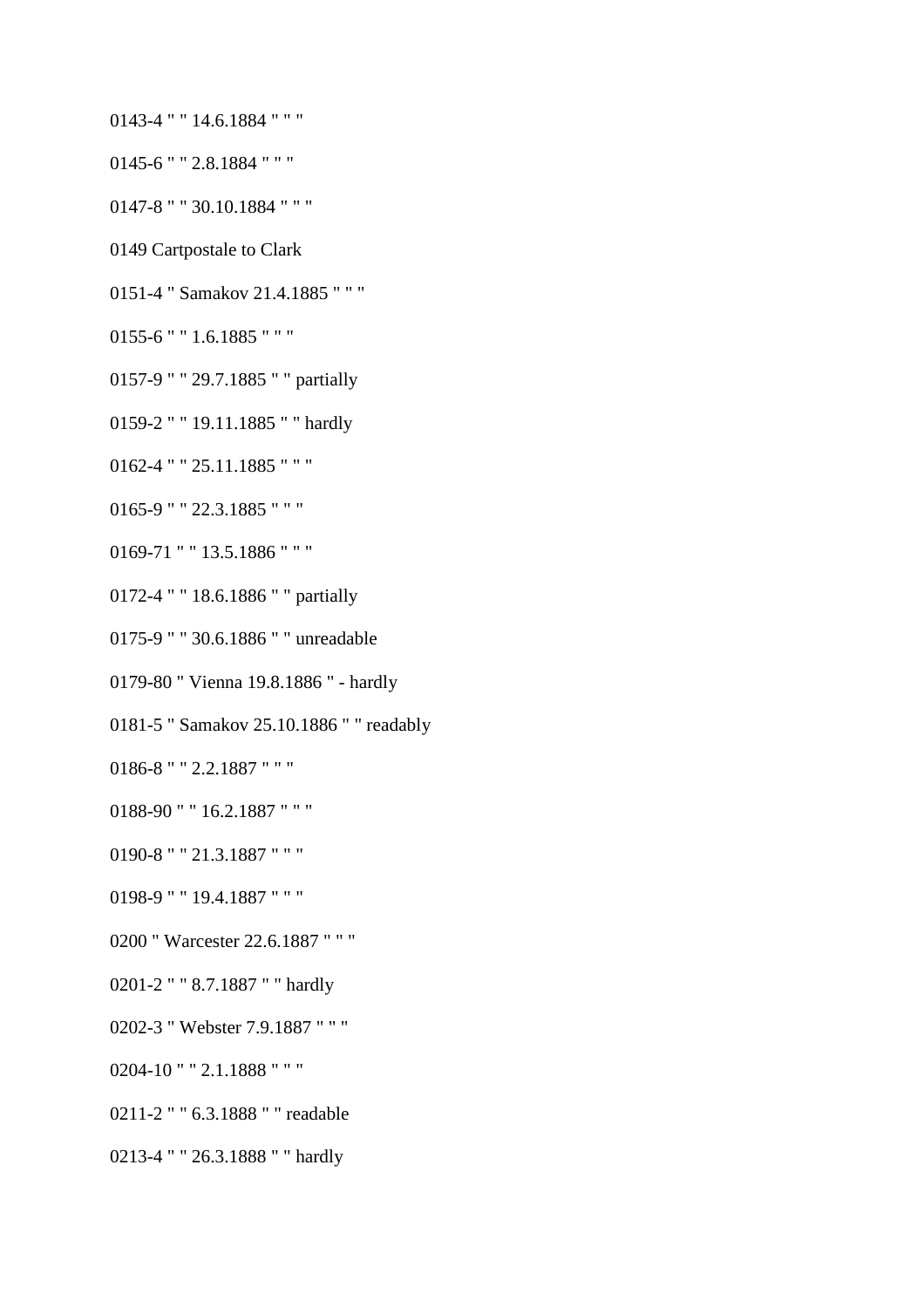- 0143-4 " " 14.6.1884 " " "
- 0145-6 " " 2.8.1884 " " "
- 0147-8 " " 30.10.1884 " " "
- 0149 Cartpostale to Clark
- 0151-4 " Samakov 21.4.1885 " " "
- 0155-6 " " 1.6.1885 " " "
- 0157-9 " " 29.7.1885 " " partially
- 0159-2 " " 19.11.1885 " " hardly
- 0162-4 " " 25.11.1885 " " "
- 0165-9 " " 22.3.1885 " " "
- 0169-71 " " 13.5.1886 " " "
- 0172-4 " " 18.6.1886 " " partially
- 0175-9 " " 30.6.1886 " " unreadable
- 0179-80 " Vienna 19.8.1886 " hardly
- 0181-5 " Samakov 25.10.1886 " " readably
- 0186-8 " " 2.2.1887 " " "
- 0188-90 " " 16.2.1887 " " "
- 0190-8 " " 21.3.1887 " " "
- 0198-9 " " 19.4.1887 " " "
- 0200 " Warcester 22.6.1887 " " "
- 0201-2 " " 8.7.1887 " " hardly
- 0202-3 " Webster 7.9.1887 " " "
- 0204-10 " " 2.1.1888 " " "
- 0211-2 " " 6.3.1888 " " readable
- 0213-4 " " 26.3.1888 " " hardly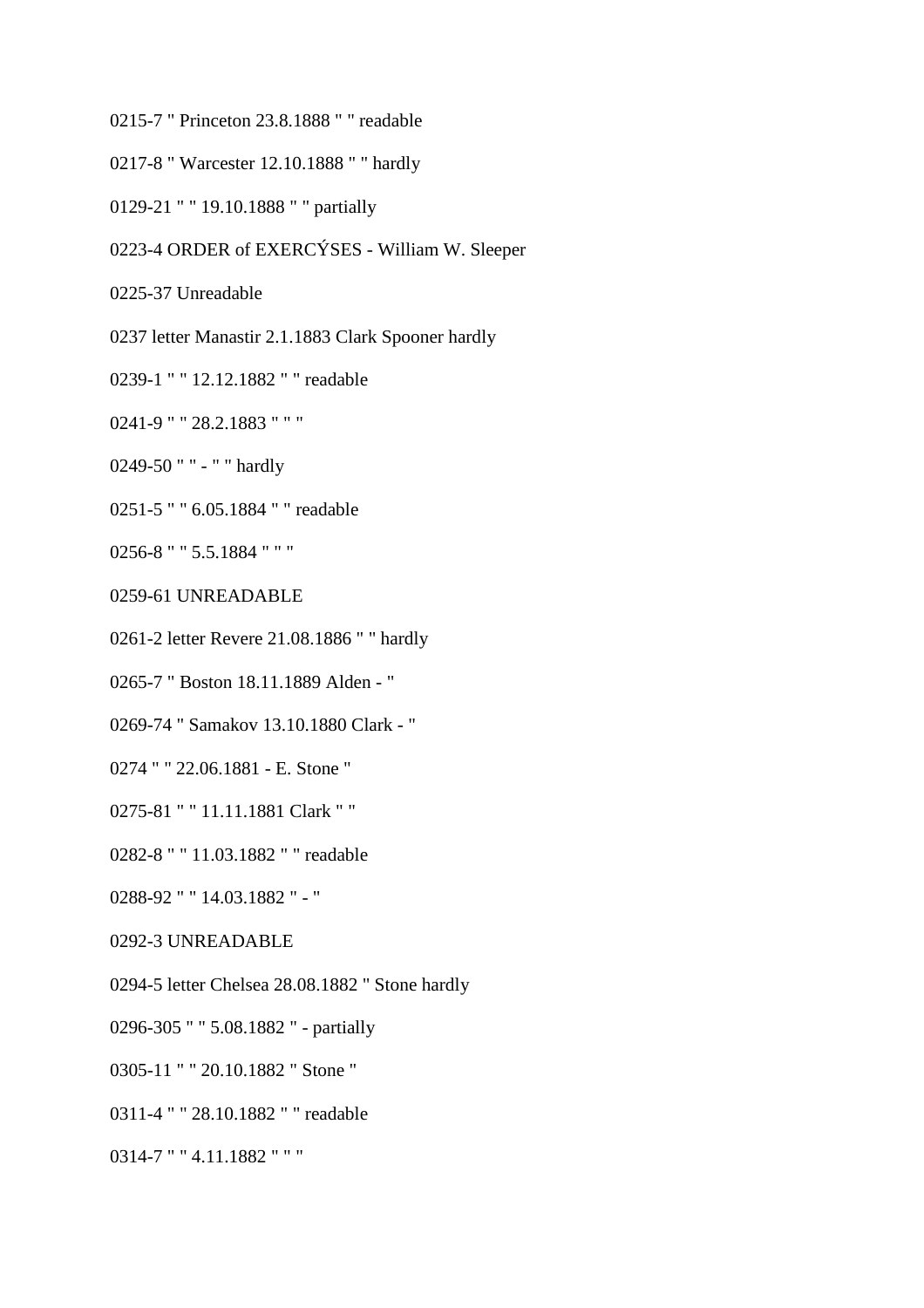0215-7 " Princeton 23.8.1888 " " readable

0217-8 " Warcester 12.10.1888 " " hardly

0129-21 " " 19.10.1888 " " partially

0223-4 ORDER of EXERCÝSES - William W. Sleeper

0225-37 Unreadable

0237 letter Manastir 2.1.1883 Clark Spooner hardly

0239-1 " " 12.12.1882 " " readable

0241-9 " " 28.2.1883 " " "

0249-50 " " - " " hardly

0251-5 " " 6.05.1884 " " readable

0256-8 " " 5.5.1884 " " "

0259-61 UNREADABLE

0261-2 letter Revere 21.08.1886 " " hardly

0265-7 " Boston 18.11.1889 Alden - "

0269-74 " Samakov 13.10.1880 Clark - "

0274 " " 22.06.1881 - E. Stone "

0275-81 " " 11.11.1881 Clark " "

0282-8 " " 11.03.1882 " " readable

0288-92 " " 14.03.1882 " - "

0292-3 UNREADABLE

0294-5 letter Chelsea 28.08.1882 " Stone hardly

0296-305 " " 5.08.1882 " - partially

0305-11 " " 20.10.1882 " Stone "

0311-4 " " 28.10.1882 " " readable

0314-7 " " 4.11.1882 " " "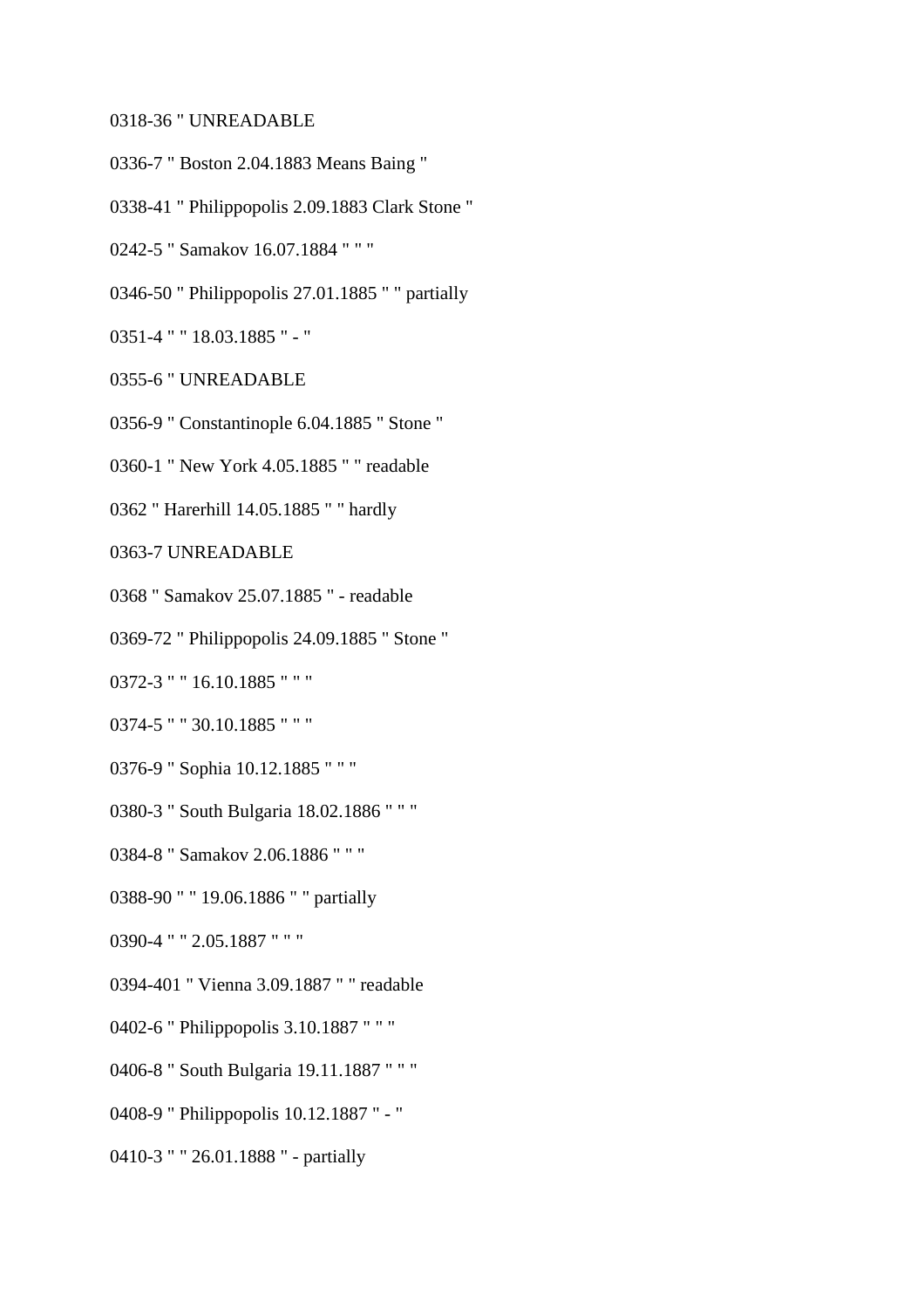#### 0318-36 " UNREADABLE

- 0336-7 " Boston 2.04.1883 Means Baing "
- 0338-41 " Philippopolis 2.09.1883 Clark Stone "
- 0242-5 " Samakov 16.07.1884 " " "
- 0346-50 " Philippopolis 27.01.1885 " " partially
- 0351-4 " " 18.03.1885 " "
- 0355-6 " UNREADABLE
- 0356-9 " Constantinople 6.04.1885 " Stone "
- 0360-1 " New York 4.05.1885 " " readable
- 0362 " Harerhill 14.05.1885 " " hardly
- 0363-7 UNREADABLE
- 0368 " Samakov 25.07.1885 " readable
- 0369-72 " Philippopolis 24.09.1885 " Stone "
- 0372-3 " " 16.10.1885 " " "
- 0374-5 " " 30.10.1885 " " "
- 0376-9 " Sophia 10.12.1885 " " "
- 0380-3 " South Bulgaria 18.02.1886 " " "
- 0384-8 " Samakov 2.06.1886 " " "
- 0388-90 " " 19.06.1886 " " partially
- 0390-4 " " 2.05.1887 " " "
- 0394-401 " Vienna 3.09.1887 " " readable
- 0402-6 " Philippopolis 3.10.1887 " " "
- 0406-8 " South Bulgaria 19.11.1887 " " "
- 0408-9 " Philippopolis 10.12.1887 " "
- 0410-3 " " 26.01.1888 " partially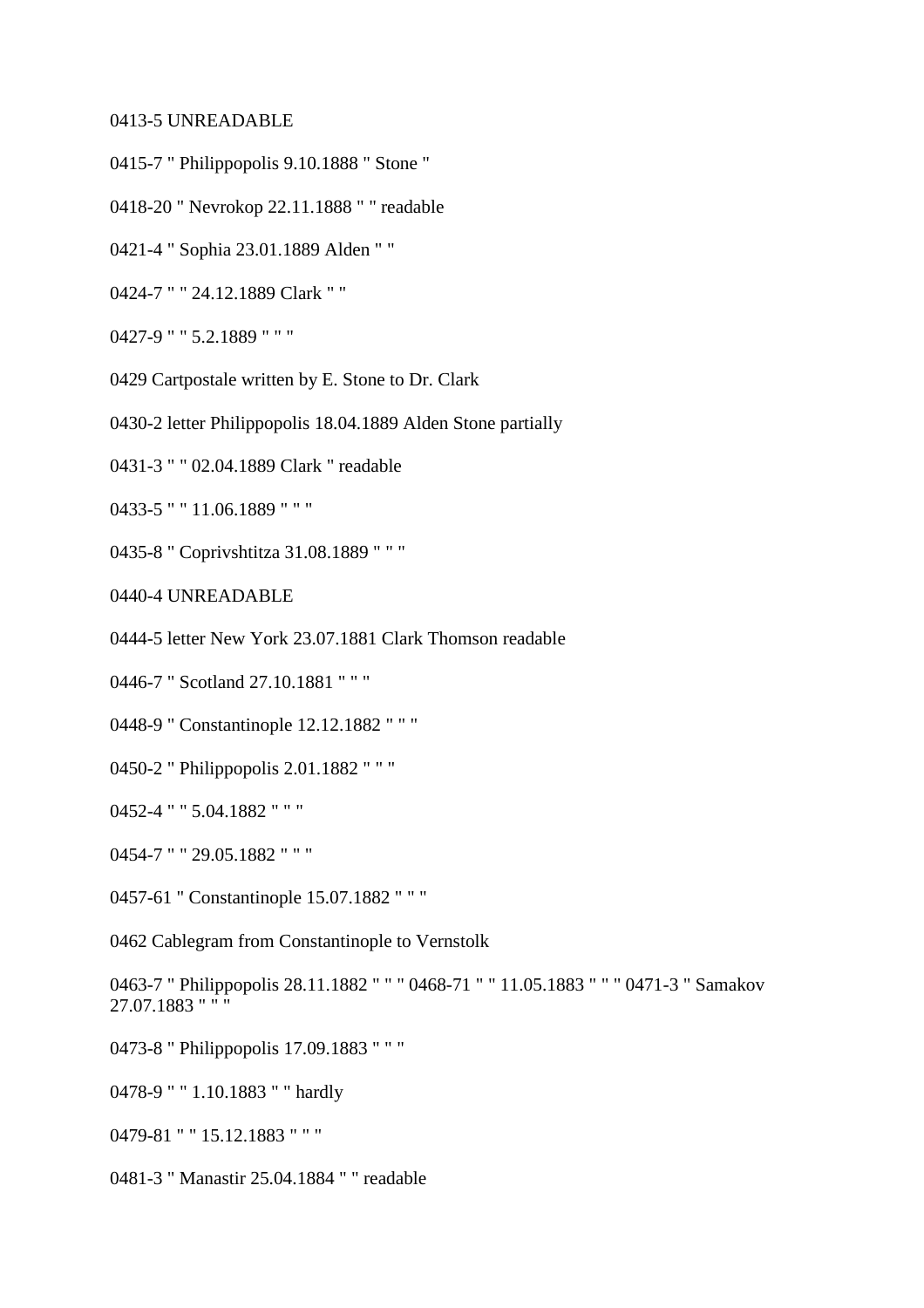#### 0413-5 UNREADABLE

- 0415-7 " Philippopolis 9.10.1888 " Stone "
- 0418-20 " Nevrokop 22.11.1888 " " readable
- 0421-4 " Sophia 23.01.1889 Alden " "
- 0424-7 " " 24.12.1889 Clark " "
- 0427-9 " " 5.2.1889 " " "
- 0429 Cartpostale written by E. Stone to Dr. Clark
- 0430-2 letter Philippopolis 18.04.1889 Alden Stone partially
- 0431-3 " " 02.04.1889 Clark " readable
- 0433-5 " " 11.06.1889 " " "
- 0435-8 " Coprivshtitza 31.08.1889 " " "
- 0440-4 UNREADABLE
- 0444-5 letter New York 23.07.1881 Clark Thomson readable
- 0446-7 " Scotland 27.10.1881 " " "
- 0448-9 " Constantinople 12.12.1882 " " "
- 0450-2 " Philippopolis 2.01.1882 " " "
- 0452-4 " " 5.04.1882 " " "
- 0454-7 " " 29.05.1882 " " "
- 0457-61 " Constantinople 15.07.1882 " " "
- 0462 Cablegram from Constantinople to Vernstolk

0463-7 " Philippopolis 28.11.1882 " " " 0468-71 " " 11.05.1883 " " " 0471-3 " Samakov 27.07.1883 " " "

- 0473-8 " Philippopolis 17.09.1883 " " "
- 0478-9 " " 1.10.1883 " " hardly
- 0479-81 " " 15.12.1883 " " "
- 0481-3 " Manastir 25.04.1884 " " readable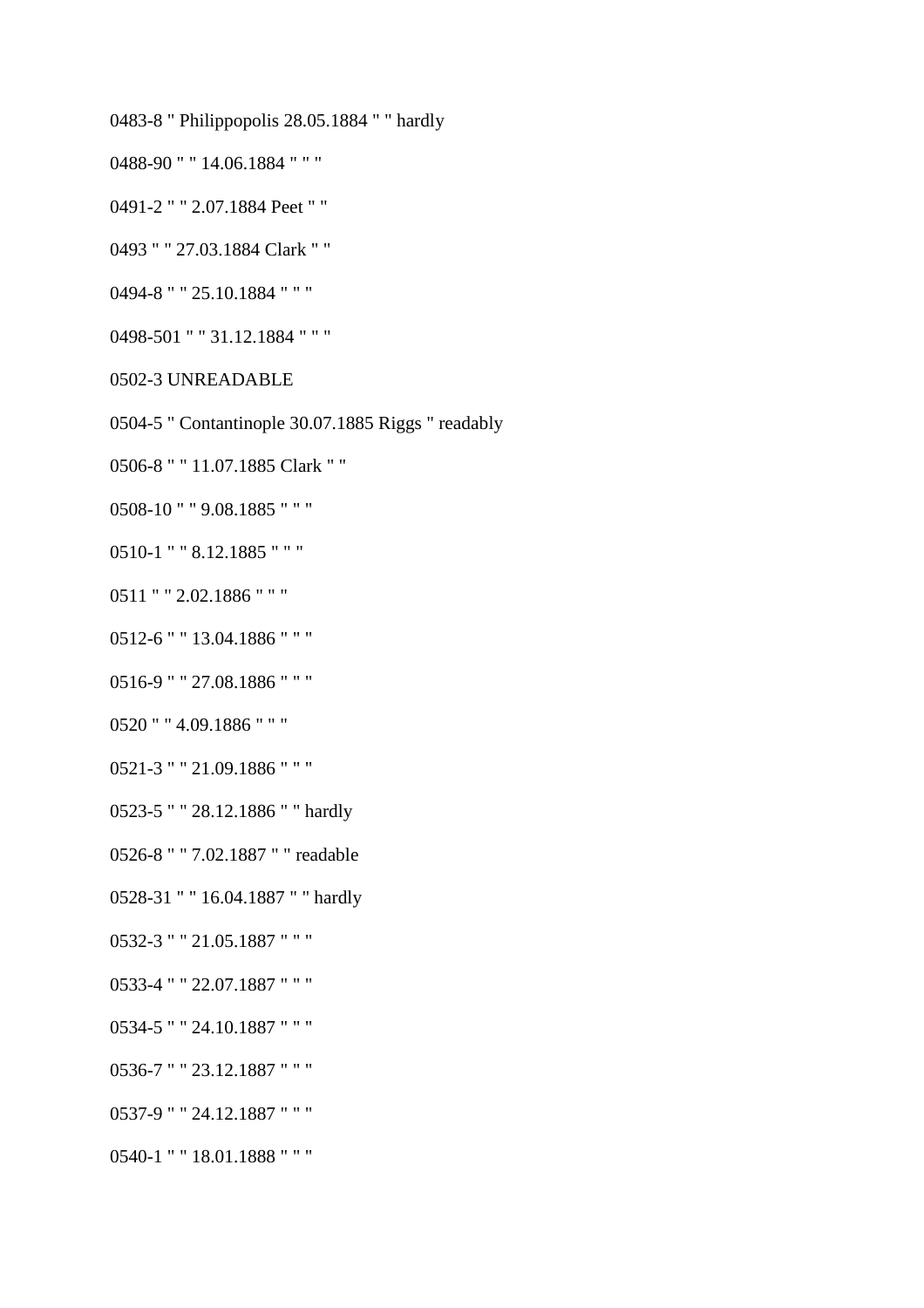0483-8 " Philippopolis 28.05.1884 " " hardly

0488-90 " " 14.06.1884 " " "

0491-2 " " 2.07.1884 Peet " "

0493 " " 27.03.1884 Clark " "

0494-8 " " 25.10.1884 " " "

0498-501 " " 31.12.1884 " " "

0502-3 UNREADABLE

0504-5 " Contantinople 30.07.1885 Riggs " readably

0506-8 " " 11.07.1885 Clark " "

0508-10 " " 9.08.1885 " " "

0510-1 " " 8.12.1885 " " "

0511 " " 2.02.1886 " " "

0512-6 " " 13.04.1886 " " "

0516-9 " " 27.08.1886 " " "

0520 " " 4.09.1886 " " "

0521-3 " " 21.09.1886 " " "

0523-5 " " 28.12.1886 " " hardly

0526-8 " " 7.02.1887 " " readable

0528-31 " " 16.04.1887 " " hardly

0532-3 " " 21.05.1887 " " "

0533-4 " " 22.07.1887 " " "

0534-5 " " 24.10.1887 " " "

0536-7 " " 23.12.1887 " " "

0537-9 " " 24.12.1887 " " "

0540-1 " " 18.01.1888 " " "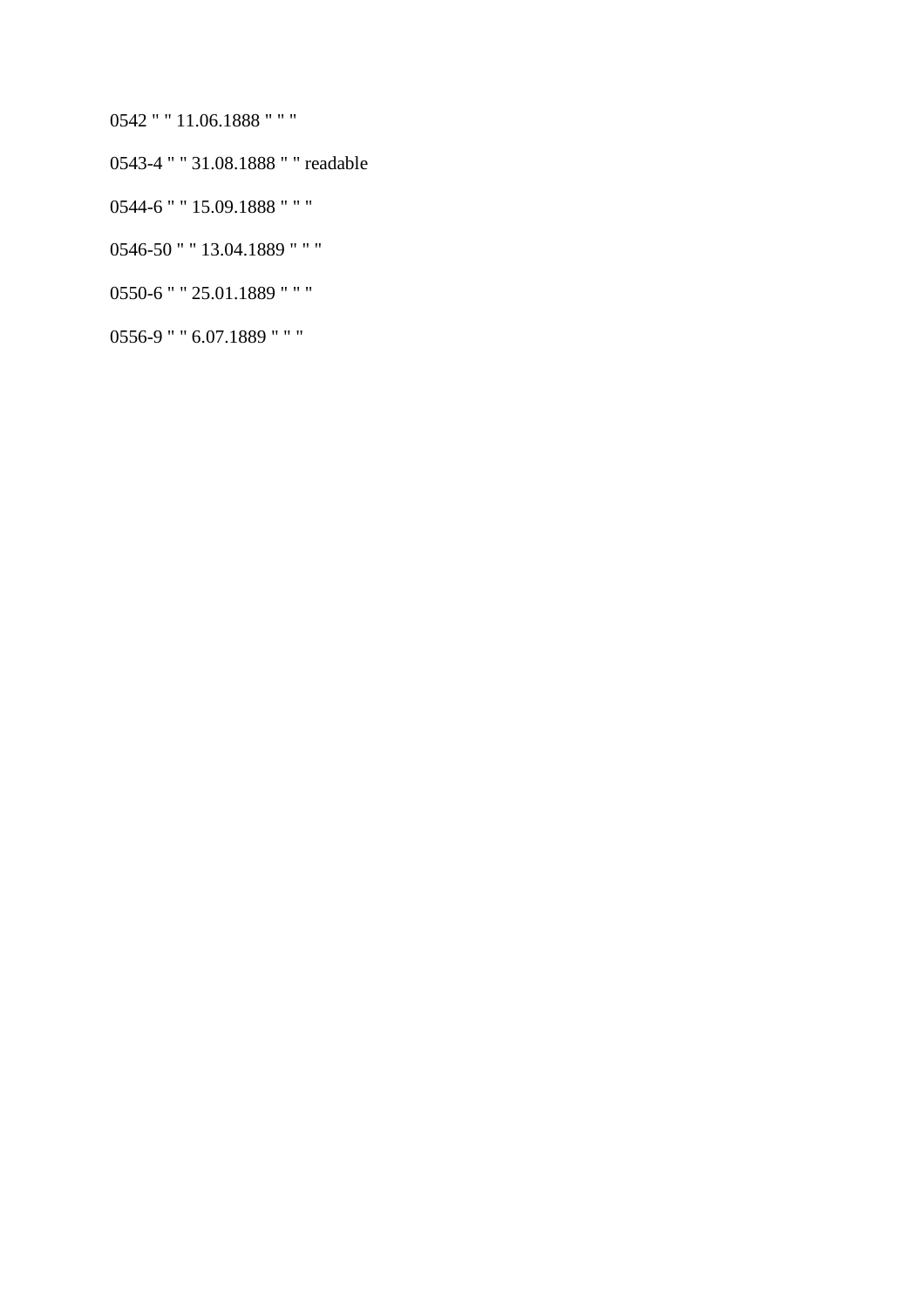- 0542 " " 11.06.1888 " " "
- 0543-4 " " 31.08.1888 " " readable
- 0544-6 " " 15.09.1888 " " "
- 
- 
- 
- 

0546-50 " " 13.04.1889 " " "

0550-6 " " 25.01.1889 " " "

0556-9 " " 6.07.1889 " " "

- 
- 
- 
- 
- 
- 
- 
- 
- 
- 
- 
- 
-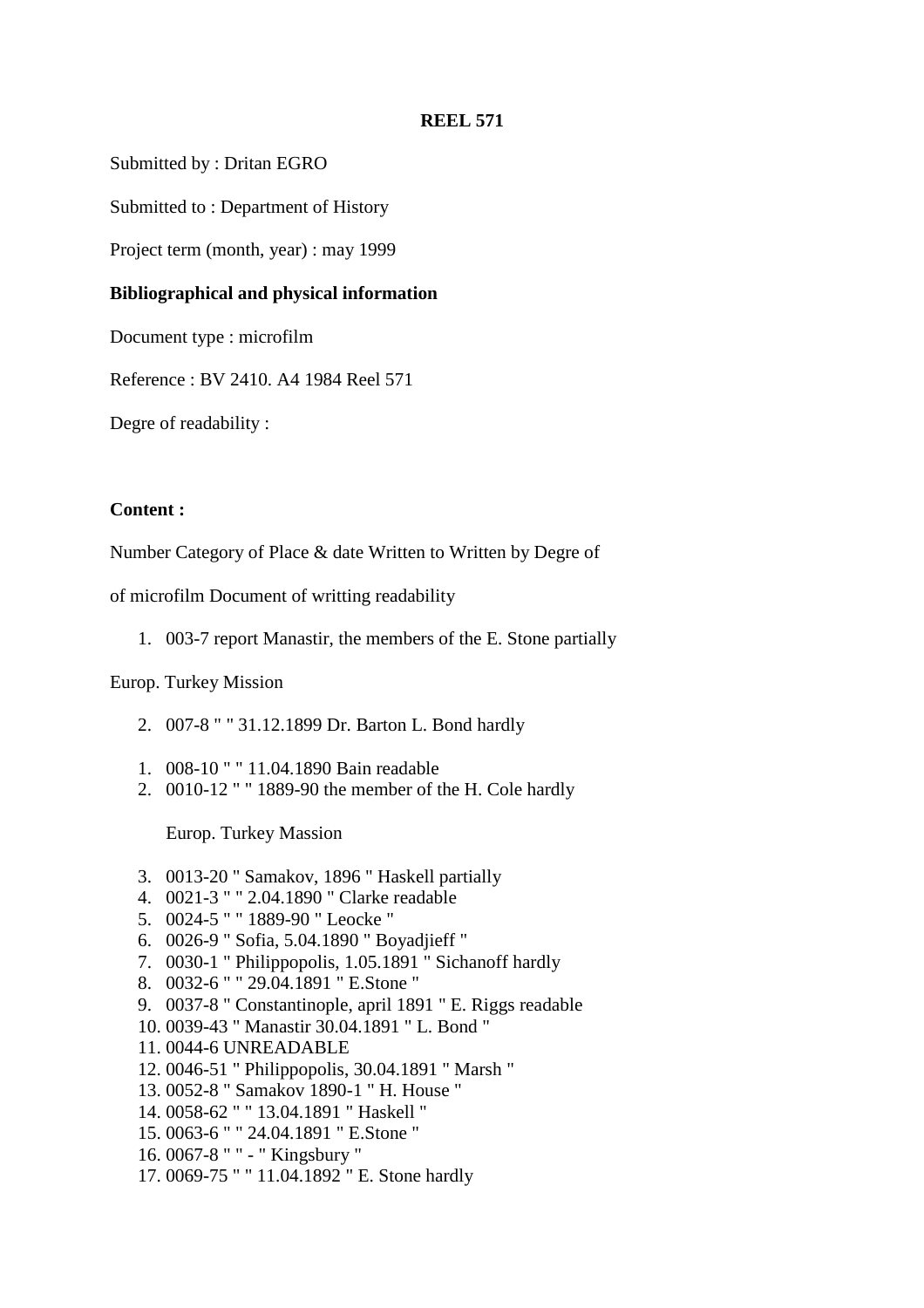Submitted by : Dritan EGRO

Submitted to : Department of History

Project term (month, year) : may 1999

#### **Bibliographical and physical information**

Document type : microfilm

Reference : BV 2410. A4 1984 Reel 571

Degre of readability :

### **Content :**

Number Category of Place & date Written to Written by Degre of

of microfilm Document of writting readability

1. 003-7 report Manastir, the members of the E. Stone partially

#### Europ. Turkey Mission

- 2. 007-8 " " 31.12.1899 Dr. Barton L. Bond hardly
- 1. 008-10 " " 11.04.1890 Bain readable
- 2. 0010-12 " " 1889-90 the member of the H. Cole hardly

Europ. Turkey Massion

- 3. 0013-20 " Samakov, 1896 " Haskell partially
- 4. 0021-3 " " 2.04.1890 " Clarke readable
- 5. 0024-5 " " 1889-90 " Leocke "
- 6. 0026-9 " Sofia, 5.04.1890 " Boyadjieff "
- 7. 0030-1 " Philippopolis, 1.05.1891 " Sichanoff hardly
- 8. 0032-6 " " 29.04.1891 " E.Stone "
- 9. 0037-8 " Constantinople, april 1891 " E. Riggs readable
- 10. 0039-43 " Manastir 30.04.1891 " L. Bond "
- 11. 0044-6 UNREADABLE
- 12. 0046-51 " Philippopolis, 30.04.1891 " Marsh "
- 13. 0052-8 " Samakov 1890-1 " H. House "
- 14. 0058-62 " " 13.04.1891 " Haskell "
- 15. 0063-6 " " 24.04.1891 " E.Stone "
- 16. 0067-8 " " " Kingsbury "
- 17. 0069-75 " " 11.04.1892 " E. Stone hardly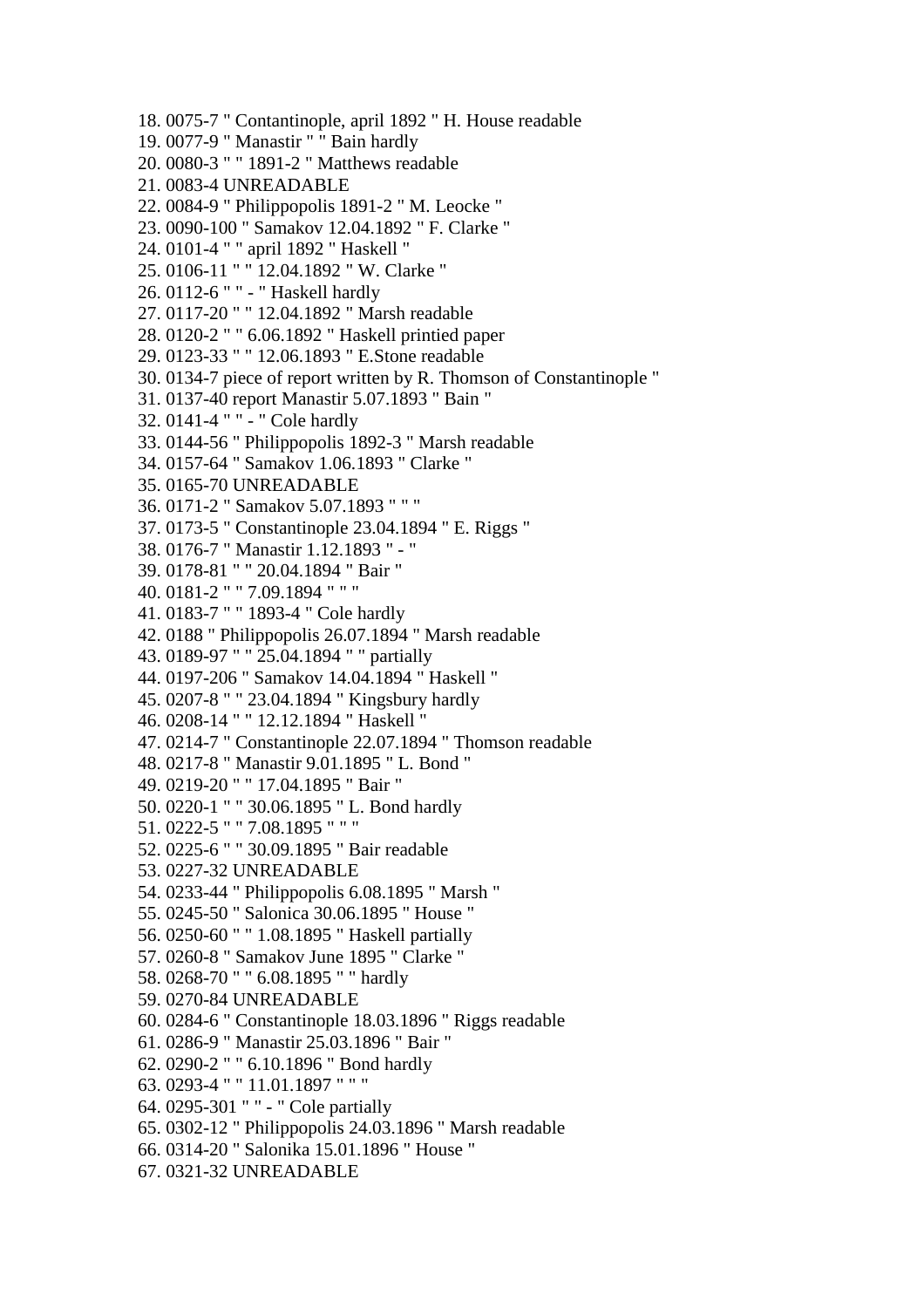18. 0075-7 " Contantinople, april 1892 " H. House readable 19. 0077-9 " Manastir " " Bain hardly 20. 0080-3 " " 1891-2 " Matthews readable 21. 0083-4 UNREADABLE 22. 0084-9 " Philippopolis 1891-2 " M. Leocke " 23. 0090-100 " Samakov 12.04.1892 " F. Clarke " 24. 0101-4 " " april 1892 " Haskell " 25. 0106-11 " " 12.04.1892 " W. Clarke " 26. 0112-6 " " - " Haskell hardly 27. 0117-20 " " 12.04.1892 " Marsh readable 28. 0120-2 " " 6.06.1892 " Haskell printied paper 29. 0123-33 " " 12.06.1893 " E.Stone readable 30. 0134-7 piece of report written by R. Thomson of Constantinople " 31. 0137-40 report Manastir 5.07.1893 " Bain " 32. 0141-4 " " - " Cole hardly 33. 0144-56 " Philippopolis 1892-3 " Marsh readable 34. 0157-64 " Samakov 1.06.1893 " Clarke " 35. 0165-70 UNREADABLE 36. 0171-2 " Samakov 5.07.1893 " " " 37. 0173-5 " Constantinople 23.04.1894 " E. Riggs " 38. 0176-7 " Manastir 1.12.1893 " - " 39. 0178-81 " " 20.04.1894 " Bair " 40. 0181-2 " " 7.09.1894 " " " 41. 0183-7 " " 1893-4 " Cole hardly 42. 0188 " Philippopolis 26.07.1894 " Marsh readable 43. 0189-97 " " 25.04.1894 " " partially 44. 0197-206 " Samakov 14.04.1894 " Haskell " 45. 0207-8 " " 23.04.1894 " Kingsbury hardly 46. 0208-14 " " 12.12.1894 " Haskell " 47. 0214-7 " Constantinople 22.07.1894 " Thomson readable 48. 0217-8 " Manastir 9.01.1895 " L. Bond " 49. 0219-20 " " 17.04.1895 " Bair " 50. 0220-1 " " 30.06.1895 " L. Bond hardly 51. 0222-5 " " 7.08.1895 " " " 52. 0225-6 " " 30.09.1895 " Bair readable 53. 0227-32 UNREADABLE 54. 0233-44 " Philippopolis 6.08.1895 " Marsh " 55. 0245-50 " Salonica 30.06.1895 " House " 56. 0250-60 " " 1.08.1895 " Haskell partially 57. 0260-8 " Samakov June 1895 " Clarke " 58. 0268-70 " " 6.08.1895 " " hardly 59. 0270-84 UNREADABLE 60. 0284-6 " Constantinople 18.03.1896 " Riggs readable 61. 0286-9 " Manastir 25.03.1896 " Bair " 62. 0290-2 " " 6.10.1896 " Bond hardly 63. 0293-4 " " 11.01.1897 " " " 64. 0295-301 " " - " Cole partially 65. 0302-12 " Philippopolis 24.03.1896 " Marsh readable 66. 0314-20 " Salonika 15.01.1896 " House " 67. 0321-32 UNREADABLE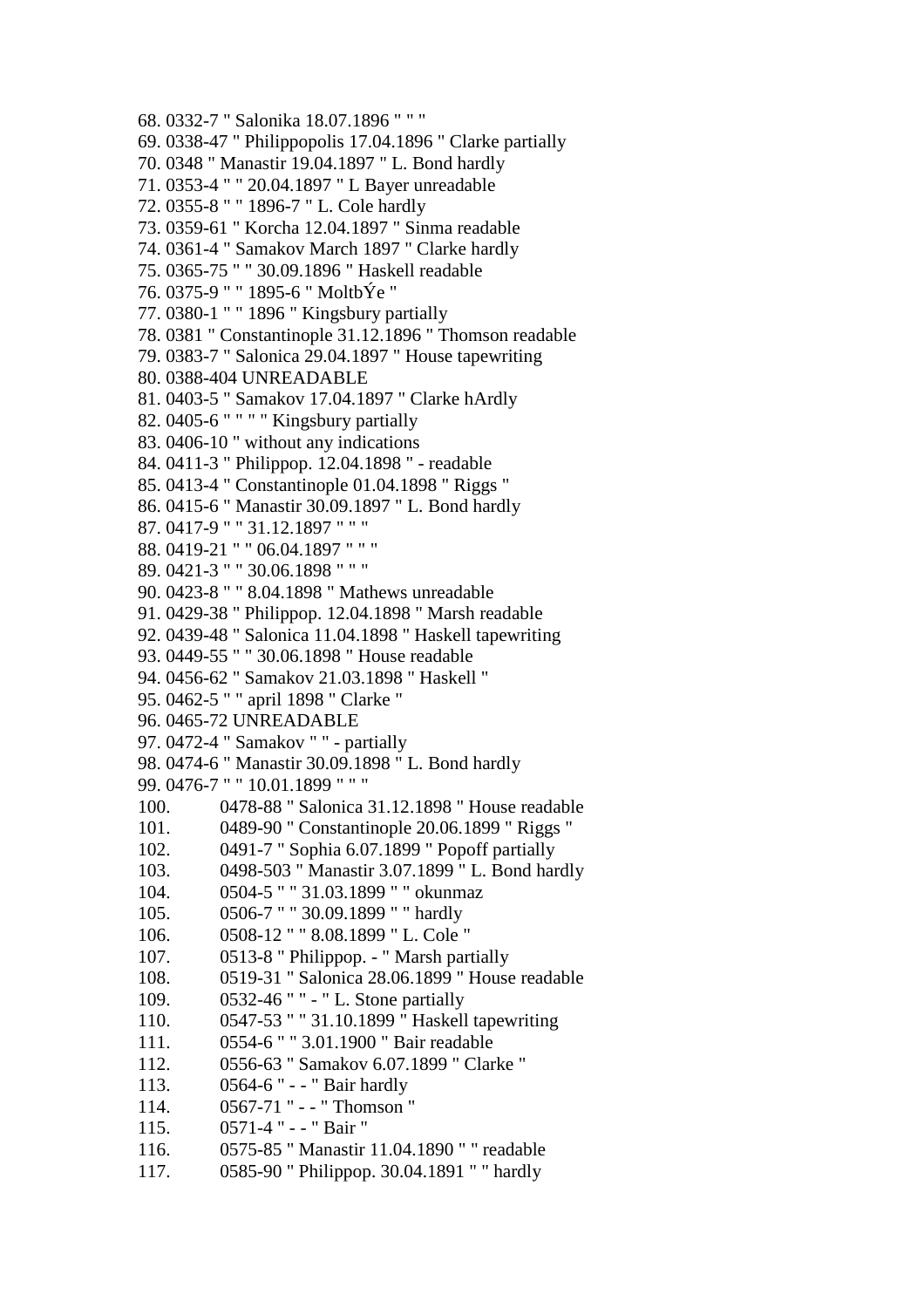68. 0332-7 " Salonika 18.07.1896 " " " 69. 0338-47 " Philippopolis 17.04.1896 " Clarke partially 70. 0348 " Manastir 19.04.1897 " L. Bond hardly 71. 0353-4 " " 20.04.1897 " L Bayer unreadable 72. 0355-8 " " 1896-7 " L. Cole hardly 73. 0359-61 " Korcha 12.04.1897 " Sinma readable 74. 0361-4 " Samakov March 1897 " Clarke hardly 75. 0365-75 " " 30.09.1896 " Haskell readable 76. 0375-9 " " 1895-6 " MoltbÝe " 77. 0380-1 " " 1896 " Kingsbury partially 78. 0381 " Constantinople 31.12.1896 " Thomson readable 79. 0383-7 " Salonica 29.04.1897 " House tapewriting 80. 0388-404 UNREADABLE 81. 0403-5 " Samakov 17.04.1897 " Clarke hArdly 82. 0405-6 " " " " Kingsbury partially 83. 0406-10 " without any indications 84. 0411-3 " Philippop. 12.04.1898 " - readable 85. 0413-4 " Constantinople 01.04.1898 " Riggs " 86. 0415-6 " Manastir 30.09.1897 " L. Bond hardly 87. 0417-9 " " 31.12.1897 " " " 88. 0419-21 " " 06.04.1897 " " " 89. 0421-3 " " 30.06.1898 " " " 90. 0423-8 " " 8.04.1898 " Mathews unreadable 91. 0429-38 " Philippop. 12.04.1898 " Marsh readable 92. 0439-48 " Salonica 11.04.1898 " Haskell tapewriting 93. 0449-55 " " 30.06.1898 " House readable 94. 0456-62 " Samakov 21.03.1898 " Haskell " 95. 0462-5 " " april 1898 " Clarke " 96. 0465-72 UNREADABLE 97. 0472-4 " Samakov " " - partially 98. 0474-6 " Manastir 30.09.1898 " L. Bond hardly 99. 0476-7 " " 10.01.1899 " " " 100. 0478-88 " Salonica 31.12.1898 " House readable 101. 0489-90 " Constantinople 20.06.1899 " Riggs " 102. 0491-7 " Sophia 6.07.1899 " Popoff partially 103. 0498-503 " Manastir 3.07.1899 " L. Bond hardly 104. 0504-5 " " 31.03.1899 " " okunmaz 105. 0506-7 " " 30.09.1899 " " hardly 106. 0508-12 " " 8.08.1899 " L. Cole " 107. 0513-8 " Philippop. - " Marsh partially 108. 0519-31 " Salonica 28.06.1899 " House readable 109. 0532-46 " " - " L. Stone partially 110. 0547-53 " " 31.10.1899 " Haskell tapewriting 111. 0554-6 " " 3.01.1900 " Bair readable 112. 0556-63 " Samakov 6.07.1899 " Clarke " 113. 0564-6 " - - " Bair hardly 114. 0567-71 " - - " Thomson " 115. 0571-4 " - - " Bair " 116. 0575-85 " Manastir 11.04.1890 " " readable 117. 0585-90 " Philippop. 30.04.1891 " " hardly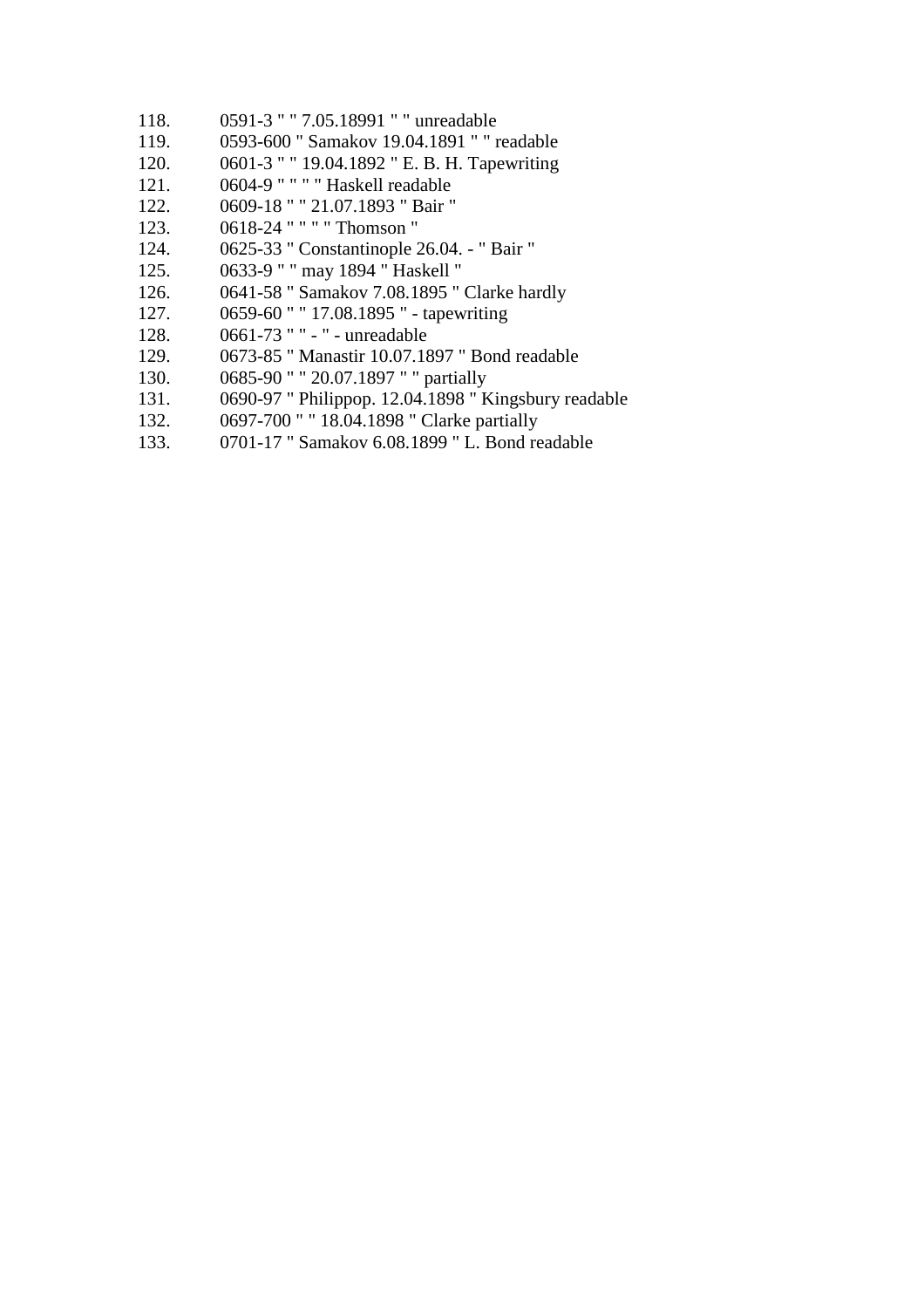- 118. 0591-3 " " 7.05.18991 " " unreadable
- 119. 0593-600 " Samakov 19.04.1891 " " readable
- 120. 0601-3 " " 19.04.1892 " E. B. H. Tapewriting
- 121. 0604-9 " " " " Haskell readable
- 122. 0609-18 " " 21.07.1893 " Bair "
- 123. 0618-24 " " " " Thomson "
- 124. 0625-33 " Constantinople 26.04. " Bair "
- 125. 0633-9 " " may 1894 " Haskell "
- 126. 0641-58 " Samakov 7.08.1895 " Clarke hardly
- 127. 0659-60 " " 17.08.1895 " tapewriting
- 128. 0661-73 " " " unreadable
- 129. 0673-85 " Manastir 10.07.1897 " Bond readable
- 130. 0685-90 " " 20.07.1897 " " partially
- 131. 0690-97 " Philippop. 12.04.1898 " Kingsbury readable
- 132. 0697-700 " " 18.04.1898 " Clarke partially
- 133. 0701-17 " Samakov 6.08.1899 " L. Bond readable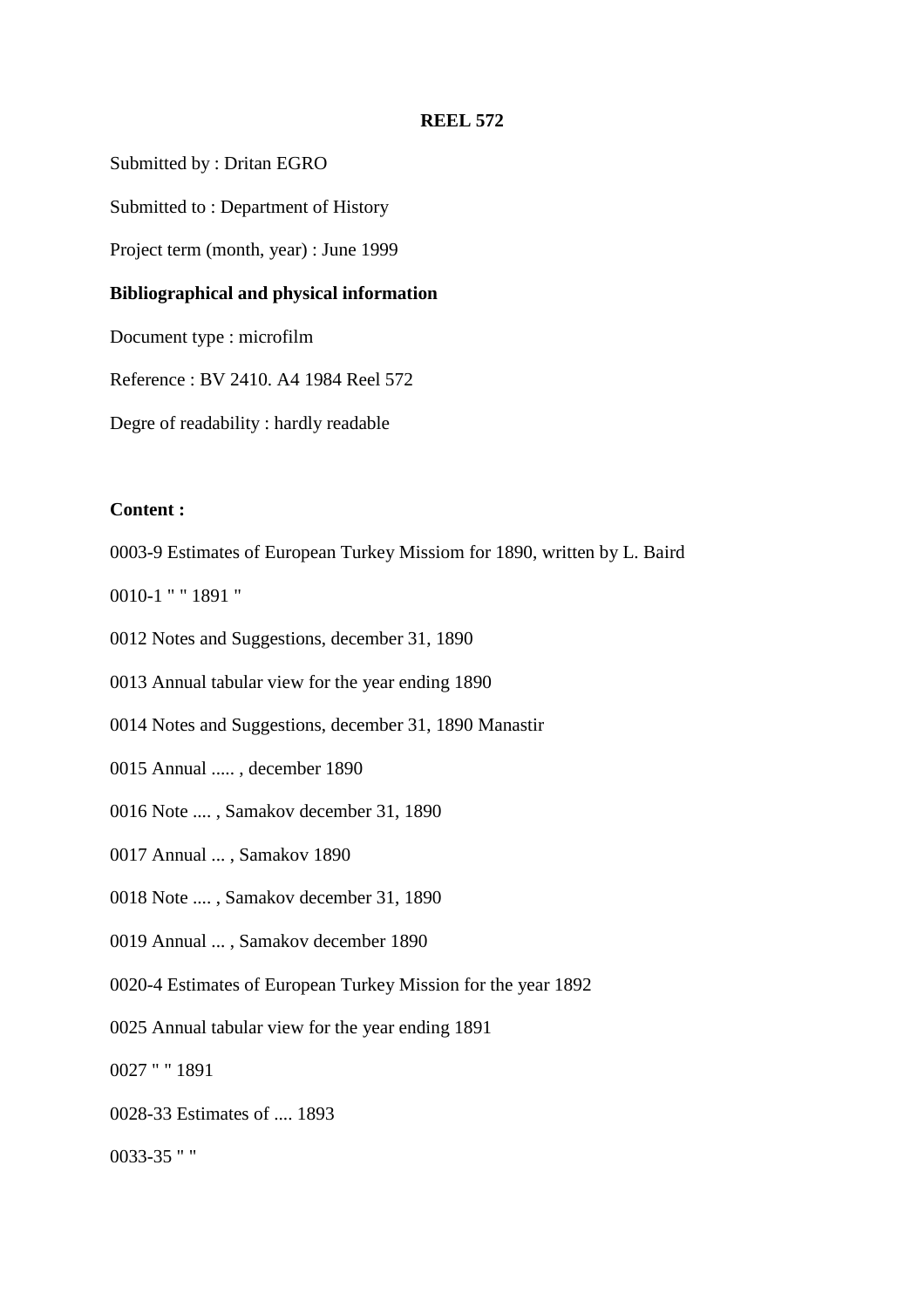Submitted by : Dritan EGRO

Submitted to : Department of History

Project term (month, year) : June 1999

#### **Bibliographical and physical information**

Document type : microfilm

Reference : BV 2410. A4 1984 Reel 572

Degre of readability : hardly readable

### **Content :**

0003-9 Estimates of European Turkey Missiom for 1890, written by L. Baird

0010-1 " " 1891 "

0012 Notes and Suggestions, december 31, 1890

0013 Annual tabular view for the year ending 1890

0014 Notes and Suggestions, december 31, 1890 Manastir

0015 Annual ..... , december 1890

0016 Note .... , Samakov december 31, 1890

0017 Annual ... , Samakov 1890

0018 Note .... , Samakov december 31, 1890

0019 Annual ... , Samakov december 1890

0020-4 Estimates of European Turkey Mission for the year 1892

0025 Annual tabular view for the year ending 1891

0027 " " 1891

0028-33 Estimates of .... 1893

0033-35 " "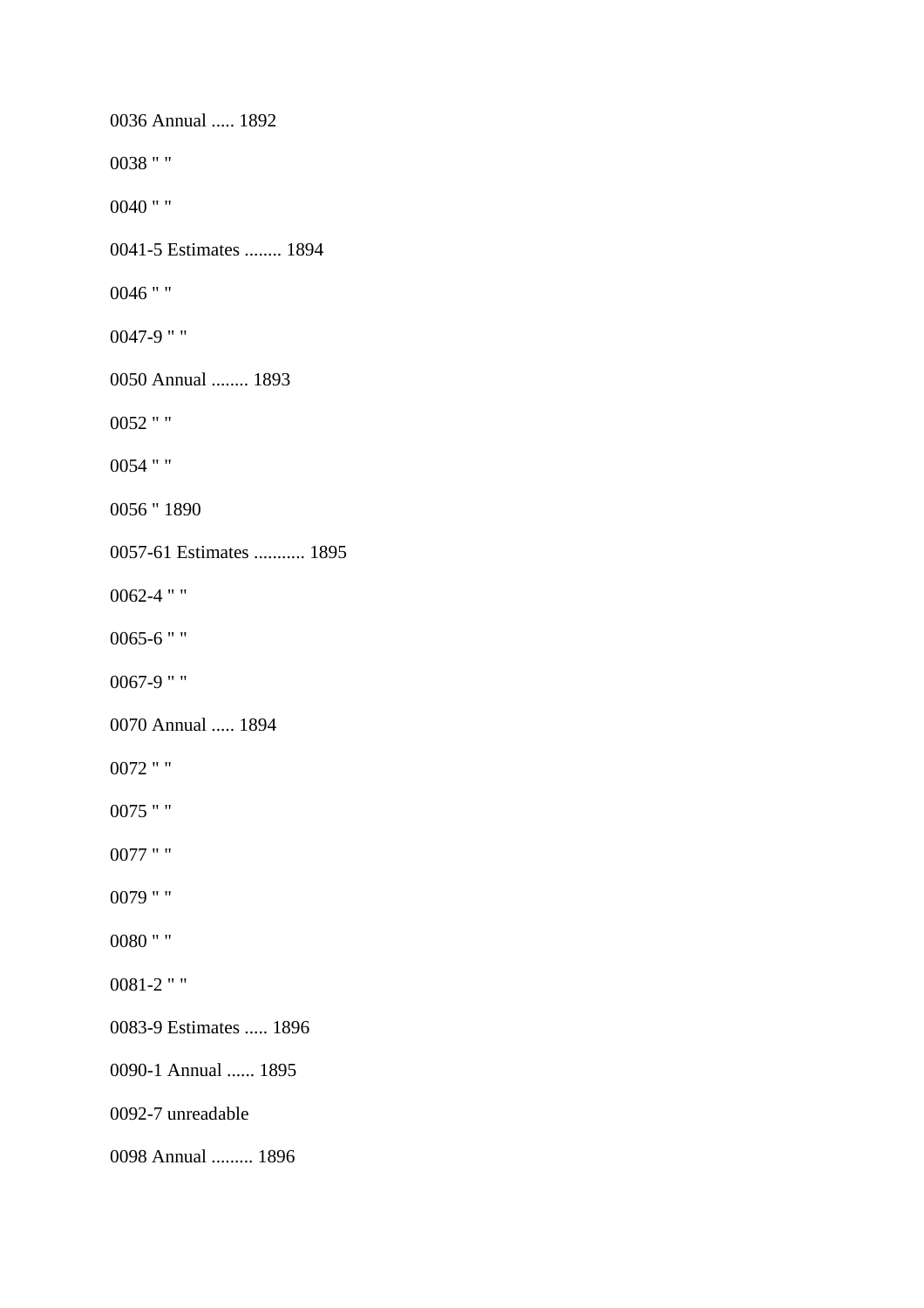0036 Annual ..... 1892 0038 " " 0040 " " 0041-5 Estimates ........ 1894 0046 " " 0047-9 " " 0050 Annual ........ 1893 0052 " " 0054 " " 0056 " 1890 0057-61 Estimates ........... 1895 0062-4 " " 0065-6 " " 0067-9 " " 0070 Annual ..... 1894 0072 " " 0075 " " 0077 " " 0079 " " 0080 " " 0081-2 " " 0083-9 Estimates ..... 1896 0090-1 Annual ...... 1895 0092-7 unreadable 0098 Annual ......... 1896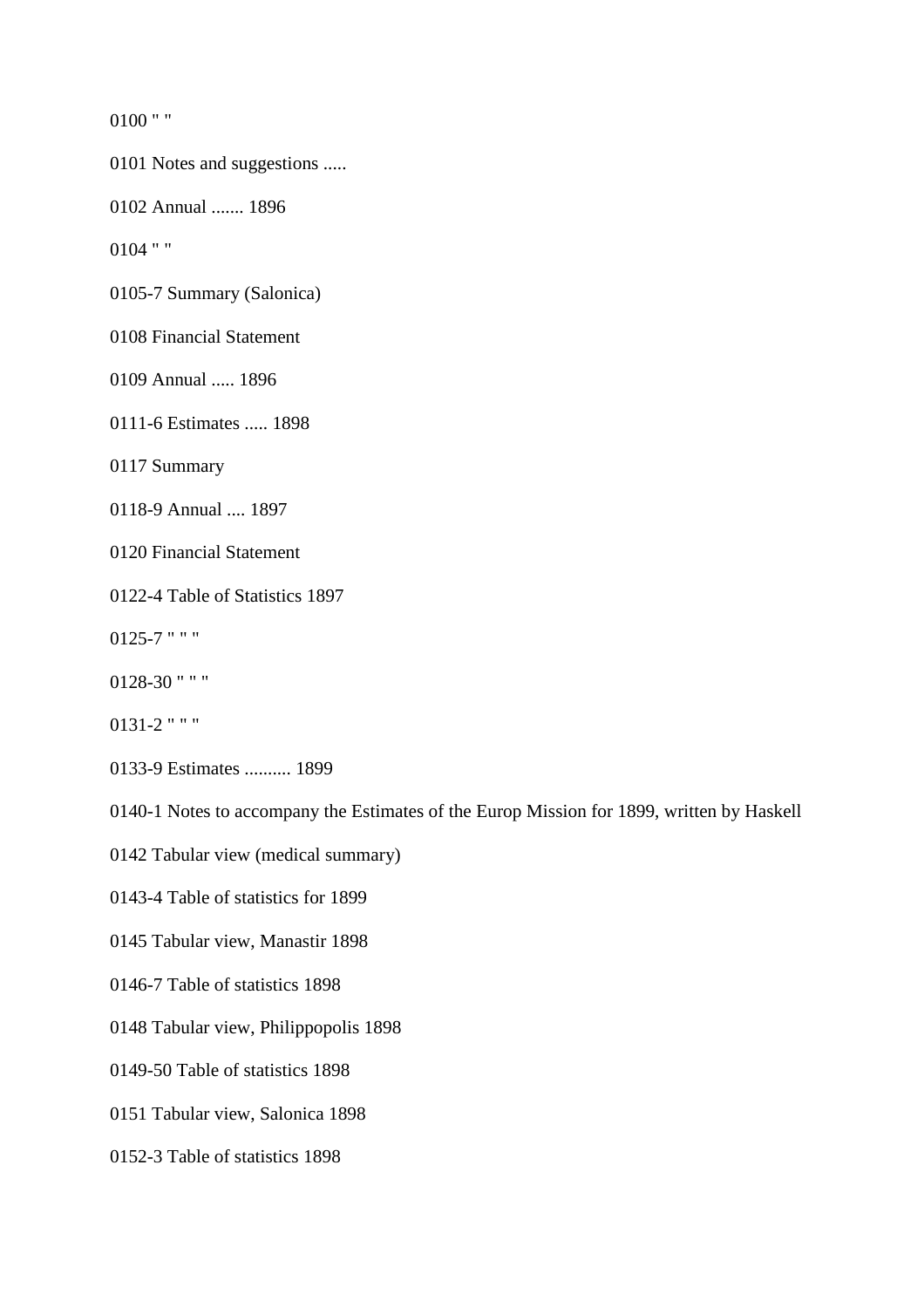0100 " "

0101 Notes and suggestions .....

0102 Annual ....... 1896

0104 " "

0105-7 Summary (Salonica)

0108 Financial Statement

0109 Annual ..... 1896

0111-6 Estimates ..... 1898

0117 Summary

0118-9 Annual .... 1897

0120 Financial Statement

0122-4 Table of Statistics 1897

0125-7 " " "

0128-30 " " "

0131-2 " " "

0133-9 Estimates .......... 1899

0140-1 Notes to accompany the Estimates of the Europ Mission for 1899, written by Haskell

0142 Tabular view (medical summary)

0143-4 Table of statistics for 1899

0145 Tabular view, Manastir 1898

0146-7 Table of statistics 1898

0148 Tabular view, Philippopolis 1898

0149-50 Table of statistics 1898

0151 Tabular view, Salonica 1898

0152-3 Table of statistics 1898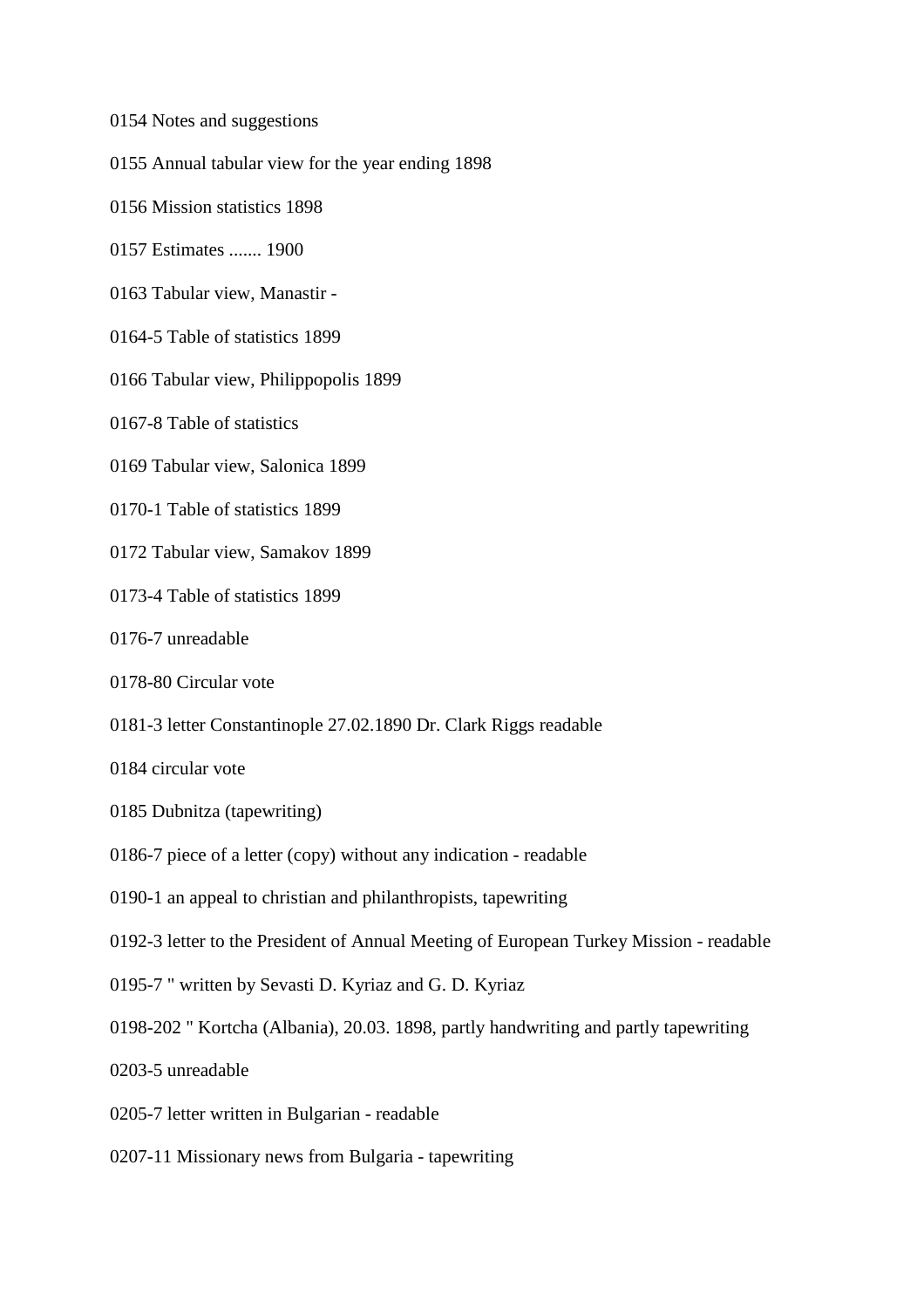- 0154 Notes and suggestions
- 0155 Annual tabular view for the year ending 1898
- 0156 Mission statistics 1898
- 0157 Estimates ....... 1900
- 0163 Tabular view, Manastir -
- 0164-5 Table of statistics 1899
- 0166 Tabular view, Philippopolis 1899
- 0167-8 Table of statistics
- 0169 Tabular view, Salonica 1899
- 0170-1 Table of statistics 1899
- 0172 Tabular view, Samakov 1899
- 0173-4 Table of statistics 1899
- 0176-7 unreadable
- 0178-80 Circular vote
- 0181-3 letter Constantinople 27.02.1890 Dr. Clark Riggs readable
- 0184 circular vote
- 0185 Dubnitza (tapewriting)
- 0186-7 piece of a letter (copy) without any indication readable
- 0190-1 an appeal to christian and philanthropists, tapewriting
- 0192-3 letter to the President of Annual Meeting of European Turkey Mission readable
- 0195-7 " written by Sevasti D. Kyriaz and G. D. Kyriaz
- 0198-202 " Kortcha (Albania), 20.03. 1898, partly handwriting and partly tapewriting
- 0203-5 unreadable
- 0205-7 letter written in Bulgarian readable
- 0207-11 Missionary news from Bulgaria tapewriting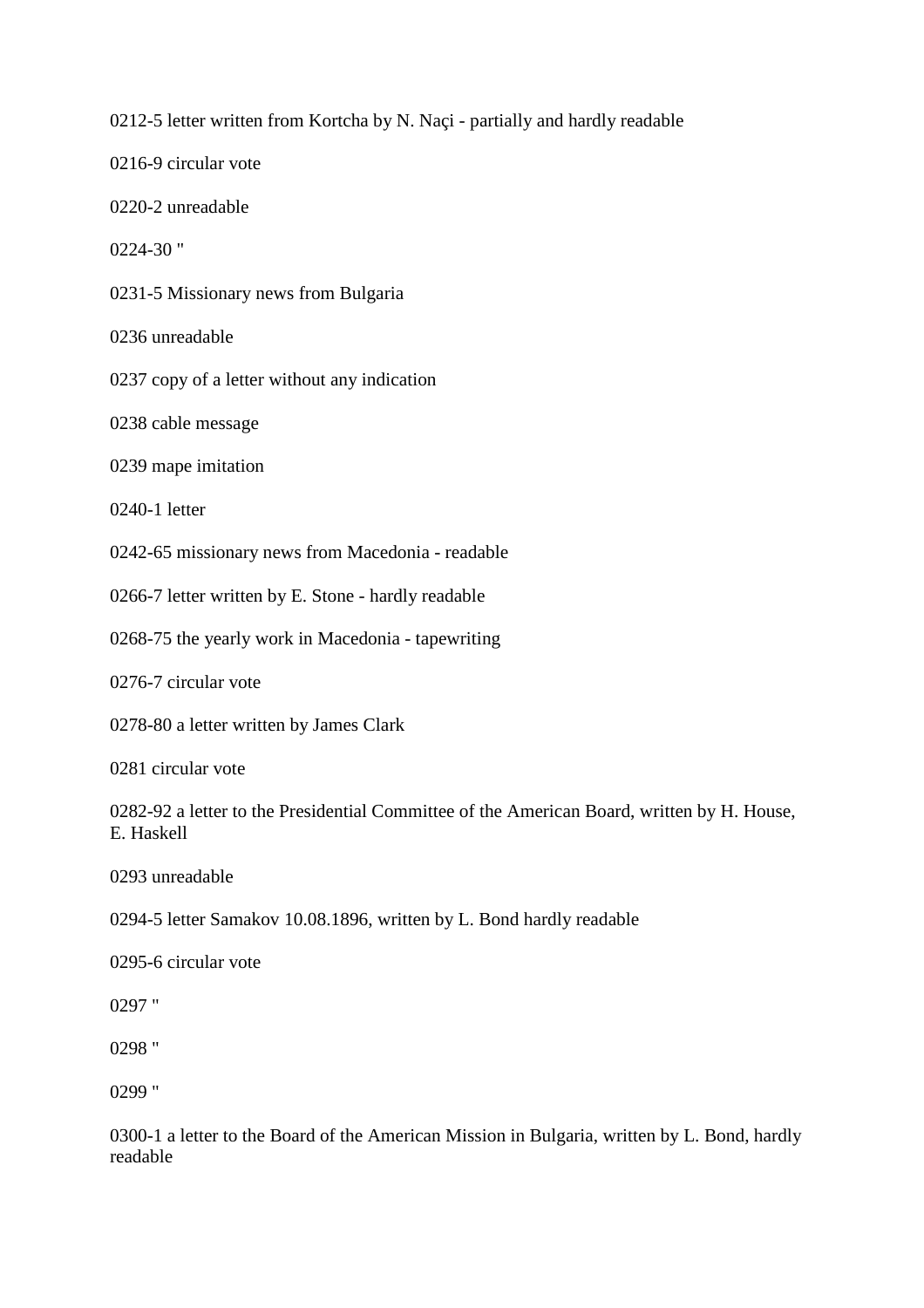0212-5 letter written from Kortcha by N. Naçi - partially and hardly readable

0216-9 circular vote

0220-2 unreadable

0224-30 "

0231-5 Missionary news from Bulgaria

0236 unreadable

0237 copy of a letter without any indication

0238 cable message

0239 mape imitation

0240-1 letter

0242-65 missionary news from Macedonia - readable

0266-7 letter written by E. Stone - hardly readable

0268-75 the yearly work in Macedonia - tapewriting

0276-7 circular vote

0278-80 a letter written by James Clark

0281 circular vote

0282-92 a letter to the Presidential Committee of the American Board, written by H. House, E. Haskell

0293 unreadable

0294-5 letter Samakov 10.08.1896, written by L. Bond hardly readable

0295-6 circular vote

0297 "

0298 "

0299 "

0300-1 a letter to the Board of the American Mission in Bulgaria, written by L. Bond, hardly readable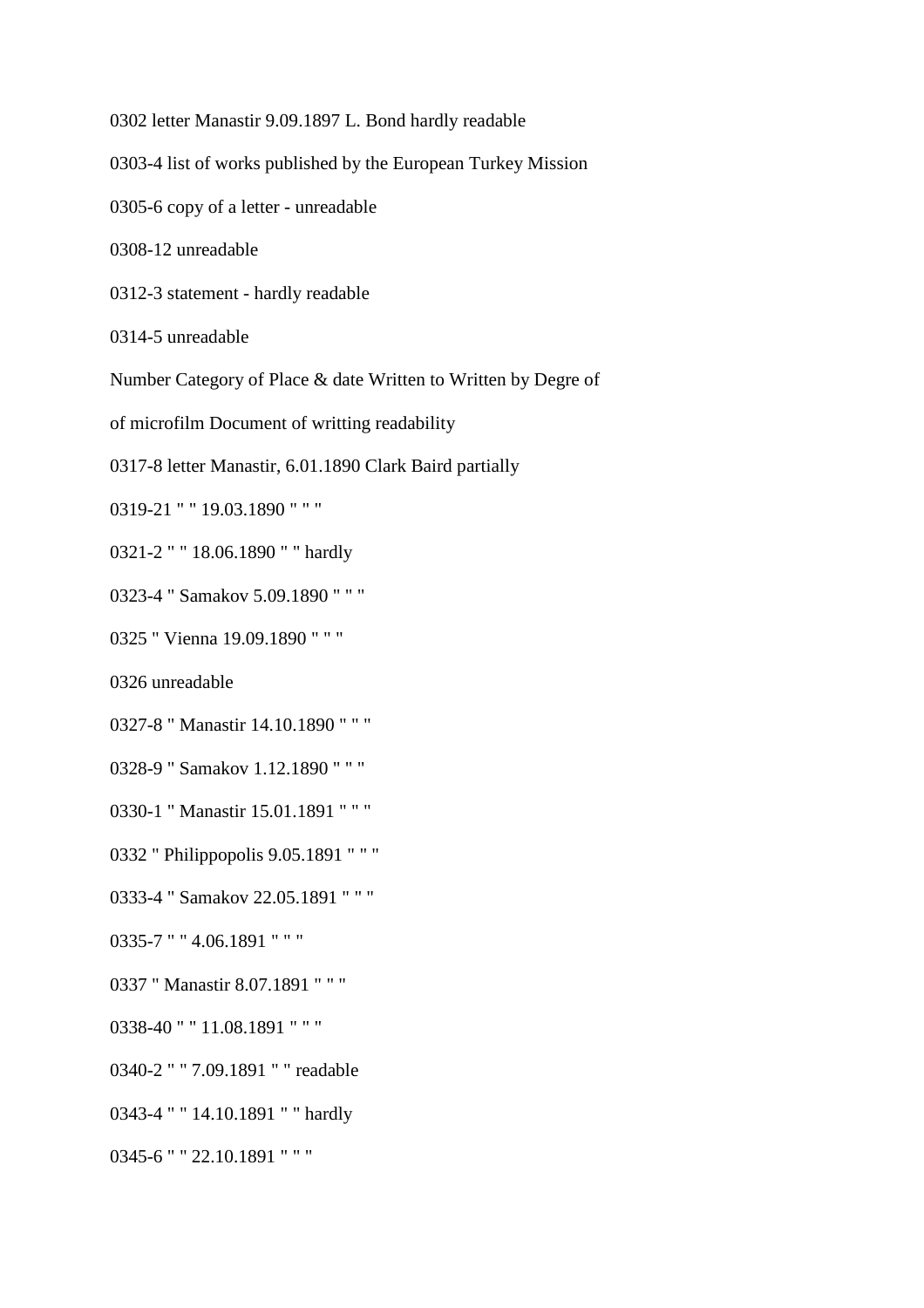0302 letter Manastir 9.09.1897 L. Bond hardly readable

0303-4 list of works published by the European Turkey Mission

0305-6 copy of a letter - unreadable

0308-12 unreadable

0312-3 statement - hardly readable

0314-5 unreadable

Number Category of Place & date Written to Written by Degre of

of microfilm Document of writting readability

0317-8 letter Manastir, 6.01.1890 Clark Baird partially

0319-21 " " 19.03.1890 " " "

0321-2 " " 18.06.1890 " " hardly

0323-4 " Samakov 5.09.1890 " " "

0325 " Vienna 19.09.1890 " " "

0326 unreadable

0327-8 " Manastir 14.10.1890 " " "

0328-9 " Samakov 1.12.1890 " " "

0330-1 " Manastir 15.01.1891 " " "

0332 " Philippopolis 9.05.1891 " " "

0333-4 " Samakov 22.05.1891 " " "

0335-7 " " 4.06.1891 " " "

0337 " Manastir 8.07.1891 " " "

0338-40 " " 11.08.1891 " " "

0340-2 " " 7.09.1891 " " readable

0343-4 " " 14.10.1891 " " hardly

0345-6 " " 22.10.1891 " " "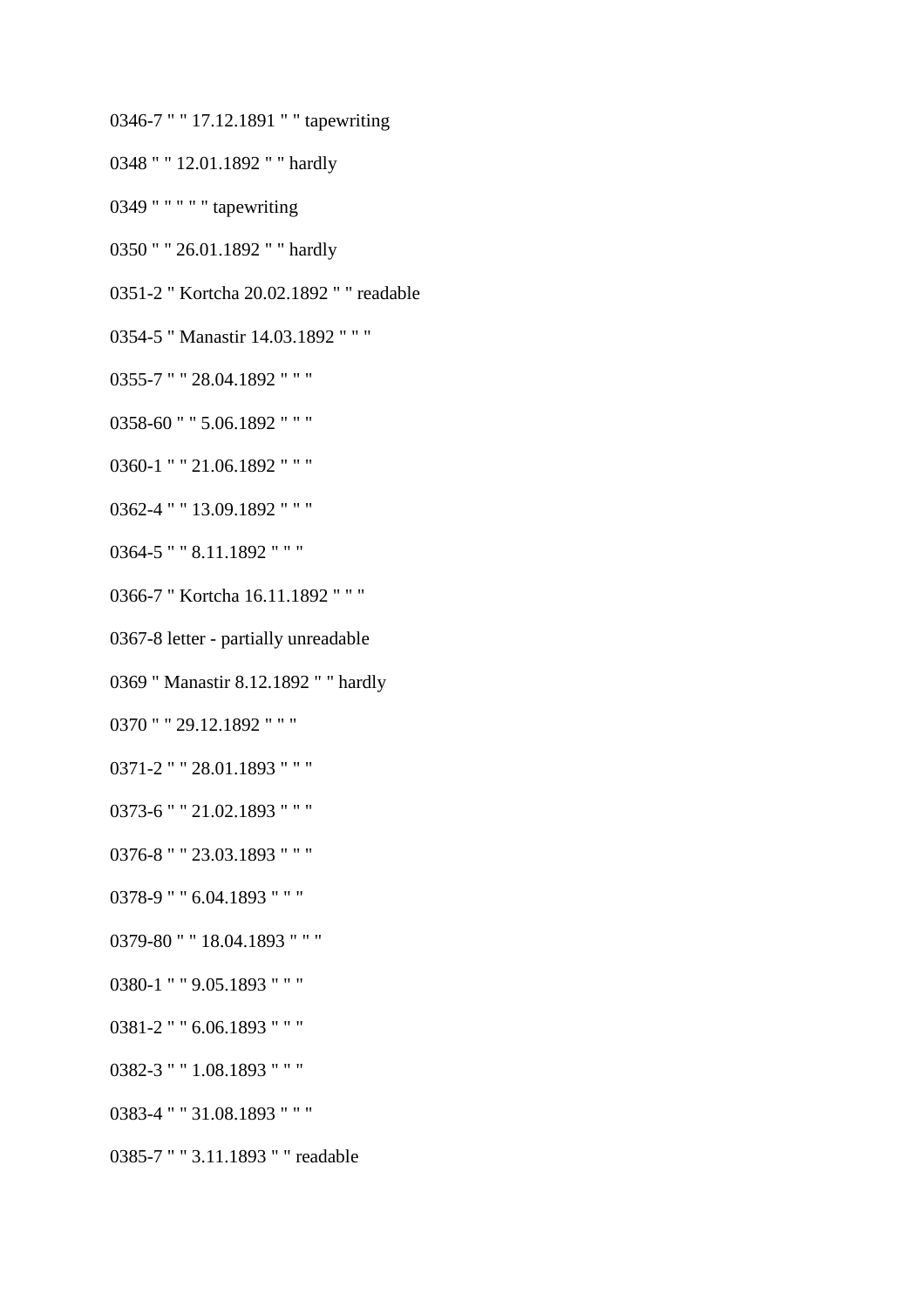0346-7 " " 17.12.1891 " " tapewriting

0348 " " 12.01.1892 " " hardly

0349 " " " " " tapewriting

0350 " " 26.01.1892 " " hardly

0351-2 " Kortcha 20.02.1892 " " readable

- 0354-5 " Manastir 14.03.1892 " " "
- 0355-7 " " 28.04.1892 " " "
- 0358-60 " " 5.06.1892 " " "
- 0360-1 " " 21.06.1892 " " "
- 0362-4 " " 13.09.1892 " " "
- 0364-5 " " 8.11.1892 " " "
- 0366-7 " Kortcha 16.11.1892 " " "
- 0367-8 letter partially unreadable
- 0369 " Manastir 8.12.1892 " " hardly

0370 " " 29.12.1892 " " "

- 0371-2 " " 28.01.1893 " " "
- 0373-6 " " 21.02.1893 " " "
- 0376-8 " " 23.03.1893 " " "
- 0378-9 " " 6.04.1893 " " "
- 0379-80 " " 18.04.1893 " " "
- 0380-1 " " 9.05.1893 " " "
- 0381-2 " " 6.06.1893 " " "
- 0382-3 " " 1.08.1893 " " "
- 0383-4 " " 31.08.1893 " " "
- 0385-7 " " 3.11.1893 " " readable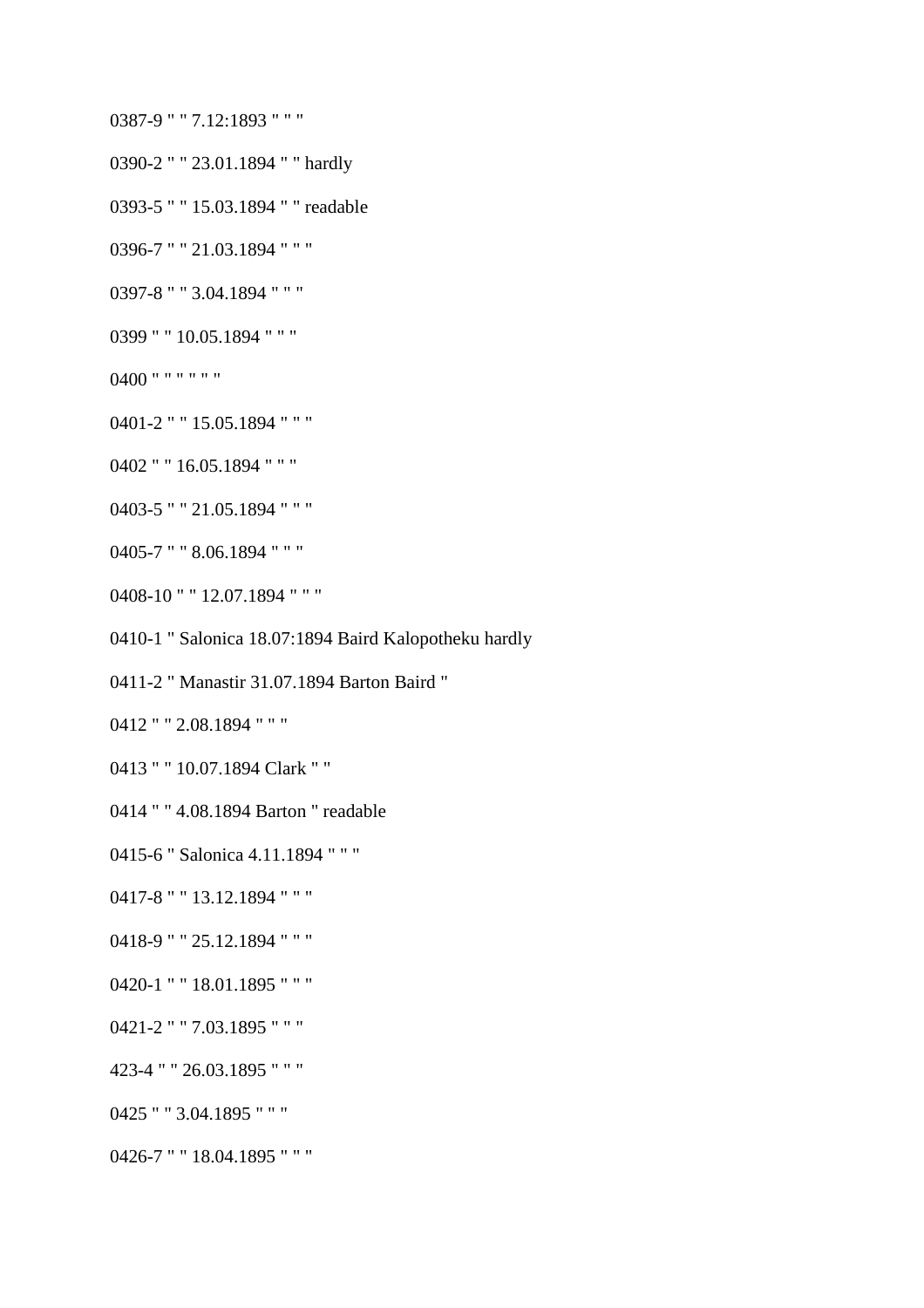0387-9 " " 7.12:1893 " " "

- 0390-2 " " 23.01.1894 " " hardly
- 0393-5 " " 15.03.1894 " " readable
- 0396-7 " " 21.03.1894 " " "
- 0397-8 " " 3.04.1894 " " "
- 0399 " " 10.05.1894 " " "
- 0400 " " " " " "
- 0401-2 " " 15.05.1894 " " "
- 0402 " " 16.05.1894 " " "
- 0403-5 " " 21.05.1894 " " "
- 0405-7 " " 8.06.1894 " " "
- 0408-10 " " 12.07.1894 " " "
- 0410-1 " Salonica 18.07:1894 Baird Kalopotheku hardly
- 0411-2 " Manastir 31.07.1894 Barton Baird "
- 0412 " " 2.08.1894 " " "
- 0413 " " 10.07.1894 Clark " "
- 0414 " " 4.08.1894 Barton " readable
- 0415-6 " Salonica 4.11.1894 " " "
- 0417-8 " " 13.12.1894 " " "
- 0418-9 " " 25.12.1894 " " "
- 0420-1 " " 18.01.1895 " " "
- 0421-2 " " 7.03.1895 " " "
- 423-4 " " 26.03.1895 " " "
- 0425 " " 3.04.1895 " " "
- 0426-7 " " 18.04.1895 " " "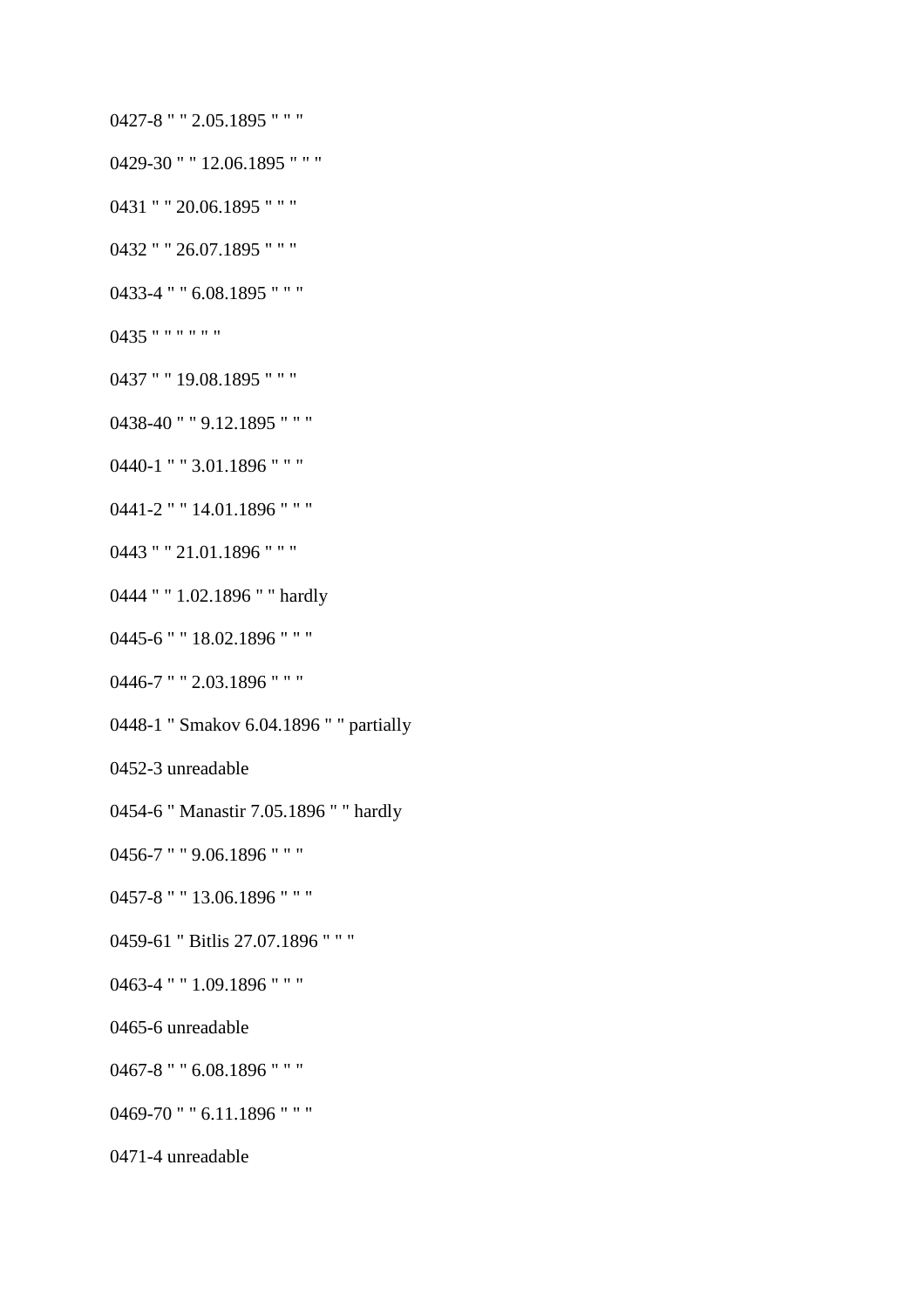0427-8 " " 2.05.1895 " " "

- 0429-30 " " 12.06.1895 " " "
- 

0431 " " 20.06.1895 " " "

0432 " " 26.07.1895 " " "

0433-4 " " 6.08.1895 " " "

0437 " " 19.08.1895 " " "

0438-40 " " 9.12.1895 " " "

0440-1 " " 3.01.1896 " " "

0441-2 " " 14.01.1896 " " "

0443 " " 21.01.1896 " " "

0444 " " 1.02.1896 " " hardly

0445-6 " " 18.02.1896 " " "

0446-7 " " 2.03.1896 " " "

0456-7 " " 9.06.1896 " " "

0457-8 " " 13.06.1896 " " "

0463-4 " " 1.09.1896 " " "

0467-8 " " 6.08.1896 " " "

0469-70 " " 6.11.1896 " " "

0465-6 unreadable

0471-4 unreadable

0459-61 " Bitlis 27.07.1896 " " "

0452-3 unreadable

0448-1 " Smakov 6.04.1896 " " partially

0454-6 " Manastir 7.05.1896 " " hardly

0435 " " " " " "

- 
- 
-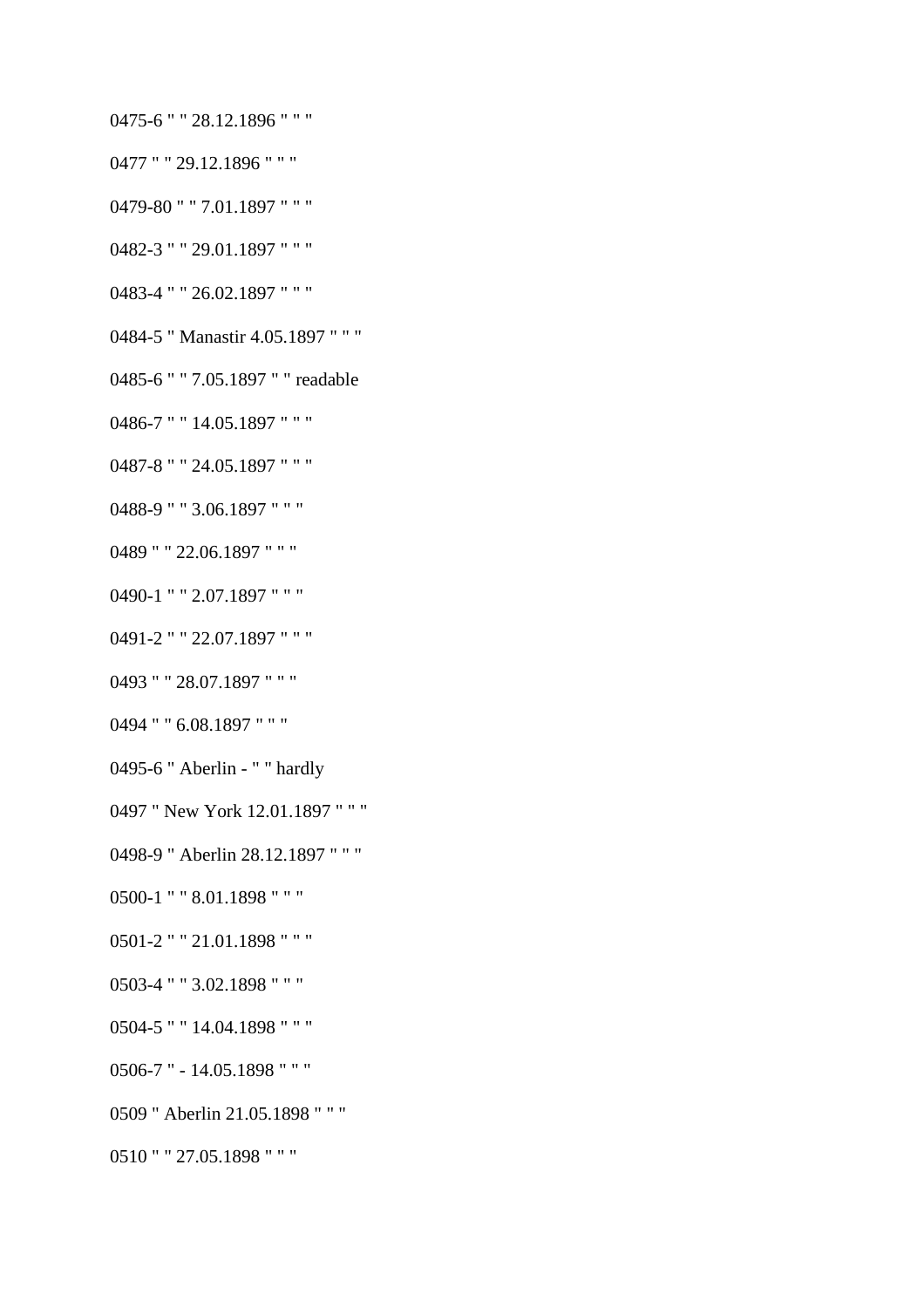- 0475-6 " " 28.12.1896 " " "
- 0477 " " 29.12.1896 " " "
- 0479-80 " " 7.01.1897 " " "
- 0482-3 " " 29.01.1897 " " "
- 0483-4 " " 26.02.1897 " " "
- 0484-5 " Manastir 4.05.1897 " " "
- 0485-6 " " 7.05.1897 " " readable
- 0486-7 " " 14.05.1897 " " "
- 0487-8 " " 24.05.1897 " " "
- 0488-9 " " 3.06.1897 " " "
- 0489 " " 22.06.1897 " " "
- 0490-1 " " 2.07.1897 " " "
- 0491-2 " " 22.07.1897 " " "
- 0493 " " 28.07.1897 " " "
- 0494 " " 6.08.1897 " " "
- 0495-6 " Aberlin " " hardly
- 0497 " New York 12.01.1897 " " "
- 0498-9 " Aberlin 28.12.1897 " " "
- 0500-1 " " 8.01.1898 " " "
- 
- 
- 
- 0501-2 " " 21.01.1898 " " "
- 
- 0503-4 " " 3.02.1898 " " "
- 0504-5 " " 14.04.1898 " " "
- 0506-7 " 14.05.1898 " " "
- 0509 " Aberlin 21.05.1898 " " "
- 0510 " " 27.05.1898 " " "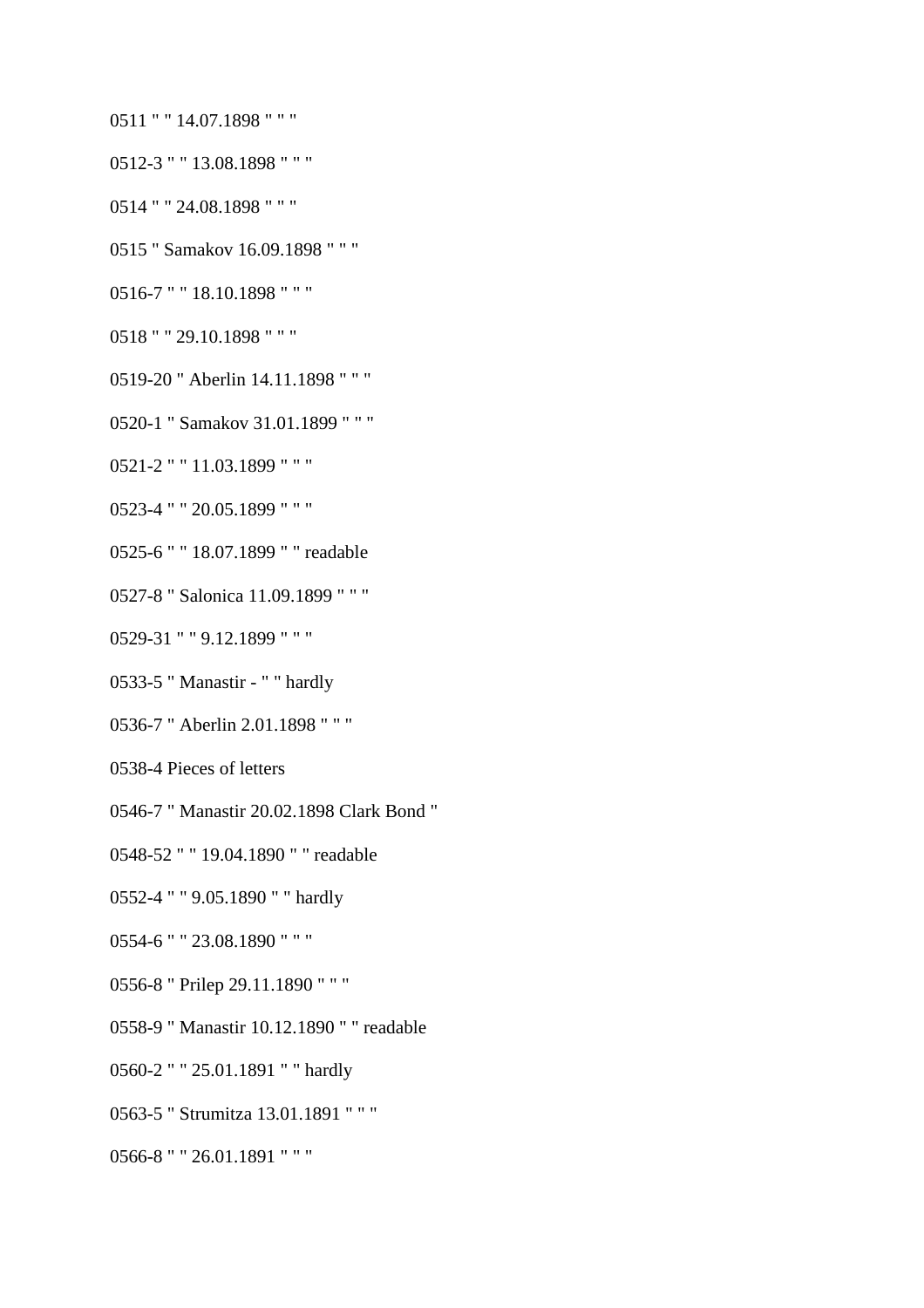- 0511 " " 14.07.1898 " " "
- 0512-3 " " 13.08.1898 " " "
- 0514 " " 24.08.1898 " " "
- 0515 " Samakov 16.09.1898 " " "
- 0516-7 " " 18.10.1898 " " "
- 0518 " " 29.10.1898 " " "
- 0519-20 " Aberlin 14.11.1898 " " "
- 0520-1 " Samakov 31.01.1899 " " "
- 0521-2 " " 11.03.1899 " " "
- 0523-4 " " 20.05.1899 " " "
- 0525-6 " " 18.07.1899 " " readable
- 0527-8 " Salonica 11.09.1899 " " "
- 0529-31 " " 9.12.1899 " " "
- 0533-5 " Manastir " " hardly
- 0536-7 " Aberlin 2.01.1898 " " "
- 0538-4 Pieces of letters
- 0546-7 " Manastir 20.02.1898 Clark Bond "
- 0548-52 " " 19.04.1890 " " readable
- 0552-4 " " 9.05.1890 " " hardly
- 0554-6 " " 23.08.1890 " " "
- 0556-8 " Prilep 29.11.1890 " " "
- 0558-9 " Manastir 10.12.1890 " " readable
- 0560-2 " " 25.01.1891 " " hardly
- 0563-5 " Strumitza 13.01.1891 " " "
- 0566-8 " " 26.01.1891 " " "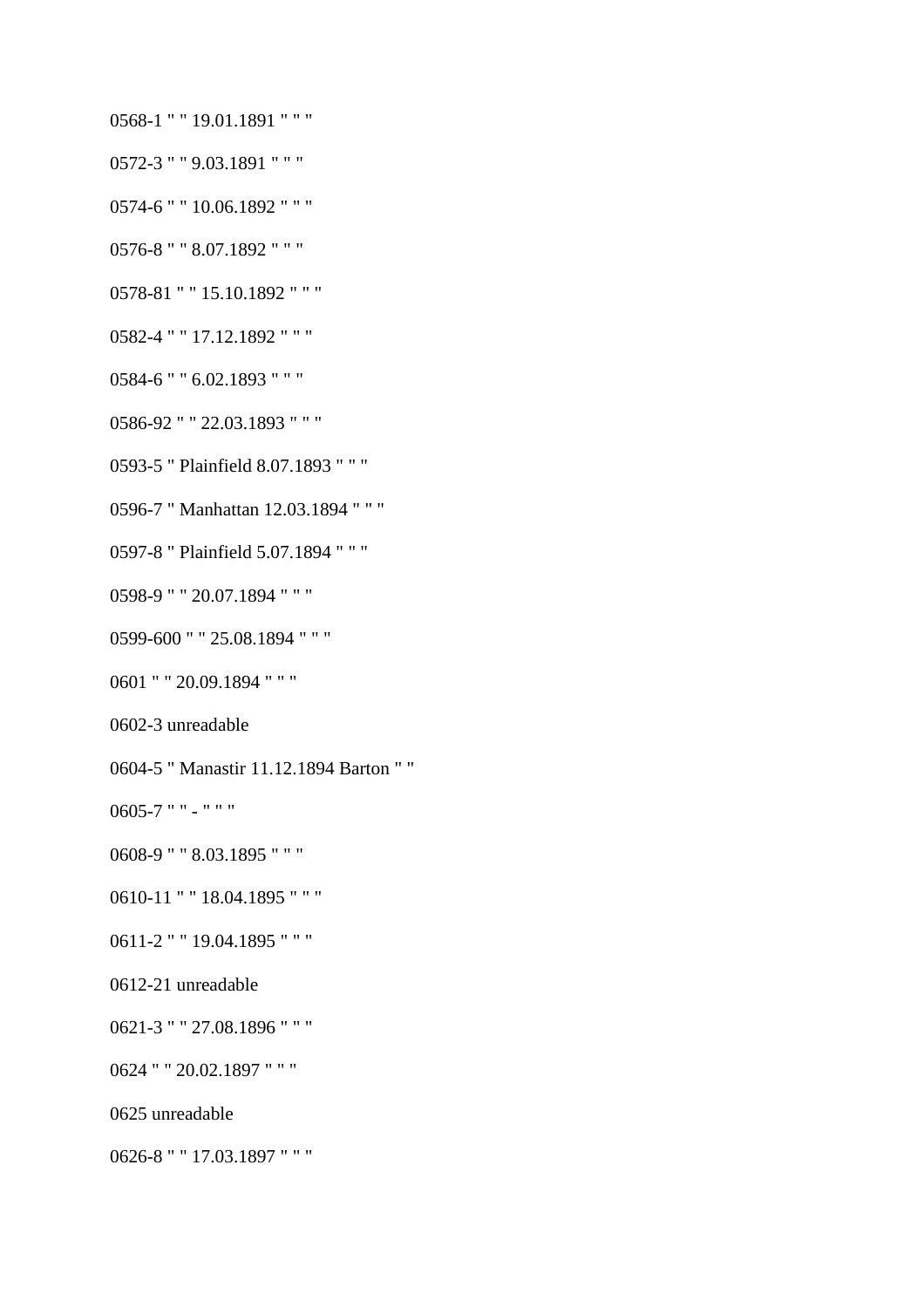- 0568-1 " " 19.01.1891 " " "
- 0572-3 " " 9.03.1891 " " "
- 0574-6 " " 10.06.1892 " " "
- 0576-8 " " 8.07.1892 " " "
- 0578-81 " " 15.10.1892 " " "
- 0582-4 " " 17.12.1892 " " "
- 0584-6 " " 6.02.1893 " " "
- 0586-92 " " 22.03.1893 " " "
- 0593-5 " Plainfield 8.07.1893 " " "
- 0596-7 " Manhattan 12.03.1894 " " "
- 0597-8 " Plainfield 5.07.1894 " " "
- 0598-9 " " 20.07.1894 " " "
- 0599-600 " " 25.08.1894 " " "
- 0601 " " 20.09.1894 " " "
- 0602-3 unreadable
- 0604-5 " Manastir 11.12.1894 Barton " "

0605-7 " " - " " "

- 0608-9 " " 8.03.1895 " " "
- 0610-11 " " 18.04.1895 " " "
- 0611-2 " " 19.04.1895 " " "
- 0612-21 unreadable
- 0621-3 " " 27.08.1896 " " "
- 0624 " " 20.02.1897 " " "
- 0625 unreadable
- 0626-8 " " 17.03.1897 " " "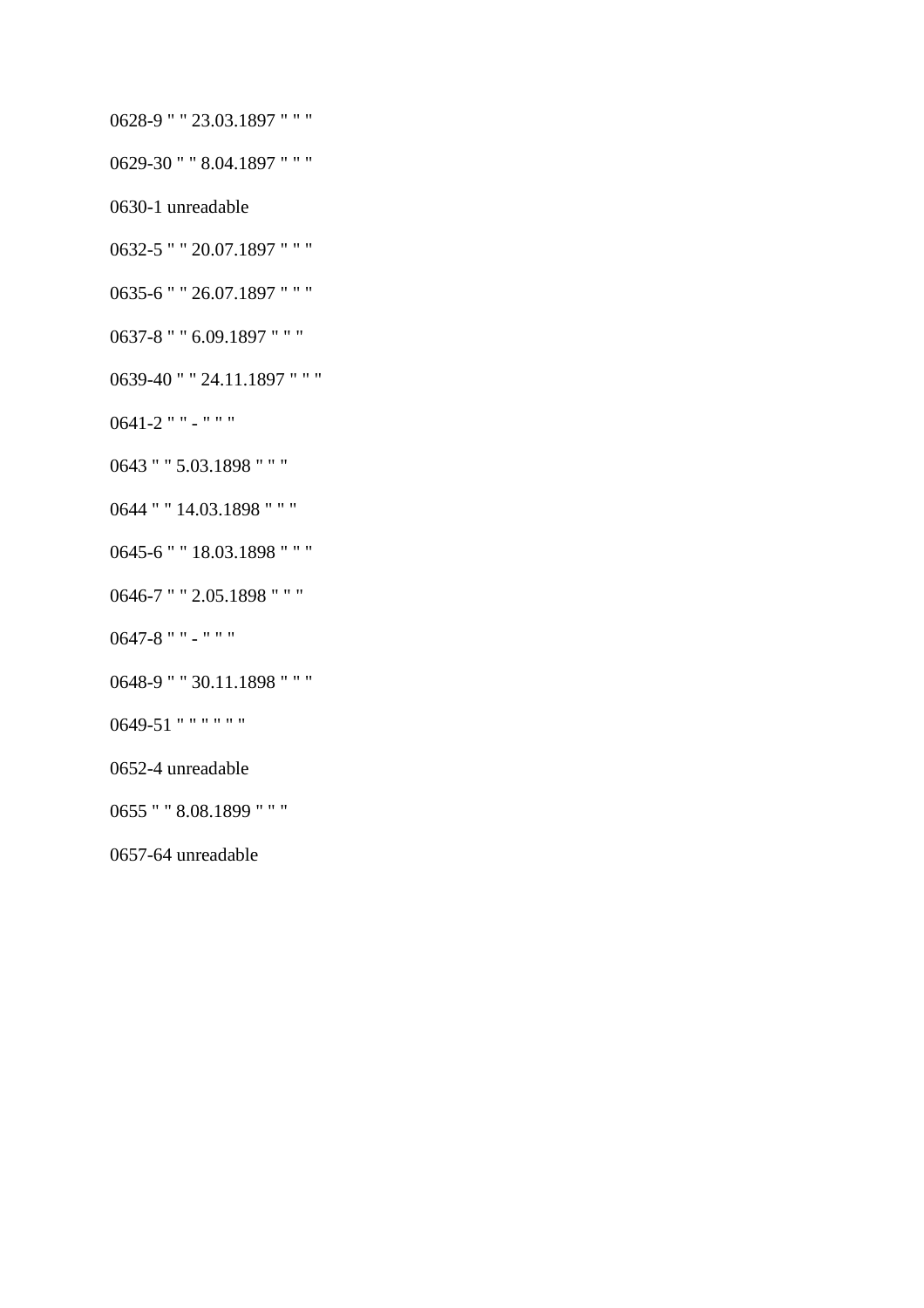- 0628-9 " " 23.03.1897 " " "
- 0629-30 " " 8.04.1897 " " "
- 0630-1 unreadable
- 0632-5 " " 20.07.1897 " " "
- 0635-6 " " 26.07.1897 " " "
- 0637-8 " " 6.09.1897 " " "
- 0639-40 " " 24.11.1897 " " "
- 0641-2 " " " " "
- 0643 " " 5.03.1898 " " "
- 0644 " " 14.03.1898 " " "
- 0645-6 " " 18.03.1898 " " "
- 0646-7 " " 2.05.1898 " " "
- 0647-8 " " " " "
- 0648-9 " " 30.11.1898 " " "
- 0649-51 " " " " " "
- 0652-4 unreadable
- 0655 " " 8.08.1899 " " "
- 0657-64 unreadable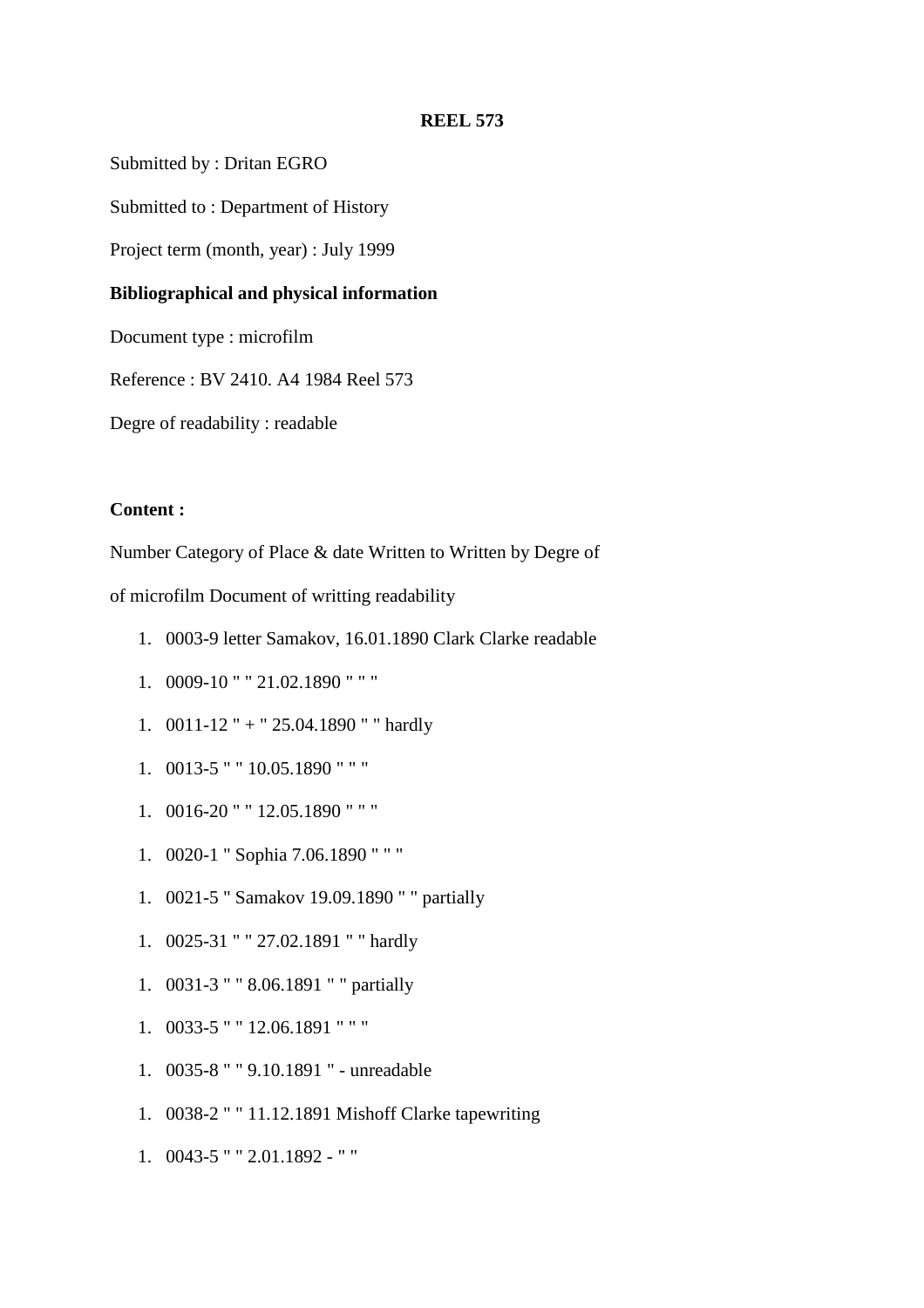Submitted by : Dritan EGRO

Submitted to : Department of History

Project term (month, year) : July 1999

### **Bibliographical and physical information**

Document type : microfilm

Reference : BV 2410. A4 1984 Reel 573

Degre of readability : readable

#### **Content :**

Number Category of Place & date Written to Written by Degre of

of microfilm Document of writting readability

- 1. 0003-9 letter Samakov, 16.01.1890 Clark Clarke readable
- 1. 0009-10 " " 21.02.1890 " " "
- 1. 0011-12 " + " 25.04.1890 " " hardly
- 1. 0013-5 " " 10.05.1890 " " "
- 1. 0016-20 " " 12.05.1890 " " "
- 1. 0020-1 " Sophia 7.06.1890 " " "
- 1. 0021-5 " Samakov 19.09.1890 " " partially
- 1. 0025-31 " " 27.02.1891 " " hardly
- 1. 0031-3 " " 8.06.1891 " " partially
- 1. 0033-5 " " 12.06.1891 " " "
- 1. 0035-8 " " 9.10.1891 " unreadable
- 1. 0038-2 " " 11.12.1891 Mishoff Clarke tapewriting
- 1. 0043-5 " " 2.01.1892 " "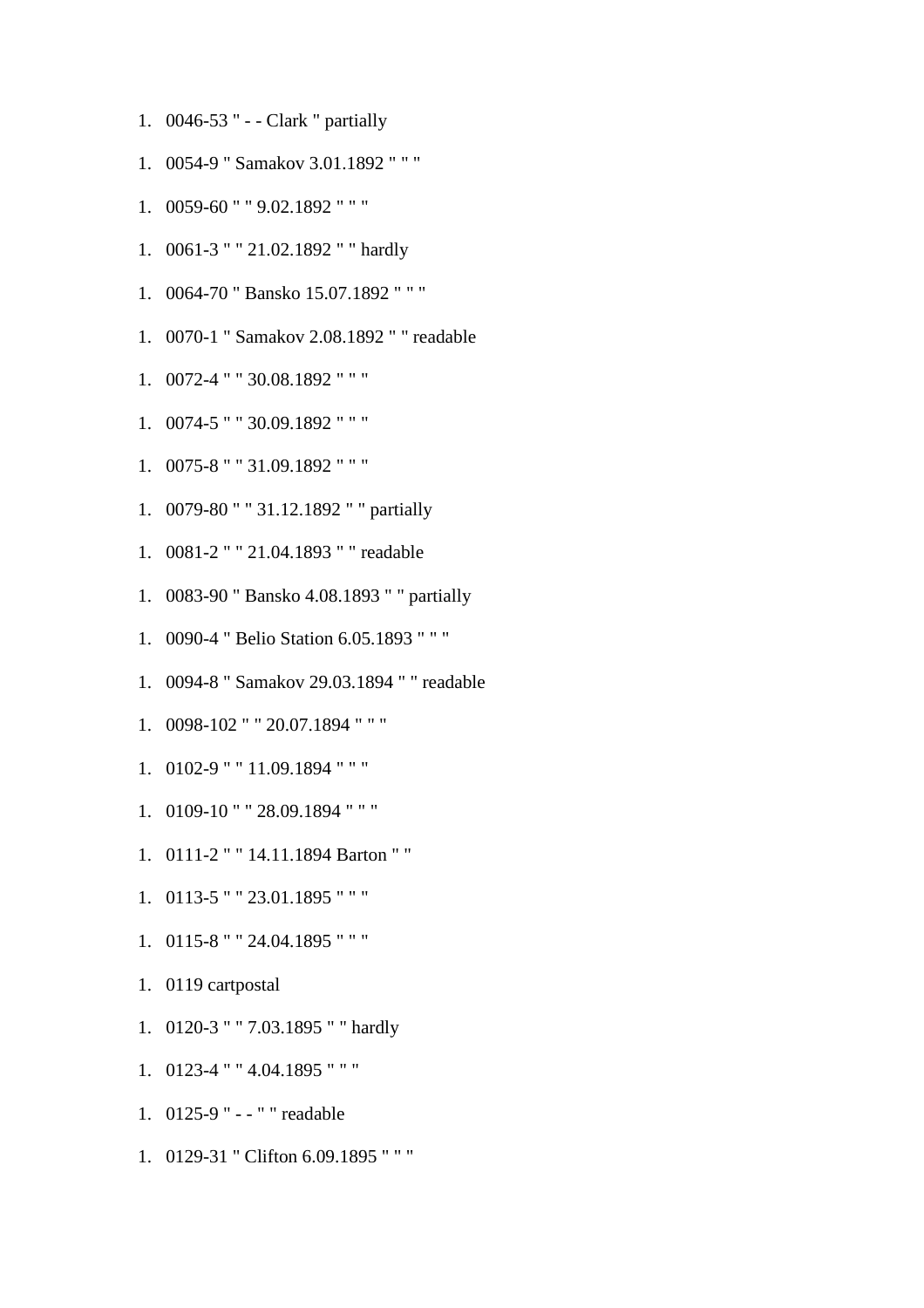- 1. 0046-53 " - Clark " partially
- 1. 0054-9 " Samakov 3.01.1892 " " "
- 1. 0059-60 " " 9.02.1892 " " "
- 1. 0061-3 " " 21.02.1892 " " hardly
- 1. 0064-70 " Bansko 15.07.1892 " " "
- 1. 0070-1 " Samakov 2.08.1892 " " readable
- 1. 0072-4 " " 30.08.1892 " " "
- 1. 0074-5 " " 30.09.1892 " " "
- 1. 0075-8 " " 31.09.1892 " " "
- 1. 0079-80 " " 31.12.1892 " " partially
- 1. 0081-2 " " 21.04.1893 " " readable
- 1. 0083-90 " Bansko 4.08.1893 " " partially
- 1. 0090-4 " Belio Station 6.05.1893 " " "
- 1. 0094-8 " Samakov 29.03.1894 " " readable
- 1. 0098-102 " " 20.07.1894 " " "
- 1. 0102-9 " " 11.09.1894 " " "
- 1. 0109-10 " " 28.09.1894 " " "
- 1. 0111-2 " " 14.11.1894 Barton " "
- 1. 0113-5 " " 23.01.1895 " " "
- 1. 0115-8 " " 24.04.1895 " " "
- 1. 0119 cartpostal
- 1. 0120-3 " " 7.03.1895 " " hardly
- 1. 0123-4 " " 4.04.1895 " " "
- 1. 0125-9 " - " " readable
- 1. 0129-31 " Clifton 6.09.1895 " " "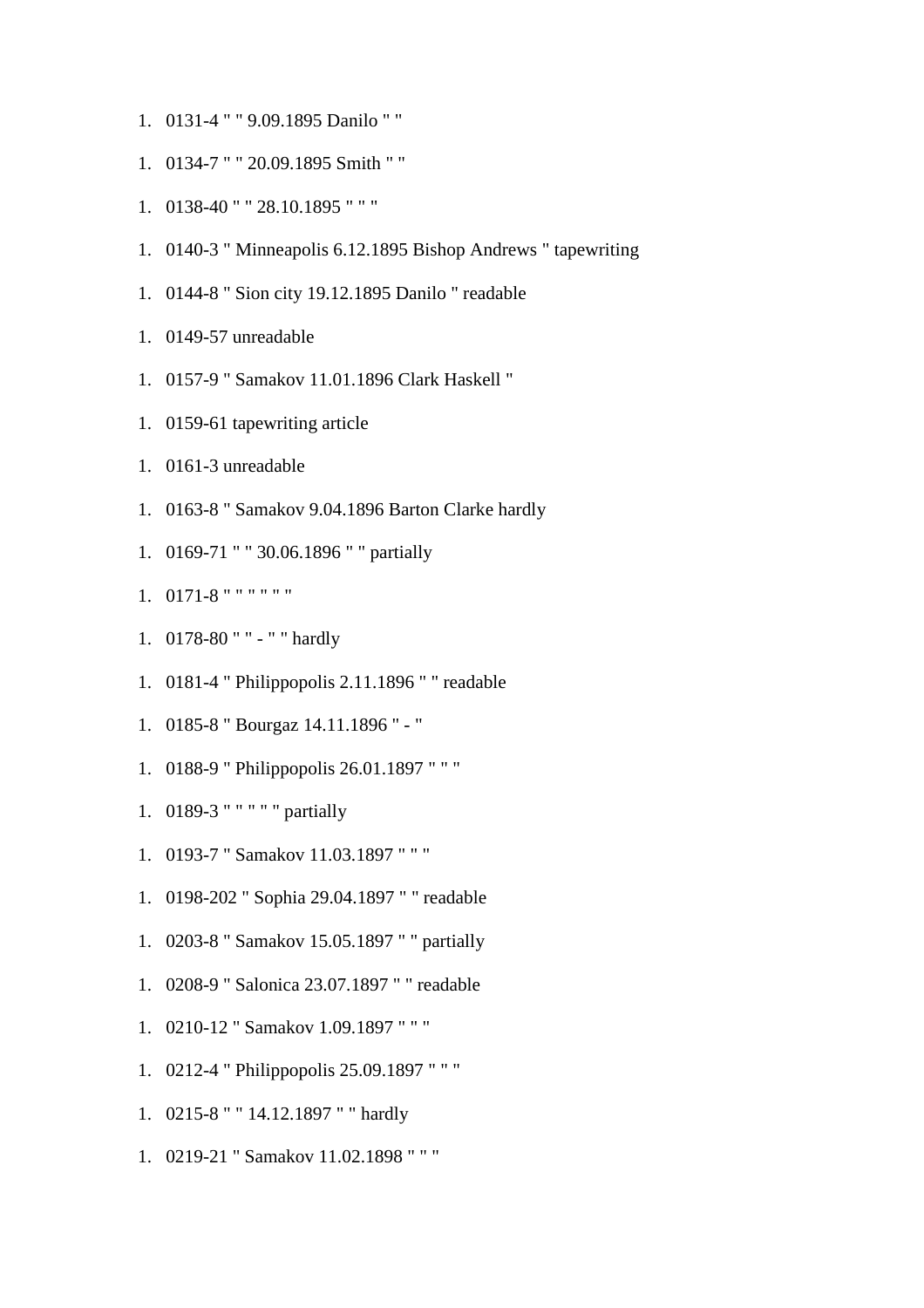- 1. 0131-4 " " 9.09.1895 Danilo " "
- 1. 0134-7 " " 20.09.1895 Smith " "
- 1. 0138-40 " " 28.10.1895 " " "
- 1. 0140-3 " Minneapolis 6.12.1895 Bishop Andrews " tapewriting
- 1. 0144-8 " Sion city 19.12.1895 Danilo " readable
- 1. 0149-57 unreadable
- 1. 0157-9 " Samakov 11.01.1896 Clark Haskell "
- 1. 0159-61 tapewriting article
- 1. 0161-3 unreadable
- 1. 0163-8 " Samakov 9.04.1896 Barton Clarke hardly
- 1. 0169-71 " " 30.06.1896 " " partially
- 1. 0171-8 " " " " " "
- 1. 0178-80 " " " " hardly
- 1. 0181-4 " Philippopolis 2.11.1896 " " readable
- 1. 0185-8 " Bourgaz 14.11.1896 " "
- 1. 0188-9 " Philippopolis 26.01.1897 " " "
- 1. 0189-3 " " " " " partially
- 1. 0193-7 " Samakov 11.03.1897 " " "
- 1. 0198-202 " Sophia 29.04.1897 " " readable
- 1. 0203-8 " Samakov 15.05.1897 " " partially
- 1. 0208-9 " Salonica 23.07.1897 " " readable
- 1. 0210-12 " Samakov 1.09.1897 " " "
- 1. 0212-4 " Philippopolis 25.09.1897 " " "
- 1. 0215-8 " " 14.12.1897 " " hardly
- 1. 0219-21 " Samakov 11.02.1898 " " "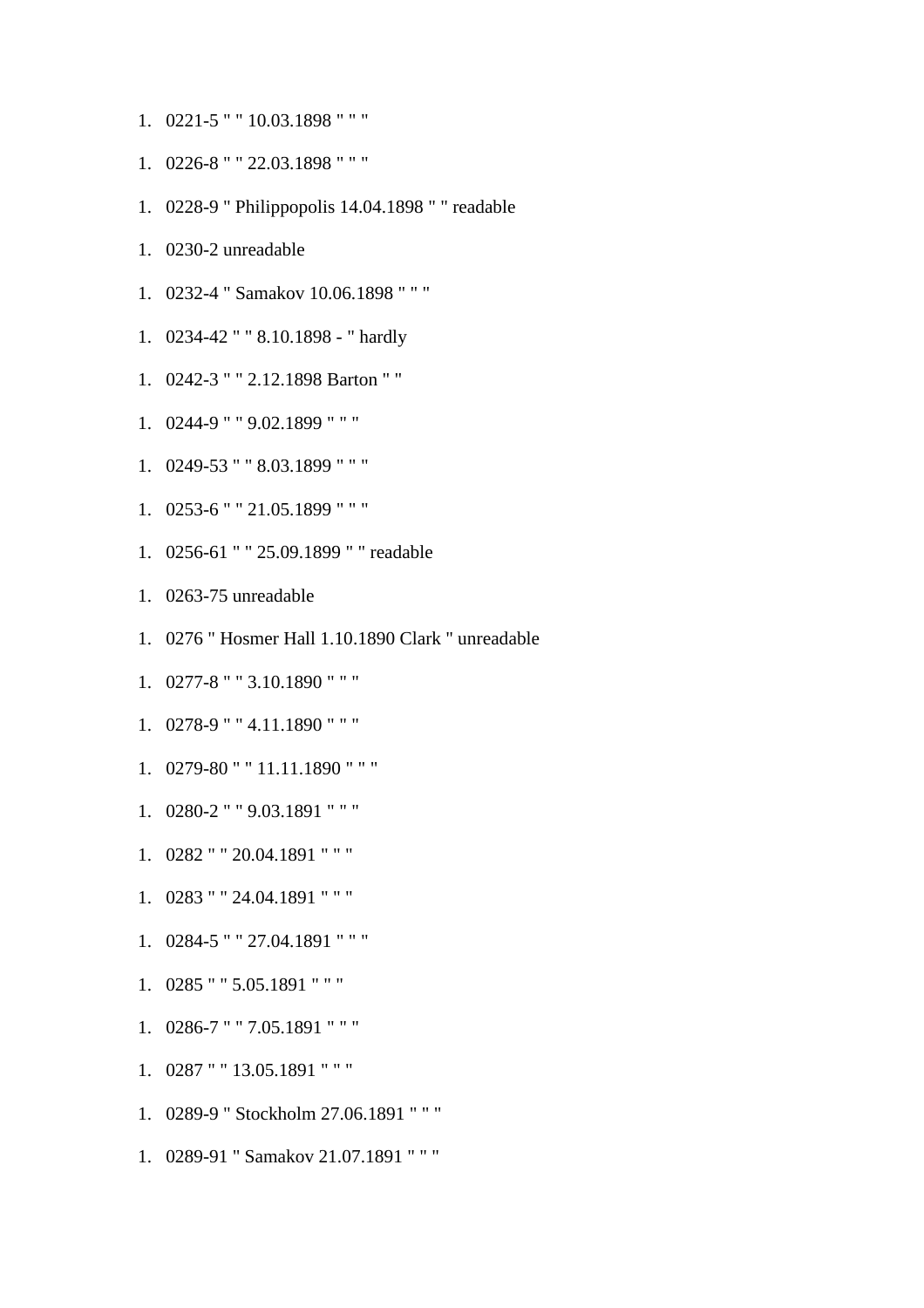- 1. 0221-5 " " 10.03.1898 " " "
- 1. 0226-8 " " 22.03.1898 " " "
- 1. 0228-9 " Philippopolis 14.04.1898 " " readable
- 1. 0230-2 unreadable
- 1. 0232-4 " Samakov 10.06.1898 " " "
- 1. 0234-42 " " 8.10.1898 " hardly
- 1. 0242-3 " " 2.12.1898 Barton " "
- 1. 0244-9 " " 9.02.1899 " " "
- 1. 0249-53 " " 8.03.1899 " " "
- 1. 0253-6 " " 21.05.1899 " " "
- 1. 0256-61 " " 25.09.1899 " " readable
- 1. 0263-75 unreadable
- 1. 0276 " Hosmer Hall 1.10.1890 Clark " unreadable
- 1. 0277-8 " " 3.10.1890 " " "
- 1. 0278-9 " " 4.11.1890 " " "
- 1. 0279-80 " " 11.11.1890 " " "
- 1. 0280-2 " " 9.03.1891 " " "
- 1. 0282 " " 20.04.1891 " " "
- 1. 0283 " " 24.04.1891 " " "
- 1. 0284-5 " " 27.04.1891 " " "
- 1. 0285 " " 5.05.1891 " " "
- 1. 0286-7 " " 7.05.1891 " " "
- 1. 0287 " " 13.05.1891 " " "
- 1. 0289-9 " Stockholm 27.06.1891 " " "
- 1. 0289-91 " Samakov 21.07.1891 " " "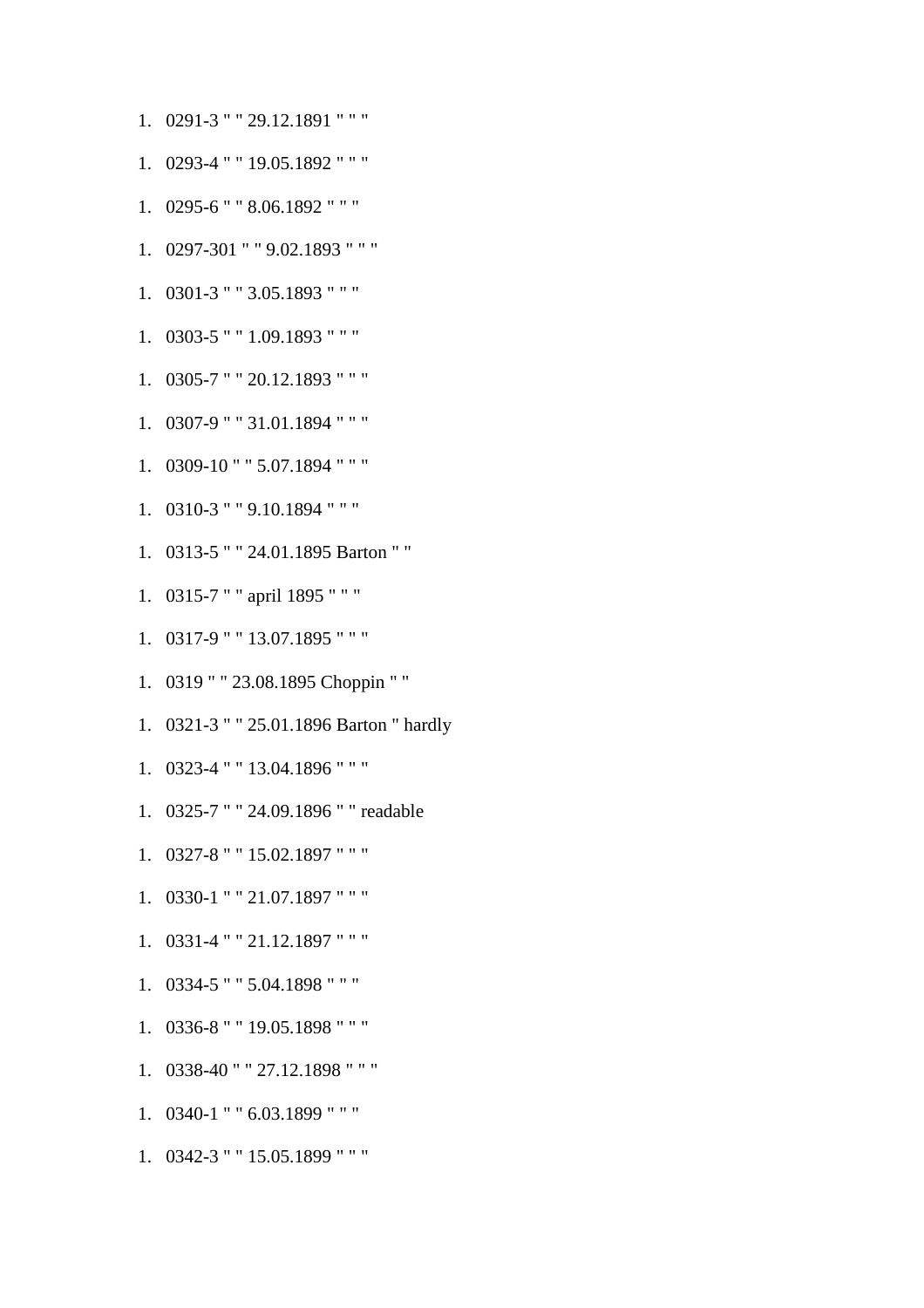- 1. 0291-3 " " 29.12.1891 " " "
- 
- 1. 0293-4 " " 19.05.1892 " " "
- 1. 0295-6 " " 8.06.1892 " " "
- 1. 0297-301 " " 9.02.1893 " " "
- 1. 0301-3 " " 3.05.1893 " " "
- 1. 0303-5 " " 1.09.1893 " " "
- 1. 0305-7 " " 20.12.1893 " " "
- 1. 0307-9 " " 31.01.1894 " " "
- 
- 
- 1. 0309-10 " " 5.07.1894 " " "
- 
- 
- 
- 
- 
- 
- 
- 
- 
- 
- 

1. 0313-5 " " 24.01.1895 Barton " "

1. 0319 " " 23.08.1895 Choppin " "

1. 0321-3 " " 25.01.1896 Barton " hardly

1. 0325-7 " " 24.09.1896 " " readable

- 
- 
- 
- 
- 1. 0310-3 " " 9.10.1894 " " "

1. 0315-7 " " april 1895 " " "

1. 0317-9 " " 13.07.1895 " " "

1. 0323-4 " " 13.04.1896 " " "

1. 0327-8 " " 15.02.1897 " " "

1. 0330-1 " " 21.07.1897 " " "

1. 0331-4 " " 21.12.1897 " " "

1. 0334-5 " " 5.04.1898 " " "

1. 0336-8 " " 19.05.1898 " " "

1. 0338-40 " " 27.12.1898 " " "

1. 0340-1 " " 6.03.1899 " " "

1. 0342-3 " " 15.05.1899 " " "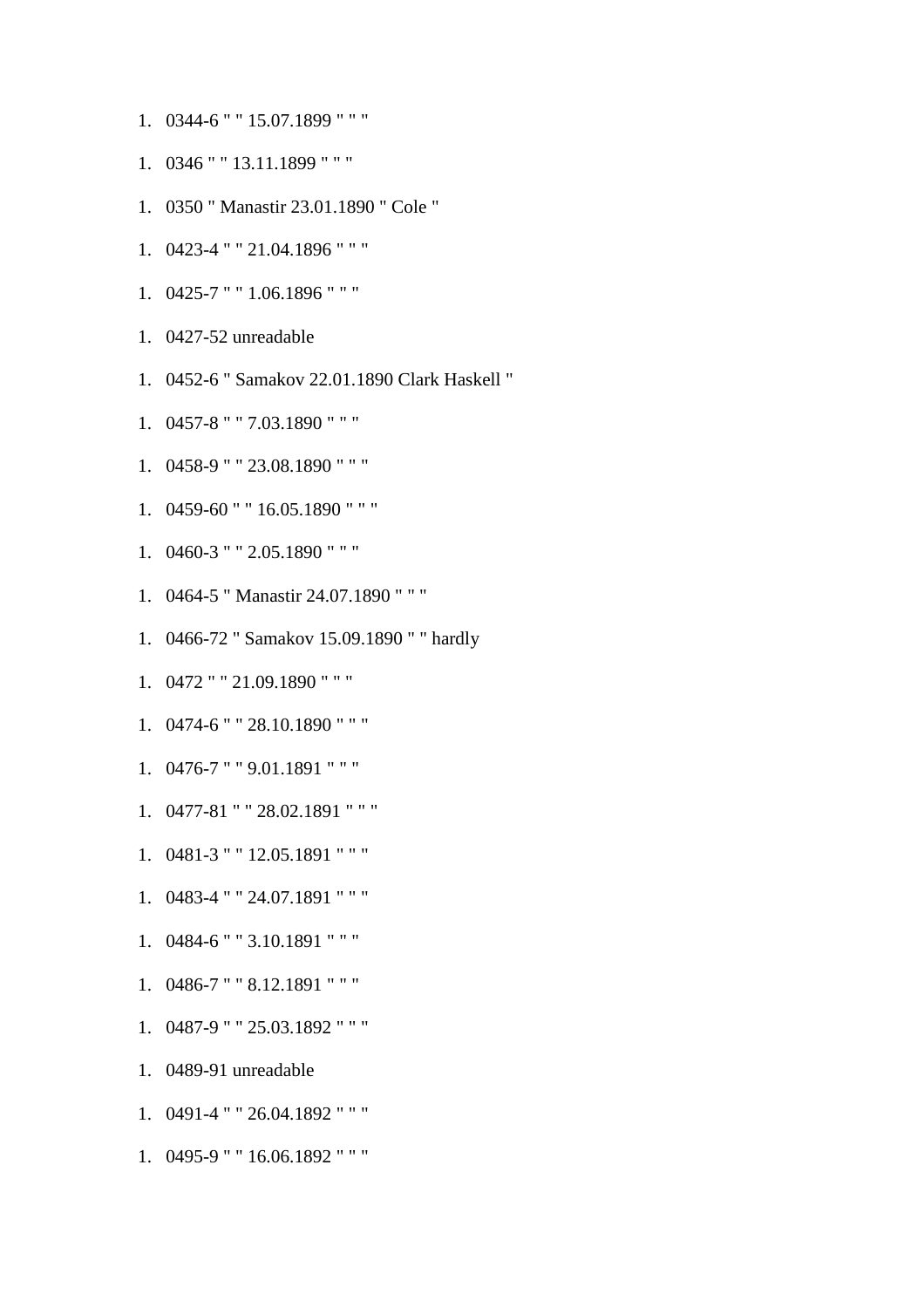- 1. 0344-6 " " 15.07.1899 " " "
- 1. 0346 " " 13.11.1899 " " "
- 1. 0350 " Manastir 23.01.1890 " Cole "
- 1. 0423-4 " " 21.04.1896 " " "
- 1. 0425-7 " " 1.06.1896 " " "
- 1. 0427-52 unreadable
- 1. 0452-6 " Samakov 22.01.1890 Clark Haskell "
- 1. 0457-8 " " 7.03.1890 " " "
- 1. 0458-9 " " 23.08.1890 " " "
- 1. 0459-60 " " 16.05.1890 " " "
- 1. 0460-3 " " 2.05.1890 " " "
- 1. 0464-5 " Manastir 24.07.1890 " " "
- 1. 0466-72 " Samakov 15.09.1890 " " hardly
- 1. 0472 " " 21.09.1890 " " "
- 1. 0474-6 " " 28.10.1890 " " "
- 1. 0476-7 " " 9.01.1891 " " "
- 1. 0477-81 " " 28.02.1891 " " "
- 1. 0481-3 " " 12.05.1891 " " "
- 1. 0483-4 " " 24.07.1891 " " "
- 1. 0484-6 " " 3.10.1891 " " "
- 1. 0486-7 " " 8.12.1891 " " "
- 1. 0487-9 " " 25.03.1892 " " "
- 1. 0489-91 unreadable
- 1. 0491-4 " " 26.04.1892 " " "
- 1. 0495-9 " " 16.06.1892 " " "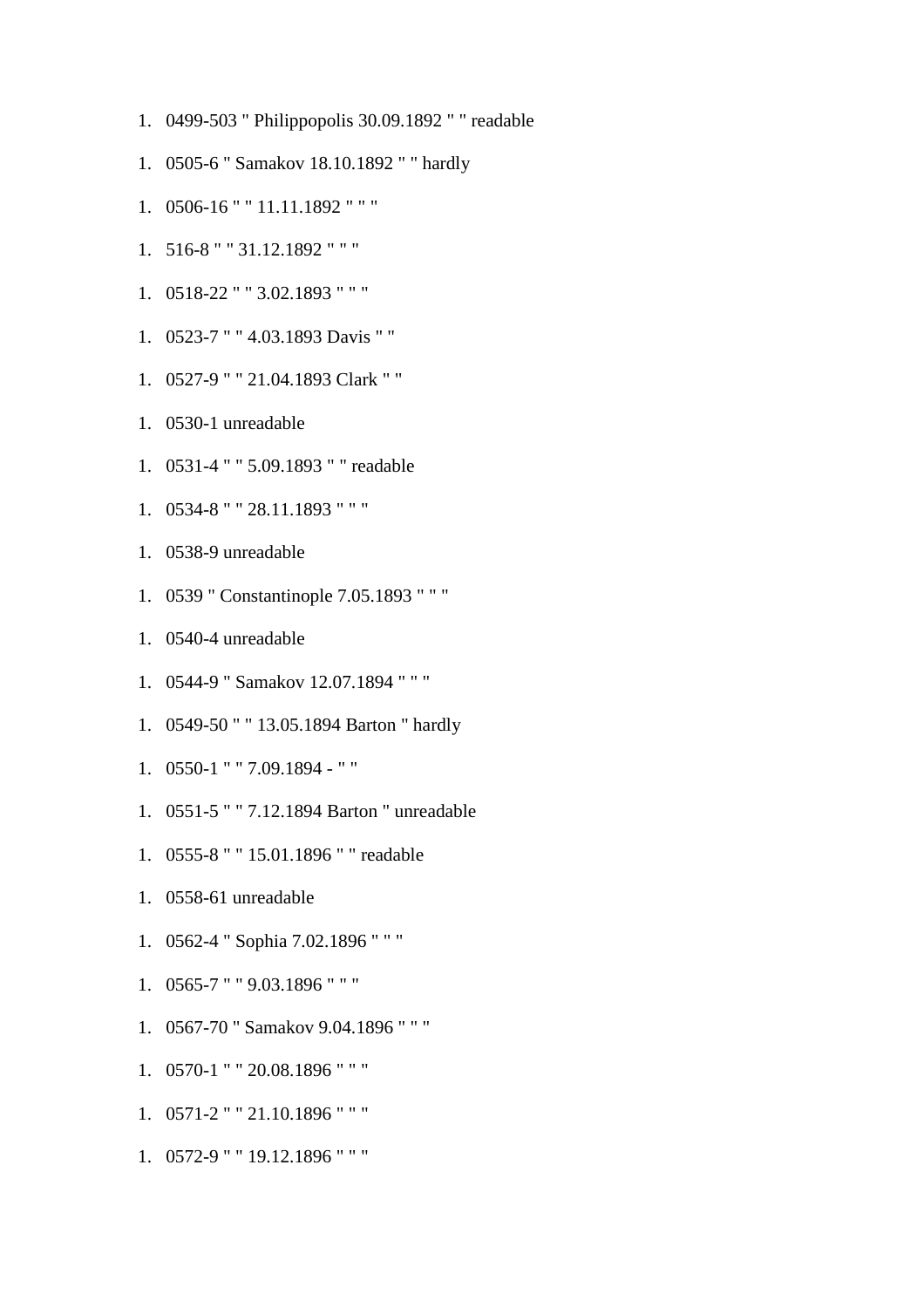- 1. 0499-503 " Philippopolis 30.09.1892 " " readable
- 1. 0505-6 " Samakov 18.10.1892 " " hardly
- 1. 0506-16 " " 11.11.1892 " " "
- 1. 516-8 " " 31.12.1892 " " "
- 1. 0518-22 " " 3.02.1893 " " "
- 1. 0523-7 " " 4.03.1893 Davis " "
- 1. 0527-9 " " 21.04.1893 Clark " "
- 1. 0530-1 unreadable
- 1. 0531-4 " " 5.09.1893 " " readable
- 1. 0534-8 " " 28.11.1893 " " "
- 1. 0538-9 unreadable
- 1. 0539 " Constantinople 7.05.1893 " " "
- 1. 0540-4 unreadable
- 1. 0544-9 " Samakov 12.07.1894 " " "
- 1. 0549-50 " " 13.05.1894 Barton " hardly
- 1. 0550-1 " " 7.09.1894 " "
- 1. 0551-5 " " 7.12.1894 Barton " unreadable
- 1. 0555-8 " " 15.01.1896 " " readable
- 1. 0558-61 unreadable
- 1. 0562-4 " Sophia 7.02.1896 " " "
- 1. 0565-7 " " 9.03.1896 " " "
- 1. 0567-70 " Samakov 9.04.1896 " " "
- 1. 0570-1 " " 20.08.1896 " " "
- 1. 0571-2 " " 21.10.1896 " " "
- 1. 0572-9 " " 19.12.1896 " " "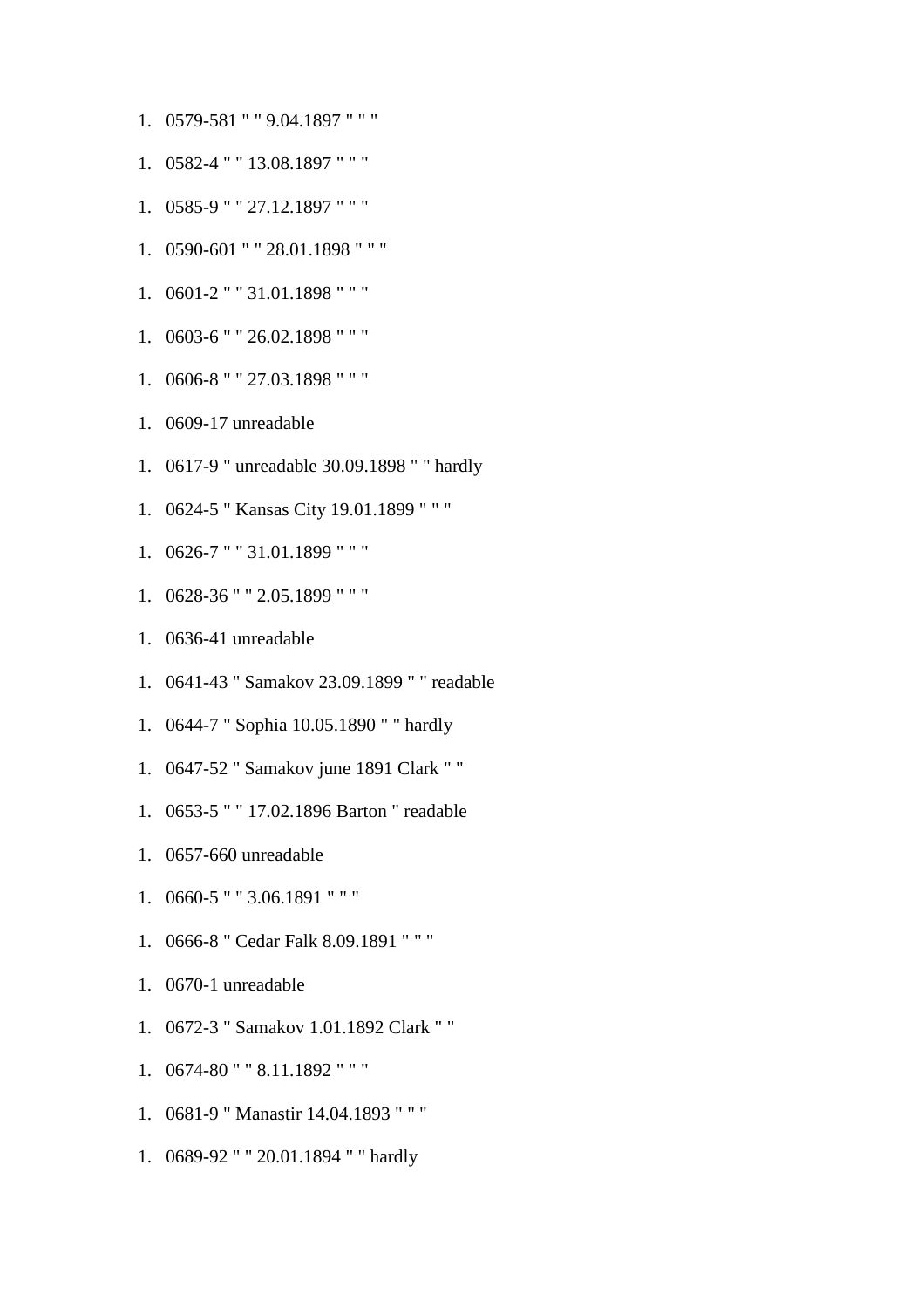- 1. 0579-581 " " 9.04.1897 " " "
- 1. 0582-4 " " 13.08.1897 " " "
- 1. 0585-9 " " 27.12.1897 " " "
- 1. 0590-601 " " 28.01.1898 " " "
- 1. 0601-2 " " 31.01.1898 " " "
- 1. 0603-6 " " 26.02.1898 " " "
- 1. 0606-8 " " 27.03.1898 " " "
- 1. 0609-17 unreadable
- 1. 0617-9 " unreadable 30.09.1898 " " hardly
- 1. 0624-5 " Kansas City 19.01.1899 " " "
- 1. 0626-7 " " 31.01.1899 " " "
- 1. 0628-36 " " 2.05.1899 " " "
- 1. 0636-41 unreadable
- 1. 0641-43 " Samakov 23.09.1899 " " readable
- 1. 0644-7 " Sophia 10.05.1890 " " hardly
- 1. 0647-52 " Samakov june 1891 Clark " "
- 1. 0653-5 " " 17.02.1896 Barton " readable
- 1. 0657-660 unreadable
- 1. 0660-5 " " 3.06.1891 " " "
- 1. 0666-8 " Cedar Falk 8.09.1891 " " "
- 1. 0670-1 unreadable
- 1. 0672-3 " Samakov 1.01.1892 Clark " "
- 1. 0674-80 " " 8.11.1892 " " "
- 1. 0681-9 " Manastir 14.04.1893 " " "
- 1. 0689-92 " " 20.01.1894 " " hardly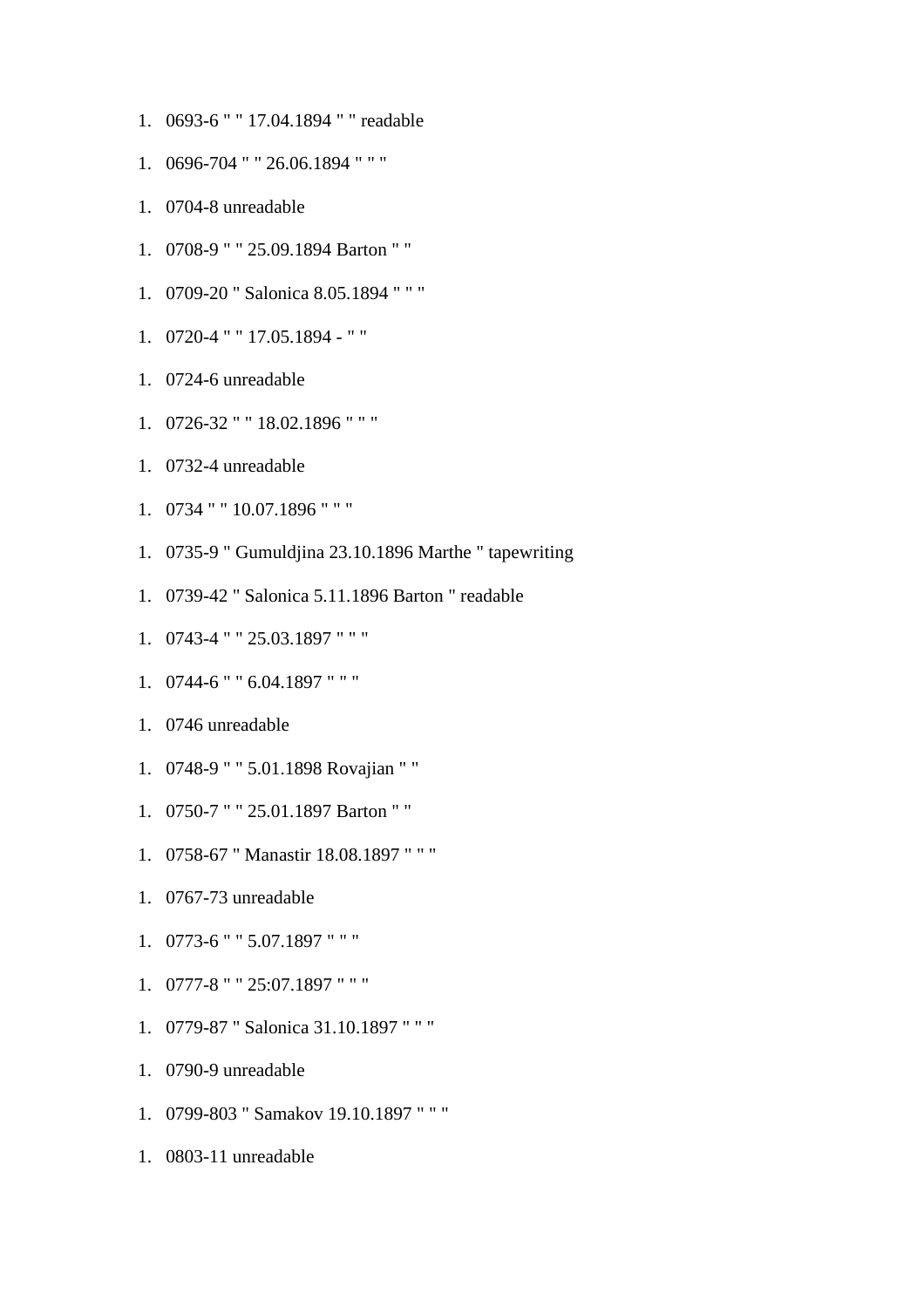- 1. 0693-6 " " 17.04.1894 " " readable
- 1. 0696-704 " " 26.06.1894 " " "
- 1. 0704-8 unreadable
- 1. 0708-9 " " 25.09.1894 Barton " "
- 1. 0709-20 " Salonica 8.05.1894 " " "
- 1. 0720-4 " " 17.05.1894 " "
- 1. 0724-6 unreadable
- 1. 0726-32 " " 18.02.1896 " " "
- 1. 0732-4 unreadable
- 1. 0734 " " 10.07.1896 " " "
- 1. 0735-9 " Gumuldjina 23.10.1896 Marthe " tapewriting
- 1. 0739-42 " Salonica 5.11.1896 Barton " readable
- 1. 0743-4 " " 25.03.1897 " " "
- 1. 0744-6 " " 6.04.1897 " " "
- 1. 0746 unreadable
- 1. 0748-9 " " 5.01.1898 Rovajian " "
- 1. 0750-7 " " 25.01.1897 Barton " "
- 1. 0758-67 " Manastir 18.08.1897 " " "
- 1. 0767-73 unreadable
- 1. 0773-6 " " 5.07.1897 " " "
- 1. 0777-8 " " 25:07.1897 " " "
- 1. 0779-87 " Salonica 31.10.1897 " " "
- 1. 0790-9 unreadable
- 1. 0799-803 " Samakov 19.10.1897 " " "
- 1. 0803-11 unreadable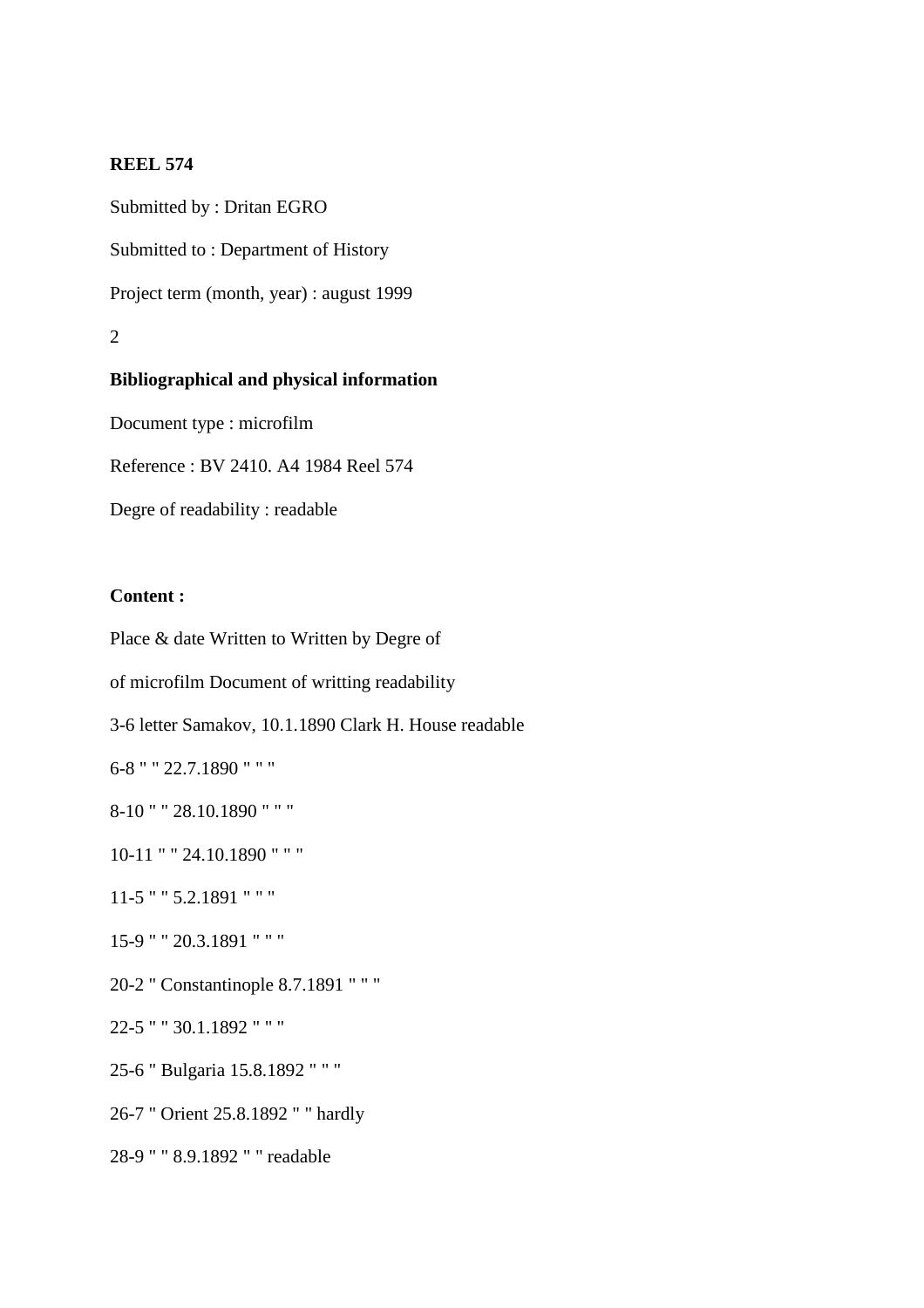Submitted by : Dritan EGRO Submitted to : Department of History Project term (month, year) : august 1999 2 **Bibliographical and physical information** 

Document type : microfilm

Reference : BV 2410. A4 1984 Reel 574

Degre of readability : readable

## **Content :**

Place & date Written to Written by Degre of of microfilm Document of writting readability 3-6 letter Samakov, 10.1.1890 Clark H. House readable 6-8 " " 22.7.1890 " " " 8-10 " " 28.10.1890 " " " 10-11 " " 24.10.1890 " " " 11-5 " " 5.2.1891 " " " 15-9 " " 20.3.1891 " " " 20-2 " Constantinople 8.7.1891 " " " 22-5 " " 30.1.1892 " " " 25-6 " Bulgaria 15.8.1892 " " " 26-7 " Orient 25.8.1892 " " hardly 28-9 " " 8.9.1892 " " readable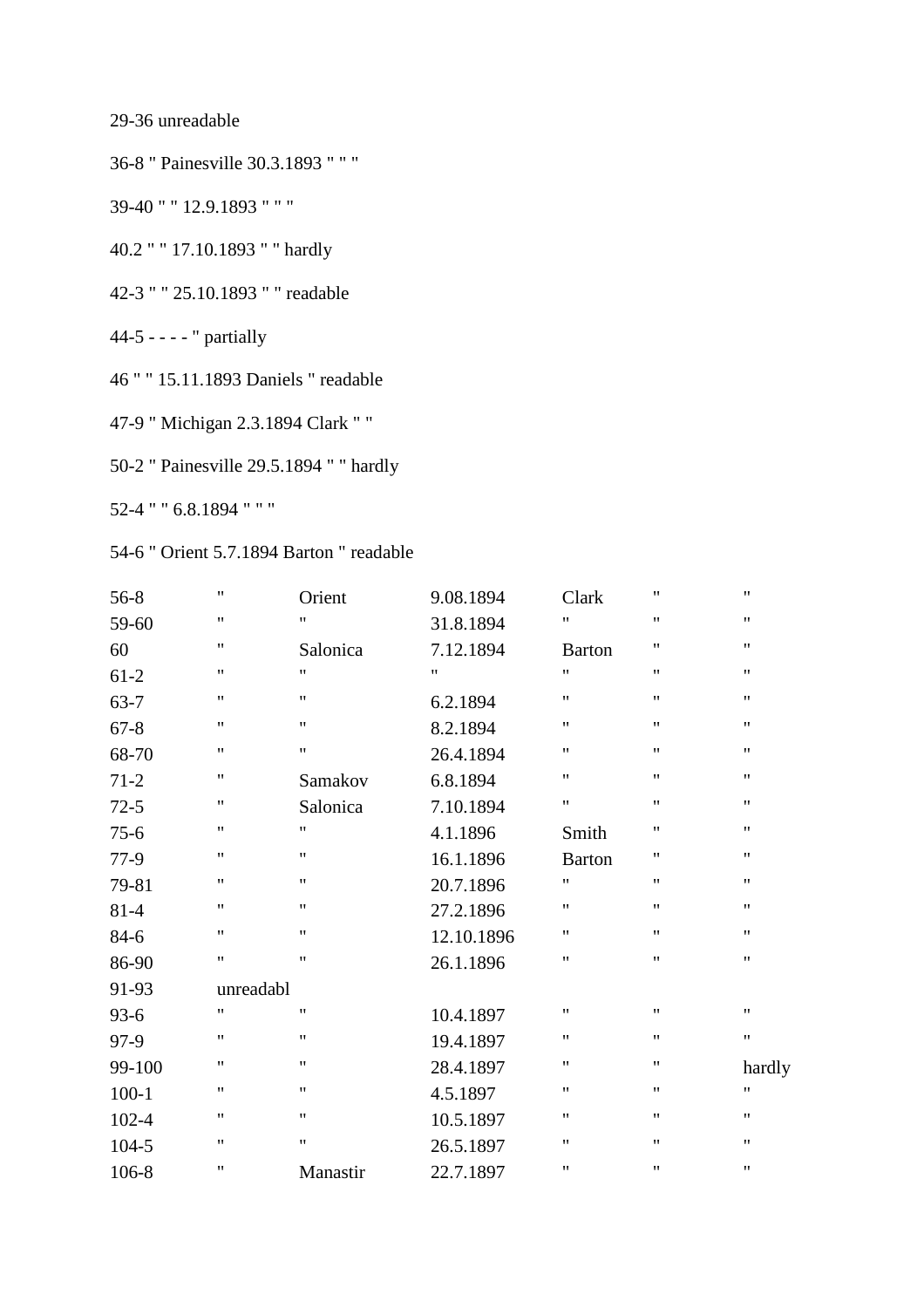29-36 unreadable

36-8 " Painesville 30.3.1893 " " "

39-40 " " 12.9.1893 " " "

40.2 " " 17.10.1893 " " hardly

42-3 " " 25.10.1893 " " readable

44-5 - - - - " partially

46 " " 15.11.1893 Daniels " readable

47-9 " Michigan 2.3.1894 Clark " "

50-2 " Painesville 29.5.1894 " " hardly

52-4 " " 6.8.1894 " " "

# 54-6 " Orient 5.7.1894 Barton " readable

| $56-8$    | $\pmb{\mathsf{H}}$ | Orient             | 9.08.1894          | Clark              | $\pmb{\mathsf{H}}$ | $\pmb{\mathsf{H}}$ |
|-----------|--------------------|--------------------|--------------------|--------------------|--------------------|--------------------|
| 59-60     | $\pmb{\mathsf{H}}$ | 11                 | 31.8.1894          | $^{\prime\prime}$  | $^{\prime\prime}$  | $\pmb{\mathsf{H}}$ |
| 60        | $\pmb{\mathsf{H}}$ | Salonica           | 7.12.1894          | <b>Barton</b>      | $\pmb{\mathsf{H}}$ | $\pmb{\mathsf{H}}$ |
| $61-2$    | $\pmb{\mathsf{H}}$ | $^{\prime\prime}$  | $\pmb{\mathsf{H}}$ | $\pmb{\mathsf{H}}$ | $\pmb{\mathsf{H}}$ | $\pmb{\mathsf{H}}$ |
| $63 - 7$  | $\pmb{\mathsf{H}}$ | $\pmb{\mathsf{H}}$ | 6.2.1894           | $\pmb{\mathsf{H}}$ | $\pmb{\mathsf{H}}$ | $\pmb{\mathsf{H}}$ |
| $67 - 8$  | $\pmb{\mathsf{H}}$ | $\pmb{\mathsf{H}}$ | 8.2.1894           | 11                 | $^{\prime\prime}$  | $\pmb{\mathsf{H}}$ |
| 68-70     | $\pmb{\mathsf{H}}$ | $\pmb{\mathsf{H}}$ | 26.4.1894          | $\pmb{\mathsf{H}}$ | $\pmb{\mathsf{H}}$ | $\pmb{\mathsf{H}}$ |
| $71-2$    | $\pmb{\mathsf{H}}$ | Samakov            | 6.8.1894           | $\pmb{\mathsf{H}}$ | $\pmb{\mathsf{H}}$ | $\pmb{\mathsf{H}}$ |
| $72-5$    | $\pmb{\mathsf{H}}$ | Salonica           | 7.10.1894          | $\pmb{\mathsf{H}}$ | $\pmb{\mathsf{H}}$ | $\pmb{\mathsf{H}}$ |
| $75-6$    | $\pmb{\mathsf{H}}$ | $\pmb{\mathsf{H}}$ | 4.1.1896           | Smith              | $\pmb{\mathsf{H}}$ | $\pmb{\mathsf{H}}$ |
| $77-9$    | $\pmb{\mathsf{H}}$ | $\pmb{\mathsf{H}}$ | 16.1.1896          | <b>Barton</b>      | $^{\prime\prime}$  | 11                 |
| 79-81     | $\pmb{\mathsf{H}}$ | $\pmb{\mathsf{H}}$ | 20.7.1896          | $\pmb{\mathsf{H}}$ | $^{\prime\prime}$  | $\pmb{\mathsf{H}}$ |
| $81 - 4$  | $\pmb{\mathsf{H}}$ | $\pmb{\mathsf{H}}$ | 27.2.1896          | 11                 | $\pmb{\mathsf{H}}$ | $\pmb{\mathsf{H}}$ |
| 84-6      | $\mathbf{H}$       | $\pmb{\mathsf{H}}$ | 12.10.1896         | 11                 | $\pmb{\mathsf{H}}$ | $\pmb{\mathsf{H}}$ |
| 86-90     | $\pmb{\mathsf{H}}$ | $\pmb{\mathsf{H}}$ | 26.1.1896          | 11                 | $\pmb{\mathsf{H}}$ | 11                 |
| 91-93     | unreadabl          |                    |                    |                    |                    |                    |
| $93 - 6$  | 11                 | $\pmb{\mathsf{H}}$ | 10.4.1897          | $\pmb{\mathsf{H}}$ | $\pmb{\mathsf{H}}$ | $\pmb{\mathsf{H}}$ |
| 97-9      | $\pmb{\mathsf{H}}$ | $\pmb{\mathsf{H}}$ | 19.4.1897          | 11                 | $\pmb{\mathsf{H}}$ | $\pmb{\mathsf{H}}$ |
| 99-100    | $\pmb{\mathsf{H}}$ | $\pmb{\mathsf{H}}$ | 28.4.1897          | $\pmb{\mathsf{H}}$ | $^{\prime\prime}$  | hardly             |
| $100 - 1$ | $\pmb{\mathsf{H}}$ | $\pmb{\mathsf{H}}$ | 4.5.1897           | 11                 | $\pmb{\mathsf{H}}$ | $\pmb{\mathsf{H}}$ |
| $102 - 4$ | $\pmb{\mathsf{H}}$ | $\pmb{\mathsf{H}}$ | 10.5.1897          | 11                 | $\pmb{\mathsf{H}}$ | $\pmb{\mathsf{H}}$ |
| 104-5     | $\mathbf{H}$       | $\pmb{\mathsf{H}}$ | 26.5.1897          | Ħ                  | $\pmb{\mathsf{H}}$ | $\pmb{\mathsf{H}}$ |
| 106-8     | $\pmb{\mathsf{H}}$ | Manastir           | 22.7.1897          | $\pmb{\mathsf{H}}$ | $\pmb{\mathsf{H}}$ | $\pmb{\mathsf{H}}$ |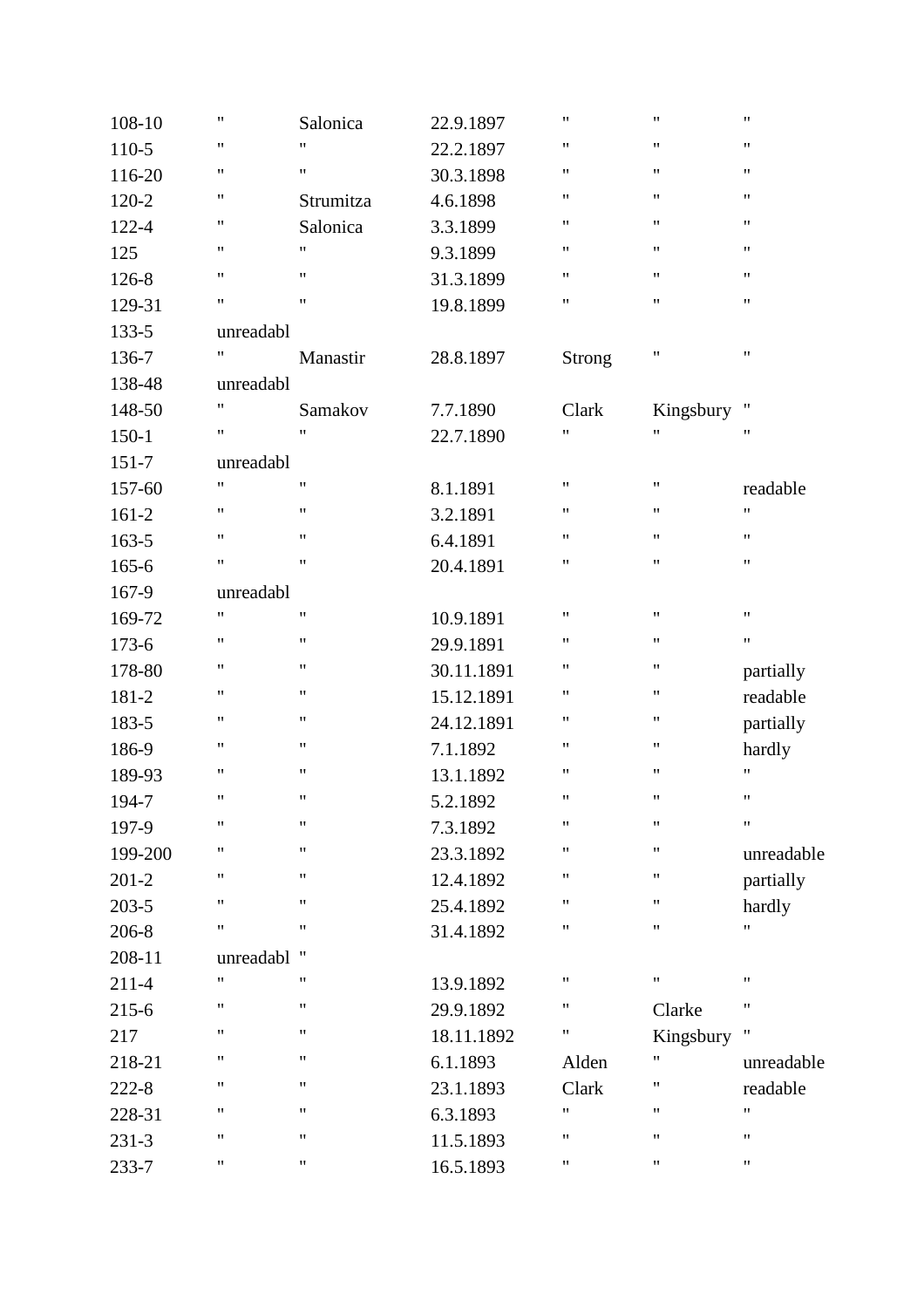| 108-10    | $\pmb{\mathsf{H}}$ | Salonica           | 22.9.1897  | $\pmb{\mathsf{H}}$ | "                  | $\pmb{\mathsf{H}}$ |
|-----------|--------------------|--------------------|------------|--------------------|--------------------|--------------------|
| 110-5     | $\pmb{\mathsf{H}}$ | 11                 | 22.2.1897  | $\pmb{\mathsf{H}}$ | 11                 | $\pmb{\mathsf{H}}$ |
| 116-20    | "                  | $\pmb{\mathsf{H}}$ | 30.3.1898  | "                  | 11                 | $\pmb{\mathsf{H}}$ |
| 120-2     | $\pmb{\mathsf{H}}$ | Strumitza          | 4.6.1898   | $\pmb{\mathsf{H}}$ | 11                 | $\pmb{\mathsf{H}}$ |
| 122-4     | 11                 | Salonica           | 3.3.1899   | $\pmb{\mathsf{H}}$ | 11                 | $\pmb{\mathsf{H}}$ |
| 125       | 11                 | $\pmb{\mathsf{H}}$ | 9.3.1899   | $\mathbf{H}$       | 11                 | $\pmb{\mathsf{H}}$ |
| 126-8     | $\pmb{\mathsf{H}}$ | 11                 | 31.3.1899  | $\pmb{\mathsf{H}}$ | 11                 | $\pmb{\mathsf{H}}$ |
| 129-31    | $\pmb{\mathsf{H}}$ | $^{\prime\prime}$  | 19.8.1899  | $\pmb{\mathsf{H}}$ | 11                 | $\pmb{\mathsf{H}}$ |
| 133-5     | unreadabl          |                    |            |                    |                    |                    |
| 136-7     | 11                 | Manastir           | 28.8.1897  | Strong             | 11                 | $\pmb{\mathsf{H}}$ |
| 138-48    | unreadabl          |                    |            |                    |                    |                    |
| 148-50    | $\pmb{\mathsf{H}}$ | Samakov            | 7.7.1890   | Clark              | Kingsbury          | Ħ                  |
| $150 - 1$ | $\pmb{\mathsf{H}}$ | $^{\prime\prime}$  | 22.7.1890  | $\mathbf{H}$       | 11                 | $\pmb{\mathsf{H}}$ |
| $151 - 7$ | unreadabl          |                    |            |                    |                    |                    |
| 157-60    | $\pmb{\mathsf{H}}$ | $^{\prime\prime}$  | 8.1.1891   | $\pmb{\mathsf{H}}$ | 11                 | readable           |
| $161 - 2$ | $\pmb{\mathsf{H}}$ | $\pmb{\mathsf{H}}$ | 3.2.1891   | $\pmb{\mathsf{H}}$ | 11                 | $\pmb{\mathsf{H}}$ |
| 163-5     | $\pmb{\mathsf{H}}$ | 11                 | 6.4.1891   | $\pmb{\mathsf{H}}$ | 11                 | $\pmb{\mathsf{H}}$ |
| 165-6     | $\pmb{\mathsf{H}}$ | $^{\prime}$        | 20.4.1891  | $\pmb{\mathsf{H}}$ | 11                 | $\pmb{\mathsf{H}}$ |
| 167-9     | unreadabl          |                    |            |                    |                    |                    |
| 169-72    | $\pmb{\mathsf{H}}$ | $\pmb{\mathsf{H}}$ | 10.9.1891  | $\mathbf{H}$       | $\pmb{\mathsf{H}}$ | $\pmb{\mathsf{H}}$ |
| $173 - 6$ | $\pmb{\mathsf{H}}$ | 11                 | 29.9.1891  | $\pmb{\mathsf{H}}$ | 11                 | $\pmb{\mathsf{H}}$ |
| 178-80    | 11                 | 11                 | 30.11.1891 | "                  | 11                 | partially          |
| 181-2     | 11                 | $\pmb{\mathsf{H}}$ | 15.12.1891 | "                  | 11                 | readable           |
| 183-5     | 11                 | $^{\prime\prime}$  | 24.12.1891 | $\mathbf{H}$       | 11                 | partially          |
| 186-9     | 11                 | $\pmb{\mathsf{H}}$ | 7.1.1892   | $\mathbf{H}$       | 11                 | hardly             |
| 189-93    | 11                 | $\pmb{\mathsf{H}}$ | 13.1.1892  | $\pmb{\mathsf{H}}$ | 11                 | $\pmb{\mathsf{H}}$ |
| 194-7     | $\pmb{\mathsf{H}}$ | 11                 | 5.2.1892   | $\pmb{\mathsf{H}}$ | 11                 | $\pmb{\mathsf{H}}$ |
| 197-9     | $\pmb{\mathsf{H}}$ | $\pmb{\mathsf{H}}$ | 7.3.1892   | $\pmb{\mathsf{H}}$ | $\pmb{\mathsf{H}}$ | $\pmb{\mathsf{H}}$ |
| 199-200   | $\pmb{\mathsf{H}}$ | $^{\dagger}$       | 23.3.1892  | Ħ                  | "                  | unreadable         |
| $201 - 2$ | 11                 | $\pmb{\mathsf{H}}$ | 12.4.1892  | $\pmb{\mathsf{H}}$ | 11                 | partially          |
| $203 - 5$ | $\pmb{\mathsf{H}}$ | $\pmb{\mathsf{H}}$ | 25.4.1892  | $\pmb{\mathsf{H}}$ | 11                 | hardly             |
| 206-8     | $\pmb{\mathsf{H}}$ | 11                 | 31.4.1892  | "                  | 11                 | $\pmb{\mathsf{H}}$ |
| 208-11    | unreadabl          | Ħ                  |            |                    |                    |                    |
| $211 - 4$ | $\mathbf{H}$       | $^{\prime\prime}$  | 13.9.1892  | $\mathbf{H}$       | "                  | $\pmb{\mathsf{H}}$ |
| 215-6     | $\pmb{\mathsf{H}}$ | $^{\prime\prime}$  | 29.9.1892  | 11                 | Clarke             | $\pmb{\mathsf{H}}$ |
| 217       | 11                 | $\pmb{\mathsf{H}}$ | 18.11.1892 | 11                 | Kingsbury          | Ħ                  |
| 218-21    | $\pmb{\mathsf{H}}$ | 11                 | 6.1.1893   | Alden              | 11                 | unreadable         |
| $222 - 8$ | $\pmb{\mathsf{H}}$ | 11                 | 23.1.1893  | Clark              | 11                 | readable           |
| 228-31    | 11                 | $^{\prime\prime}$  | 6.3.1893   | $\mathbf{H}$       | 11                 | $\pmb{\mathsf{H}}$ |
| $231 - 3$ | 11                 | $\pmb{\mathsf{H}}$ | 11.5.1893  | $\pmb{\mathsf{H}}$ | 11                 | $\pmb{\mathsf{H}}$ |
| 233-7     | 11                 | 11                 | 16.5.1893  | 11                 | 11                 | $\pmb{\mathsf{H}}$ |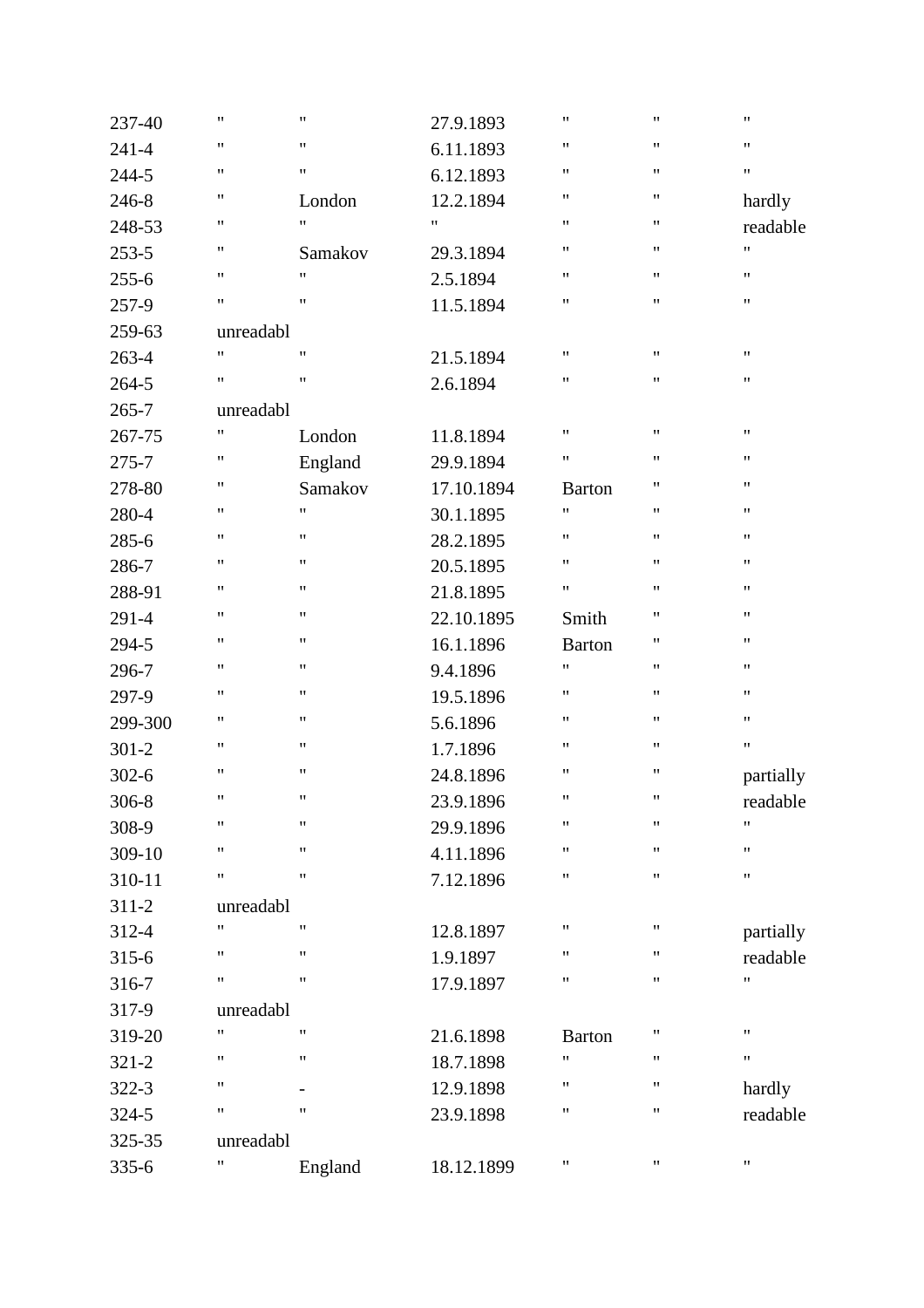| 237-40    | 11                 | $\pmb{\mathsf{H}}$       | 27.9.1893          | $\mathbf{H}$       | $\pmb{\mathsf{H}}$ | $\pmb{\mathsf{H}}$ |
|-----------|--------------------|--------------------------|--------------------|--------------------|--------------------|--------------------|
| $241 - 4$ | 11                 | $\pmb{\mathsf{H}}$       | 6.11.1893          | $\mathbf{H}$       | $\pmb{\mathsf{H}}$ | 11                 |
| 244-5     | $\pmb{\mathsf{H}}$ | $\pmb{\mathsf{H}}$       | 6.12.1893          | $\mathbf{H}$       | $\pmb{\mathsf{H}}$ | 11                 |
| 246-8     | 11                 | London                   | 12.2.1894          | $\mathbf{H}$       | $\pmb{\mathsf{H}}$ | hardly             |
| 248-53    | 11                 | $\pmb{\mathsf{H}}$       | $\pmb{\mathsf{H}}$ | $\mathbf{H}$       | $\pmb{\mathsf{H}}$ | readable           |
| $253 - 5$ | 11                 | Samakov                  | 29.3.1894          | 11                 | $\pmb{\mathsf{H}}$ | $\pmb{\mathsf{H}}$ |
| $255 - 6$ | 11                 | $\pmb{\mathsf{H}}$       | 2.5.1894           | $\mathbf{H}$       | $\pmb{\mathsf{H}}$ | 11                 |
| 257-9     | $\pmb{\mathsf{H}}$ | $\pmb{\mathsf{H}}$       | 11.5.1894          | $\mathbf{H}$       | $\pmb{\mathsf{H}}$ | $\pmb{\mathsf{H}}$ |
| 259-63    | unreadabl          |                          |                    |                    |                    |                    |
| 263-4     | $\pmb{\mathsf{H}}$ | $\pmb{\mathsf{H}}$       | 21.5.1894          | $\mathbf{H}$       | $\pmb{\mathsf{H}}$ | $\pmb{\mathsf{H}}$ |
| $264 - 5$ | 11                 | $\pmb{\mathsf{H}}$       | 2.6.1894           | 11                 | $\pmb{\mathsf{H}}$ | 11                 |
| $265 - 7$ | unreadabl          |                          |                    |                    |                    |                    |
| 267-75    | $\pmb{\mathsf{H}}$ | London                   | 11.8.1894          | $\pmb{\mathsf{H}}$ | $\pmb{\mathsf{H}}$ | $\pmb{\mathsf{H}}$ |
| $275 - 7$ | 11                 | England                  | 29.9.1894          | $\mathbf{H}$       | $\pmb{\mathsf{H}}$ | $\pmb{\mathsf{H}}$ |
| 278-80    | 11                 | Samakov                  | 17.10.1894         | <b>Barton</b>      | $\pmb{\mathsf{H}}$ | $\pmb{\mathsf{H}}$ |
| 280-4     | 11                 | $\pmb{\mathsf{H}}$       | 30.1.1895          | $\pmb{\mathsf{H}}$ | $\pmb{\mathsf{H}}$ | 11                 |
| $285 - 6$ | 11                 | $\pmb{\mathsf{H}}$       | 28.2.1895          | $\mathbf{H}$       | $\pmb{\mathsf{H}}$ | 11                 |
| 286-7     | $\pmb{\mathsf{H}}$ | $\pmb{\mathsf{H}}$       | 20.5.1895          | $\pmb{\mathsf{H}}$ | $\pmb{\mathsf{H}}$ | $\pmb{\mathsf{H}}$ |
| 288-91    | 11                 | $\pmb{\mathsf{H}}$       | 21.8.1895          | $\mathbf{H}$       | $\pmb{\mathsf{H}}$ | $\pmb{\mathsf{H}}$ |
| 291-4     | 11                 | $\pmb{\mathsf{H}}$       | 22.10.1895         | Smith              | $\pmb{\mathsf{H}}$ | $\pmb{\mathsf{H}}$ |
| 294-5     | 11                 | $\pmb{\mathsf{H}}$       | 16.1.1896          | <b>Barton</b>      | $\pmb{\mathsf{H}}$ | 11                 |
| 296-7     | 11                 | $\pmb{\mathsf{H}}$       | 9.4.1896           | Ħ                  | $\pmb{\mathsf{H}}$ | 11                 |
| 297-9     | $\pmb{\mathsf{H}}$ | $\pmb{\mathsf{H}}$       | 19.5.1896          | $\mathbf{H}$       | $\pmb{\mathsf{H}}$ | $\pmb{\mathsf{H}}$ |
| 299-300   | 11                 | $\pmb{\mathsf{H}}$       | 5.6.1896           | $\mathbf{H}$       | $\pmb{\mathsf{H}}$ | $\pmb{\mathsf{H}}$ |
| $301 - 2$ | 11                 | $\pmb{\mathsf{H}}$       | 1.7.1896           | $\mathbf{H}$       | $\pmb{\mathsf{H}}$ | $\pmb{\mathsf{H}}$ |
| $302 - 6$ | 11                 | $\pmb{\mathsf{H}}$       | 24.8.1896          | $\mathbf{H}$       | $\pmb{\mathsf{H}}$ | partially          |
| 306-8     | 11                 | $\pmb{\mathsf{H}}$       | 23.9.1896          | $\pmb{\mathsf{H}}$ | $\pmb{\mathsf{H}}$ | readable           |
| 308-9     | $\pmb{\mathsf{H}}$ | $\pmb{\mathsf{H}}$       | 29.9.1896          | $\pmb{\mathsf{H}}$ | $\pmb{\mathsf{H}}$ | $\pmb{\mathsf{H}}$ |
| 309-10    | $\pmb{\mathsf{H}}$ | $\pmb{\mathsf{H}}$       | 4.11.1896          | Ħ                  | $\pmb{\mathsf{H}}$ | $\pmb{\mathsf{H}}$ |
| 310-11    | 11                 | $\pmb{\mathsf{H}}$       | 7.12.1896          | 11                 | $\pmb{\mathsf{H}}$ | $\pmb{\mathsf{H}}$ |
| $311 - 2$ | unreadabl          |                          |                    |                    |                    |                    |
| 312-4     | $\pmb{\mathsf{H}}$ | $\pmb{\mathsf{H}}$       | 12.8.1897          | $\mathbf{H}$       | $\pmb{\mathsf{H}}$ | partially          |
| $315 - 6$ | "                  | $\pmb{\mathsf{H}}$       | 1.9.1897           | $\mathbf{H}$       | 11                 | readable           |
| 316-7     | $\pmb{\mathsf{H}}$ | $\pmb{\mathsf{H}}$       | 17.9.1897          | $\mathbf{H}$       | $\pmb{\mathsf{H}}$ | $\pmb{\mathsf{H}}$ |
| 317-9     | unreadabl          |                          |                    |                    |                    |                    |
| 319-20    | 11                 | $\pmb{\mathsf{H}}$       | 21.6.1898          | <b>Barton</b>      | $\pmb{\mathsf{H}}$ | $\pmb{\mathsf{H}}$ |
| $321 - 2$ | 11                 | $\pmb{\mathsf{H}}$       | 18.7.1898          | $\mathbf{H}$       | $\pmb{\mathsf{H}}$ | 11                 |
| $322 - 3$ | 11                 | $\overline{\phantom{a}}$ | 12.9.1898          | 11                 | $\pmb{\mathsf{H}}$ | hardly             |
| $324 - 5$ | $\pmb{\mathsf{H}}$ | $\pmb{\mathsf{H}}$       | 23.9.1898          | 11                 | $\pmb{\mathsf{H}}$ | readable           |
| 325-35    | unreadabl          |                          |                    |                    |                    |                    |
| 335-6     | 11                 | England                  | 18.12.1899         | 11                 | $\pmb{\mathsf{H}}$ | 11                 |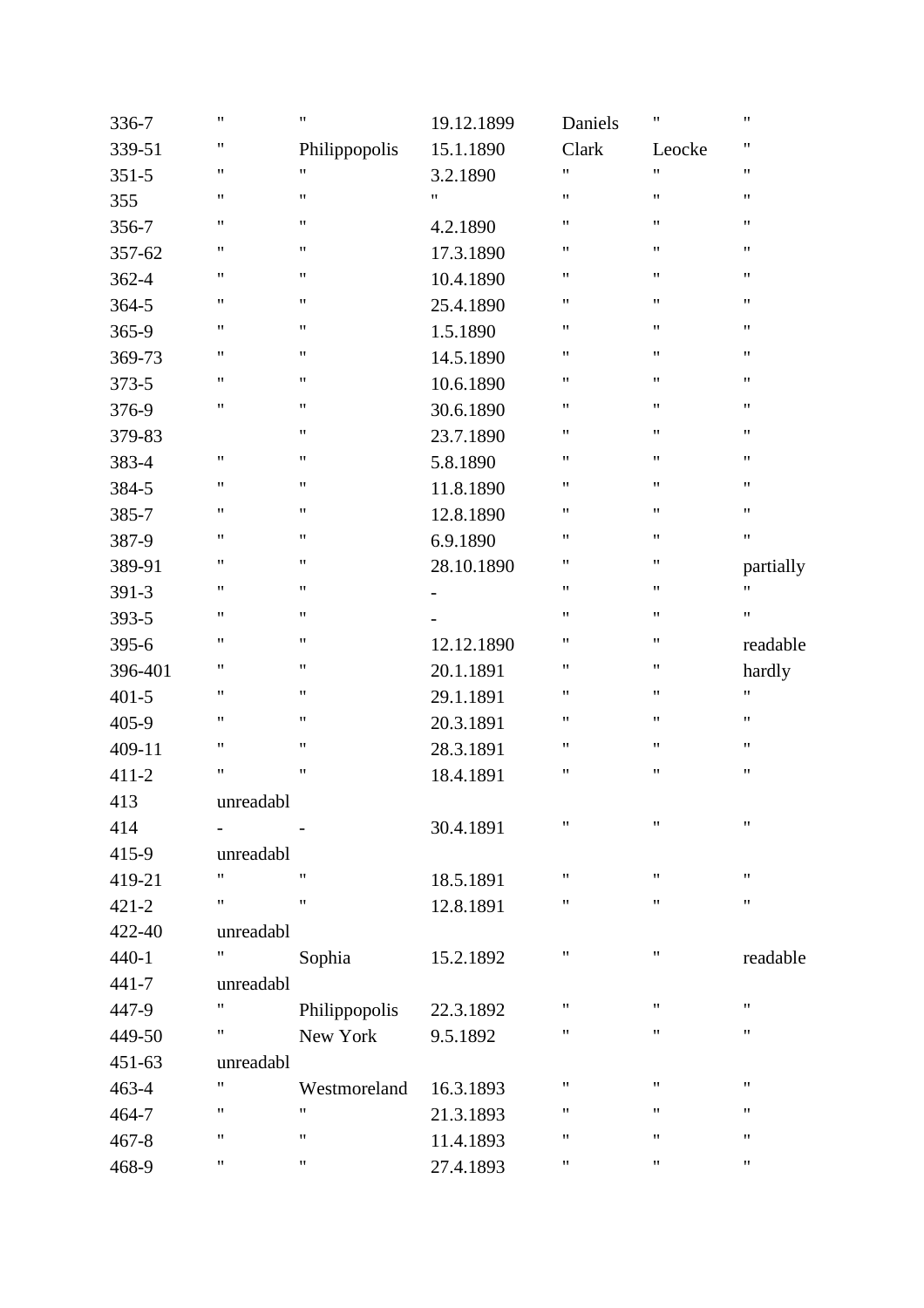| 336-7     | 11                                | $\pmb{\mathsf{H}}$ | 19.12.1899               | Daniels            | $\pmb{\mathsf{H}}$ | 11                 |
|-----------|-----------------------------------|--------------------|--------------------------|--------------------|--------------------|--------------------|
| 339-51    | 11                                | Philippopolis      | 15.1.1890                | Clark              | Leocke             | 11                 |
| $351 - 5$ | 11                                | $^{\prime\prime}$  | 3.2.1890                 | $\mathbf{H}$       | 11                 | 11                 |
| 355       | 11                                | $^{\prime\prime}$  | $\pmb{\mathsf{H}}$       | $\pmb{\mathsf{H}}$ | $\pmb{\mathsf{H}}$ | 11                 |
| 356-7     | 11                                | $^{\prime\prime}$  | 4.2.1890                 | 11                 | 11                 | 11                 |
| 357-62    | 11                                | $\pmb{\mathsf{H}}$ | 17.3.1890                | $\pmb{\mathsf{H}}$ | $\pmb{\mathsf{H}}$ | 11                 |
| 362-4     | 11                                | $\pmb{\mathsf{H}}$ | 10.4.1890                | $\mathbf{H}$       | $\pmb{\mathsf{H}}$ | 11                 |
| $364 - 5$ | $\pmb{\mathsf{H}}$                | $^{\prime\prime}$  | 25.4.1890                | $\mathbf{H}$       | $\pmb{\mathsf{H}}$ | 11                 |
| 365-9     | 11                                | $\pmb{\mathsf{H}}$ | 1.5.1890                 | 11                 | $\pmb{\mathsf{H}}$ | 11                 |
| 369-73    | 11                                | $\pmb{\mathsf{H}}$ | 14.5.1890                | 11                 | 11                 | 11                 |
| 373-5     | 11                                | $\pmb{\mathsf{H}}$ | 10.6.1890                | $\pmb{\mathsf{H}}$ | $\pmb{\mathsf{H}}$ | 11                 |
| 376-9     | 11                                | $^{\prime\prime}$  | 30.6.1890                | $\mathbf{H}$       | $\pmb{\mathsf{H}}$ | 11                 |
| 379-83    |                                   | $^{\prime\prime}$  | 23.7.1890                | $\mathbf{H}$       | $\pmb{\mathsf{H}}$ | 11                 |
| 383-4     | 11                                | $\pmb{\mathsf{H}}$ | 5.8.1890                 | 11                 | $\pmb{\mathsf{H}}$ | 11                 |
| 384-5     | 11                                | $\pmb{\mathsf{H}}$ | 11.8.1890                | 11                 | 11                 | 11                 |
| 385-7     | 11                                | $\pmb{\mathsf{H}}$ | 12.8.1890                | $\pmb{\mathsf{H}}$ | $\pmb{\mathsf{H}}$ | 11                 |
| 387-9     | 11                                | $^{\prime\prime}$  | 6.9.1890                 | $\mathbf{H}$       | $\pmb{\mathsf{H}}$ | $\pmb{\mathsf{H}}$ |
| 389-91    | $\pmb{\mathsf{H}}$                | $^{\prime\prime}$  | 28.10.1890               | 11                 | $\pmb{\mathsf{H}}$ | partially          |
| 391-3     | 11                                | $\pmb{\mathsf{H}}$ | $\overline{\phantom{a}}$ | 11                 | $\pmb{\mathsf{H}}$ | $\pmb{\mathsf{H}}$ |
| 393-5     | 11                                | $\pmb{\mathsf{H}}$ | $\overline{\phantom{a}}$ | 11                 | $\pmb{\mathsf{H}}$ | 11                 |
| $395 - 6$ | 11                                | $\pmb{\mathsf{H}}$ | 12.12.1890               | 11                 | $\pmb{\mathsf{H}}$ | readable           |
| 396-401   | 11                                | $\pmb{\mathsf{H}}$ | 20.1.1891                | $\pmb{\mathsf{H}}$ | $\pmb{\mathsf{H}}$ | hardly             |
| $401 - 5$ | $\pmb{\mathsf{H}}$                | $^{\prime\prime}$  | 29.1.1891                | $\mathbf{H}$       | $\pmb{\mathsf{H}}$ | $\pmb{\mathsf{H}}$ |
| 405-9     | 11                                | $\pmb{\mathsf{H}}$ | 20.3.1891                | 11                 | $\pmb{\mathsf{H}}$ | 11                 |
| 409-11    | 11                                | $\pmb{\mathsf{H}}$ | 28.3.1891                | 11                 | $\pmb{\mathsf{H}}$ | 11                 |
| $411 - 2$ | 11                                | $\pmb{\mathsf{H}}$ | 18.4.1891                | $\pmb{\mathsf{H}}$ | $\pmb{\mathsf{H}}$ | 11                 |
| 413       | $\ensuremath{\mathsf{unreadabl}}$ |                    |                          |                    |                    |                    |
| 414       |                                   |                    | 30.4.1891                | $^{\prime}$        | Ħ                  | $\pmb{\mathsf{H}}$ |
| 415-9     | unreadabl                         |                    |                          |                    |                    |                    |
| 419-21    | "                                 | $^{\prime}$        | 18.5.1891                | 11                 | $\pmb{\mathsf{H}}$ | 11                 |
| $421 - 2$ | "                                 | Ħ                  | 12.8.1891                | 11                 | 11                 | 11                 |
| 422-40    | unreadabl                         |                    |                          |                    |                    |                    |
| $440-1$   | 11                                | Sophia             | 15.2.1892                | $^{\prime}$        | 11                 | readable           |
| 441-7     | unreadabl                         |                    |                          |                    |                    |                    |
| 447-9     | 11                                | Philippopolis      | 22.3.1892                | 11                 | 11                 | 11                 |
| 449-50    | Ħ                                 | New York           | 9.5.1892                 | 11                 | 11                 | 11                 |
| 451-63    | unreadabl                         |                    |                          |                    |                    |                    |
| 463-4     | 11                                | Westmoreland       | 16.3.1893                | $^{\prime}$        | 11                 | $\pmb{\mathsf{H}}$ |
| 464-7     | 11                                | Ħ                  | 21.3.1893                | Ħ                  | "                  | 11                 |
| $467 - 8$ | 11                                | $\pmb{\mathsf{H}}$ | 11.4.1893                | Ħ                  | 11                 | 11                 |
| 468-9     | 11                                | 11                 | 27.4.1893                | 11                 | $\pmb{\mathsf{H}}$ | 11                 |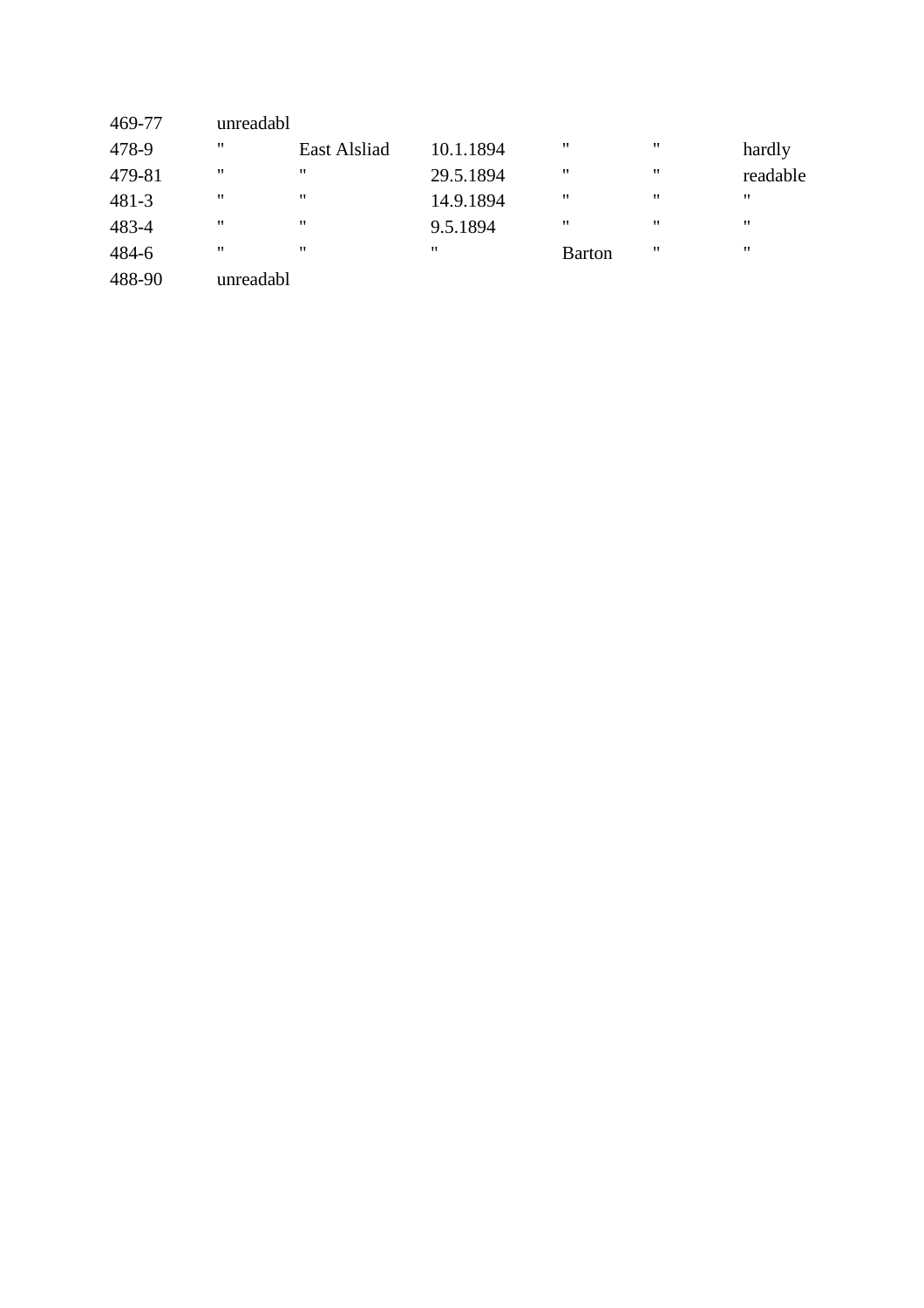| 469-77    | unreadabl |                     |           |               |                   |          |
|-----------|-----------|---------------------|-----------|---------------|-------------------|----------|
| 478-9     | 11        | <b>East Alsliad</b> | 10.1.1894 | "             | $^{\prime\prime}$ | hardly   |
| 479-81    | "         | "                   | 29.5.1894 | "             | $^{\prime\prime}$ | readable |
| $481 - 3$ | 11        | "                   | 14.9.1894 | "             | $^{\prime\prime}$ | "        |
| 483-4     | 11        | "                   | 9.5.1894  | "             | $^{\prime\prime}$ | "        |
| 484-6     | 11        | $^{\prime}$         | "         | <b>Barton</b> | $^{\prime}$       | 11       |
| 488-90    | unreadabl |                     |           |               |                   |          |
|           |           |                     |           |               |                   |          |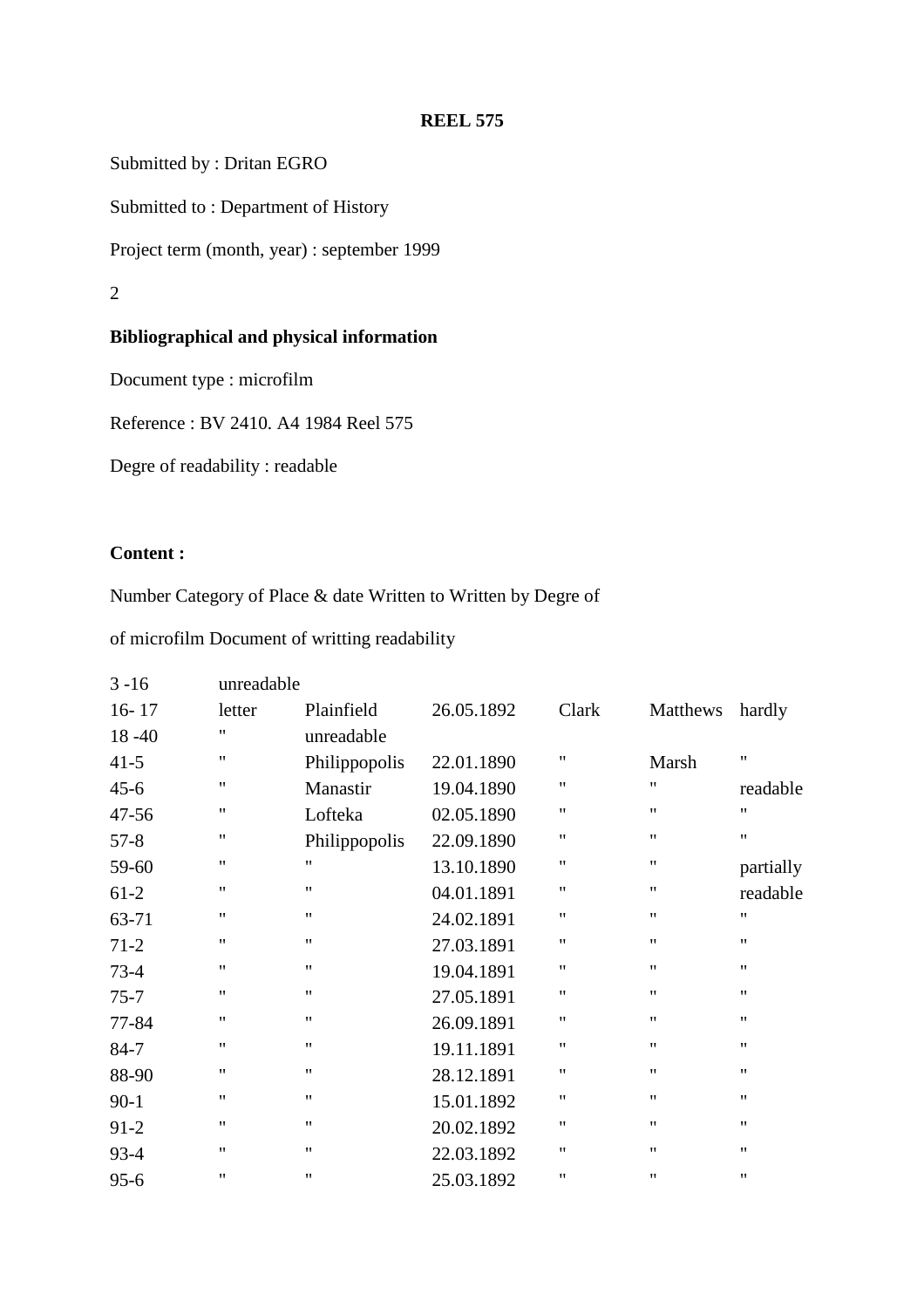Submitted by : Dritan EGRO

Submitted to : Department of History

Project term (month, year) : september 1999

2

# **Bibliographical and physical information**

Document type : microfilm

Reference : BV 2410. A4 1984 Reel 575

Degre of readability : readable

# **Content :**

Number Category of Place & date Written to Written by Degre of

of microfilm Document of writting readability

| $3 - 16$  | unreadable         |                    |            |                    |                    |                   |
|-----------|--------------------|--------------------|------------|--------------------|--------------------|-------------------|
| $16 - 17$ | letter             | Plainfield         | 26.05.1892 | Clark              | Matthews           | hardly            |
| $18 - 40$ | 11                 | unreadable         |            |                    |                    |                   |
| $41 - 5$  | $\pmb{\mathsf{H}}$ | Philippopolis      | 22.01.1890 | $\pmb{\mathsf{H}}$ | Marsh              | $^{\prime\prime}$ |
| $45 - 6$  | 11                 | Manastir           | 19.04.1890 | 11                 | $\pmb{\mathsf{H}}$ | readable          |
| $47 - 56$ | 11                 | Lofteka            | 02.05.1890 | $^{\prime\prime}$  | $\pmb{\mathsf{H}}$ | $^{\prime\prime}$ |
| $57 - 8$  | $\pmb{\mathsf{H}}$ | Philippopolis      | 22.09.1890 | $^{\prime\prime}$  | $\pmb{\mathsf{H}}$ | 11                |
| 59-60     | $\pmb{\mathsf{H}}$ | $^{\prime\prime}$  | 13.10.1890 | $\pmb{\mathsf{H}}$ | $\pmb{\mathsf{H}}$ | partially         |
| $61-2$    | $\pmb{\mathsf{H}}$ | $^{\prime\prime}$  | 04.01.1891 | $\pmb{\mathsf{H}}$ | $\pmb{\mathsf{H}}$ | readable          |
| 63-71     | $\pmb{\mathsf{H}}$ | $\pmb{\mathsf{H}}$ | 24.02.1891 | $\pmb{\mathsf{H}}$ | $\pmb{\mathsf{H}}$ | 11                |
| $71-2$    | $\pmb{\mathsf{H}}$ | $^{\prime\prime}$  | 27.03.1891 | $\pmb{\mathsf{H}}$ | $\pmb{\mathsf{H}}$ | 11                |
| $73 - 4$  | $\pmb{\mathsf{H}}$ | $^{\dagger}$       | 19.04.1891 | $\pmb{\mathsf{H}}$ | $\pmb{\mathsf{H}}$ | $^{\prime\prime}$ |
| $75 - 7$  | $\pmb{\mathsf{H}}$ | $\pmb{\mathsf{H}}$ | 27.05.1891 | $\pmb{\mathsf{H}}$ | $\pmb{\mathsf{H}}$ | 11                |
| 77-84     | $\pmb{\mathsf{H}}$ | $\pmb{\mathsf{H}}$ | 26.09.1891 | $\pmb{\mathsf{H}}$ | $\pmb{\mathsf{H}}$ | 11                |
| $84 - 7$  | $\pmb{\mathsf{H}}$ | $\pmb{\mathsf{H}}$ | 19.11.1891 | $\pmb{\mathsf{H}}$ | $\pmb{\mathsf{H}}$ | 11                |
| 88-90     | $^{\prime\prime}$  | $^{\prime\prime}$  | 28.12.1891 | $\pmb{\mathsf{H}}$ | $\pmb{\mathsf{H}}$ | 11                |
| $90 - 1$  | $\pmb{\mathsf{H}}$ | $^{\dagger}$       | 15.01.1892 | $^{\prime\prime}$  | $\pmb{\mathsf{H}}$ | 11                |
| $91-2$    | $\pmb{\mathsf{H}}$ | $^{\prime\prime}$  | 20.02.1892 | $\pmb{\mathsf{H}}$ | $\pmb{\mathsf{H}}$ | 11                |
| $93 - 4$  | $^{\prime\prime}$  | $^{\prime\prime}$  | 22.03.1892 | $\pmb{\mathsf{H}}$ | $\pmb{\mathsf{H}}$ | 11                |
| $95 - 6$  | $^{\prime\prime}$  | $^{\dagger}$       | 25.03.1892 | $^{\prime\prime}$  | $\pmb{\mathsf{H}}$ | 11                |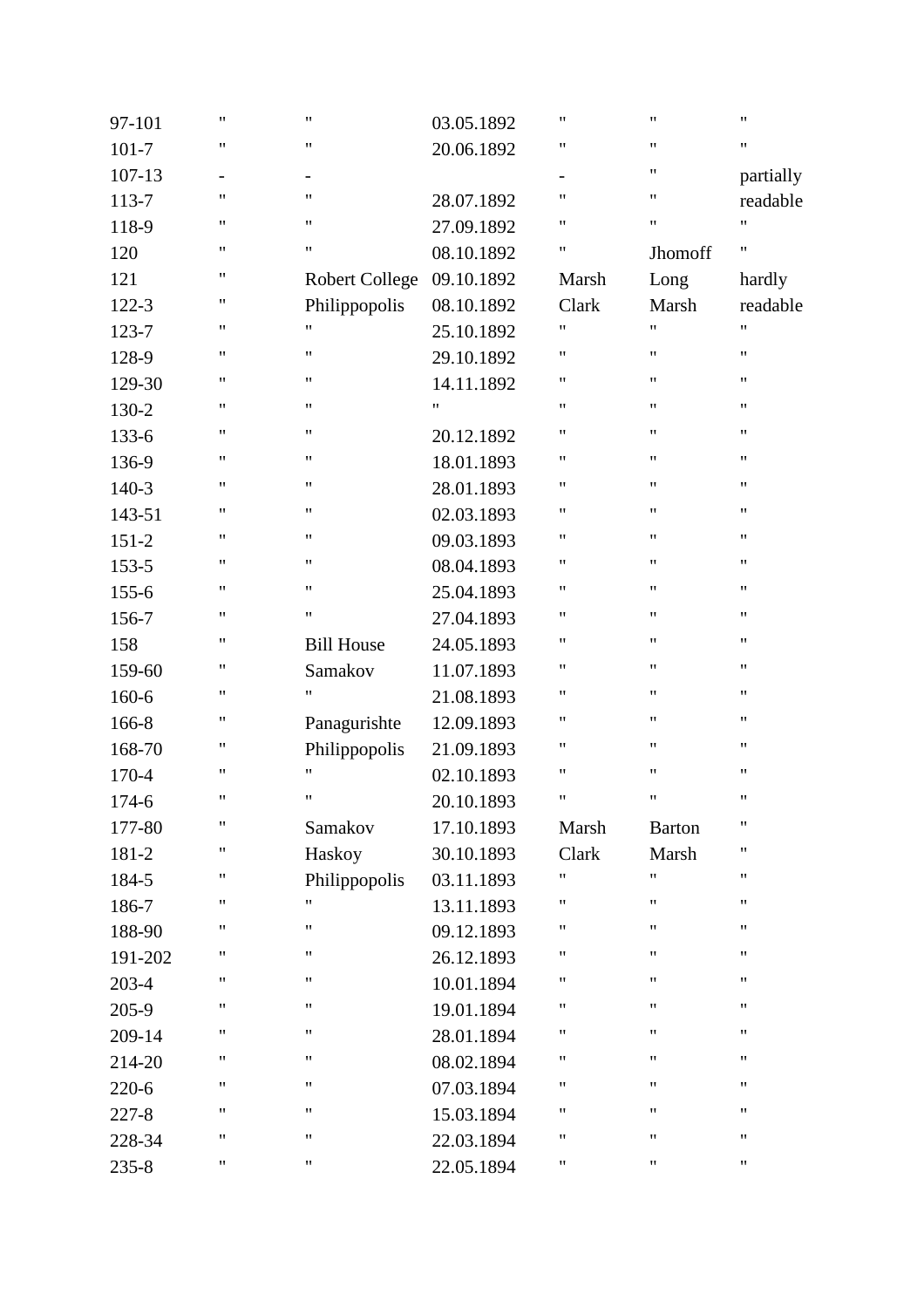| 97-101    | $\pmb{\mathsf{H}}$ | $\pmb{\mathsf{H}}$       | 03.05.1892 | $\pmb{\mathsf{H}}$ | $\pmb{\mathsf{H}}$ | $\pmb{\mathsf{H}}$ |
|-----------|--------------------|--------------------------|------------|--------------------|--------------------|--------------------|
| $101 - 7$ | 11                 | $\pmb{\mathsf{H}}$       | 20.06.1892 | $^{\prime\prime}$  | $\pmb{\mathsf{H}}$ | $\pmb{\mathsf{H}}$ |
| 107-13    | $\qquad \qquad -$  | $\overline{\phantom{a}}$ |            | $\qquad \qquad -$  | $\pmb{\mathsf{H}}$ | partially          |
| 113-7     | 11                 | $\pmb{\mathsf{H}}$       | 28.07.1892 | $\pmb{\mathsf{H}}$ | 11                 | readable           |
| 118-9     | 11                 | $\pmb{\mathsf{H}}$       | 27.09.1892 | 11                 | $\pmb{\mathsf{H}}$ | 11                 |
| 120       | 11                 | $\pmb{\mathsf{H}}$       | 08.10.1892 | $\pmb{\mathsf{H}}$ | Jhomoff            | 11                 |
| 121       | 11                 | <b>Robert College</b>    | 09.10.1892 | Marsh              | Long               | hardly             |
| $122 - 3$ | 11                 | Philippopolis            | 08.10.1892 | Clark              | Marsh              | readable           |
| 123-7     | 11                 | $\pmb{\mathsf{H}}$       | 25.10.1892 | Ħ                  | $\pmb{\mathsf{H}}$ | $\pmb{\mathsf{H}}$ |
| 128-9     | 11                 | $\pmb{\mathsf{H}}$       | 29.10.1892 | 11                 | $\pmb{\mathsf{H}}$ | $\pmb{\mathsf{H}}$ |
| 129-30    | 11                 | $\pmb{\mathsf{H}}$       | 14.11.1892 | 11                 | $\pmb{\mathsf{H}}$ | 11                 |
| 130-2     | 11                 | $\pmb{\mathsf{H}}$       | 11         | $\pmb{\mathsf{H}}$ | $\pmb{\mathsf{H}}$ | $\pmb{\mathsf{H}}$ |
| 133-6     | 11                 | $\pmb{\mathsf{H}}$       | 20.12.1892 | $\pmb{\mathsf{H}}$ | $\pmb{\mathsf{H}}$ | $\pmb{\mathsf{H}}$ |
| 136-9     | $\pmb{\mathsf{H}}$ | $\pmb{\mathsf{H}}$       | 18.01.1893 | "                  | $\pmb{\mathsf{H}}$ | $\pmb{\mathsf{H}}$ |
| $140-3$   | 11                 | $\pmb{\mathsf{H}}$       | 28.01.1893 | 11                 | $\pmb{\mathsf{H}}$ | $\pmb{\mathsf{H}}$ |
| 143-51    | 11                 | $\pmb{\mathsf{H}}$       | 02.03.1893 | $\pmb{\mathsf{H}}$ | $\pmb{\mathsf{H}}$ | 11                 |
| $151 - 2$ | 11                 | $\pmb{\mathsf{H}}$       | 09.03.1893 | $\pmb{\mathsf{H}}$ | $\pmb{\mathsf{H}}$ | $\pmb{\mathsf{H}}$ |
| 153-5     | 11                 | $\pmb{\mathsf{H}}$       | 08.04.1893 | $\pmb{\mathsf{H}}$ | $\pmb{\mathsf{H}}$ | $\pmb{\mathsf{H}}$ |
| $155 - 6$ | 11                 | $\pmb{\mathsf{H}}$       | 25.04.1893 | "                  | $\pmb{\mathsf{H}}$ | $\pmb{\mathsf{H}}$ |
| 156-7     | 11                 | $\pmb{\mathsf{H}}$       | 27.04.1893 | 11                 | $\pmb{\mathsf{H}}$ | $\pmb{\mathsf{H}}$ |
| 158       | 11                 | <b>Bill House</b>        | 24.05.1893 | 11                 | $\pmb{\mathsf{H}}$ | 11                 |
| 159-60    | 11                 | Samakov                  | 11.07.1893 | $\pmb{\mathsf{H}}$ | $\pmb{\mathsf{H}}$ | $\pmb{\mathsf{H}}$ |
| 160-6     | 11                 | $\pmb{\mathsf{H}}$       | 21.08.1893 | $\pmb{\mathsf{H}}$ | $\pmb{\mathsf{H}}$ | $\pmb{\mathsf{H}}$ |
| 166-8     | 11                 | Panagurishte             | 12.09.1893 | "                  | $\pmb{\mathsf{H}}$ | 11                 |
| 168-70    | 11                 | Philippopolis            | 21.09.1893 | 11                 | 11                 | $\pmb{\mathsf{H}}$ |
| 170-4     | 11                 | $\pmb{\mathsf{H}}$       | 02.10.1893 | $\pmb{\mathsf{H}}$ | $\pmb{\mathsf{H}}$ | 11                 |
| 174-6     | 11                 | $\pmb{\mathsf{H}}$       | 20.10.1893 | Ħ                  | $\pmb{\mathsf{H}}$ | $\pmb{\mathsf{H}}$ |
| 177-80    | 11                 | Samakov                  | 17.10.1893 | Marsh              | <b>Barton</b>      | $\pmb{\mathsf{H}}$ |
| 181-2     | 11                 | Haskoy                   | 30.10.1893 | Clark              | Marsh              | 11                 |
| 184-5     | 11                 | Philippopolis            | 03.11.1893 | Ħ                  | 11                 | 11                 |
| 186-7     | 11                 | $\pmb{\mathsf{H}}$       | 13.11.1893 | Ħ                  | 11                 | 11                 |
| 188-90    | 11                 | $\pmb{\mathsf{H}}$       | 09.12.1893 | 11                 | 11                 | 11                 |
| 191-202   | Ħ                  | $\pmb{\mathsf{H}}$       | 26.12.1893 | Ħ                  | $\pmb{\mathsf{H}}$ | 11                 |
| 203-4     | 11                 | 11                       | 10.01.1894 | Ħ                  | $\pmb{\mathsf{H}}$ | 11                 |
| 205-9     | 11                 | $\pmb{\mathsf{H}}$       | 19.01.1894 | Ħ                  | $\pmb{\mathsf{H}}$ | $\pmb{\mathsf{H}}$ |
| 209-14    | 11                 | $\pmb{\mathsf{H}}$       | 28.01.1894 | Ħ                  | 11                 | 11                 |
| 214-20    | 11                 | $\pmb{\mathsf{H}}$       | 08.02.1894 | 11                 | 11                 | 11                 |
| $220 - 6$ | 11                 | $\pmb{\mathsf{H}}$       | 07.03.1894 | Ħ                  | $\pmb{\mathsf{H}}$ | 11                 |
| $227 - 8$ | 11                 | $\pmb{\mathsf{H}}$       | 15.03.1894 | Ħ                  | $\pmb{\mathsf{H}}$ | $\pmb{\mathsf{H}}$ |
| 228-34    | 11                 | $\pmb{\mathsf{H}}$       | 22.03.1894 | Ħ                  | $\pmb{\mathsf{H}}$ | $\pmb{\mathsf{H}}$ |
| $235 - 8$ | 11                 | 11                       | 22.05.1894 | 11                 | $\pmb{\mathsf{H}}$ | $\pmb{\mathsf{H}}$ |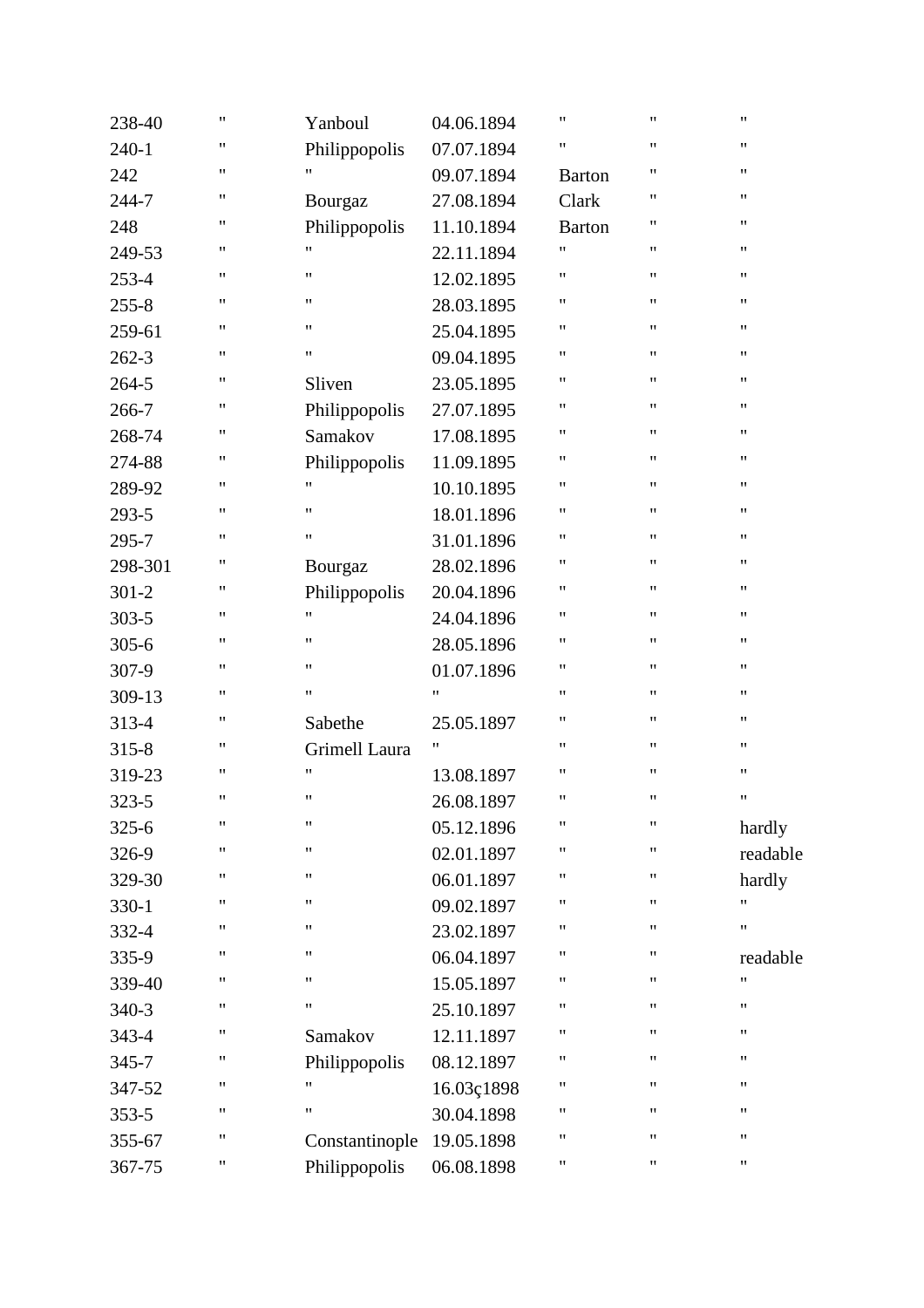| 238-40    | $\pmb{\mathsf{H}}$ | Yanboul            | 04.06.1894         | $^{\prime}$        | $\pmb{\mathsf{H}}$ | $\pmb{\mathsf{H}}$ |
|-----------|--------------------|--------------------|--------------------|--------------------|--------------------|--------------------|
| $240 - 1$ | 11                 | Philippopolis      | 07.07.1894         | $^{\prime\prime}$  | $\pmb{\mathsf{H}}$ | $\pmb{\mathsf{H}}$ |
| 242       | $\pmb{\mathsf{H}}$ | $\pmb{\mathsf{H}}$ | 09.07.1894         | <b>Barton</b>      | $\pmb{\mathsf{H}}$ | 11                 |
| 244-7     | 11                 | Bourgaz            | 27.08.1894         | Clark              | $\pmb{\mathsf{H}}$ | 11                 |
| 248       | 11                 | Philippopolis      | 11.10.1894         | <b>Barton</b>      | $\pmb{\mathsf{H}}$ | $\pmb{\mathsf{H}}$ |
| 249-53    | $\pmb{\mathsf{H}}$ | $\pmb{\mathsf{H}}$ | 22.11.1894         | 11                 | $\pmb{\mathsf{H}}$ | $\pmb{\mathsf{H}}$ |
| $253 - 4$ | 11                 | $\pmb{\mathsf{H}}$ | 12.02.1895         | $^{\prime\prime}$  | $\pmb{\mathsf{H}}$ | 11                 |
| $255 - 8$ | $\pmb{\mathsf{H}}$ | $\pmb{\mathsf{H}}$ | 28.03.1895         | Ħ                  | $\pmb{\mathsf{H}}$ | 11                 |
| 259-61    | 11                 | $\pmb{\mathsf{H}}$ | 25.04.1895         | Ħ                  | $\pmb{\mathsf{H}}$ | 11                 |
| $262 - 3$ | $\pmb{\mathsf{H}}$ | $\pmb{\mathsf{H}}$ | 09.04.1895         | $\pmb{\mathsf{H}}$ | $\pmb{\mathsf{H}}$ | $\pmb{\mathsf{H}}$ |
| 264-5     | 11                 | Sliven             | 23.05.1895         | $\pmb{\mathsf{H}}$ | $\pmb{\mathsf{H}}$ | $\pmb{\mathsf{H}}$ |
| 266-7     | 11                 | Philippopolis      | 27.07.1895         | $\pmb{\mathsf{H}}$ | $\pmb{\mathsf{H}}$ | 11                 |
| 268-74    | $\pmb{\mathsf{H}}$ | Samakov            | 17.08.1895         | $\pmb{\mathsf{H}}$ | $\pmb{\mathsf{H}}$ | 11                 |
| 274-88    | 11                 | Philippopolis      | 11.09.1895         | Ħ                  | $\pmb{\mathsf{H}}$ | 11                 |
| 289-92    | $\pmb{\mathsf{H}}$ | $\pmb{\mathsf{H}}$ | 10.10.1895         | $\pmb{\mathsf{H}}$ | $\pmb{\mathsf{H}}$ | $\pmb{\mathsf{H}}$ |
| 293-5     | 11                 | $\pmb{\mathsf{H}}$ | 18.01.1896         | $\pmb{\mathsf{H}}$ | $\pmb{\mathsf{H}}$ | $\pmb{\mathsf{H}}$ |
| 295-7     | 11                 | $\pmb{\mathsf{H}}$ | 31.01.1896         | $\pmb{\mathsf{H}}$ | $\pmb{\mathsf{H}}$ | 11                 |
| 298-301   | $\pmb{\mathsf{H}}$ | Bourgaz            | 28.02.1896         | $\pmb{\mathsf{H}}$ | $\pmb{\mathsf{H}}$ | 11                 |
| $301 - 2$ | 11                 | Philippopolis      | 20.04.1896         | Ħ                  | $\pmb{\mathsf{H}}$ | 11                 |
| $303 - 5$ | $\pmb{\mathsf{H}}$ | $\pmb{\mathsf{H}}$ | 24.04.1896         | Ħ                  | $\pmb{\mathsf{H}}$ | $\pmb{\mathsf{H}}$ |
| $305 - 6$ | 11                 | $\pmb{\mathsf{H}}$ | 28.05.1896         | $\pmb{\mathsf{H}}$ | $\pmb{\mathsf{H}}$ | $\pmb{\mathsf{H}}$ |
| 307-9     | 11                 | $\pmb{\mathsf{H}}$ | 01.07.1896         | $\pmb{\mathsf{H}}$ | $\pmb{\mathsf{H}}$ | 11                 |
| 309-13    | $\pmb{\mathsf{H}}$ | $\pmb{\mathsf{H}}$ | Ħ                  | $\pmb{\mathsf{H}}$ | $\pmb{\mathsf{H}}$ | 11                 |
| 313-4     | $\pmb{\mathsf{H}}$ | Sabethe            | 25.05.1897         | $^{\prime\prime}$  | $\pmb{\mathsf{H}}$ | $\pmb{\mathsf{H}}$ |
| $315 - 8$ | 11                 | Grimell Laura      | $\pmb{\mathsf{H}}$ | $^{\prime\prime}$  | $\pmb{\mathsf{H}}$ | $\pmb{\mathsf{H}}$ |
| 319-23    | $\pmb{\mathsf{H}}$ | $\pmb{\mathsf{H}}$ | 13.08.1897         | $^{\prime\prime}$  | $\pmb{\mathsf{H}}$ | $\pmb{\mathsf{H}}$ |
| 323-5     | $\pmb{\mathsf{H}}$ | $\pmb{\mathsf{H}}$ | 26.08.1897         | $\pmb{\mathsf{H}}$ | $\pmb{\mathsf{H}}$ | 11                 |
| $325 - 6$ | $\pmb{\mathsf{H}}$ | $\pmb{\mathsf{H}}$ | 05.12.1896         | $^{\prime\prime}$  | $\pmb{\mathsf{H}}$ | hardly             |
| 326-9     | $\pmb{\mathsf{H}}$ | $\pmb{\mathsf{H}}$ | 02.01.1897         | $^{\prime\prime}$  | "                  | readable           |
| 329-30    | $\pmb{\mathsf{H}}$ | $\pmb{\mathsf{H}}$ | 06.01.1897         | Ħ                  | 11                 | hardly             |
| $330 - 1$ | $\pmb{\mathsf{H}}$ | $\pmb{\mathsf{H}}$ | 09.02.1897         | "                  | 11                 | $\pmb{\mathsf{H}}$ |
| 332-4     | 11                 | $\pmb{\mathsf{H}}$ | 23.02.1897         | Ħ                  | $\pmb{\mathsf{H}}$ | $\pmb{\mathsf{H}}$ |
| 335-9     | 11                 | $\pmb{\mathsf{H}}$ | 06.04.1897         | Ħ                  | 11                 | readable           |
| 339-40    | $\pmb{\mathsf{H}}$ | $\pmb{\mathsf{H}}$ | 15.05.1897         | $^{\prime}$        | $\pmb{\mathsf{H}}$ | $^{\prime\prime}$  |
| $340-3$   | $\pmb{\mathsf{H}}$ | $\pmb{\mathsf{H}}$ | 25.10.1897         | Ħ                  | $\pmb{\mathsf{H}}$ | $\pmb{\mathsf{H}}$ |
| 343-4     | 11                 | Samakov            | 12.11.1897         | "                  | $\pmb{\mathsf{H}}$ | $\pmb{\mathsf{H}}$ |
| 345-7     | 11                 | Philippopolis      | 08.12.1897         | Ħ                  | $\pmb{\mathsf{H}}$ | 11                 |
| 347-52    | 11                 | $\pmb{\mathsf{H}}$ | 16.03ç1898         | Ħ                  | $\pmb{\mathsf{H}}$ | $\pmb{\mathsf{H}}$ |
| $353 - 5$ | $\pmb{\mathsf{H}}$ | $\pmb{\mathsf{H}}$ | 30.04.1898         | $^{\prime}$        | $\pmb{\mathsf{H}}$ | $\pmb{\mathsf{H}}$ |
| 355-67    | 11                 | Constantinople     | 19.05.1898         | Ħ                  | $\pmb{\mathsf{H}}$ | 11                 |
| 367-75    | 11                 | Philippopolis      | 06.08.1898         | Ħ                  | $\pmb{\mathsf{H}}$ | $\pmb{\mathsf{H}}$ |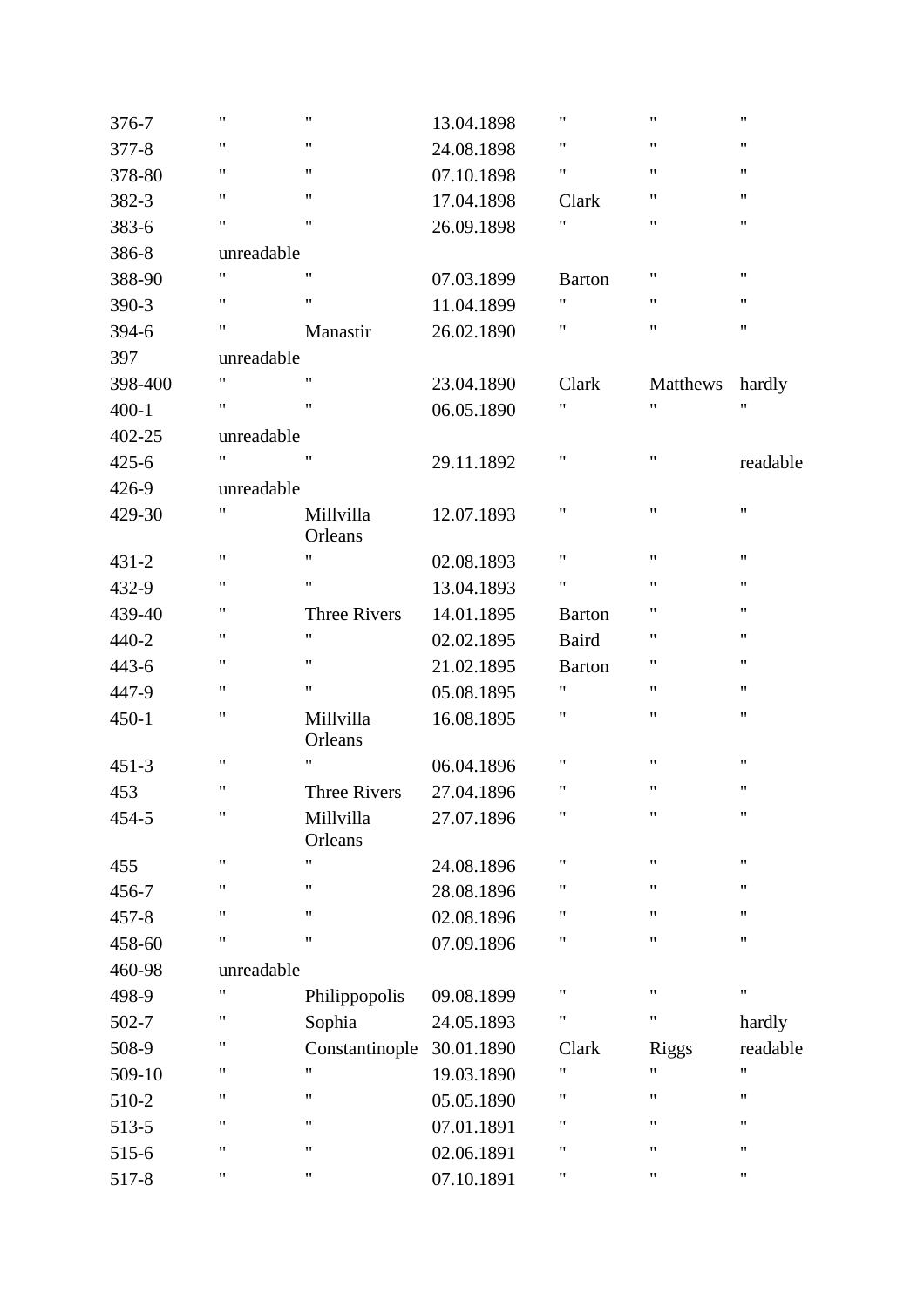| 376-7     | 11                 | $\pmb{\mathsf{H}}$   | 13.04.1898 | $\pmb{\mathsf{H}}$ | $\pmb{\mathsf{H}}$ | $\pmb{\mathsf{H}}$ |
|-----------|--------------------|----------------------|------------|--------------------|--------------------|--------------------|
| 377-8     | 11                 | $\pmb{\mathsf{H}}$   | 24.08.1898 | $\pmb{\mathsf{H}}$ | 11                 | 11                 |
| 378-80    | 11                 | $\pmb{\mathsf{H}}$   | 07.10.1898 | 11                 | 11                 | 11                 |
| 382-3     | 11                 | $\pmb{\mathsf{H}}$   | 17.04.1898 | Clark              | 11                 | 11                 |
| 383-6     | 11                 | $\pmb{\mathsf{H}}$   | 26.09.1898 | $\pmb{\mathsf{H}}$ | 11                 | 11                 |
| 386-8     | unreadable         |                      |            |                    |                    |                    |
| 388-90    | $\pmb{\mathsf{H}}$ | $\pmb{\mathsf{H}}$   | 07.03.1899 | <b>Barton</b>      | 11                 | 11                 |
| 390-3     | $\pmb{\mathsf{H}}$ | $\pmb{\mathsf{H}}$   | 11.04.1899 | $\pmb{\mathsf{H}}$ | 11                 | 11                 |
| 394-6     | 11                 | Manastir             | 26.02.1890 | 11                 | $\pmb{\mathsf{H}}$ | 11                 |
| 397       | unreadable         |                      |            |                    |                    |                    |
| 398-400   | $\pmb{\mathsf{H}}$ | $\pmb{\mathsf{H}}$   | 23.04.1890 | Clark              | Matthews           | hardly             |
| $400 - 1$ | 11                 | $\pmb{\mathsf{H}}$   | 06.05.1890 | 11                 | 11                 | Ħ                  |
| 402-25    | unreadable         |                      |            |                    |                    |                    |
| $425 - 6$ | 11                 | $\pmb{\mathsf{H}}$   | 29.11.1892 | 11                 | $\pmb{\mathsf{H}}$ | readable           |
| 426-9     | unreadable         |                      |            |                    |                    |                    |
| 429-30    | $\pmb{\mathsf{H}}$ | Millvilla            | 12.07.1893 | $\pmb{\mathsf{H}}$ | $\pmb{\mathsf{H}}$ | $\pmb{\mathsf{H}}$ |
|           |                    | Orleans              |            |                    |                    |                    |
| $431 - 2$ | 11                 | $\pmb{\mathsf{H}}$   | 02.08.1893 | $\pmb{\mathsf{H}}$ | 11                 | 11                 |
| 432-9     | 11                 | $\pmb{\mathsf{H}}$   | 13.04.1893 | 11                 | 11                 | 11                 |
| 439-40    | 11                 | <b>Three Rivers</b>  | 14.01.1895 | <b>Barton</b>      | 11                 | 11                 |
| $440 - 2$ | 11                 | $\pmb{\mathsf{H}}$   | 02.02.1895 | <b>Baird</b>       | $\pmb{\mathsf{H}}$ | 11                 |
| $443 - 6$ | 11                 | $\pmb{\mathsf{H}}$   | 21.02.1895 | <b>Barton</b>      | 11                 | 11                 |
| 447-9     | 11                 | $\pmb{\mathsf{H}}$   | 05.08.1895 | $\pmb{\mathsf{H}}$ | 11                 | 11                 |
| $450 - 1$ | 11                 | Millvilla<br>Orleans | 16.08.1895 | $\pmb{\mathsf{H}}$ | 11                 | 11                 |
| $451 - 3$ | 11                 | $^{\dagger}$         | 06.04.1896 | $\pmb{\mathsf{H}}$ | 11                 | 11                 |
| 453       | 11                 | <b>Three Rivers</b>  | 27.04.1896 | $\pmb{\mathsf{H}}$ | 11                 | 11                 |
|           | $\pmb{\mathsf{H}}$ | Millvilla            |            | $\pmb{\mathsf{H}}$ | 11                 | $\pmb{\mathsf{H}}$ |
| 454-5     |                    | Orleans              | 27.07.1896 |                    |                    |                    |
| 455       | $\pmb{\mathsf{H}}$ | $\pmb{\mathsf{H}}$   | 24.08.1896 | $\pmb{\mathsf{H}}$ | 11                 | $\pmb{\mathsf{H}}$ |
| 456-7     | 11                 | $\pmb{\mathsf{H}}$   | 28.08.1896 | Ħ                  | $\mathbf{H}$       | 11                 |
| $457 - 8$ | 11                 | $\pmb{\mathsf{H}}$   | 02.08.1896 | 11                 | 11                 | 11                 |
| 458-60    | 11                 | $\pmb{\mathsf{H}}$   | 07.09.1896 | 11                 | $\pmb{\mathsf{H}}$ | 11                 |
| 460-98    | unreadable         |                      |            |                    |                    |                    |
| 498-9     | $\pmb{\mathsf{H}}$ | Philippopolis        | 09.08.1899 | $\pmb{\mathsf{H}}$ | 11                 | $\pmb{\mathsf{H}}$ |
| 502-7     | 11                 | Sophia               | 24.05.1893 | $\pmb{\mathsf{H}}$ | $\pmb{\mathsf{H}}$ | hardly             |
| 508-9     | 11                 | Constantinople       | 30.01.1890 | Clark              | <b>Riggs</b>       | readable           |
| 509-10    | 11                 | $\pmb{\mathsf{H}}$   | 19.03.1890 | $\pmb{\mathsf{H}}$ | $\pmb{\mathsf{H}}$ | 11                 |
| 510-2     | 11                 | $\pmb{\mathsf{H}}$   | 05.05.1890 | $\pmb{\mathsf{H}}$ | 11                 | 11                 |
| 513-5     | 11                 | $\pmb{\mathsf{H}}$   | 07.01.1891 | "                  | 11                 | 11                 |
| 515-6     | 11                 | $^{\prime\prime}$    | 02.06.1891 | 11                 | $\mathbf{H}$       | 11                 |
| 517-8     | 11                 | 11                   | 07.10.1891 | 11                 | 11                 | 11                 |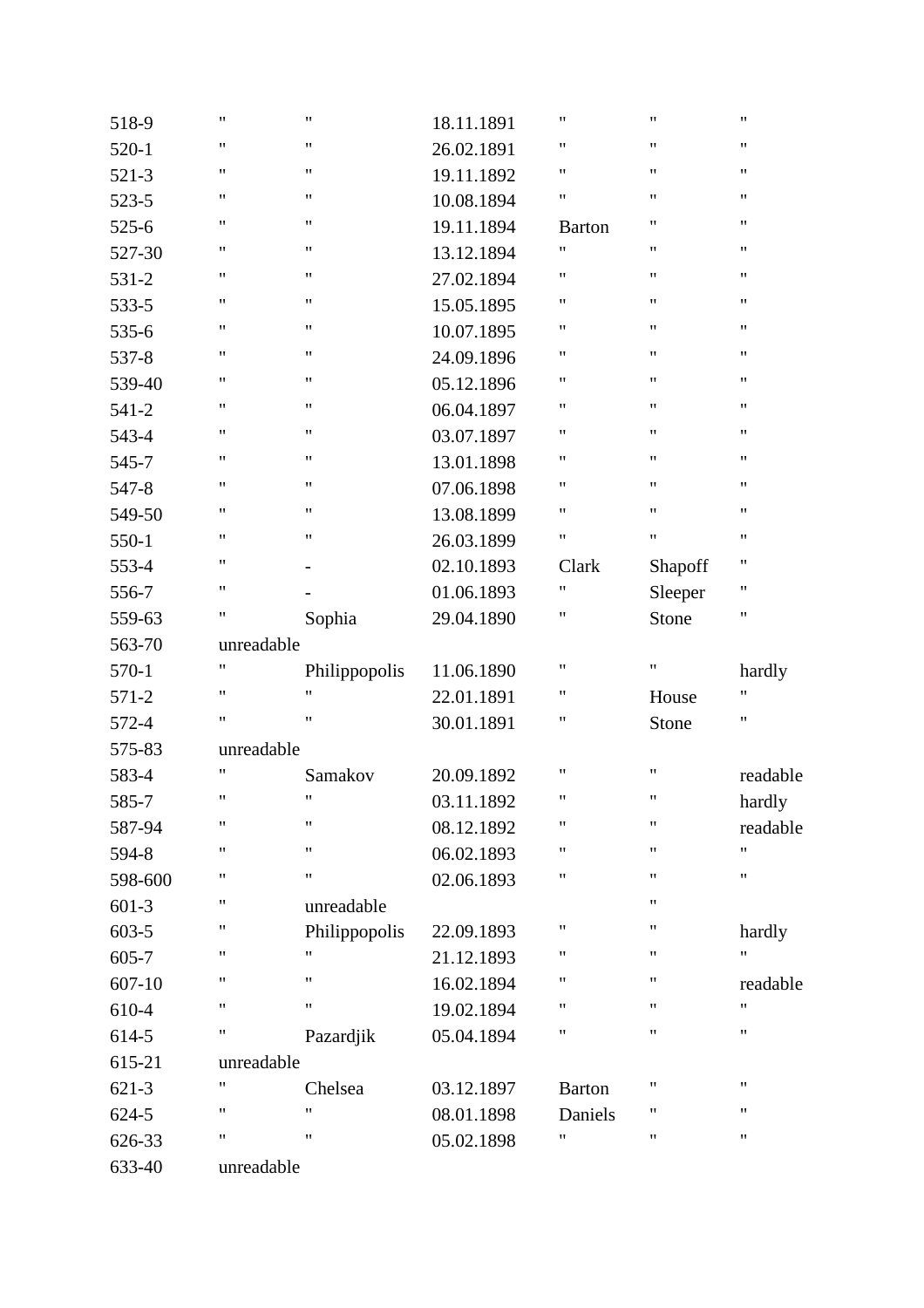| 518-9      | $\pmb{\mathsf{H}}$ | $\pmb{\mathsf{H}}$       | 18.11.1891 | 11                 | $\pmb{\mathsf{H}}$ | $\pmb{\mathsf{H}}$ |
|------------|--------------------|--------------------------|------------|--------------------|--------------------|--------------------|
| $520-1$    | $\pmb{\mathsf{H}}$ | $\pmb{\mathsf{H}}$       | 26.02.1891 | 11                 | $\pmb{\mathsf{H}}$ | $\pmb{\mathsf{H}}$ |
| 521-3      | $\pmb{\mathsf{H}}$ | $\pmb{\mathsf{H}}$       | 19.11.1892 | 11                 | $\pmb{\mathsf{H}}$ | 11                 |
| 523-5      | $\pmb{\mathsf{H}}$ | $\pmb{\mathsf{H}}$       | 10.08.1894 | Ħ                  | $\pmb{\mathsf{H}}$ | 11                 |
| $525 - 6$  | $\pmb{\mathsf{H}}$ | $\pmb{\mathsf{H}}$       | 19.11.1894 | <b>Barton</b>      | $\pmb{\mathsf{H}}$ | $\pmb{\mathsf{H}}$ |
| 527-30     | $\pmb{\mathsf{H}}$ | $\pmb{\mathsf{H}}$       | 13.12.1894 | 11                 | $\pmb{\mathsf{H}}$ | $\pmb{\mathsf{H}}$ |
| 531-2      | $\pmb{\mathsf{H}}$ | $\pmb{\mathsf{H}}$       | 27.02.1894 | 11                 | $\pmb{\mathsf{H}}$ | 11                 |
| 533-5      | $\pmb{\mathsf{H}}$ | $\pmb{\mathsf{H}}$       | 15.05.1895 | $\pmb{\mathsf{H}}$ | $\pmb{\mathsf{H}}$ | 11                 |
| 535-6      | $\pmb{\mathsf{H}}$ | $\pmb{\mathsf{H}}$       | 10.07.1895 | Ħ                  | $\pmb{\mathsf{H}}$ | 11                 |
| 537-8      | $\pmb{\mathsf{H}}$ | $\pmb{\mathsf{H}}$       | 24.09.1896 | Ħ                  | $\pmb{\mathsf{H}}$ | $\pmb{\mathsf{H}}$ |
| 539-40     | $\pmb{\mathsf{H}}$ | $\pmb{\mathsf{H}}$       | 05.12.1896 | 11                 | $\pmb{\mathsf{H}}$ | $\pmb{\mathsf{H}}$ |
| $541 - 2$  | $\pmb{\mathsf{H}}$ | $\pmb{\mathsf{H}}$       | 06.04.1897 | 11                 | $\pmb{\mathsf{H}}$ | 11                 |
| 543-4      | $\pmb{\mathsf{H}}$ | $\pmb{\mathsf{H}}$       | 03.07.1897 | 11                 | $\pmb{\mathsf{H}}$ | 11                 |
| 545-7      | $\pmb{\mathsf{H}}$ | $\pmb{\mathsf{H}}$       | 13.01.1898 | Ħ                  | $\pmb{\mathsf{H}}$ | 11                 |
| 547-8      | $\pmb{\mathsf{H}}$ | $\pmb{\mathsf{H}}$       | 07.06.1898 | Ħ                  | $\pmb{\mathsf{H}}$ | $\pmb{\mathsf{H}}$ |
| 549-50     | $\pmb{\mathsf{H}}$ | $\pmb{\mathsf{H}}$       | 13.08.1899 | 11                 | $\pmb{\mathsf{H}}$ | $\pmb{\mathsf{H}}$ |
| 550-1      | $\pmb{\mathsf{H}}$ | $\pmb{\mathsf{H}}$       | 26.03.1899 | 11                 | $\pmb{\mathsf{H}}$ | 11                 |
| 553-4      | $\pmb{\mathsf{H}}$ | $\overline{\phantom{0}}$ | 02.10.1893 | Clark              | Shapoff            | 11                 |
| 556-7      | $\pmb{\mathsf{H}}$ |                          | 01.06.1893 | Ħ                  | Sleeper            | 11                 |
| 559-63     | $\pmb{\mathsf{H}}$ | Sophia                   | 29.04.1890 | Ħ                  | Stone              | 11                 |
| 563-70     | unreadable         |                          |            |                    |                    |                    |
| 570-1      | $\pmb{\mathsf{H}}$ | Philippopolis            | 11.06.1890 | 11                 | $\pmb{\mathsf{H}}$ | hardly             |
| 571-2      | $\pmb{\mathsf{H}}$ | $^{\prime\prime}$        | 22.01.1891 | 11                 | House              | 11                 |
| 572-4      | $\pmb{\mathsf{H}}$ | $\pmb{\mathsf{H}}$       | 30.01.1891 | Ħ                  | Stone              | $\pmb{\mathsf{H}}$ |
| 575-83     | unreadable         |                          |            |                    |                    |                    |
| 583-4      | $\pmb{\mathsf{H}}$ | Samakov                  | 20.09.1892 | 11                 | $\pmb{\mathsf{H}}$ | readable           |
| 585-7      | $\pmb{\mathsf{H}}$ | $\pmb{\mathsf{H}}$       | 03.11.1892 | 11                 | $\pmb{\mathsf{H}}$ | hardly             |
| 587-94     | $\pmb{\mathsf{H}}$ | $\pmb{\mathsf{H}}$       | 08.12.1892 | $\pmb{\mathsf{H}}$ | $\pmb{\mathsf{H}}$ | readable           |
| 594-8      | $\pmb{\mathsf{H}}$ | $\pmb{\mathsf{H}}$       | 06.02.1893 | Ħ                  | $\pmb{\mathsf{H}}$ | 11                 |
| 598-600    | $\pmb{\mathsf{H}}$ | $\pmb{\mathsf{H}}$       | 02.06.1893 | Ħ                  | $\pmb{\mathsf{H}}$ | $\pmb{\mathsf{H}}$ |
| $601-3$    | 11                 | unreadable               |            |                    | $\pmb{\mathsf{H}}$ |                    |
| 603-5      | $\pmb{\mathsf{H}}$ | Philippopolis            | 22.09.1893 | 11                 | $\pmb{\mathsf{H}}$ | hardly             |
| 605-7      | 11                 | "                        | 21.12.1893 | Ħ                  | $\pmb{\mathsf{H}}$ | 11                 |
| $607 - 10$ | $\pmb{\mathsf{H}}$ | $\pmb{\mathsf{H}}$       | 16.02.1894 | Ħ                  | $\pmb{\mathsf{H}}$ | readable           |
| 610-4      | $\pmb{\mathsf{H}}$ | $\pmb{\mathsf{H}}$       | 19.02.1894 | Ħ                  | $\pmb{\mathsf{H}}$ | $\pmb{\mathsf{H}}$ |
| 614-5      | 11                 | Pazardjik                | 05.04.1894 | Ħ                  | $\pmb{\mathsf{H}}$ | $\pmb{\mathsf{H}}$ |
| 615-21     | unreadable         |                          |            |                    |                    |                    |
| $621-3$    | 11                 | Chelsea                  | 03.12.1897 | <b>Barton</b>      | $\pmb{\mathsf{H}}$ | 11                 |
| $624 - 5$  | $\pmb{\mathsf{H}}$ | 11                       | 08.01.1898 | Daniels            | $\pmb{\mathsf{H}}$ | 11                 |
| 626-33     | 11                 | $^{\prime\prime}$        | 05.02.1898 | Ħ                  | $\pmb{\mathsf{H}}$ | 11                 |
| 633-40     | unreadable         |                          |            |                    |                    |                    |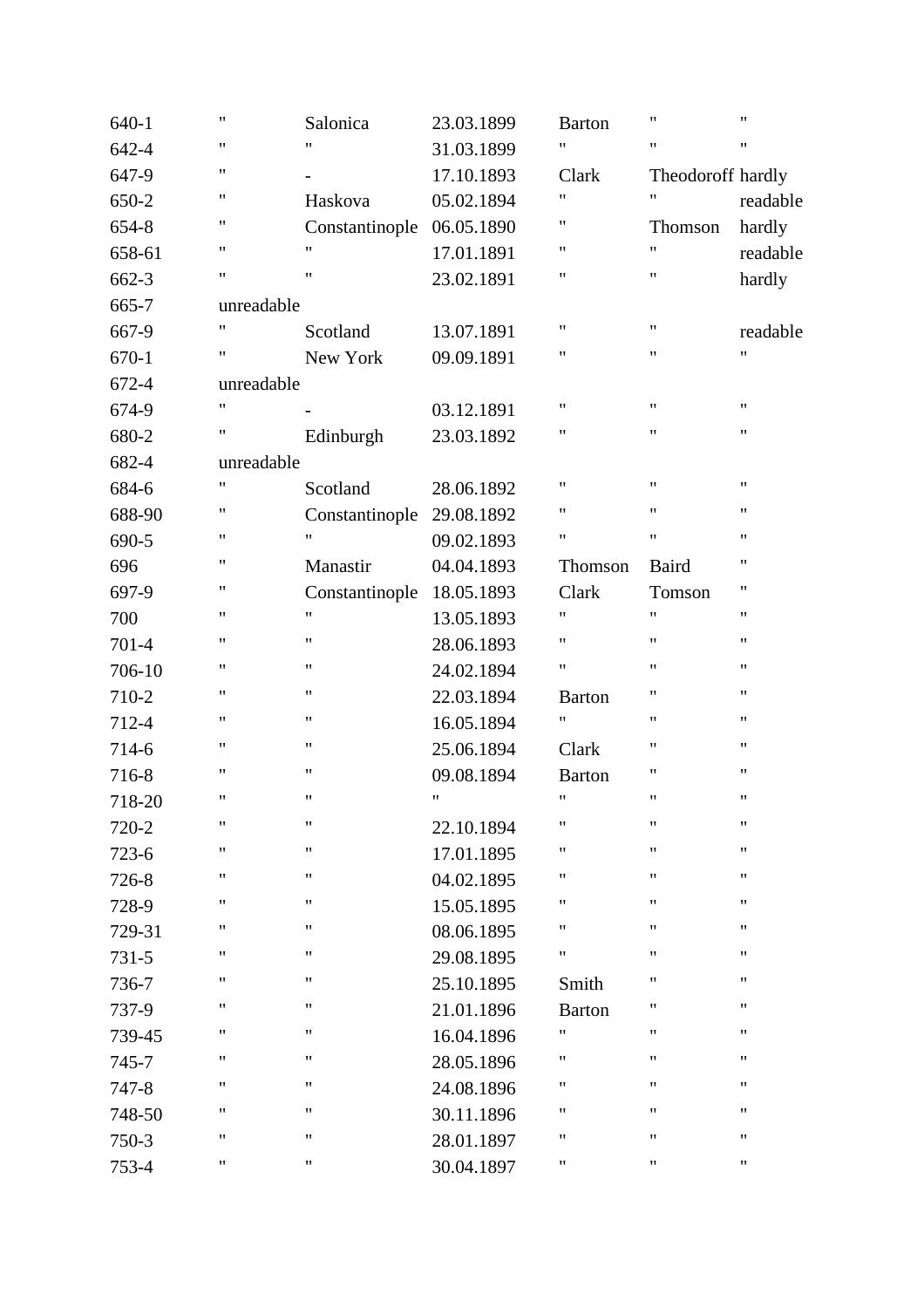| $640 - 1$ | $\pmb{\mathsf{H}}$ | Salonica           | 23.03.1899         | <b>Barton</b>      | $\pmb{\mathsf{H}}$ | $\pmb{\mathsf{H}}$ |
|-----------|--------------------|--------------------|--------------------|--------------------|--------------------|--------------------|
| 642-4     | $\pmb{\mathsf{H}}$ | 11                 | 31.03.1899         | 11                 | $\pmb{\mathsf{H}}$ | $\pmb{\mathsf{H}}$ |
| 647-9     | $\pmb{\mathsf{H}}$ |                    | 17.10.1893         | Clark              | Theodoroff hardly  |                    |
| 650-2     | 11                 | Haskova            | 05.02.1894         | Ħ                  | 11                 | readable           |
| 654-8     | 11                 | Constantinople     | 06.05.1890         | 11                 | Thomson            | hardly             |
| 658-61    | $\pmb{\mathsf{H}}$ | $\pmb{\mathsf{H}}$ | 17.01.1891         | 11                 | Ħ                  | readable           |
| 662-3     | $\pmb{\mathsf{H}}$ | Ħ                  | 23.02.1891         | 11                 | 11                 | hardly             |
| 665-7     | unreadable         |                    |                    |                    |                    |                    |
| 667-9     | $\pmb{\mathsf{H}}$ | Scotland           | 13.07.1891         | 11                 | 11                 | readable           |
| $670 - 1$ | 11                 | New York           | 09.09.1891         | 11                 | 11                 | 11                 |
| 672-4     | unreadable         |                    |                    |                    |                    |                    |
| 674-9     | "                  |                    | 03.12.1891         | $\pmb{\mathsf{H}}$ | 11                 | $\pmb{\mathsf{H}}$ |
| 680-2     | 11                 | Edinburgh          | 23.03.1892         | 11                 | 11                 | $\pmb{\mathsf{H}}$ |
| 682-4     | unreadable         |                    |                    |                    |                    |                    |
| 684-6     | 11                 | Scotland           | 28.06.1892         | 11                 | 11                 | $\pmb{\mathsf{H}}$ |
| 688-90    | 11                 | Constantinople     | 29.08.1892         | Ħ                  | 11                 | $\pmb{\mathsf{H}}$ |
| 690-5     | 11                 | 11                 | 09.02.1893         | 11                 | $\pmb{\mathsf{H}}$ | $\pmb{\mathsf{H}}$ |
| 696       | 11                 | Manastir           | 04.04.1893         | Thomson            | Baird              | 11                 |
| 697-9     | 11                 | Constantinople     | 18.05.1893         | Clark              | Tomson             | 11                 |
| 700       | 11                 | 11                 | 13.05.1893         | 11                 | 11                 | 11                 |
| 701-4     | 11                 | $\pmb{\mathsf{H}}$ | 28.06.1893         | Ħ                  | 11                 | $\pmb{\mathsf{H}}$ |
| 706-10    | 11                 | 11                 | 24.02.1894         | 11                 | 11                 | $\pmb{\mathsf{H}}$ |
| 710-2     | 11                 | 11                 | 22.03.1894         | <b>Barton</b>      | 11                 | $\pmb{\mathsf{H}}$ |
| 712-4     | 11                 | 11                 | 16.05.1894         | Ħ                  | 11                 | 11                 |
| 714-6     | 11                 | 11                 | 25.06.1894         | Clark              | 11                 | $\pmb{\mathsf{H}}$ |
| 716-8     | $\pmb{\mathsf{H}}$ | $\pmb{\mathsf{H}}$ | 09.08.1894         | <b>Barton</b>      | 11                 | $\pmb{\mathsf{H}}$ |
| 718-20    | $\pmb{\mathsf{H}}$ | 11                 | $\pmb{\mathsf{H}}$ | 11                 | 11                 | $\pmb{\mathsf{H}}$ |
| 720-2     | 11                 | 11                 | 22.10.1894         | 11                 | 11                 | $\pmb{\mathsf{H}}$ |
| $723 - 6$ | 11                 | 11                 | 17.01.1895         | Ħ                  | 11                 | 11                 |
| 726-8     | 11                 | 11                 | 04.02.1895         | Ħ                  | 11                 | 11                 |
| 728-9     | 11                 | $\pmb{\mathsf{H}}$ | 15.05.1895         | Ħ                  | 11                 | 11                 |
| 729-31    | 11                 | $\pmb{\mathsf{H}}$ | 08.06.1895         | 11                 | 11                 | $\pmb{\mathsf{H}}$ |
| $731 - 5$ | 11                 | Ħ                  | 29.08.1895         | Ħ                  | 11                 | $\pmb{\mathsf{H}}$ |
| 736-7     | 11                 | 11                 | 25.10.1895         | Smith              | 11                 | 11                 |
| 737-9     | 11                 | 11                 | 21.01.1896         | <b>Barton</b>      | 11                 | 11                 |
| 739-45    | 11                 | $\pmb{\mathsf{H}}$ | 16.04.1896         | Ħ                  | 11                 | 11                 |
| 745-7     | 11                 | $\pmb{\mathsf{H}}$ | 28.05.1896         | Ħ                  | 11                 | 11                 |
| 747-8     | 11                 | 11                 | 24.08.1896         | Ħ                  | 11                 | 11                 |
| 748-50    | 11                 | 11                 | 30.11.1896         | Ħ                  | 11                 | 11                 |
| 750-3     | "                  | $\pmb{\mathsf{H}}$ | 28.01.1897         | Ħ                  | 11                 | $\pmb{\mathsf{H}}$ |
| 753-4     | 11                 | 11                 | 30.04.1897         | 11                 | 11                 | 11                 |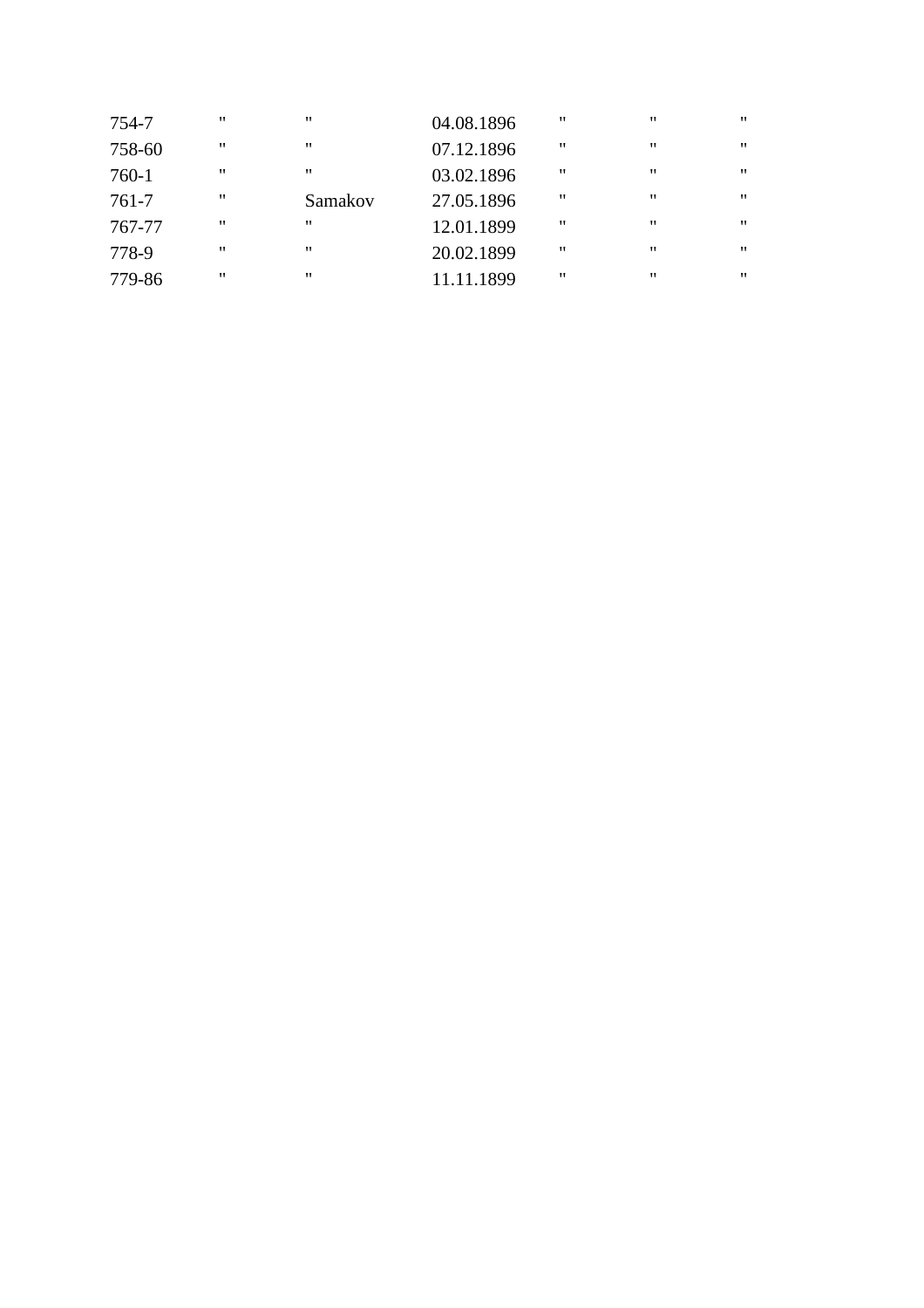| 754-7     | " | $^{\prime\prime}$ | 04.08.1896 | " | $^{\prime\prime}$ | $^{\prime\prime}$ |
|-----------|---|-------------------|------------|---|-------------------|-------------------|
| 758-60    | " | $^{\prime\prime}$ | 07.12.1896 | " | $^{\prime\prime}$ | $^{\prime\prime}$ |
| 760-1     | " | $^{\prime\prime}$ | 03.02.1896 | " | $^{\prime\prime}$ | $^{\prime\prime}$ |
| $761 - 7$ | " | Samakov           | 27.05.1896 | " | $^{\prime\prime}$ | $^{\prime\prime}$ |
| 767-77    | " | "                 | 12.01.1899 | " | $^{\prime\prime}$ | $^{\prime\prime}$ |
| 778-9     | " | ,,                | 20.02.1899 | " | $^{\prime\prime}$ | ,,                |
| 779-86    | " | "                 | 11.11.1899 | " | $^{\prime\prime}$ | ,,                |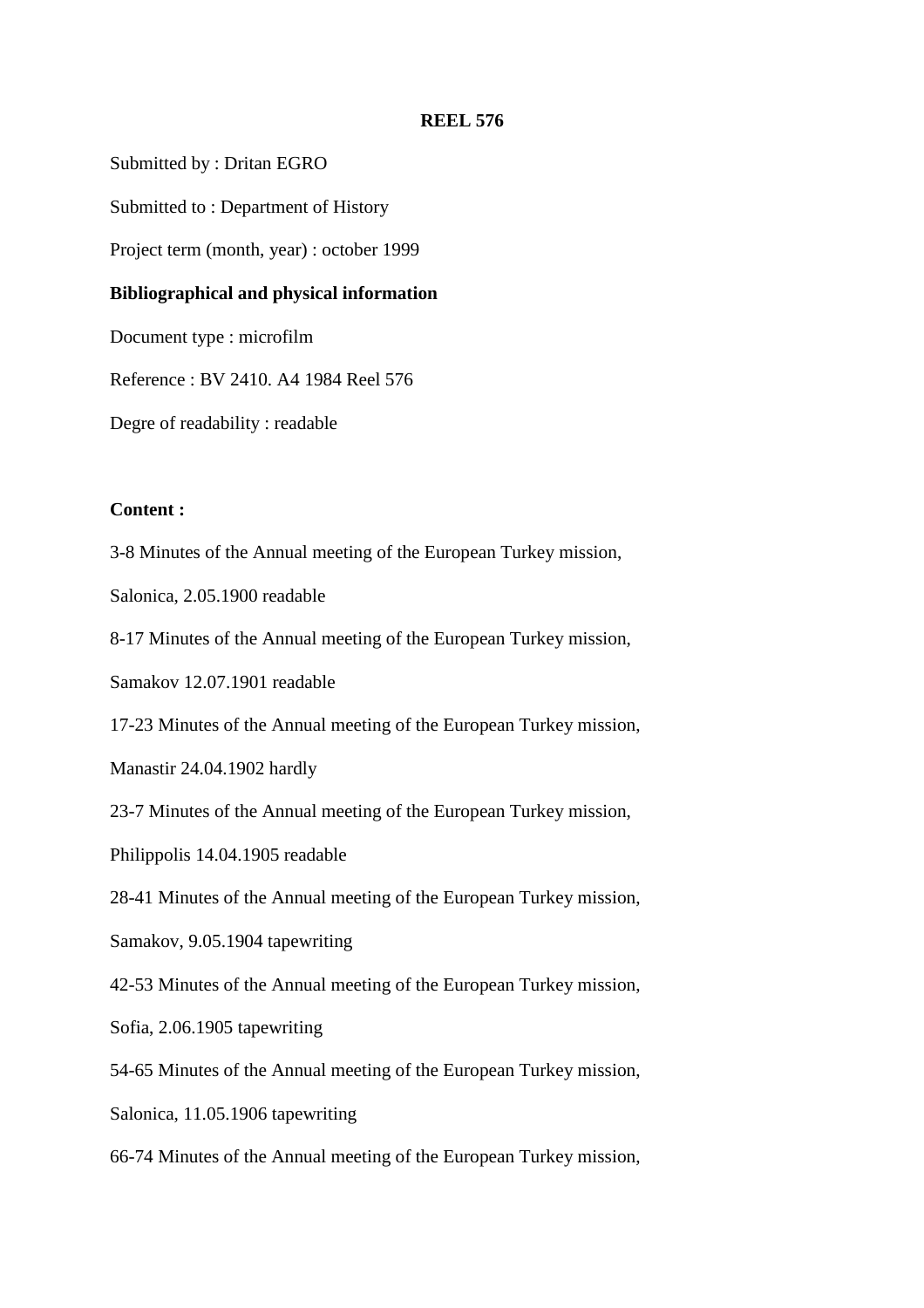Submitted by : Dritan EGRO

Submitted to : Department of History

Project term (month, year) : october 1999

#### **Bibliographical and physical information**

Document type : microfilm

Reference : BV 2410. A4 1984 Reel 576

Degre of readability : readable

#### **Content :**

3-8 Minutes of the Annual meeting of the European Turkey mission,

Salonica, 2.05.1900 readable

8-17 Minutes of the Annual meeting of the European Turkey mission,

Samakov 12.07.1901 readable

17-23 Minutes of the Annual meeting of the European Turkey mission,

Manastir 24.04.1902 hardly

23-7 Minutes of the Annual meeting of the European Turkey mission,

Philippolis 14.04.1905 readable

28-41 Minutes of the Annual meeting of the European Turkey mission,

Samakov, 9.05.1904 tapewriting

42-53 Minutes of the Annual meeting of the European Turkey mission,

Sofia, 2.06.1905 tapewriting

54-65 Minutes of the Annual meeting of the European Turkey mission,

Salonica, 11.05.1906 tapewriting

66-74 Minutes of the Annual meeting of the European Turkey mission,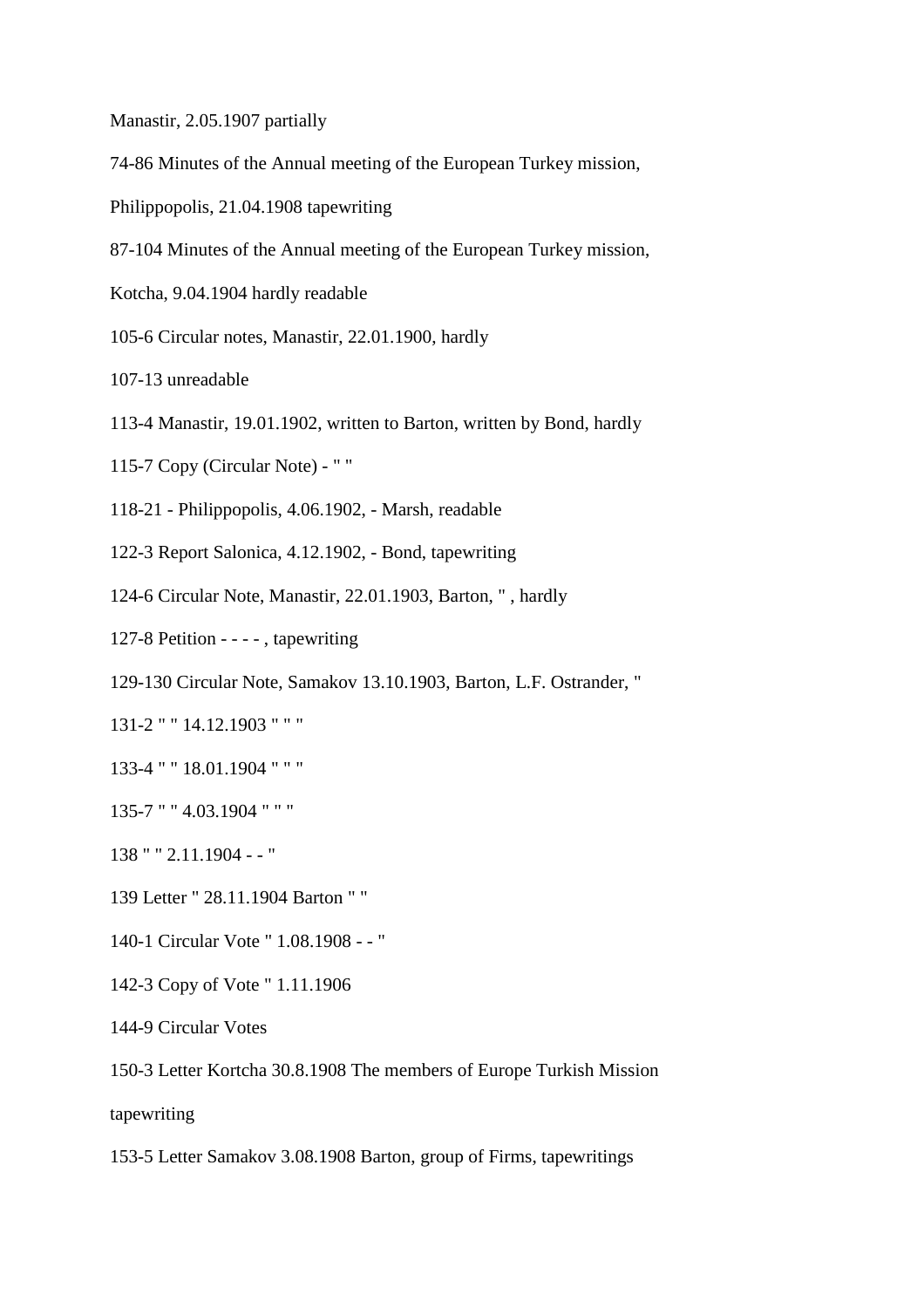Manastir, 2.05.1907 partially

- 74-86 Minutes of the Annual meeting of the European Turkey mission,
- Philippopolis, 21.04.1908 tapewriting
- 87-104 Minutes of the Annual meeting of the European Turkey mission,
- Kotcha, 9.04.1904 hardly readable
- 105-6 Circular notes, Manastir, 22.01.1900, hardly
- 107-13 unreadable
- 113-4 Manastir, 19.01.1902, written to Barton, written by Bond, hardly
- 115-7 Copy (Circular Note) " "
- 118-21 Philippopolis, 4.06.1902, Marsh, readable
- 122-3 Report Salonica, 4.12.1902, Bond, tapewriting
- 124-6 Circular Note, Manastir, 22.01.1903, Barton, " , hardly
- 127-8 Petition - - , tapewriting
- 129-130 Circular Note, Samakov 13.10.1903, Barton, L.F. Ostrander, "
- 131-2 " " 14.12.1903 " " "
- 133-4 " " 18.01.1904 " " "
- 135-7 " " 4.03.1904 " " "
- 138 " " 2.11.1904 - "
- 139 Letter " 28.11.1904 Barton " "
- 140-1 Circular Vote " 1.08.1908 - "
- 142-3 Copy of Vote " 1.11.1906
- 144-9 Circular Votes

150-3 Letter Kortcha 30.8.1908 The members of Europe Turkish Mission

tapewriting

153-5 Letter Samakov 3.08.1908 Barton, group of Firms, tapewritings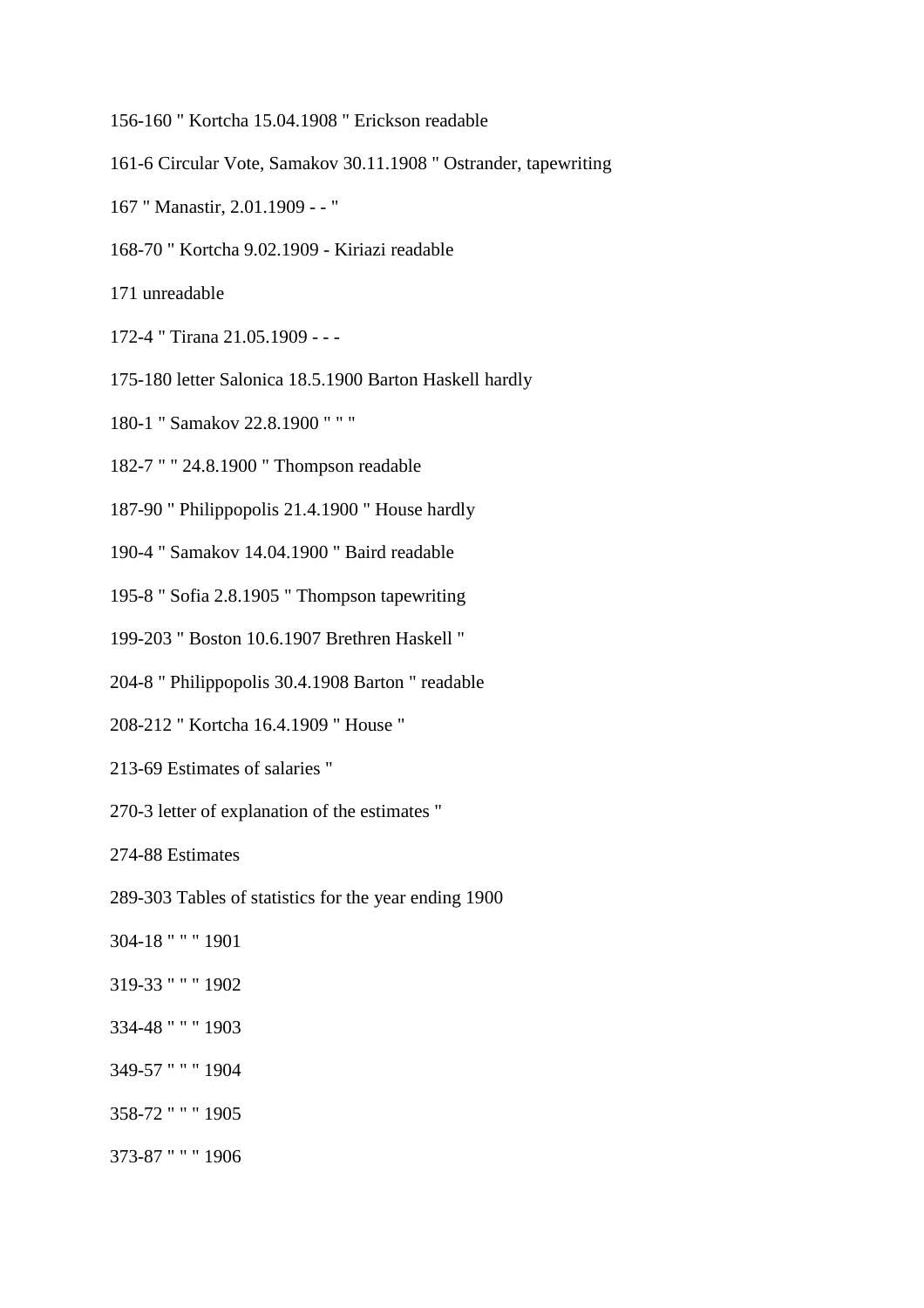- 156-160 " Kortcha 15.04.1908 " Erickson readable
- 161-6 Circular Vote, Samakov 30.11.1908 " Ostrander, tapewriting
- 167 " Manastir, 2.01.1909 - "
- 168-70 " Kortcha 9.02.1909 Kiriazi readable
- 171 unreadable
- 172-4 " Tirana 21.05.1909 - -
- 175-180 letter Salonica 18.5.1900 Barton Haskell hardly
- 180-1 " Samakov 22.8.1900 " " "
- 182-7 " " 24.8.1900 " Thompson readable
- 187-90 " Philippopolis 21.4.1900 " House hardly
- 190-4 " Samakov 14.04.1900 " Baird readable
- 195-8 " Sofia 2.8.1905 " Thompson tapewriting
- 199-203 " Boston 10.6.1907 Brethren Haskell "
- 204-8 " Philippopolis 30.4.1908 Barton " readable
- 208-212 " Kortcha 16.4.1909 " House "
- 213-69 Estimates of salaries "
- 270-3 letter of explanation of the estimates "

274-88 Estimates

- 289-303 Tables of statistics for the year ending 1900
- 304-18 " " " 1901
- 319-33 " " " 1902
- 334-48 " " " 1903
- 349-57 " " " 1904
- 358-72 " " " 1905
- 373-87 " " " 1906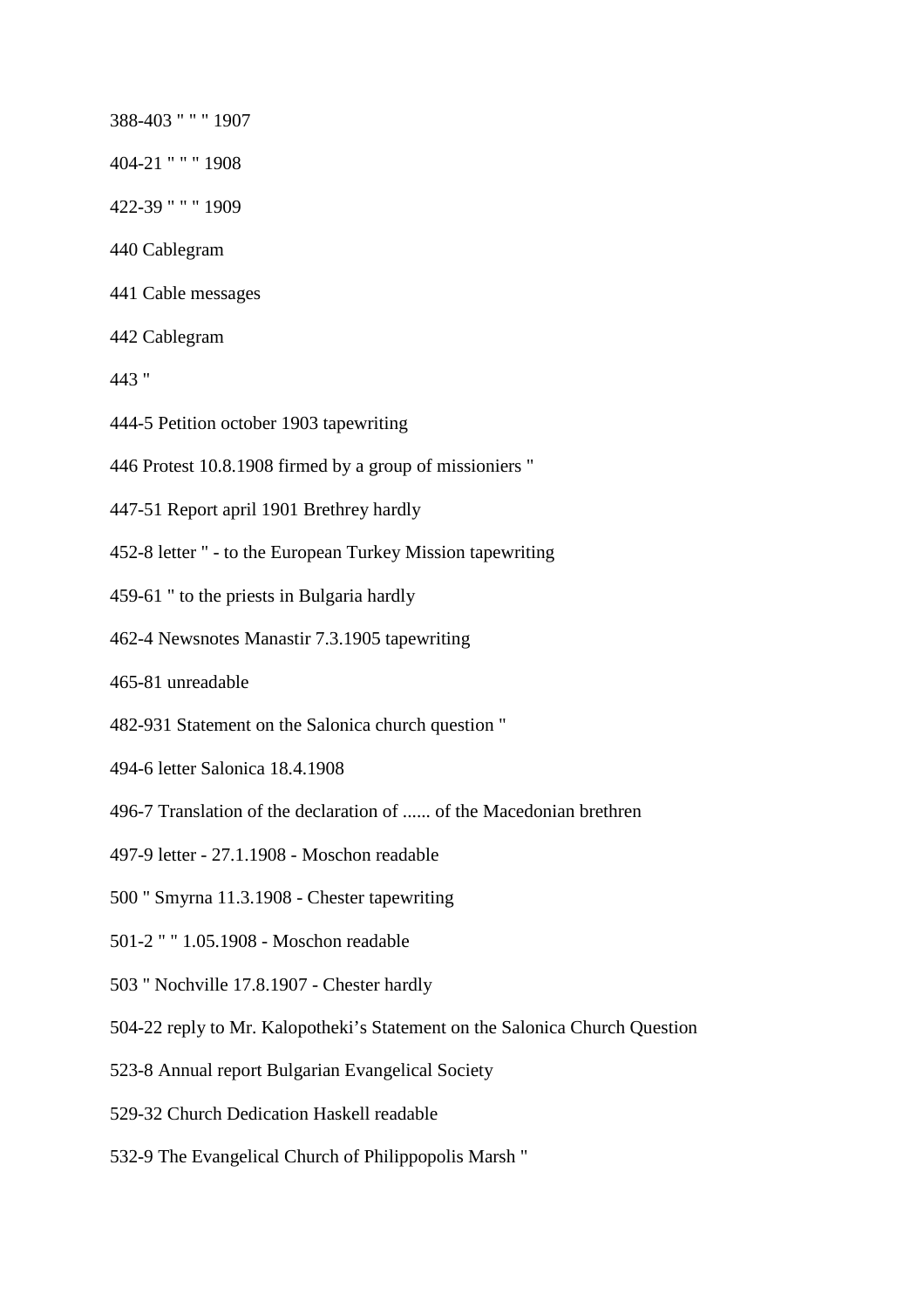388-403 " " " 1907

- 404-21 " " " 1908
- 422-39 " " " 1909
- 440 Cablegram
- 441 Cable messages
- 442 Cablegram
- 443 "
- 444-5 Petition october 1903 tapewriting
- 446 Protest 10.8.1908 firmed by a group of missioniers "
- 447-51 Report april 1901 Brethrey hardly
- 452-8 letter " to the European Turkey Mission tapewriting
- 459-61 " to the priests in Bulgaria hardly
- 462-4 Newsnotes Manastir 7.3.1905 tapewriting
- 465-81 unreadable
- 482-931 Statement on the Salonica church question "
- 494-6 letter Salonica 18.4.1908
- 496-7 Translation of the declaration of ...... of the Macedonian brethren
- 497-9 letter 27.1.1908 Moschon readable
- 500 " Smyrna 11.3.1908 Chester tapewriting
- 501-2 " " 1.05.1908 Moschon readable
- 503 " Nochville 17.8.1907 Chester hardly
- 504-22 reply to Mr. Kalopotheki's Statement on the Salonica Church Question
- 523-8 Annual report Bulgarian Evangelical Society
- 529-32 Church Dedication Haskell readable
- 532-9 The Evangelical Church of Philippopolis Marsh "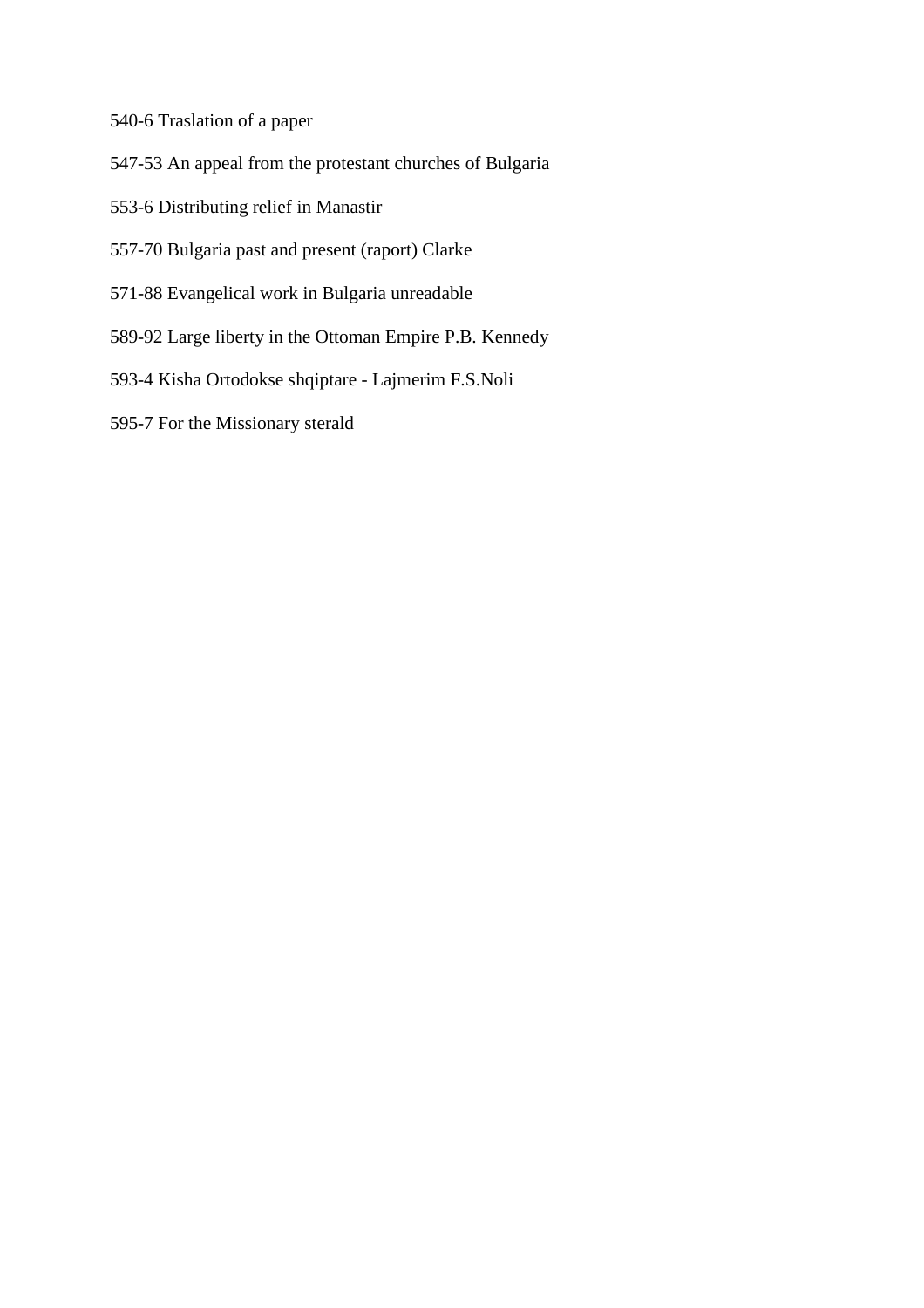540-6 Traslation of a paper

- 547-53 An appeal from the protestant churches of Bulgaria
- 553-6 Distributing relief in Manastir
- 557-70 Bulgaria past and present (raport) Clarke
- 571-88 Evangelical work in Bulgaria unreadable
- 589-92 Large liberty in the Ottoman Empire P.B. Kennedy
- 593-4 Kisha Ortodokse shqiptare Lajmerim F.S.Noli
- 595-7 For the Missionary sterald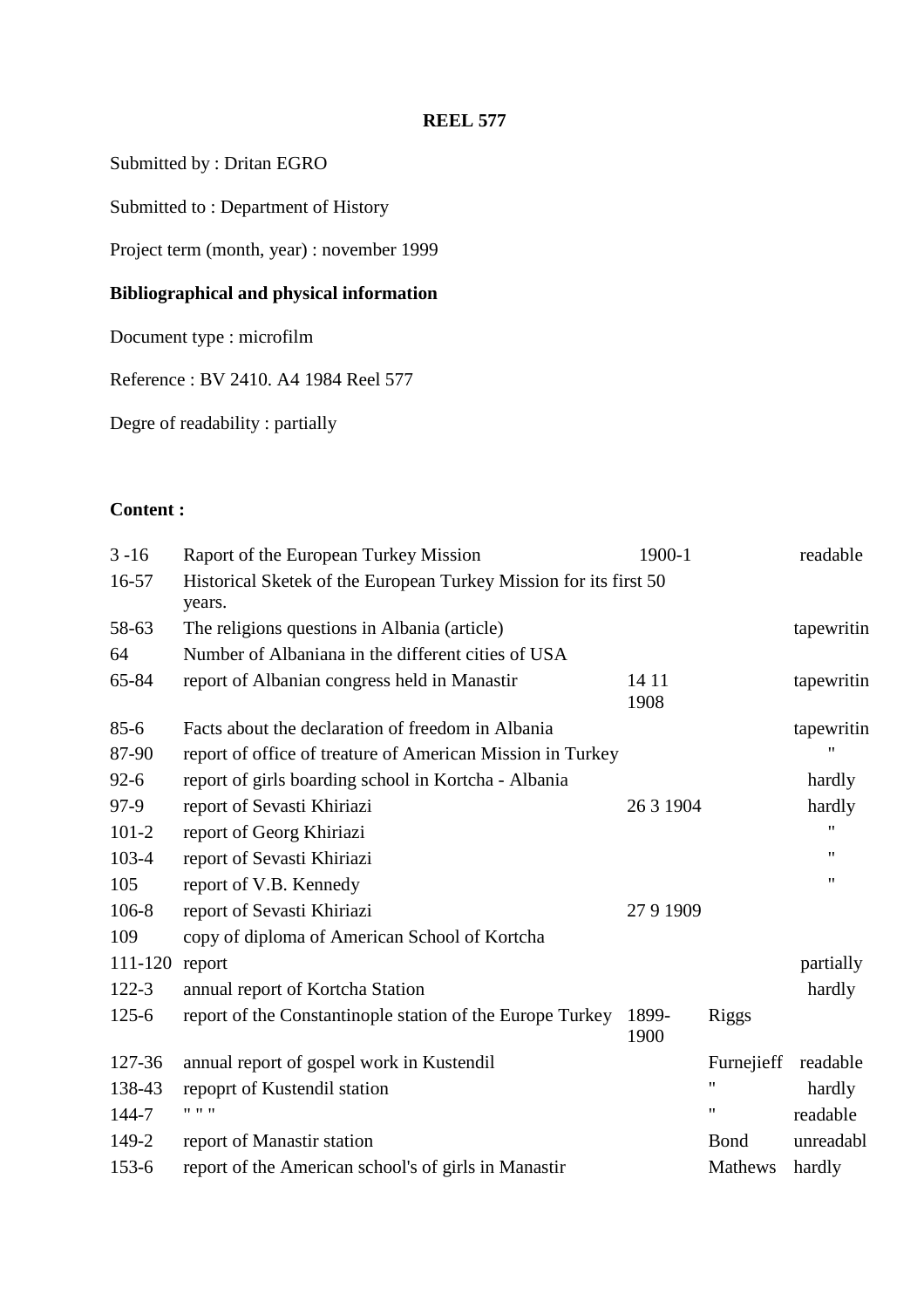Submitted by : Dritan EGRO

Submitted to : Department of History

Project term (month, year) : november 1999

# **Bibliographical and physical information**

Document type : microfilm

Reference : BV 2410. A4 1984 Reel 577

Degre of readability : partially

## **Content :**

| $3 - 16$  | Raport of the European Turkey Mission                                       | 1900-1        |                    | readable   |
|-----------|-----------------------------------------------------------------------------|---------------|--------------------|------------|
| 16-57     | Historical Sketek of the European Turkey Mission for its first 50<br>years. |               |                    |            |
| 58-63     | The religions questions in Albania (article)                                |               |                    | tapewritin |
| 64        | Number of Albaniana in the different cities of USA                          |               |                    |            |
| 65-84     | report of Albanian congress held in Manastir                                | 14 11<br>1908 |                    | tapewritin |
| $85 - 6$  | Facts about the declaration of freedom in Albania                           |               |                    | tapewritin |
| 87-90     | report of office of treature of American Mission in Turkey                  |               |                    |            |
| $92 - 6$  | report of girls boarding school in Kortcha - Albania                        |               |                    | hardly     |
| 97-9      | report of Sevasti Khiriazi                                                  | 26 3 1904     |                    | hardly     |
| $101 - 2$ | report of Georg Khiriazi                                                    |               |                    |            |
| 103-4     | report of Sevasti Khiriazi                                                  |               |                    | 11         |
| 105       | report of V.B. Kennedy                                                      |               |                    | 11         |
| 106-8     | report of Sevasti Khiriazi                                                  | 2791909       |                    |            |
| 109       | copy of diploma of American School of Kortcha                               |               |                    |            |
| 111-120   | report                                                                      |               |                    | partially  |
| $122 - 3$ | annual report of Kortcha Station                                            |               |                    | hardly     |
| $125 - 6$ | report of the Constantinople station of the Europe Turkey                   | 1899-<br>1900 | <b>Riggs</b>       |            |
| 127-36    | annual report of gospel work in Kustendil                                   |               | Furnejieff         | readable   |
| 138-43    | repoprt of Kustendil station                                                |               | $\pmb{\mathsf{H}}$ | hardly     |
| 144-7     | 11.11.11                                                                    |               | 11                 | readable   |
| 149-2     | report of Manastir station                                                  |               | Bond               | unreadabl  |
| $153 - 6$ | report of the American school's of girls in Manastir                        |               | Mathews            | hardly     |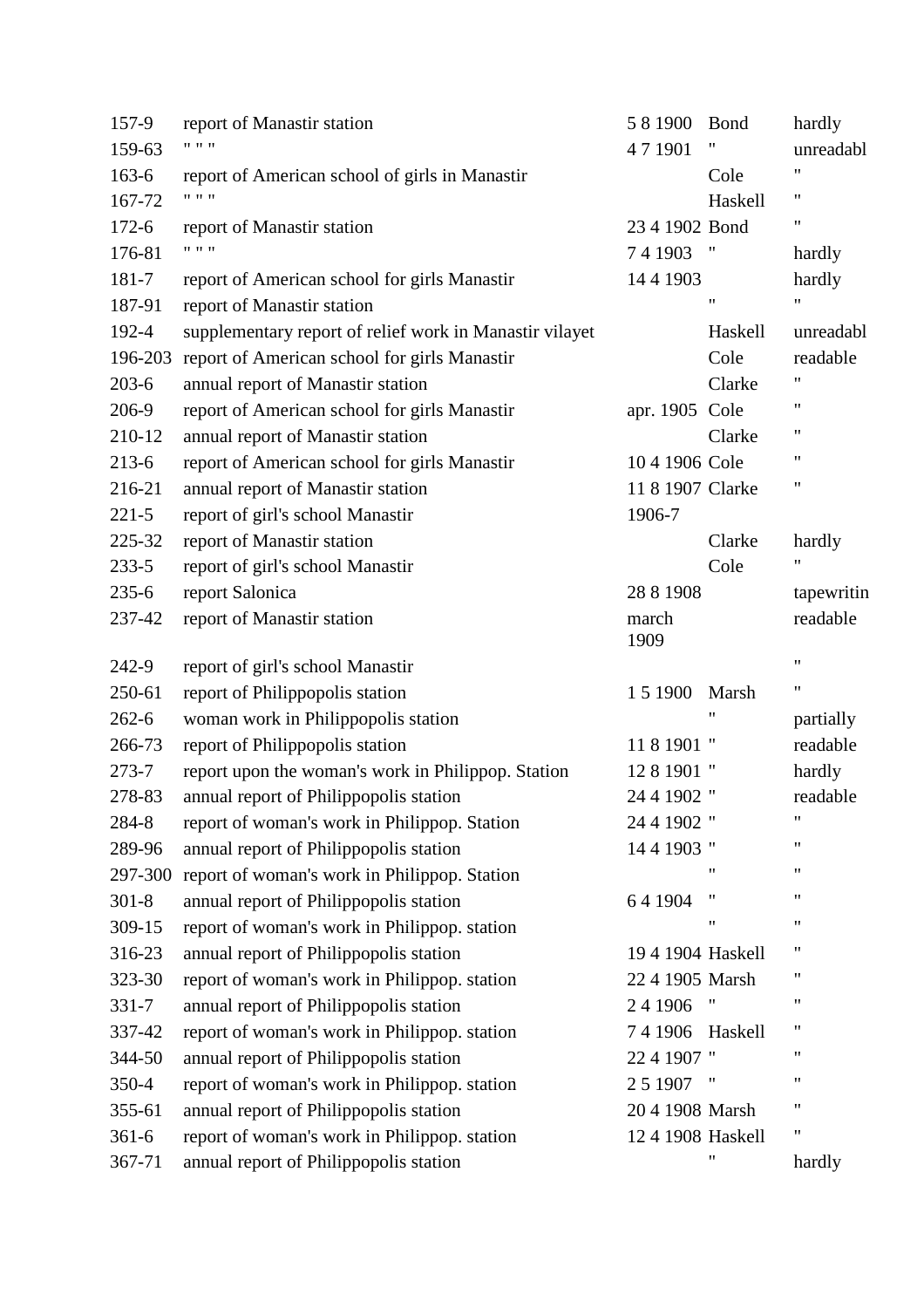| 157-9     | report of Manastir station                              | 581900            | <b>B</b> ond       | hardly             |
|-----------|---------------------------------------------------------|-------------------|--------------------|--------------------|
| 159-63    | $11 - 11 - 11$                                          | 471901            | 11                 | unreadabl          |
| $163-6$   | report of American school of girls in Manastir          |                   | Cole               | 11                 |
| 167-72    | $11 - 11 - 11$                                          |                   | Haskell            | $\pmb{\mathsf{H}}$ |
| $172 - 6$ | report of Manastir station                              | 23 4 1902 Bond    |                    | 11                 |
| 176-81    | 11.11.1                                                 | 741903            | $^{\prime\prime}$  | hardly             |
| 181-7     | report of American school for girls Manastir            | 14 4 1903         |                    | hardly             |
| 187-91    | report of Manastir station                              |                   | $\pmb{\mathsf{H}}$ | $\pmb{\mathsf{H}}$ |
| 192-4     | supplementary report of relief work in Manastir vilayet |                   | Haskell            | unreadabl          |
| 196-203   | report of American school for girls Manastir            |                   | Cole               | readable           |
| $203 - 6$ | annual report of Manastir station                       |                   | Clarke             | 11                 |
| 206-9     | report of American school for girls Manastir            | apr. 1905 Cole    |                    | 11                 |
| 210-12    | annual report of Manastir station                       |                   | Clarke             | $\pmb{\mathsf{H}}$ |
| $213-6$   | report of American school for girls Manastir            | 10 4 1906 Cole    |                    | 11                 |
| 216-21    | annual report of Manastir station                       | 11 8 1907 Clarke  |                    | 11                 |
| $221 - 5$ | report of girl's school Manastir                        | 1906-7            |                    |                    |
| 225-32    | report of Manastir station                              |                   | Clarke             | hardly             |
| $233 - 5$ | report of girl's school Manastir                        |                   | Cole               | 11                 |
| $235 - 6$ | report Salonica                                         | 28 8 1908         |                    | tapewritin         |
| 237-42    | report of Manastir station                              | march<br>1909     |                    | readable           |
| 242-9     | report of girl's school Manastir                        |                   |                    | $\pmb{\mathsf{H}}$ |
| 250-61    | report of Philippopolis station                         | 1 5 1 9 0 0       | Marsh              | $\pmb{\mathsf{H}}$ |
| $262 - 6$ | woman work in Philippopolis station                     |                   | "                  | partially          |
| 266-73    | report of Philippopolis station                         | 11 8 1901 "       |                    | readable           |
| $273 - 7$ | report upon the woman's work in Philippop. Station      | 12 8 1901 "       |                    | hardly             |
| 278-83    | annual report of Philippopolis station                  | 24 4 1902 "       |                    | readable           |
| 284-8     | report of woman's work in Philippop. Station            | 24 4 1902 "       |                    | $\pmb{\mathsf{H}}$ |
| 289-96    | annual report of Philippopolis station                  | 14 4 1903 "       |                    | $^{\prime\prime}$  |
|           | 297-300 report of woman's work in Philippop. Station    |                   | "                  | $^{\prime\prime}$  |
| $301 - 8$ | annual report of Philippopolis station                  | 641904            | 11                 | "                  |
| 309-15    | report of woman's work in Philippop. station            |                   | 11                 | $^{\prime\prime}$  |
| 316-23    | annual report of Philippopolis station                  | 19 4 1904 Haskell |                    | 11                 |
| 323-30    | report of woman's work in Philippop. station            | 22 4 1905 Marsh   |                    | 11                 |
| 331-7     | annual report of Philippopolis station                  | 24 1906           |                    | 11                 |
| 337-42    | report of woman's work in Philippop. station            | 741906            | Haskell            | 11                 |
| 344-50    | annual report of Philippopolis station                  | 22 4 1907 "       |                    | 11                 |
| 350-4     | report of woman's work in Philippop. station            | 2 5 1 9 0 7       |                    | 11                 |
| 355-61    | annual report of Philippopolis station                  | 20 4 1908 Marsh   |                    | 11                 |
| $361 - 6$ | report of woman's work in Philippop. station            | 12 4 1908 Haskell |                    | 11                 |
| 367-71    | annual report of Philippopolis station                  |                   | 11                 | hardly             |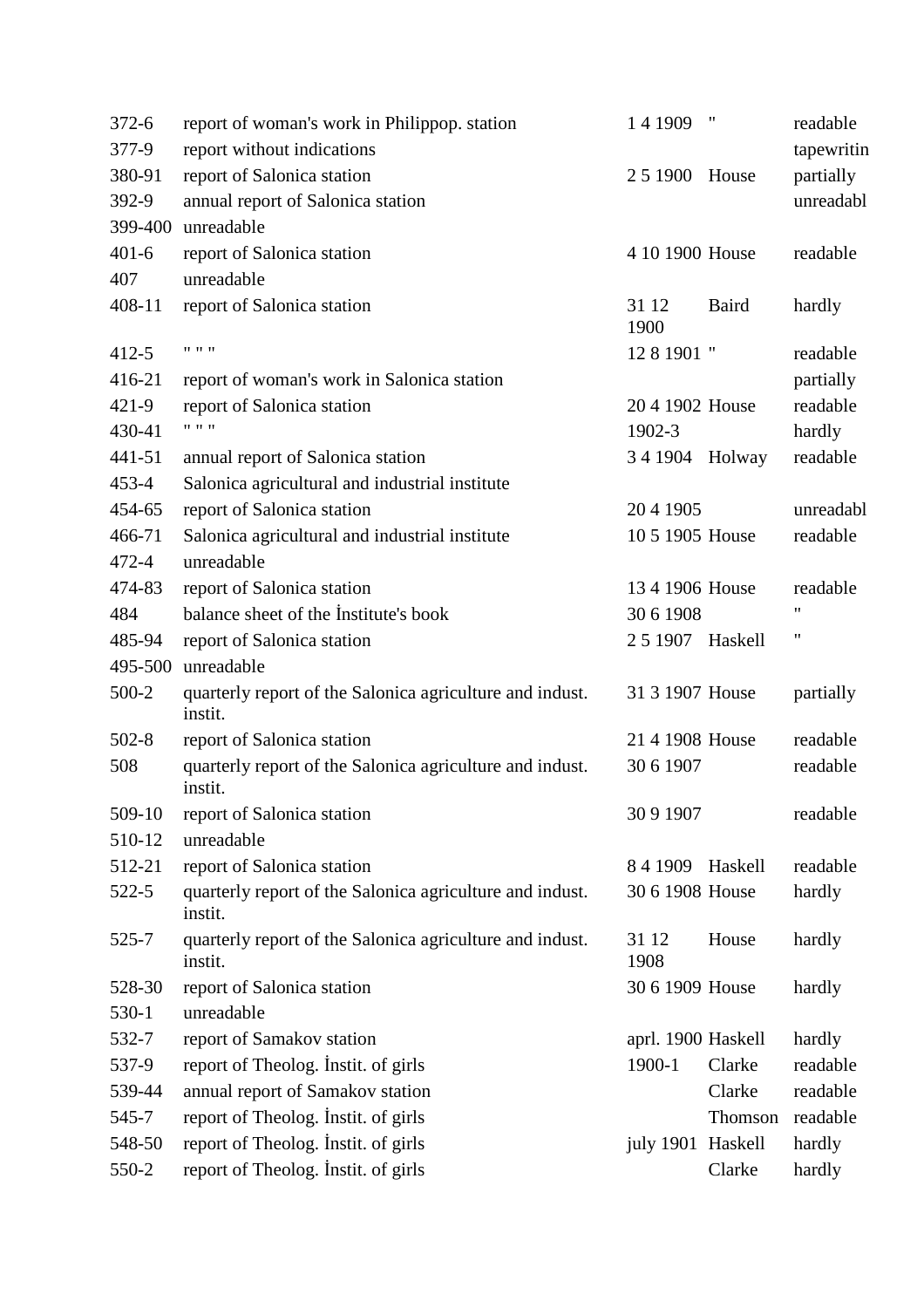| $372 - 6$ | report of woman's work in Philippop. station                        | 14 1909            | $\pmb{\mathsf{H}}$ | readable   |
|-----------|---------------------------------------------------------------------|--------------------|--------------------|------------|
| 377-9     | report without indications                                          |                    |                    | tapewritin |
| 380-91    | report of Salonica station                                          | 2 5 1 9 0 0        | House              | partially  |
| 392-9     | annual report of Salonica station                                   |                    |                    | unreadabl  |
| 399-400   | unreadable                                                          |                    |                    |            |
| $401 - 6$ | report of Salonica station                                          | 4 10 1900 House    |                    | readable   |
| 407       | unreadable                                                          |                    |                    |            |
| 408-11    | report of Salonica station                                          | 31 12<br>1900      | Baird              | hardly     |
| $412 - 5$ | $11 - 11 - 11$                                                      | 12 8 1901 "        |                    | readable   |
| 416-21    | report of woman's work in Salonica station                          |                    |                    | partially  |
| $421 - 9$ | report of Salonica station                                          | 204 1902 House     |                    | readable   |
| 430-41    | $11 - 11 - 11$                                                      | 1902-3             |                    | hardly     |
| 441-51    | annual report of Salonica station                                   | 34 1904 Holway     |                    | readable   |
| $453 - 4$ | Salonica agricultural and industrial institute                      |                    |                    |            |
| 454-65    | report of Salonica station                                          | 204 1905           |                    | unreadabl  |
| 466-71    | Salonica agricultural and industrial institute                      | 10 5 1905 House    |                    | readable   |
| 472-4     | unreadable                                                          |                    |                    |            |
| 474-83    | report of Salonica station                                          | 13 4 1906 House    |                    | readable   |
| 484       | balance sheet of the Institute's book                               | 30 6 1908          |                    | 11         |
| 485-94    | report of Salonica station                                          | 2 5 1907 Haskell   |                    | 11         |
| 495-500   | unreadable                                                          |                    |                    |            |
| 500-2     | quarterly report of the Salonica agriculture and indust.<br>instit. | 31 3 1907 House    |                    | partially  |
| $502 - 8$ | report of Salonica station                                          | 21 4 1908 House    |                    | readable   |
| 508       | quarterly report of the Salonica agriculture and indust.<br>instit. | 30 6 1907          |                    | readable   |
| 509-10    | report of Salonica station                                          | 30 9 1907          |                    | readable   |
| 510-12    | unreadable                                                          |                    |                    |            |
| 512-21    | report of Salonica station                                          | 841909             | Haskell            | readable   |
| $522 - 5$ | quarterly report of the Salonica agriculture and indust.<br>instit. | 30 6 1908 House    |                    | hardly     |
| 525-7     | quarterly report of the Salonica agriculture and indust.<br>instit. | 31 12<br>1908      | House              | hardly     |
| 528-30    | report of Salonica station                                          | 30 6 1909 House    |                    | hardly     |
| 530-1     | unreadable                                                          |                    |                    |            |
| 532-7     | report of Samakov station                                           | aprl. 1900 Haskell |                    | hardly     |
| 537-9     | report of Theolog. Instit. of girls                                 | 1900-1             | Clarke             | readable   |
| 539-44    | annual report of Samakov station                                    |                    | Clarke             | readable   |
| 545-7     | report of Theolog. Instit. of girls                                 |                    | Thomson            | readable   |
| 548-50    | report of Theolog. Instit. of girls                                 | july 1901 Haskell  |                    | hardly     |
| 550-2     | report of Theolog. Instit. of girls                                 |                    | Clarke             | hardly     |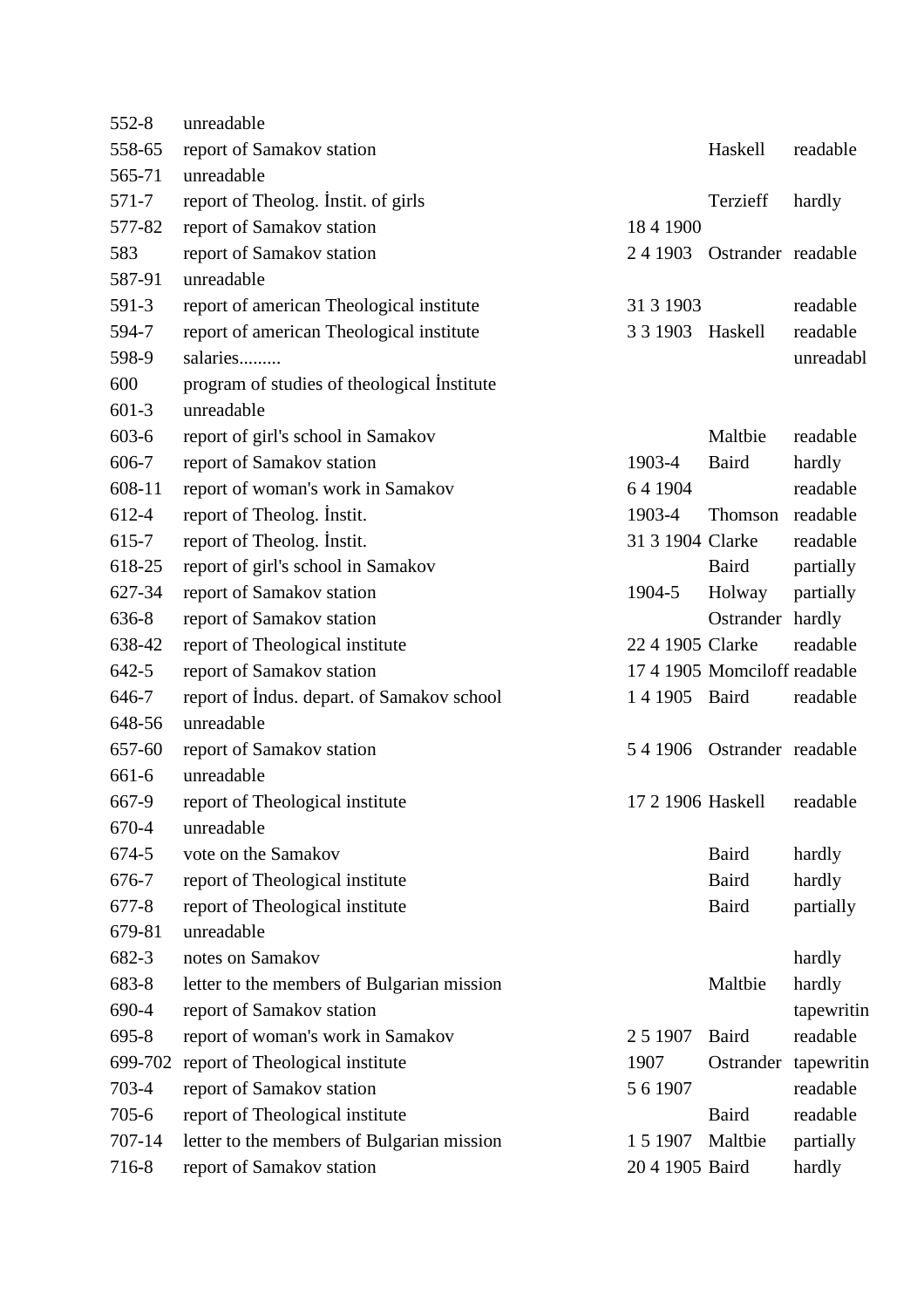| $552 - 8$ | unreadable                                  |                  |                              |            |
|-----------|---------------------------------------------|------------------|------------------------------|------------|
| 558-65    | report of Samakov station                   |                  | Haskell                      | readable   |
| 565-71    | unreadable                                  |                  |                              |            |
| 571-7     | report of Theolog. Instit. of girls         |                  | Terzieff                     | hardly     |
| 577-82    | report of Samakov station                   | 18 4 1900        |                              |            |
| 583       | report of Samakov station                   |                  | 24 1903 Ostrander readable   |            |
| 587-91    | unreadable                                  |                  |                              |            |
| 591-3     | report of american Theological institute    | 31 3 1903        |                              | readable   |
| 594-7     | report of american Theological institute    | 3 3 1903 Haskell |                              | readable   |
| 598-9     | salaries                                    |                  |                              | unreadabl  |
| 600       | program of studies of theological Institute |                  |                              |            |
| $601-3$   | unreadable                                  |                  |                              |            |
| $603-6$   | report of girl's school in Samakov          |                  | Maltbie                      | readable   |
| 606-7     | report of Samakov station                   | 1903-4           | Baird                        | hardly     |
| 608-11    | report of woman's work in Samakov           | 641904           |                              | readable   |
| 612-4     | report of Theolog. Instit.                  | 1903-4           | Thomson readable             |            |
| 615-7     | report of Theolog. Instit.                  | 31 3 1904 Clarke |                              | readable   |
| 618-25    | report of girl's school in Samakov          |                  | Baird                        | partially  |
| 627-34    | report of Samakov station                   | 1904-5           | Holway                       | partially  |
| 636-8     | report of Samakov station                   |                  | Ostrander hardly             |            |
| 638-42    | report of Theological institute             | 22 4 1905 Clarke |                              | readable   |
| $642 - 5$ | report of Samakov station                   |                  | 17 4 1905 Momciloff readable |            |
| 646-7     | report of Indus. depart. of Samakov school  | 1 4 1905 Baird   |                              | readable   |
| 648-56    | unreadable                                  |                  |                              |            |
| 657-60    | report of Samakov station                   |                  | 5 4 1906 Ostrander readable  |            |
| 661-6     | unreadable                                  |                  |                              |            |
| 667-9     | report of Theological institute             |                  | 17 2 1906 Haskell readable   |            |
| 670-4     | unreadable                                  |                  |                              |            |
| 674-5     | vote on the Samakov                         |                  | <b>Baird</b>                 | hardly     |
| 676-7     | report of Theological institute             |                  | <b>Baird</b>                 | hardly     |
| $677 - 8$ | report of Theological institute             |                  | Baird                        | partially  |
| 679-81    | unreadable                                  |                  |                              |            |
| 682-3     | notes on Samakov                            |                  |                              | hardly     |
| 683-8     | letter to the members of Bulgarian mission  |                  | Maltbie                      | hardly     |
| 690-4     | report of Samakov station                   |                  |                              | tapewritin |
| 695-8     | report of woman's work in Samakov           | 2 5 1 9 0 7      | <b>Baird</b>                 | readable   |
| 699-702   | report of Theological institute             | 1907             | Ostrander tapewritin         |            |
| 703-4     | report of Samakov station                   | 5 6 1 9 0 7      |                              | readable   |
| $705 - 6$ | report of Theological institute             |                  | Baird                        | readable   |
| 707-14    | letter to the members of Bulgarian mission  | 1 5 1 9 0 7      | Maltbie                      | partially  |
| 716-8     | report of Samakov station                   | 20 4 1905 Baird  |                              | hardly     |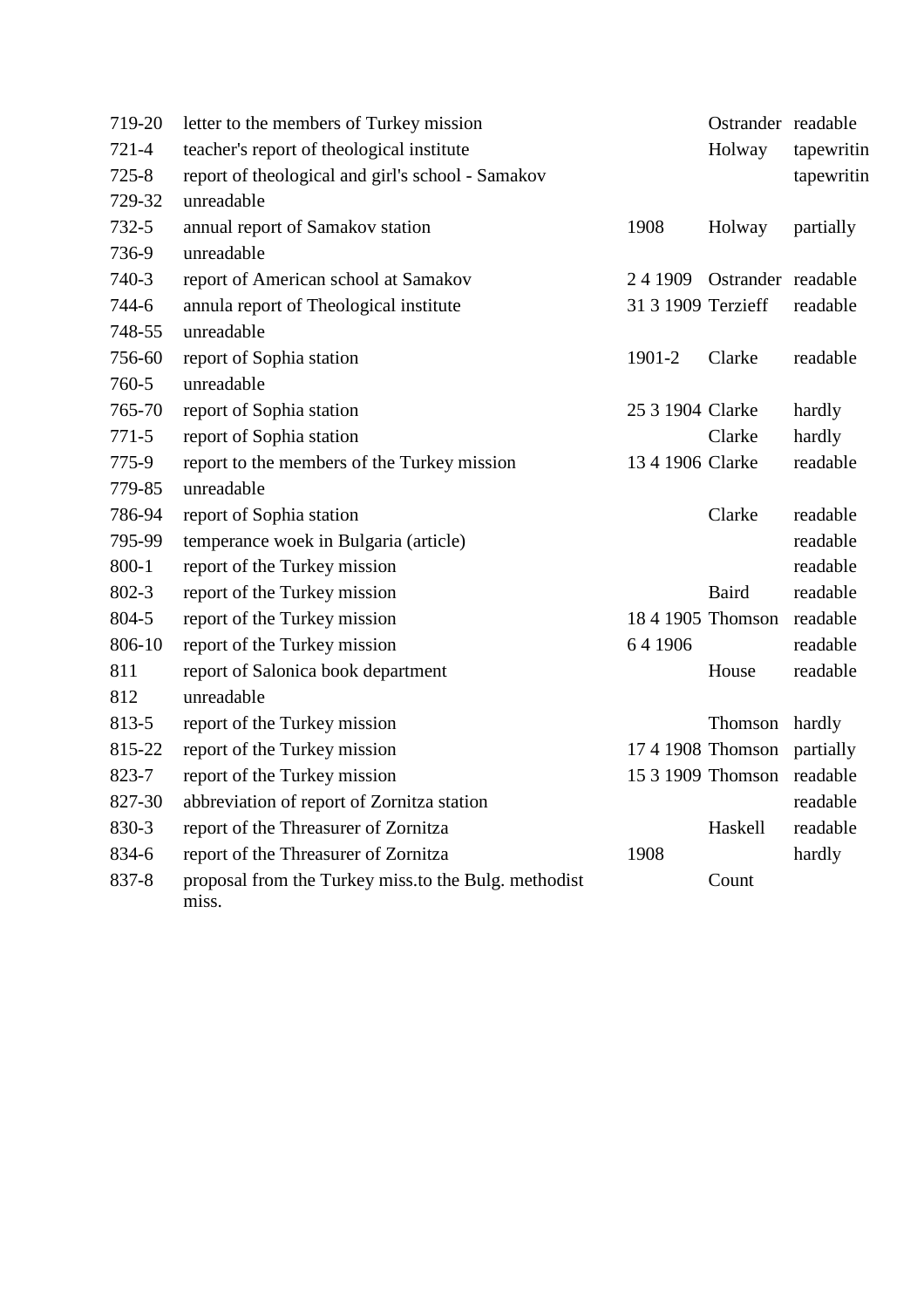| 719-20    | letter to the members of Turkey mission                       |                    | Ostrander readable         |            |
|-----------|---------------------------------------------------------------|--------------------|----------------------------|------------|
| $721 - 4$ | teacher's report of theological institute                     |                    | Holway                     | tapewritin |
| $725 - 8$ | report of theological and girl's school - Samakov             |                    |                            | tapewritin |
| 729-32    | unreadable                                                    |                    |                            |            |
| $732 - 5$ | annual report of Samakov station                              | 1908               | Holway                     | partially  |
| 736-9     | unreadable                                                    |                    |                            |            |
| 740-3     | report of American school at Samakov                          |                    | 24 1909 Ostrander readable |            |
| 744-6     | annula report of Theological institute                        | 31 3 1909 Terzieff |                            | readable   |
| 748-55    | unreadable                                                    |                    |                            |            |
| 756-60    | report of Sophia station                                      | 1901-2             | Clarke                     | readable   |
| 760-5     | unreadable                                                    |                    |                            |            |
| 765-70    | report of Sophia station                                      | 25 3 1904 Clarke   |                            | hardly     |
| $771 - 5$ | report of Sophia station                                      |                    | Clarke                     | hardly     |
| 775-9     | report to the members of the Turkey mission                   | 13 4 1906 Clarke   |                            | readable   |
| 779-85    | unreadable                                                    |                    |                            |            |
| 786-94    | report of Sophia station                                      |                    | Clarke                     | readable   |
| 795-99    | temperance woek in Bulgaria (article)                         |                    |                            | readable   |
| $800 - 1$ | report of the Turkey mission                                  |                    |                            | readable   |
| $802 - 3$ | report of the Turkey mission                                  |                    | <b>Baird</b>               | readable   |
| 804-5     | report of the Turkey mission                                  |                    | 18 4 1905 Thomson readable |            |
| 806-10    | report of the Turkey mission                                  | 64 1906            |                            | readable   |
| 811       | report of Salonica book department                            |                    | House                      | readable   |
| 812       | unreadable                                                    |                    |                            |            |
| 813-5     | report of the Turkey mission                                  |                    | Thomson                    | hardly     |
| 815-22    | report of the Turkey mission                                  |                    | 17 4 1908 Thomson          | partially  |
| 823-7     | report of the Turkey mission                                  |                    | 15 3 1909 Thomson readable |            |
| 827-30    | abbreviation of report of Zornitza station                    |                    |                            | readable   |
| 830-3     | report of the Threasurer of Zornitza                          |                    | Haskell                    | readable   |
| 834-6     | report of the Threasurer of Zornitza                          | 1908               |                            | hardly     |
| 837-8     | proposal from the Turkey miss to the Bulg. methodist<br>miss. |                    | Count                      |            |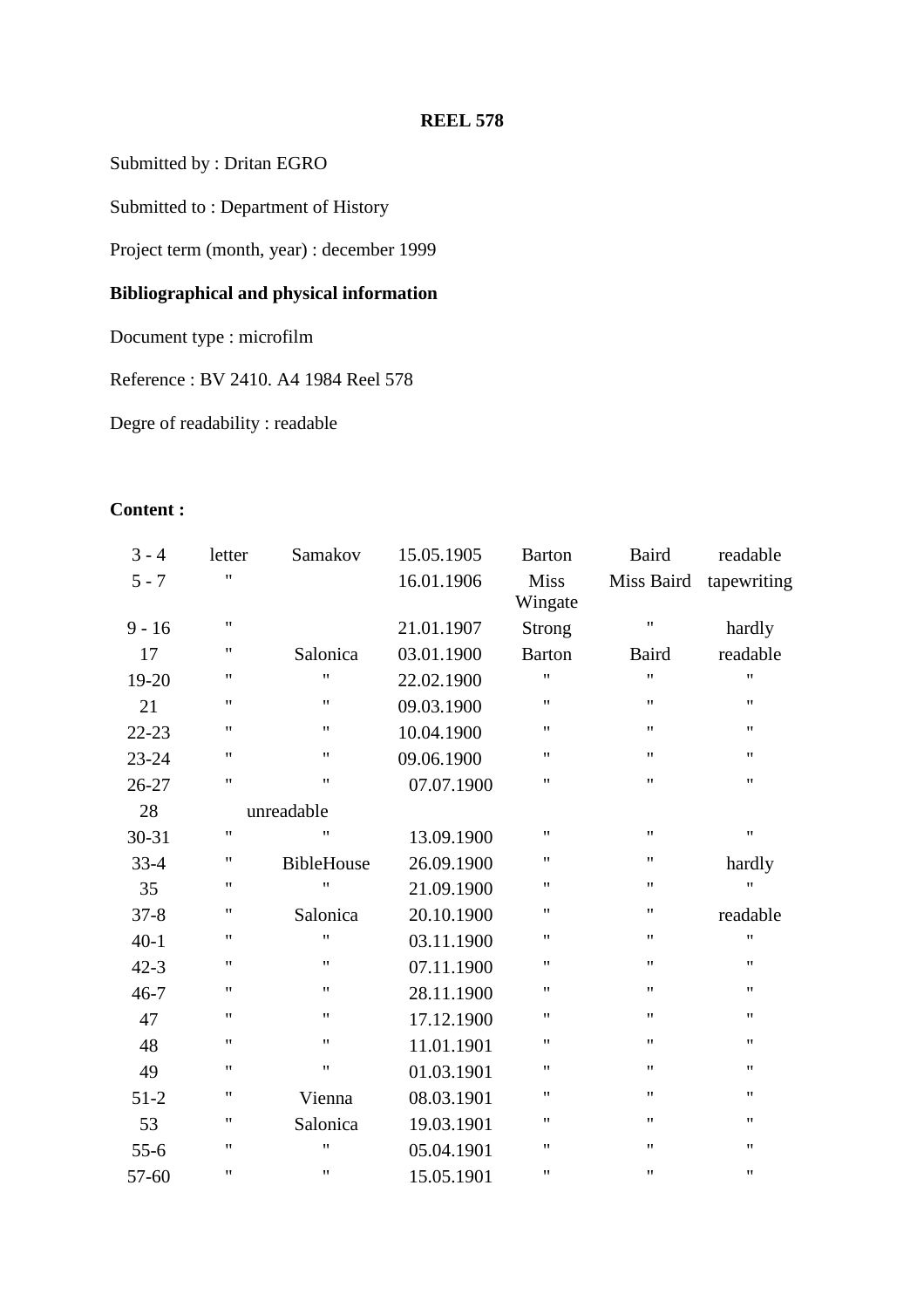Submitted by : Dritan EGRO

Submitted to : Department of History

Project term (month, year) : december 1999

# **Bibliographical and physical information**

Document type : microfilm

Reference : BV 2410. A4 1984 Reel 578

Degre of readability : readable

## **Content :**

| $3 - 4$   | letter             | Samakov            | 15.05.1905 | <b>Barton</b>          | <b>Baird</b>       | readable           |
|-----------|--------------------|--------------------|------------|------------------------|--------------------|--------------------|
| $5 - 7$   | $^{\dagger}$       |                    | 16.01.1906 | <b>Miss</b><br>Wingate | Miss Baird         | tapewriting        |
| $9 - 16$  | $\pmb{\mathsf{H}}$ |                    | 21.01.1907 | <b>Strong</b>          | $\pmb{\mathsf{H}}$ | hardly             |
| 17        | $\pmb{\mathsf{H}}$ | Salonica           | 03.01.1900 | <b>Barton</b>          | Baird              | readable           |
| $19-20$   | $^{\prime\prime}$  | $\pmb{\mathsf{H}}$ | 22.02.1900 | $^{\dagger}$           | $^{\prime\prime}$  | $^{\prime\prime}$  |
| 21        | 11                 | $\pmb{\mathsf{H}}$ | 09.03.1900 | $\pmb{\mathsf{H}}$     | $\pmb{\mathsf{H}}$ | 11                 |
| $22 - 23$ | $^{\prime\prime}$  | $\pmb{\mathsf{H}}$ | 10.04.1900 | $\pmb{\mathsf{H}}$     | $^{\prime\prime}$  | $\pmb{\mathsf{H}}$ |
| 23-24     | $\pmb{\mathsf{H}}$ | $\pmb{\mathsf{H}}$ | 09.06.1900 | $\pmb{\mathsf{H}}$     | $\pmb{\mathsf{H}}$ | 11                 |
| $26 - 27$ | $\pmb{\mathsf{H}}$ | $\pmb{\mathsf{H}}$ | 07.07.1900 | $\pmb{\mathsf{H}}$     | $\pmb{\mathsf{H}}$ | $\pmb{\mathsf{H}}$ |
| 28        |                    | unreadable         |            |                        |                    |                    |
| $30 - 31$ | $\pmb{\mathsf{H}}$ | 11                 | 13.09.1900 | $\pmb{\mathsf{H}}$     | $\pmb{\mathsf{H}}$ | $\pmb{\mathsf{H}}$ |
| $33-4$    | $\mathbf{H}$       | <b>BibleHouse</b>  | 26.09.1900 | $\pmb{\mathsf{H}}$     | $\pmb{\mathsf{H}}$ | hardly             |
| 35        | $\pmb{\mathsf{H}}$ | Ħ                  | 21.09.1900 | $\pmb{\mathsf{H}}$     | $\pmb{\mathsf{H}}$ | $\pmb{\mathsf{H}}$ |
| $37 - 8$  | $\pmb{\mathsf{H}}$ | Salonica           | 20.10.1900 | $\pmb{\mathsf{H}}$     | $\pmb{\mathsf{H}}$ | readable           |
| $40 - 1$  | $\pmb{\mathsf{H}}$ | $\pmb{\mathsf{H}}$ | 03.11.1900 | $\pmb{\mathsf{H}}$     | $\pmb{\mathsf{H}}$ | $\pmb{\mathsf{H}}$ |
| $42 - 3$  | $\pmb{\mathsf{H}}$ | 11                 | 07.11.1900 | $\pmb{\mathsf{H}}$     | $^{\prime\prime}$  | $\pmb{\mathsf{H}}$ |
| $46 - 7$  | $^{\dagger}$       | 11                 | 28.11.1900 | $^{\dagger}$           | $^{\prime\prime}$  | 11                 |
| 47        | 11                 | $\pmb{\mathsf{H}}$ | 17.12.1900 | $\pmb{\mathsf{H}}$     | $^{\prime\prime}$  | $\pmb{\mathsf{H}}$ |
| 48        | $^{\dagger}$       | 11                 | 11.01.1901 | $\pmb{\mathsf{H}}$     | $^{\prime\prime}$  | $\pmb{\mathsf{H}}$ |
| 49        | 11                 | $\pmb{\mathsf{H}}$ | 01.03.1901 | $\pmb{\mathsf{H}}$     | $^{\prime\prime}$  | 11                 |
| $51 - 2$  | $\pmb{\mathsf{H}}$ | Vienna             | 08.03.1901 | $\pmb{\mathsf{H}}$     | $^{\prime\prime}$  | $\pmb{\mathsf{H}}$ |
| 53        | $^{\dagger}$       | Salonica           | 19.03.1901 | $\pmb{\mathsf{H}}$     | $\mathbf{H}$       | $\pmb{\mathsf{H}}$ |
| $55-6$    | 11                 | $\pmb{\mathsf{H}}$ | 05.04.1901 | $\pmb{\mathsf{H}}$     | $\pmb{\mathsf{H}}$ | $\pmb{\mathsf{H}}$ |
| 57-60     | $\pmb{\mathsf{H}}$ | $\pmb{\mathsf{H}}$ | 15.05.1901 | $\pmb{\mathsf{H}}$     | $\pmb{\mathsf{H}}$ | $\pmb{\mathsf{H}}$ |
|           |                    |                    |            |                        |                    |                    |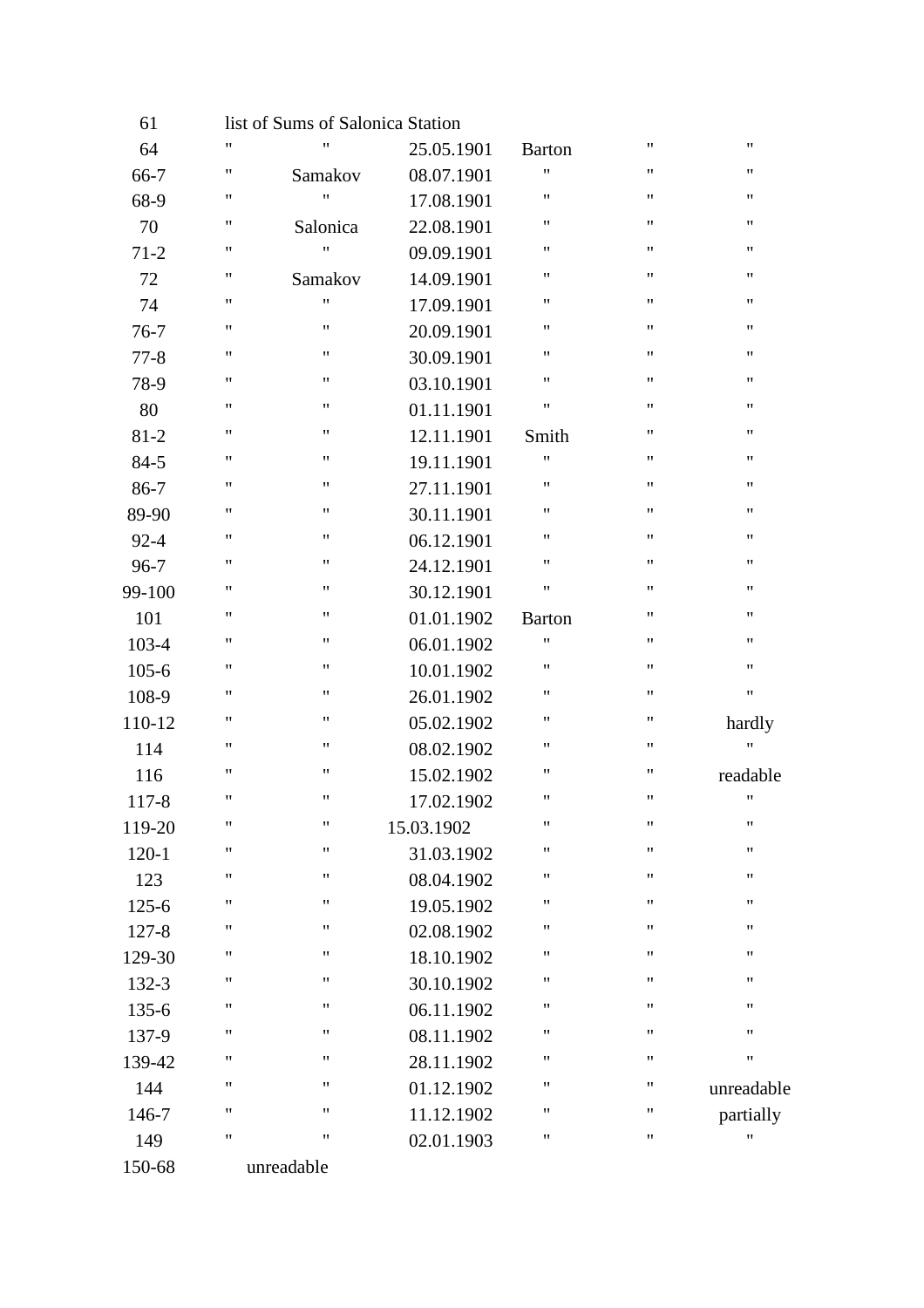| 61        |                    | list of Sums of Salonica Station |            |                    |                    |                    |
|-----------|--------------------|----------------------------------|------------|--------------------|--------------------|--------------------|
| 64        | $\pmb{\mathsf{H}}$ | $\pmb{\mathsf{H}}$               | 25.05.1901 | <b>Barton</b>      | 11                 | $\pmb{\mathsf{H}}$ |
| $66 - 7$  | 11                 | Samakov                          | 08.07.1901 | Ħ                  | $\pmb{\mathsf{H}}$ | $\pmb{\mathsf{H}}$ |
| 68-9      | 11                 | $\pmb{\mathsf{H}}$               | 17.08.1901 | 11                 | $\pmb{\mathsf{H}}$ | 11                 |
| 70        | 11                 | Salonica                         | 22.08.1901 | $\pmb{\mathsf{H}}$ | 11                 | $\pmb{\mathsf{H}}$ |
| $71 - 2$  | 11                 | $\pmb{\mathsf{H}}$               | 09.09.1901 | $\pmb{\mathsf{H}}$ | $\pmb{\mathsf{H}}$ | $\pmb{\mathsf{H}}$ |
| 72        | 11                 | Samakov                          | 14.09.1901 | 11                 | $^{\prime\prime}$  | $\pmb{\mathsf{H}}$ |
| 74        | 11                 | $\pmb{\mathsf{H}}$               | 17.09.1901 | 11                 | $\pmb{\mathsf{H}}$ | $\pmb{\mathsf{H}}$ |
| $76 - 7$  | 11                 | 11                               | 20.09.1901 | 11                 | $\pmb{\mathsf{H}}$ | $\pmb{\mathsf{H}}$ |
| $77 - 8$  | 11                 | $\pmb{\mathsf{H}}$               | 30.09.1901 | 11                 | 11                 | $\pmb{\mathsf{H}}$ |
| 78-9      | 11                 | $\pmb{\mathsf{H}}$               | 03.10.1901 | $\pmb{\mathsf{H}}$ | $\pmb{\mathsf{H}}$ | $\pmb{\mathsf{H}}$ |
| 80        | $\pmb{\mathsf{H}}$ | $\pmb{\mathsf{H}}$               | 01.11.1901 | Ħ                  | Ħ                  | $\pmb{\mathsf{H}}$ |
| $81 - 2$  | 11                 | 11                               | 12.11.1901 | Smith              | $\pmb{\mathsf{H}}$ | $\pmb{\mathsf{H}}$ |
| $84 - 5$  | 11                 | 11                               | 19.11.1901 | 11                 | 11                 | $\pmb{\mathsf{H}}$ |
| $86-7$    | 11                 | $\pmb{\mathsf{H}}$               | 27.11.1901 | $\pmb{\mathsf{H}}$ | 11                 | $\pmb{\mathsf{H}}$ |
| 89-90     | 11                 | $\pmb{\mathsf{H}}$               | 30.11.1901 | $\pmb{\mathsf{H}}$ | $\pmb{\mathsf{H}}$ | $\pmb{\mathsf{H}}$ |
| $92 - 4$  | $\pmb{\mathsf{H}}$ | $\pmb{\mathsf{H}}$               | 06.12.1901 | Ħ                  | $^{\prime\prime}$  | $\pmb{\mathsf{H}}$ |
| $96 - 7$  | 11                 | 11                               | 24.12.1901 | 11                 | 11                 | $\pmb{\mathsf{H}}$ |
| 99-100    | 11                 | 11                               | 30.12.1901 | Ħ                  | 11                 | $\pmb{\mathsf{H}}$ |
| 101       | 11                 | $\pmb{\mathsf{H}}$               | 01.01.1902 | <b>Barton</b>      | 11                 | $\pmb{\mathsf{H}}$ |
| $103 - 4$ | 11                 | $\pmb{\mathsf{H}}$               | 06.01.1902 | 11                 | $\pmb{\mathsf{H}}$ | $\pmb{\mathsf{H}}$ |
| $105 - 6$ | $\pmb{\mathsf{H}}$ | $\pmb{\mathsf{H}}$               | 10.01.1902 | Ħ                  | $^{\prime\prime}$  | $\pmb{\mathsf{H}}$ |
| 108-9     | 11                 | 11                               | 26.01.1902 | 11                 | 11                 | $\pmb{\mathsf{H}}$ |
| 110-12    | 11                 | $\pmb{\mathsf{H}}$               | 05.02.1902 | Ħ                  | 11                 | hardly             |
| 114       | 11                 | $\pmb{\mathsf{H}}$               | 08.02.1902 | $\pmb{\mathsf{H}}$ | 11                 | $\pmb{\mathsf{H}}$ |
| 116       | 11                 | $\pmb{\mathsf{H}}$               | 15.02.1902 | $\pmb{\mathsf{H}}$ | $\pmb{\mathsf{H}}$ | readable           |
| 117-8     | $\mathbf{H}$       | $\pmb{\mathsf{H}}$               | 17.02.1902 | 11                 | Ħ                  | $\pmb{\mathsf{H}}$ |
| 119-20    | 11                 | $\pmb{\mathsf{H}}$               | 15.03.1902 | 11                 | $\pmb{\mathsf{H}}$ | $\pmb{\mathsf{H}}$ |
| $120-1$   | $\mathbf{H}$       | $\pmb{\mathsf{H}}$               | 31.03.1902 | 11                 | $\pmb{\mathsf{H}}$ | $\pmb{\mathsf{H}}$ |
| 123       | 11                 | $\pmb{\mathsf{H}}$               | 08.04.1902 | $\pmb{\mathsf{H}}$ | 11                 | 11                 |
| $125 - 6$ | 11                 | $\pmb{\mathsf{H}}$               | 19.05.1902 | $\pmb{\mathsf{H}}$ | 11                 | $\pmb{\mathsf{H}}$ |
| $127 - 8$ | 11                 | $\pmb{\mathsf{H}}$               | 02.08.1902 | Ħ                  | 11                 | $\pmb{\mathsf{H}}$ |
| 129-30    | 11                 | 11                               | 18.10.1902 | 11                 | $\pmb{\mathsf{H}}$ | $\pmb{\mathsf{H}}$ |
| 132-3     | $\pmb{\mathsf{H}}$ | 11                               | 30.10.1902 | 11                 | $\pmb{\mathsf{H}}$ | $\pmb{\mathsf{H}}$ |
| $135 - 6$ | 11                 | 11                               | 06.11.1902 | $\pmb{\mathsf{H}}$ | 11                 | $\pmb{\mathsf{H}}$ |
| 137-9     | 11                 | $\pmb{\mathsf{H}}$               | 08.11.1902 | $\pmb{\mathsf{H}}$ | 11                 | $\pmb{\mathsf{H}}$ |
| 139-42    | 11                 | $\pmb{\mathsf{H}}$               | 28.11.1902 | 11                 | $^{\prime\prime}$  | $\pmb{\mathsf{H}}$ |
| 144       | 11                 | 11                               | 01.12.1902 | 11                 | 11                 | unreadable         |
| 146-7     | $\pmb{\mathsf{H}}$ | $\pmb{\mathsf{H}}$               | 11.12.1902 | 11                 | $\pmb{\mathsf{H}}$ | partially          |
| 149       | $\pmb{\mathsf{H}}$ | $\pmb{\mathsf{H}}$               | 02.01.1903 | $\pmb{\mathsf{H}}$ | 11                 | $\pmb{\mathsf{H}}$ |
| 150-68    |                    | unreadable                       |            |                    |                    |                    |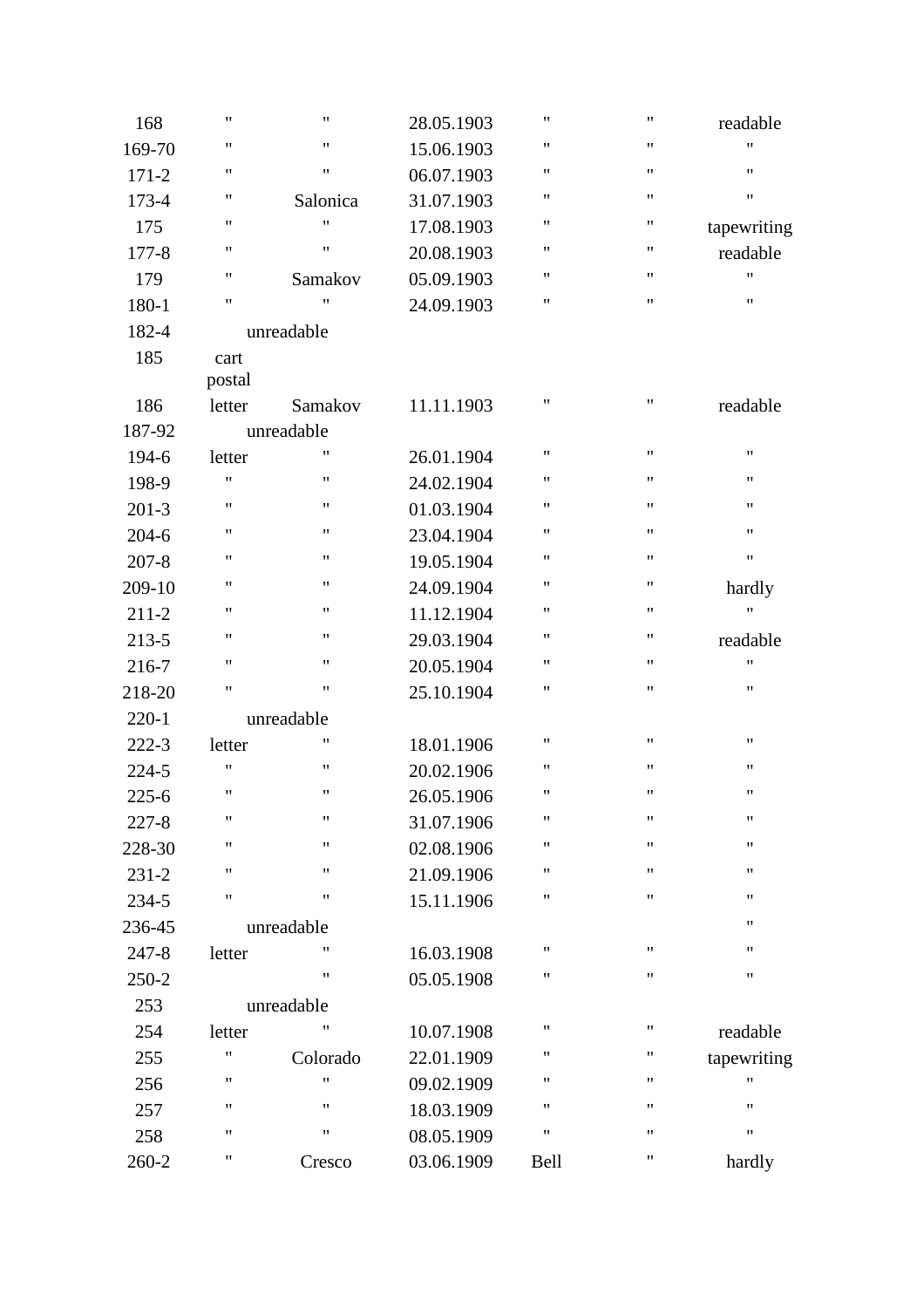| 11<br>$\pmb{\mathsf{H}}$<br>169-70<br>15.06.1903<br>11<br>$\pmb{\mathsf{H}}$<br>$171 - 2$<br>06.07.1903<br>11<br>173-4<br>31.07.1903<br>Salonica<br>$\pmb{\mathsf{H}}$<br>11<br>175<br>17.08.1903<br>11<br>11<br>20.08.1903<br>$177 - 8$<br>11<br>05.09.1903<br>179<br>Samakov<br>11<br>$\pmb{\mathsf{H}}$<br>24.09.1903<br>180-1<br>182-4<br>unreadable<br>185<br>cart<br>postal<br>186<br>11.11.1903<br>letter<br>Samakov<br>187-92<br>unreadable<br>$\pmb{\mathsf{H}}$<br>194-6<br>26.01.1904<br>letter | $\pmb{\mathsf{H}}$ | $\pmb{\mathsf{H}}$ | readable           |
|------------------------------------------------------------------------------------------------------------------------------------------------------------------------------------------------------------------------------------------------------------------------------------------------------------------------------------------------------------------------------------------------------------------------------------------------------------------------------------------------------------|--------------------|--------------------|--------------------|
|                                                                                                                                                                                                                                                                                                                                                                                                                                                                                                            | $\pmb{\mathsf{H}}$ | $\pmb{\mathsf{H}}$ | 11                 |
|                                                                                                                                                                                                                                                                                                                                                                                                                                                                                                            | $\pmb{\mathsf{H}}$ | $\pmb{\mathsf{H}}$ | $\pmb{\mathsf{H}}$ |
|                                                                                                                                                                                                                                                                                                                                                                                                                                                                                                            | $\pmb{\mathsf{H}}$ | $\pmb{\mathsf{H}}$ | $\pmb{\mathsf{H}}$ |
|                                                                                                                                                                                                                                                                                                                                                                                                                                                                                                            | $\pmb{\mathsf{H}}$ | $\pmb{\mathsf{H}}$ | tapewriting        |
|                                                                                                                                                                                                                                                                                                                                                                                                                                                                                                            | $\pmb{\mathsf{H}}$ | 11                 | readable           |
|                                                                                                                                                                                                                                                                                                                                                                                                                                                                                                            | $\pmb{\mathsf{H}}$ | 11                 | 11                 |
|                                                                                                                                                                                                                                                                                                                                                                                                                                                                                                            | $\pmb{\mathsf{H}}$ | $\pmb{\mathsf{H}}$ | $\pmb{\mathsf{H}}$ |
|                                                                                                                                                                                                                                                                                                                                                                                                                                                                                                            |                    |                    |                    |
|                                                                                                                                                                                                                                                                                                                                                                                                                                                                                                            |                    |                    |                    |
|                                                                                                                                                                                                                                                                                                                                                                                                                                                                                                            |                    |                    |                    |
|                                                                                                                                                                                                                                                                                                                                                                                                                                                                                                            | $\pmb{\mathsf{H}}$ | $\pmb{\mathsf{H}}$ | readable           |
|                                                                                                                                                                                                                                                                                                                                                                                                                                                                                                            |                    |                    |                    |
|                                                                                                                                                                                                                                                                                                                                                                                                                                                                                                            | $\pmb{\mathsf{H}}$ | $\pmb{\mathsf{H}}$ | $\pmb{\mathsf{H}}$ |
| 11<br>$\pmb{\mathsf{H}}$<br>198-9<br>24.02.1904                                                                                                                                                                                                                                                                                                                                                                                                                                                            | $\pmb{\mathsf{H}}$ | $\pmb{\mathsf{H}}$ | 11                 |
| 11<br>$^{\prime\prime}$<br>$201 - 3$<br>01.03.1904                                                                                                                                                                                                                                                                                                                                                                                                                                                         | $\pmb{\mathsf{H}}$ | $\pmb{\mathsf{H}}$ | 11                 |
| 11<br>$^{\prime\prime}$<br>$204 - 6$<br>23.04.1904                                                                                                                                                                                                                                                                                                                                                                                                                                                         | $\pmb{\mathsf{H}}$ | $\pmb{\mathsf{H}}$ | $\pmb{\mathsf{H}}$ |
| 11<br>11<br>$207 - 8$<br>19.05.1904                                                                                                                                                                                                                                                                                                                                                                                                                                                                        | $\pmb{\mathsf{H}}$ | $\pmb{\mathsf{H}}$ | $\pmb{\mathsf{H}}$ |
| 11<br>$\pmb{\mathsf{H}}$<br>24.09.1904<br>209-10                                                                                                                                                                                                                                                                                                                                                                                                                                                           | $\pmb{\mathsf{H}}$ | $\pmb{\mathsf{H}}$ | hardly             |
| 11<br>$^{\prime\prime}$<br>$211 - 2$<br>11.12.1904                                                                                                                                                                                                                                                                                                                                                                                                                                                         | $\pmb{\mathsf{H}}$ | $\pmb{\mathsf{H}}$ | 11                 |
| 11<br>$^{\prime\prime}$<br>29.03.1904<br>213-5                                                                                                                                                                                                                                                                                                                                                                                                                                                             | $\pmb{\mathsf{H}}$ | 11                 | readable           |
| 11<br>$\pmb{\mathsf{H}}$<br>20.05.1904<br>216-7                                                                                                                                                                                                                                                                                                                                                                                                                                                            | $\pmb{\mathsf{H}}$ | $\pmb{\mathsf{H}}$ | $\pmb{\mathsf{H}}$ |
| 11<br>$\pmb{\mathsf{H}}$<br>25.10.1904<br>218-20                                                                                                                                                                                                                                                                                                                                                                                                                                                           | $\pmb{\mathsf{H}}$ | $\pmb{\mathsf{H}}$ | $\pmb{\mathsf{H}}$ |
| $220 - 1$<br>unreadable                                                                                                                                                                                                                                                                                                                                                                                                                                                                                    |                    |                    |                    |
| 11<br>$222 - 3$<br>18.01.1906<br>letter                                                                                                                                                                                                                                                                                                                                                                                                                                                                    | $\pmb{\mathsf{H}}$ | $\pmb{\mathsf{H}}$ | 11                 |
| $\pmb{\mathsf{H}}$<br>11<br>20.02.1906<br>224-5                                                                                                                                                                                                                                                                                                                                                                                                                                                            | $\pmb{\mathsf{H}}$ | 11                 | 11                 |
| $\pmb{\mathsf{H}}$<br>$\pmb{\mathsf{H}}$<br>$225 - 6$<br>26.05.1906                                                                                                                                                                                                                                                                                                                                                                                                                                        | $\pmb{\mathsf{H}}$ | $\pmb{\mathsf{H}}$ | $\pmb{\mathsf{H}}$ |
| 11<br>$\pmb{\mathsf{H}}$<br>$227 - 8$<br>31.07.1906                                                                                                                                                                                                                                                                                                                                                                                                                                                        | $\pmb{\mathsf{H}}$ | $\pmb{\mathsf{H}}$ | $\pmb{\mathsf{H}}$ |
| $\pmb{\mathsf{H}}$<br>11<br>228-30<br>02.08.1906                                                                                                                                                                                                                                                                                                                                                                                                                                                           | $\pmb{\mathsf{H}}$ | 11                 | 11                 |
| 11<br>$\pmb{\mathsf{H}}$<br>$231 - 2$<br>21.09.1906                                                                                                                                                                                                                                                                                                                                                                                                                                                        | $\pmb{\mathsf{H}}$ | $\pmb{\mathsf{H}}$ | 11                 |
| $\pmb{\mathsf{H}}$<br>11<br>234-5<br>15.11.1906                                                                                                                                                                                                                                                                                                                                                                                                                                                            | $\pmb{\mathsf{H}}$ | $\pmb{\mathsf{H}}$ | 11                 |
| 236-45<br>unreadable                                                                                                                                                                                                                                                                                                                                                                                                                                                                                       |                    |                    | 11                 |
| 11<br>$247 - 8$<br>letter<br>16.03.1908                                                                                                                                                                                                                                                                                                                                                                                                                                                                    | $\pmb{\mathsf{H}}$ | $\pmb{\mathsf{H}}$ | 11                 |
| $\pmb{\mathsf{H}}$<br>250-2<br>05.05.1908                                                                                                                                                                                                                                                                                                                                                                                                                                                                  | 11                 | 11                 | 11                 |
| 253<br>unreadable                                                                                                                                                                                                                                                                                                                                                                                                                                                                                          |                    |                    |                    |
| 11<br>10.07.1908<br>254<br>letter                                                                                                                                                                                                                                                                                                                                                                                                                                                                          | $\pmb{\mathsf{H}}$ | 11                 | readable           |
| $\mathbf{H}$<br>Colorado<br>22.01.1909<br>255                                                                                                                                                                                                                                                                                                                                                                                                                                                              | $\pmb{\mathsf{H}}$ | 11                 | tapewriting        |
| $\pmb{\mathsf{H}}$<br>11<br>09.02.1909<br>256                                                                                                                                                                                                                                                                                                                                                                                                                                                              | $\pmb{\mathsf{H}}$ | 11                 | 11                 |
| $\pmb{\mathsf{H}}$<br>11<br>18.03.1909<br>257                                                                                                                                                                                                                                                                                                                                                                                                                                                              | $\pmb{\mathsf{H}}$ | 11                 | 11                 |
| 11<br>11<br>08.05.1909<br>258                                                                                                                                                                                                                                                                                                                                                                                                                                                                              | $\pmb{\mathsf{H}}$ | $\pmb{\mathsf{H}}$ | 11                 |
| 11<br>03.06.1909<br>260-2<br>Cresco                                                                                                                                                                                                                                                                                                                                                                                                                                                                        |                    |                    |                    |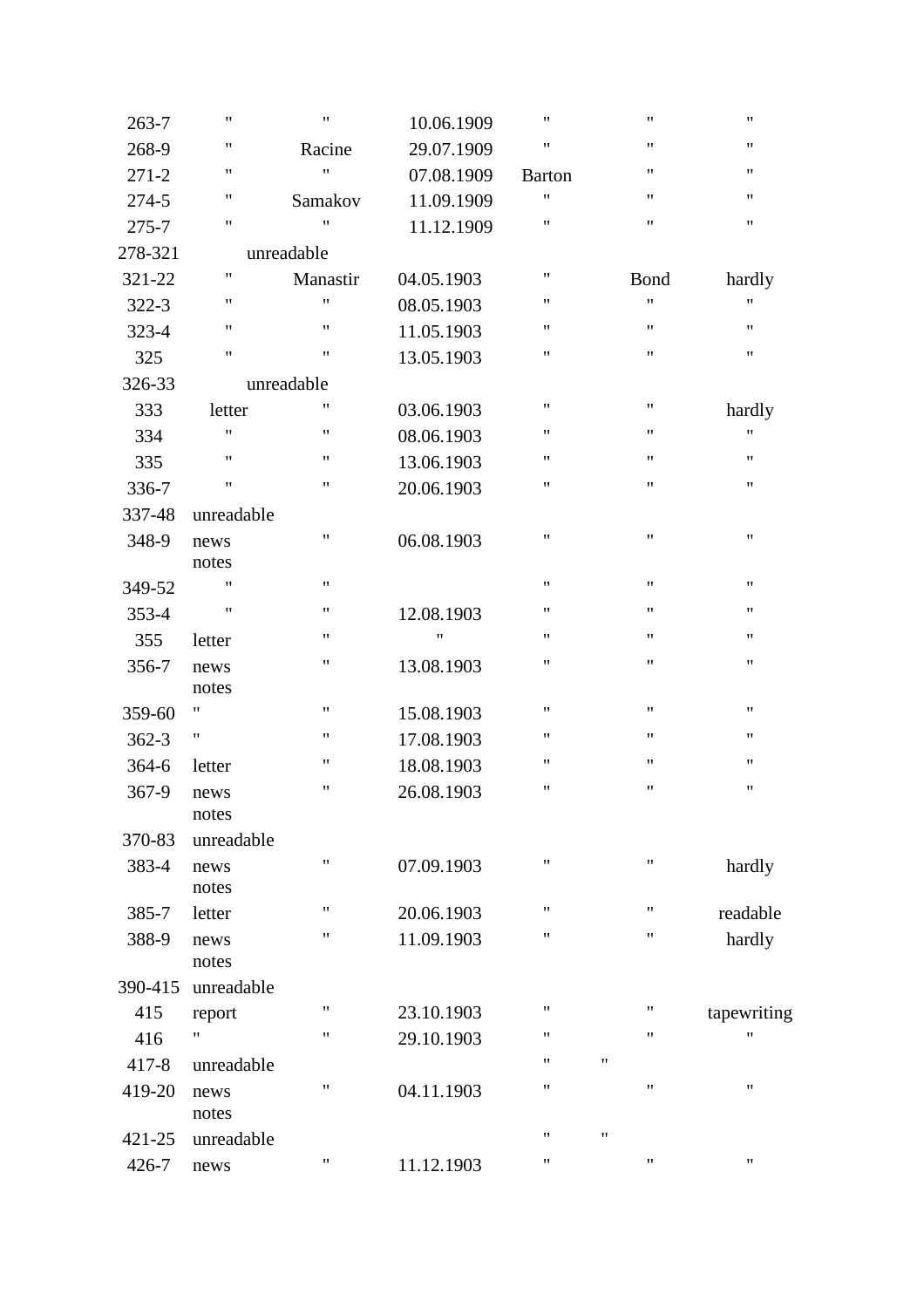| $263 - 7$ | $\pmb{\mathsf{H}}$ | $\pmb{\mathsf{H}}$ | 10.06.1909 | $\pmb{\mathsf{H}}$ | $\pmb{\mathsf{H}}$ | 11                 |
|-----------|--------------------|--------------------|------------|--------------------|--------------------|--------------------|
| 268-9     | $\pmb{\mathsf{H}}$ | Racine             | 29.07.1909 | $\pmb{\mathsf{H}}$ | $\pmb{\mathsf{H}}$ | $\pmb{\mathsf{H}}$ |
| $271 - 2$ | $\pmb{\mathsf{H}}$ | 11                 | 07.08.1909 | <b>Barton</b>      | $\pmb{\mathsf{H}}$ | $\pmb{\mathsf{H}}$ |
| 274-5     | $\pmb{\mathsf{H}}$ | Samakov            | 11.09.1909 | $\pmb{\mathsf{H}}$ | $\pmb{\mathsf{H}}$ | $\pmb{\mathsf{H}}$ |
| 275-7     | $\pmb{\mathsf{H}}$ | $\pmb{\mathsf{H}}$ | 11.12.1909 | $\pmb{\mathsf{H}}$ | $\pmb{\mathsf{H}}$ | $\pmb{\mathsf{H}}$ |
| 278-321   |                    | unreadable         |            |                    |                    |                    |
| 321-22    | 11                 | Manastir           | 04.05.1903 | $\pmb{\mathsf{H}}$ | Bond               | hardly             |
| 322-3     | $\pmb{\mathsf{H}}$ | Ħ                  | 08.05.1903 | $\pmb{\mathsf{H}}$ | $\pmb{\mathsf{H}}$ | 11                 |
| 323-4     | $\pmb{\mathsf{H}}$ | 11                 | 11.05.1903 | $\pmb{\mathsf{H}}$ | $\pmb{\mathsf{H}}$ | $\pmb{\mathsf{H}}$ |
| 325       | $\pmb{\mathsf{H}}$ | 11                 | 13.05.1903 | $\pmb{\mathsf{H}}$ | $\pmb{\mathsf{H}}$ | $\pmb{\mathsf{H}}$ |
| 326-33    |                    | unreadable         |            |                    |                    |                    |
| 333       | letter             | Ħ                  | 03.06.1903 | $\pmb{\mathsf{H}}$ | $\pmb{\mathsf{H}}$ | hardly             |
| 334       | $\pmb{\mathsf{H}}$ | $\pmb{\mathsf{H}}$ | 08.06.1903 | $\pmb{\mathsf{H}}$ | $\pmb{\mathsf{H}}$ | 11                 |
| 335       | $\pmb{\mathsf{H}}$ | 11                 | 13.06.1903 | $\pmb{\mathsf{H}}$ | $\pmb{\mathsf{H}}$ | $\pmb{\mathsf{H}}$ |
| 336-7     | $\pmb{\mathsf{H}}$ | 11                 | 20.06.1903 | $\pmb{\mathsf{H}}$ | $\pmb{\mathsf{H}}$ | $\pmb{\mathsf{H}}$ |
| 337-48    | unreadable         |                    |            |                    |                    |                    |
| 348-9     | news               | 11                 | 06.08.1903 | $\pmb{\mathsf{H}}$ | $\pmb{\mathsf{H}}$ | $\pmb{\mathsf{H}}$ |
|           | notes              |                    |            |                    |                    |                    |
| 349-52    | 11                 | $\pmb{\mathsf{H}}$ |            | $\pmb{\mathsf{H}}$ | $\pmb{\mathsf{H}}$ | $\pmb{\mathsf{H}}$ |
| 353-4     | $\pmb{\mathsf{H}}$ | 11                 | 12.08.1903 | $\pmb{\mathsf{H}}$ | $\pmb{\mathsf{H}}$ | $\pmb{\mathsf{H}}$ |
| 355       | letter             | 11                 | "          | $\pmb{\mathsf{H}}$ | $\pmb{\mathsf{H}}$ | 11                 |
| 356-7     | news               | 11                 | 13.08.1903 | $\pmb{\mathsf{H}}$ | $\pmb{\mathsf{H}}$ | $\pmb{\mathsf{H}}$ |
|           | notes              |                    |            |                    |                    |                    |
| 359-60    | 11                 | 11                 | 15.08.1903 | $\pmb{\mathsf{H}}$ | $\pmb{\mathsf{H}}$ | 11                 |
| $362 - 3$ | "                  | 11                 | 17.08.1903 | $\pmb{\mathsf{H}}$ | $\pmb{\mathsf{H}}$ | 11                 |
| 364-6     | letter             | "                  | 18.08.1903 | $\pmb{\mathsf{H}}$ | $\pmb{\mathsf{H}}$ | 11                 |
| 367-9     | news               | 11                 | 26.08.1903 | $\pmb{\mathsf{H}}$ | $\pmb{\mathsf{H}}$ | $\pmb{\mathsf{H}}$ |
|           | notes              |                    |            |                    |                    |                    |
| 370-83    | unreadable         |                    |            |                    |                    |                    |
| 383-4     | news               | 11                 | 07.09.1903 | $\pmb{\mathsf{H}}$ | $\pmb{\mathsf{H}}$ | hardly             |
|           | notes              | 11                 |            | $\pmb{\mathsf{H}}$ | $\pmb{\mathsf{H}}$ |                    |
| 385-7     | letter             | Ħ                  | 20.06.1903 | $\pmb{\mathsf{H}}$ | $\pmb{\mathsf{H}}$ | readable           |
| 388-9     | news<br>notes      |                    | 11.09.1903 |                    |                    | hardly             |
| 390-415   | unreadable         |                    |            |                    |                    |                    |
| 415       |                    | 11                 | 23.10.1903 | $\pmb{\mathsf{H}}$ | "                  | tapewriting        |
| 416       | report<br>Ħ        | 11                 | 29.10.1903 | $\pmb{\mathsf{H}}$ | 11                 | 11                 |
| $417 - 8$ |                    |                    |            | $\pmb{\mathsf{H}}$ | Ħ                  |                    |
|           | unreadable         | Ħ                  |            | $\pmb{\mathsf{H}}$ | Ħ                  | 11                 |
| 419-20    | news<br>notes      |                    | 04.11.1903 |                    |                    |                    |
| 421-25    | unreadable         |                    |            | $\pmb{\mathsf{H}}$ | 11                 |                    |
| 426-7     | news               | 11                 | 11.12.1903 | $\pmb{\mathsf{H}}$ | $\pmb{\mathsf{H}}$ | $\pmb{\mathsf{H}}$ |
|           |                    |                    |            |                    |                    |                    |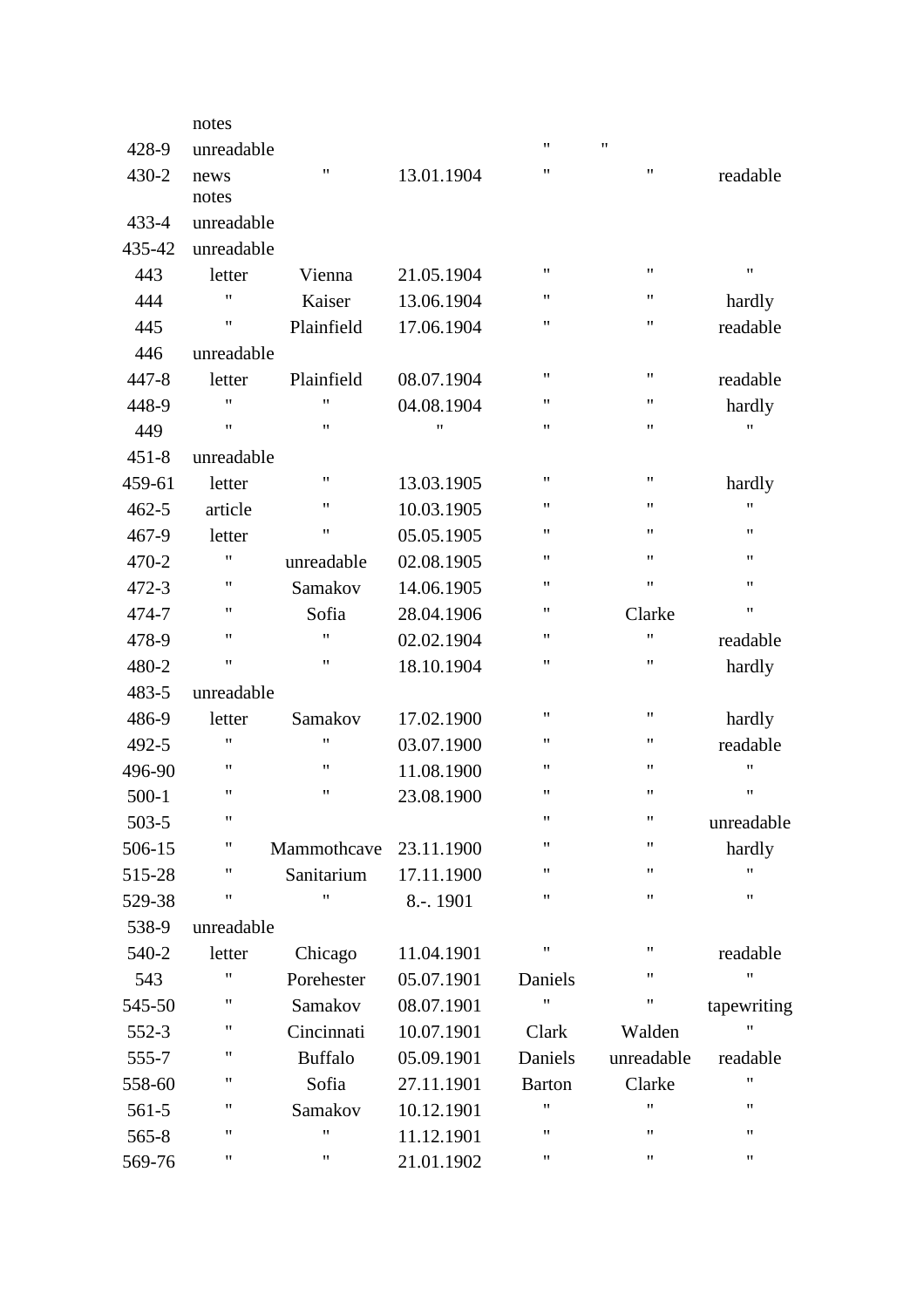|           | notes      |                    |            |               |                    |             |
|-----------|------------|--------------------|------------|---------------|--------------------|-------------|
| 428-9     | unreadable |                    |            | $^{\dagger}$  | $\pmb{\mathsf{H}}$ |             |
| 430-2     | news       | 11                 | 13.01.1904 | 11            | 11                 | readable    |
|           | notes      |                    |            |               |                    |             |
| $433 - 4$ | unreadable |                    |            |               |                    |             |
| 435-42    | unreadable |                    |            |               |                    |             |
| 443       | letter     | Vienna             | 21.05.1904 | 11            | 11                 | 11          |
| 444       | 11         | Kaiser             | 13.06.1904 | $^{\dagger}$  | 11                 | hardly      |
| 445       | 11         | Plainfield         | 17.06.1904 | $^{\dagger}$  | 11                 | readable    |
| 446       | unreadable |                    |            |               |                    |             |
| 447-8     | letter     | Plainfield         | 08.07.1904 | $^{\dagger}$  | $\pmb{\mathsf{H}}$ | readable    |
| 448-9     | 11         | 11                 | 04.08.1904 | 11            | 11                 | hardly      |
| 449       | 11         | 11                 | "          | $^{\dagger}$  | $\pmb{\mathsf{H}}$ | "           |
| $451 - 8$ | unreadable |                    |            |               |                    |             |
| 459-61    | letter     | $^{\prime\prime}$  | 13.03.1905 | $^{\dagger}$  | $\pmb{\mathsf{H}}$ | hardly      |
| $462 - 5$ | article    | 11                 | 10.03.1905 | $^{\dagger}$  | $\pmb{\mathsf{H}}$ | 11          |
| 467-9     | letter     | 11                 | 05.05.1905 | 11            | 11                 | "           |
| 470-2     | 11         | unreadable         | 02.08.1905 | 11            | $\pmb{\mathsf{H}}$ | 11          |
| 472-3     | 11         | Samakov            | 14.06.1905 | $^{\dagger}$  | $\pmb{\mathsf{H}}$ | 11          |
| 474-7     | 11         | Sofia              | 28.04.1906 | 11            | Clarke             | 11          |
| 478-9     | 11         | Ħ                  | 02.02.1904 | $^{\dagger}$  | $^{\prime\prime}$  | readable    |
| 480-2     | 11         | $\pmb{\mathsf{H}}$ | 18.10.1904 | 11            | 11                 | hardly      |
| 483-5     | unreadable |                    |            |               |                    |             |
| 486-9     | letter     | Samakov            | 17.02.1900 | $^{\dagger}$  | $\pmb{\mathsf{H}}$ | hardly      |
| 492-5     | 11         | $^{\prime\prime}$  | 03.07.1900 | $^{\dagger}$  | 11                 | readable    |
| 496-90    | 11         | 11                 | 11.08.1900 | $^{\dagger}$  | 11                 | 11          |
| $500-1$   | 11         | 11                 | 23.08.1900 | $^{\dagger}$  | 11                 | "           |
| 503-5     | 11         |                    |            | 11            | 11                 | unreadable  |
| 506-15    | 11         | Mammothcave        | 23.11.1900 | 11            | 11                 | hardly      |
| 515-28    | 11         | Sanitarium         | 17.11.1900 | 11            | $\pmb{\mathsf{H}}$ | Ħ           |
| 529-38    | 11         | Ħ                  | 8.-. 1901  | Ħ             | $\pmb{\mathsf{H}}$ | Ħ           |
| 538-9     | unreadable |                    |            |               |                    |             |
| 540-2     | letter     | Chicago            | 11.04.1901 | 11            | 11                 | readable    |
| 543       | 11         | Porehester         | 05.07.1901 | Daniels       | 11                 | Ħ           |
| 545-50    | 11         | Samakov            | 08.07.1901 | Ħ             | $\pmb{\mathsf{H}}$ | tapewriting |
| 552-3     | 11         | Cincinnati         | 10.07.1901 | Clark         | Walden             | Ħ           |
| 555-7     | 11         | <b>Buffalo</b>     | 05.09.1901 | Daniels       | unreadable         | readable    |
| 558-60    | 11         | Sofia              | 27.11.1901 | <b>Barton</b> | Clarke             | "           |
| $561-5$   | 11         | Samakov            | 10.12.1901 | $^{\dagger}$  | $^{\prime\prime}$  | "           |
| $565 - 8$ | 11         | 11                 | 11.12.1901 | 11            | 11                 | 11          |
| 569-76    | 11         | 11                 | 21.01.1902 | 11            | 11                 | Ħ           |
|           |            |                    |            |               |                    |             |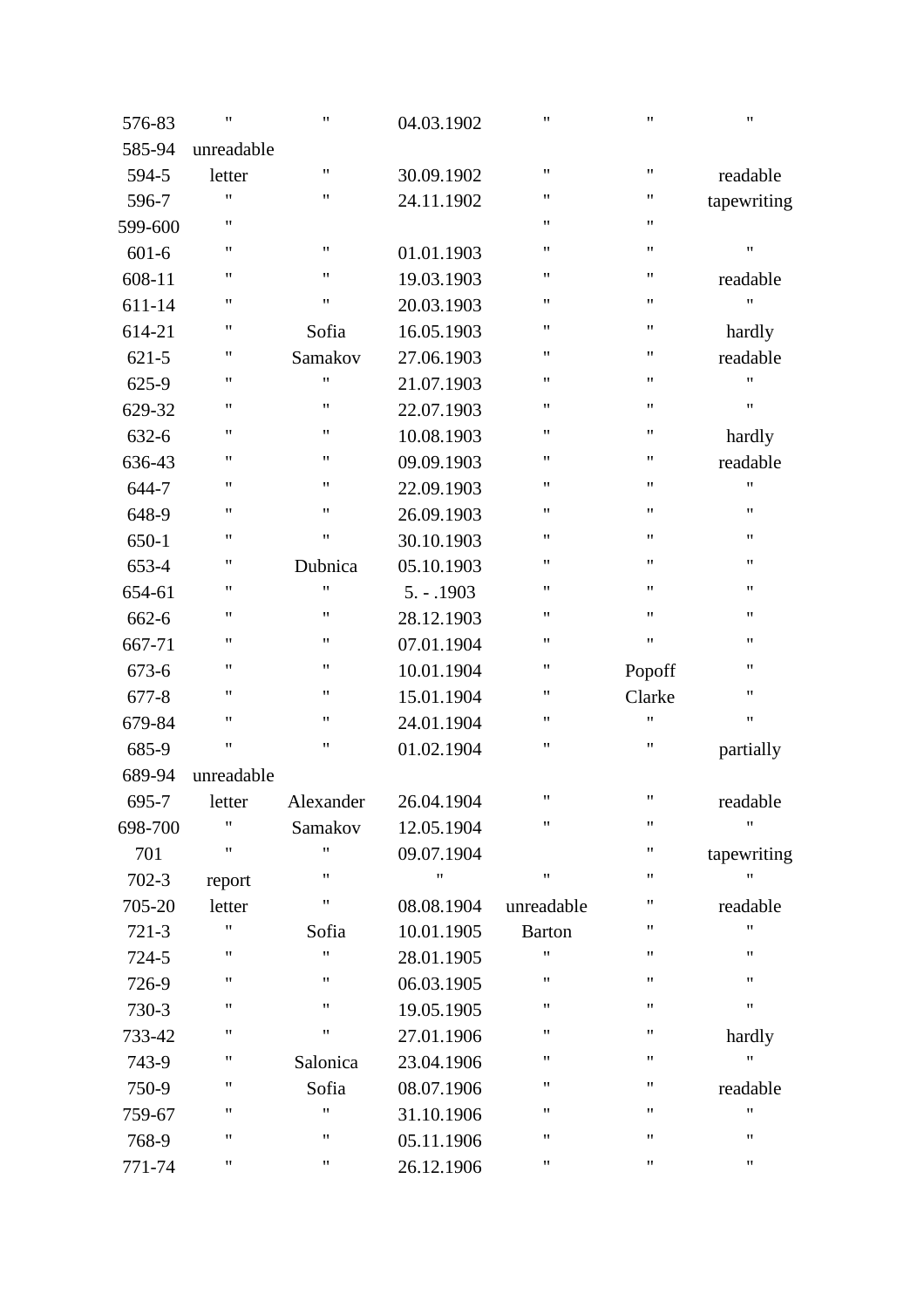| 576-83    | $\pmb{\mathsf{H}}$ | $\pmb{\mathsf{H}}$ | 04.03.1902    | $\pmb{\mathsf{H}}$ | 11                 | $\pmb{\mathsf{H}}$ |
|-----------|--------------------|--------------------|---------------|--------------------|--------------------|--------------------|
| 585-94    | unreadable         |                    |               |                    |                    |                    |
| 594-5     | letter             | $\pmb{\mathsf{H}}$ | 30.09.1902    | $\pmb{\mathsf{H}}$ | $\pmb{\mathsf{H}}$ | readable           |
| 596-7     | $\pmb{\mathsf{H}}$ | $\pmb{\mathsf{H}}$ | 24.11.1902    | $\pmb{\mathsf{H}}$ | "                  | tapewriting        |
| 599-600   | $\pmb{\mathsf{H}}$ |                    |               | $\pmb{\mathsf{H}}$ | 11                 |                    |
| $601 - 6$ | $\pmb{\mathsf{H}}$ | $\pmb{\mathsf{H}}$ | 01.01.1903    | $\pmb{\mathsf{H}}$ | 11                 | $\pmb{\mathsf{H}}$ |
| 608-11    | $\pmb{\mathsf{H}}$ | $\pmb{\mathsf{H}}$ | 19.03.1903    | $\pmb{\mathsf{H}}$ | 11                 | readable           |
| 611-14    | $\pmb{\mathsf{H}}$ | $\pmb{\mathsf{H}}$ | 20.03.1903    | $\pmb{\mathsf{H}}$ | 11                 | $^{\dagger}$       |
| 614-21    | $\pmb{\mathsf{H}}$ | Sofia              | 16.05.1903    | $\pmb{\mathsf{H}}$ | 11                 | hardly             |
| $621 - 5$ | $\pmb{\mathsf{H}}$ | Samakov            | 27.06.1903    | $\pmb{\mathsf{H}}$ | 11                 | readable           |
| 625-9     | $\pmb{\mathsf{H}}$ | 11                 | 21.07.1903    | $\pmb{\mathsf{H}}$ | 11                 | $\pmb{\mathsf{H}}$ |
| 629-32    | $\pmb{\mathsf{H}}$ | $\pmb{\mathsf{H}}$ | 22.07.1903    | $\pmb{\mathsf{H}}$ | 11                 | $\pmb{\mathsf{H}}$ |
| 632-6     | $\pmb{\mathsf{H}}$ | $\pmb{\mathsf{H}}$ | 10.08.1903    | $\pmb{\mathsf{H}}$ | 11                 | hardly             |
| 636-43    | $\pmb{\mathsf{H}}$ | $\pmb{\mathsf{H}}$ | 09.09.1903    | $\pmb{\mathsf{H}}$ | 11                 | readable           |
| 644-7     | $\pmb{\mathsf{H}}$ | 11                 | 22.09.1903    | $\pmb{\mathsf{H}}$ | 11                 | $\pmb{\mathsf{H}}$ |
| 648-9     | $\pmb{\mathsf{H}}$ | $\pmb{\mathsf{H}}$ | 26.09.1903    | $\pmb{\mathsf{H}}$ | 11                 | $\pmb{\mathsf{H}}$ |
| 650-1     | $\pmb{\mathsf{H}}$ | $\pmb{\mathsf{H}}$ | 30.10.1903    | $\pmb{\mathsf{H}}$ | $\pmb{\mathsf{H}}$ | $\pmb{\mathsf{H}}$ |
| 653-4     | $\pmb{\mathsf{H}}$ | Dubnica            | 05.10.1903    | $\pmb{\mathsf{H}}$ | $\pmb{\mathsf{H}}$ | $\pmb{\mathsf{H}}$ |
| 654-61    | $\pmb{\mathsf{H}}$ | $\pmb{\mathsf{H}}$ | $5. - 0.1903$ | $\pmb{\mathsf{H}}$ | $\pmb{\mathsf{H}}$ | 11                 |
| 662-6     | $\pmb{\mathsf{H}}$ | Ħ                  | 28.12.1903    | $\pmb{\mathsf{H}}$ | $\pmb{\mathsf{H}}$ | 11                 |
| 667-71    | $\pmb{\mathsf{H}}$ | 11                 | 07.01.1904    | $\pmb{\mathsf{H}}$ | 11                 | 11                 |
| 673-6     | $\pmb{\mathsf{H}}$ | $\pmb{\mathsf{H}}$ | 10.01.1904    | $\pmb{\mathsf{H}}$ | Popoff             | $\pmb{\mathsf{H}}$ |
| $677 - 8$ | $\pmb{\mathsf{H}}$ | $\pmb{\mathsf{H}}$ | 15.01.1904    | $\pmb{\mathsf{H}}$ | Clarke             | $\pmb{\mathsf{H}}$ |
| 679-84    | $\pmb{\mathsf{H}}$ | $\pmb{\mathsf{H}}$ | 24.01.1904    | $\pmb{\mathsf{H}}$ | $\pmb{\mathsf{H}}$ | $\pmb{\mathsf{H}}$ |
| 685-9     | 11                 | 11                 | 01.02.1904    | $\pmb{\mathsf{H}}$ | 11                 | partially          |
| 689-94    | unreadable         |                    |               |                    |                    |                    |
| 695-7     | letter             | Alexander          | 26.04.1904    | $\pmb{\mathsf{H}}$ | 11                 | readable           |
| 698-700   | $\pmb{\mathsf{H}}$ | Samakov            | 12.05.1904    | $\pmb{\mathsf{H}}$ | 11                 | $\pmb{\mathsf{H}}$ |
| 701       | $\pmb{\mathsf{H}}$ | Ħ                  | 09.07.1904    |                    | 11                 | tapewriting        |
| $702-3$   | report             | Ħ                  | 11            | $\pmb{\mathsf{H}}$ | 11                 | 11                 |
| 705-20    | letter             | 11                 | 08.08.1904    | unreadable         | 11                 | readable           |
| $721-3$   | "                  | Sofia              | 10.01.1905    | <b>Barton</b>      | 11                 | $\pmb{\mathsf{H}}$ |
| 724-5     | $\pmb{\mathsf{H}}$ | Ħ                  | 28.01.1905    | 11                 | 11                 | $\pmb{\mathsf{H}}$ |
| 726-9     | $\pmb{\mathsf{H}}$ | 11                 | 06.03.1905    | $\pmb{\mathsf{H}}$ | 11                 | $\pmb{\mathsf{H}}$ |
| 730-3     | $\pmb{\mathsf{H}}$ | Ħ                  | 19.05.1905    | $\pmb{\mathsf{H}}$ | $\pmb{\mathsf{H}}$ | $\pmb{\mathsf{H}}$ |
| 733-42    | $\pmb{\mathsf{H}}$ | 11                 | 27.01.1906    | $\pmb{\mathsf{H}}$ | 11                 | hardly             |
| 743-9     | 11                 | Salonica           | 23.04.1906    | $\pmb{\mathsf{H}}$ | 11                 | 11                 |
| 750-9     | 11                 | Sofia              | 08.07.1906    | 11                 | "                  | readable           |
| 759-67    | 11                 | Ħ                  | 31.10.1906    | $\pmb{\mathsf{H}}$ | 11                 | $\pmb{\mathsf{H}}$ |
| 768-9     | 11                 | 11                 | 05.11.1906    | $\pmb{\mathsf{H}}$ | 11                 | $\pmb{\mathsf{H}}$ |
| 771-74    | 11                 | 11                 | 26.12.1906    | 11                 | 11                 | $\pmb{\mathsf{H}}$ |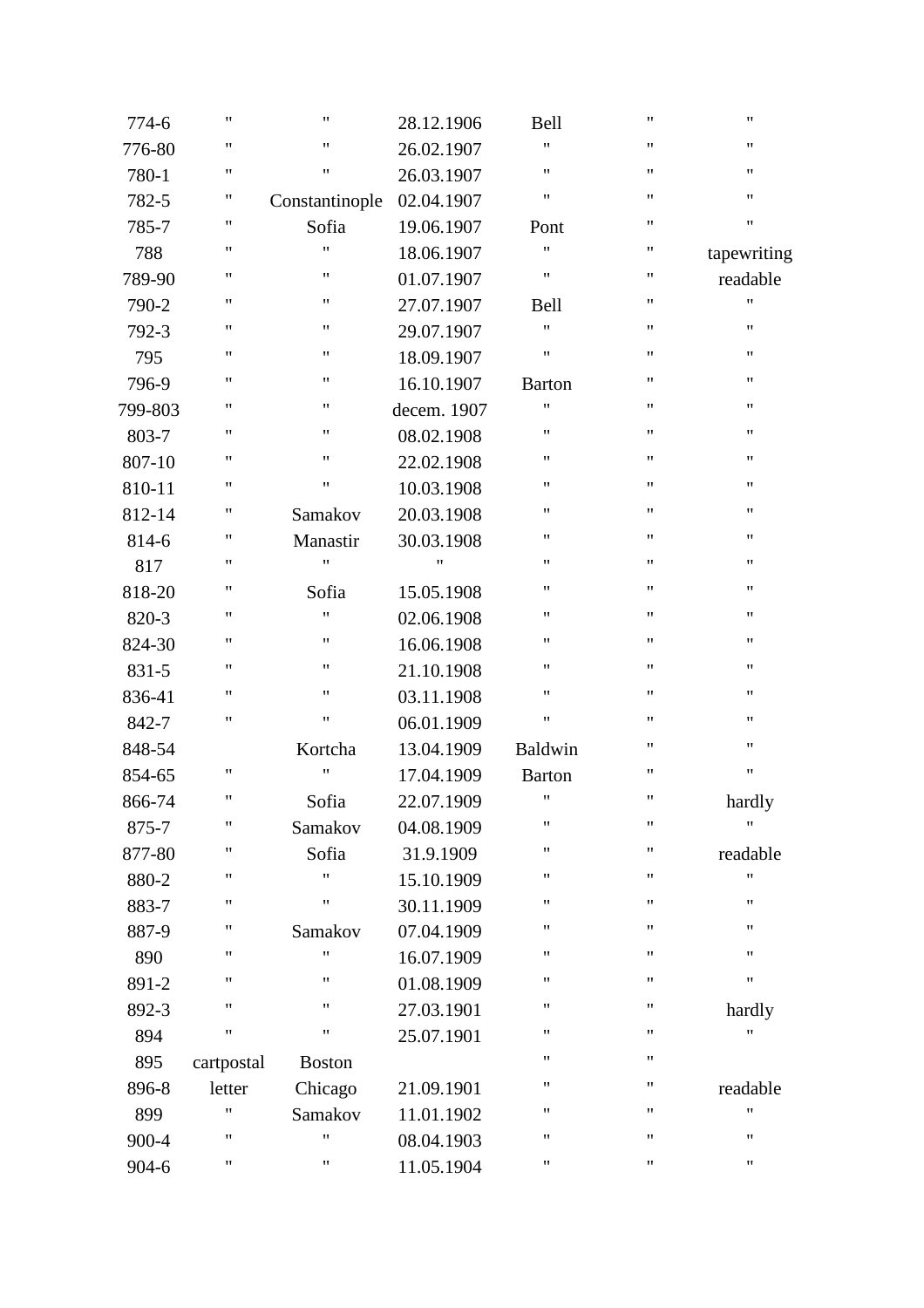| 774-6   | $\pmb{\mathsf{H}}$ | 11             | 28.12.1906  | <b>Bell</b>        | $\pmb{\mathsf{H}}$ | 11                 |
|---------|--------------------|----------------|-------------|--------------------|--------------------|--------------------|
| 776-80  | $\pmb{\mathsf{H}}$ | 11             | 26.02.1907  | $\pmb{\mathsf{H}}$ | 11                 | $\pmb{\mathsf{H}}$ |
| 780-1   | $\pmb{\mathsf{H}}$ | Ħ              | 26.03.1907  | $\pmb{\mathsf{H}}$ | 11                 | $\pmb{\mathsf{H}}$ |
| 782-5   | 11                 | Constantinople | 02.04.1907  | $\pmb{\mathsf{H}}$ | "                  | $\pmb{\mathsf{H}}$ |
| 785-7   | 11                 | Sofia          | 19.06.1907  | Pont               | $\pmb{\mathsf{H}}$ | $\pmb{\mathsf{H}}$ |
| 788     | 11                 | Ħ              | 18.06.1907  | $\pmb{\mathsf{H}}$ | $\pmb{\mathsf{H}}$ | tapewriting        |
| 789-90  | 11                 | 11             | 01.07.1907  | $\pmb{\mathsf{H}}$ | $\pmb{\mathsf{H}}$ | readable           |
| 790-2   | $\pmb{\mathsf{H}}$ | 11             | 27.07.1907  | Bell               | "                  | 11                 |
| 792-3   | $\pmb{\mathsf{H}}$ | 11             | 29.07.1907  | $\pmb{\mathsf{H}}$ | "                  | 11                 |
| 795     | 11                 | 11             | 18.09.1907  | $\pmb{\mathsf{H}}$ | 11                 | $\pmb{\mathsf{H}}$ |
| 796-9   | 11                 | 11             | 16.10.1907  | <b>Barton</b>      | 11                 | $\pmb{\mathsf{H}}$ |
| 799-803 | $\pmb{\mathsf{H}}$ | 11             | decem. 1907 | $\pmb{\mathsf{H}}$ | 11                 | $\pmb{\mathsf{H}}$ |
| 803-7   | $\pmb{\mathsf{H}}$ | 11             | 08.02.1908  | $\pmb{\mathsf{H}}$ | 11                 | $\pmb{\mathsf{H}}$ |
| 807-10  | $\pmb{\mathsf{H}}$ | "              | 22.02.1908  | $\pmb{\mathsf{H}}$ | "                  | 11                 |
| 810-11  | 11                 | "              | 10.03.1908  | $\pmb{\mathsf{H}}$ | 11                 | 11                 |
| 812-14  | 11                 | Samakov        | 20.03.1908  | $\pmb{\mathsf{H}}$ | 11                 | $\pmb{\mathsf{H}}$ |
| 814-6   | 11                 | Manastir       | 30.03.1908  | $\pmb{\mathsf{H}}$ | 11                 | $\pmb{\mathsf{H}}$ |
| 817     | $\pmb{\mathsf{H}}$ | 11             | 11          | $\pmb{\mathsf{H}}$ | 11                 | $\pmb{\mathsf{H}}$ |
| 818-20  | 11                 | Sofia          | 15.05.1908  | $\pmb{\mathsf{H}}$ | "                  | 11                 |
| 820-3   | 11                 | Ħ              | 02.06.1908  | $\pmb{\mathsf{H}}$ | 11                 | 11                 |
| 824-30  | 11                 | 11             | 16.06.1908  | $\pmb{\mathsf{H}}$ | 11                 | $\pmb{\mathsf{H}}$ |
| 831-5   | $\pmb{\mathsf{H}}$ | 11             | 21.10.1908  | $\pmb{\mathsf{H}}$ | 11                 | $\pmb{\mathsf{H}}$ |
| 836-41  | $\pmb{\mathsf{H}}$ | 11             | 03.11.1908  | $\pmb{\mathsf{H}}$ | "                  | $\pmb{\mathsf{H}}$ |
| 842-7   | 11                 | 11             | 06.01.1909  | $\pmb{\mathsf{H}}$ | 11                 | 11                 |
| 848-54  |                    | Kortcha        | 13.04.1909  | Baldwin            | 11                 | 11                 |
| 854-65  | $\pmb{\mathsf{H}}$ | Ħ              | 17.04.1909  | <b>Barton</b>      | $\pmb{\mathsf{H}}$ | 11                 |
| 866-74  | $\pmb{\mathsf{H}}$ | Sofia          | 22.07.1909  | $\pmb{\mathsf{H}}$ | $\pmb{\mathsf{H}}$ | hardly             |
| 875-7   | 11                 | Samakov        | 04.08.1909  | $\pmb{\mathsf{H}}$ | 11                 | $\pmb{\mathsf{H}}$ |
| 877-80  | 11                 | Sofia          | 31.9.1909   | $\pmb{\mathsf{H}}$ | "                  | readable           |
| 880-2   | 11                 | Ħ              | 15.10.1909  | $\pmb{\mathsf{H}}$ | 11                 | 11                 |
| 883-7   | 11                 | 11             | 30.11.1909  | $\pmb{\mathsf{H}}$ | 11                 | $\pmb{\mathsf{H}}$ |
| 887-9   | 11                 | Samakov        | 07.04.1909  | $\pmb{\mathsf{H}}$ | 11                 | $\pmb{\mathsf{H}}$ |
| 890     | 11                 | Ħ              | 16.07.1909  | $\pmb{\mathsf{H}}$ | 11                 | $\pmb{\mathsf{H}}$ |
| 891-2   | 11                 | 11             | 01.08.1909  | $\pmb{\mathsf{H}}$ | 11                 | 11                 |
| 892-3   | 11                 | 11             | 27.03.1901  | $\pmb{\mathsf{H}}$ | "                  | hardly             |
| 894     | "                  | Ħ              | 25.07.1901  | $\pmb{\mathsf{H}}$ | "                  | 11                 |
| 895     | cartpostal         | <b>Boston</b>  |             | $\pmb{\mathsf{H}}$ | $\pmb{\mathsf{H}}$ |                    |
| 896-8   | letter             | Chicago        | 21.09.1901  | $\pmb{\mathsf{H}}$ | "                  | readable           |
| 899     | 11                 | Samakov        | 11.01.1902  | $\pmb{\mathsf{H}}$ | 11                 | 11                 |
| 900-4   | 11                 | Ħ              | 08.04.1903  | $\pmb{\mathsf{H}}$ | 11                 | $\pmb{\mathsf{H}}$ |
| 904-6   | 11                 | Ħ              | 11.05.1904  | 11                 | 11                 | $\pmb{\mathsf{H}}$ |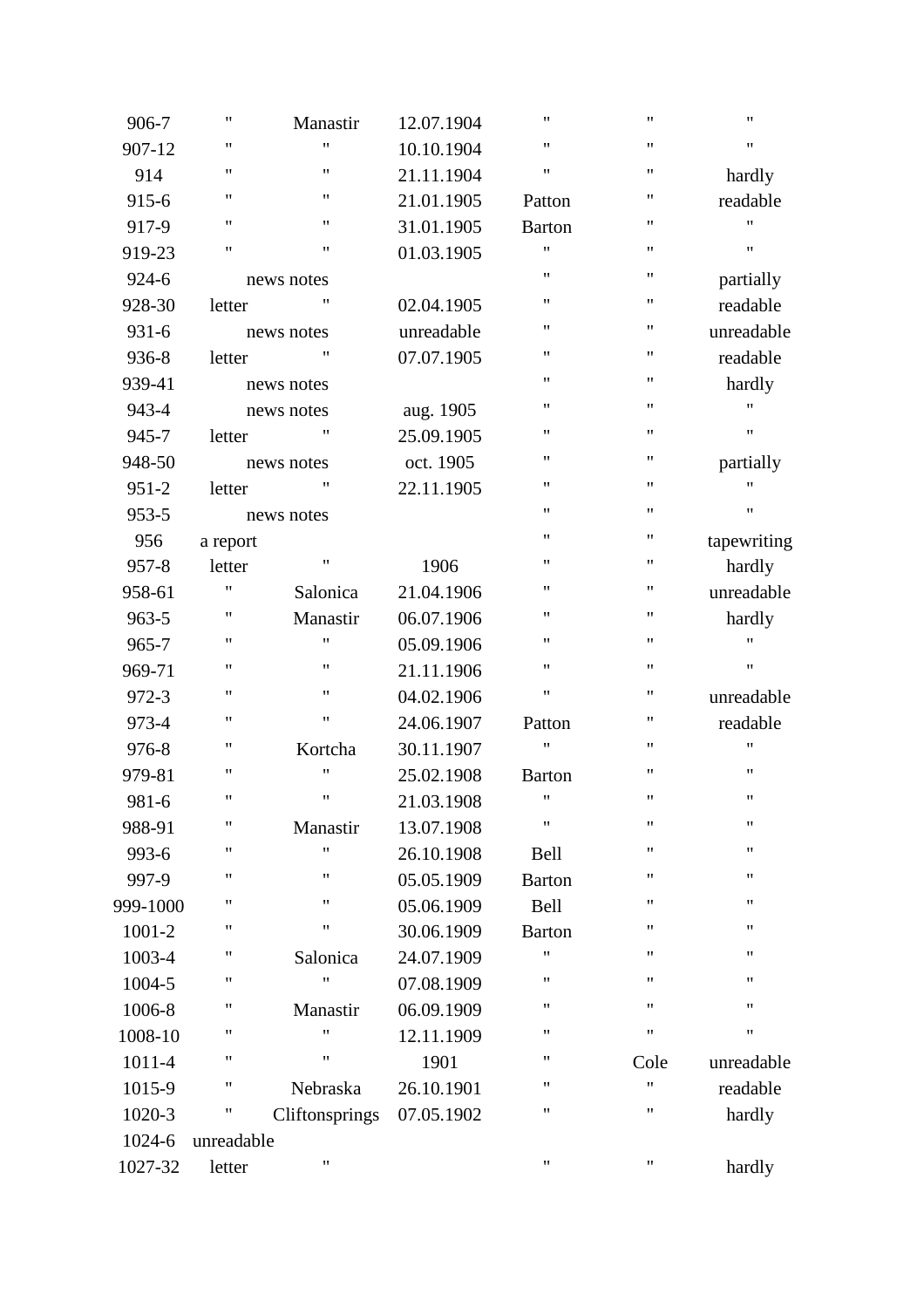| 906-7     | $\pmb{\mathsf{H}}$ | Manastir           | 12.07.1904 | $\pmb{\mathsf{H}}$ | Ħ                  | 11          |
|-----------|--------------------|--------------------|------------|--------------------|--------------------|-------------|
| 907-12    | 11                 | Ħ                  | 10.10.1904 | $\pmb{\mathsf{H}}$ | 11                 | 11          |
| 914       | 11                 | $\pmb{\mathsf{H}}$ | 21.11.1904 | $\pmb{\mathsf{H}}$ | $\pmb{\mathsf{H}}$ | hardly      |
| 915-6     | 11                 | $\pmb{\mathsf{H}}$ | 21.01.1905 | Patton             | 11                 | readable    |
| 917-9     | 11                 | $\pmb{\mathsf{H}}$ | 31.01.1905 | <b>Barton</b>      | $\pmb{\mathsf{H}}$ | Ħ           |
| 919-23    | $\mathbf{H}$       | $\pmb{\mathsf{H}}$ | 01.03.1905 | $\pmb{\mathsf{H}}$ | 11                 | Ħ           |
| 924-6     |                    | news notes         |            | $\pmb{\mathsf{H}}$ | 11                 | partially   |
| 928-30    | letter             | 11                 | 02.04.1905 | $\pmb{\mathsf{H}}$ | "                  | readable    |
| 931-6     |                    | news notes         | unreadable | $\pmb{\mathsf{H}}$ | 11                 | unreadable  |
| 936-8     | letter             | 11                 | 07.07.1905 | $\pmb{\mathsf{H}}$ | $\pmb{\mathsf{H}}$ | readable    |
| 939-41    |                    | news notes         |            | $\pmb{\mathsf{H}}$ | 11                 | hardly      |
| 943-4     |                    | news notes         | aug. 1905  | $\pmb{\mathsf{H}}$ | "                  | "           |
| 945-7     | letter             | 11                 | 25.09.1905 | $\pmb{\mathsf{H}}$ | $\pmb{\mathsf{H}}$ | 11          |
| 948-50    |                    | news notes         | oct. 1905  | $\pmb{\mathsf{H}}$ | 11                 | partially   |
| $951 - 2$ | letter             | 11                 | 22.11.1905 | $\pmb{\mathsf{H}}$ | $\pmb{\mathsf{H}}$ | 11          |
| 953-5     |                    | news notes         |            | $\pmb{\mathsf{H}}$ | 11                 | 11          |
| 956       | a report           |                    |            | $\pmb{\mathsf{H}}$ | 11                 | tapewriting |
| $957 - 8$ | letter             | 11                 | 1906       | $\pmb{\mathsf{H}}$ | 11                 | hardly      |
| 958-61    | $\mathbf{H}$       | Salonica           | 21.04.1906 | $\pmb{\mathsf{H}}$ | 11                 | unreadable  |
| 963-5     | 11                 | Manastir           | 06.07.1906 | $\pmb{\mathsf{H}}$ | 11                 | hardly      |
| 965-7     | 11                 | $\pmb{\mathsf{H}}$ | 05.09.1906 | $\pmb{\mathsf{H}}$ | 11                 | Ħ           |
| 969-71    | 11                 | $\pmb{\mathsf{H}}$ | 21.11.1906 | $\pmb{\mathsf{H}}$ | 11                 | 11          |
| 972-3     | $\pmb{\mathsf{H}}$ | $\pmb{\mathsf{H}}$ | 04.02.1906 | $\pmb{\mathsf{H}}$ | 11                 | unreadable  |
| 973-4     | 11                 | $\pmb{\mathsf{H}}$ | 24.06.1907 | Patton             | "                  | readable    |
| 976-8     | 11                 | Kortcha            | 30.11.1907 | $\pmb{\mathsf{H}}$ | $\pmb{\mathsf{H}}$ | 11          |
| 979-81    | $\mathbf{H}$       | 11                 | 25.02.1908 | <b>Barton</b>      | $\pmb{\mathsf{H}}$ | 11          |
| 981-6     | 11                 | $\pmb{\mathsf{H}}$ | 21.03.1908 | $\pmb{\mathsf{H}}$ | 11                 | 11          |
| 988-91    | 11                 | Manastir           | 13.07.1908 | $\pmb{\mathsf{H}}$ | $^{\prime}$        | 11          |
| 993-6     | $\mathbf{H}$       | 11                 | 26.10.1908 | <b>Bell</b>        | $\pmb{\mathsf{H}}$ | 11          |
| 997-9     | 11                 | $\pmb{\mathsf{H}}$ | 05.05.1909 | <b>Barton</b>      | 11                 | 11          |
| 999-1000  | 11                 | 11                 | 05.06.1909 | Bell               | 11                 | 11          |
| 1001-2    | 11                 | $\pmb{\mathsf{H}}$ | 30.06.1909 | <b>Barton</b>      | 11                 | 11          |
| 1003-4    | 11                 | Salonica           | 24.07.1909 | $\pmb{\mathsf{H}}$ | 11                 | 11          |
| 1004-5    | 11                 | $\pmb{\mathsf{H}}$ | 07.08.1909 | $\pmb{\mathsf{H}}$ | $\pmb{\mathsf{H}}$ | 11          |
| 1006-8    | "                  | Manastir           | 06.09.1909 | $\pmb{\mathsf{H}}$ | $\pmb{\mathsf{H}}$ | 11          |
| 1008-10   | "                  | Ħ                  | 12.11.1909 | $\pmb{\mathsf{H}}$ | Ħ                  | Ħ           |
| 1011-4    | 11                 | Ħ                  | 1901       | 11                 | Cole               | unreadable  |
| 1015-9    | Ħ                  | Nebraska           | 26.10.1901 | $\pmb{\mathsf{H}}$ | $\pmb{\mathsf{H}}$ | readable    |
| 1020-3    | Ħ                  | Cliftonsprings     | 07.05.1902 | $\pmb{\mathsf{H}}$ | 11                 | hardly      |
| 1024-6    | unreadable         |                    |            |                    |                    |             |
| 1027-32   | letter             | 11                 |            | $\pmb{\mathsf{H}}$ | 11                 | hardly      |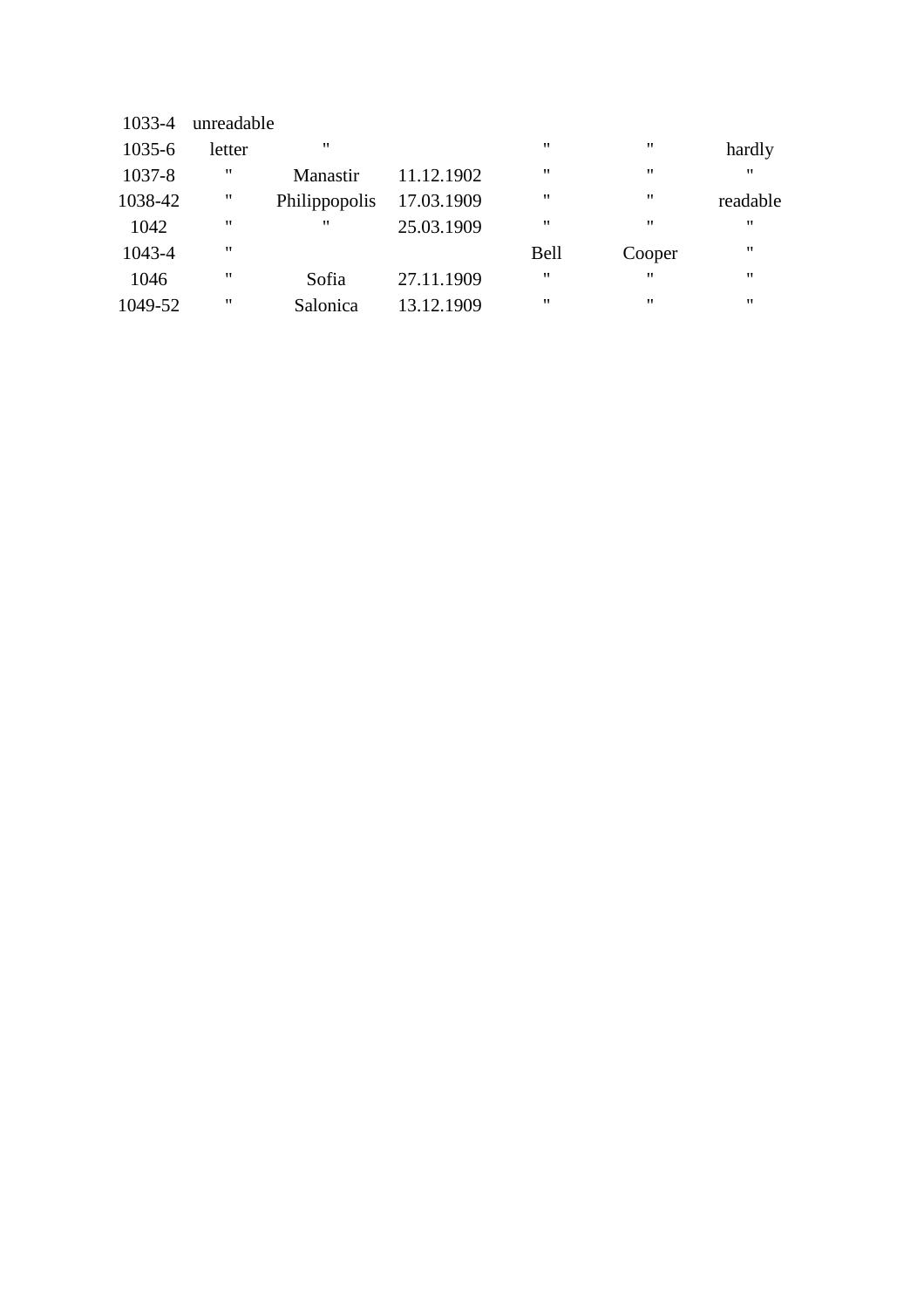| 1033-4  | unreadable         |                   |            |                   |                   |                   |
|---------|--------------------|-------------------|------------|-------------------|-------------------|-------------------|
| 1035-6  | letter             | $^{\prime\prime}$ |            | $^{\prime\prime}$ | $^{\prime\prime}$ | hardly            |
| 1037-8  | "                  | Manastir          | 11.12.1902 | $^{\prime\prime}$ | $^{\prime}$       | $^{\prime\prime}$ |
| 1038-42 | $\pmb{\mathsf{H}}$ | Philippopolis     | 17.03.1909 | "                 | "                 | readable          |
| 1042    | $\pmb{\mathsf{H}}$ | $^{\prime\prime}$ | 25.03.1909 | $^{\prime\prime}$ | $^{\prime\prime}$ | $^{\prime\prime}$ |
| 1043-4  | $^{\prime\prime}$  |                   |            | <b>Bell</b>       | Cooper            | $^{\prime\prime}$ |
| 1046    | 11                 | Sofia             | 27.11.1909 | $^{\prime\prime}$ | $^{\prime\prime}$ | $^{\prime\prime}$ |
| 1049-52 | "                  | Salonica          | 13.12.1909 | "                 | "                 | "                 |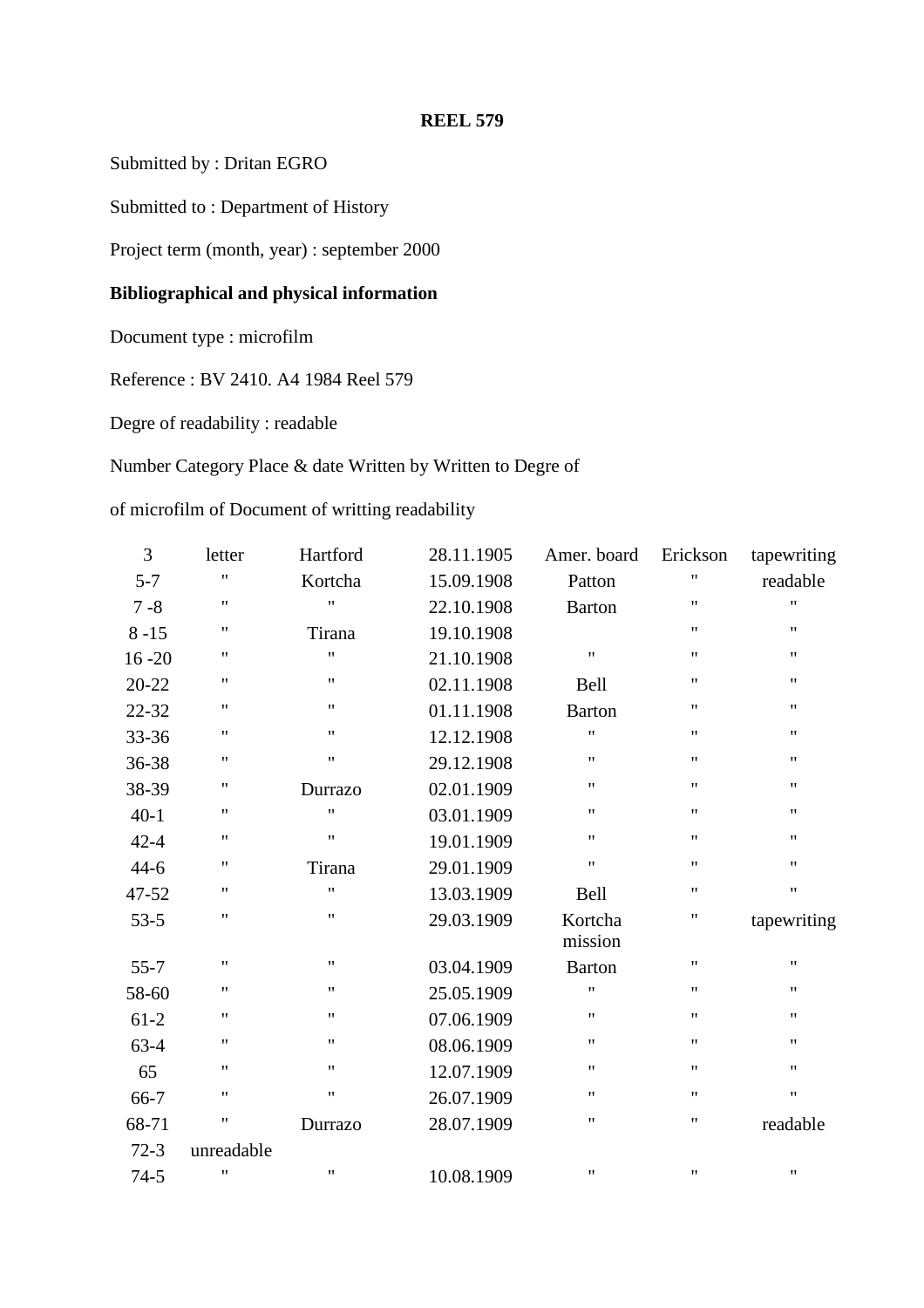Submitted by : Dritan EGRO

Submitted to : Department of History

Project term (month, year) : september 2000

## **Bibliographical and physical information**

Document type : microfilm

Reference : BV 2410. A4 1984 Reel 579

Degre of readability : readable

## Number Category Place & date Written by Written to Degre of

of microfilm of Document of writting readability

| 3         | letter             | Hartford           | 28.11.1905 | Amer. board        | Erickson                  | tapewriting        |
|-----------|--------------------|--------------------|------------|--------------------|---------------------------|--------------------|
| $5 - 7$   | $\pmb{\mathsf{H}}$ | Kortcha            | 15.09.1908 | Patton             | $\pmb{\mathsf{H}}$        | readable           |
| $7 - 8$   | $\pmb{\mathsf{H}}$ | $\bar{\mathbf{H}}$ | 22.10.1908 | <b>Barton</b>      | $^{\dagger}$              | $\pmb{\mathsf{H}}$ |
| $8 - 15$  | $\pmb{\mathsf{H}}$ | Tirana             | 19.10.1908 |                    | $^{\prime\prime}$         | $\pmb{\mathsf{H}}$ |
| $16 - 20$ | $\pmb{\mathsf{H}}$ | $\pmb{\mathsf{H}}$ | 21.10.1908 | Ħ                  | $\pmb{\mathsf{H}}$        | 11                 |
| $20 - 22$ | $\pmb{\mathsf{H}}$ | $\pmb{\mathsf{H}}$ | 02.11.1908 | <b>Bell</b>        | $\pmb{\mathsf{H}}$        | $\pmb{\mathsf{H}}$ |
| 22-32     | $\pmb{\mathsf{H}}$ | $\pmb{\mathsf{H}}$ | 01.11.1908 | <b>Barton</b>      | $\pmb{\mathsf{H}}$        | $\pmb{\mathsf{H}}$ |
| 33-36     | $\pmb{\mathsf{H}}$ | $\pmb{\mathsf{H}}$ | 12.12.1908 | Ħ                  | $\pmb{\mathsf{H}}$        | $\pmb{\mathsf{H}}$ |
| 36-38     | $\pmb{\mathsf{H}}$ | $\pmb{\mathsf{H}}$ | 29.12.1908 | 11                 | $\mathbf{H}$              | $\pmb{\mathsf{H}}$ |
| 38-39     | $\pmb{\mathsf{H}}$ | Durrazo            | 02.01.1909 | 11                 | $\pmb{\mathsf{H}}$        | 11                 |
| $40-1$    | $\pmb{\mathsf{H}}$ | $\pmb{\mathsf{H}}$ | 03.01.1909 | 11                 | $\pmb{\mathsf{H}}$        | $\pmb{\mathsf{H}}$ |
| $42 - 4$  | $\pmb{\mathsf{H}}$ | $\pmb{\mathsf{H}}$ | 19.01.1909 | 11                 | $\pmb{\mathsf{H}}$        | $\pmb{\mathsf{H}}$ |
| $44 - 6$  | $\pmb{\mathsf{H}}$ | Tirana             | 29.01.1909 | 11                 | $\boldsymbol{\mathsf{H}}$ | $\pmb{\mathsf{H}}$ |
| 47-52     | $\pmb{\mathsf{H}}$ | $^{\dagger}$       | 13.03.1909 | <b>Bell</b>        | $\boldsymbol{\mathsf{H}}$ | $\pmb{\mathsf{H}}$ |
| $53 - 5$  | $^{\prime\prime}$  | $\pmb{\mathsf{H}}$ | 29.03.1909 | Kortcha<br>mission | 11                        | tapewriting        |
| $55 - 7$  | $\pmb{\mathsf{H}}$ | $\pmb{\mathsf{H}}$ | 03.04.1909 | <b>Barton</b>      | $\pmb{\mathsf{H}}$        | $\pmb{\mathsf{H}}$ |
| 58-60     | 11                 | $\pmb{\mathsf{H}}$ | 25.05.1909 | Ħ                  | $\pmb{\mathsf{H}}$        | $\pmb{\mathsf{H}}$ |
| $61-2$    | $\pmb{\mathsf{H}}$ | $\pmb{\mathsf{H}}$ | 07.06.1909 | 11                 | $\pmb{\mathsf{H}}$        | $\pmb{\mathsf{H}}$ |
| $63-4$    | $\pmb{\mathsf{H}}$ | $\pmb{\mathsf{H}}$ | 08.06.1909 | 11                 | $\pmb{\mathsf{H}}$        | $\pmb{\mathsf{H}}$ |
| 65        | $\pmb{\mathsf{H}}$ | $\pmb{\mathsf{H}}$ | 12.07.1909 | Ħ                  | $^{\prime\prime}$         | $\pmb{\mathsf{H}}$ |
| 66-7      | $\pmb{\mathsf{H}}$ | $\pmb{\mathsf{H}}$ | 26.07.1909 | 11                 | $\pmb{\mathsf{H}}$        | $\pmb{\mathsf{H}}$ |
| 68-71     | 11                 | Durrazo            | 28.07.1909 | 11                 | $\pmb{\mathsf{H}}$        | readable           |
| $72-3$    | unreadable         |                    |            |                    |                           |                    |
| $74 - 5$  | $\mathbf{H}$       | $\pmb{\mathsf{H}}$ | 10.08.1909 | 11                 | $\pmb{\mathsf{H}}$        | $\pmb{\mathsf{H}}$ |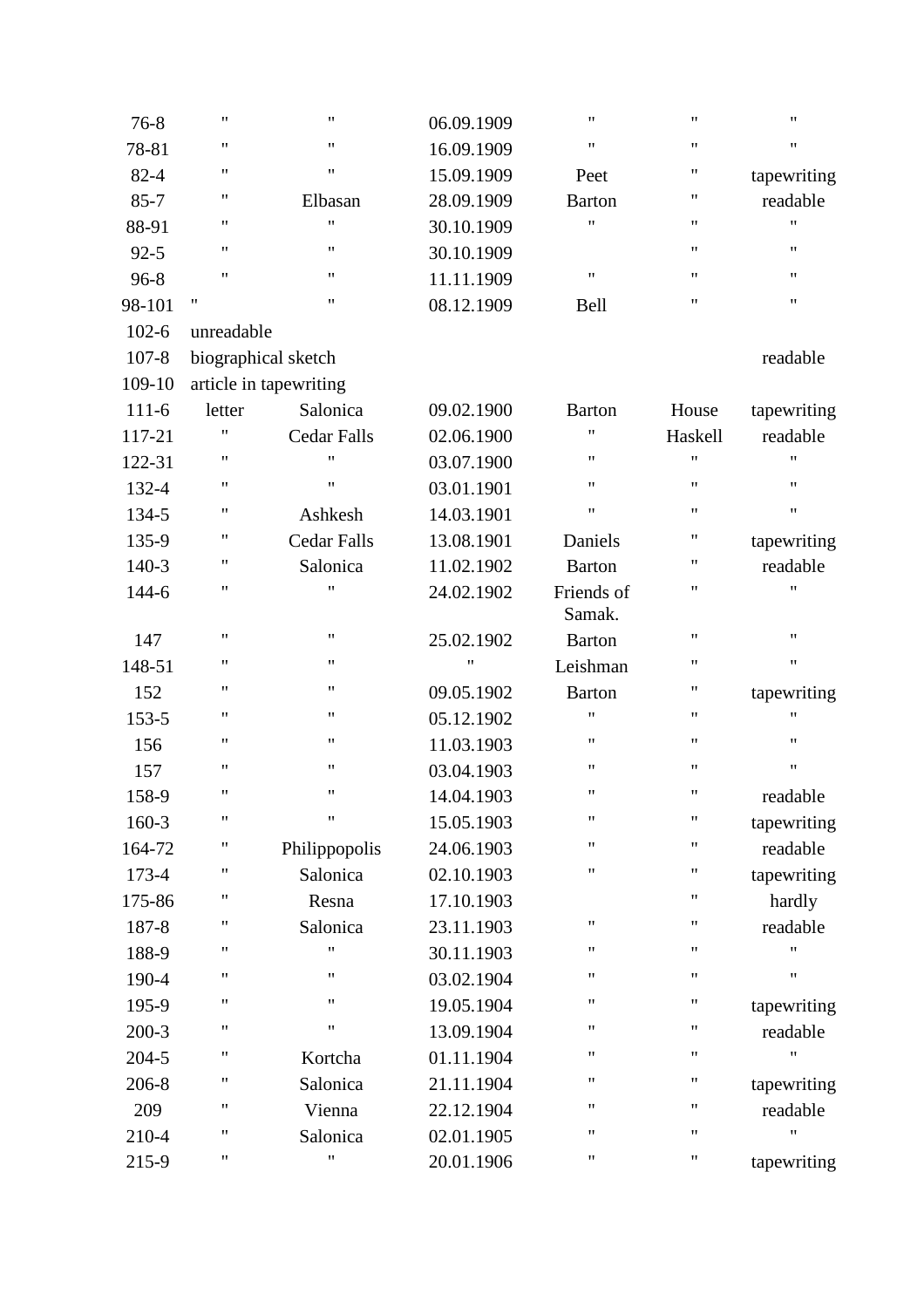| $76 - 8$  | $\pmb{\mathsf{H}}$ | $\pmb{\mathsf{H}}$     | 06.09.1909 | $\pmb{\mathsf{H}}$   | $\pmb{\mathsf{H}}$ | $\pmb{\mathsf{H}}$ |
|-----------|--------------------|------------------------|------------|----------------------|--------------------|--------------------|
| 78-81     | 11                 | $\pmb{\mathsf{H}}$     | 16.09.1909 | $\pmb{\mathsf{H}}$   | $\pmb{\mathsf{H}}$ | Ħ                  |
| $82 - 4$  | 11                 | $\pmb{\mathsf{H}}$     | 15.09.1909 | Peet                 | 11                 | tapewriting        |
| $85 - 7$  | 11                 | Elbasan                | 28.09.1909 | <b>Barton</b>        | $\pmb{\mathsf{H}}$ | readable           |
| 88-91     | 11                 | $\pmb{\mathsf{H}}$     | 30.10.1909 | $^{\prime}$          | 11                 | Ħ                  |
| $92 - 5$  | 11                 | $\pmb{\mathsf{H}}$     | 30.10.1909 |                      | $^{\prime\prime}$  | $\pmb{\mathsf{H}}$ |
| $96 - 8$  | 11                 | $\pmb{\mathsf{H}}$     | 11.11.1909 | $\pmb{\mathsf{H}}$   | $\pmb{\mathsf{H}}$ | $\pmb{\mathsf{H}}$ |
| 98-101    | 11                 | $\pmb{\mathsf{H}}$     | 08.12.1909 | Bell                 | $\pmb{\mathsf{H}}$ | 11                 |
| $102 - 6$ | unreadable         |                        |            |                      |                    |                    |
| $107 - 8$ |                    | biographical sketch    |            |                      |                    | readable           |
| 109-10    |                    | article in tapewriting |            |                      |                    |                    |
| $111-6$   | letter             | Salonica               | 09.02.1900 | <b>Barton</b>        | House              | tapewriting        |
| 117-21    | 11                 | <b>Cedar Falls</b>     | 02.06.1900 | 11                   | Haskell            | readable           |
| 122-31    | 11                 | 11                     | 03.07.1900 | 11                   | 11                 | "                  |
| 132-4     | 11                 | $\pmb{\mathsf{H}}$     | 03.01.1901 | $\pmb{\mathsf{H}}$   | $\pmb{\mathsf{H}}$ | 11                 |
| 134-5     | 11                 | Ashkesh                | 14.03.1901 | $\pmb{\mathsf{H}}$   | $^{\prime\prime}$  | $\pmb{\mathsf{H}}$ |
| 135-9     | 11                 | <b>Cedar Falls</b>     | 13.08.1901 | Daniels              | 11                 | tapewriting        |
| 140-3     | 11                 | Salonica               | 11.02.1902 | <b>Barton</b>        | 11                 | readable           |
| 144-6     | 11                 | "                      | 24.02.1902 | Friends of<br>Samak. | 11                 | 11                 |
| 147       | $\pmb{\mathsf{H}}$ | $\pmb{\mathsf{H}}$     | 25.02.1902 | <b>Barton</b>        | $\pmb{\mathsf{H}}$ | $\pmb{\mathsf{H}}$ |
| 148-51    | 11                 | 11                     | 11         | Leishman             | $\pmb{\mathsf{H}}$ | $\pmb{\mathsf{H}}$ |
| 152       | 11                 | 11                     | 09.05.1902 | <b>Barton</b>        | 11                 | tapewriting        |
| 153-5     | 11                 | 11                     | 05.12.1902 | 11                   | 11                 | 11                 |
| 156       | 11                 | 11                     | 11.03.1903 | $\pmb{\mathsf{H}}$   | 11                 | 11                 |
| 157       | $\pmb{\mathsf{H}}$ | $\pmb{\mathsf{H}}$     | 03.04.1903 | $\pmb{\mathsf{H}}$   | $\pmb{\mathsf{H}}$ | $\pmb{\mathsf{H}}$ |
| 158-9     | 11                 | $\pmb{\mathsf{H}}$     | 14.04.1903 | $\pmb{\mathsf{H}}$   | $^{\dagger}$       | readable           |
| 160-3     | $\pmb{\mathsf{H}}$ | $\pmb{\mathsf{H}}$     | 15.05.1903 | $\pmb{\mathsf{H}}$   | $\pmb{\mathsf{H}}$ | tapewriting        |
| 164-72    | 11                 | Philippopolis          | 24.06.1903 | $\pmb{\mathsf{H}}$   | 11                 | readable           |
| 173-4     | 11                 | Salonica               | 02.10.1903 | $\pmb{\mathsf{H}}$   | 11                 | tapewriting        |
| 175-86    | 11                 | Resna                  | 17.10.1903 |                      | 11                 | hardly             |
| 187-8     | 11                 | Salonica               | 23.11.1903 | $\pmb{\mathsf{H}}$   | $\pmb{\mathsf{H}}$ | readable           |
| 188-9     | "                  | 11                     | 30.11.1903 | $\pmb{\mathsf{H}}$   | 11                 | 11                 |
| 190-4     | 11                 | 11                     | 03.02.1904 | $\pmb{\mathsf{H}}$   | 11                 | $\pmb{\mathsf{H}}$ |
| 195-9     | 11                 | 11                     | 19.05.1904 | $\pmb{\mathsf{H}}$   | 11                 | tapewriting        |
| $200-3$   | 11                 | $\pmb{\mathsf{H}}$     | 13.09.1904 | $\pmb{\mathsf{H}}$   | 11                 | readable           |
| 204-5     | 11                 | Kortcha                | 01.11.1904 | 11                   | $\pmb{\mathsf{H}}$ | Ħ                  |
| 206-8     | 11                 | Salonica               | 21.11.1904 | $\pmb{\mathsf{H}}$   | 11                 | tapewriting        |
| 209       | 11                 | Vienna                 | 22.12.1904 | 11                   | 11                 | readable           |
| 210-4     | 11                 | Salonica               | 02.01.1905 | $\pmb{\mathsf{H}}$   | $\pmb{\mathsf{H}}$ | Ħ                  |
| 215-9     | 11                 | $\pmb{\mathsf{H}}$     | 20.01.1906 | $\pmb{\mathsf{H}}$   | 11                 | tapewriting        |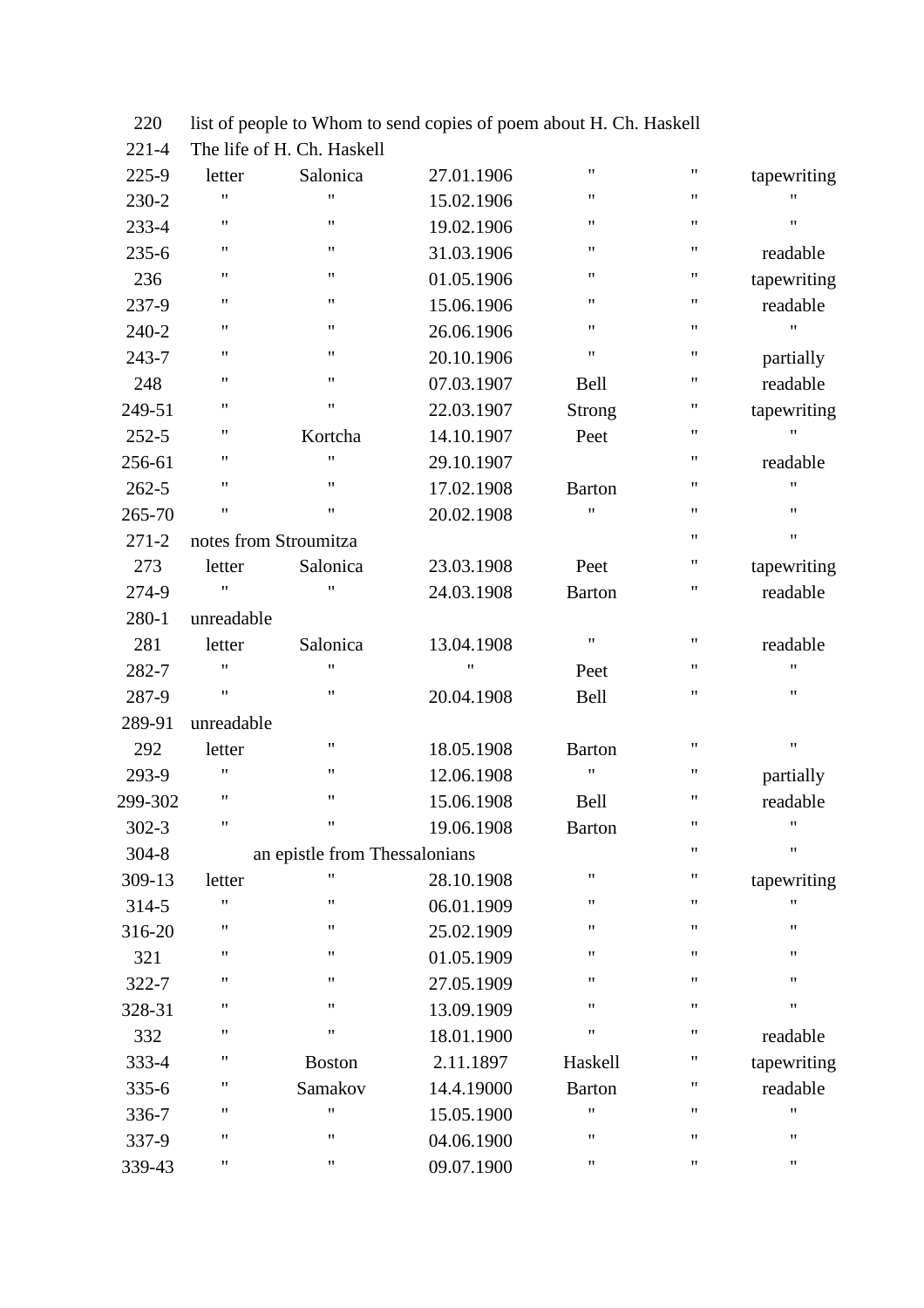| $221 - 4$ |                       | The life of H. Ch. Haskell    |            |                    |    |                    |
|-----------|-----------------------|-------------------------------|------------|--------------------|----|--------------------|
| 225-9     | letter                | Salonica                      | 27.01.1906 | $\pmb{\mathsf{H}}$ | 11 | tapewriting        |
| 230-2     | $\pmb{\mathsf{H}}$    | $\pmb{\mathsf{H}}$            | 15.02.1906 | 11                 | 11 | Ħ                  |
| 233-4     | $\pmb{\mathsf{H}}$    | $\pmb{\mathsf{H}}$            | 19.02.1906 | $\pmb{\mathsf{H}}$ | 11 | Ħ                  |
| $235 - 6$ | $\pmb{\mathsf{H}}$    | $\pmb{\mathsf{H}}$            | 31.03.1906 | $\pmb{\mathsf{H}}$ | 11 | readable           |
| 236       | $\pmb{\mathsf{H}}$    | $\pmb{\mathsf{H}}$            | 01.05.1906 | Ħ                  | 11 | tapewriting        |
| 237-9     | 11                    | $\pmb{\mathsf{H}}$            | 15.06.1906 | $\pmb{\mathsf{H}}$ | 11 | readable           |
| 240-2     | 11                    | $\pmb{\mathsf{H}}$            | 26.06.1906 | 11                 | 11 | 11                 |
| 243-7     | $\pmb{\mathsf{H}}$    | $\pmb{\mathsf{H}}$            | 20.10.1906 | $\pmb{\mathsf{H}}$ | 11 | partially          |
| 248       | $\pmb{\mathsf{H}}$    | $\pmb{\mathsf{H}}$            | 07.03.1907 | Bell               | 11 | readable           |
| 249-51    | $\pmb{\mathsf{H}}$    | $\pmb{\mathsf{H}}$            | 22.03.1907 | <b>Strong</b>      | 11 | tapewriting        |
| $252 - 5$ | 11                    | Kortcha                       | 14.10.1907 | Peet               | 11 | 11                 |
| 256-61    | 11                    | $\pmb{\mathsf{H}}$            | 29.10.1907 |                    | 11 | readable           |
| $262 - 5$ | $\pmb{\mathsf{H}}$    | $\pmb{\mathsf{H}}$            | 17.02.1908 | <b>Barton</b>      | 11 | 11                 |
| 265-70    | $\pmb{\mathsf{H}}$    | $\pmb{\mathsf{H}}$            | 20.02.1908 | Ħ                  | 11 | 11                 |
| $271 - 2$ | notes from Stroumitza |                               |            |                    | 11 | Ħ                  |
| 273       | letter                | Salonica                      | 23.03.1908 | Peet               | 11 | tapewriting        |
| 274-9     | $\pmb{\mathsf{H}}$    | $\pmb{\mathsf{H}}$            | 24.03.1908 | <b>Barton</b>      | 11 | readable           |
| 280-1     | unreadable            |                               |            |                    |    |                    |
| 281       | letter                | Salonica                      | 13.04.1908 | $\pmb{\mathsf{H}}$ | 11 | readable           |
| 282-7     | $^{\dagger}$          | $\pmb{\mathsf{H}}$            | "          | Peet               | 11 | Ħ                  |
| 287-9     | $\pmb{\mathsf{H}}$    | $\pmb{\mathsf{H}}$            | 20.04.1908 | <b>Bell</b>        | 11 | 11                 |
| 289-91    | unreadable            |                               |            |                    |    |                    |
| 292       | letter                | $\pmb{\mathsf{H}}$            | 18.05.1908 | <b>Barton</b>      | 11 | $\pmb{\mathsf{H}}$ |
| 293-9     | $\pmb{\mathsf{H}}$    | $\pmb{\mathsf{H}}$            | 12.06.1908 | $\pmb{\mathsf{H}}$ | 11 | partially          |
| 299-302   | $\pmb{\mathsf{H}}$    | $\pmb{\mathsf{H}}$            | 15.06.1908 | Bell               | 11 | readable           |
| $302 - 3$ | 11                    | $\pmb{\mathsf{H}}$            | 19.06.1908 | <b>Barton</b>      | 11 | 11                 |
| $304 - 8$ |                       | an epistle from Thessalonians |            |                    | 11 | Ħ                  |
| 309-13    | letter                | 11                            | 28.10.1908 | $\pmb{\mathsf{H}}$ | 11 | tapewriting        |
| 314-5     | $\pmb{\mathsf{H}}$    | $\pmb{\mathsf{H}}$            | 06.01.1909 | $\pmb{\mathsf{H}}$ | 11 | Ħ                  |
| 316-20    | $\pmb{\mathsf{H}}$    | $\pmb{\mathsf{H}}$            | 25.02.1909 | Ħ                  | 11 | 11                 |
| 321       | $\pmb{\mathsf{H}}$    | $\pmb{\mathsf{H}}$            | 01.05.1909 | $\pmb{\mathsf{H}}$ | 11 | 11                 |
| 322-7     | $\pmb{\mathsf{H}}$    | $\pmb{\mathsf{H}}$            | 27.05.1909 | $\pmb{\mathsf{H}}$ | 11 | 11                 |
| 328-31    | $\pmb{\mathsf{H}}$    | $\pmb{\mathsf{H}}$            | 13.09.1909 | $\pmb{\mathsf{H}}$ | 11 | 11                 |
| 332       | $\pmb{\mathsf{H}}$    | $\pmb{\mathsf{H}}$            | 18.01.1900 | $\pmb{\mathsf{H}}$ | 11 | readable           |
| 333-4     | $\pmb{\mathsf{H}}$    | <b>Boston</b>                 | 2.11.1897  | Haskell            | 11 | tapewriting        |
| $335 - 6$ | $\pmb{\mathsf{H}}$    | Samakov                       | 14.4.19000 | <b>Barton</b>      | 11 | readable           |
| 336-7     | $\pmb{\mathsf{H}}$    | $\pmb{\mathsf{H}}$            | 15.05.1900 | Ħ                  | 11 | Ħ                  |
| 337-9     | $\pmb{\mathsf{H}}$    | $\pmb{\mathsf{H}}$            | 04.06.1900 | $\pmb{\mathsf{H}}$ | 11 | Ħ                  |
| 339-43    | 11                    | 11                            | 09.07.1900 | 11                 | 11 | 11                 |
|           |                       |                               |            |                    |    |                    |

220 list of people to Whom to send copies of poem about H. Ch. Haskell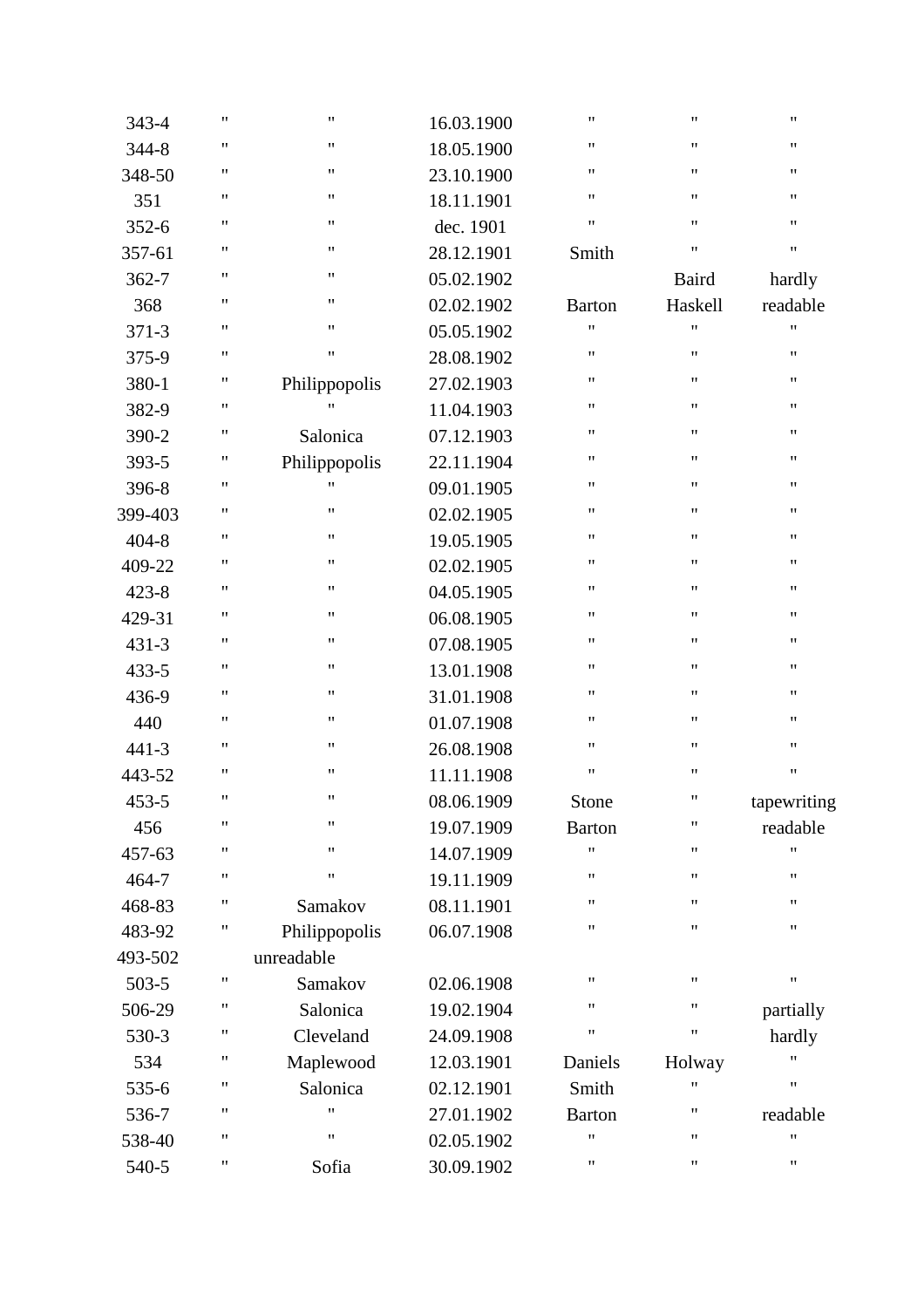| 343-4     | 11 | 11                 | 16.03.1900 | Ħ                  | $\pmb{\mathsf{H}}$ | 11          |
|-----------|----|--------------------|------------|--------------------|--------------------|-------------|
| 344-8     | 11 | Ħ                  | 18.05.1900 | Ħ                  | $\pmb{\mathsf{H}}$ | 11          |
| 348-50    | 11 | $\pmb{\mathsf{H}}$ | 23.10.1900 | Ħ                  | $\pmb{\mathsf{H}}$ | 11          |
| 351       | 11 | $\pmb{\mathsf{H}}$ | 18.11.1901 | $\pmb{\mathsf{H}}$ | 11                 | 11          |
| $352 - 6$ | 11 | 11                 | dec. 1901  | Ħ                  | $\pmb{\mathsf{H}}$ | 11          |
| 357-61    | Ħ  | 11                 | 28.12.1901 | Smith              | $\pmb{\mathsf{H}}$ | 11          |
| $362 - 7$ | 11 | 11                 | 05.02.1902 |                    | Baird              | hardly      |
| 368       | 11 | $\pmb{\mathsf{H}}$ | 02.02.1902 | <b>Barton</b>      | Haskell            | readable    |
| $371 - 3$ | 11 | 11                 | 05.05.1902 | Ħ                  | 11                 | 11          |
| 375-9     | 11 | 11                 | 28.08.1902 | 11                 | $\pmb{\mathsf{H}}$ | 11          |
| 380-1     | 11 | Philippopolis      | 27.02.1903 | 11                 | $\pmb{\mathsf{H}}$ | 11          |
| 382-9     | 11 | $^{\dagger}$       | 11.04.1903 | 11                 | 11                 | 11          |
| 390-2     | 11 | Salonica           | 07.12.1903 | $\pmb{\mathsf{H}}$ | $\pmb{\mathsf{H}}$ | 11          |
| 393-5     | Ħ  | Philippopolis      | 22.11.1904 | 11                 | $\pmb{\mathsf{H}}$ | 11          |
| 396-8     | 11 | $^{\dagger}$       | 09.01.1905 | 11                 | $\pmb{\mathsf{H}}$ | 11          |
| 399-403   | 11 | 11                 | 02.02.1905 | 11                 | $\pmb{\mathsf{H}}$ | 11          |
| $404 - 8$ | 11 | 11                 | 19.05.1905 | 11                 | 11                 | 11          |
| 409-22    | 11 | $\pmb{\mathsf{H}}$ | 02.02.1905 | 11                 | 11                 | 11          |
| $423 - 8$ | 11 | Ħ                  | 04.05.1905 | 11                 | $\pmb{\mathsf{H}}$ | 11          |
| 429-31    | 11 | 11                 | 06.08.1905 | 11                 | $\pmb{\mathsf{H}}$ | 11          |
| $431 - 3$ | 11 | 11                 | 07.08.1905 | 11                 | $\pmb{\mathsf{H}}$ | 11          |
| 433-5     | 11 | 11                 | 13.01.1908 | 11                 | 11                 | 11          |
| 436-9     | 11 | $\pmb{\mathsf{H}}$ | 31.01.1908 | 11                 | 11                 | 11          |
| 440       | 11 | Ħ                  | 01.07.1908 | Ħ                  | $\pmb{\mathsf{H}}$ | 11          |
| $441 - 3$ | 11 | 11                 | 26.08.1908 | 11                 | $\pmb{\mathsf{H}}$ | 11          |
| 443-52    | 11 | Ħ                  | 11.11.1908 | Ħ                  | $\pmb{\mathsf{H}}$ | 11          |
| $453 - 5$ | 11 | Ħ                  | 08.06.1909 | Stone              | 11                 | tapewriting |
| 456       | 11 | Ħ                  | 19.07.1909 | <b>Barton</b>      | $\pmb{\mathsf{H}}$ | readable    |
| 457-63    | 11 | Ħ                  | 14.07.1909 | Ħ                  | $\pmb{\mathsf{H}}$ | Ħ           |
| 464-7     | 11 | Ħ                  | 19.11.1909 | 11                 | 11                 | 11          |
| 468-83    | Ħ  | Samakov            | 08.11.1901 | 11                 | 11                 | 11          |
| 483-92    | Ħ  | Philippopolis      | 06.07.1908 | Ħ                  | 11                 | 11          |
| 493-502   |    | unreadable         |            |                    |                    |             |
| 503-5     | 11 | Samakov            | 02.06.1908 | Ħ                  | $\pmb{\mathsf{H}}$ | Ħ           |
| 506-29    | 11 | Salonica           | 19.02.1904 | 11                 | 11                 | partially   |
| 530-3     | Ħ  | Cleveland          | 24.09.1908 | Ħ                  | 11                 | hardly      |
| 534       | Ħ  | Maplewood          | 12.03.1901 | Daniels            | Holway             | "           |
| 535-6     | 11 | Salonica           | 02.12.1901 | Smith              | 11                 | 11          |
| 536-7     | 11 | 11                 | 27.01.1902 | <b>Barton</b>      | 11                 | readable    |
| 538-40    | 11 | 11                 | 02.05.1902 | 11                 | 11                 | 11          |
| 540-5     | 11 | Sofia              | 30.09.1902 | 11                 | 11                 | 11          |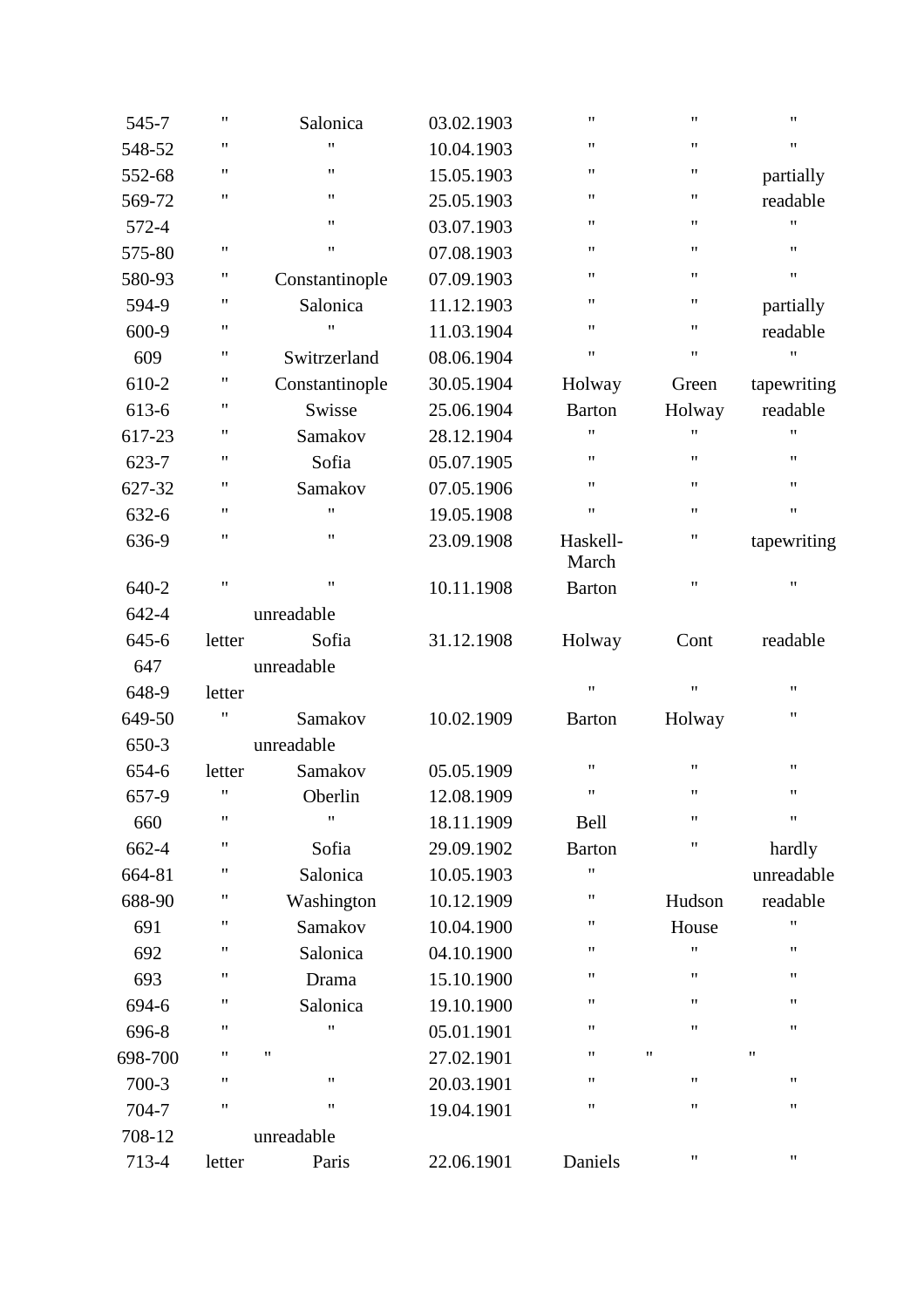| 545-7   | $\pmb{\mathsf{H}}$ | Salonica           | 03.02.1903 | $\pmb{\mathsf{H}}$ | $\pmb{\mathsf{H}}$ | $\pmb{\mathsf{H}}$ |
|---------|--------------------|--------------------|------------|--------------------|--------------------|--------------------|
| 548-52  | 11                 | 11                 | 10.04.1903 | $\pmb{\mathsf{H}}$ | $\pmb{\mathsf{H}}$ | $\pmb{\mathsf{H}}$ |
| 552-68  | 11                 | 11                 | 15.05.1903 | $\pmb{\mathsf{H}}$ | 11                 | partially          |
| 569-72  | $\pmb{\mathsf{H}}$ | $\pmb{\mathsf{H}}$ | 25.05.1903 | $\pmb{\mathsf{H}}$ | $^{\prime\prime}$  | readable           |
| 572-4   |                    | 11                 | 03.07.1903 | $\pmb{\mathsf{H}}$ | $\pmb{\mathsf{H}}$ | $\pmb{\mathsf{H}}$ |
| 575-80  | $\mathbf{H}$       | $\pmb{\mathsf{H}}$ | 07.08.1903 | $\pmb{\mathsf{H}}$ | $\pmb{\mathsf{H}}$ | $\pmb{\mathsf{H}}$ |
| 580-93  | 11                 | Constantinople     | 07.09.1903 | $\pmb{\mathsf{H}}$ | 11                 | $\pmb{\mathsf{H}}$ |
| 594-9   | 11                 | Salonica           | 11.12.1903 | $\pmb{\mathsf{H}}$ | $\pmb{\mathsf{H}}$ | partially          |
| 600-9   | Ħ                  | $\pmb{\mathsf{H}}$ | 11.03.1904 | $\pmb{\mathsf{H}}$ | 11                 | readable           |
| 609     | 11                 | Switrzerland       | 08.06.1904 | $\pmb{\mathsf{H}}$ | $\pmb{\mathsf{H}}$ | $\pmb{\mathsf{H}}$ |
| 610-2   | 11                 | Constantinople     | 30.05.1904 | Holway             | Green              | tapewriting        |
| 613-6   | 11                 | Swisse             | 25.06.1904 | <b>Barton</b>      | Holway             | readable           |
| 617-23  | 11                 | Samakov            | 28.12.1904 | $\pmb{\mathsf{H}}$ | "                  | 11                 |
| 623-7   | 11                 | Sofia              | 05.07.1905 | $\pmb{\mathsf{H}}$ | $\pmb{\mathsf{H}}$ | $\pmb{\mathsf{H}}$ |
| 627-32  | 11                 | Samakov            | 07.05.1906 | $\pmb{\mathsf{H}}$ | $\pmb{\mathsf{H}}$ | $\pmb{\mathsf{H}}$ |
| 632-6   | 11                 | 11                 | 19.05.1908 | $\pmb{\mathsf{H}}$ | $\pmb{\mathsf{H}}$ | $\pmb{\mathsf{H}}$ |
| 636-9   | 11                 | 11                 | 23.09.1908 | Haskell-<br>March  | 11                 | tapewriting        |
| 640-2   | $\pmb{\mathsf{H}}$ | $\pmb{\mathsf{H}}$ | 10.11.1908 | <b>Barton</b>      | $\pmb{\mathsf{H}}$ | $\pmb{\mathsf{H}}$ |
| 642-4   |                    | unreadable         |            |                    |                    |                    |
| 645-6   | letter             | Sofia              | 31.12.1908 | Holway             | Cont               | readable           |
| 647     |                    | unreadable         |            |                    |                    |                    |
| 648-9   | letter             |                    |            | $\pmb{\mathsf{H}}$ | $\pmb{\mathsf{H}}$ | $\pmb{\mathsf{H}}$ |
| 649-50  | 11                 | Samakov            | 10.02.1909 | <b>Barton</b>      | Holway             | $\pmb{\mathsf{H}}$ |
| 650-3   |                    | unreadable         |            |                    |                    |                    |
| 654-6   | letter             | Samakov            | 05.05.1909 | $\pmb{\mathsf{H}}$ | $\pmb{\mathsf{H}}$ | $\pmb{\mathsf{H}}$ |
| 657-9   | "                  | Oberlin            | 12.08.1909 | $\pmb{\mathsf{H}}$ | 11                 | 11                 |
| 660     | $\pmb{\mathsf{H}}$ | $^{\prime}$        | 18.11.1909 | Bell               | 11                 | $\pmb{\mathsf{H}}$ |
| 662-4   | Ħ                  | Sofia              | 29.09.1902 | <b>Barton</b>      | $\pmb{\mathsf{H}}$ | hardly             |
| 664-81  | 11                 | Salonica           | 10.05.1903 | $\pmb{\mathsf{H}}$ |                    | unreadable         |
| 688-90  | Ħ                  | Washington         | 10.12.1909 | $\pmb{\mathsf{H}}$ | Hudson             | readable           |
| 691     | 11                 | Samakov            | 10.04.1900 | 11                 | House              | 11                 |
| 692     | 11                 | Salonica           | 04.10.1900 | $\pmb{\mathsf{H}}$ | 11                 | 11                 |
| 693     | 11                 | Drama              | 15.10.1900 | $\pmb{\mathsf{H}}$ | 11                 | $\pmb{\mathsf{H}}$ |
| 694-6   | 11                 | Salonica           | 19.10.1900 | $\pmb{\mathsf{H}}$ | $\pmb{\mathsf{H}}$ | $\pmb{\mathsf{H}}$ |
| 696-8   | 11                 | Ħ                  | 05.01.1901 | $\pmb{\mathsf{H}}$ | $\pmb{\mathsf{H}}$ | $\pmb{\mathsf{H}}$ |
| 698-700 | 11                 | $\pmb{\mathsf{H}}$ | 27.02.1901 | $\pmb{\mathsf{H}}$ | $\pmb{\mathsf{H}}$ | $\pmb{\mathsf{H}}$ |
| 700-3   | 11                 | Ħ                  | 20.03.1901 | $\pmb{\mathsf{H}}$ | $\pmb{\mathsf{H}}$ | $\pmb{\mathsf{H}}$ |
| 704-7   | 11                 | $\pmb{\mathsf{H}}$ | 19.04.1901 | $\pmb{\mathsf{H}}$ | 11                 | $\pmb{\mathsf{H}}$ |
| 708-12  |                    | unreadable         |            |                    |                    |                    |
| 713-4   | letter             | Paris              | 22.06.1901 | Daniels            | $\pmb{\mathsf{H}}$ | $\pmb{\mathsf{H}}$ |
|         |                    |                    |            |                    |                    |                    |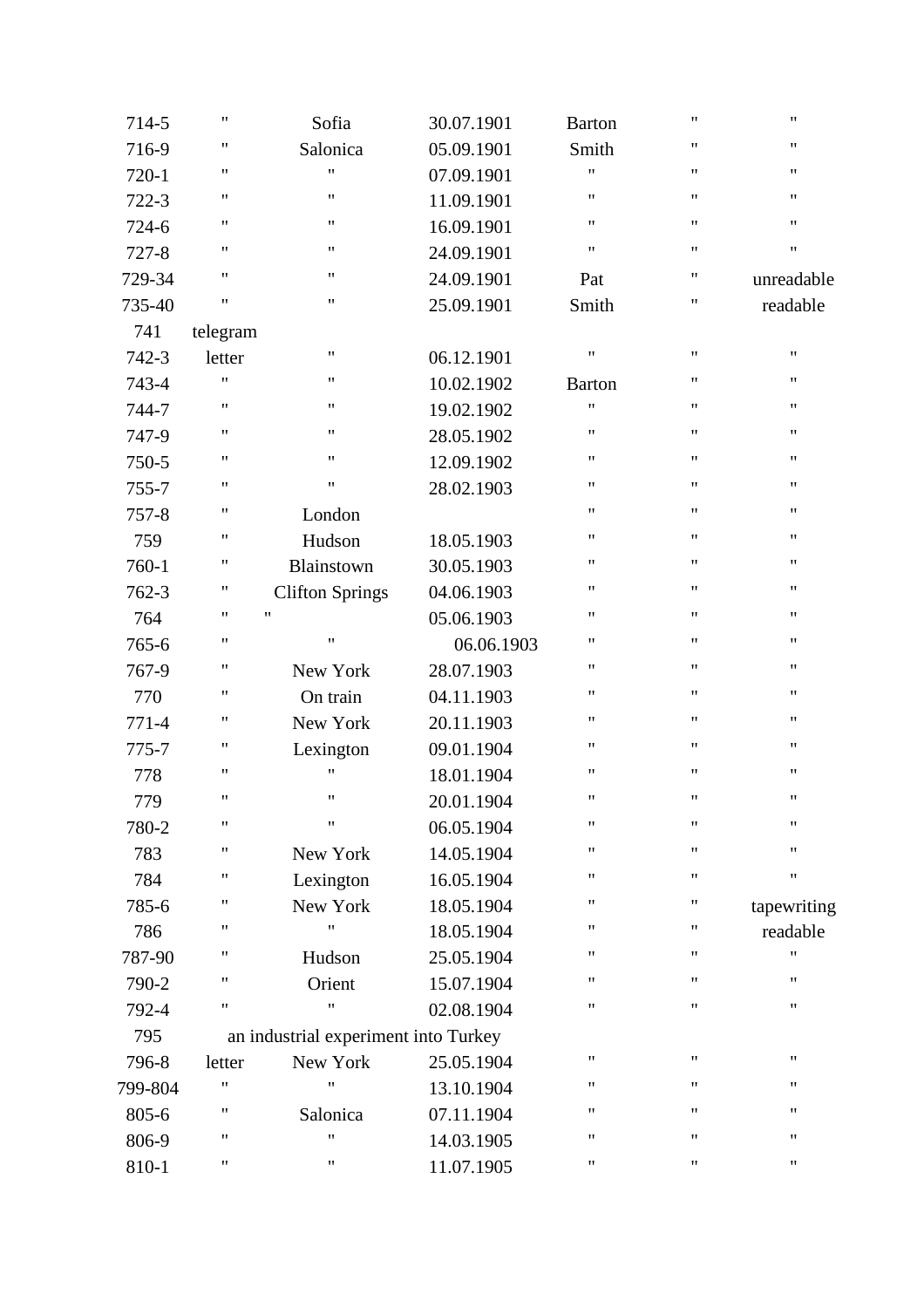| 714-5     | $\pmb{\mathsf{H}}$ | Sofia                                | 30.07.1901 | <b>Barton</b>      | $\pmb{\mathsf{H}}$ | $\pmb{\mathsf{H}}$ |
|-----------|--------------------|--------------------------------------|------------|--------------------|--------------------|--------------------|
| 716-9     | $\pmb{\mathsf{H}}$ | Salonica                             | 05.09.1901 | Smith              | $\pmb{\mathsf{H}}$ | 11                 |
| 720-1     | 11                 | Ħ                                    | 07.09.1901 | 11                 | $\pmb{\mathsf{H}}$ | 11                 |
| 722-3     | $\pmb{\mathsf{H}}$ | $\pmb{\mathsf{H}}$                   | 11.09.1901 | 11                 | $\pmb{\mathsf{H}}$ | $\pmb{\mathsf{H}}$ |
| 724-6     | $\pmb{\mathsf{H}}$ | $\pmb{\mathsf{H}}$                   | 16.09.1901 | $\pmb{\mathsf{H}}$ | $\pmb{\mathsf{H}}$ | $\pmb{\mathsf{H}}$ |
| $727 - 8$ | $\pmb{\mathsf{H}}$ | $\pmb{\mathsf{H}}$                   | 24.09.1901 | $\pmb{\mathsf{H}}$ | $\pmb{\mathsf{H}}$ | $\pmb{\mathsf{H}}$ |
| 729-34    | $\pmb{\mathsf{H}}$ | 11                                   | 24.09.1901 | Pat                | $\pmb{\mathsf{H}}$ | unreadable         |
| 735-40    | $\pmb{\mathsf{H}}$ | 11                                   | 25.09.1901 | Smith              | $\pmb{\mathsf{H}}$ | readable           |
| 741       | telegram           |                                      |            |                    |                    |                    |
| 742-3     | letter             | 11                                   | 06.12.1901 | $\pmb{\mathsf{H}}$ | $\pmb{\mathsf{H}}$ | $\pmb{\mathsf{H}}$ |
| 743-4     | Ħ                  | $\pmb{\mathsf{H}}$                   | 10.02.1902 | <b>Barton</b>      | $\pmb{\mathsf{H}}$ | 11                 |
| 744-7     | $\pmb{\mathsf{H}}$ | 11                                   | 19.02.1902 | Ħ                  | $\pmb{\mathsf{H}}$ | 11                 |
| 747-9     | $\pmb{\mathsf{H}}$ | $\pmb{\mathsf{H}}$                   | 28.05.1902 | $\pmb{\mathsf{H}}$ | $\pmb{\mathsf{H}}$ | $\pmb{\mathsf{H}}$ |
| 750-5     | $\pmb{\mathsf{H}}$ | $\pmb{\mathsf{H}}$                   | 12.09.1902 | $\pmb{\mathsf{H}}$ | $\pmb{\mathsf{H}}$ | 11                 |
| 755-7     | $\pmb{\mathsf{H}}$ | $\pmb{\mathsf{H}}$                   | 28.02.1903 | $\pmb{\mathsf{H}}$ | $\pmb{\mathsf{H}}$ | $\pmb{\mathsf{H}}$ |
| $757 - 8$ | $\pmb{\mathsf{H}}$ | London                               |            | $\pmb{\mathsf{H}}$ | $\pmb{\mathsf{H}}$ | 11                 |
| 759       | $\pmb{\mathsf{H}}$ | Hudson                               | 18.05.1903 | 11                 | 11                 | 11                 |
| 760-1     | $\pmb{\mathsf{H}}$ | Blainstown                           | 30.05.1903 | $\pmb{\mathsf{H}}$ | $\pmb{\mathsf{H}}$ | $\pmb{\mathsf{H}}$ |
| 762-3     | $\pmb{\mathsf{H}}$ | <b>Clifton Springs</b>               | 04.06.1903 | $\pmb{\mathsf{H}}$ | $\pmb{\mathsf{H}}$ | 11                 |
| 764       | $\pmb{\mathsf{H}}$ | $\pmb{\mathsf{H}}$                   | 05.06.1903 | $\pmb{\mathsf{H}}$ | $\pmb{\mathsf{H}}$ | $\pmb{\mathsf{H}}$ |
| 765-6     | $\pmb{\mathsf{H}}$ | $\mathbf{H}$                         | 06.06.1903 | Ħ                  | $\pmb{\mathsf{H}}$ | 11                 |
| 767-9     | $\pmb{\mathsf{H}}$ | New York                             | 28.07.1903 | 11                 | 11                 | 11                 |
| 770       | $\pmb{\mathsf{H}}$ | On train                             | 04.11.1903 | $\pmb{\mathsf{H}}$ | $\pmb{\mathsf{H}}$ | 11                 |
| 771-4     | $\pmb{\mathsf{H}}$ | New York                             | 20.11.1903 | $\pmb{\mathsf{H}}$ | $\pmb{\mathsf{H}}$ | $\pmb{\mathsf{H}}$ |
| 775-7     | $\pmb{\mathsf{H}}$ | Lexington                            | 09.01.1904 | $\pmb{\mathsf{H}}$ | $\pmb{\mathsf{H}}$ | 11                 |
| 778       | $\pmb{\mathsf{H}}$ | Ħ                                    | 18.01.1904 | $\pmb{\mathsf{H}}$ | $\pmb{\mathsf{H}}$ | $\pmb{\mathsf{H}}$ |
| 779       | $\pmb{\mathsf{H}}$ | 11                                   | 20.01.1904 | $\pmb{\mathsf{H}}$ | $\pmb{\mathsf{H}}$ | 11                 |
| 780-2     | $\pmb{\mathsf{H}}$ | $\pmb{\mathsf{H}}$                   | 06.05.1904 | $\pmb{\mathsf{H}}$ | $\pmb{\mathsf{H}}$ | Ħ                  |
| 783       | $\pmb{\mathsf{H}}$ | New York                             | 14.05.1904 | Ħ                  | $\pmb{\mathsf{H}}$ | $\pmb{\mathsf{H}}$ |
| 784       | 11                 | Lexington                            | 16.05.1904 | 11                 | $\pmb{\mathsf{H}}$ | $\pmb{\mathsf{H}}$ |
| 785-6     | 11                 | New York                             | 18.05.1904 | 11                 | 11                 | tapewriting        |
| 786       | 11                 | Ħ                                    | 18.05.1904 | 11                 | 11                 | readable           |
| 787-90    | 11                 | Hudson                               | 25.05.1904 | 11                 | $\pmb{\mathsf{H}}$ | 11                 |
| 790-2     | 11                 | Orient                               | 15.07.1904 | 11                 | $\pmb{\mathsf{H}}$ | $\pmb{\mathsf{H}}$ |
| 792-4     | 11                 | Ħ                                    | 02.08.1904 | 11                 | $\pmb{\mathsf{H}}$ | $\pmb{\mathsf{H}}$ |
| 795       |                    | an industrial experiment into Turkey |            |                    |                    |                    |
| 796-8     | letter             | New York                             | 25.05.1904 | 11                 | 11                 | 11                 |
| 799-804   | 11                 | 11                                   | 13.10.1904 | 11                 | 11                 | 11                 |
| 805-6     | 11                 | Salonica                             | 07.11.1904 | 11                 | $\pmb{\mathsf{H}}$ | $\pmb{\mathsf{H}}$ |
| 806-9     | "                  | 11                                   | 14.03.1905 | 11                 | 11                 | 11                 |
| 810-1     | 11                 | 11                                   | 11.07.1905 | 11                 | 11                 | 11                 |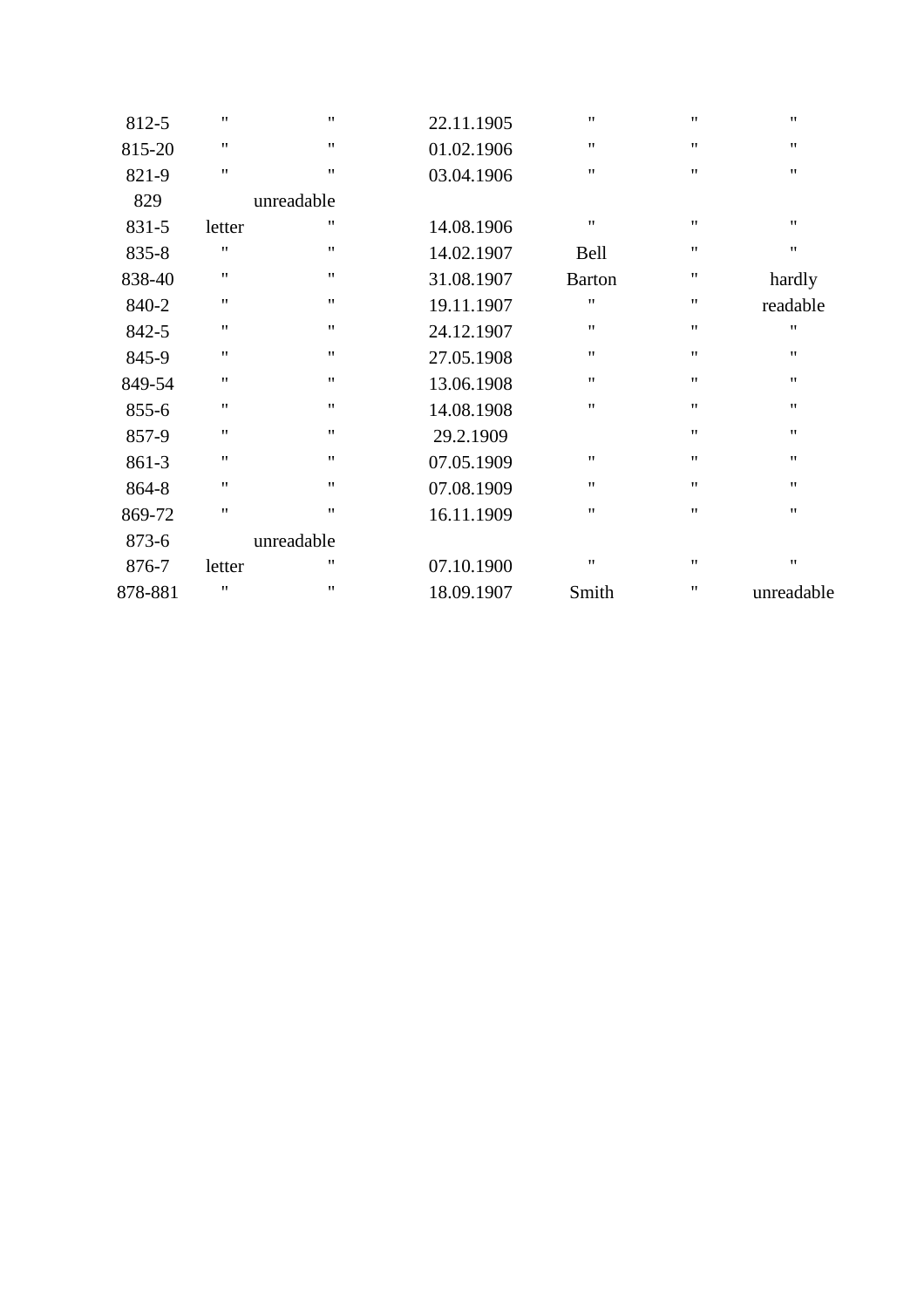| $^{\bullet}$       | $\pmb{\mathsf{H}}$ | $\pmb{\mathsf{H}}$ | 22.11.1905 | 11                 | $\pmb{\mathsf{H}}$ | 812-5   |
|--------------------|--------------------|--------------------|------------|--------------------|--------------------|---------|
| $^{\bullet}$       | $\pmb{\mathsf{H}}$ | $^{\prime\prime}$  | 01.02.1906 | $\pmb{\mathsf{H}}$ | $^{\prime\prime}$  | 815-20  |
| $^{\prime\prime}$  | $^{\dagger}$       | $^{\dagger}$       | 03.04.1906 | $^{\dagger}$       | $^{\prime\prime}$  | 821-9   |
|                    |                    |                    |            | unreadable         |                    | 829     |
| $^{\prime\prime}$  | $\pmb{\mathsf{H}}$ | $\pmb{\mathsf{H}}$ | 14.08.1906 | $\pmb{\mathsf{H}}$ | letter             | 831-5   |
| $\pmb{\mathsf{H}}$ | $\pmb{\mathsf{H}}$ | <b>Bell</b>        | 14.02.1907 | 11                 | $\pmb{\mathsf{H}}$ | 835-8   |
| hardly             | 11                 | <b>Barton</b>      | 31.08.1907 | 11                 | $^{\prime\prime}$  | 838-40  |
| readable           | 11                 | $\pmb{\mathsf{H}}$ | 19.11.1907 | $\pmb{\mathsf{H}}$ | $^{\prime\prime}$  | 840-2   |
| $^{\prime\prime}$  | 11                 | $^{\dagger}$       | 24.12.1907 | 11                 | $^{\prime\prime}$  | 842-5   |
| $^{\prime\prime}$  | $\pmb{\mathsf{H}}$ | $^{\dagger}$       | 27.05.1908 | 11                 | $^{\prime\prime}$  | 845-9   |
| $^{\prime\prime}$  | $^{\prime\prime}$  | $^{\dagger}$       | 13.06.1908 | 11                 | $\pmb{\mathsf{H}}$ | 849-54  |
| $^{\bullet}$       | $^{\prime\prime}$  | $^{\dagger}$       | 14.08.1908 | 11                 | $^{\prime\prime}$  | 855-6   |
| $^{\bullet}$       | $^{\prime\prime}$  |                    | 29.2.1909  | $\pmb{\mathsf{H}}$ | $^{\prime\prime}$  | 857-9   |
| $^{\prime\prime}$  | $\pmb{\mathsf{H}}$ | $\pmb{\mathsf{H}}$ | 07.05.1909 | $\pmb{\mathsf{H}}$ | $^{\prime\prime}$  | 861-3   |
| $^{\bullet}$       | $\pmb{\mathsf{H}}$ | $^{\prime\prime}$  | 07.08.1909 | $\pmb{\mathsf{H}}$ | $^{\prime\prime}$  | 864-8   |
| $^{\prime\prime}$  | $^{\prime\prime}$  | $^{\dagger}$       | 16.11.1909 | $\pmb{\mathsf{H}}$ | $^{\prime\prime}$  | 869-72  |
|                    |                    |                    |            | unreadable         |                    | 873-6   |
| $^{\prime\prime}$  | $\pmb{\mathsf{H}}$ | $\pmb{\mathsf{H}}$ | 07.10.1900 | $\pmb{\mathsf{H}}$ | letter             | 876-7   |
| unreadable         | $^{\dagger}$       | Smith              | 18.09.1907 | $\pmb{\mathsf{H}}$ | $^{\prime\prime}$  | 878-881 |
|                    |                    |                    |            |                    |                    |         |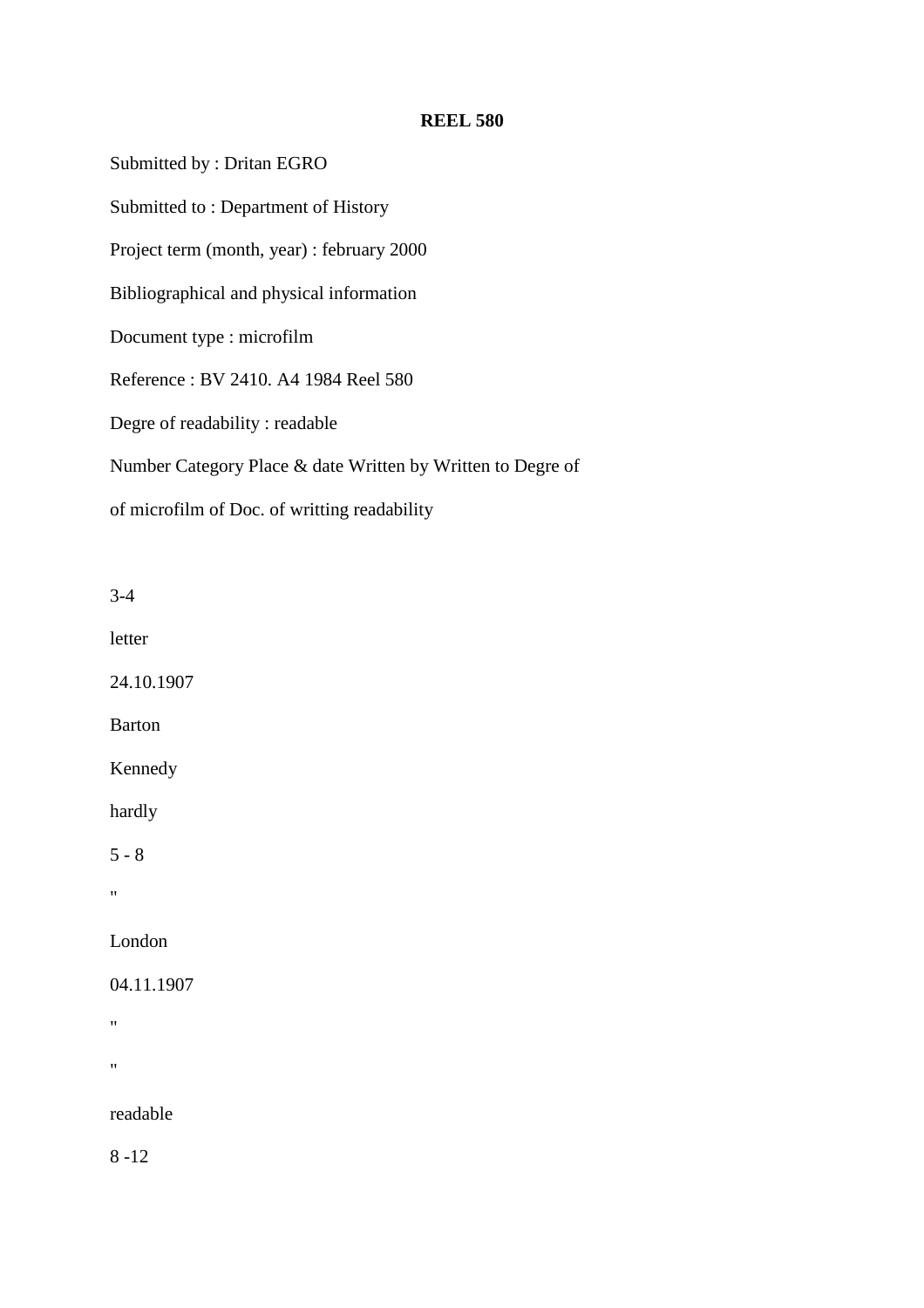Submitted by : Dritan EGRO Submitted to : Department of History Project term (month, year) : february 2000 Bibliographical and physical information Document type : microfilm Reference : BV 2410. A4 1984 Reel 580 Degre of readability : readable Number Category Place & date Written by Written to Degre of of microfilm of Doc. of writting readability

3-4

letter

24.10.1907

Barton

Kennedy

hardly

 $5 - 8$ 

"

London

04.11.1907

 $\mathbf{u}$ 

"

readable

8 -12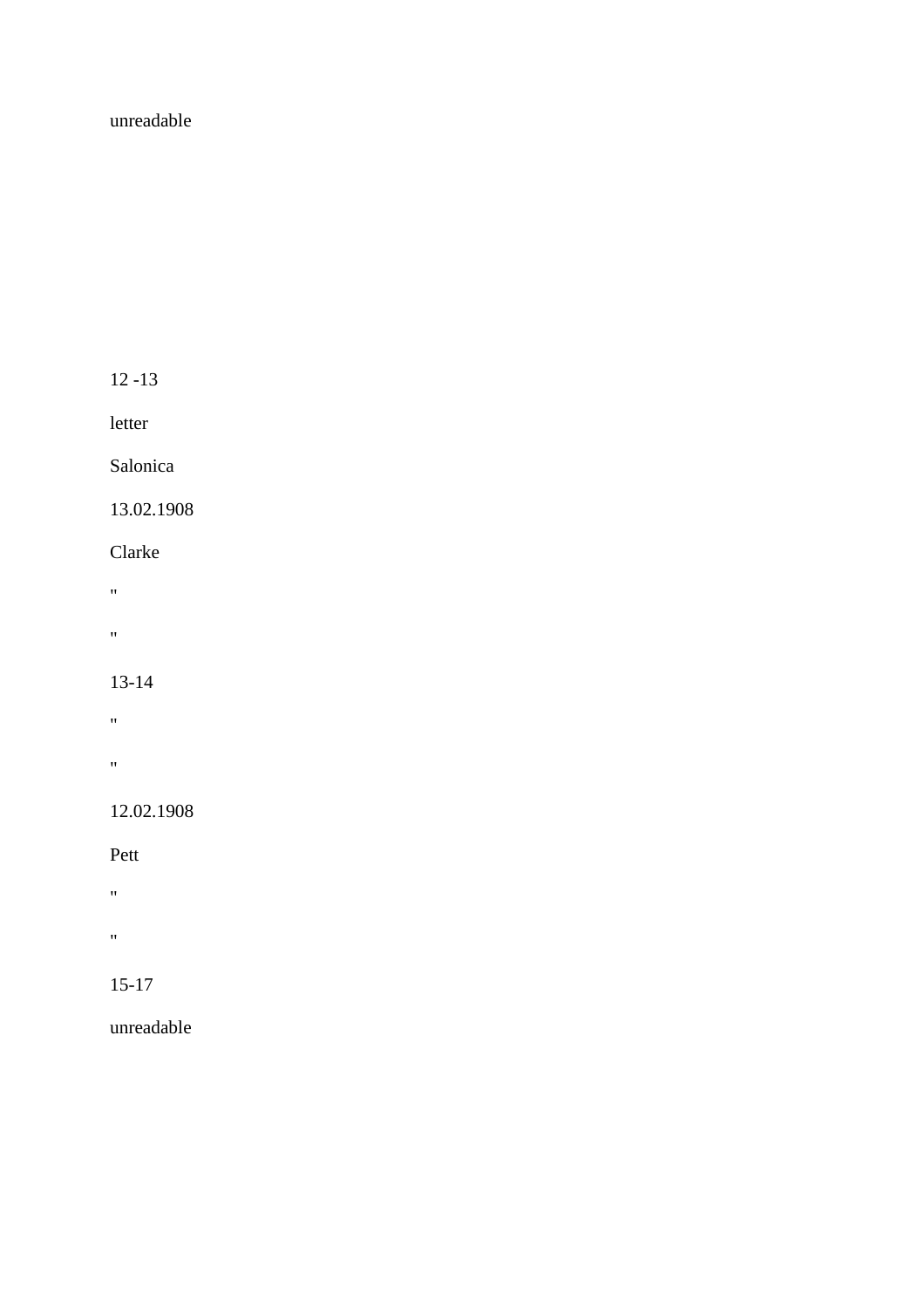## unreadable

12 -13

letter

Salonica

13.02.1908

Clarke

"

 $\alpha$ 

13-14

 $\mathbf{u} = \mathbf{v}$ 

"

12.02.1908

Pett

 $\hat{H}^{\pm}$ 

 $\alpha$ 

15-17

unreadable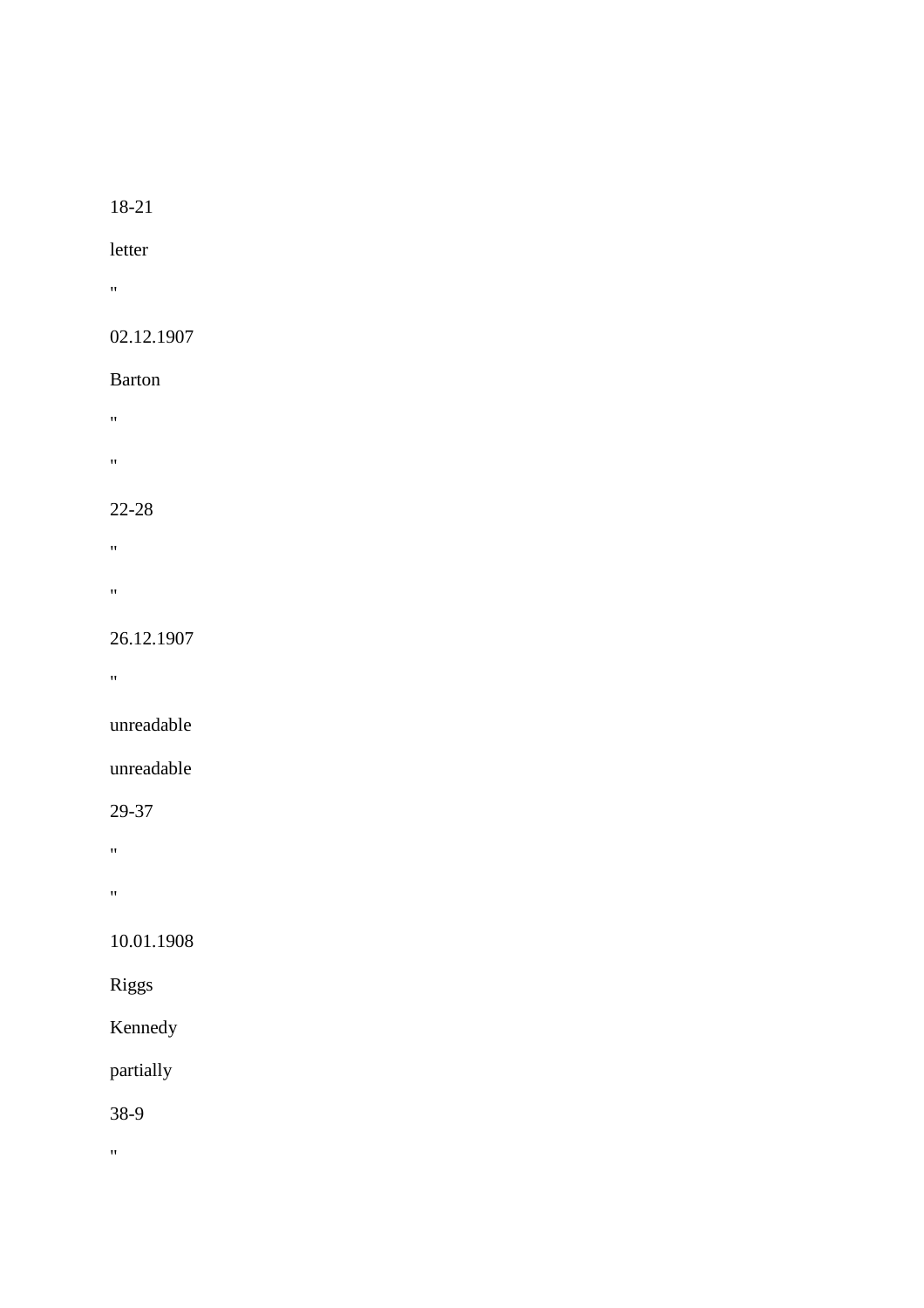## 18-21

## letter

 $\alpha$ 

# 02.12.1907

## Barton

- $\hat{H}$
- $\theta$

# 22-28

- $\mathbf{u}$
- 
- $\alpha$

# 26.12.1907

 $\hat{H}^{\pm}$ 

# unreadable

# unreadable

29-37

"

"

# 10.01.1908

# Riggs

Kennedy

# partially

38-9

 $\hat{\theta}$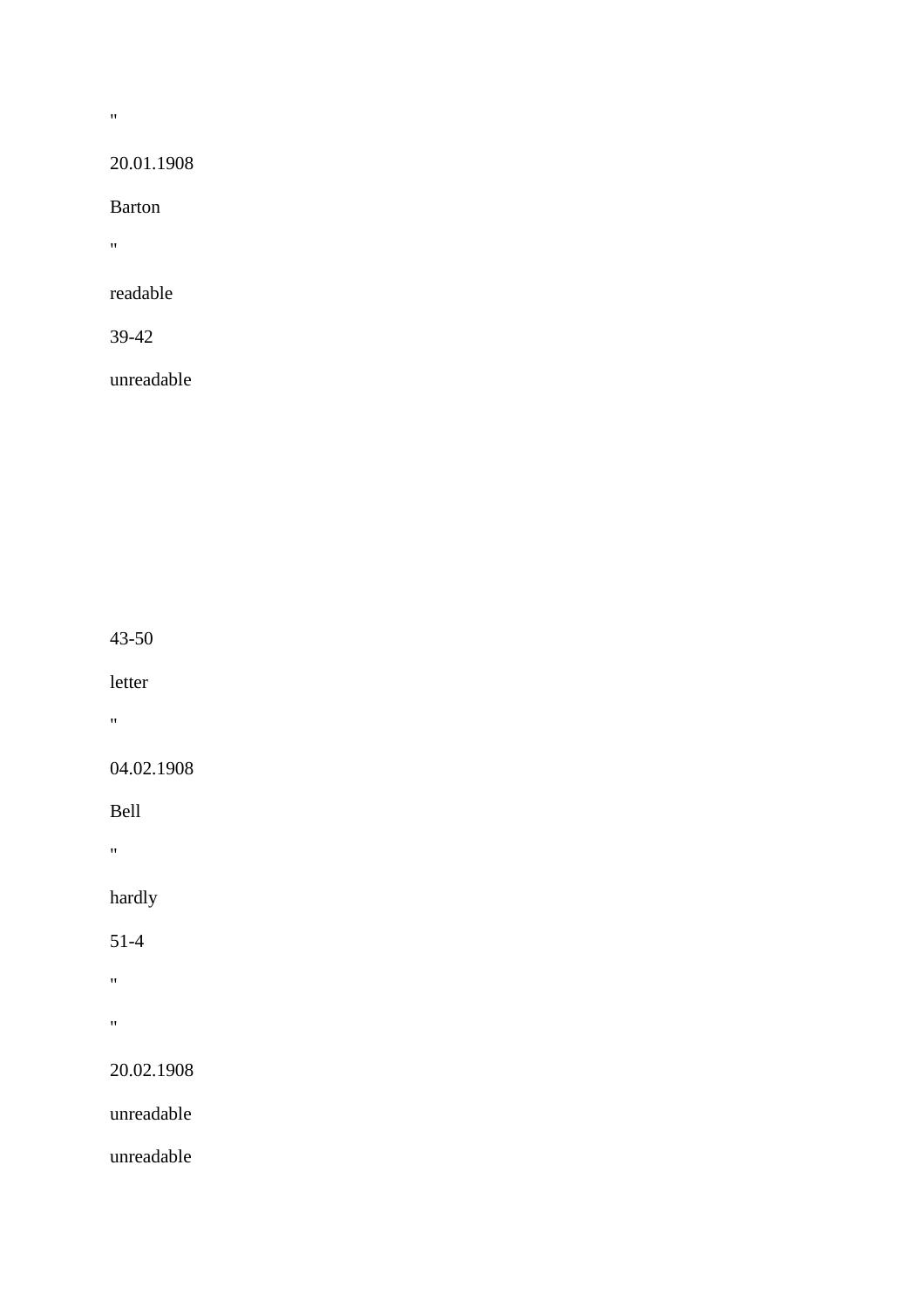$\bar{u}$ 

## 20.01.1908

Barton

 $\alpha$ 

readable

39-42

unreadable

43-50

letter

 $\mathbf{u} = \mathbf{v}$ 

04.02.1908

Bell

 $\hat{H}$ 

hardly

51-4

 $\hat{H}^{\pm}$  $\bar{m}$ 

20.02.1908

unreadable

unreadable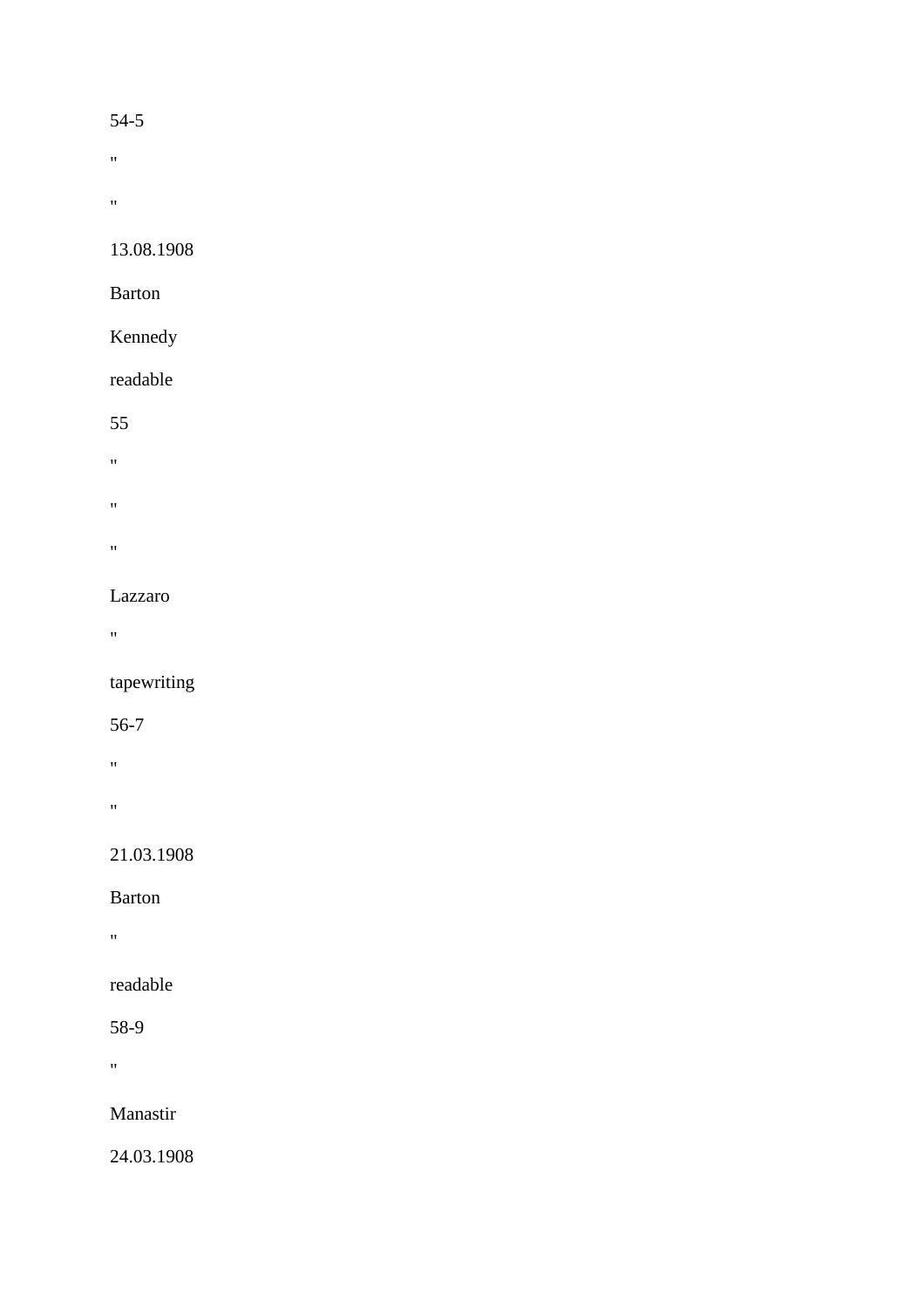#### 54-5

 $\boldsymbol{u}$ 

 $\hat{\theta}$ 

13.08.1908

Barton

# Kennedy

readable

55

- $\bar{\theta}$
- $\alpha$
- 
- $\hat{\theta}$

# Lazzaro

 $\mathbf{u}$ 

tapewriting

56-7

 $\alpha$ 

 $\mathbf{u}$ 

21.03.1908

Barton

"

readable

58-9

 $\hat{H}$ 

Manastir

24.03.1908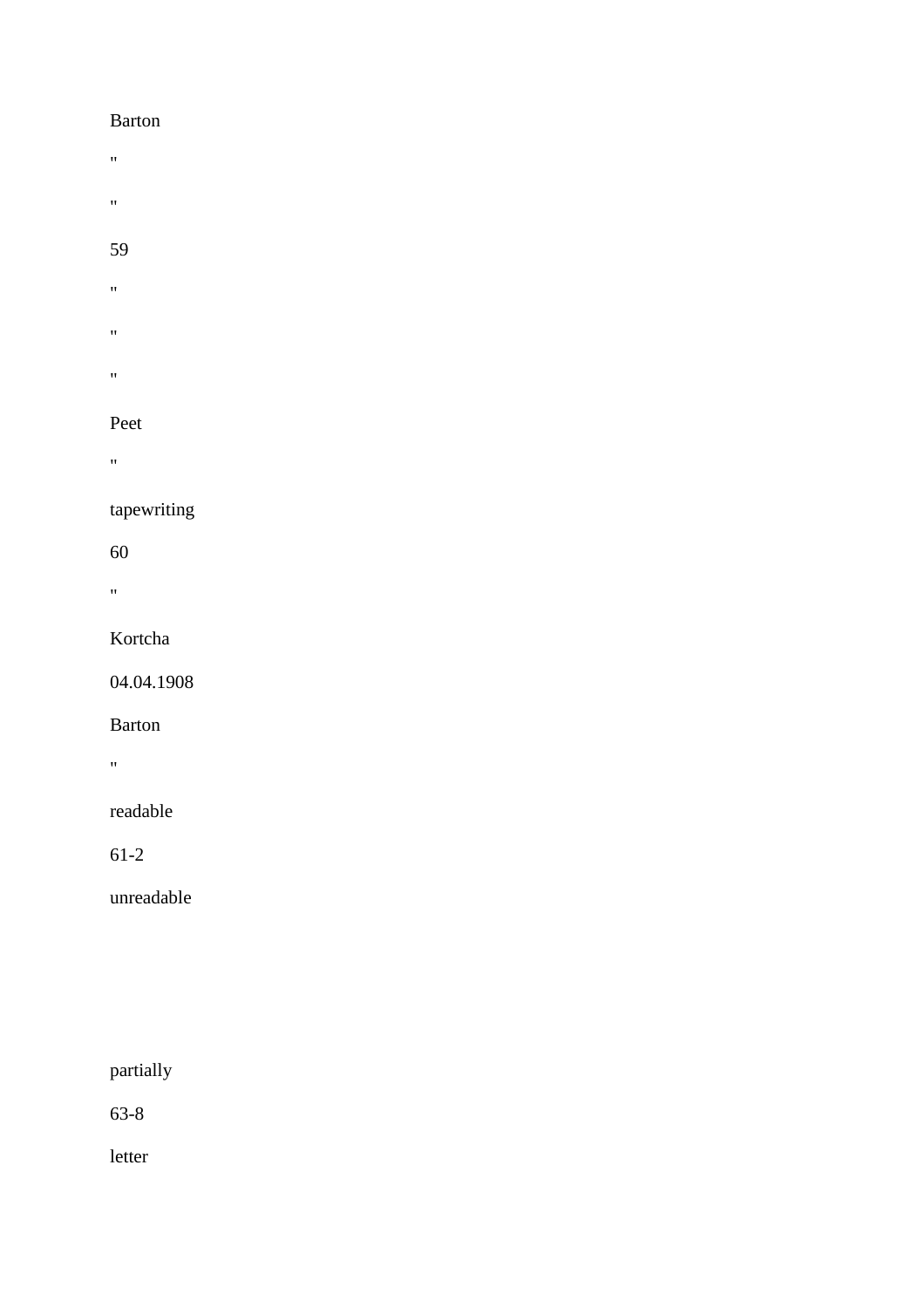#### Barton

- $\hat{\theta}$
- $\hat{\theta}$

## 59

- $\hat{\theta}$
- $\hat{\mathbf{u}}$
- $\hat{\theta}$

# Peet

 $^{\prime\prime}$ 

# tapewriting

60

 $\mathbf{u}^{\left( \cdot \right) }$ 

# Kortcha

04.04.1908

# Barton

"

# readable

61-2

unreadable

# partially

63-8

letter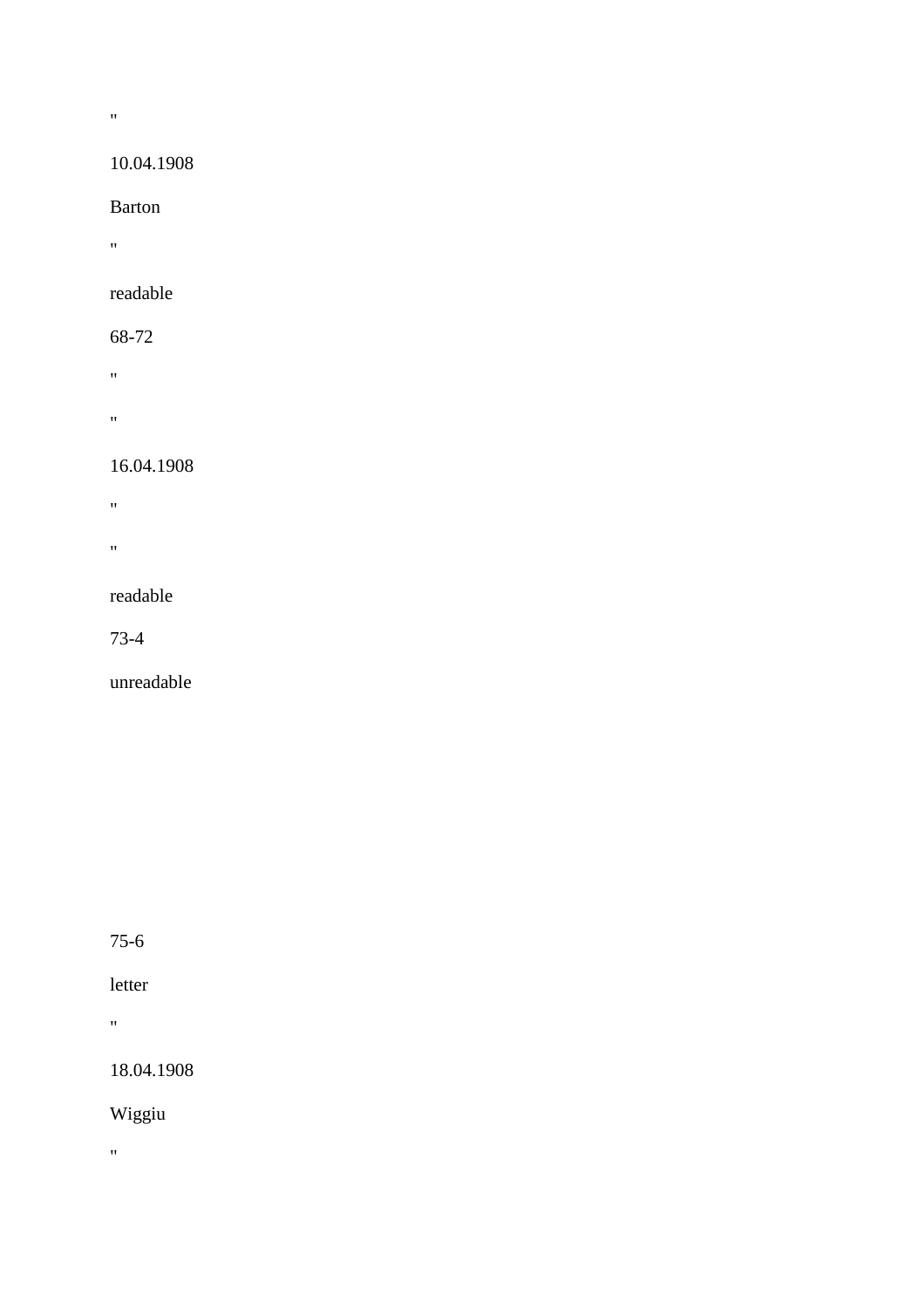# 10.04.1908

Barton

 $\mathbf{u} = \mathbf{v}$ 

 $\hat{H}^{\pm}$ 

# readable

68-72

 $\alpha$ 

 $\alpha$  .  $\beta$ 

## 16.04.1908

 $\hat{H}$ 

 $\mathbf{u}$ 

## readable

73-4

unreadable

75-6

# letter

 $\alpha$ 

18.04.1908

Wiggiu

 $\alpha$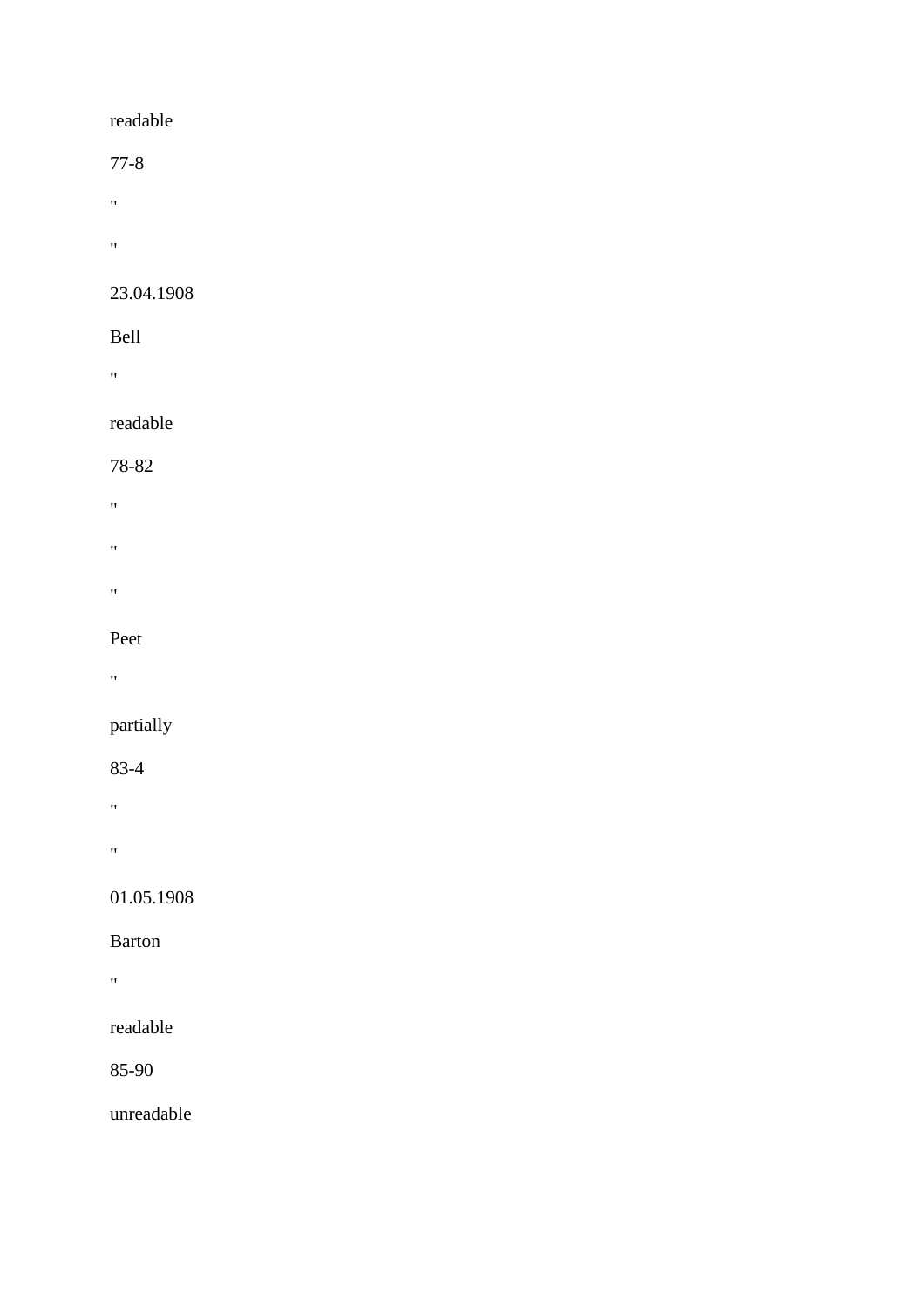## readable

77-8

- $\alpha$
- $\mathbf{u}^{\left(1\right)}$

## 23.04.1908

### Bell

 $\alpha$ 

# readable

#### 78-82

- $\theta$
- 
- $\hat{H}$
- 
- $\alpha$

### Peet

"

# partially

# 83-4

- $\mathbf{u}$
- 
- "

# 01.05.1908

# Barton

 $\alpha$ 

# readable

85-90

# unreadable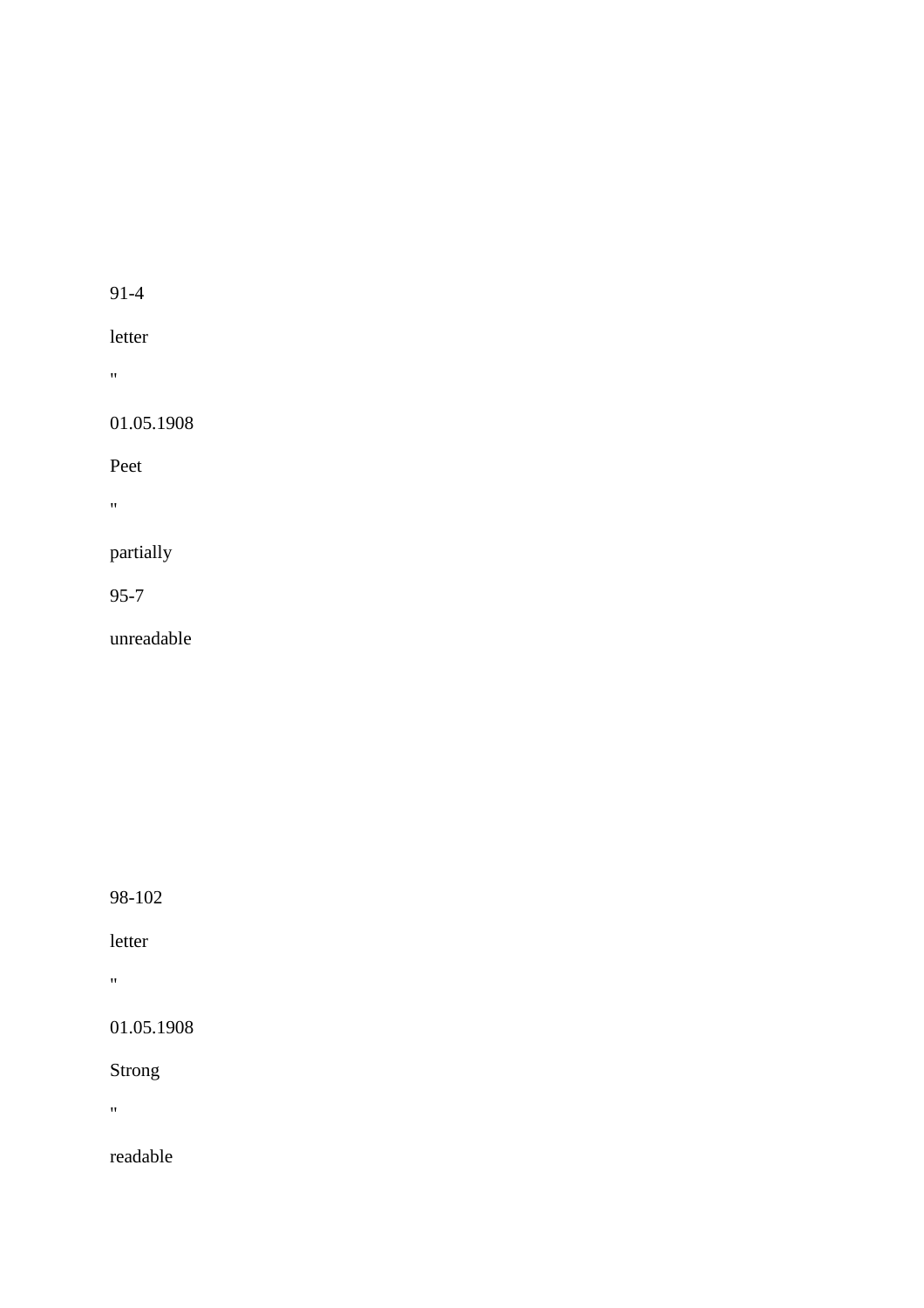letter

"

01.05.1908

Peet

 $\hat{\theta}$ 

partially

95-7

unreadable

98-102

letter

 $\mathbf{u}$ 

01.05.1908

Strong

 $\mathbf{u} = \mathbf{u}$ 

readable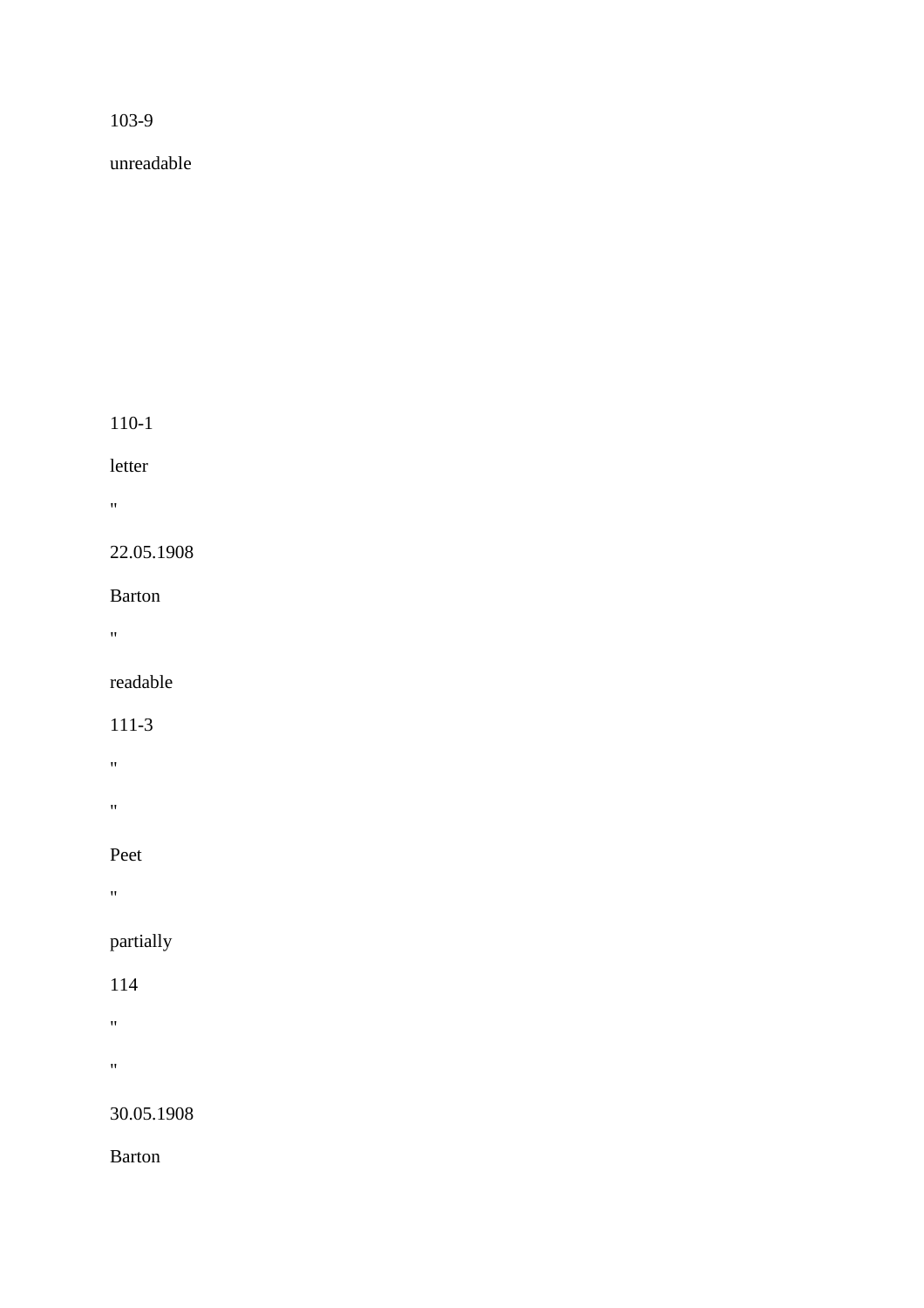unreadable

110-1

letter

 $\alpha$ 

22.05.1908

Barton

 $\mathbf{u}$ 

readable

111-3

"

 $\mathbf{u}$ 

Peet

 $\alpha$ 

partially

114

"

"

30.05.1908

Barton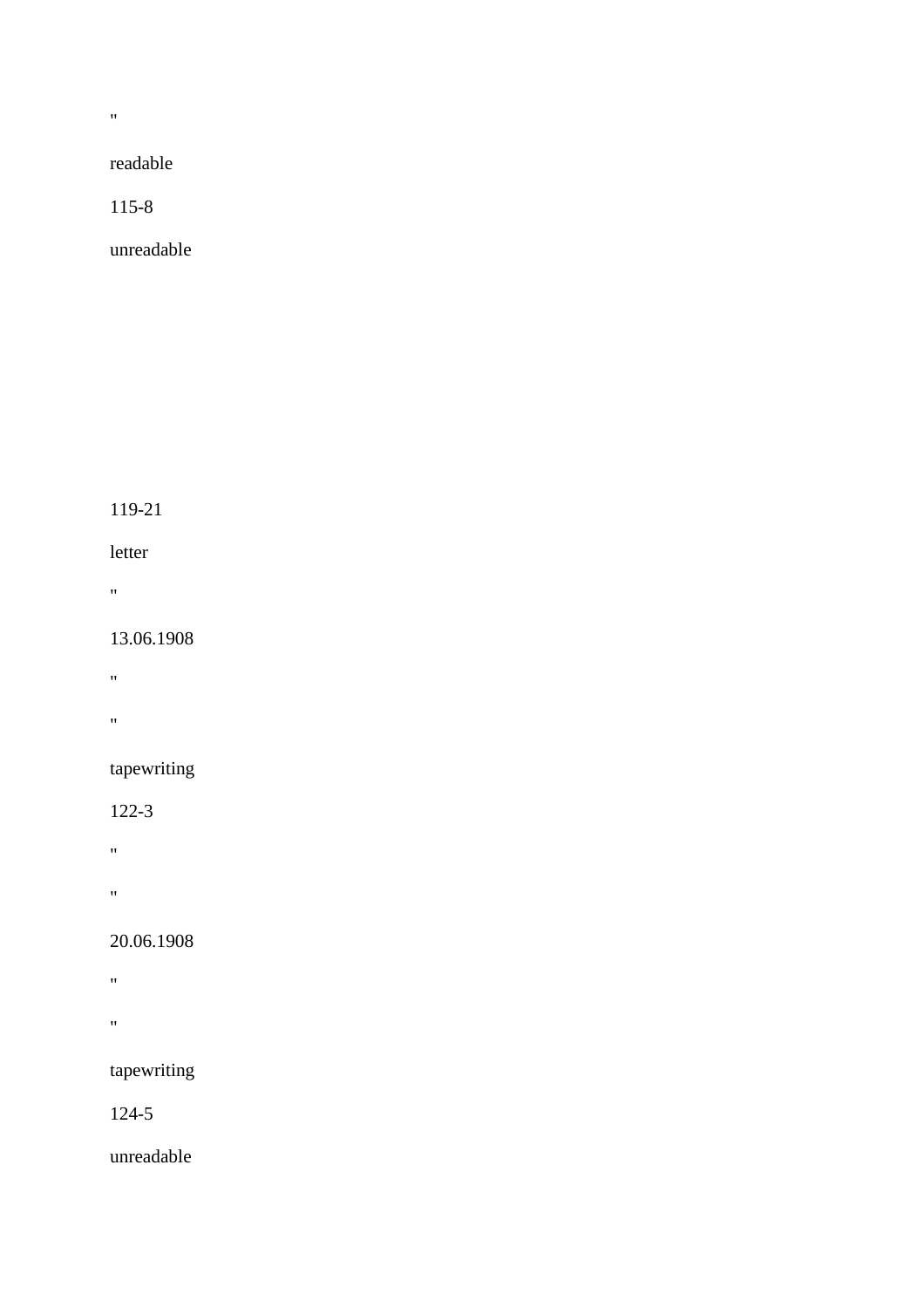$\bar{u}$ 

readable

115-8

unreadable

119-21

letter

 $\alpha$ 

13.06.1908

 $\theta$ 

 $\mathbf{u}$ 

tapewriting

122-3

 $\mathbf{w}$ 

"

20.06.1908

 $\hat{H}$ 

 $\hat{\mathbf{u}}$ 

tapewriting

124-5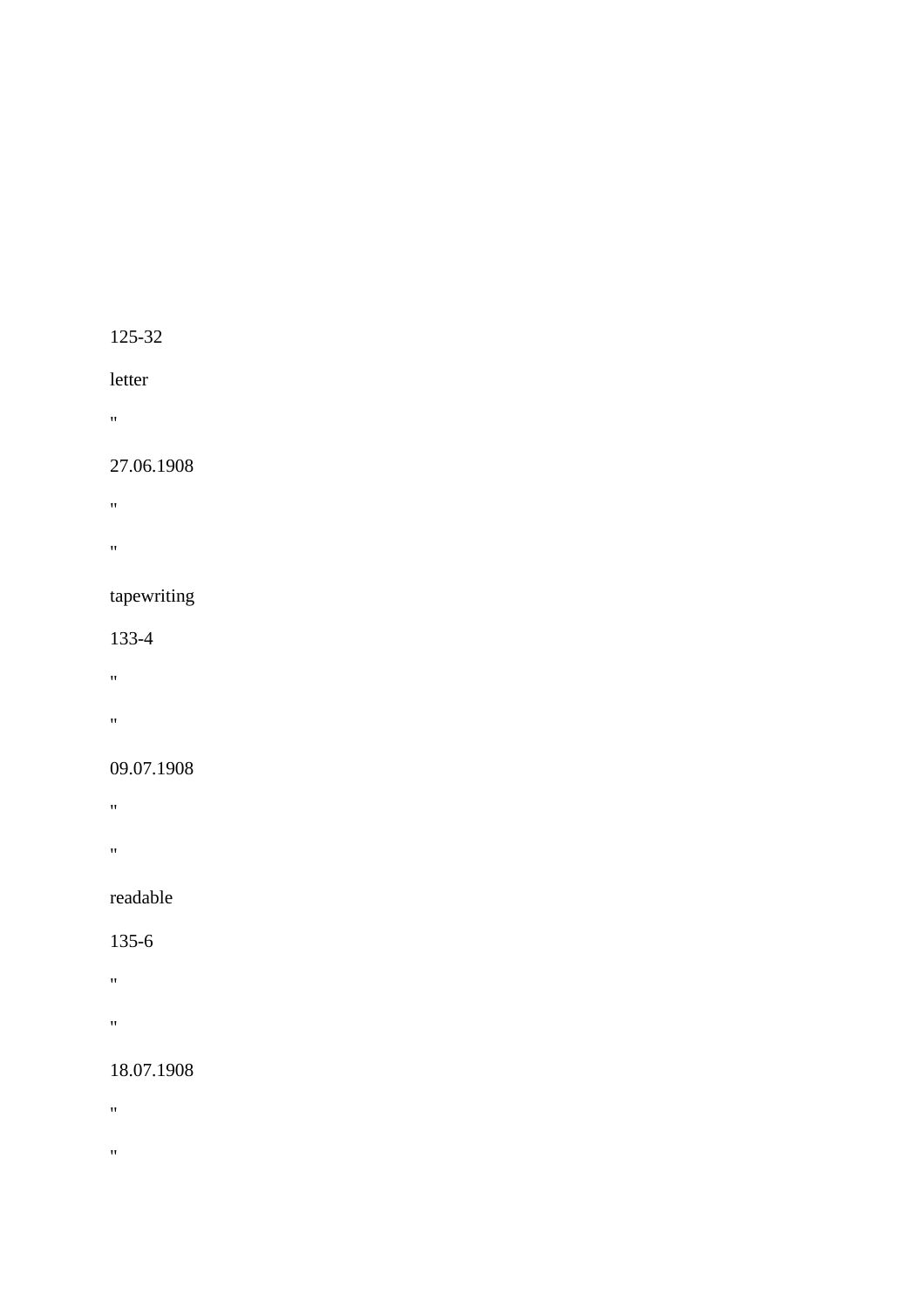## letter

"

#### 27.06.1908

- "
- 
- "

## tapewriting

#### 133-4

- "
- 
- "

## 09.07.1908

- "
- 
- "

## readable

#### 135-6

- 
- $\alpha$
- "

## 18.07.1908

- "
- 
- $\hat{\theta}$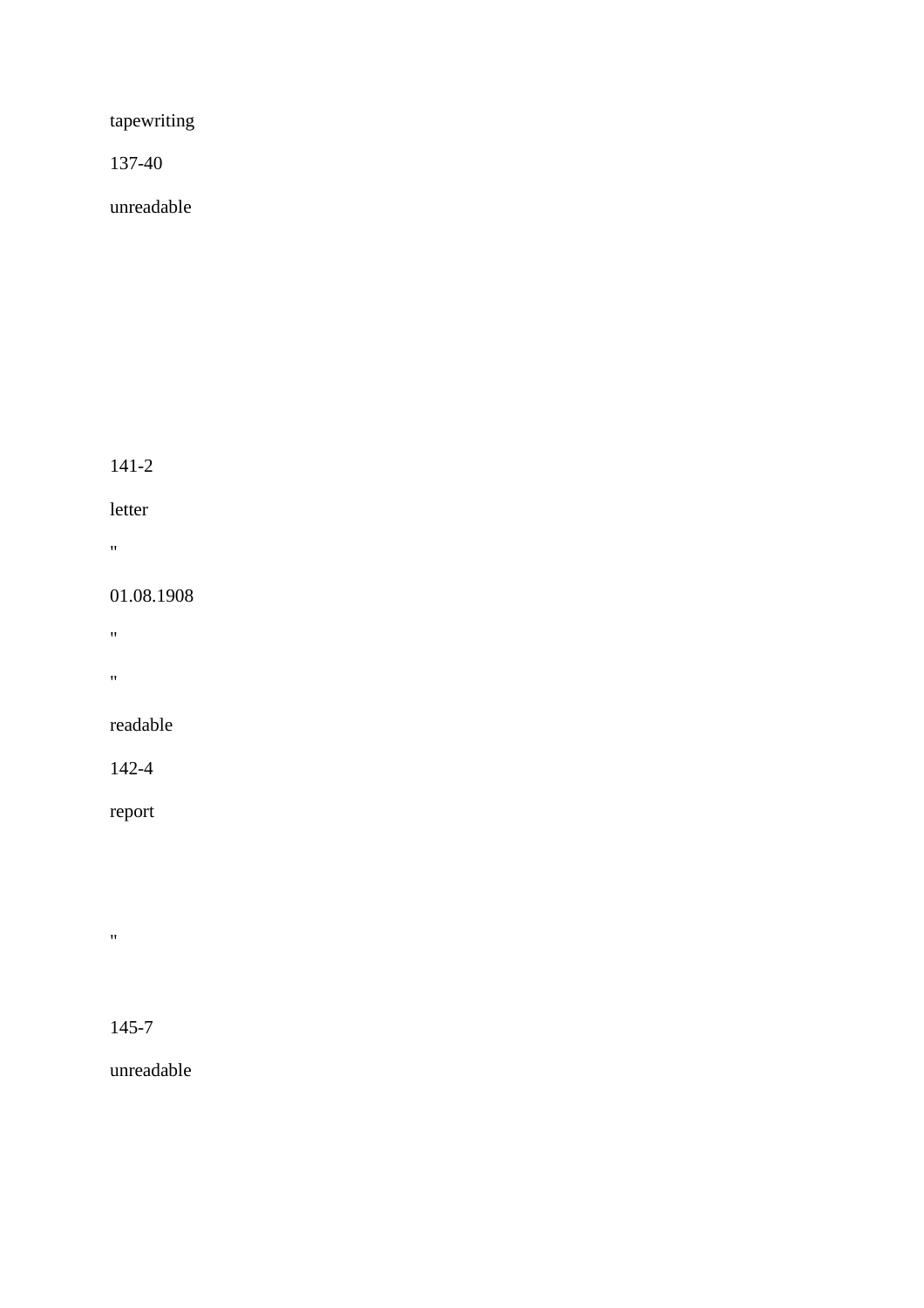tapewriting

137-40

unreadable

141-2

letter

 $\mathbf{u} = \mathbf{v}$ 

01.08.1908

 $\hat{H}$ 

 $\alpha$ 

readable

142-4

report

 $\hat{\theta}$ 

145-7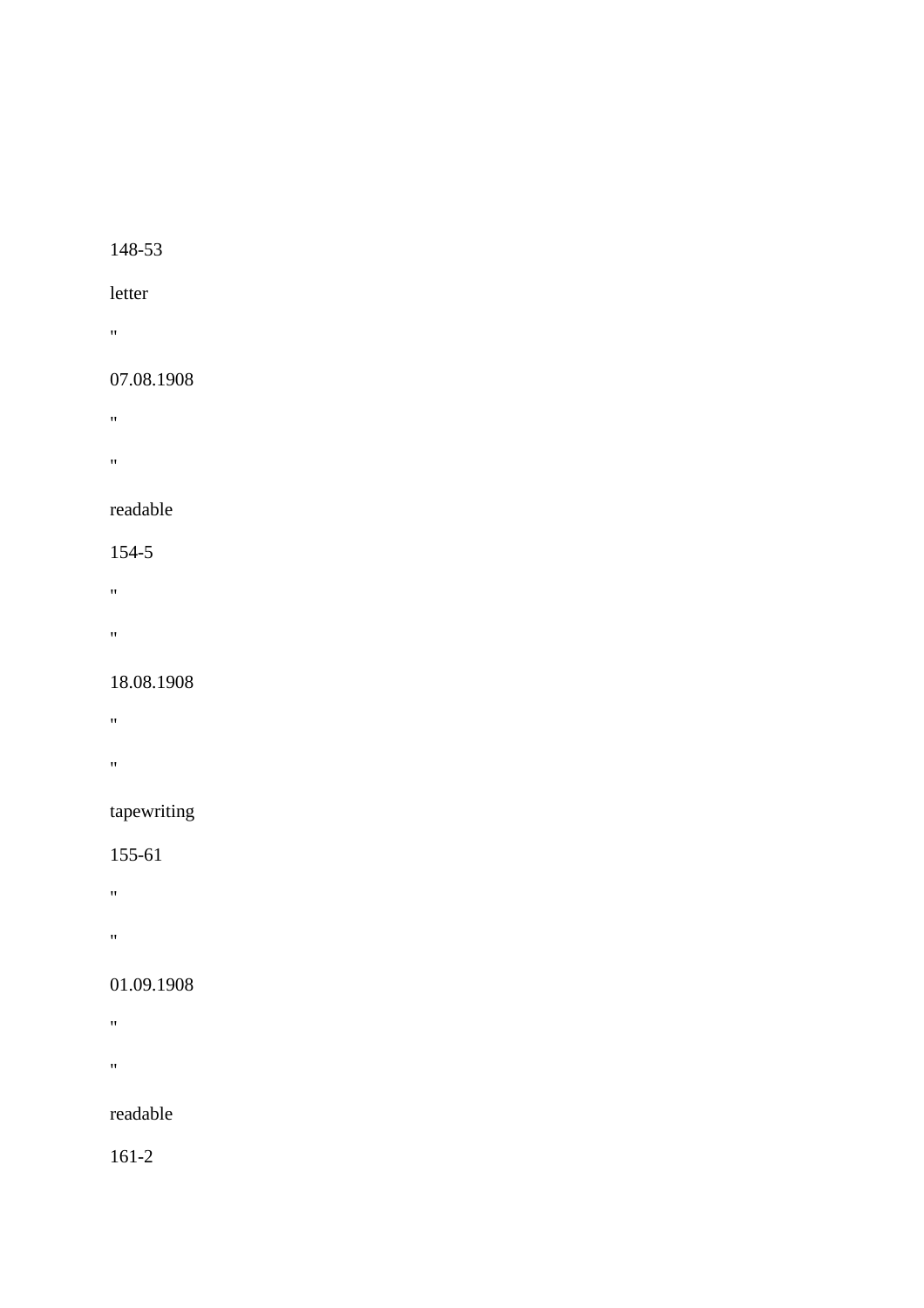#### letter

"

## 07.08.1908

- $\alpha$  .  $\beta$
- 
- "

## readable

#### 154-5

- "
- 
- $\mathbf{u}$

#### 18.08.1908

- $\mathbf{u} = \mathbf{u}$
- 
- **"** "

## tapewriting

## 155-61

- "
- 
- "

## 01.09.1908

- "
- 
- $\alpha$

## readable

161-2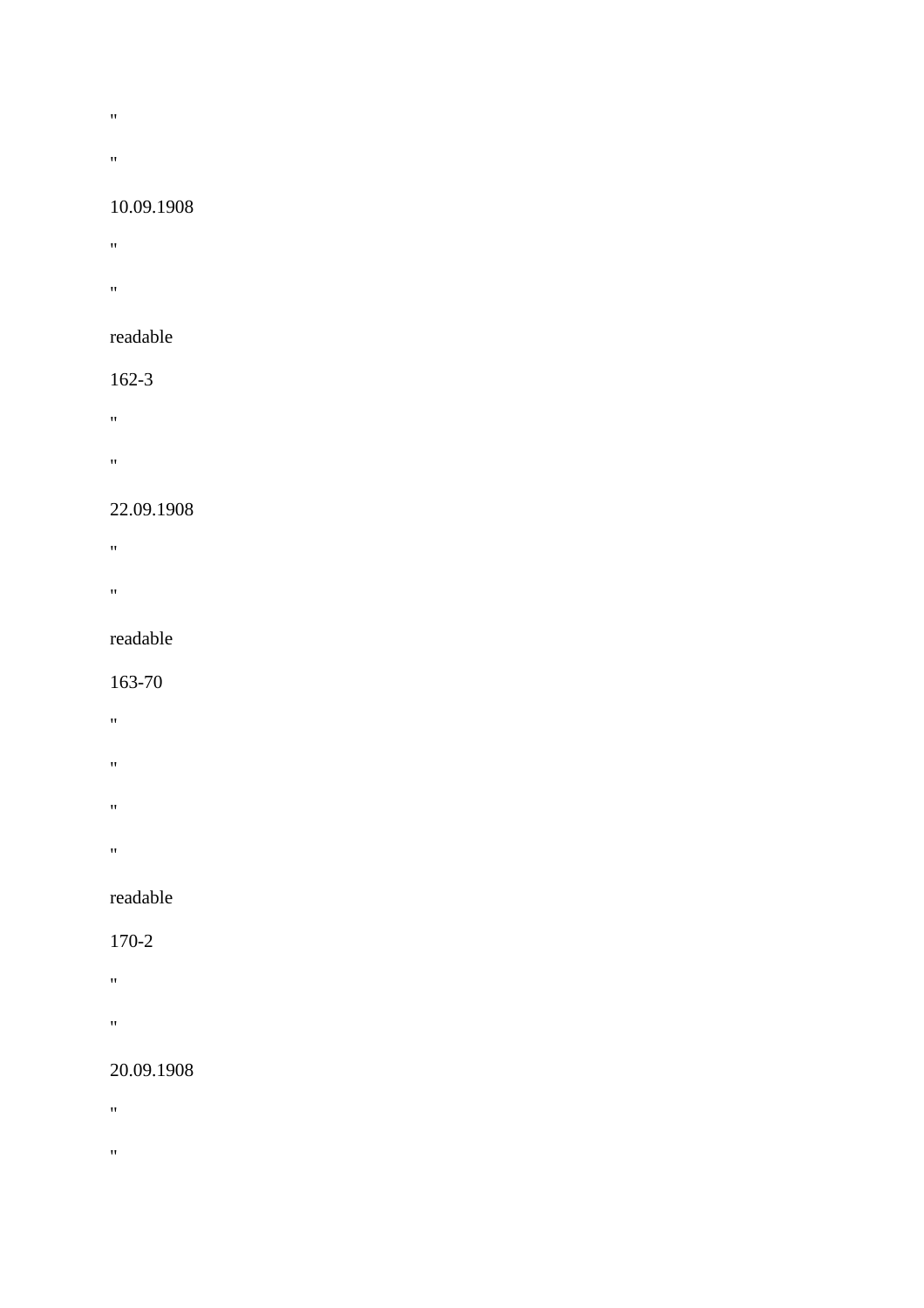- **"** "
- 
- "

#### 10.09.1908

- $\mathbf{u} = \mathbf{u}$
- "
- readable

#### 162-3

- $\mathbf{u}^{(n)}$  and
- $\sigma_{\rm{max}}$
- 22.09.1908

# **"** "

- 
- "

#### readable

#### 163-70

- $\mathbf{u} = \mathbf{u}$
- 
- "
- "
- 
- "

## readable

#### 170-2

- $\alpha$
- 
- "

## 20.09.1908

- **"** "
- 
- $\theta$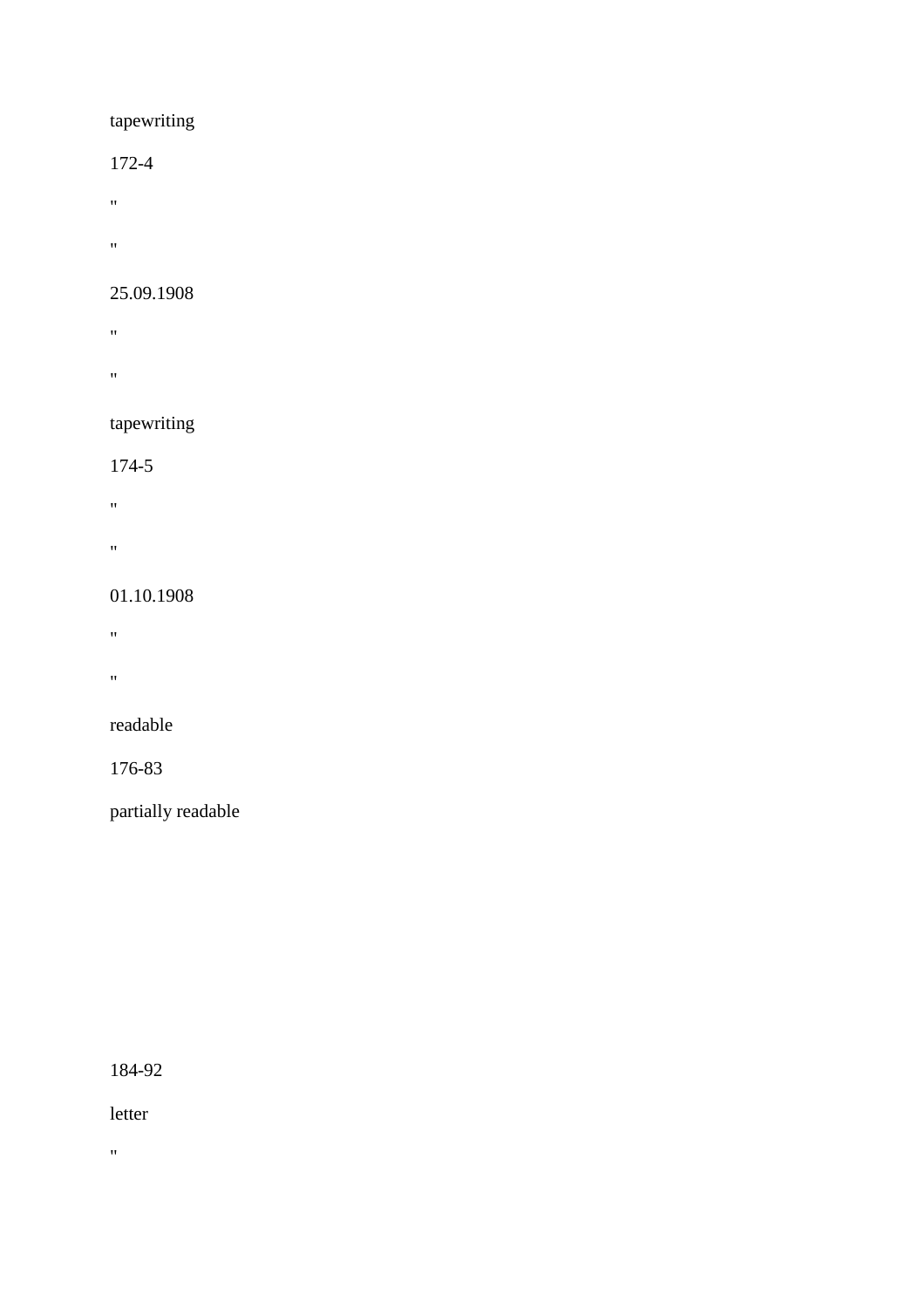## tapewriting

#### 172-4

- "
- 
- $\mathbf{u} = \mathbf{v}$

## 25.09.1908

- $\hat{H}^{\pm}$
- $\alpha$

# tapewriting

## 174-5

- $\hat{H}^{(0)}$
- 
- "

## 01.10.1908

- $\mathbf{u} = \mathbf{v}$
- $\mathbf{u} = \mathbf{v}$

## readable

## 176-83

partially readable

184-92

letter

 $\hat{\theta}$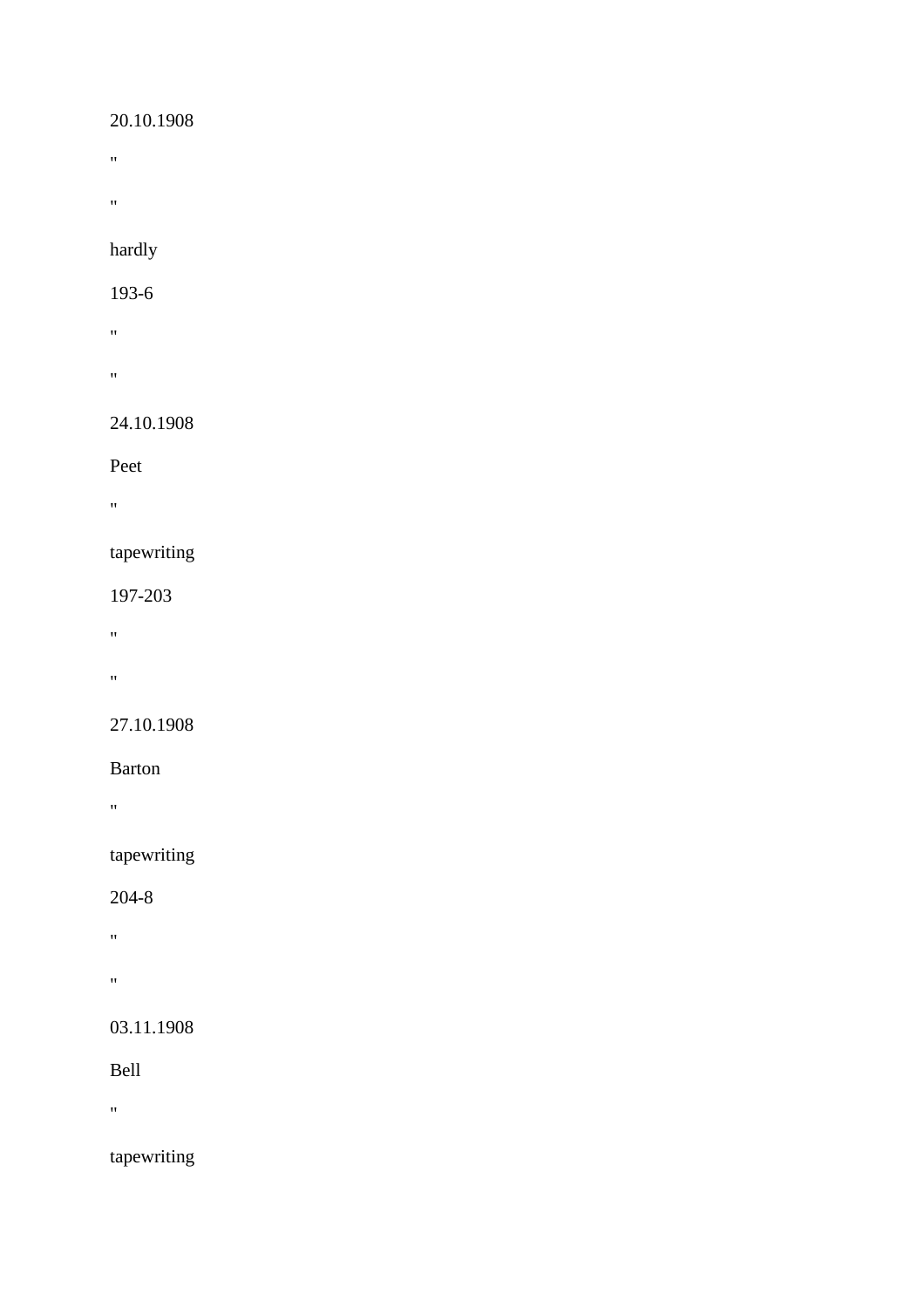## 20.10.1908

- $\hat{H}$
- $\hat{H}$

hardly

#### 193-6

- "
- $\mathbf{u}$

## 24.10.1908

Peet

 $\hat{H}$ 

## tapewriting

197-203

- "
- 
- "

## 27.10.1908

## Barton

"

## tapewriting

## 204-8

- "
- 
- $\mathbf{u}^{\left( \cdot \right) }$

## 03.11.1908

Bell

"

## tapewriting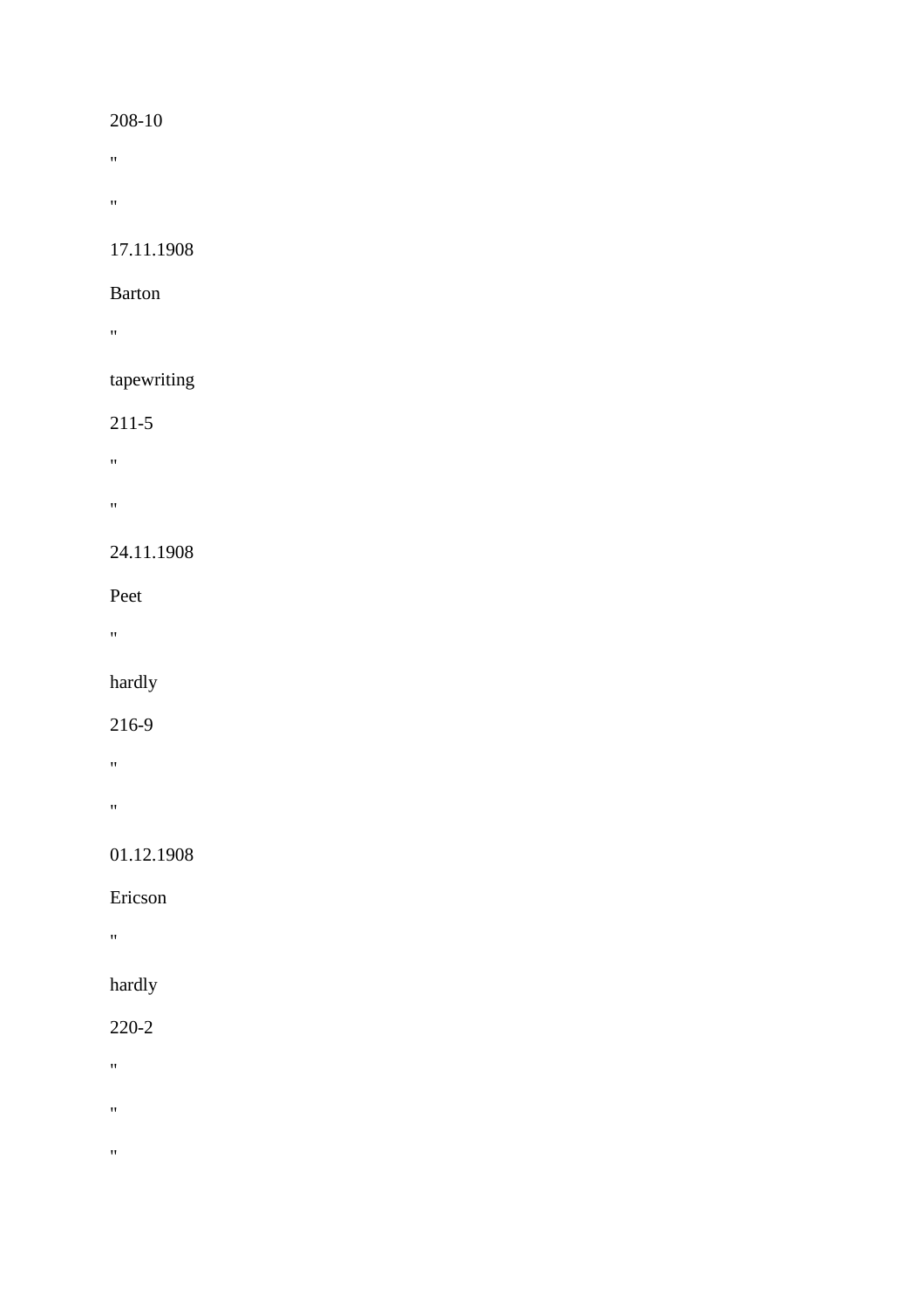- $\mathbf{u} = \mathbf{v}$
- $\hat{H}^{\pm}$

17.11.1908

#### Barton

 $\mathbf{u}$ 

## tapewriting

## 211-5

- "
- "

## 24.11.1908

## Peet

 $\mathbf{u}$ 

## hardly

## 216-9

- "
- $\mathbf{u}$

## 01.12.1908

## Ericson

"

## hardly

## 220-2

- $\hat{H}^{\pm}$
- 
- $\hat{H}$
- $\hat{\theta}$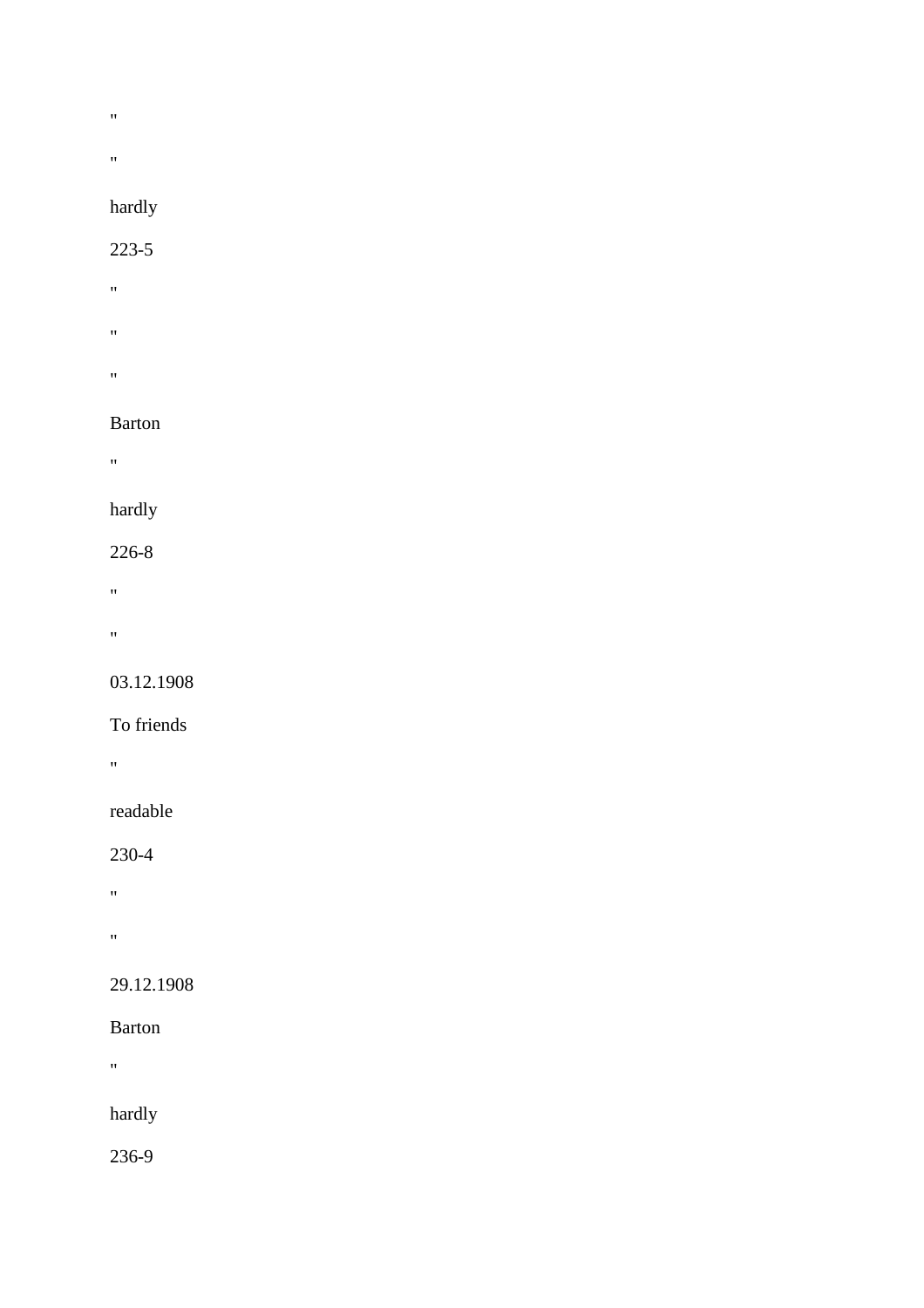- $\bar{u}$
- $\mathbf{u}$

## hardly

#### 223-5

- "
- "
- $\bar{W}$

#### Barton

 $\theta_{\rm{max}}$ 

## hardly

## 226-8

- $\alpha$
- 

## $\theta$

#### 03.12.1908

## To friends

"

## readable

## 230-4

- $\mathbf{u}^{\left( \cdot \right) }$
- $\hat{H}^{\pm}$

## 29.12.1908

#### Barton

 $\hat{H}$ 

## hardly

236-9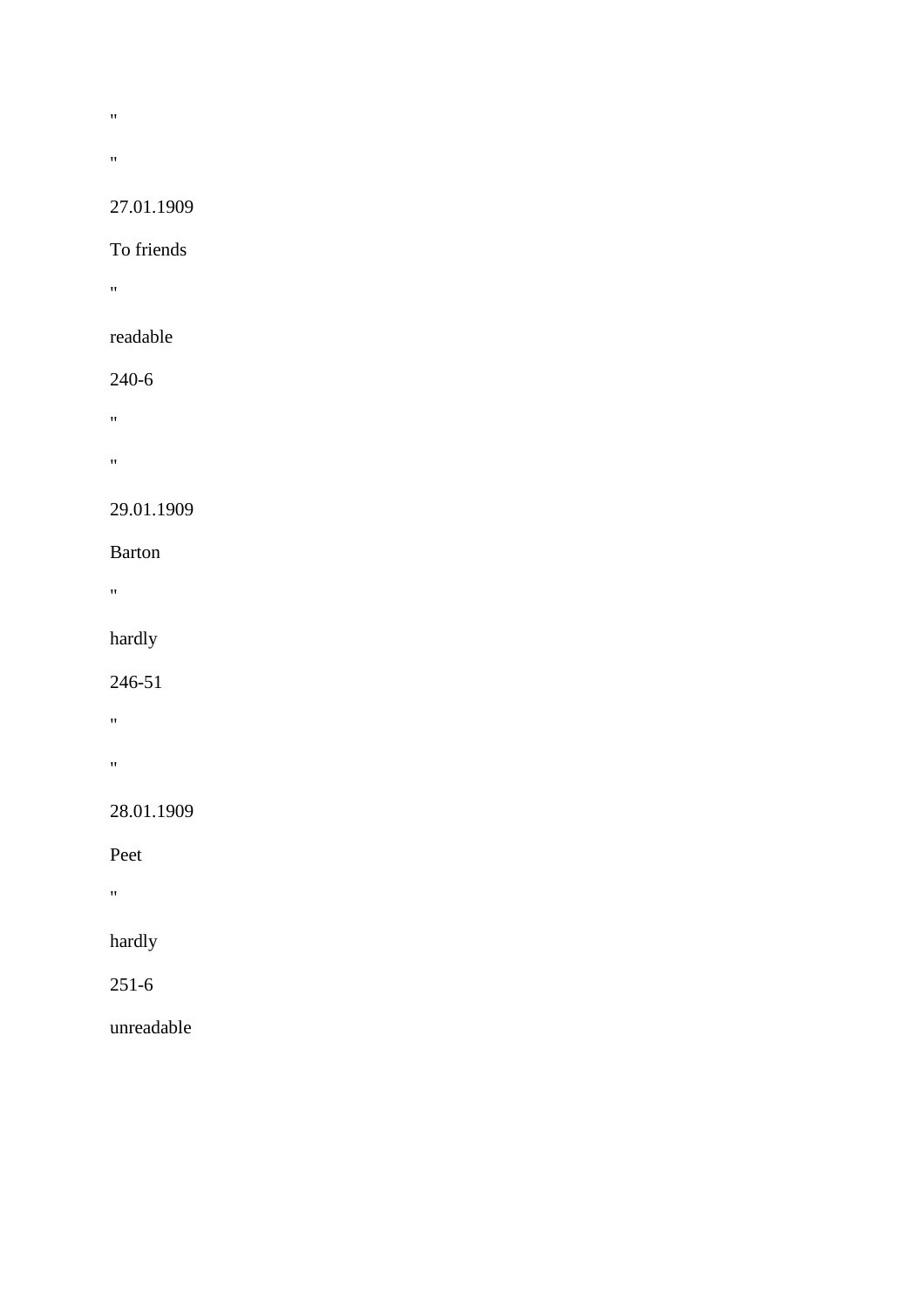- $\bar{u}$
- $\mathbf{u} = \mathbf{v}$

#### 27.01.1909

#### To friends

"

## readable

#### 240-6

- $\alpha$
- 
- $\theta$

## 29.01.1909

#### Barton

"

## hardly

## 246-51

- $\theta$
- "

## 28.01.1909

## Peet

"

## hardly

## 251-6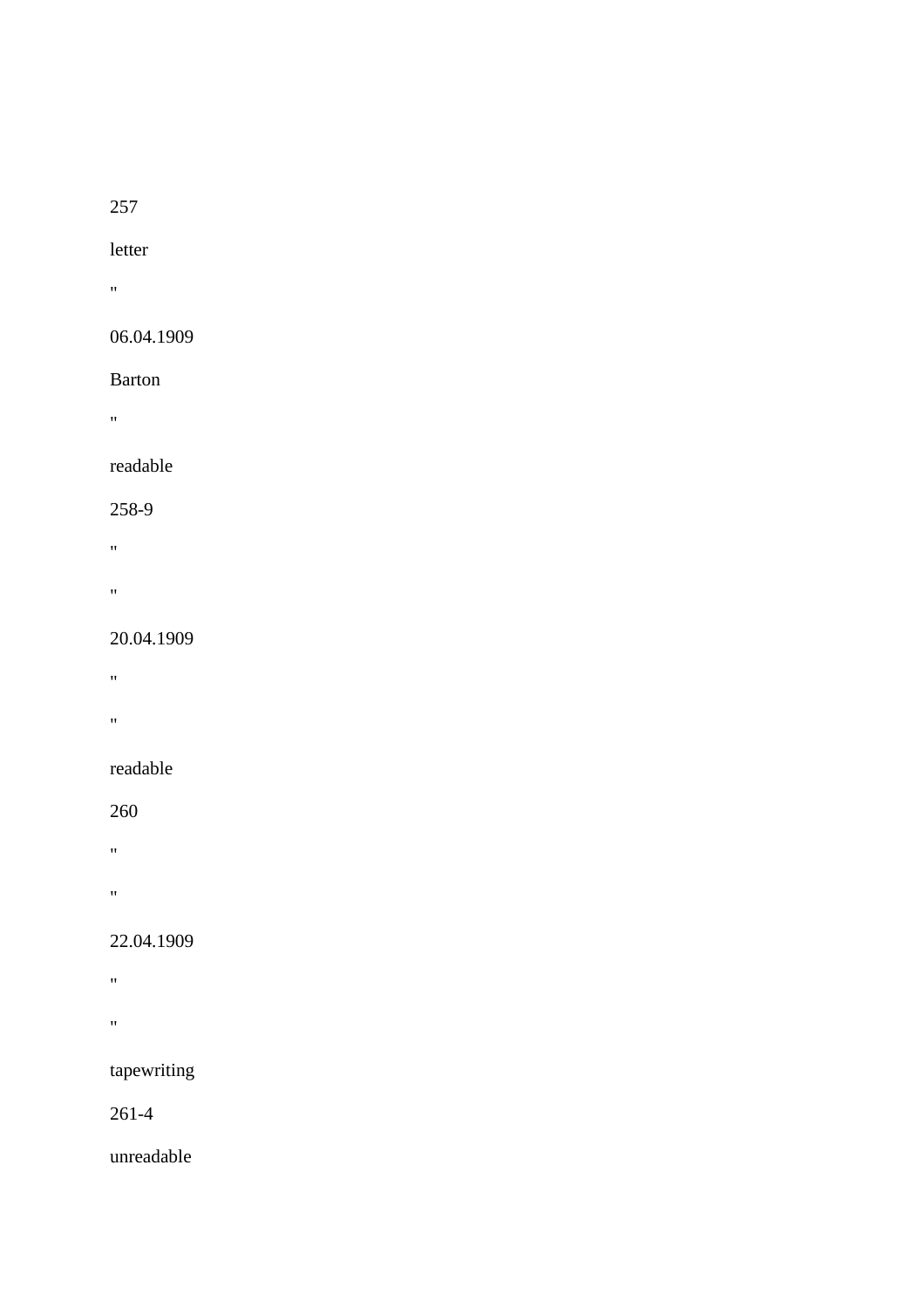#### 257

#### letter

"

#### 06.04.1909

#### Barton

"

## readable

#### 258-9

- $\theta$  . The  $\theta$
- 
- "

#### 20.04.1909

- "
- 
- $\boldsymbol{0}$

## readable

#### 260

- $\hat{H}^{(1)}$  and  $\hat{H}^{(2)}$
- 
- "

## 22.04.1909

- $\hat{H}$
- $\hat{\theta}$

## tapewriting

## 261-4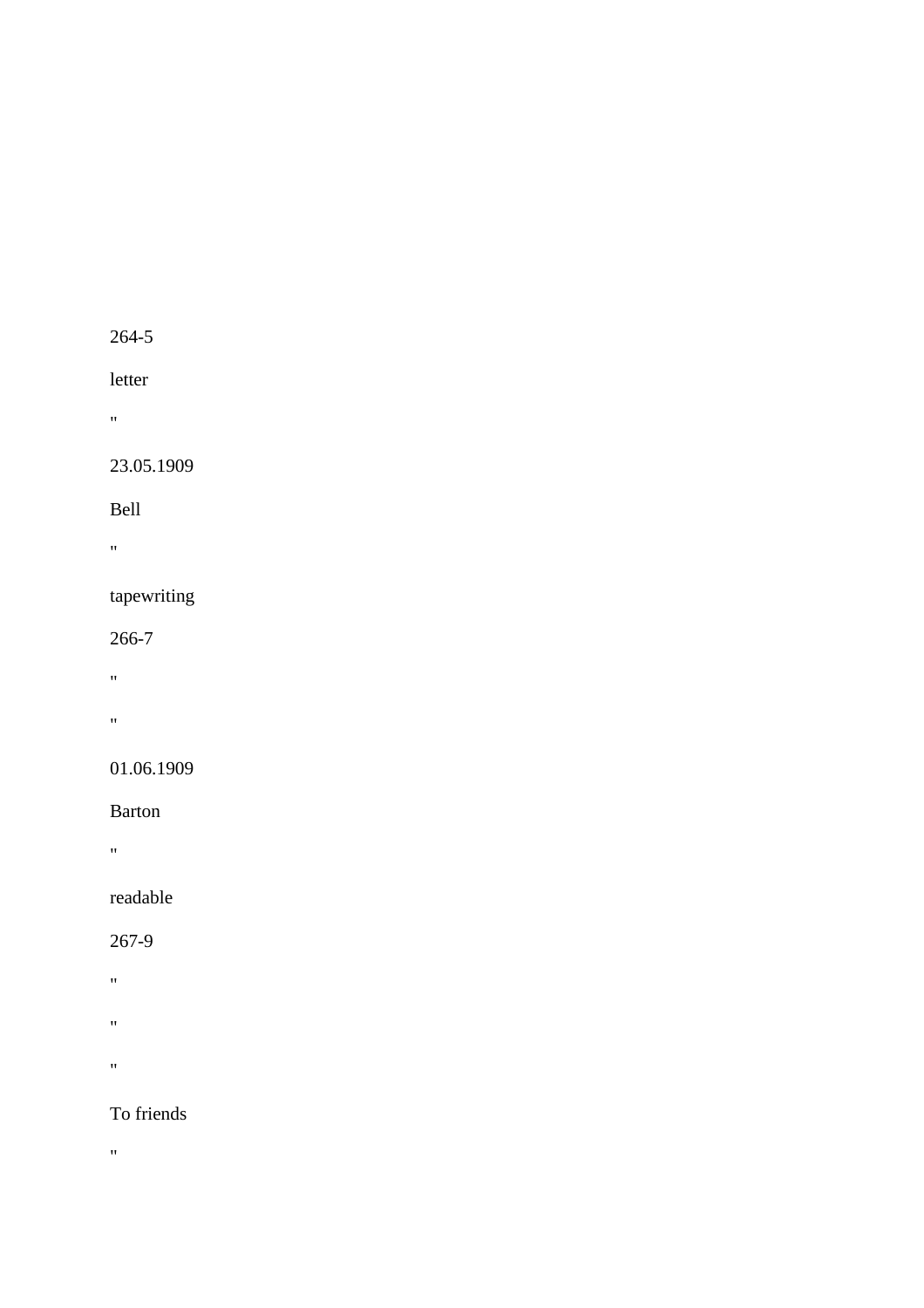## letter

 $\mathbf{u}^{\left(1\right)}$  .

#### 23.05.1909

Bell

 $\hat{H}$ 

## tapewriting

266-7

- "
- $\theta_{\rm{max}}$

#### 01.06.1909

Barton

"

## readable

267-9

 $\hat{\mathbf{u}}^{\dagger}$ 

- $\hat{H}^{\pm}$
- 

 $\hat{H}$ 

## To friends

 $\theta$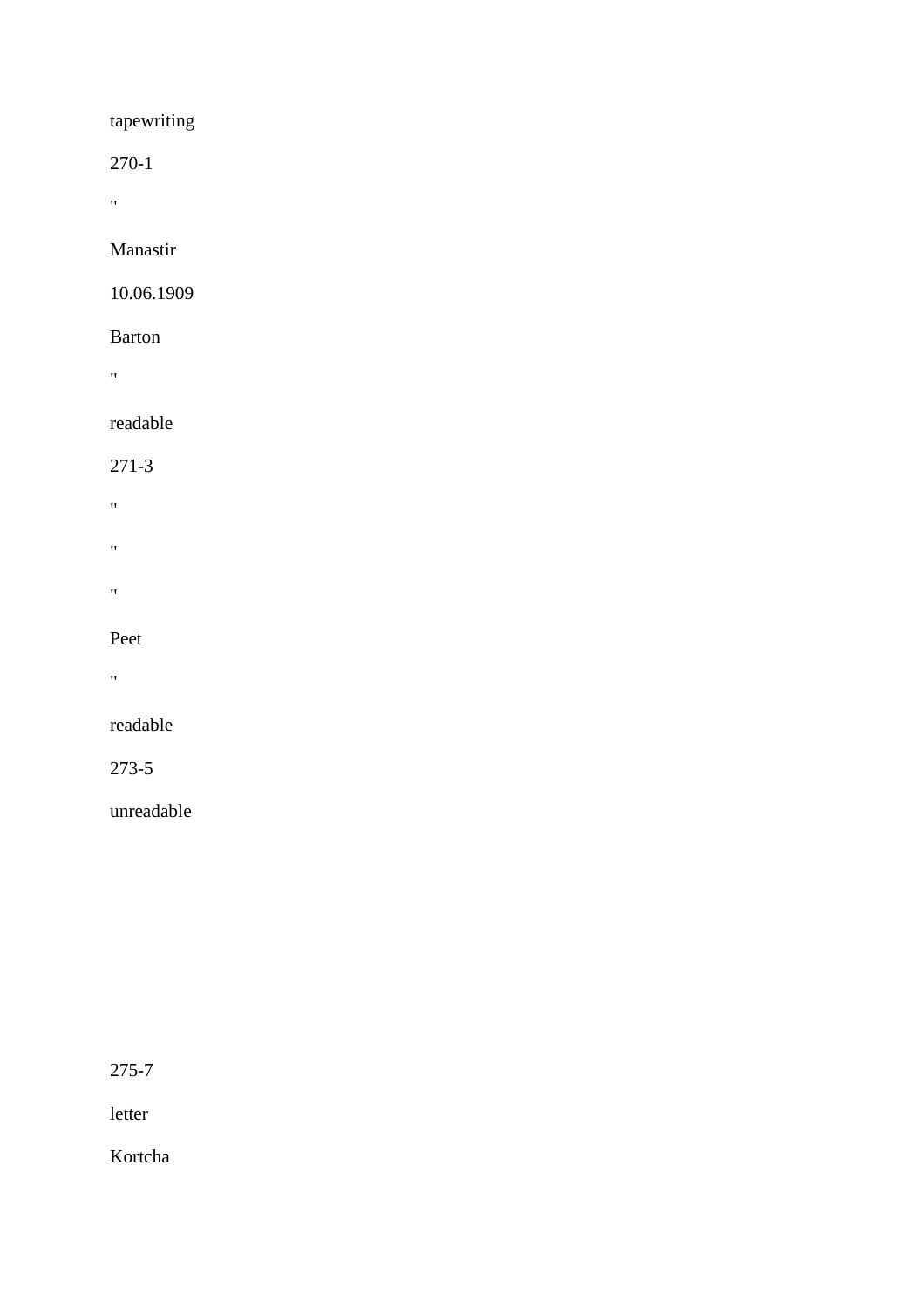## tapewriting

270-1

"

Manastir

#### 10.06.1909

#### Barton

 $\alpha$ 

## readable

271-3

- $\hat{\theta}$
- 
- $\mathbf{u}^{\dagger}$
- 
- $\alpha$

#### Peet

 $\mathbf{u}$ 

## readable

273-5

unreadable

275-7

letter

Kortcha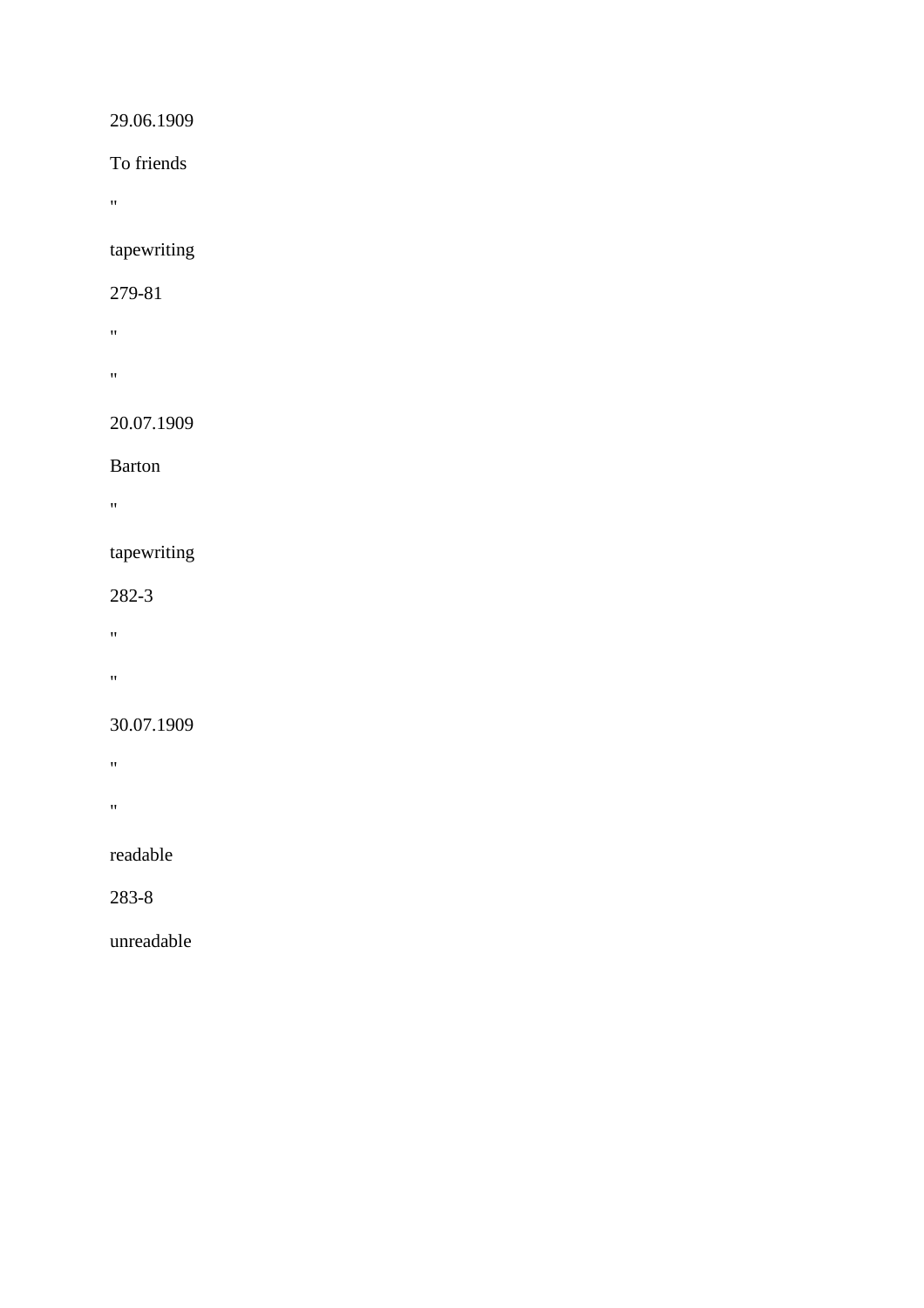## 29.06.1909

To friends

 $\hat{H}^{\pm}$ 

tapewriting

#### 279-81

 $\mathbf{w}$ 

 $\bar{m}$ 

## 20.07.1909

Barton

 $\hat{\theta}$ 

#### tapewriting

282-3

- $\mathbf{u} = \mathbf{v}$
- 

# $\mathbf{u} = \mathbf{v}$

## 30.07.1909

- $\hat{H}^{\pm}$
- "

## readable

283-8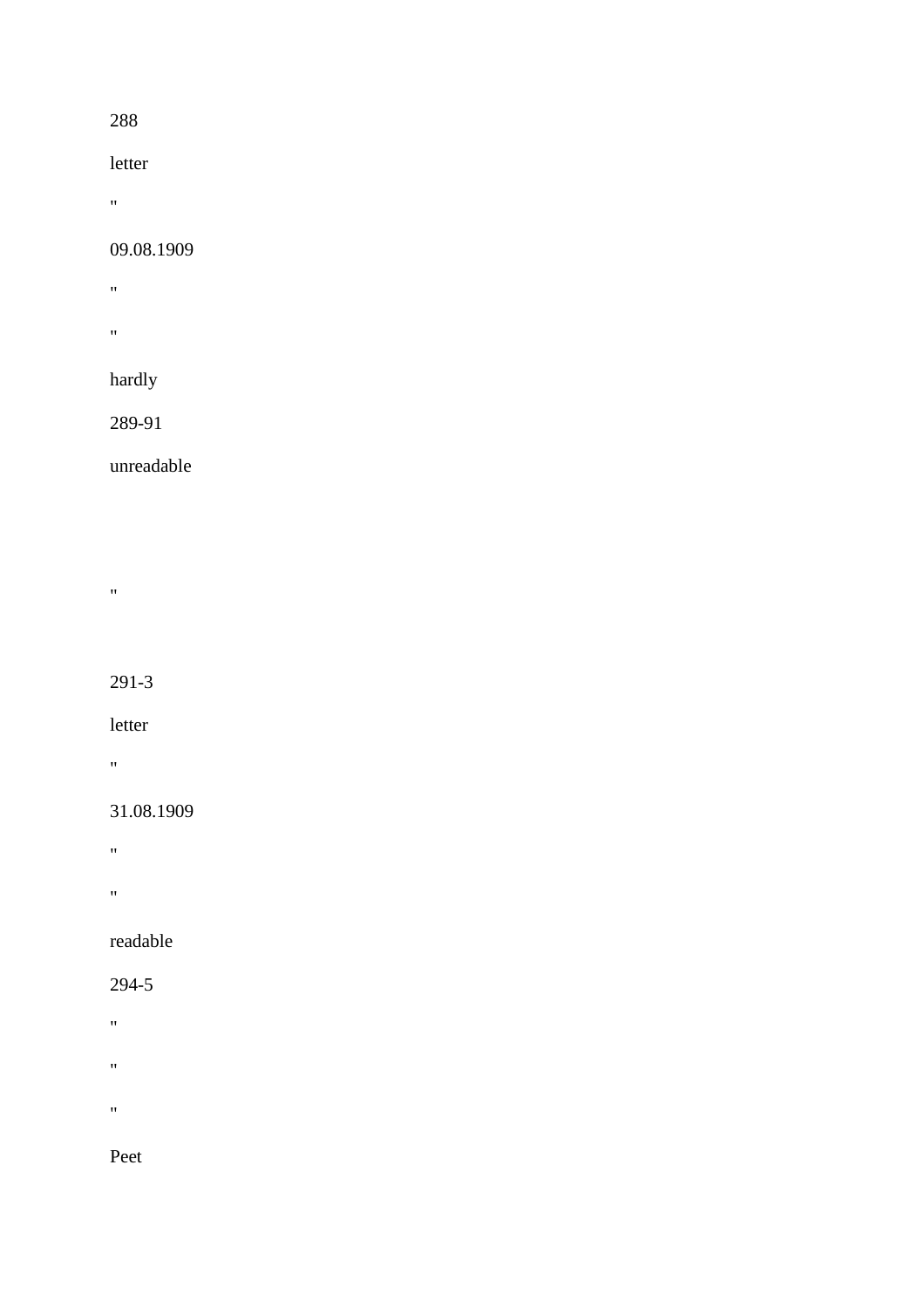#### 288

letter

 $\alpha$ 

#### 09.08.1909

- $\hat{H}^{\pm}$
- "

## hardly

289-91

unreadable

 $\hat{H}$ 

291-3

letter

 $\sigma_{\rm{max}}$ 

#### 31.08.1909

- $\hat{H}^{\rm (1)}$
- 
- $\mathbf{u}$

readable

#### 294-5

- "
- $\hat{H}^{\pm}$
- $\boldsymbol{\theta}$

Peet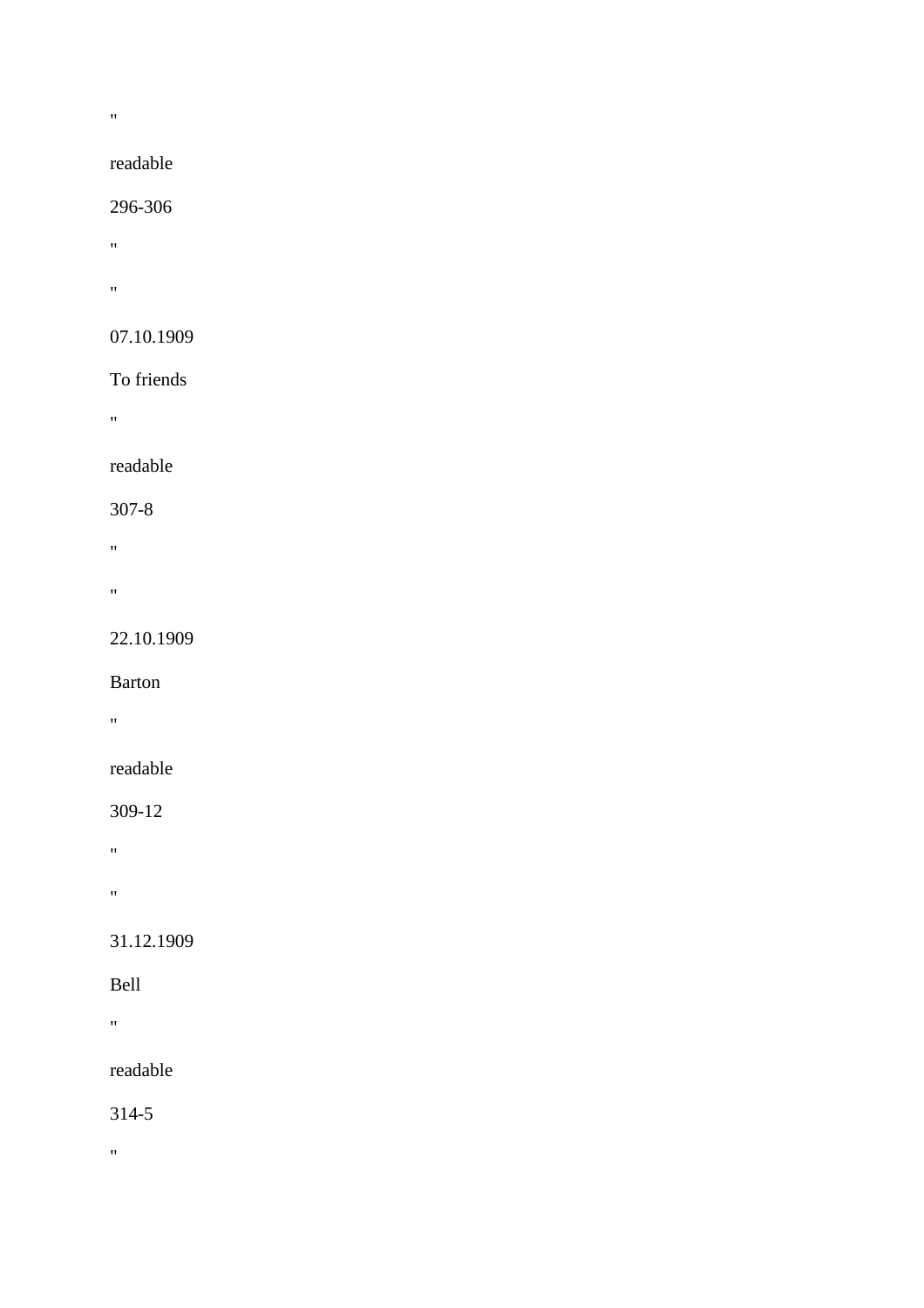$\mathbf{u}$ 

## readable

#### 296-306

 $\theta$ 

"

#### 07.10.1909

#### To friends

"

#### readable

#### 307-8

"

"

## 22.10.1909

Barton

 $\mathbf{u} = \mathbf{v}$ 

## readable

#### 309-12

 $\hat{H}^{\rm (1)}$ 

"

## 31.12.1909

#### Bell

**"** "

## readable

314-5

 $\theta$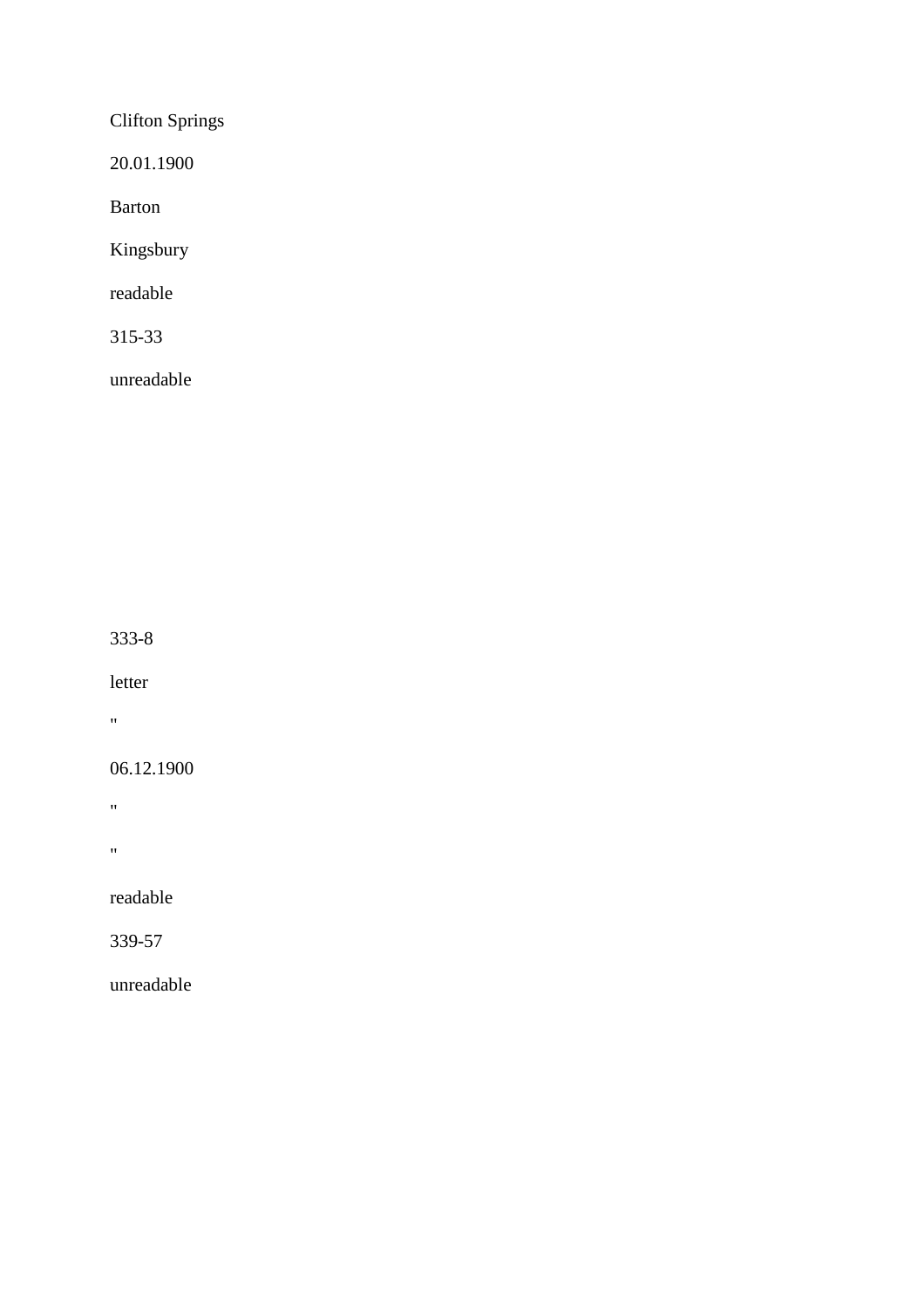Clifton Springs

20.01.1900

Barton

Kingsbury

readable

315-33

unreadable

333-8

letter

 $\hat{\theta}$ 

06.12.1900

 $\mathbf{u}$ 

 $\bar{\theta}$ 

readable

339-57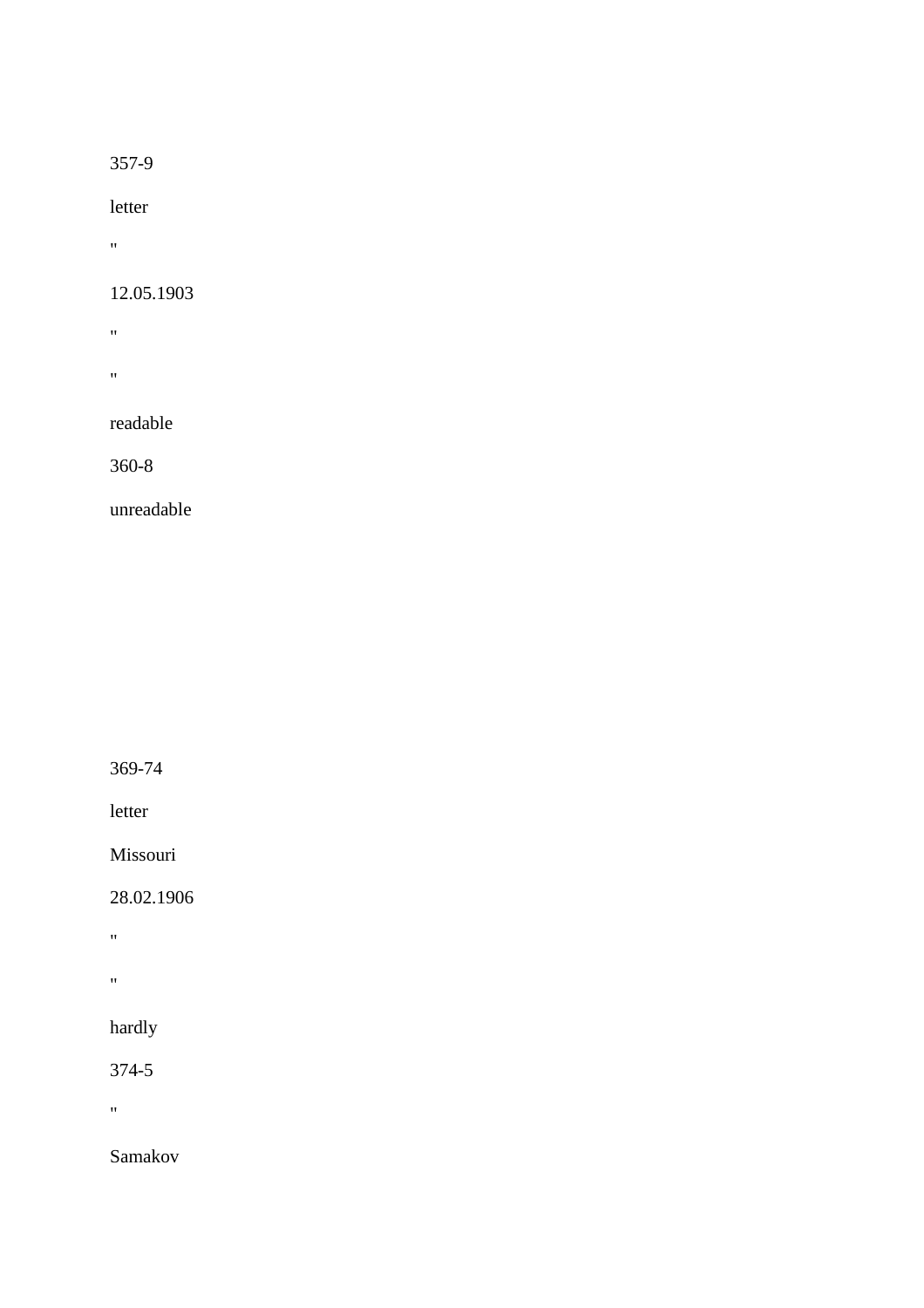letter

 $\alpha$ 

#### 12.05.1903

- $\hat{H}^{\pm}$
- $\mathbf{u}^\top$

## readable

360-8

unreadable

369-74

letter

Missouri

28.02.1906

 $\hat{H}^{\pm}$ 

 $\hat{\mathbf{u}}^{\dagger}$ 

hardly

374-5

"

Samakov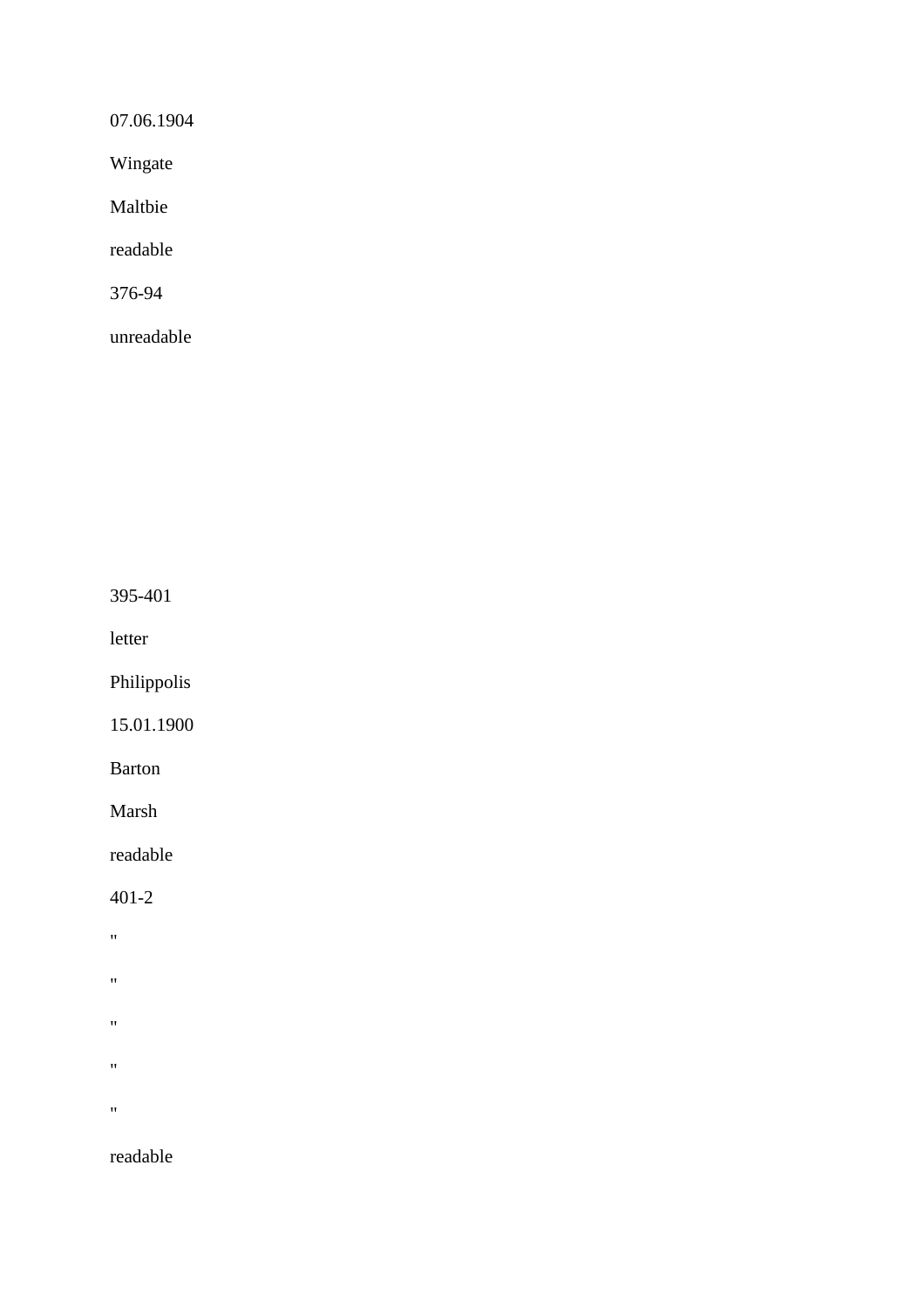07.06.1904

Wingate

Maltbie

readable

376-94

unreadable

395-401

letter

Philippolis

15.01.1900

Barton

Marsh

readable

401-2

- "
- "
- 
- $^{\prime\prime}$
- $^{\prime\prime}$
- 
- $\mathbf{u}$

readable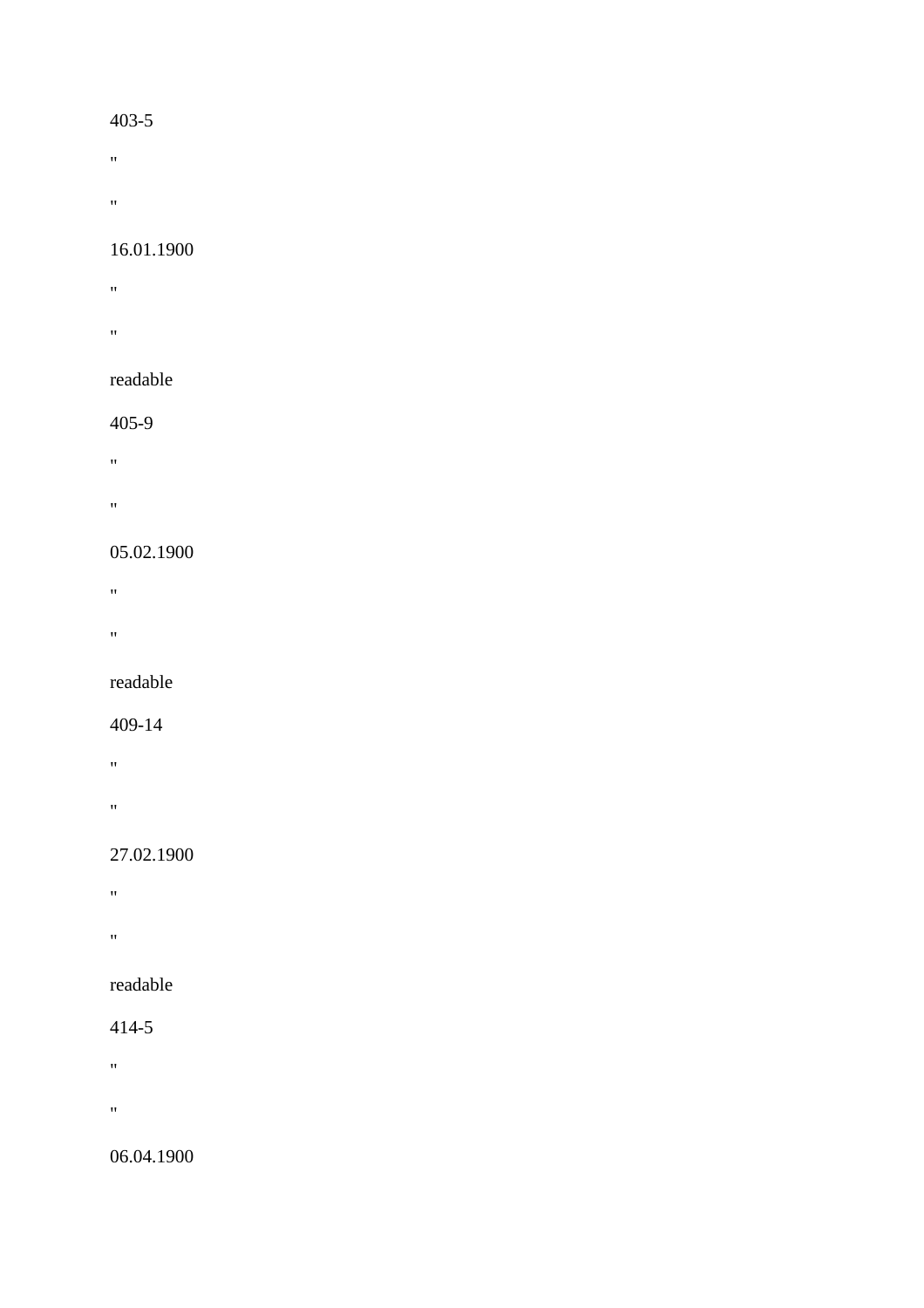- $\mathbf{u} = \mathbf{v}$
- 
- $\hat{H}^{\pm}$

#### 16.01.1900

- **"** "
- **"** "

#### readable

#### 405-9

- "
- 
- "

#### 05.02.1900

- "
- 
- $\mathbf{u}$

#### readable

#### 409-14

- "
- 
- "

## 27.02.1900

- $\mathbf{u}$
- 
- "

## readable

#### 414-5

- $\mathbf{m}$
- 
- $\mathbf{u}^\top$

#### 06.04.1900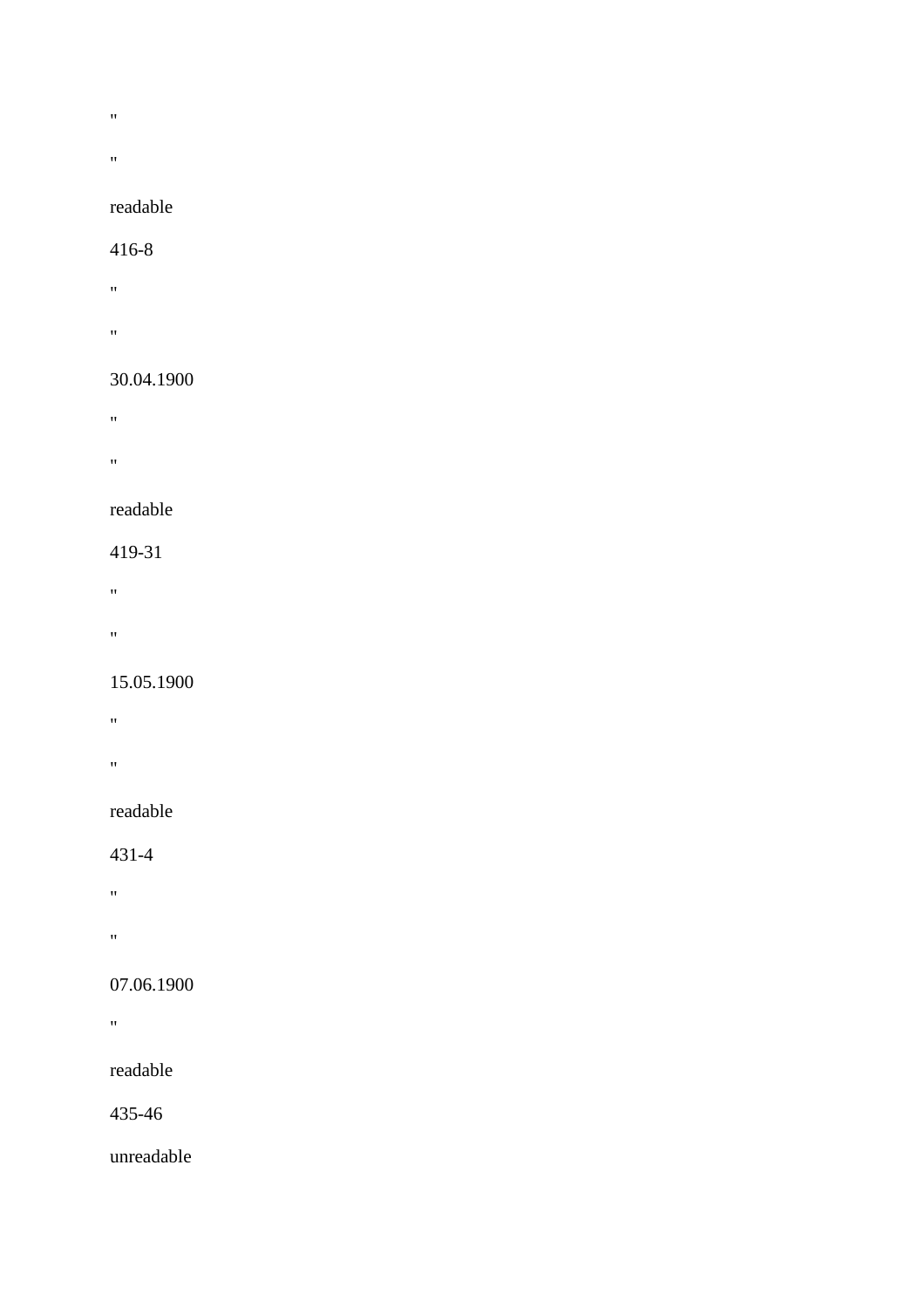- $\bar{W}$
- 
- $\alpha$

# readable

#### 416-8

- "
- "

#### 30.04.1900

- "
- $\mathbf{u}$

## readable

## 419-31

- "
- 
- "

## 15.05.1900

- $\theta$  . The  $\theta$
- 
- **"** "

## readable

## 431-4

- "
- "

## 07.06.1900

**"** "

## readable

435-46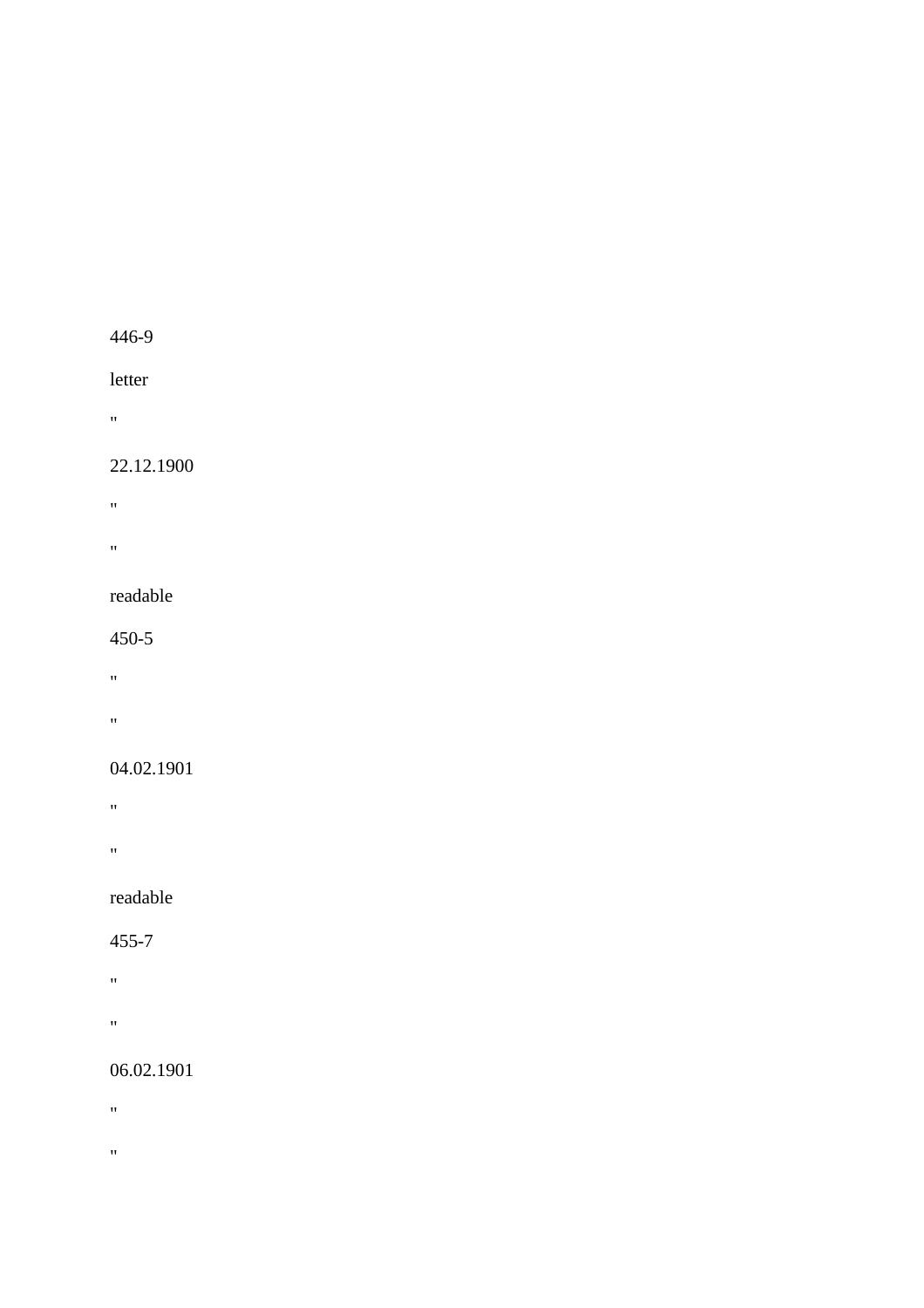#### letter

"

#### 22.12.1900

"

"

#### readable

#### 450-5

 $\hat{H}^{\dagger}$  and  $\hat{H}^{\dagger}$ 

"

#### 04.02.1901

"

"

## readable

#### 455-7

"

"

#### 06.02.1901

 $\mathbf{u}^{\pm}$ 

 $\theta$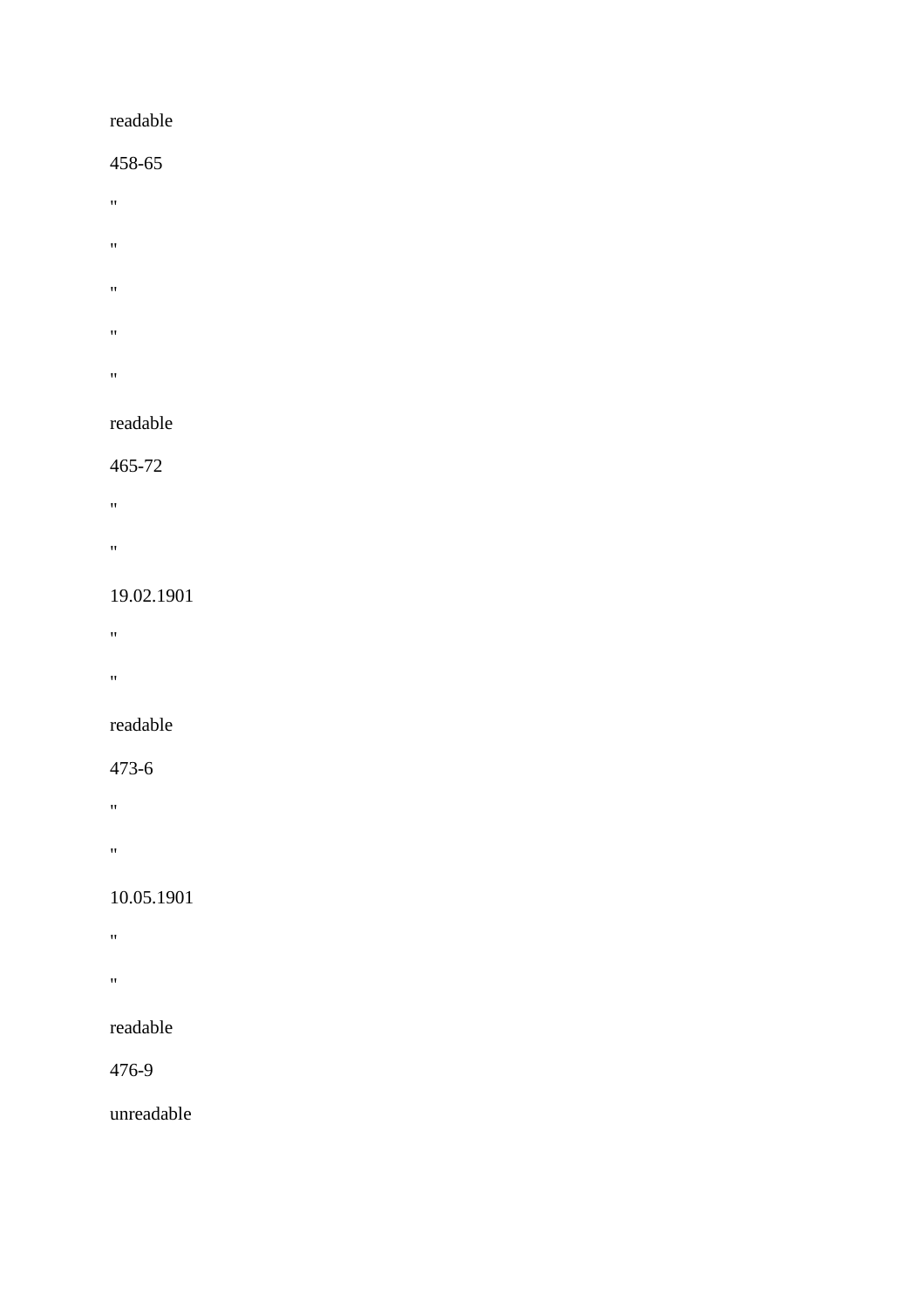#### readable

#### 458-65

- $\theta$
- $\hat{\theta}$
- $\bar{\mathbf{u}}$
- $\bar{W}$
- $\mathbf{u}^\dagger$

#### readable

#### 465-72

- "
- 
- $\theta$

#### 19.02.1901

- "
- 
- "

## readable

#### 473-6

- $\mathbf{m}=\mathbf{0}$
- 
- "

## 10.05.1901

- **"** "
- 
- $\mathbf{u}^{\left(1\right)}$

## readable

#### 476-9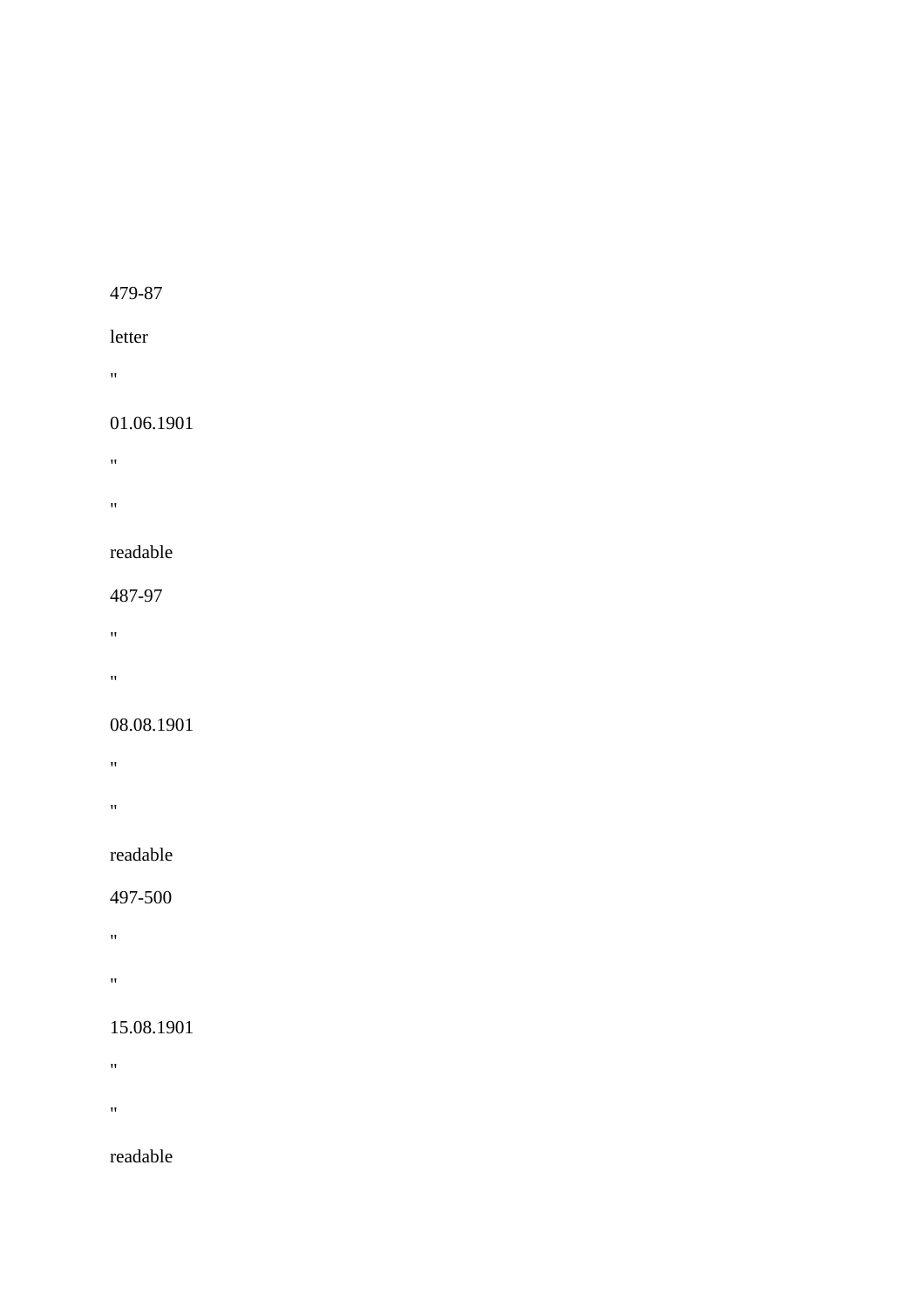#### letter

"

#### 01.06.1901

"" "" " "

"

#### readable

487-97

"

"

#### 08.08.1901

"

"

## readable

497-500

"

"

#### 15.08.1901

 $\mathbf{u}^{\pm}$ 

 $\mathbf{u}^{\pm}$ 

readable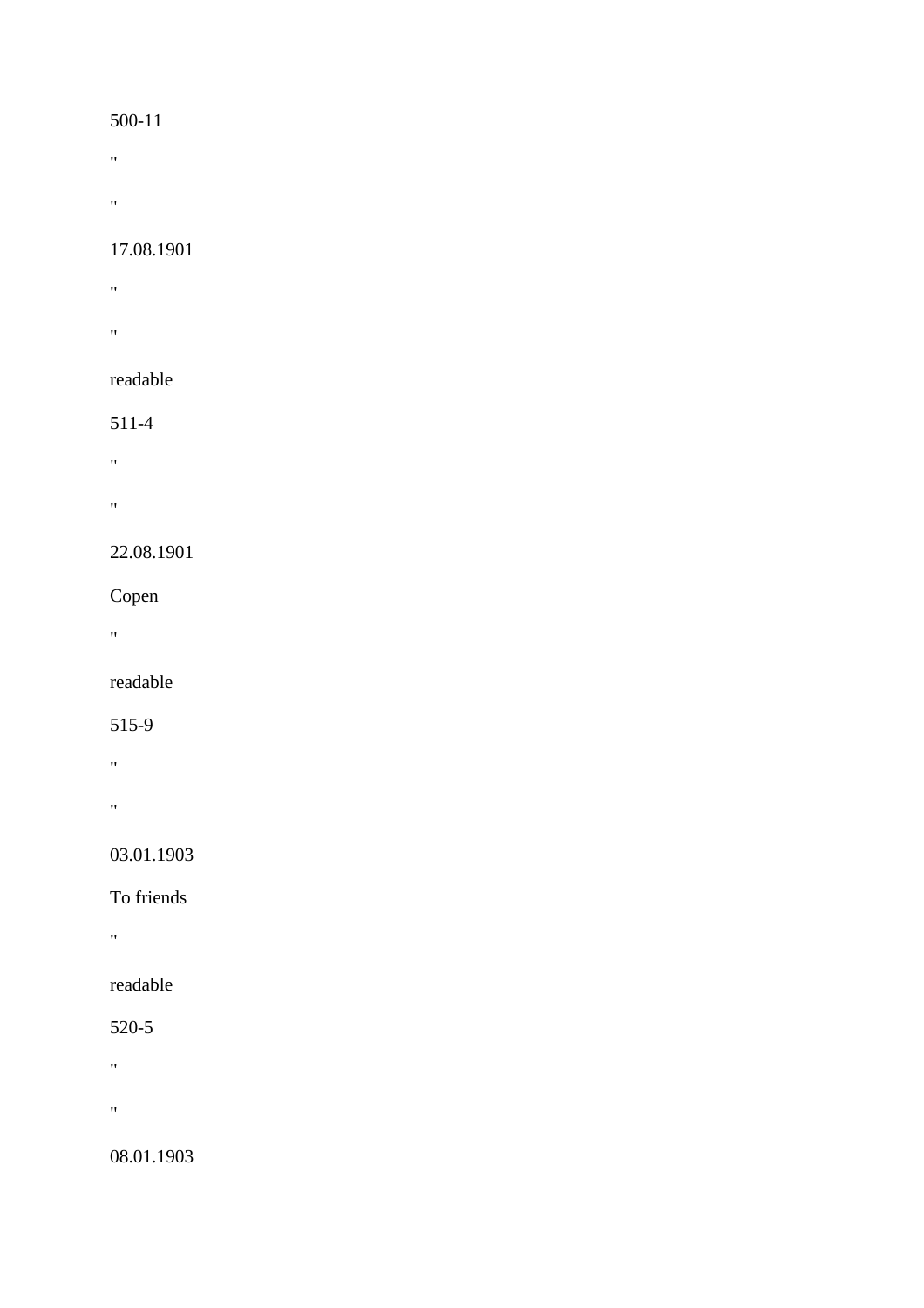- $\hat{H}$
- 
- $\hat{\theta}$

#### 17.08.1901

- **"** "
- **"** "

## readable

## 511-4

- "
- 
- "

## 22.08.1901

## Copen

 $\mathbf{u} = \mathbf{v}$ 

# readable

## 515-9

- "
- $\mathbf{u}$

## 03.01.1903

## To friends

"

## readable

## 520-5

- $\hat{H}$
- 
- $\boldsymbol{0}$

## 08.01.1903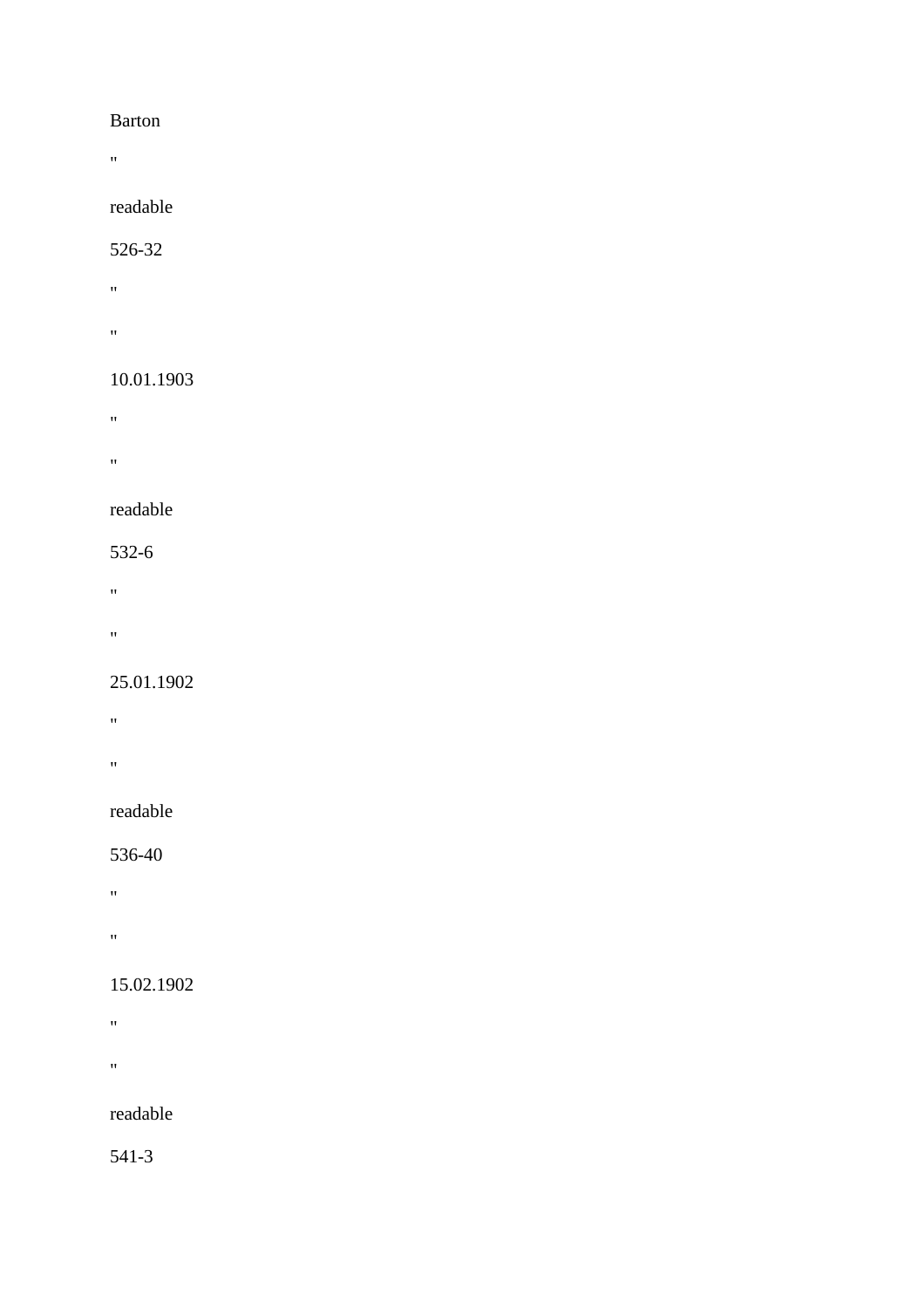#### Barton

 $\mathbf{u} = \mathbf{v}$ 

#### readable

#### 526-32

- "
- $\theta$  . The  $\theta$

## 10.01.1903

- $\mathbf{u}$
- 
- "

## readable

- 532-6
- "
- 
- $\mathbf{u}$

## 25.01.1902

- "
- 
- **"** "

## readable

## 536-40

- "
- 
- "

## 15.02.1902

- "
- 
- "

## readable

541-3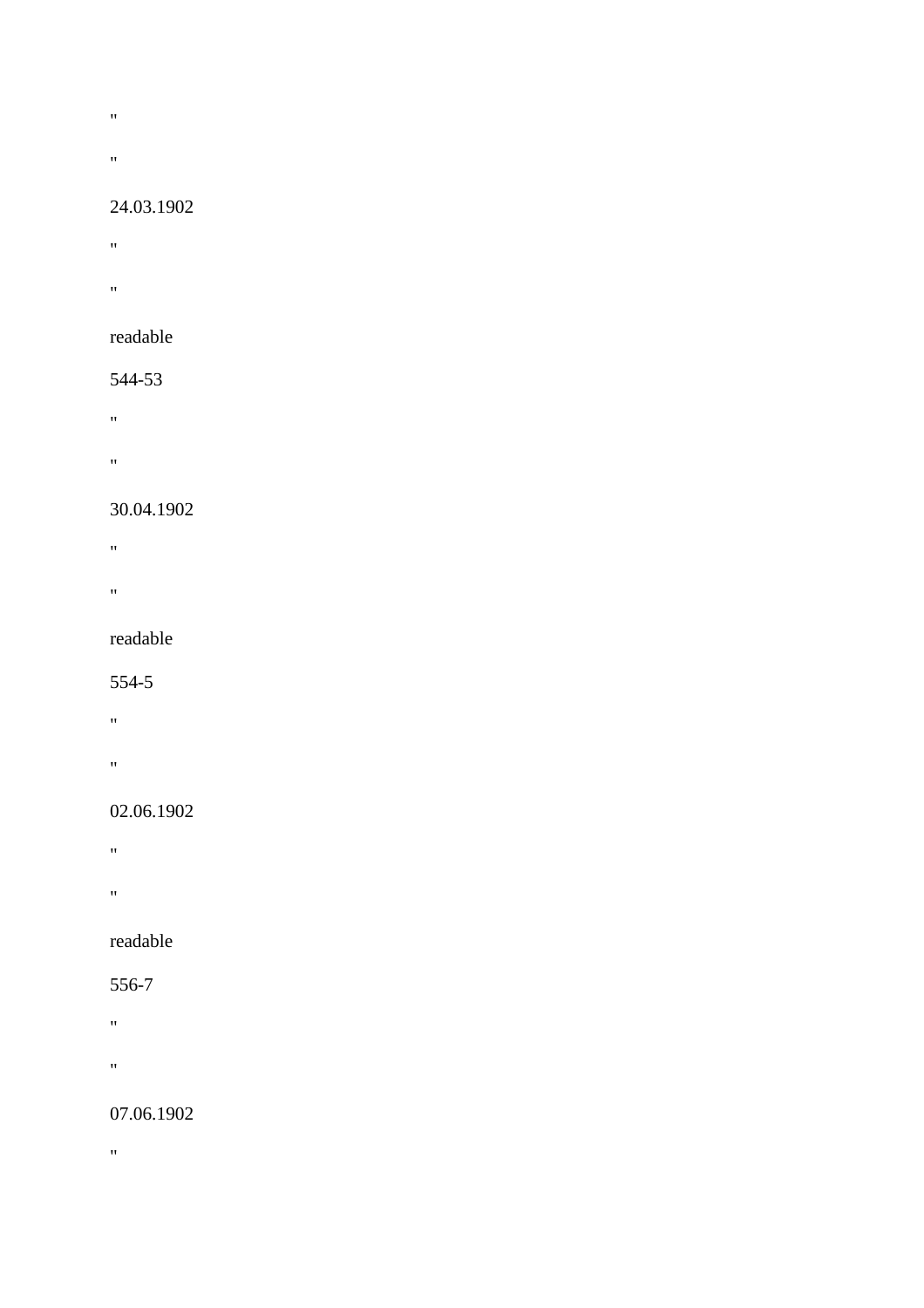- $\hat{H}^{\pm}$
- 
- $\theta$  .

#### 24.03.1902

- $\theta$
- **"** "
- readable

## 544-53

- $\alpha$  .  $\beta$
- 
- $\mathbf{u} = \mathbf{u}$

## 30.04.1902

- **"** "
- "
- 

## readable

#### 554-5

- "
- 
- "

## 02.06.1902

- $\mathbf{u}^{\left(1\right)}$  .
- "
- 

## readable

## 556-7

- $\theta$  . The  $\theta$
- 
- "

## 07.06.1902

 $\alpha$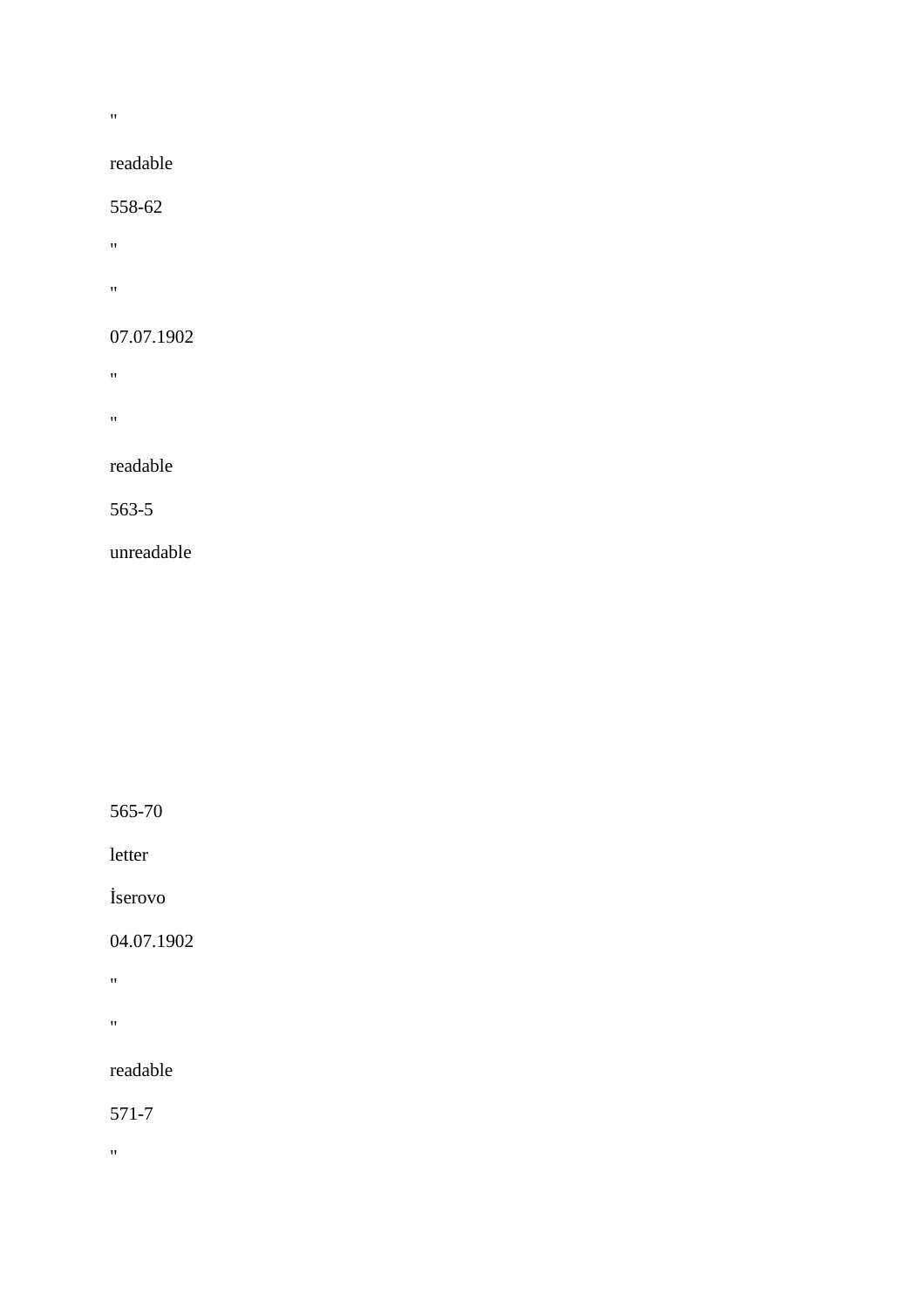"

#### readable

#### 558-62

- $\mathbf{m} = 0$
- "

#### 07.07.1902

- **"** "
- "

#### readable

#### 563-5

#### unreadable

565-70

letter

#### İserovo

#### 04.07.1902

"

"

#### readable

#### 571-7

 $\alpha$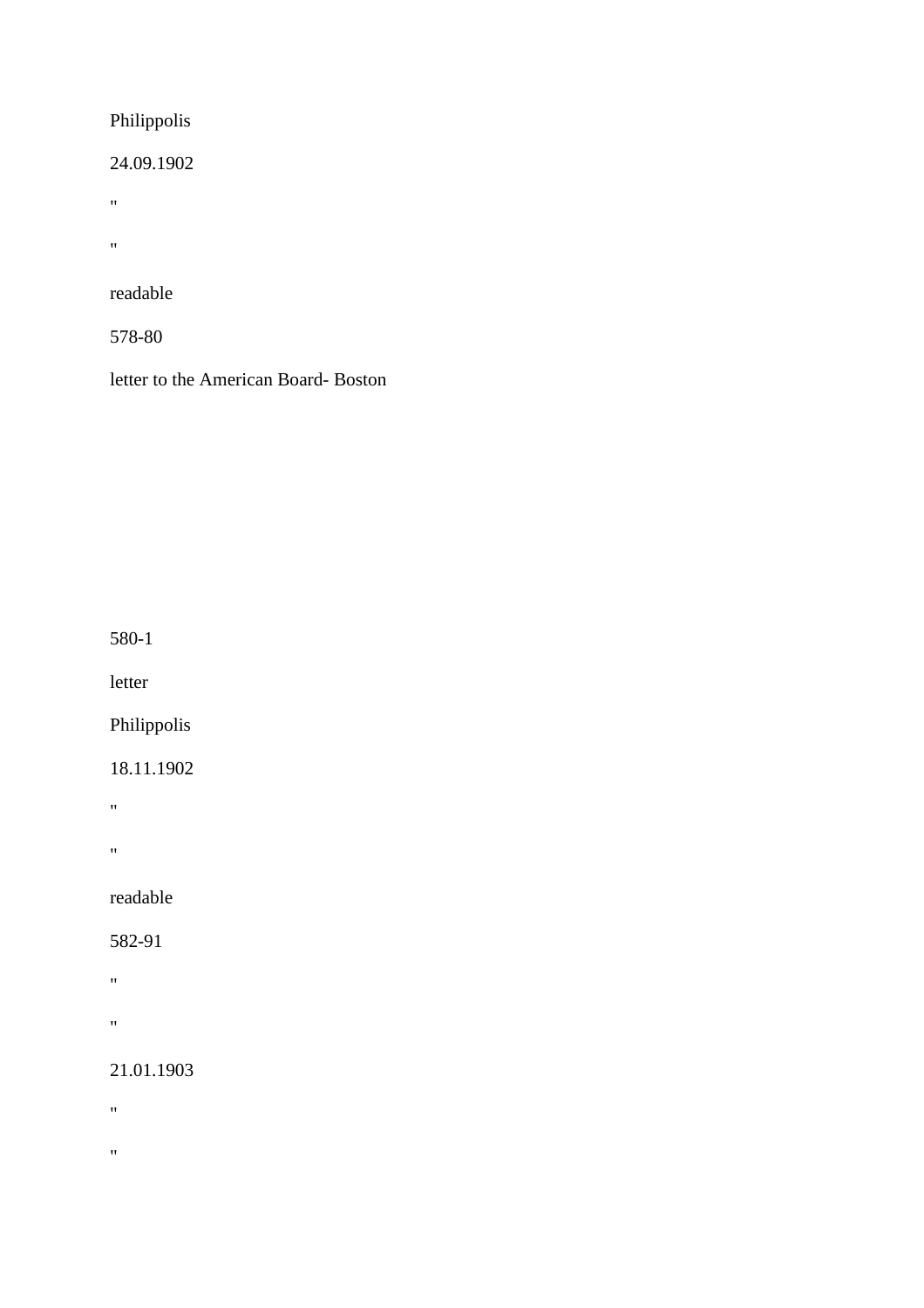## Philippolis

24.09.1902

 $\hat{\theta}$ 

 $\boldsymbol{\theta}$ 

readable

578-80

letter to the American Board- Boston

580-1

letter

Philippolis

18.11.1902

 $\bar{u}$ 

 $\mathbf{u}^{\dagger}$ 

readable

582-91

 $\bar{m}$ 

 $\hat{\theta}$ 

21.01.1903

 $\hat{\theta}$ 

"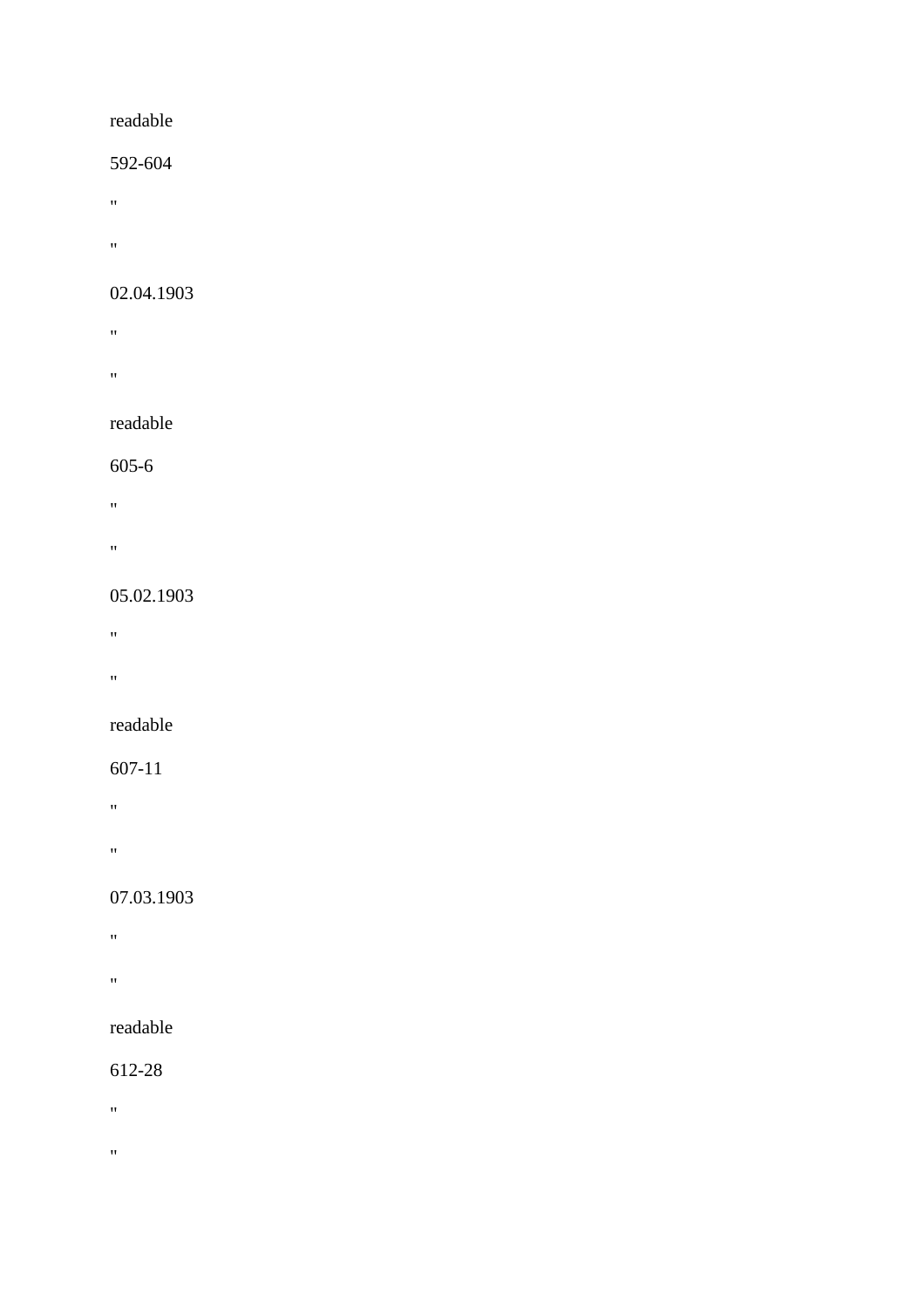#### readable

#### 592-604

- "
- 
- "

## 02.04.1903

- "
- "

#### readable

#### 605-6

- $\hat{H}$
- 
- "

#### 05.02.1903

- **"** "
- "
- 

## readable

#### 607-11

- $\mathbf{u} = \mathbf{v}$
- 
- "

## 07.03.1903

- **"** "
- 
- "

## readable

## 612-28

- $\mathbf{u}^{\pm}$
- 
- $\bar{m}$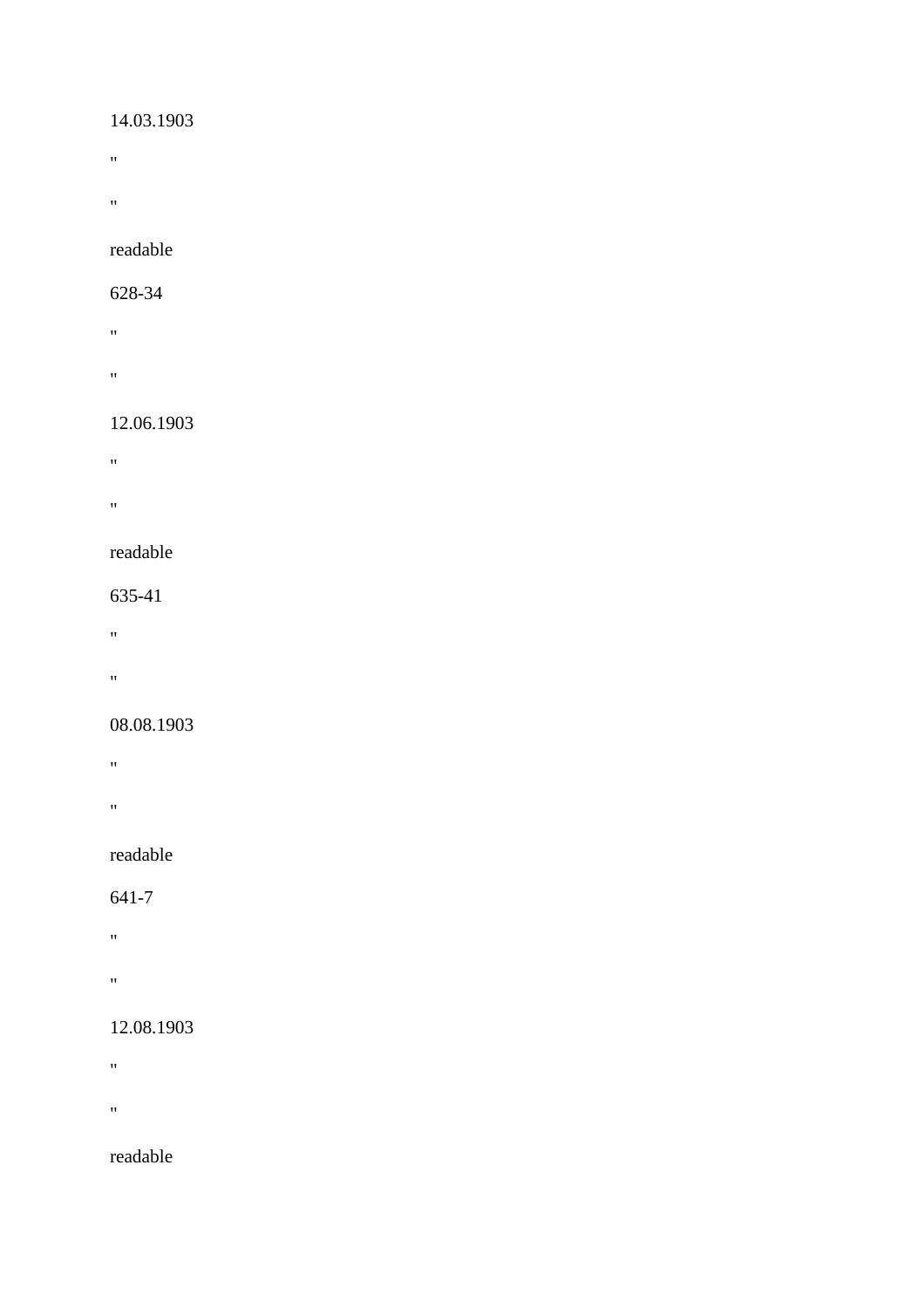#### 14.03.1903

- $\mathbf{u}^{\pm}$
- $\theta$

## readable

#### 628-34

- "
- $\hat{\mathbf{u}}$

## 12.06.1903

- **"** "
- 
- **"** "

#### readable

#### 635-41

- "
- 
- "

#### 08.08.1903

- "
- 
- $\mathbf{u}$

## readable

## 641-7

- "
- 
- $\alpha$

## 12.08.1903

- $\mathbf{u}^{\pm}$
- 
- $\mathbf{u}^{\pm}$

## readable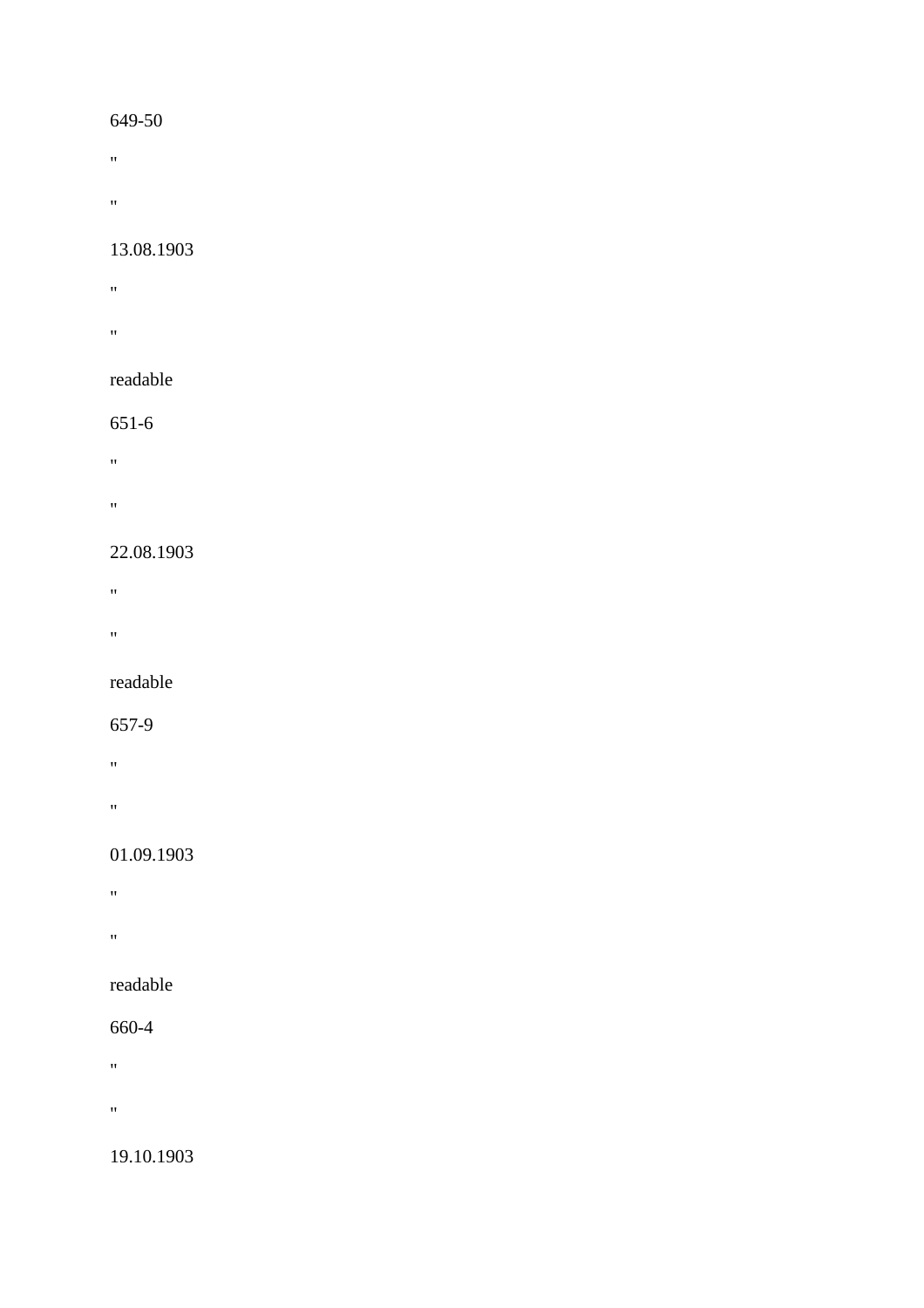- $\mathbf{u} = \mathbf{u}$
- 
- $\hat{H}^{\pm}$

#### 13.08.1903

- **"** "
- **"** "

## readable

## 651-6

- "
- $\mathbf{u} = \mathbf{u} \times \mathbf{u}$
- 

## 22.08.1903

- "
- 
- $\alpha$

#### readable

## 657-9

- "
- 
- "

## 01.09.1903

- "
- 
- "

## readable

## 660-4

- 
- $\mathbf{u}$
- $\mathbf{u}^{\pm}$

## 19.10.1903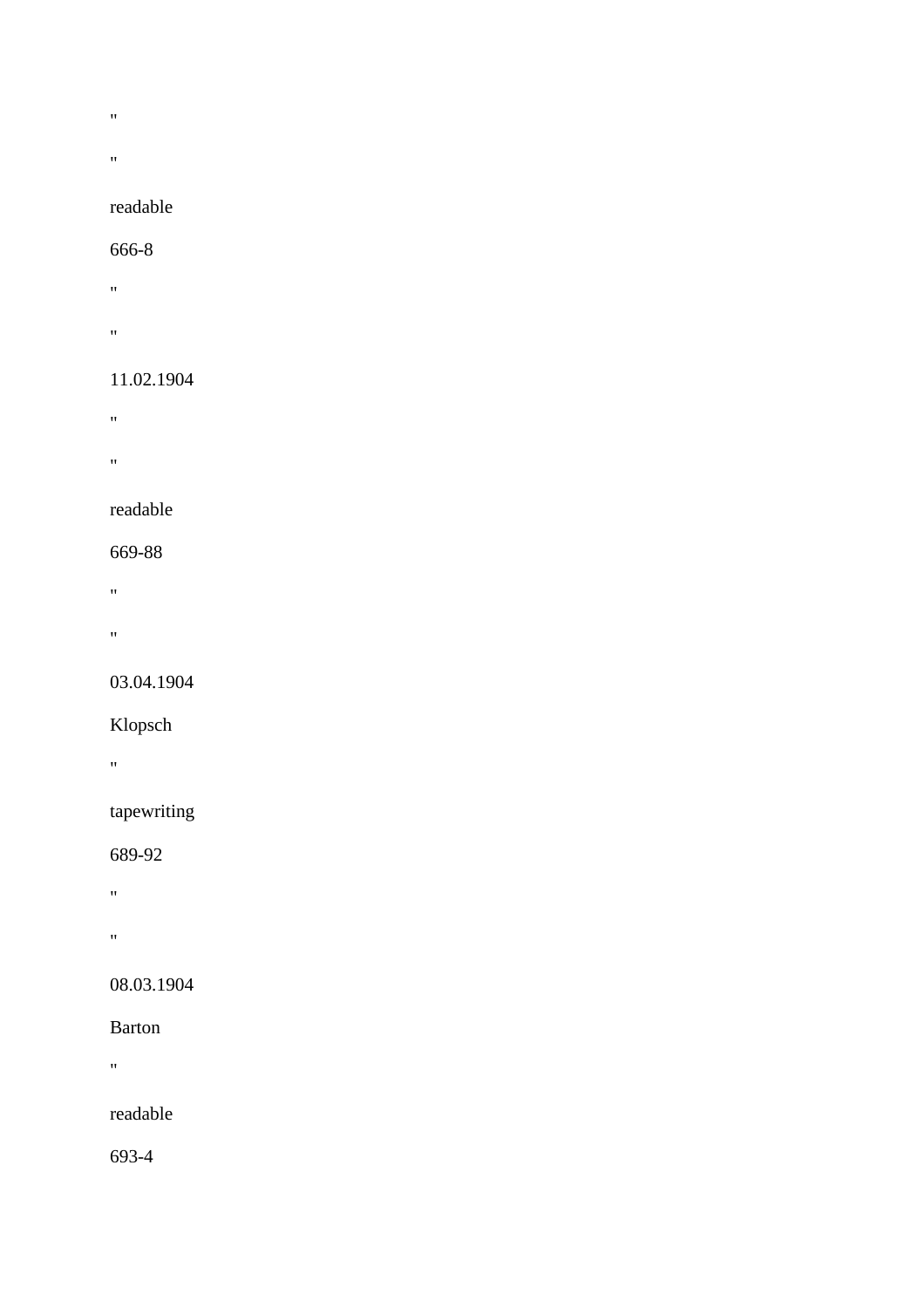- $\bar{\mathbf{u}}$
- 
- $\mathbf{u}$

## readable

#### 666-8

- "
- "

## 11.02.1904

- "
- 
- $\boldsymbol{0}$

## readable

## 669-88

- $\mathbf{u}^{\left( \cdot \right) }$
- $\hat{H}^{\pm}$

# 03.04.1904

## Klopsch

"

## tapewriting

## 689-92

- $\mathbf{u}^{(i)}$
- $\hat{H}$

## 08.03.1904

## Barton

 $\hat{H}^{\pm}$ 

## readable

693-4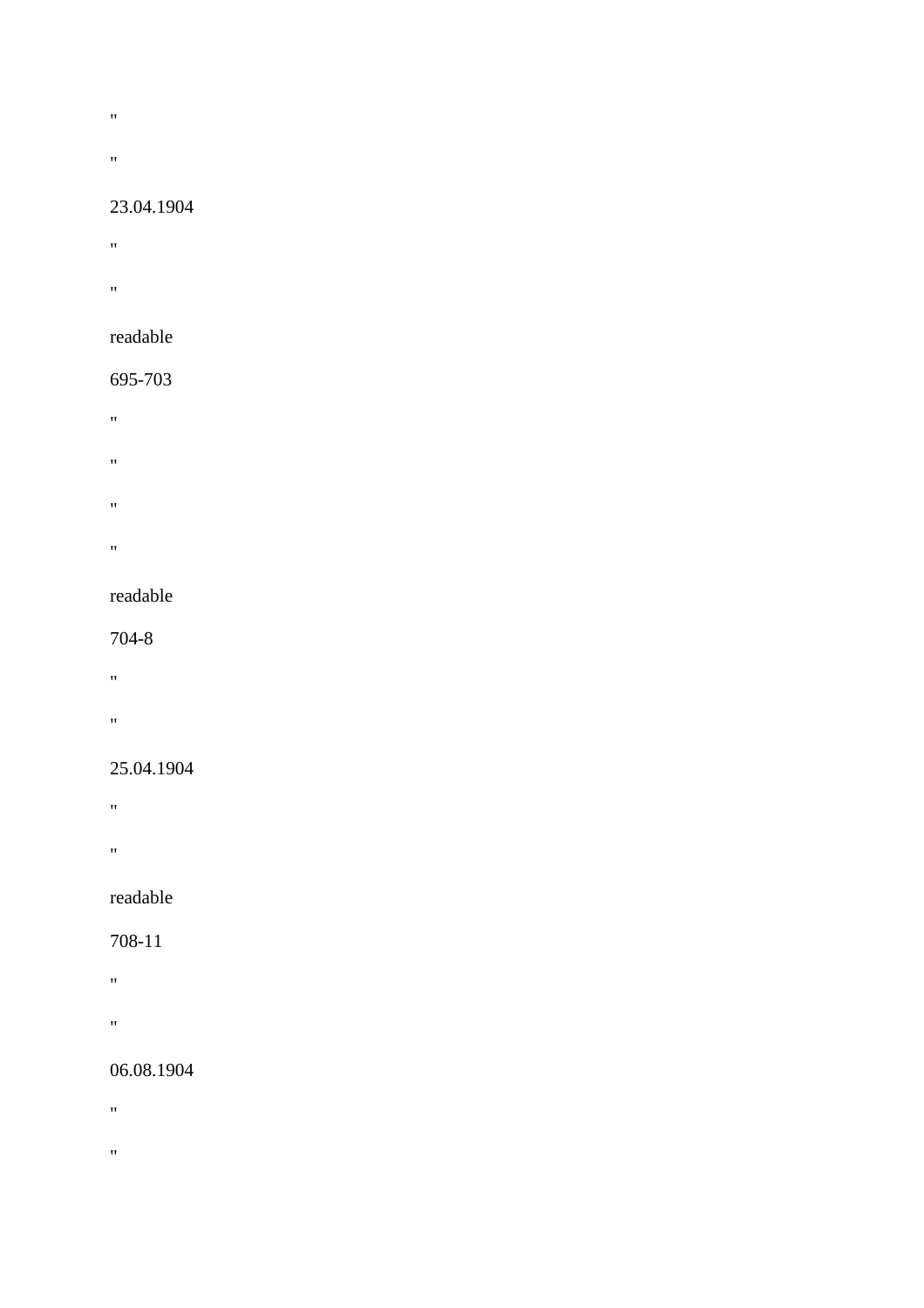- $\hat{\mathbf{u}}$
- 
- $\mathbf{u} = \mathbf{v}$

#### 23.04.1904

- $\mathbf{u}^{\pm}$
- **"** "
- readable

## 695-703

- $\mathbf{u}^{\left( \cdot \right) }$
- "
- $\hat{H}$
- 
- "

## readable

#### 704-8

- $\mathbf{u} = \mathbf{u}$
- "

## 25.04.1904

- "
- 
- "

## readable

## 708-11

- $\alpha$
- 
- "

## 06.08.1904

- $\mathbf{u}^{\pm}$
- 
- $\bar{m}$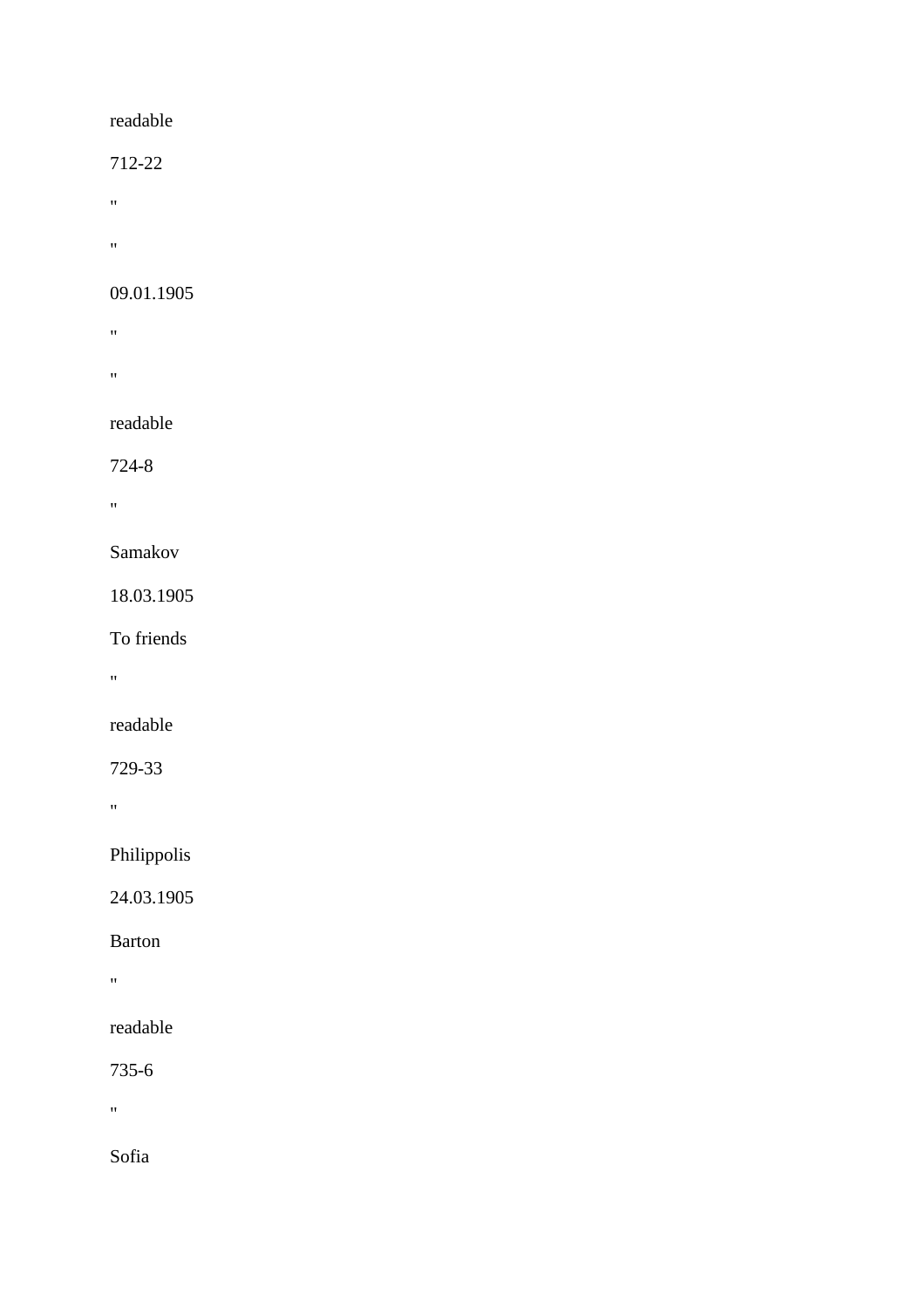712-22

 $\theta$ 

 $\mathbf{u}^{\pm}$ 

#### 09.01.1905

 $\bar{u}$ 

 $\hat{\mathbf{u}}$ 

#### readable

724-8

 $\mathbf{u}$ 

#### Samakov

18.03.1905

To friends

 $\hat{\theta}$ 

# readable

729-33

 $\mathbf{m}$ 

## Philippolis

24.03.1905

#### Barton

 $\mathbf{u}$ 

## readable

735-6

 $\theta$ 

Sofia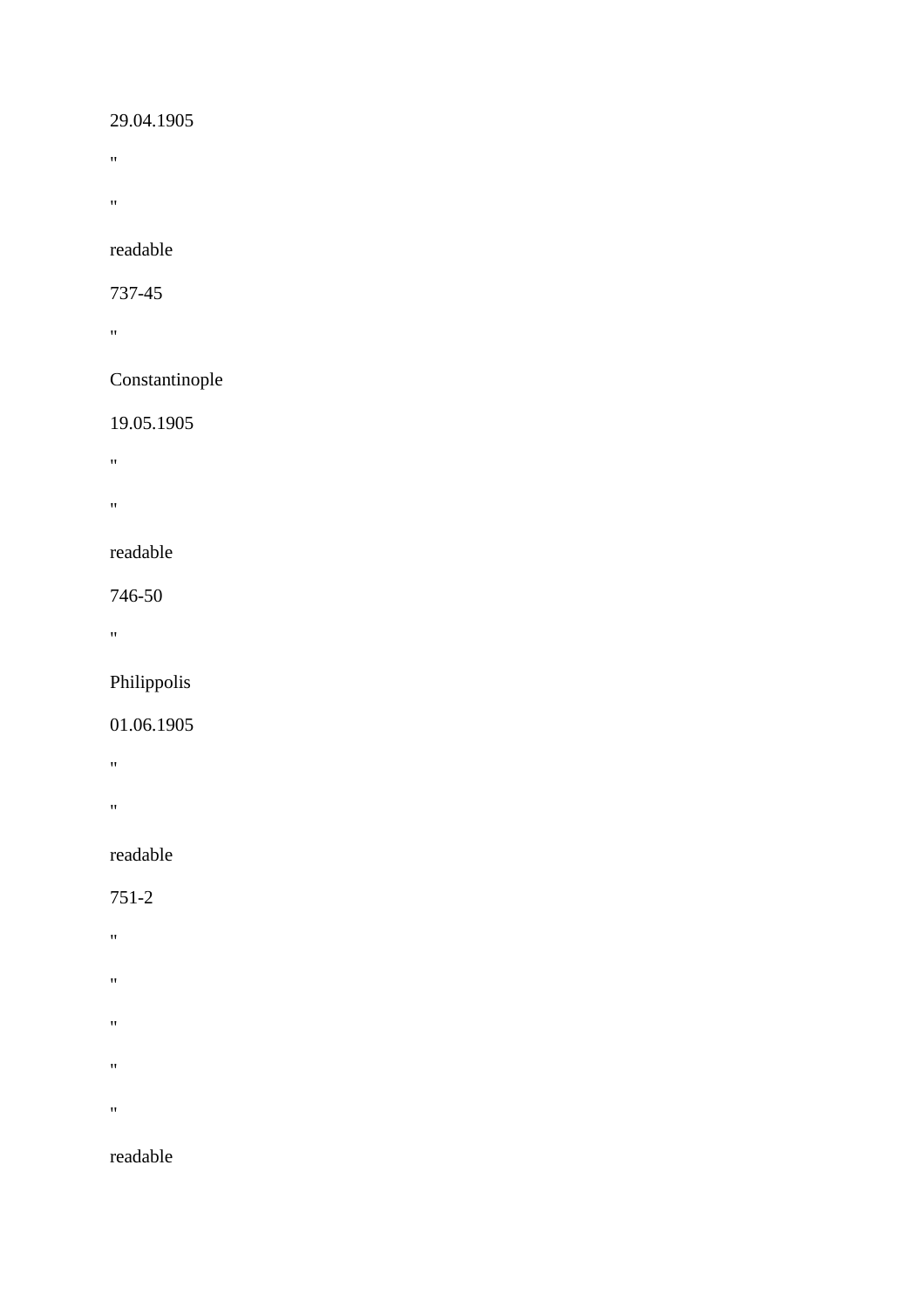### 29.04.1905

- $\boldsymbol{0}$
- $\hat{\theta}$

readable

737-45

 $\mathbf{u}$ 

## Constantinople

## 19.05.1905

 $\mathbf{u}^\top$ 

 $\mathbf{u} = \mathbf{v}$ 

#### readable

746-50

 $\mathbf{u} = \mathbf{v}$ 

# Philippolis

## 01.06.1905

 $\boldsymbol{0}$ 

 $\hat{H}^{\pm}$ 

## readable

751-2

- $\hat{\mathbf{u}}$
- 
- "
- $^{\prime\prime}$
- 
- $^{\prime\prime}$
- $\theta$

## readable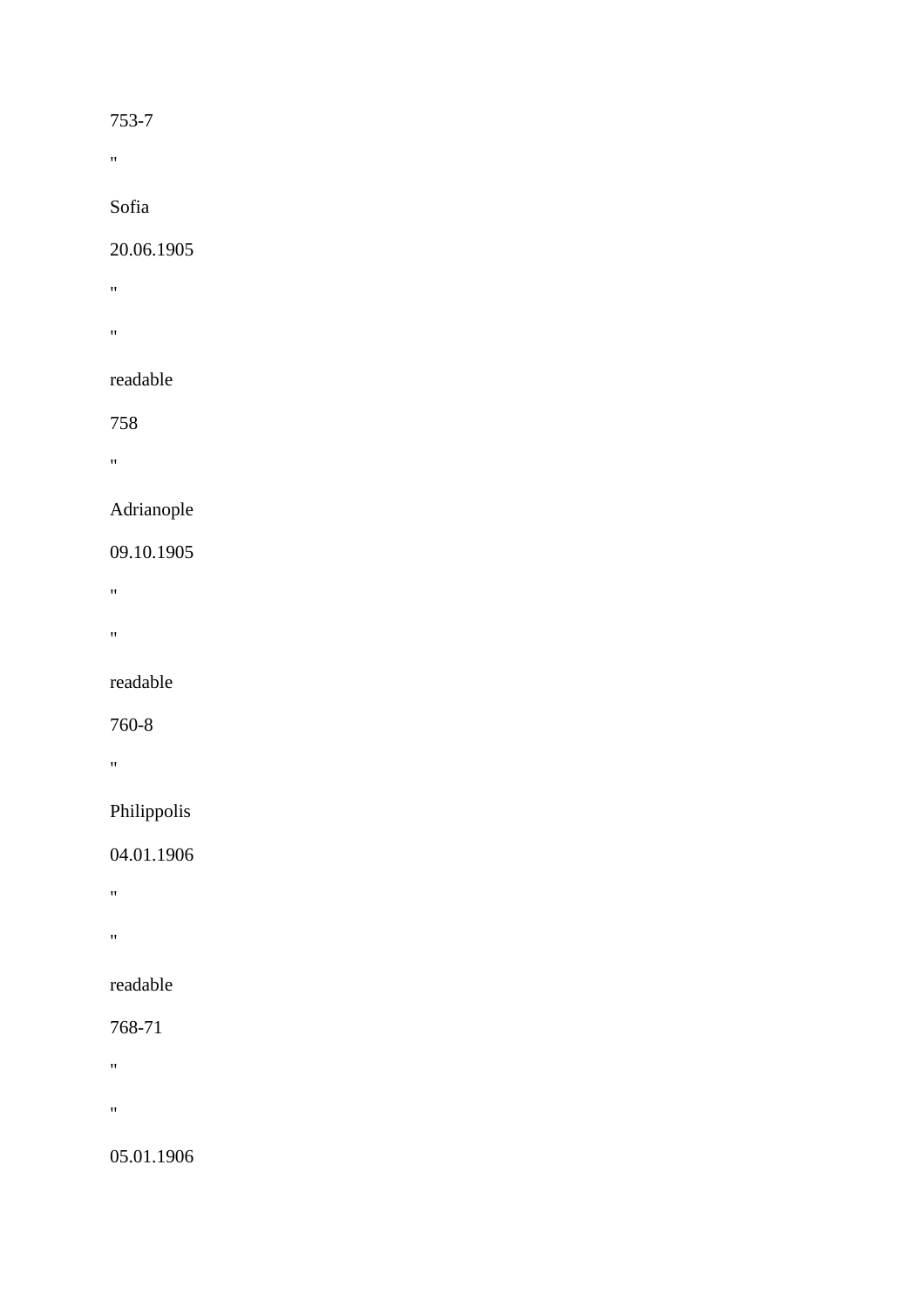## 753-7

 $\mathbf{u}$ 

# Sofia

## 20.06.1905

- "
- $\hat{H}^{\pm}$

# readable

758

 $\mathbf{u} = \mathbf{v}$ 

# Adrianople

# 09.10.1905

 $\hat{\mathbf{u}}$ 

 $\hat{\theta}$ 

# readable

# 760-8

"

# Philippolis

# 04.01.1906

- $\mathbf{u}^\top$
- 
- $\mathbf{u}^\top$

# readable

# 768-71

- $\boldsymbol{0}$
- $\theta$

05.01.1906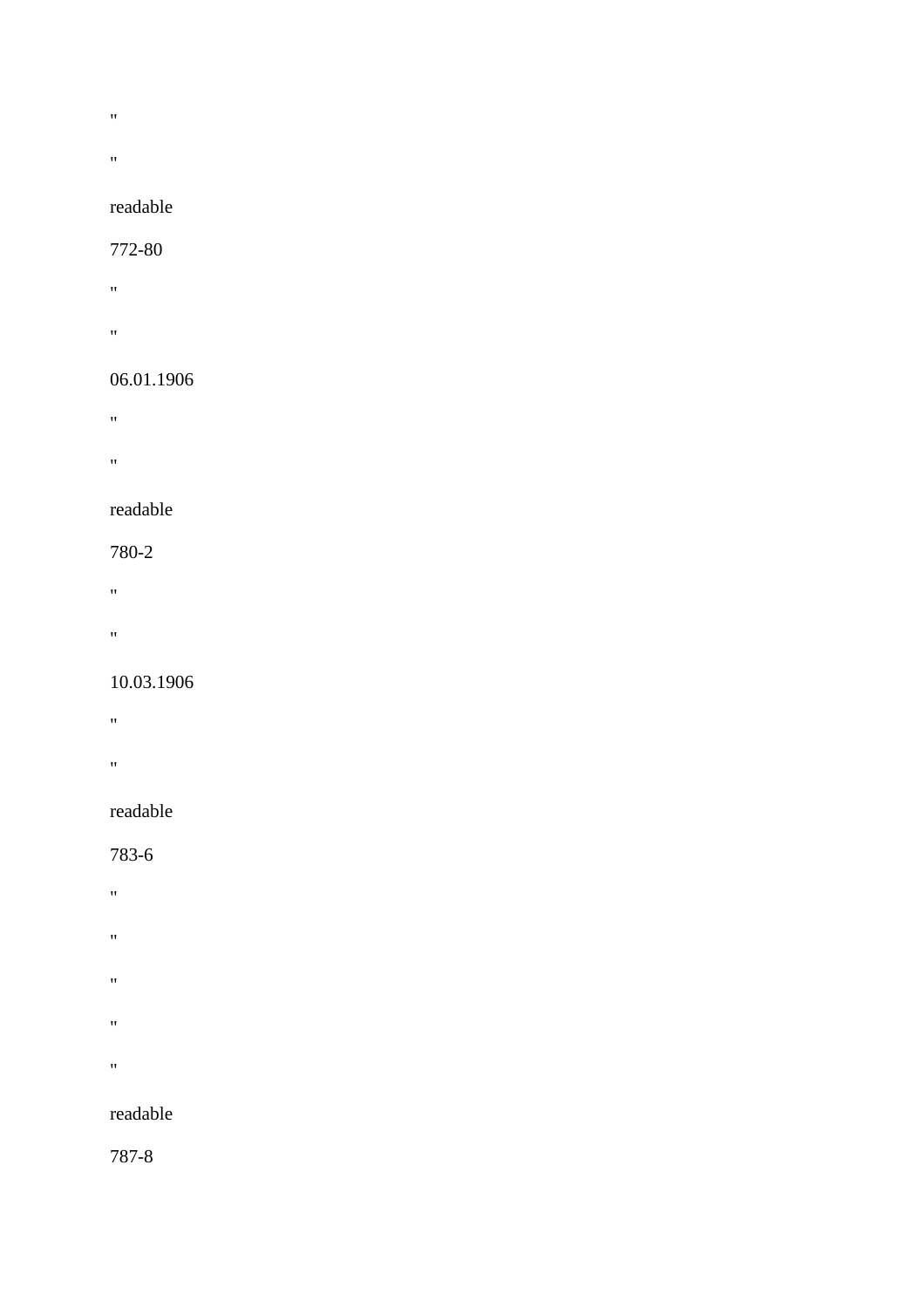- $\mathbf{u}^{\dagger}$
- 
- $\mathbf{u} = \mathbf{u}$

#### 772-80

- "" " "
- 
- "

# 06.01.1906

- "
- "" " "

# readable

# 780-2

- "
- 
- $\mathbf{u}$

# 10.03.1906

- "
- 
- "

# readable

# 783-6

- $\mathbf{u}^{\top}$
- $\mathbf{u}^\top$
- $\bar{u}$ 
	-
- $\mathbf{u}^\top$
- $\hat{H}$

# readable

787-8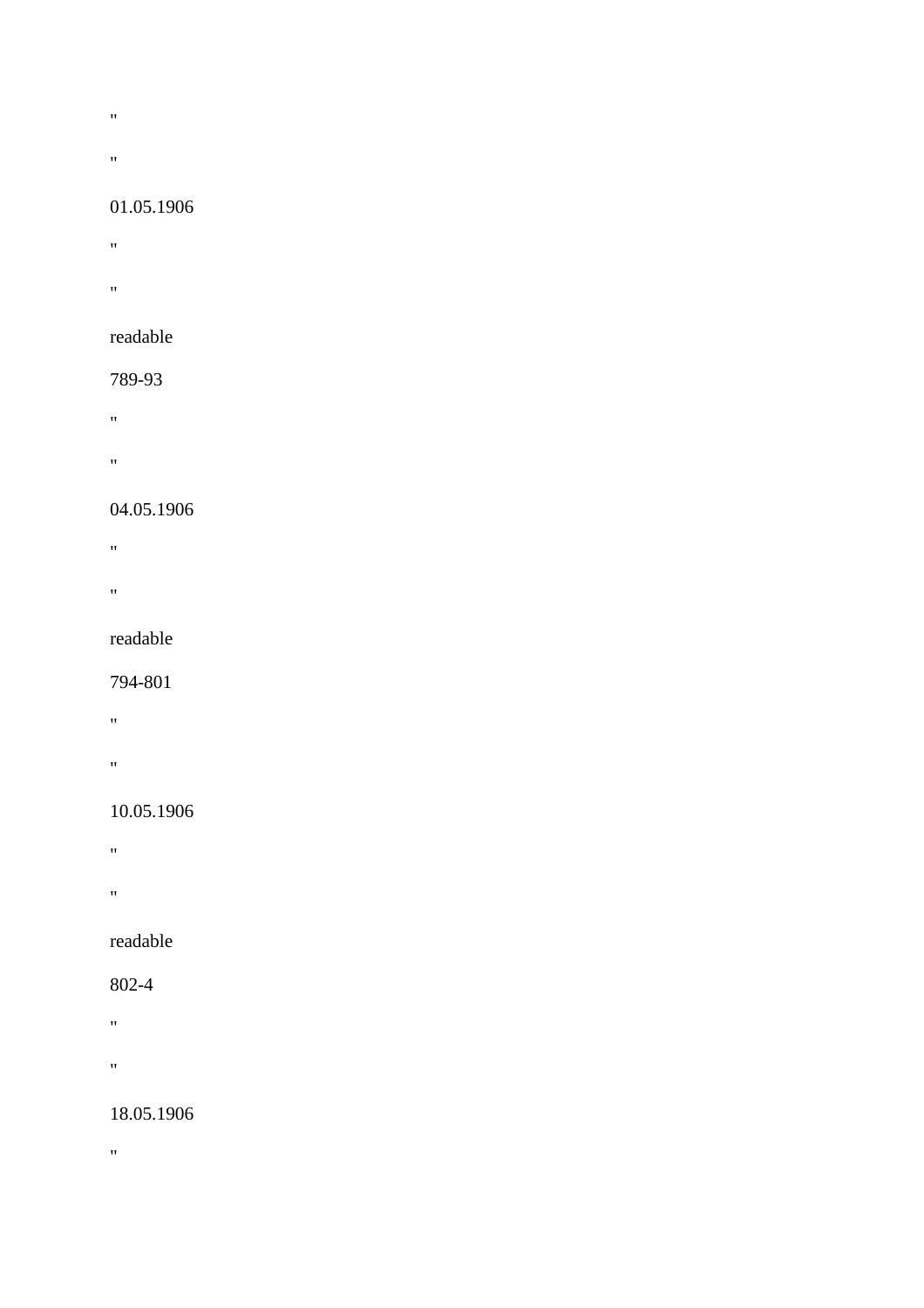- $\bar{W}$
- 
- "

#### 01.05.1906

- $\mathbf{u}^{\pm}$
- **"** "
- readable

# 789-93

- $\mathbf{u}^{\left(1\right)}$
- 
- $\mathbf{u} = \mathbf{v}$

## 04.05.1906

- **"** "
- 
- "

## readable

#### 794-801

- "
- 
- "

# 10.05.1906

- $\mathbf{u}^{\left(1\right)}$  .
- 
- "

# readable

## 802-4

- "
- 
- "

# 18.05.1906

 $\alpha$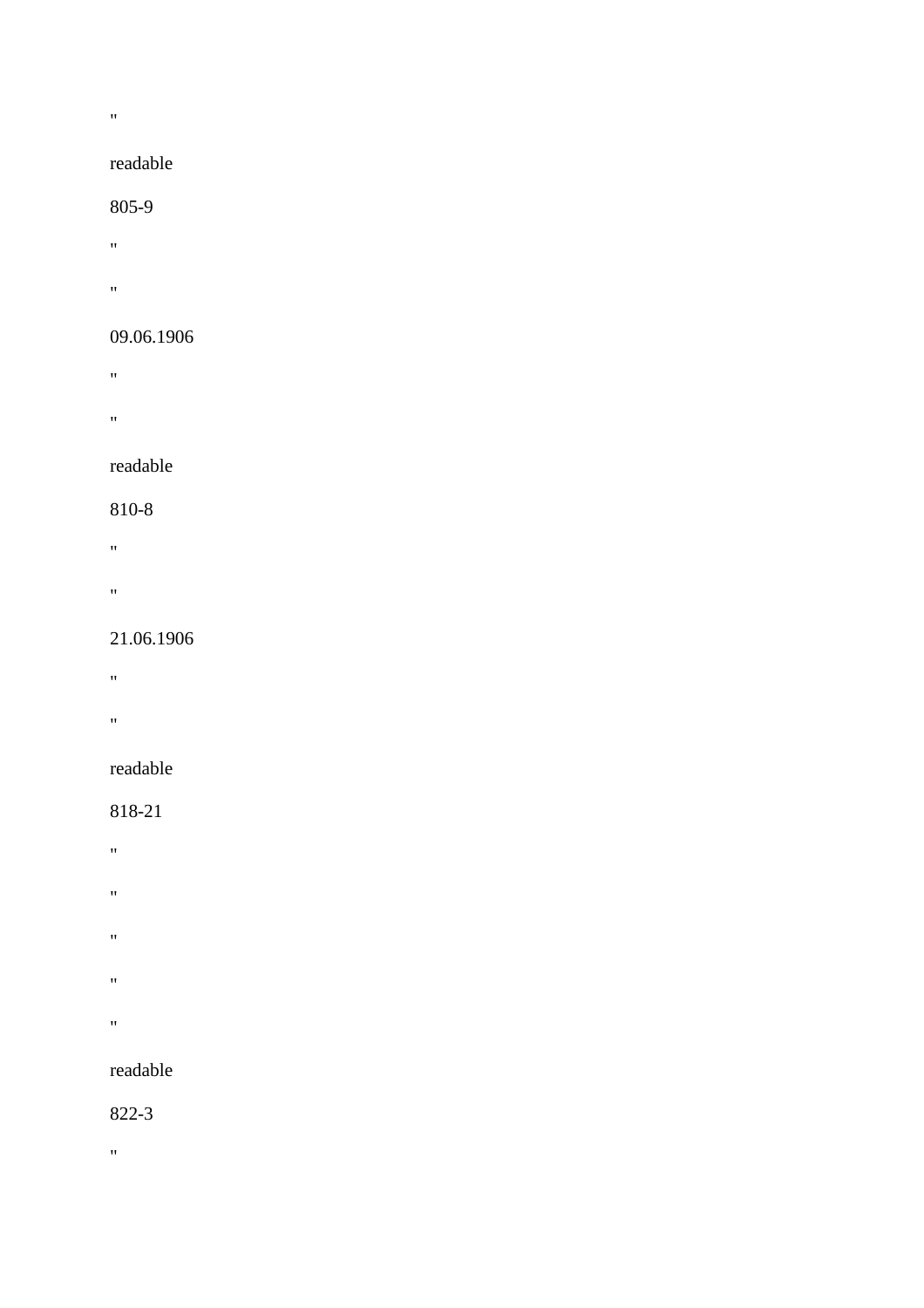#### "

#### readable

#### 805-9

- $\mathbf{u} = \mathbf{v}$
- "

### 09.06.1906

- **"** "
- 
- "

#### readable

## 810-8

- $\mathbf{u} = \mathbf{u} \times \mathbf{u}$
- 
- "

#### 21.06.1906

- "
- 
- $\mathbf{u} = \mathbf{u}$

#### readable

## 818-21

- $\mathbf{u}^{\left(1\right)}$  .
- 
- $\mathbf{u}^{\top}$
- $\mathbf{u}^\top$
- 
- $\hat{H}$
- $\hat{H}^{\pm}$

# readable

#### 822-3

 $\theta$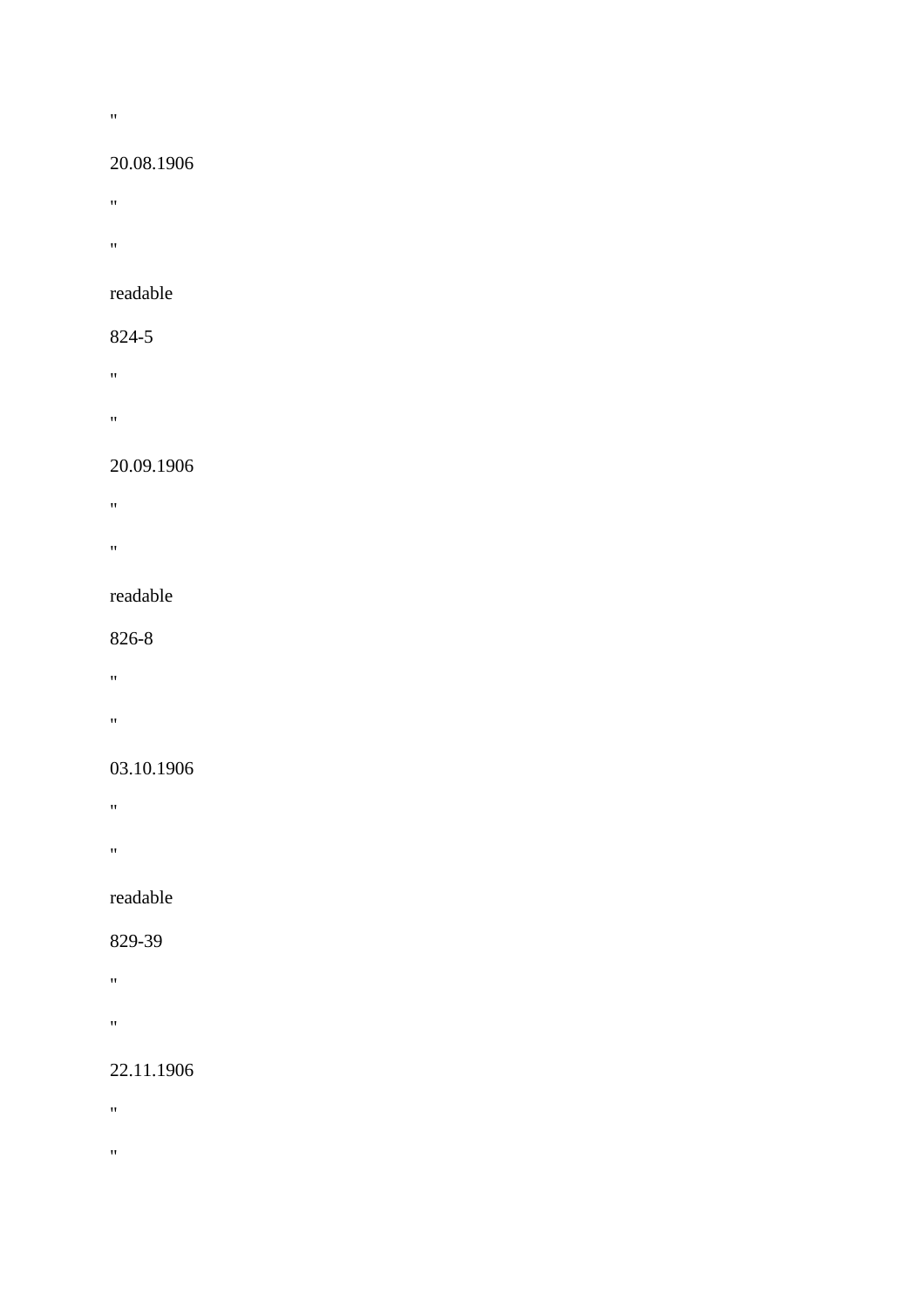#### $\alpha$

#### 20.08.1906

- "
- "

#### readable

## 824-5

- "
- 
- "

# 20.09.1906

- "
- 
- "

#### readable

#### 826-8

- "
- 
- "

### 03.10.1906

- "
- 
- "

## readable

#### 829-39

- "
- "

## 22.11.1906

- $\mathbf{u}^{\pm}$
- 
- $\hat{\theta}$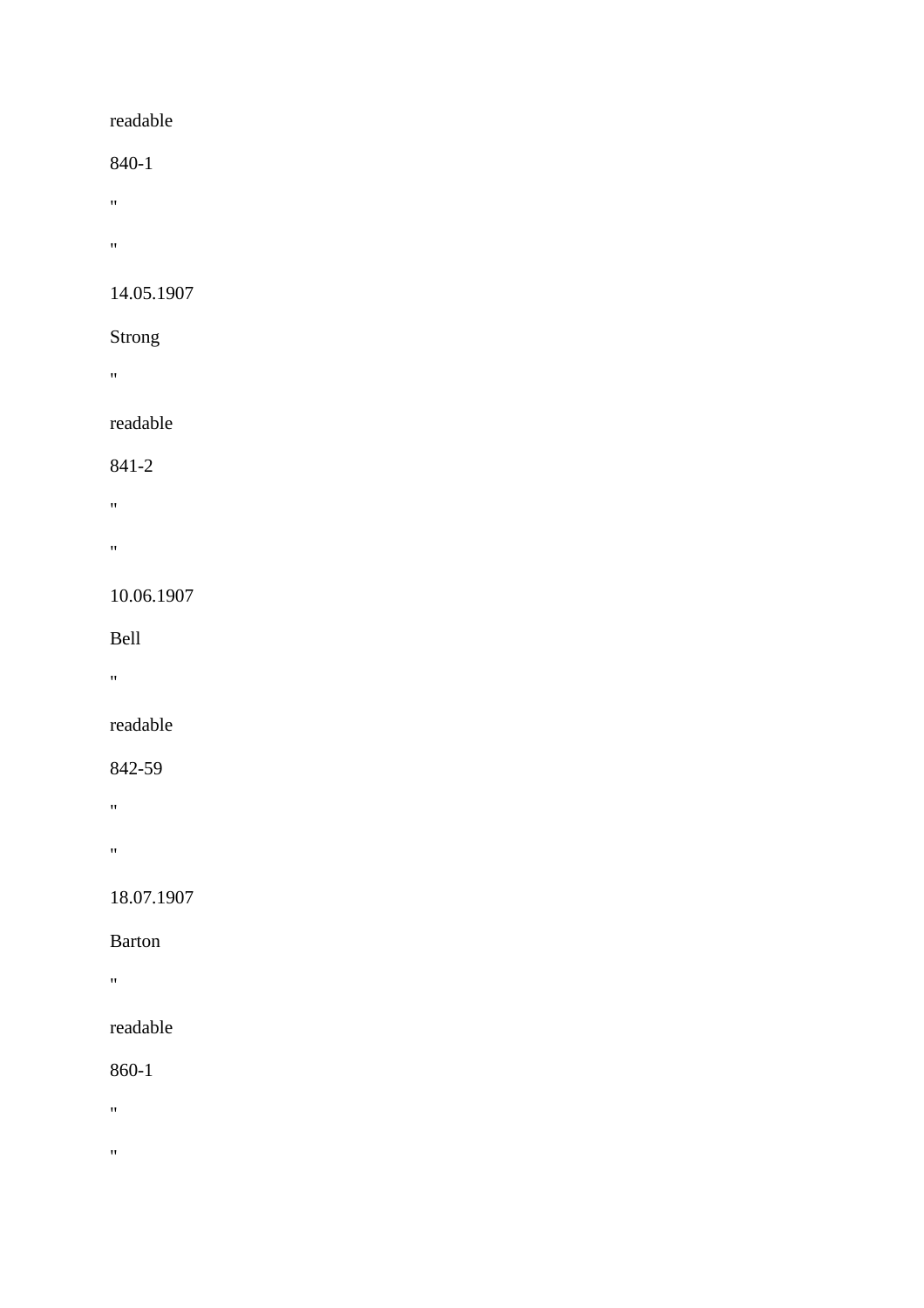840-1

- "
- 
- $\theta$  . The  $\theta$

# 14.05.1907

## Strong

"

# readable

## 841-2

- $\mathbf{u}^{\left(1\right)}$
- 
- "

# 10.06.1907

## Bell

"

# readable

## 842-59

- $\mathbf{u} = \mathbf{v}$
- "

# 18.07.1907

# Barton

 $\alpha$ 

# readable

## 860-1

- $\mathbf{u} = \mathbf{v}$
- 
- $\bar{\theta}$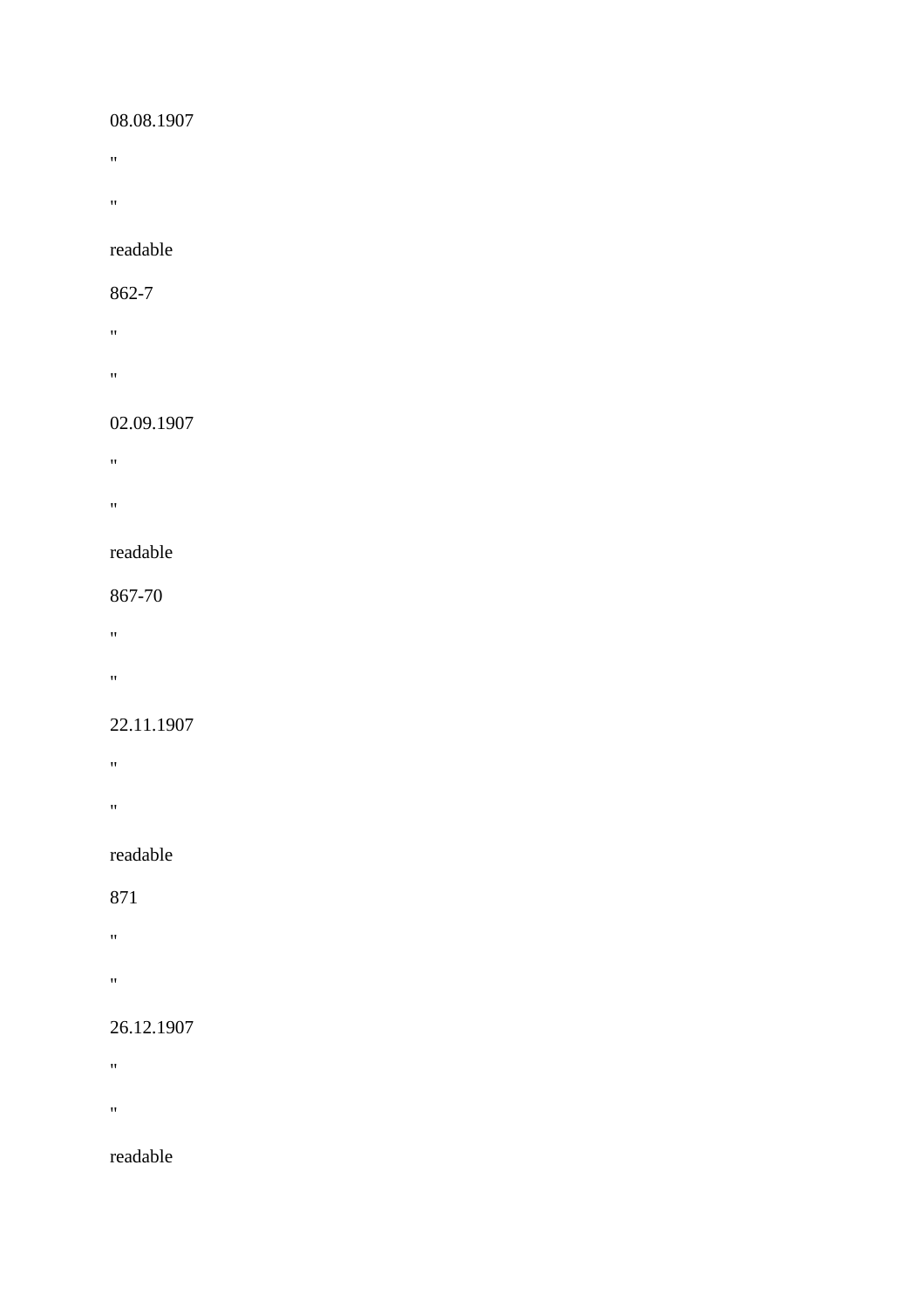#### 08.08.1907

- $\theta$  . The  $\theta$
- 

 $\hat{H}^{\pm}$ 

#### readable

#### 862-7

- $\alpha$
- **"** "

# 02.09.1907

- "
- 
- "

#### readable

#### 867-70

- "
- 
- "

#### 22.11.1907

- "
- 
- "

# readable

#### 871

- "
- 
- "

## 26.12.1907

- $\mathbf{u}$
- 
- $\mathbf{u}^{\pm}$

# readable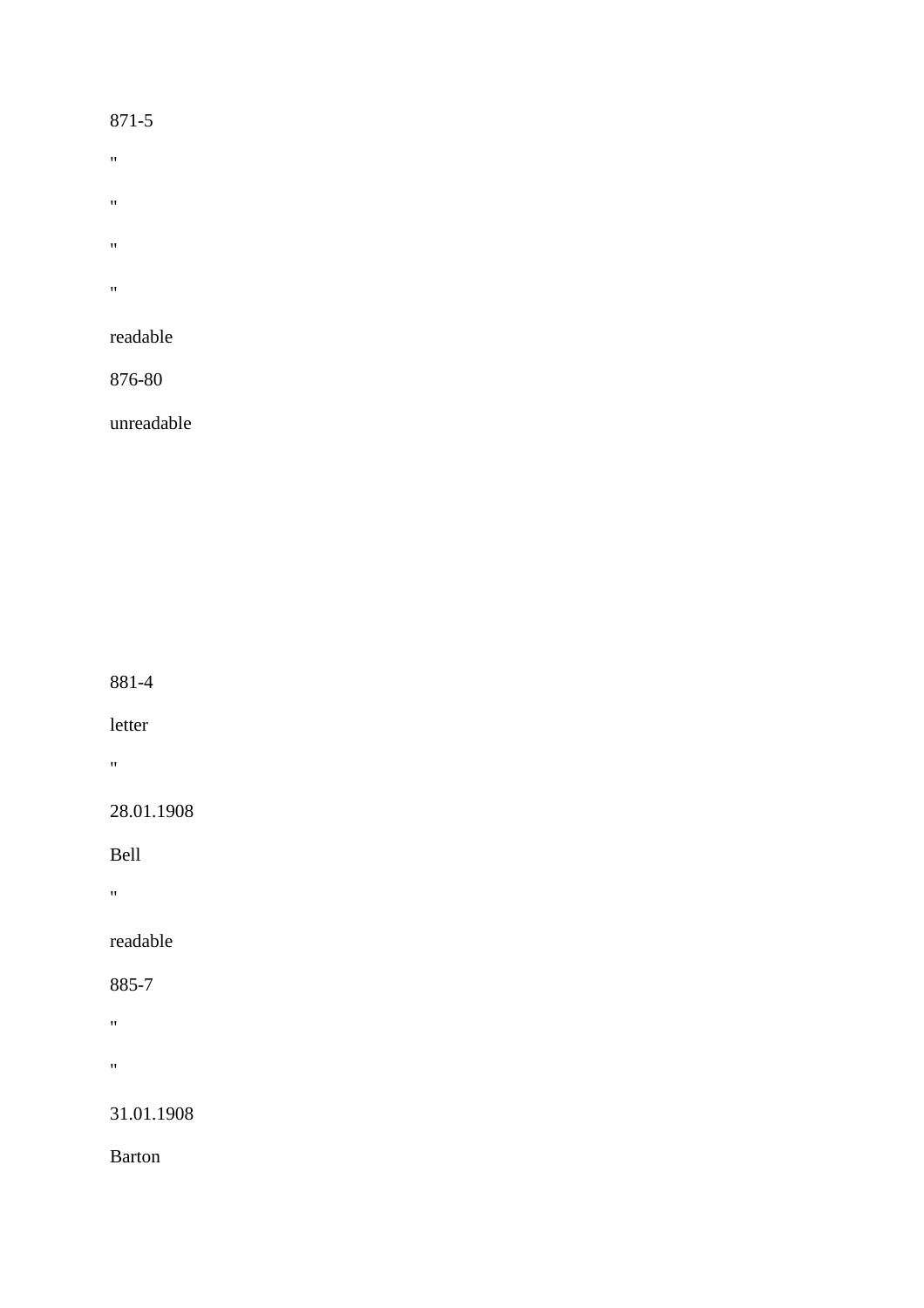#### 871-5

- $\boldsymbol{0}$
- $\bar{u}$
- $\bar{u}$
- 
- $\boldsymbol{0}$

## readable

876-80

unreadable

881-4

letter

 $\hat{\theta}$ 

28.01.1908

Bell

 $\alpha$ 

readable

885-7

 $\mathbf{u}^{\left(1\right)}$  .

"

31.01.1908

Barton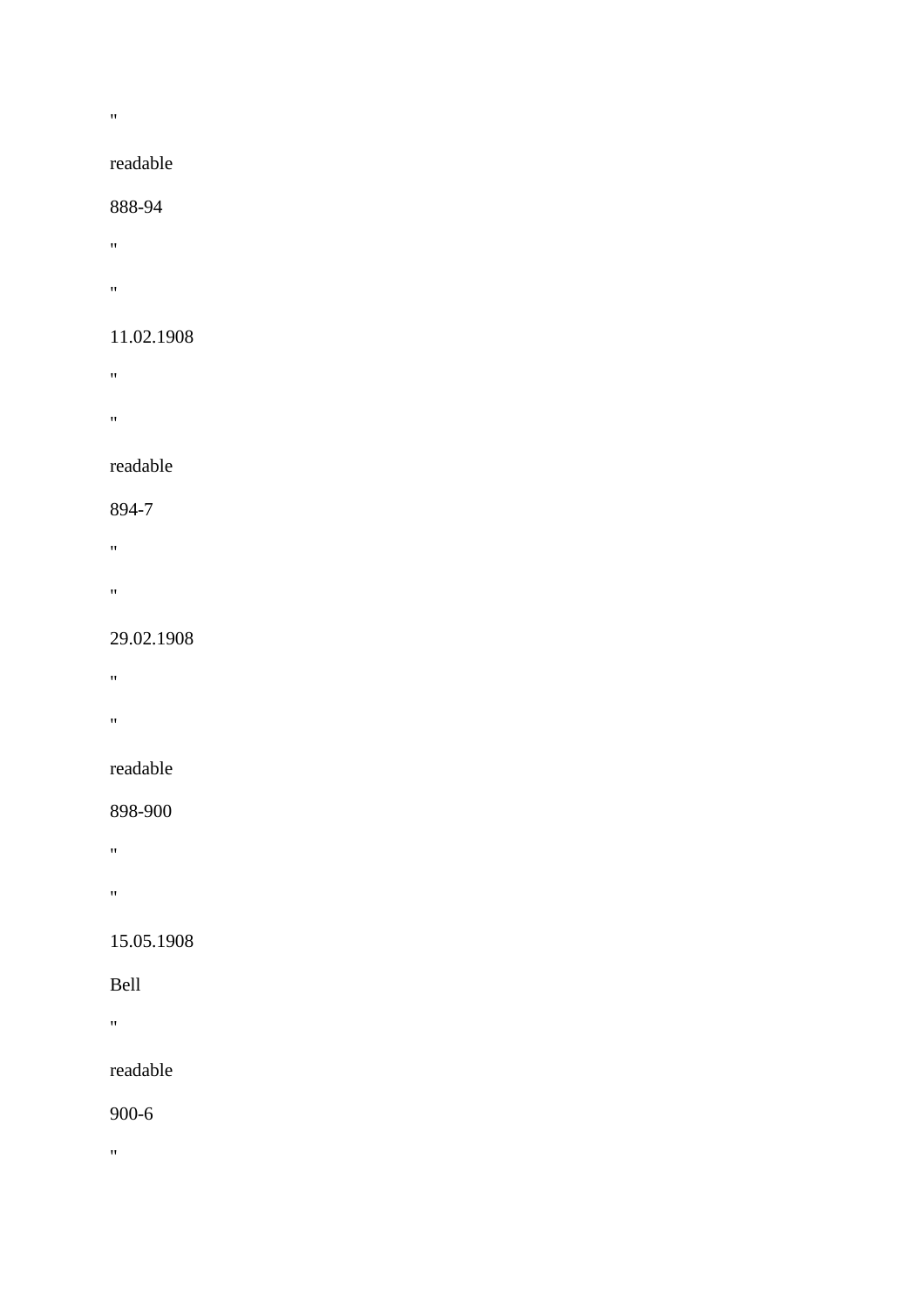#### "

## readable

#### 888-94

- $\mathbf{m}$
- $\mathbf{u}^{\pm}$

#### 11.02.1908

- **"** "
- 
- "

#### readable

## 894-7

- 
- $\mathbf{u} = \mathbf{u}$
- "

#### 29.02.1908

- "
- 
- $\mathbf{u}^{\pm}$

#### readable

## 898-900

- $\hat{H}^{\rm (1)}$
- 
- "

## 15.05.1908

#### Bell

"

# readable

#### 900-6

 $\alpha$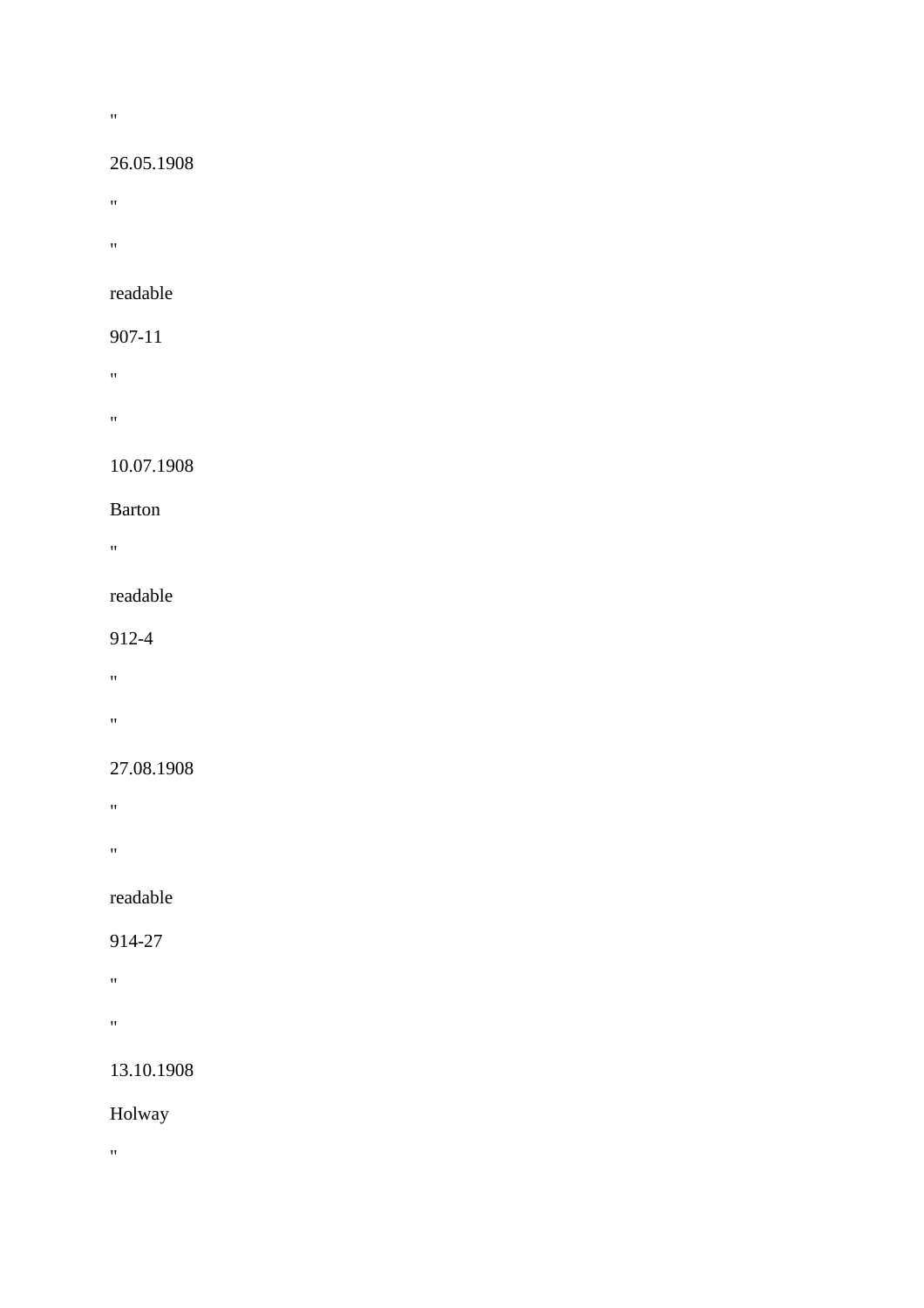#### $\mathbf{u}$

#### 26.05.1908

- **"** "
- "

#### readable

## 907-11

- "
- "

## 10.07.1908

#### Barton

 $\mathbf{u} = \mathbf{v}$ 

#### readable

#### 912-4

- "
- $\mathbf{u} = \mathbf{u}$

## 27.08.1908

- "
- 
- "

# readable

#### 914-27

- $\alpha$
- $\hat{H}^{\pm}$

# 13.10.1908

## Holway

 $\theta$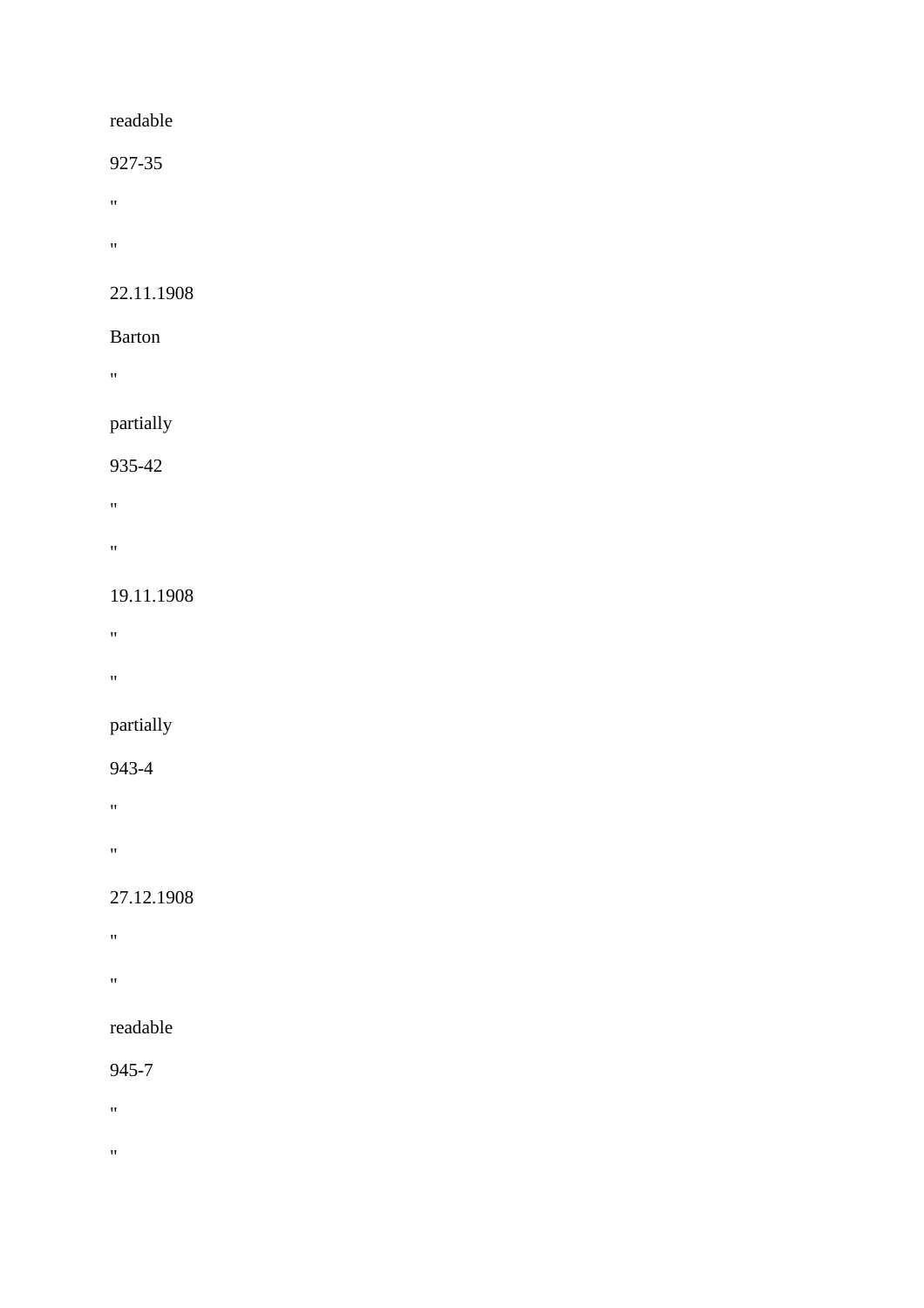927-35

- "
- "

## 22.11.1908

## Barton

"

# partially

### 935-42

- "
- 
- "

## 19.11.1908

- $\mathbf{u} = \mathbf{v}$
- 
- "

# partially

## 943-4

- "
- 
- "

## 27.12.1908

- "
- "

# readable

# 945-7

- "
- $\hat{\theta}$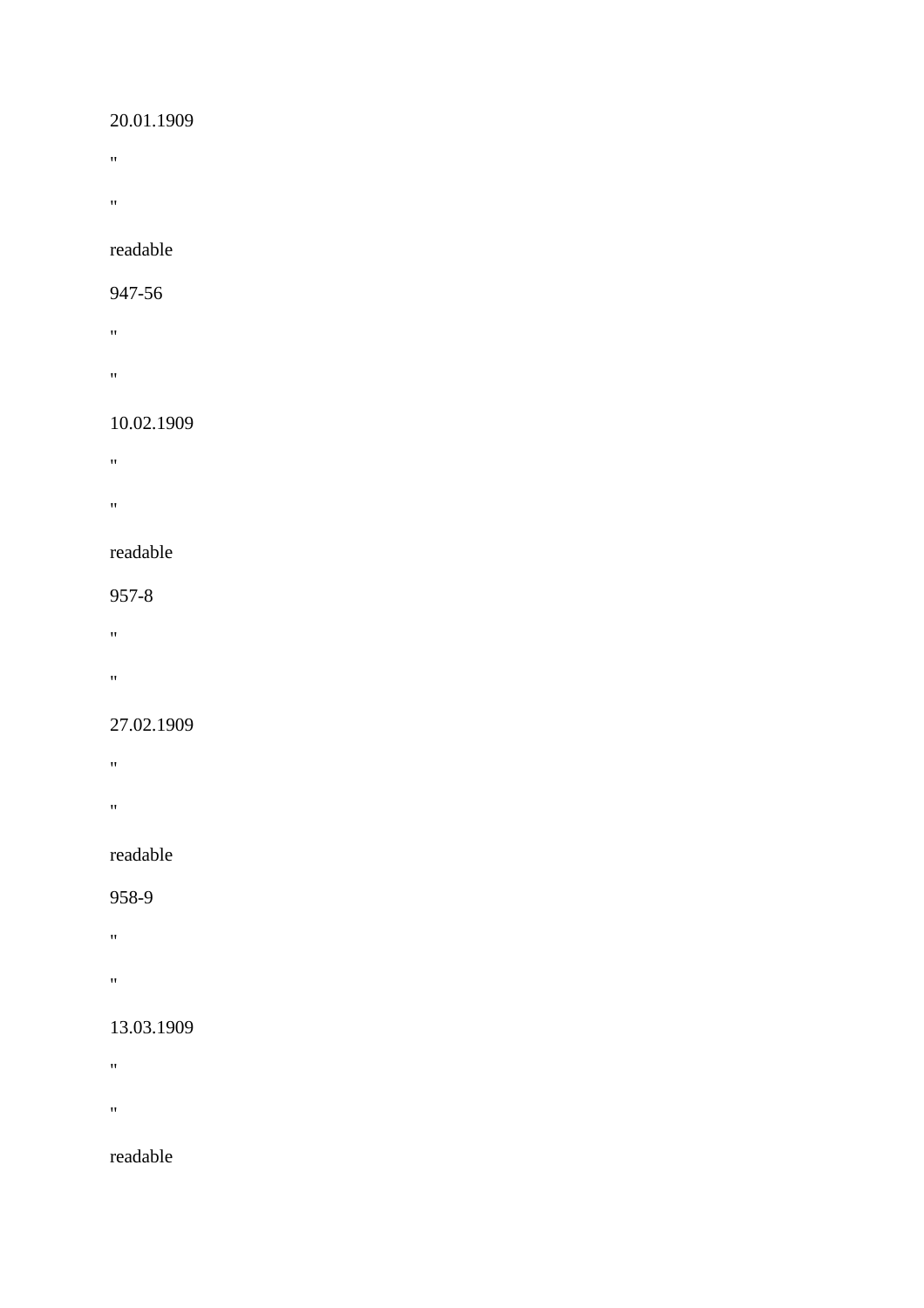#### 20.01.1909

- $\mathbf{m} = 0$
- $\hat{H}^{\pm}$

readable

#### 947-56

- "
- **"** "

#### 10.02.1909

- "
- **"** "
- 

### readable

#### 957-8

- $\mathbf{u} = \mathbf{v}$
- 
- "

#### 27.02.1909

- "
- 
- $\mathbf{u}$

## readable

## 958-9

- "
- 
- $\alpha$

## 13.03.1909

- $\hat{H}$
- 
- **"** "

# readable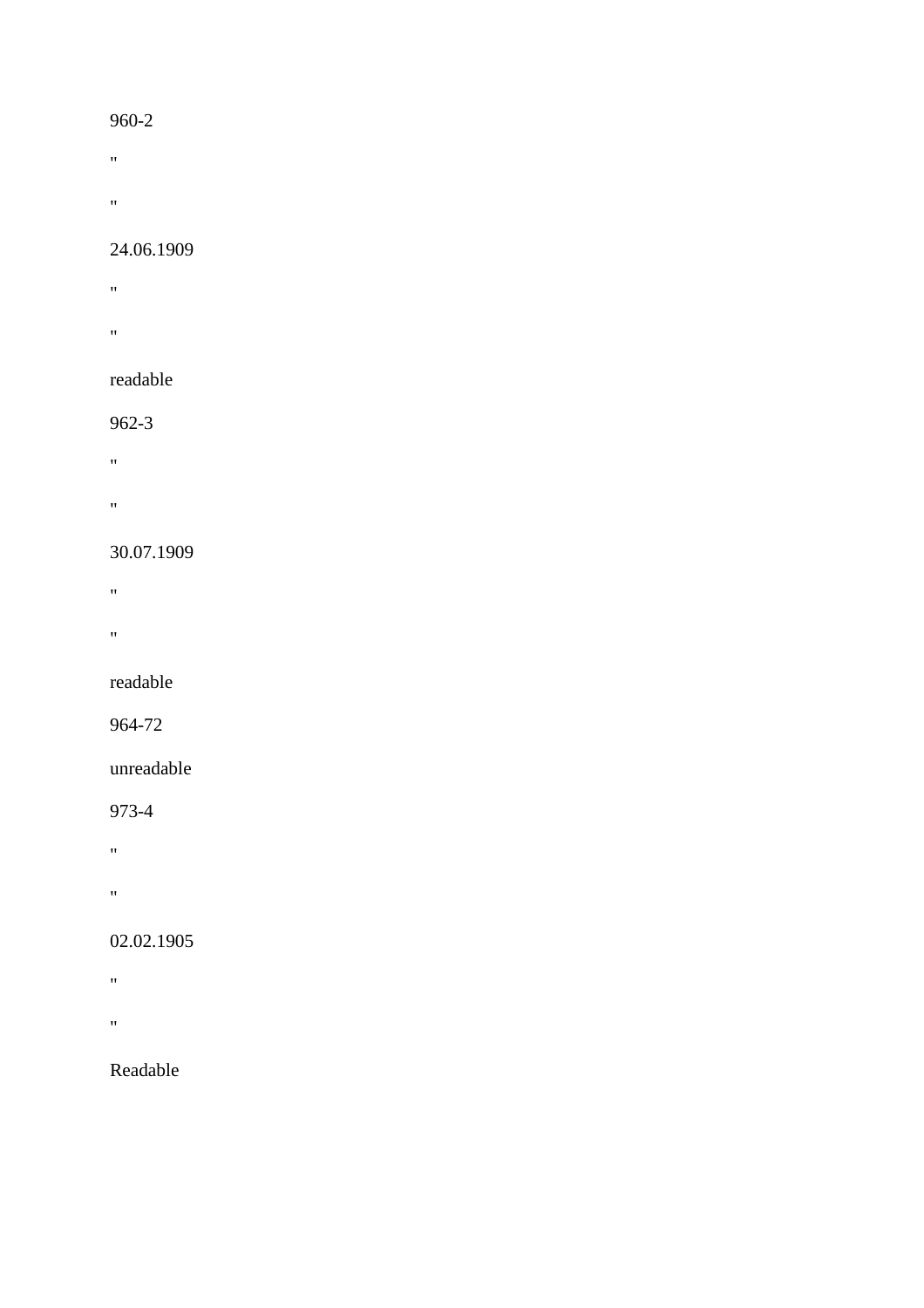#### 960-2

- $\hat{H}$
- 
- $\theta$

#### 24.06.1909

- **"** "
- **"** "

#### readable

#### 962-3

- "
- "

#### 30.07.1909

- "
- 

# $\mathbf{u}$

#### readable

#### 964-72

#### unreadable

## 973-4

"

"

# 02.02.1905

- $\hat{H}^{\pm}$
- 
- $\bar{m}$

# Readable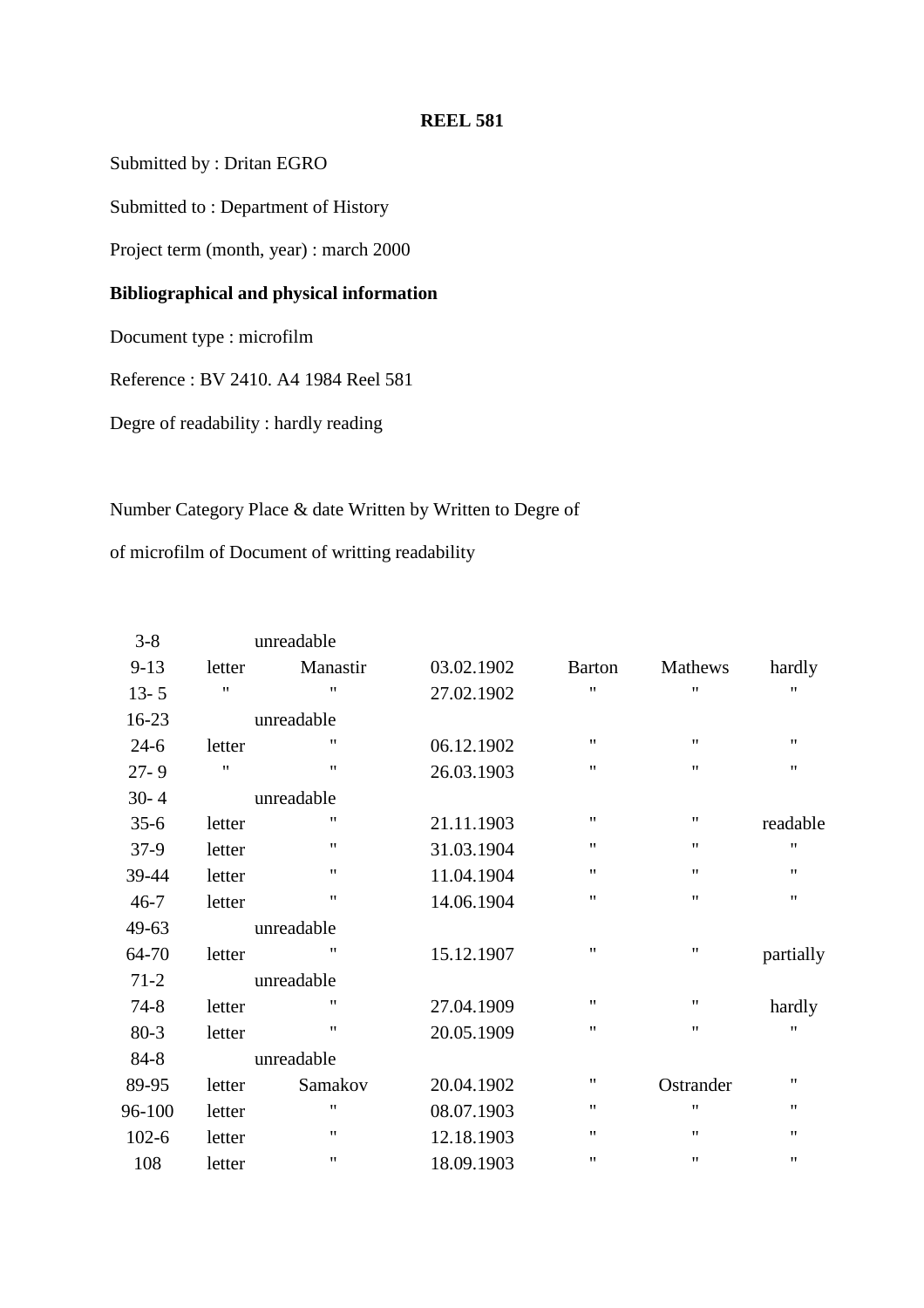#### **REEL 581**

Submitted by : Dritan EGRO

Submitted to : Department of History

Project term (month, year) : march 2000

#### **Bibliographical and physical information**

Document type : microfilm

Reference : BV 2410. A4 1984 Reel 581

Degre of readability : hardly reading

#### Number Category Place & date Written by Written to Degre of

of microfilm of Document of writting readability

| $3 - 8$   |                    | unreadable         |            |                   |                    |                    |
|-----------|--------------------|--------------------|------------|-------------------|--------------------|--------------------|
| $9 - 13$  | letter             | Manastir           | 03.02.1902 | <b>Barton</b>     | Mathews            | hardly             |
| $13 - 5$  | $\pmb{\mathsf{H}}$ | $\pmb{\mathsf{H}}$ | 27.02.1902 | $^{\prime\prime}$ | $\pmb{\mathsf{H}}$ | 11                 |
| 16-23     |                    | unreadable         |            |                   |                    |                    |
| $24-6$    | letter             | $\pmb{\mathsf{H}}$ | 06.12.1902 | $^{\prime\prime}$ | $\pmb{\mathsf{H}}$ | $\pmb{\mathsf{H}}$ |
| $27 - 9$  | $^{\prime\prime}$  | $\pmb{\mathsf{H}}$ | 26.03.1903 | $^{\prime\prime}$ | $^{\prime\prime}$  | $^{\prime\prime}$  |
| $30 - 4$  |                    | unreadable         |            |                   |                    |                    |
| $35-6$    | letter             | $\pmb{\mathsf{H}}$ | 21.11.1903 | $^{\prime\prime}$ | ,,                 | readable           |
| $37-9$    | letter             | $\pmb{\mathsf{H}}$ | 31.03.1904 | $^{\prime\prime}$ | 11                 | $\pmb{\mathsf{H}}$ |
| 39-44     | letter             | $\pmb{\mathsf{H}}$ | 11.04.1904 | $^{\prime\prime}$ | $\pmb{\mathsf{H}}$ | $\pmb{\mathsf{H}}$ |
| $46 - 7$  | letter             | $\pmb{\mathsf{H}}$ | 14.06.1904 | $^{\prime\prime}$ | $^{\prime\prime}$  | $^{\prime\prime}$  |
| 49-63     |                    | unreadable         |            |                   |                    |                    |
| 64-70     | letter             | 11                 | 15.12.1907 | $^{\prime\prime}$ | $\pmb{\mathsf{H}}$ | partially          |
| $71-2$    |                    | unreadable         |            |                   |                    |                    |
| $74 - 8$  | letter             | $\pmb{\mathsf{H}}$ | 27.04.1909 | $^{\prime\prime}$ | $^{\prime\prime}$  | hardly             |
| $80 - 3$  | letter             | $\pmb{\mathsf{H}}$ | 20.05.1909 | $^{\prime\prime}$ | $\pmb{\mathsf{H}}$ | $\pmb{\mathsf{H}}$ |
| 84-8      |                    | unreadable         |            |                   |                    |                    |
| 89-95     | letter             | Samakov            | 20.04.1902 | $^{\prime\prime}$ | Ostrander          | $\pmb{\mathsf{H}}$ |
| 96-100    | letter             | $\pmb{\mathsf{H}}$ | 08.07.1903 | $^{\prime\prime}$ | $\pmb{\mathsf{H}}$ | $\pmb{\mathsf{H}}$ |
| $102 - 6$ | letter             | $\pmb{\mathsf{H}}$ | 12.18.1903 | $^{\prime\prime}$ | $^{\prime\prime}$  | $^{\prime\prime}$  |
| 108       | letter             | $\pmb{\mathsf{H}}$ | 18.09.1903 | $^{\prime}$       | $\pmb{\mathsf{H}}$ | $\pmb{\mathsf{H}}$ |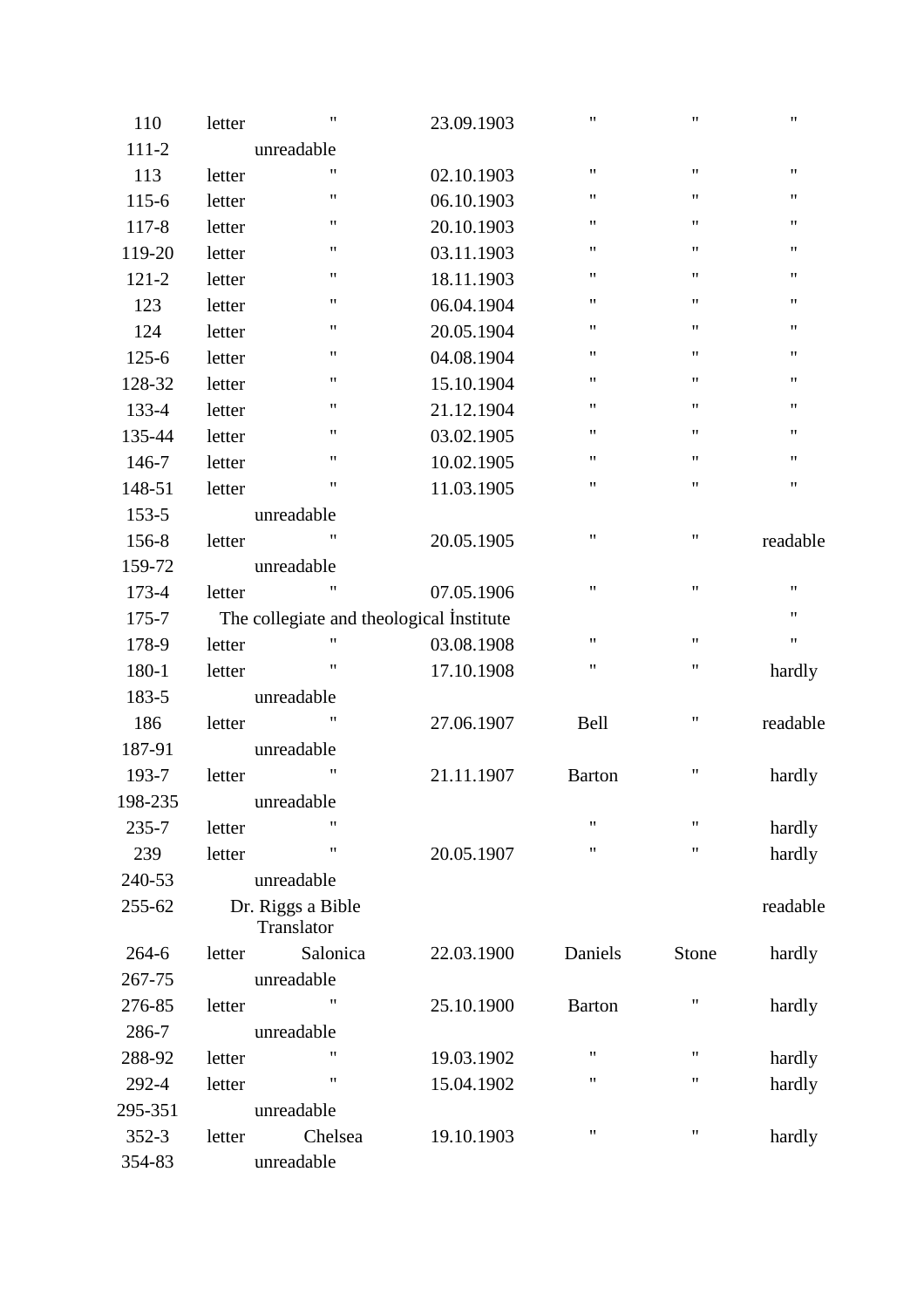| 110       | letter | $\pmb{\mathsf{H}}$                       | 23.09.1903 | 11                 | $\pmb{\mathsf{H}}$ | $\pmb{\mathsf{H}}$ |
|-----------|--------|------------------------------------------|------------|--------------------|--------------------|--------------------|
| $111 - 2$ |        | unreadable                               |            |                    |                    |                    |
| 113       | letter | 11                                       | 02.10.1903 | $\pmb{\mathsf{H}}$ | $\pmb{\mathsf{H}}$ | $\pmb{\mathsf{H}}$ |
| $115 - 6$ | letter | $\pmb{\mathsf{H}}$                       | 06.10.1903 | 11                 | $\pmb{\mathsf{H}}$ | 11                 |
| $117 - 8$ | letter | $\pmb{\mathsf{H}}$                       | 20.10.1903 | 11                 | $\pmb{\mathsf{H}}$ | $\pmb{\mathsf{H}}$ |
| 119-20    | letter | $\pmb{\mathsf{H}}$                       | 03.11.1903 | 11                 | $\pmb{\mathsf{H}}$ | $\pmb{\mathsf{H}}$ |
| $121 - 2$ | letter | "                                        | 18.11.1903 | 11                 | 11                 | 11                 |
| 123       | letter | $\pmb{\mathsf{H}}$                       | 06.04.1904 | 11                 | $\pmb{\mathsf{H}}$ | $\pmb{\mathsf{H}}$ |
| 124       | letter | $\pmb{\mathsf{H}}$                       | 20.05.1904 | 11                 | $\pmb{\mathsf{H}}$ | 11                 |
| $125 - 6$ | letter | $\pmb{\mathsf{H}}$                       | 04.08.1904 | 11                 | $\pmb{\mathsf{H}}$ | $\pmb{\mathsf{H}}$ |
| 128-32    | letter | "                                        | 15.10.1904 | 11                 | $\pmb{\mathsf{H}}$ | $\pmb{\mathsf{H}}$ |
| 133-4     | letter | "                                        | 21.12.1904 | 11                 | 11                 | 11                 |
| 135-44    | letter | $\pmb{\mathsf{H}}$                       | 03.02.1905 | 11                 | $\pmb{\mathsf{H}}$ | $\pmb{\mathsf{H}}$ |
| 146-7     | letter | $\pmb{\mathsf{H}}$                       | 10.02.1905 | 11                 | $\pmb{\mathsf{H}}$ | 11                 |
| 148-51    | letter | $\pmb{\mathsf{H}}$                       | 11.03.1905 | 11                 | $\pmb{\mathsf{H}}$ | $\pmb{\mathsf{H}}$ |
| $153 - 5$ |        | unreadable                               |            |                    |                    |                    |
| 156-8     | letter | $^{\prime\prime}$                        | 20.05.1905 | 11                 | 11                 | readable           |
| 159-72    |        | unreadable                               |            |                    |                    |                    |
| 173-4     | letter | $\pmb{\mathsf{H}}$                       | 07.05.1906 | 11                 | $\pmb{\mathsf{H}}$ | $\pmb{\mathsf{H}}$ |
| 175-7     |        | The collegiate and theological Institute |            |                    |                    | $\pmb{\mathsf{H}}$ |
| 178-9     | letter | $\pmb{\mathsf{H}}$                       | 03.08.1908 | 11                 | $\pmb{\mathsf{H}}$ | $\pmb{\mathsf{H}}$ |
| 180-1     | letter | $\pmb{\mathsf{H}}$                       | 17.10.1908 | 11                 | 11                 | hardly             |
| 183-5     |        | unreadable                               |            |                    |                    |                    |
| 186       | letter | $\pmb{\cdot}$                            | 27.06.1907 | Bell               | $\pmb{\mathsf{H}}$ | readable           |
| 187-91    |        | unreadable                               |            |                    |                    |                    |
| 193-7     | letter | $\pmb{\mathsf{H}}$                       | 21.11.1907 | <b>Barton</b>      | $\pmb{\mathsf{H}}$ | hardly             |
| 198-235   |        | unreadable                               |            |                    |                    |                    |
| $235 - 7$ | letter | $\pmb{\mathsf{H}}$                       |            | 11                 | $\pmb{\mathsf{H}}$ | hardly             |
| 239       | letter | "                                        | 20.05.1907 | 11                 | $\pmb{\mathsf{H}}$ | hardly             |
| 240-53    |        | unreadable                               |            |                    |                    |                    |
| 255-62    |        | Dr. Riggs a Bible<br>Translator          |            |                    |                    | readable           |
| $264-6$   | letter | Salonica                                 | 22.03.1900 | Daniels            | Stone              | hardly             |
| 267-75    |        | unreadable                               |            |                    |                    |                    |
| 276-85    | letter | $\pmb{\mathsf{H}}$                       | 25.10.1900 | <b>Barton</b>      | Ħ                  | hardly             |
| 286-7     |        | unreadable                               |            |                    |                    |                    |
| 288-92    | letter |                                          | 19.03.1902 | 11                 | $\pmb{\mathsf{H}}$ | hardly             |
| 292-4     | letter | "                                        | 15.04.1902 | "                  | 11                 | hardly             |
| 295-351   |        | unreadable                               |            |                    |                    |                    |
| $352 - 3$ | letter | Chelsea                                  | 19.10.1903 | "                  | 11                 | hardly             |
| 354-83    |        | unreadable                               |            |                    |                    |                    |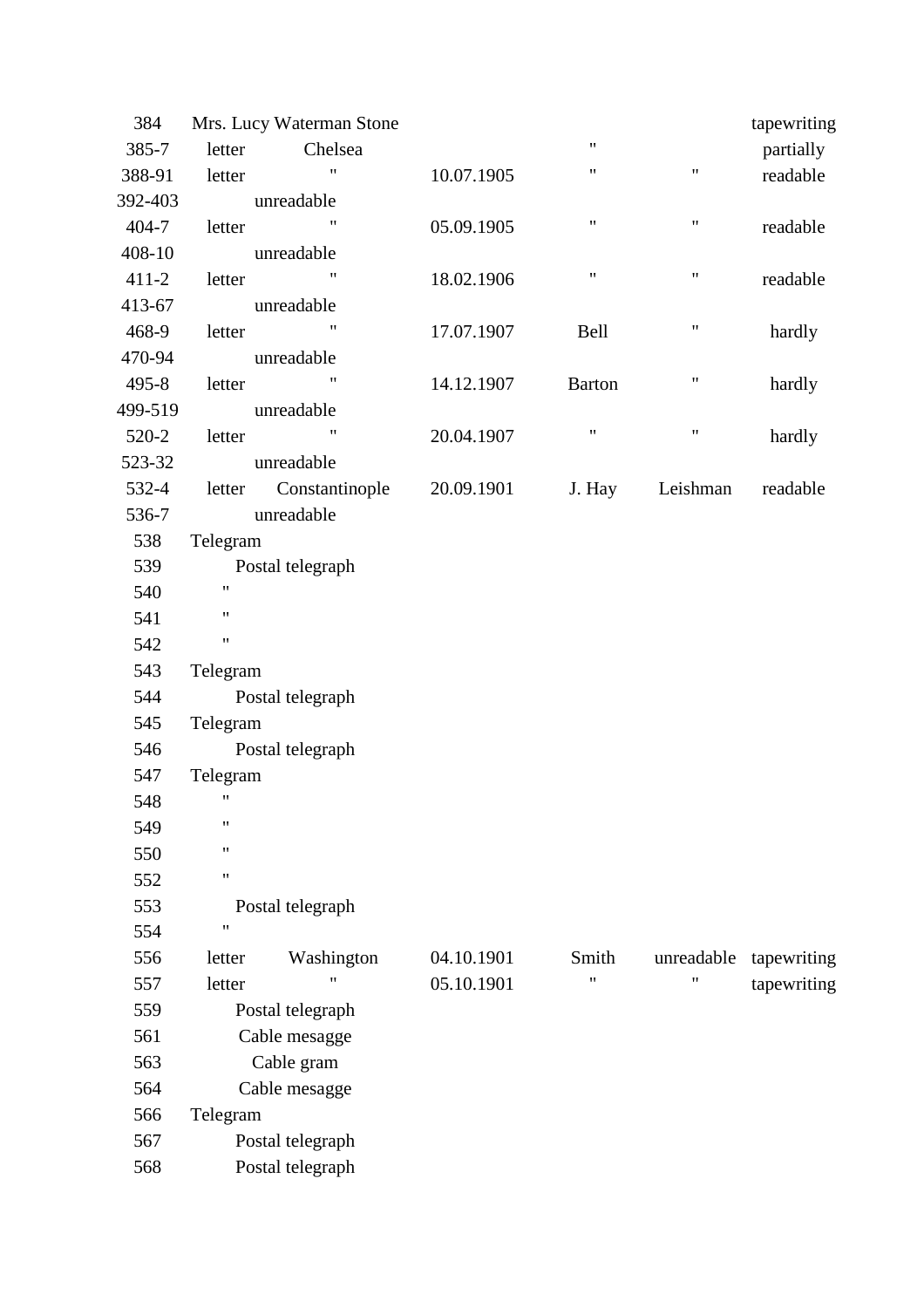| 384       |                    | Mrs. Lucy Waterman Stone |            |                    |                    | tapewriting |  |
|-----------|--------------------|--------------------------|------------|--------------------|--------------------|-------------|--|
| 385-7     | letter             | Chelsea                  |            | $\pmb{\mathsf{H}}$ |                    | partially   |  |
| 388-91    | letter             | $\pmb{\mathsf{H}}$       | 10.07.1905 | $\pmb{\mathsf{H}}$ | 11                 | readable    |  |
| 392-403   |                    | unreadable               |            |                    |                    |             |  |
| 404-7     | letter             |                          | 05.09.1905 | $\pmb{\mathsf{H}}$ | 11                 | readable    |  |
| 408-10    |                    | unreadable               |            |                    |                    |             |  |
| $411 - 2$ | letter             | $\pmb{\mathsf{H}}$       | 18.02.1906 | $\pmb{\mathsf{H}}$ | $\pmb{\mathsf{H}}$ | readable    |  |
| 413-67    |                    | unreadable               |            |                    |                    |             |  |
| 468-9     | letter             | $\pmb{\mathsf{H}}$       | 17.07.1907 | Bell               | $\pmb{\mathsf{H}}$ | hardly      |  |
| 470-94    |                    | unreadable               |            |                    |                    |             |  |
| 495-8     | letter             | "                        | 14.12.1907 | <b>Barton</b>      | 11                 | hardly      |  |
| 499-519   |                    | unreadable               |            |                    |                    |             |  |
| 520-2     | letter             |                          | 20.04.1907 | $\pmb{\mathsf{H}}$ | $\pmb{\mathsf{H}}$ | hardly      |  |
| 523-32    |                    | unreadable               |            |                    |                    |             |  |
| 532-4     | letter             | Constantinople           | 20.09.1901 | J. Hay             | Leishman           | readable    |  |
| 536-7     |                    | unreadable               |            |                    |                    |             |  |
| 538       | Telegram           |                          |            |                    |                    |             |  |
| 539       |                    | Postal telegraph         |            |                    |                    |             |  |
| 540       | $\mathbf{H}$       |                          |            |                    |                    |             |  |
| 541       | $\pmb{\mathsf{H}}$ |                          |            |                    |                    |             |  |
| 542       | $\pmb{\mathsf{H}}$ |                          |            |                    |                    |             |  |
| 543       | Telegram           |                          |            |                    |                    |             |  |
| 544       | Postal telegraph   |                          |            |                    |                    |             |  |
| 545       | Telegram           |                          |            |                    |                    |             |  |
| 546       |                    | Postal telegraph         |            |                    |                    |             |  |
| 547       | Telegram           |                          |            |                    |                    |             |  |
| 548       | $\pmb{\mathsf{H}}$ |                          |            |                    |                    |             |  |
| 549       | 11                 |                          |            |                    |                    |             |  |
| 550       | 11                 |                          |            |                    |                    |             |  |
| 552       | $\pmb{\mathsf{H}}$ |                          |            |                    |                    |             |  |
| 553       |                    | Postal telegraph         |            |                    |                    |             |  |
| 554       | $\mathbf{H}$       |                          |            |                    |                    |             |  |
| 556       | letter             | Washington               | 04.10.1901 | Smith              | unreadable         | tapewriting |  |
| 557       | letter             | $\pmb{\mathsf{H}}$       | 05.10.1901 | $\pmb{\mathsf{H}}$ | 11                 | tapewriting |  |
| 559       |                    | Postal telegraph         |            |                    |                    |             |  |
| 561       |                    | Cable mesagge            |            |                    |                    |             |  |
| 563       |                    | Cable gram               |            |                    |                    |             |  |
| 564       |                    | Cable mesagge            |            |                    |                    |             |  |
| 566       | Telegram           |                          |            |                    |                    |             |  |
| 567       |                    | Postal telegraph         |            |                    |                    |             |  |
| 568       |                    | Postal telegraph         |            |                    |                    |             |  |
|           |                    |                          |            |                    |                    |             |  |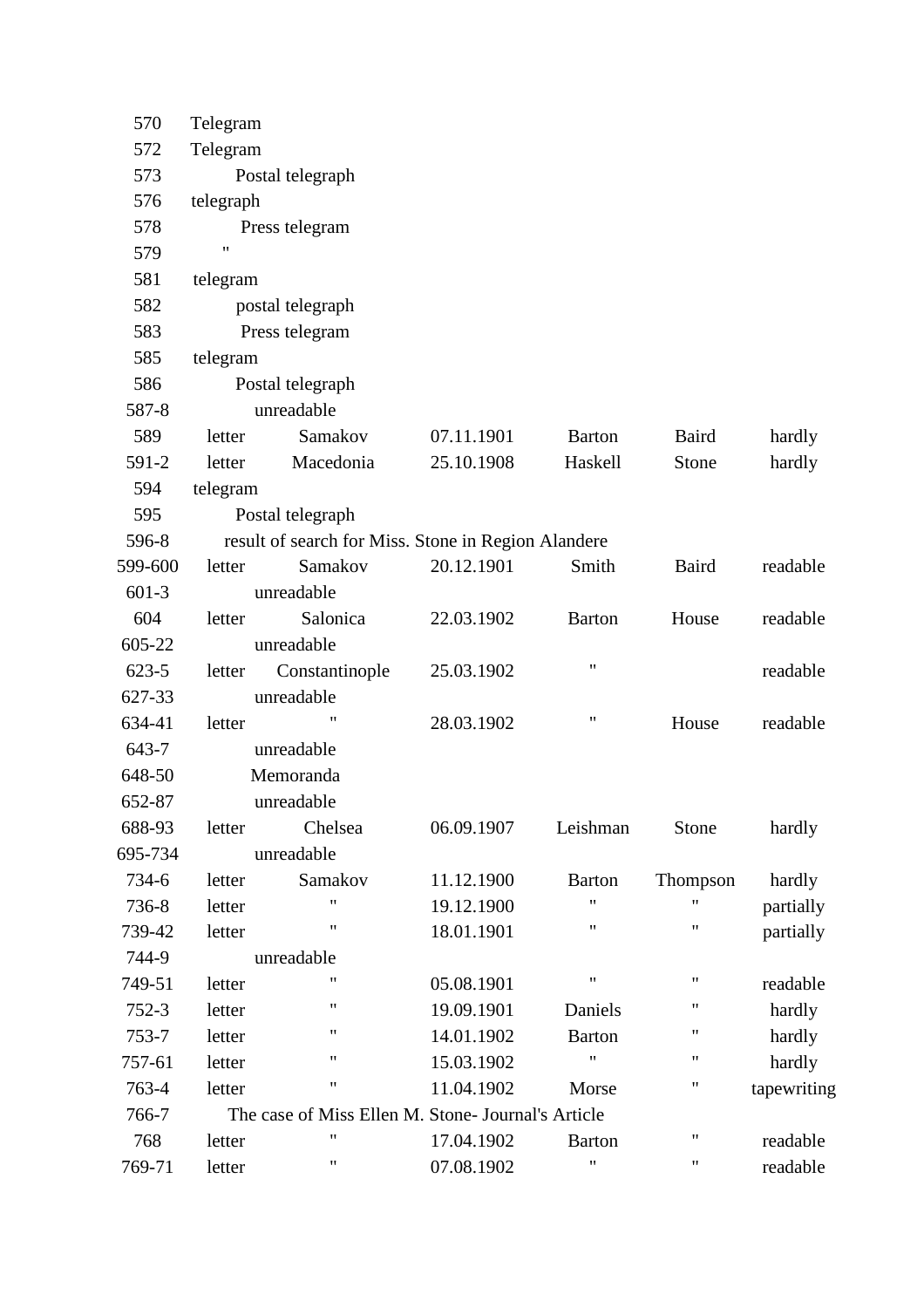| 570       | Telegram                                            |                                                    |            |                    |                    |             |  |  |
|-----------|-----------------------------------------------------|----------------------------------------------------|------------|--------------------|--------------------|-------------|--|--|
| 572       | Telegram                                            |                                                    |            |                    |                    |             |  |  |
| 573       |                                                     | Postal telegraph                                   |            |                    |                    |             |  |  |
| 576       | telegraph                                           |                                                    |            |                    |                    |             |  |  |
| 578       |                                                     | Press telegram                                     |            |                    |                    |             |  |  |
| 579       | $\pmb{\mathsf{H}}$                                  |                                                    |            |                    |                    |             |  |  |
| 581       | telegram                                            |                                                    |            |                    |                    |             |  |  |
| 582       |                                                     | postal telegraph                                   |            |                    |                    |             |  |  |
| 583       |                                                     | Press telegram                                     |            |                    |                    |             |  |  |
| 585       | telegram                                            |                                                    |            |                    |                    |             |  |  |
| 586       |                                                     | Postal telegraph                                   |            |                    |                    |             |  |  |
| 587-8     |                                                     | unreadable                                         |            |                    |                    |             |  |  |
| 589       | letter                                              | Samakov                                            | 07.11.1901 | <b>Barton</b>      | Baird              | hardly      |  |  |
| 591-2     | letter                                              | Macedonia                                          | 25.10.1908 | Haskell            | Stone              | hardly      |  |  |
| 594       | telegram                                            |                                                    |            |                    |                    |             |  |  |
| 595       |                                                     | Postal telegraph                                   |            |                    |                    |             |  |  |
| 596-8     | result of search for Miss. Stone in Region Alandere |                                                    |            |                    |                    |             |  |  |
| 599-600   | letter                                              | Samakov                                            | 20.12.1901 | Smith              | Baird              | readable    |  |  |
| $601-3$   |                                                     | unreadable                                         |            |                    |                    |             |  |  |
| 604       | letter                                              | Salonica                                           | 22.03.1902 | <b>Barton</b>      | House              | readable    |  |  |
| 605-22    |                                                     | unreadable                                         |            |                    |                    |             |  |  |
| $623 - 5$ | letter                                              | Constantinople                                     | 25.03.1902 | $\pmb{\mathsf{H}}$ |                    | readable    |  |  |
| 627-33    |                                                     | unreadable                                         |            |                    |                    |             |  |  |
| 634-41    | letter                                              | "                                                  | 28.03.1902 | $\pmb{\mathsf{H}}$ | House              | readable    |  |  |
| 643-7     |                                                     | unreadable                                         |            |                    |                    |             |  |  |
| 648-50    |                                                     | Memoranda                                          |            |                    |                    |             |  |  |
| 652-87    |                                                     | unreadable                                         |            |                    |                    |             |  |  |
| 688-93    | letter                                              | Chelsea                                            | 06.09.1907 | Leishman           | Stone              | hardly      |  |  |
| 695-734   |                                                     | unreadable                                         |            |                    |                    |             |  |  |
| 734-6     | letter                                              | Samakov                                            | 11.12.1900 | <b>Barton</b>      | Thompson           | hardly      |  |  |
| 736-8     | letter                                              | "                                                  | 19.12.1900 | 11                 | 11                 | partially   |  |  |
| 739-42    | letter                                              | 11                                                 | 18.01.1901 | $\pmb{\mathsf{H}}$ | 11                 | partially   |  |  |
| 744-9     |                                                     | unreadable                                         |            |                    |                    |             |  |  |
| 749-51    | letter                                              | 11                                                 | 05.08.1901 | $\mathbf{H}$       | $\pmb{\mathsf{H}}$ | readable    |  |  |
| $752-3$   | letter                                              | $\pmb{\mathsf{H}}$                                 | 19.09.1901 | Daniels            | 11                 | hardly      |  |  |
| 753-7     | letter                                              | "                                                  | 14.01.1902 | <b>Barton</b>      | 11                 | hardly      |  |  |
| 757-61    | letter                                              | "                                                  | 15.03.1902 | $^{\prime\prime}$  | $\pmb{\mathsf{H}}$ | hardly      |  |  |
| 763-4     | letter                                              | 11                                                 | 11.04.1902 | Morse              | 11                 | tapewriting |  |  |
| 766-7     |                                                     | The case of Miss Ellen M. Stone- Journal's Article |            |                    |                    |             |  |  |
| 768       | letter                                              | "                                                  | 17.04.1902 | <b>Barton</b>      | 11                 | readable    |  |  |
| 769-71    | letter                                              | 11                                                 | 07.08.1902 | $\pmb{\mathsf{H}}$ | $\pmb{\mathsf{H}}$ | readable    |  |  |
|           |                                                     |                                                    |            |                    |                    |             |  |  |